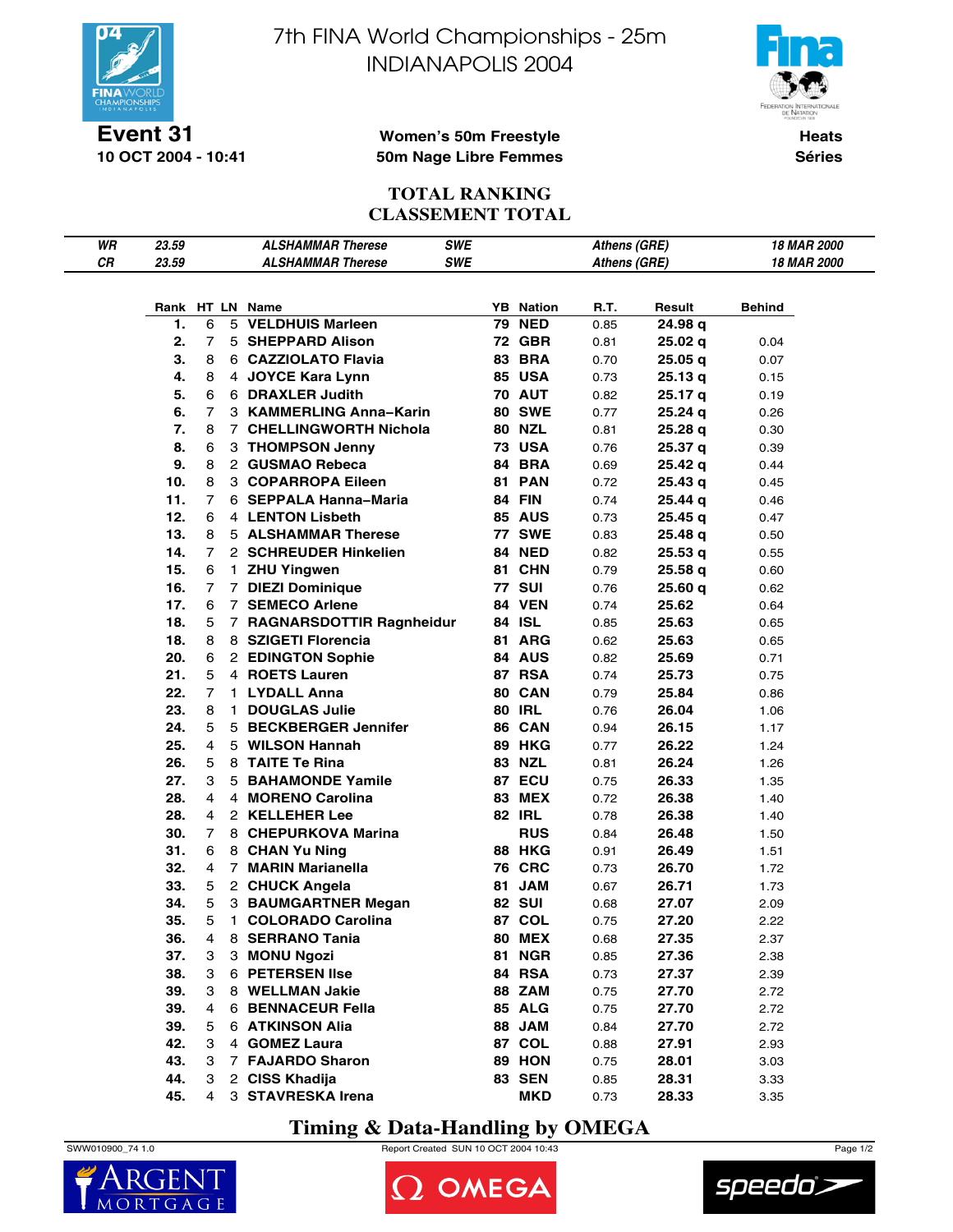



**Event 31 10 OCT 2004 - 10:41**

### **Women's 50m Freestyle 50m Nage Libre Femmes**

**Heats Séries**

## **TOTAL RANKING CLASSEMENT TOTAL**

| WR | 23.59 |                |    | <b>ALSHAMMAR Therese</b>   | <b>SWE</b> |    |                  | Athens (GRE) |         | 18 MAR 2000        |
|----|-------|----------------|----|----------------------------|------------|----|------------------|--------------|---------|--------------------|
| СR | 23.59 |                |    | <b>ALSHAMMAR Therese</b>   | <b>SWE</b> |    |                  | Athens (GRE) |         | <b>18 MAR 2000</b> |
|    |       |                |    |                            |            |    |                  |              |         |                    |
|    |       |                |    |                            |            |    |                  |              |         |                    |
|    |       |                |    | Rank HT LN Name            |            |    | <b>YB</b> Nation | R.T.         | Result  | Behind             |
|    | 1.    | 6              |    | 5 VELDHUIS Marleen         |            | 79 | <b>NED</b>       | 0.85         | 24.98 q |                    |
|    | 2.    | 7              |    | 5 SHEPPARD Alison          |            |    | 72 GBR           | 0.81         | 25.02 q | 0.04               |
|    | 3.    | 8              |    | 6 CAZZIOLATO Flavia        |            | 83 | <b>BRA</b>       | 0.70         | 25.05 q | 0.07               |
|    | 4.    | 8              |    | 4 JOYCE Kara Lynn          |            |    | <b>85 USA</b>    | 0.73         | 25.13q  | 0.15               |
|    | 5.    | 6              |    | 6 DRAXLER Judith           |            |    | <b>70 AUT</b>    | 0.82         | 25.17 g | 0.19               |
|    | 6.    | 7              |    | 3 KAMMERLING Anna-Karin    |            |    | <b>80 SWE</b>    | 0.77         | 25.24 q | 0.26               |
|    | 7.    | 8              |    | 7 CHELLINGWORTH Nichola    |            |    | <b>80 NZL</b>    | 0.81         | 25.28 q | 0.30               |
|    | 8.    | 6              |    | 3 THOMPSON Jenny           |            |    | <b>73 USA</b>    | 0.76         | 25.37 q | 0.39               |
|    | 9.    | 8              |    | 2 GUSMAO Rebeca            |            | 84 | <b>BRA</b>       | 0.69         | 25.42q  | 0.44               |
|    | 10.   | 8              |    | 3 COPARROPA Eileen         |            | 81 | <b>PAN</b>       | 0.72         | 25.43q  | 0.45               |
|    | 11.   | $\overline{7}$ |    | 6 SEPPALA Hanna-Maria      |            | 84 | <b>FIN</b>       | 0.74         | 25.44 q | 0.46               |
|    | 12.   | 6              |    | 4 LENTON Lisbeth           |            |    | <b>85 AUS</b>    | 0.73         | 25.45q  | 0.47               |
|    | 13.   | 8              |    | <b>5 ALSHAMMAR Therese</b> |            |    | <b>77 SWE</b>    | 0.83         | 25.48 q | 0.50               |
|    | 14.   | 7              |    | 2 SCHREUDER Hinkelien      |            |    | <b>84 NED</b>    | 0.82         | 25.53 q | 0.55               |
|    | 15.   | 6              |    | 1 ZHU Yingwen              |            |    | <b>81 CHN</b>    | 0.79         | 25.58 q | 0.60               |
|    | 16.   | 7              |    | 7 DIEZI Dominique          |            |    | <b>77 SUI</b>    | 0.76         | 25.60 q | 0.62               |
|    | 17.   | 6              |    | 7 SEMECO Arlene            |            |    | 84 VEN           | 0.74         | 25.62   | 0.64               |
|    | 18.   | 5              |    | 7 RAGNARSDOTTIR Ragnheidur |            |    | 84 ISL           | 0.85         | 25.63   | 0.65               |
|    | 18.   | 8              |    | 8 SZIGETI Florencia        |            |    | 81 ARG           | 0.62         | 25.63   | 0.65               |
|    | 20.   | 6              |    | 2 EDINGTON Sophie          |            |    | 84 AUS           | 0.82         | 25.69   | 0.71               |
|    | 21.   | 5              |    | 4 ROETS Lauren             |            |    | <b>87 RSA</b>    | 0.74         | 25.73   | 0.75               |
|    | 22.   | 7              |    | 1 LYDALL Anna              |            |    | 80 CAN           | 0.79         | 25.84   | 0.86               |
|    | 23.   | 8              | 1. | <b>DOUGLAS Julie</b>       |            |    | <b>80 IRL</b>    | 0.76         | 26.04   | 1.06               |
|    | 24.   | 5              |    | 5 BECKBERGER Jennifer      |            |    | 86 CAN           | 0.94         | 26.15   | 1.17               |
|    | 25.   | 4              |    | 5 WILSON Hannah            |            |    | <b>89 HKG</b>    | 0.77         | 26.22   | 1.24               |
|    | 26.   | 5              |    | 8 TAITE Te Rina            |            |    | 83 NZL           | 0.81         | 26.24   | 1.26               |
|    | 27.   | 3              |    | 5 BAHAMONDE Yamile         |            |    | 87 ECU           | 0.75         | 26.33   | 1.35               |
|    | 28.   | 4              |    | 4 MORENO Carolina          |            | 83 | <b>MEX</b>       | 0.72         | 26.38   | 1.40               |
|    | 28.   | 4              |    | 2 KELLEHER Lee             |            |    | <b>82 IRL</b>    | 0.78         | 26.38   | 1.40               |
|    | 30.   | 7              |    | 8 CHEPURKOVA Marina        |            |    | <b>RUS</b>       | 0.84         | 26.48   | 1.50               |
|    | 31.   | 6              |    | 8 CHAN Yu Ning             |            |    | <b>88 HKG</b>    | 0.91         | 26.49   | 1.51               |
|    | 32.   | 4              |    | 7 MARIN Marianella         |            |    | <b>76 CRC</b>    | 0.73         | 26.70   | 1.72               |
|    | 33.   | 5              |    | 2 CHUCK Angela             |            | 81 | <b>JAM</b>       | 0.67         | 26.71   | 1.73               |
|    | 34.   | 5              |    | 3 BAUMGARTNER Megan        |            |    | <b>82 SUI</b>    | 0.68         | 27.07   | 2.09               |
|    | 35.   | 5              | 1. | <b>COLORADO Carolina</b>   |            |    | 87 COL           | 0.75         | 27.20   | 2.22               |
|    | 36.   | 4              |    | 8 SERRANO Tania            |            |    | <b>80 MEX</b>    | 0.68         | 27.35   | 2.37               |
|    | 37.   | 3              |    | 3 MONU Ngozi               |            | 81 | <b>NGR</b>       | 0.85         | 27.36   | 2.38               |
|    | 38.   | 3              |    | 6 PETERSEN IIse            |            |    | 84 RSA           | 0.73         | 27.37   | 2.39               |
|    | 39.   | 3              |    | 8 WELLMAN Jakie            |            |    | 88 ZAM           | 0.75         | 27.70   | 2.72               |
|    | 39.   | 4              |    | 6 BENNACEUR Fella          |            |    | 85 ALG           | 0.75         | 27.70   | 2.72               |
|    | 39.   | 5              |    | 6 ATKINSON Alia            |            |    | 88 JAM           | 0.84         | 27.70   | 2.72               |
|    | 42.   | 3              |    | 4 GOMEZ Laura              |            |    | 87 COL           | 0.88         | 27.91   | 2.93               |
|    | 43.   | 3              |    | 7 FAJARDO Sharon           |            |    | 89 HON           | 0.75         | 28.01   | 3.03               |
|    | 44.   | 3              |    | 2 CISS Khadija             |            |    | <b>83 SEN</b>    | 0.85         | 28.31   | 3.33               |
|    | 45.   | 4              |    | 3 STAVRESKA Irena          |            |    | <b>MKD</b>       | 0.73         | 28.33   | 3.35               |

## **Timing & Data-Handling by OMEGA**







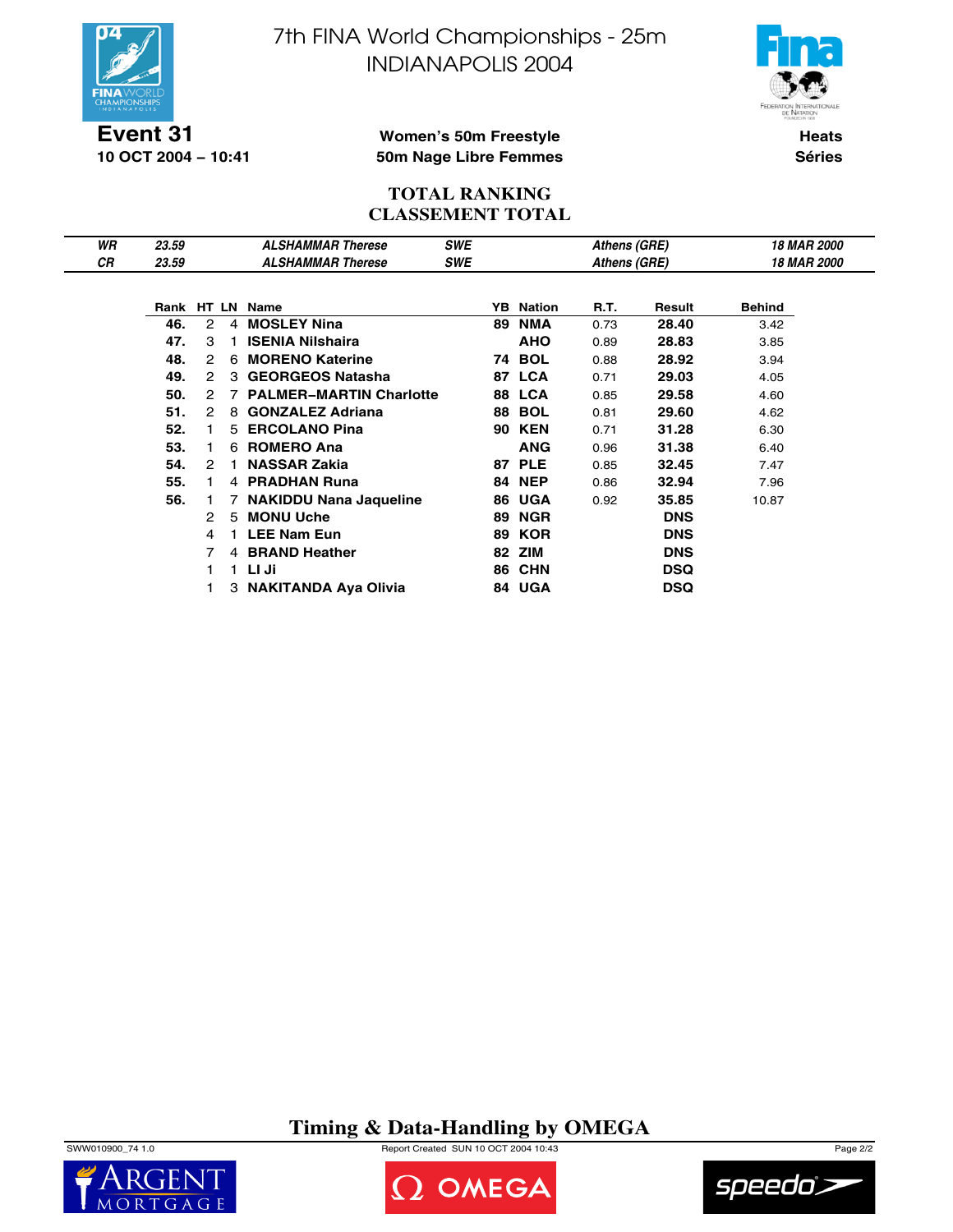



**Event 31 10 OCT 2004 − 10:41**

### **Women's 50m Freestyle 50m Nage Libre Femmes**

**Heats Séries**

## **TOTAL RANKING CLASSEMENT TOTAL**

| WR | 23.59 |                |                | <b>ALSHAMMAR Therese</b>       | <b>SWE</b> |    |                  | Athens (GRE) |            | <b>18 MAR 2000</b> |  |
|----|-------|----------------|----------------|--------------------------------|------------|----|------------------|--------------|------------|--------------------|--|
| СR | 23.59 |                |                | <b>ALSHAMMAR Therese</b>       | SWE        |    |                  | Athens (GRE) |            | 18 MAR 2000        |  |
|    |       |                |                |                                |            |    |                  |              |            |                    |  |
|    |       |                |                | Rank HT LN Name                |            |    | <b>YB</b> Nation | R.T.         | Result     | <b>Behind</b>      |  |
|    | 46.   | 2              | $\overline{4}$ | <b>MOSLEY Nina</b>             |            | 89 | <b>NMA</b>       | 0.73         | 28.40      | 3.42               |  |
|    | 47.   | 3              | 1.             | <b>ISENIA Nilshaira</b>        |            |    | <b>AHO</b>       | 0.89         | 28.83      | 3.85               |  |
|    | 48.   | $\mathcal{P}$  |                | 6 MORENO Katerine              |            |    | <b>74 BOL</b>    | 0.88         | 28.92      | 3.94               |  |
|    | 49.   | $\mathcal{P}$  |                | 3 GEORGEOS Natasha             |            |    | <b>87 LCA</b>    | 0.71         | 29.03      | 4.05               |  |
|    | 50.   | 2              |                | <b>PALMER-MARTIN Charlotte</b> |            |    | 88 LCA           | 0.85         | 29.58      | 4.60               |  |
|    | 51.   | $\mathcal{P}$  |                | 8 GONZALEZ Adriana             |            |    | <b>88 BOL</b>    | 0.81         | 29.60      | 4.62               |  |
|    | 52.   |                |                | 5 ERCOLANO Pina                |            | 90 | <b>KEN</b>       | 0.71         | 31.28      | 6.30               |  |
|    | 53.   |                |                | 6 ROMERO Ana                   |            |    | <b>ANG</b>       | 0.96         | 31.38      | 6.40               |  |
|    | 54.   | $\mathcal{P}$  | $\mathbf{1}$   | <b>NASSAR Zakia</b>            |            |    | <b>87 PLE</b>    | 0.85         | 32.45      | 7.47               |  |
|    | 55.   |                |                | 4 PRADHAN Runa                 |            |    | <b>84 NEP</b>    | 0.86         | 32.94      | 7.96               |  |
|    | 56.   |                | 7              | <b>NAKIDDU Nana Jaqueline</b>  |            |    | 86 UGA           | 0.92         | 35.85      | 10.87              |  |
|    |       | $\mathcal{P}$  | 5              | <b>MONU Uche</b>               |            | 89 | <b>NGR</b>       |              | <b>DNS</b> |                    |  |
|    |       | 4              |                | <b>LEE Nam Eun</b>             |            | 89 | <b>KOR</b>       |              | <b>DNS</b> |                    |  |
|    |       | $\overline{7}$ |                | 4 BRAND Heather                |            | 82 | ZIM              |              | <b>DNS</b> |                    |  |
|    |       |                |                | 1 LI Ji                        |            |    | 86 CHN           |              | <b>DSQ</b> |                    |  |
|    |       |                |                | 3 NAKITANDA Aya Olivia         |            |    | 84 UGA           |              | <b>DSQ</b> |                    |  |

## **Timing & Data-Handling by OMEGA**

SWW010900\_74 1.0 Report Created SUN 10 OCT 2004 10:43 Page 2/2





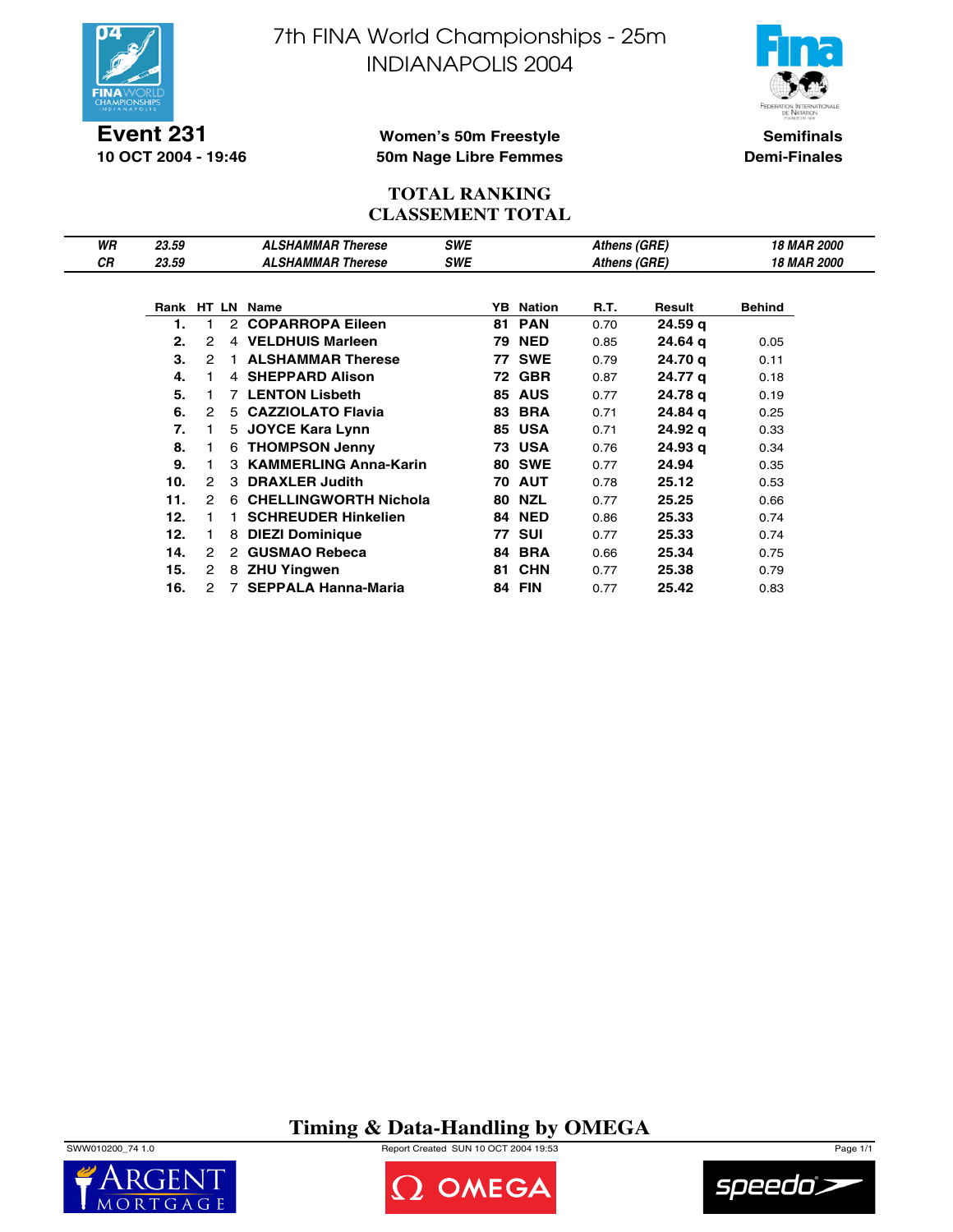



**Semifinals Demi-Finales**

### **Event 231 10 OCT 2004 - 19:46**

### **Women's 50m Freestyle 50m Nage Libre Femmes**

### **TOTAL RANKING CLASSEMENT TOTAL**

| WR | 23.59 |                      |                      | <b>ALSHAMMAR Therese</b>     | <b>SWE</b> |    |                  | Athens (GRE) |                    | <b>18 MAR 2000</b>        |  |
|----|-------|----------------------|----------------------|------------------------------|------------|----|------------------|--------------|--------------------|---------------------------|--|
| СR | 23.59 |                      |                      | <b>ALSHAMMAR Therese</b>     | <b>SWE</b> |    |                  | Athens (GRE) |                    | <i><b>18 MAR 2000</b></i> |  |
|    |       |                      |                      |                              |            |    |                  |              |                    |                           |  |
|    |       |                      |                      | Rank HT LN Name              |            |    | <b>YB</b> Nation | R.T.         | Result             | <b>Behind</b>             |  |
|    | 1.    |                      |                      | 2 COPARROPA Eileen           |            |    | <b>81 PAN</b>    | 0.70         | 24.59 <sub>q</sub> |                           |  |
|    | 2.    | 2                    |                      | 4 VELDHUIS Marleen           |            |    | <b>79 NED</b>    | 0.85         | 24.64 g            | 0.05                      |  |
|    | 3.    | 2                    |                      | <b>ALSHAMMAR Therese</b>     |            |    | <b>77 SWE</b>    | 0.79         | 24.70 g            | 0.11                      |  |
|    | 4.    |                      |                      | 4 SHEPPARD Alison            |            | 72 | <b>GBR</b>       | 0.87         | 24.77 g            | 0.18                      |  |
|    | 5.    |                      |                      | <b>7 LENTON Lisbeth</b>      |            | 85 | <b>AUS</b>       | 0.77         | 24.78 g            | 0.19                      |  |
|    | 6.    | 2                    |                      | 5 CAZZIOLATO Flavia          |            |    | <b>83 BRA</b>    | 0.71         | 24.84 g            | 0.25                      |  |
|    | 7.    |                      | 5                    | <b>JOYCE Kara Lynn</b>       |            | 85 | <b>USA</b>       | 0.71         | 24.92 g            | 0.33                      |  |
|    | 8.    | 1                    |                      | 6 THOMPSON Jenny             |            |    | <b>73 USA</b>    | 0.76         | 24.93 <sub>q</sub> | 0.34                      |  |
|    | 9.    |                      | 3                    | <b>KAMMERLING Anna-Karin</b> |            |    | <b>80 SWE</b>    | 0.77         | 24.94              | 0.35                      |  |
|    | 10.   | 2                    | 3                    | <b>DRAXLER Judith</b>        |            |    | <b>70 AUT</b>    | 0.78         | 25.12              | 0.53                      |  |
|    | 11.   | 2                    |                      | 6 CHELLINGWORTH Nichola      |            | 80 | <b>NZL</b>       | 0.77         | 25.25              | 0.66                      |  |
|    | 12.   | 1                    |                      | <b>SCHREUDER Hinkelien</b>   |            | 84 | <b>NED</b>       | 0.86         | 25.33              | 0.74                      |  |
|    | 12.   | 1                    | 8                    | <b>DIEZI Dominique</b>       |            |    | <b>77 SUI</b>    | 0.77         | 25.33              | 0.74                      |  |
|    | 14.   | 2                    | $\mathbf{2}^{\circ}$ | <b>GUSMAO Rebeca</b>         |            |    | 84 BRA           | 0.66         | 25.34              | 0.75                      |  |
|    | 15.   | $\mathbf{2}^{\circ}$ | 8                    | <b>ZHU Yingwen</b>           |            | 81 | <b>CHN</b>       | 0.77         | 25.38              | 0.79                      |  |
|    | 16.   | 2                    |                      | <b>SEPPALA Hanna-Maria</b>   |            |    | <b>84 FIN</b>    | 0.77         | 25.42              | 0.83                      |  |

**Timing & Data-Handling by OMEGA**

SWW010200\_74 1.0 Report Created SUN 10 OCT 2004 19:53 Page 1/1





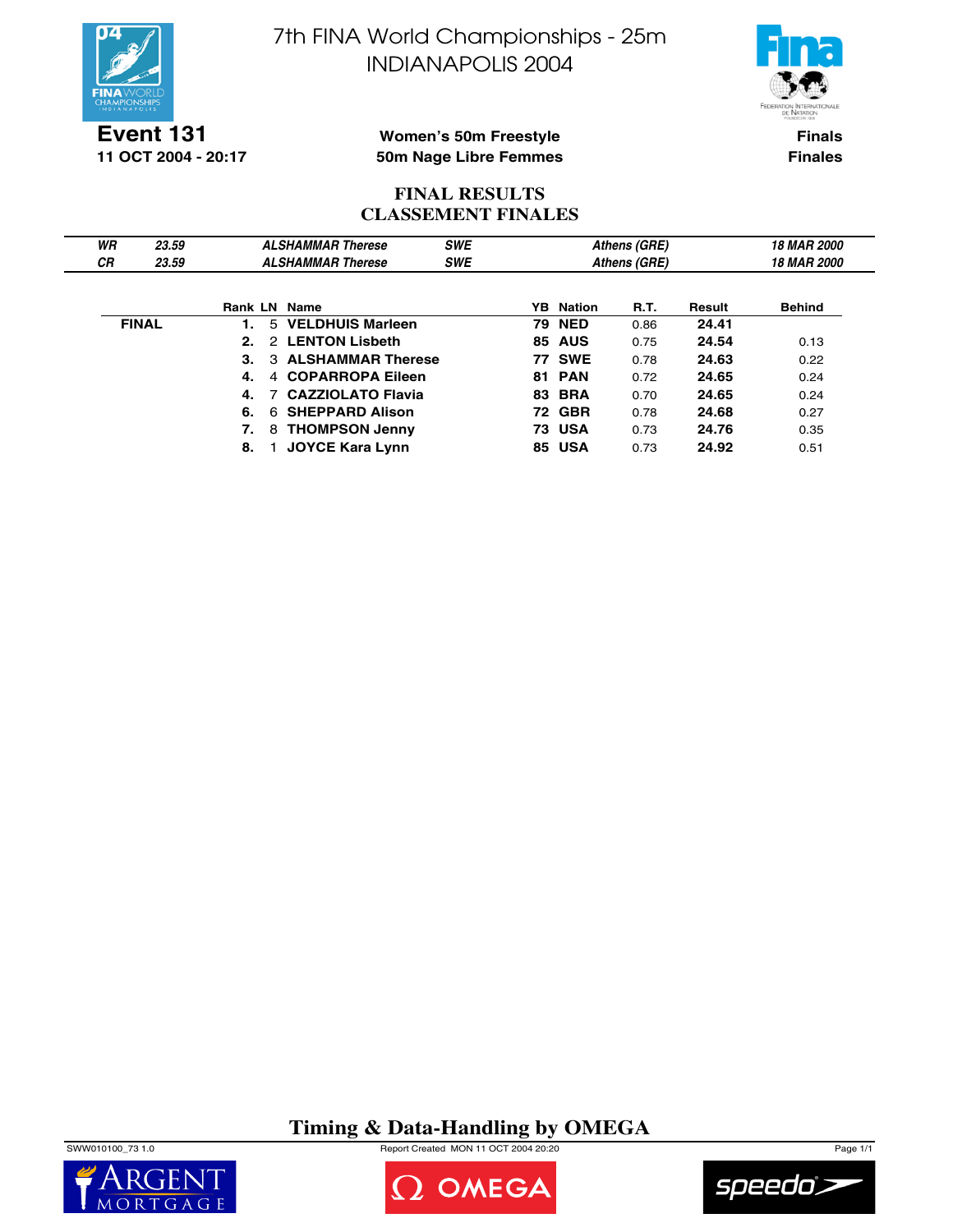



**Event 131 11 OCT 2004 - 20:17**

### **Women's 50m Freestyle 50m Nage Libre Femmes**

**Finals Finales**

## **FINAL RESULTS CLASSEMENT FINALES**

| WR        | 23.59        |                | <b>ALSHAMMAR Therese</b> | <b>SWE</b> |                  | Athens (GRE) |        | <b>18 MAR 2000</b> |
|-----------|--------------|----------------|--------------------------|------------|------------------|--------------|--------|--------------------|
| <b>CR</b> | 23.59        |                | <b>ALSHAMMAR Therese</b> | <b>SWE</b> |                  | Athens (GRE) |        | <b>18 MAR 2000</b> |
|           |              |                |                          |            |                  |              |        |                    |
|           |              |                | <b>Rank LN Name</b>      |            | <b>YB</b> Nation | <b>R.T.</b>  | Result | <b>Behind</b>      |
|           | <b>FINAL</b> |                | 5 VELDHUIS Marleen       |            | <b>79 NED</b>    | 0.86         | 24.41  |                    |
|           |              | 2 <sup>1</sup> | 2 LENTON Lisbeth         |            | <b>85 AUS</b>    | 0.75         | 24.54  | 0.13               |
|           |              | 3.             | 3 ALSHAMMAR Therese      |            | <b>77 SWE</b>    | 0.78         | 24.63  | 0.22               |
|           |              | 4.             | 4 COPARROPA Eileen       |            | <b>81 PAN</b>    | 0.72         | 24.65  | 0.24               |
|           |              | 4.             | <b>CAZZIOLATO Flavia</b> |            | <b>83 BRA</b>    | 0.70         | 24.65  | 0.24               |
|           |              | 6.             | 6 SHEPPARD Alison        |            | <b>72 GBR</b>    | 0.78         | 24.68  | 0.27               |
|           |              | 7.             | 8 THOMPSON Jenny         |            | <b>73 USA</b>    | 0.73         | 24.76  | 0.35               |
|           |              | 8.             | <b>JOYCE Kara Lynn</b>   |            | <b>85 USA</b>    | 0.73         | 24.92  | 0.51               |

# **Timing & Data-Handling by OMEGA**

SWW010100\_73 1.0 Report Created MON 11 OCT 2004 20:20 Page 1/1





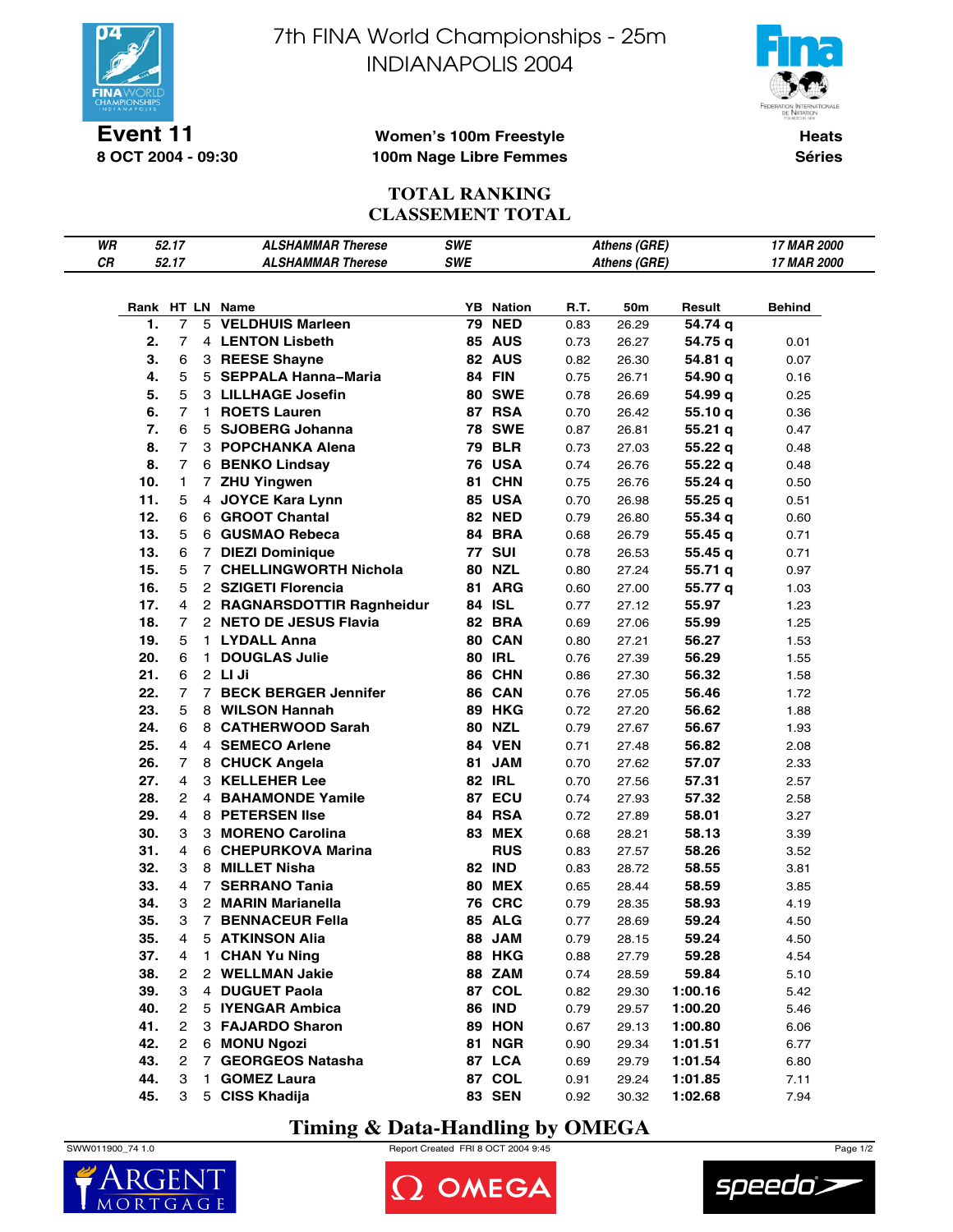

**Event 11 8 OCT 2004 - 09:30** 7th FINA World Championships - 25m INDIANAPOLIS 2004



**Women's 100m Freestyle 100m Nage Libre Femmes**

**Heats Séries**

## **TOTAL RANKING CLASSEMENT TOTAL**

| WR |     | 52.17          |              | <b>ALSHAMMAR Therese</b>                     | SWE        |                  |      | Athens (GRE) |         | 17 MAR 2000  |
|----|-----|----------------|--------------|----------------------------------------------|------------|------------------|------|--------------|---------|--------------|
| CR |     | 52.17          |              | <b>ALSHAMMAR Therese</b>                     | <b>SWE</b> |                  |      | Athens (GRE) |         | 17 MAR 2000  |
|    |     |                |              |                                              |            |                  |      |              |         |              |
|    |     |                |              | Rank HT LN Name                              |            | <b>YB</b> Nation | R.T. | 50m          | Result  | Behind       |
|    | 1.  | 7              |              | 5 VELDHUIS Marleen                           |            | <b>79 NED</b>    | 0.83 | 26.29        | 54.74 q |              |
|    | 2.  | $\overline{7}$ |              | 4 LENTON Lisbeth                             |            | 85 AUS           | 0.73 | 26.27        | 54.75 q | 0.01         |
|    | 3.  | 6              |              | 3 REESE Shayne                               |            | 82 AUS           | 0.82 | 26.30        | 54.81 q | 0.07         |
|    | 4.  | 5              |              | 5 SEPPALA Hanna-Maria                        |            | <b>84 FIN</b>    | 0.75 | 26.71        | 54.90 q | 0.16         |
|    | 5.  | 5              |              | 3 LILLHAGE Josefin                           |            | <b>80 SWE</b>    | 0.78 | 26.69        | 54.99 q | 0.25         |
|    | 6.  | $\overline{7}$ | $\mathbf{1}$ | <b>ROETS Lauren</b>                          |            | 87 RSA           | 0.70 | 26.42        | 55.10 q | 0.36         |
|    | 7.  | 6              |              | 5 SJOBERG Johanna                            |            | <b>78 SWE</b>    | 0.87 | 26.81        | 55.21q  | 0.47         |
|    | 8.  | $\overline{7}$ |              | 3 POPCHANKA Alena                            |            | <b>79 BLR</b>    | 0.73 | 27.03        | 55.22 q | 0.48         |
|    | 8.  | $\overline{7}$ |              | 6 BENKO Lindsay                              |            | <b>76 USA</b>    | 0.74 | 26.76        | 55.22q  | 0.48         |
|    | 10. | 1              |              | 7 ZHU Yingwen                                | 81         | <b>CHN</b>       | 0.75 | 26.76        | 55.24 q | 0.50         |
|    | 11. | 5              |              | 4 JOYCE Kara Lynn                            |            | 85 USA           | 0.70 | 26.98        | 55.25q  |              |
|    | 12. | 6              |              | 6 GROOT Chantal                              |            | <b>82 NED</b>    | 0.79 | 26.80        |         | 0.51<br>0.60 |
|    | 13. | 5              |              | 6 GUSMAO Rebeca                              |            | 84 BRA           |      |              | 55.34 q |              |
|    | 13. | 6              |              |                                              |            | <b>77 SUI</b>    | 0.68 | 26.79        | 55.45 q | 0.71         |
|    | 15. | 5              |              | 7 DIEZI Dominique<br>7 CHELLINGWORTH Nichola |            | <b>80 NZL</b>    | 0.78 | 26.53        | 55.45 q | 0.71         |
|    |     |                |              |                                              |            |                  | 0.80 | 27.24        | 55.71 q | 0.97         |
|    | 16. | 5              |              | 2 SZIGETI Florencia                          |            | 81 ARG           | 0.60 | 27.00        | 55.77 q | 1.03         |
|    | 17. | 4              |              | 2 RAGNARSDOTTIR Ragnheidur                   |            | 84 ISL           | 0.77 | 27.12        | 55.97   | 1.23         |
|    | 18. | 7              |              | 2 NETO DE JESUS Flavia                       |            | 82 BRA           | 0.69 | 27.06        | 55.99   | 1.25         |
|    | 19. | 5              | 1.           | <b>LYDALL Anna</b>                           |            | 80 CAN           | 0.80 | 27.21        | 56.27   | 1.53         |
|    | 20. | 6              | 1            | <b>DOUGLAS Julie</b>                         |            | <b>80 IRL</b>    | 0.76 | 27.39        | 56.29   | 1.55         |
|    | 21. | 6              |              | 2 LI Ji                                      |            | 86 CHN           | 0.86 | 27.30        | 56.32   | 1.58         |
|    | 22. | 7              | $7^{\circ}$  | <b>BECK BERGER Jennifer</b>                  |            | 86 CAN           | 0.76 | 27.05        | 56.46   | 1.72         |
|    | 23. | 5              |              | 8 WILSON Hannah                              |            | 89 HKG           | 0.72 | 27.20        | 56.62   | 1.88         |
|    | 24. | 6              |              | 8 CATHERWOOD Sarah                           |            | <b>80 NZL</b>    | 0.79 | 27.67        | 56.67   | 1.93         |
|    | 25. | 4              |              | 4 SEMECO Arlene                              |            | 84 VEN           | 0.71 | 27.48        | 56.82   | 2.08         |
|    | 26. | 7              |              | 8 CHUCK Angela                               |            | 81 JAM           | 0.70 | 27.62        | 57.07   | 2.33         |
|    | 27. | 4              |              | 3 KELLEHER Lee                               |            | <b>82 IRL</b>    | 0.70 | 27.56        | 57.31   | 2.57         |
|    | 28. | $\mathbf{2}$   |              | 4 BAHAMONDE Yamile                           |            | 87 ECU           | 0.74 | 27.93        | 57.32   | 2.58         |
|    | 29. | $\overline{4}$ |              | 8 PETERSEN IIse                              |            | 84 RSA           | 0.72 | 27.89        | 58.01   | 3.27         |
|    | 30. | 3              |              | 3 MORENO Carolina                            |            | <b>83 MEX</b>    | 0.68 | 28.21        | 58.13   | 3.39         |
|    | 31. | 4              |              | 6 CHEPURKOVA Marina                          |            | <b>RUS</b>       | 0.83 | 27.57        | 58.26   | 3.52         |
|    | 32. | 3              |              | 8 MILLET Nisha                               |            | <b>82 IND</b>    | 0.83 | 28.72        | 58.55   | 3.81         |
|    | 33. | 4              |              | 7 SERRANO Tania                              |            | <b>80 MEX</b>    | 0.65 | 28.44        | 58.59   | 3.85         |
|    | 34. | 3              |              | 2 MARIN Marianella                           |            | <b>76 CRC</b>    | 0.79 | 28.35        | 58.93   | 4.19         |
|    | 35. | 3              |              | 7 BENNACEUR Fella                            |            | 85 ALG           | 0.77 | 28.69        | 59.24   | 4.50         |
|    | 35. | 4              |              | 5 ATKINSON Alia                              |            | 88 JAM           | 0.79 | 28.15        | 59.24   | 4.50         |
|    | 37. | 4              | 1.           | <b>CHAN Yu Ning</b>                          |            | <b>88 HKG</b>    | 0.88 | 27.79        | 59.28   | 4.54         |
|    | 38. | $\overline{c}$ |              | 2 WELLMAN Jakie                              |            | 88 ZAM           | 0.74 | 28.59        | 59.84   | 5.10         |
|    | 39. | 3              | 4            | <b>DUGUET Paola</b>                          |            | 87 COL           | 0.82 | 29.30        | 1:00.16 | 5.42         |
|    | 40. | 2              |              | 5 IYENGAR Ambica                             |            | <b>86 IND</b>    | 0.79 | 29.57        | 1:00.20 | 5.46         |
|    | 41. | $\mathbf{2}$   |              | 3 FAJARDO Sharon                             |            | 89 HON           | 0.67 | 29.13        | 1:00.80 | 6.06         |
|    | 42. | $\overline{c}$ |              | 6 MONU Ngozi                                 |            | <b>81 NGR</b>    | 0.90 | 29.34        | 1:01.51 | 6.77         |
|    | 43. | $\overline{c}$ |              | 7 GEORGEOS Natasha                           |            | 87 LCA           | 0.69 | 29.79        | 1:01.54 | 6.80         |
|    | 44. | 3              | 1            | <b>GOMEZ Laura</b>                           |            | 87 COL           | 0.91 | 29.24        | 1:01.85 | 7.11         |
|    | 45. | 3              |              | 5 CISS Khadija                               |            | <b>83 SEN</b>    | 0.92 | 30.32        | 1:02.68 | 7.94         |

# **Timing & Data-Handling by OMEGA**

SWW011900\_74 1.0 Report Created FRI 8 OCT 2004 9:45 Page 1/2

OMEGA

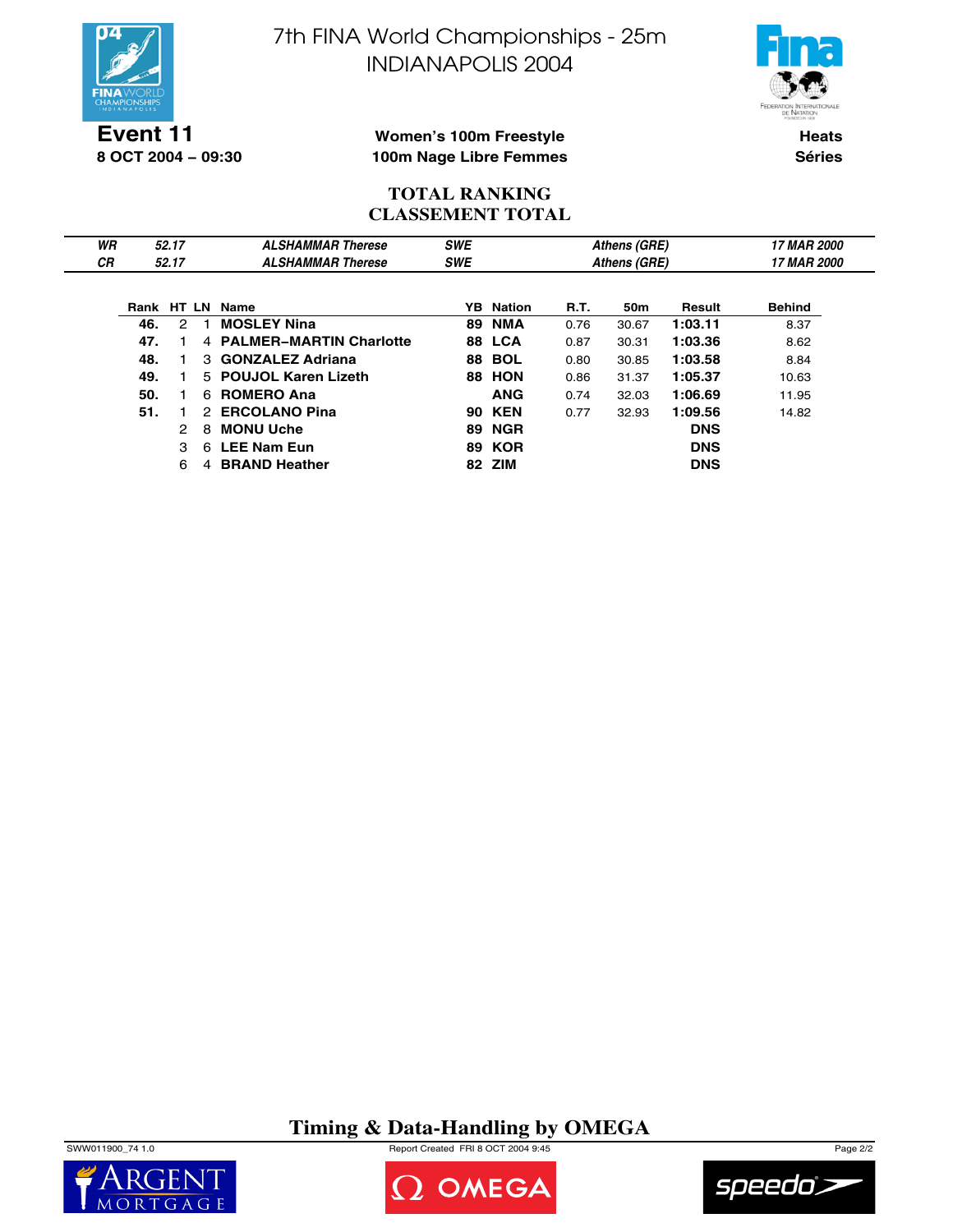

**8 OCT 2004 − 09:30**

7th FINA World Championships - 25m INDIANAPOLIS 2004



## **Women's 100m Freestyle 100m Nage Libre Femmes**

**Heats Séries**

## **TOTAL RANKING CLASSEMENT TOTAL**

| WR |            | 52.17         |   | <b>ALSHAMMAR Therese</b>  | <b>SWE</b> |               |      | Athens (GRE) |            | <b>17 MAR 2000</b> |
|----|------------|---------------|---|---------------------------|------------|---------------|------|--------------|------------|--------------------|
| СR |            | 52.17         |   | <b>ALSHAMMAR Therese</b>  | <b>SWE</b> |               |      | Athens (GRE) |            | <b>17 MAR 2000</b> |
|    |            |               |   |                           |            |               |      |              |            |                    |
|    | Rank HT LN |               |   | Name                      | YB.        | <b>Nation</b> | R.T. | 50m          | Result     | <b>Behind</b>      |
|    | 46.        | $\mathcal{P}$ |   | <b>MOSLEY Nina</b>        | 89         | <b>NMA</b>    | 0.76 | 30.67        | 1:03.11    | 8.37               |
|    | 47.        |               |   | 4 PALMER-MARTIN Charlotte |            | <b>88 LCA</b> | 0.87 | 30.31        | 1:03.36    | 8.62               |
|    | 48.        |               |   | 3 GONZALEZ Adriana        |            | <b>88 BOL</b> | 0.80 | 30.85        | 1:03.58    | 8.84               |
|    | 49.        |               |   | 5 POUJOL Karen Lizeth     | 88         | <b>HON</b>    | 0.86 | 31.37        | 1:05.37    | 10.63              |
|    | 50.        |               | 6 | <b>ROMERO Ana</b>         |            | <b>ANG</b>    | 0.74 | 32.03        | 1:06.69    | 11.95              |
|    | 51.        |               |   | 2 ERCOLANO Pina           |            | <b>90 KEN</b> | 0.77 | 32.93        | 1:09.56    | 14.82              |
|    |            | 2             | 8 | <b>MONU Uche</b>          |            | <b>89 NGR</b> |      |              | <b>DNS</b> |                    |
|    |            | 3             |   | 6 LEE Nam Eun             |            | <b>89 KOR</b> |      |              | <b>DNS</b> |                    |
|    |            | 6             | 4 | <b>BRAND Heather</b>      |            | 82 ZIM        |      |              | <b>DNS</b> |                    |

**Timing & Data-Handling by OMEGA**

SWW011900\_74 1.0 Report Created FRI 8 OCT 2004 9:45 Page 2/2





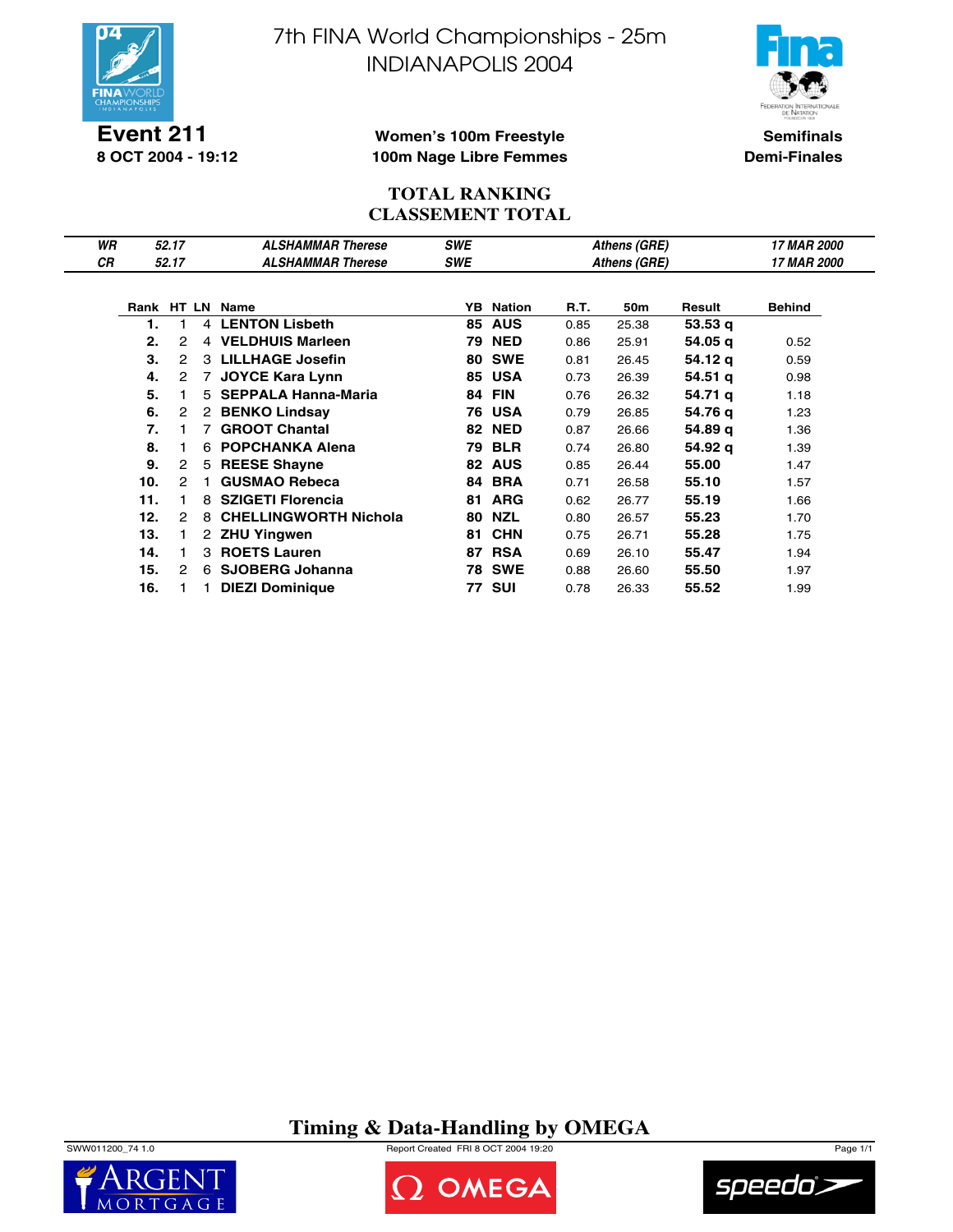

**Event 211 8 OCT 2004 - 19:12** 7th FINA World Championships - 25m INDIANAPOLIS 2004



**Semifinals Demi-Finales**

### **Women's 100m Freestyle 100m Nage Libre Femmes**

### **TOTAL RANKING CLASSEMENT TOTAL**

| WR |     | 52.17                |                      | <b>ALSHAMMAR Therese</b>     | <b>SWE</b> |                  |      | Athens (GRE)    |         | 17 MAR 2000   |
|----|-----|----------------------|----------------------|------------------------------|------------|------------------|------|-----------------|---------|---------------|
| СR |     | 52.17                |                      | <b>ALSHAMMAR Therese</b>     | <b>SWE</b> |                  |      | Athens (GRE)    |         | 17 MAR 2000   |
|    |     |                      |                      |                              |            |                  |      |                 |         |               |
|    |     |                      |                      | Rank HT LN Name              |            | <b>YB</b> Nation | R.T. | 50 <sub>m</sub> | Result  | <b>Behind</b> |
|    | 1.  | 1                    | $\overline{4}$       | <b>LENTON Lisbeth</b>        | 85         | <b>AUS</b>       | 0.85 | 25.38           | 53.53q  |               |
|    | 2.  | 2                    | 4                    | <b>VELDHUIS Marleen</b>      | 79         | <b>NED</b>       | 0.86 | 25.91           | 54.05 q | 0.52          |
|    | 3.  | 2                    |                      | 3 LILLHAGE Josefin           | 80         | <b>SWE</b>       | 0.81 | 26.45           | 54.12 g | 0.59          |
|    | 4.  | $\overline{2}$       | 7                    | <b>JOYCE Kara Lynn</b>       | 85         | <b>USA</b>       | 0.73 | 26.39           | 54.51 q | 0.98          |
|    | 5.  |                      | 5                    | <b>SEPPALA Hanna-Maria</b>   | 84         | <b>FIN</b>       | 0.76 | 26.32           | 54.71 q | 1.18          |
|    | 6.  | 2                    | 2                    | <b>BENKO Lindsay</b>         | 76         | <b>USA</b>       | 0.79 | 26.85           | 54.76 g | 1.23          |
|    | 7.  |                      |                      | <b>GROOT Chantal</b>         | 82         | <b>NED</b>       | 0.87 | 26.66           | 54.89 g | 1.36          |
|    | 8.  |                      | 6                    | <b>POPCHANKA Alena</b>       | 79         | <b>BLR</b>       | 0.74 | 26.80           | 54.92 g | 1.39          |
|    | 9.  | $\mathbf{2}^{\circ}$ | 5                    | <b>REESE Shayne</b>          |            | 82 AUS           | 0.85 | 26.44           | 55.00   | 1.47          |
|    | 10. | 2                    |                      | <b>GUSMAO Rebeca</b>         | 84         | <b>BRA</b>       | 0.71 | 26.58           | 55.10   | 1.57          |
|    | 11. | 1.                   | 8                    | <b>SZIGETI Florencia</b>     | 81         | <b>ARG</b>       | 0.62 | 26.77           | 55.19   | 1.66          |
|    | 12. | 2                    | 8                    | <b>CHELLINGWORTH Nichola</b> | 80         | <b>NZL</b>       | 0.80 | 26.57           | 55.23   | 1.70          |
|    | 13. |                      | $\mathbf{2}^{\circ}$ | <b>ZHU Yingwen</b>           | 81         | <b>CHN</b>       | 0.75 | 26.71           | 55.28   | 1.75          |
|    | 14. | 1.                   | 3                    | <b>ROETS Lauren</b>          | 87         | <b>RSA</b>       | 0.69 | 26.10           | 55.47   | 1.94          |
|    | 15. | 2                    | 6                    | <b>SJOBERG Johanna</b>       |            | <b>78 SWE</b>    | 0.88 | 26.60           | 55.50   | 1.97          |
|    | 16. |                      |                      | <b>DIEZI Dominique</b>       | 77         | <b>SUI</b>       | 0.78 | 26.33           | 55.52   | 1.99          |

**Timing & Data-Handling by OMEGA**

SWW011200\_74 1.0 Report Created FRI 8 OCT 2004 19:20 Page 1/1





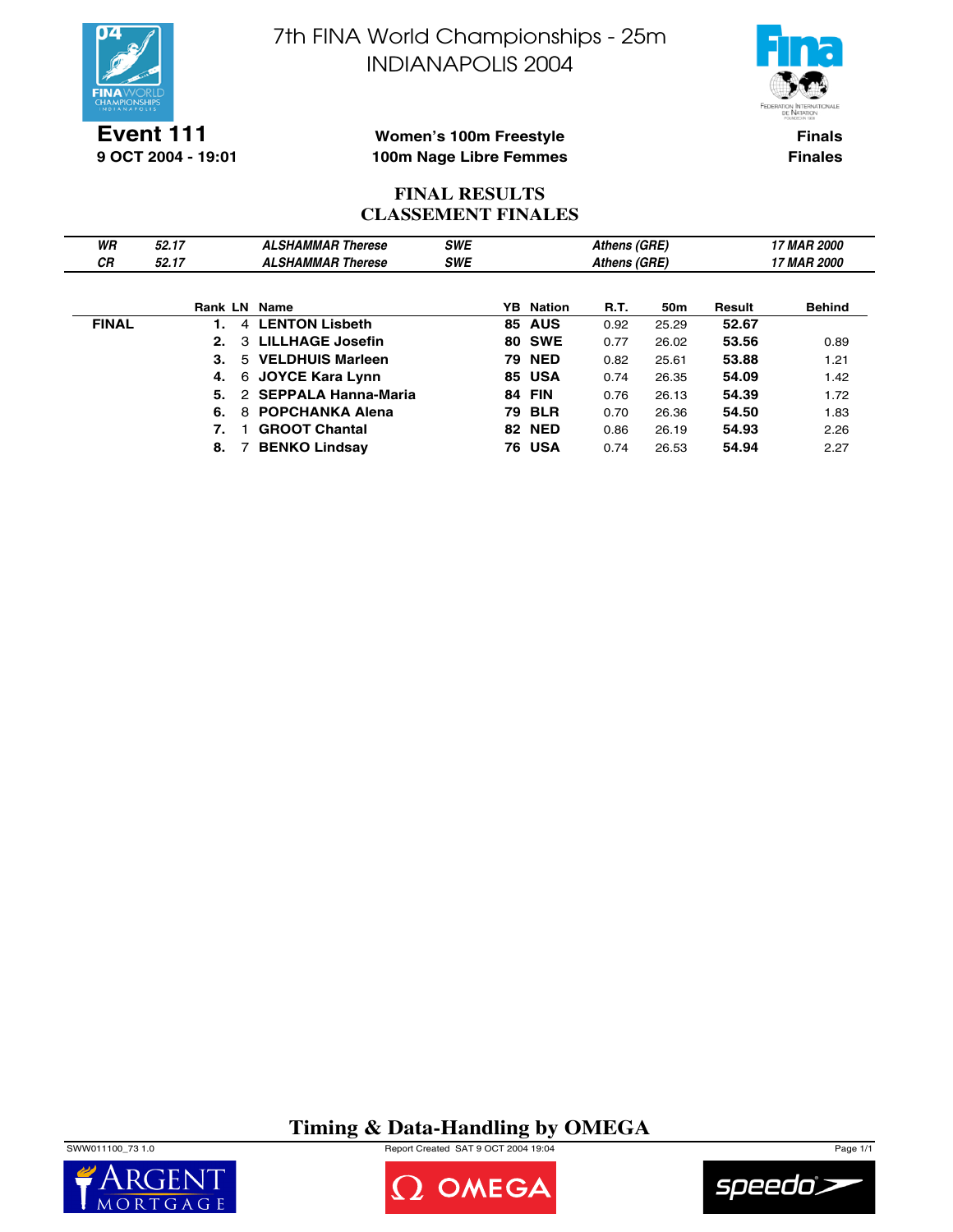



**Event 111 9 OCT 2004 - 19:01**

**Women's 100m Freestyle 100m Nage Libre Femmes**

**Finals Finales**

## **FINAL RESULTS CLASSEMENT FINALES**

| WR           | 52.17        | <b>ALSHAMMAR Therese</b>    | <b>SWE</b> |    |                  | Athens (GRE) |                 |        | <b>17 MAR 2000</b> |
|--------------|--------------|-----------------------------|------------|----|------------------|--------------|-----------------|--------|--------------------|
| СR           | 52.17        | <b>ALSHAMMAR Therese</b>    | <b>SWE</b> |    |                  | Athens (GRE) |                 |        | <b>17 MAR 2000</b> |
|              |              |                             |            |    |                  |              |                 |        |                    |
|              | Rank LN Name |                             |            |    | <b>YB</b> Nation | <b>R.T.</b>  | 50 <sub>m</sub> | Result | <b>Behind</b>      |
| <b>FINAL</b> |              | 4 LENTON Lisbeth            |            |    | <b>85 AUS</b>    | 0.92         | 25.29           | 52.67  |                    |
|              | 2.           | 3 LILLHAGE Josefin          |            |    | <b>80 SWE</b>    | 0.77         | 26.02           | 53.56  | 0.89               |
|              | 3.           | 5 VELDHUIS Marleen          |            | 79 | <b>NED</b>       | 0.82         | 25.61           | 53.88  | 1.21               |
|              | 4.           | 6 JOYCE Kara Lynn           |            |    | 85 USA           | 0.74         | 26.35           | 54.09  | 1.42               |
|              | 5.           | 2 SEPPALA Hanna-Maria       |            | 84 | FIN              | 0.76         | 26.13           | 54.39  | 1.72               |
|              | 6.           | <b>POPCHANKA Alena</b><br>8 |            | 79 | <b>BLR</b>       | 0.70         | 26.36           | 54.50  | 1.83               |
|              | 7.           | <b>GROOT Chantal</b>        |            |    | <b>82 NED</b>    | 0.86         | 26.19           | 54.93  | 2.26               |
|              | 8.           | <b>BENKO Lindsay</b>        |            |    | <b>76 USA</b>    | 0.74         | 26.53           | 54.94  | 2.27               |

## **Timing & Data-Handling by OMEGA**

SWW011100\_73 1.0 Report Created SAT 9 OCT 2004 19:04 Page 1/1





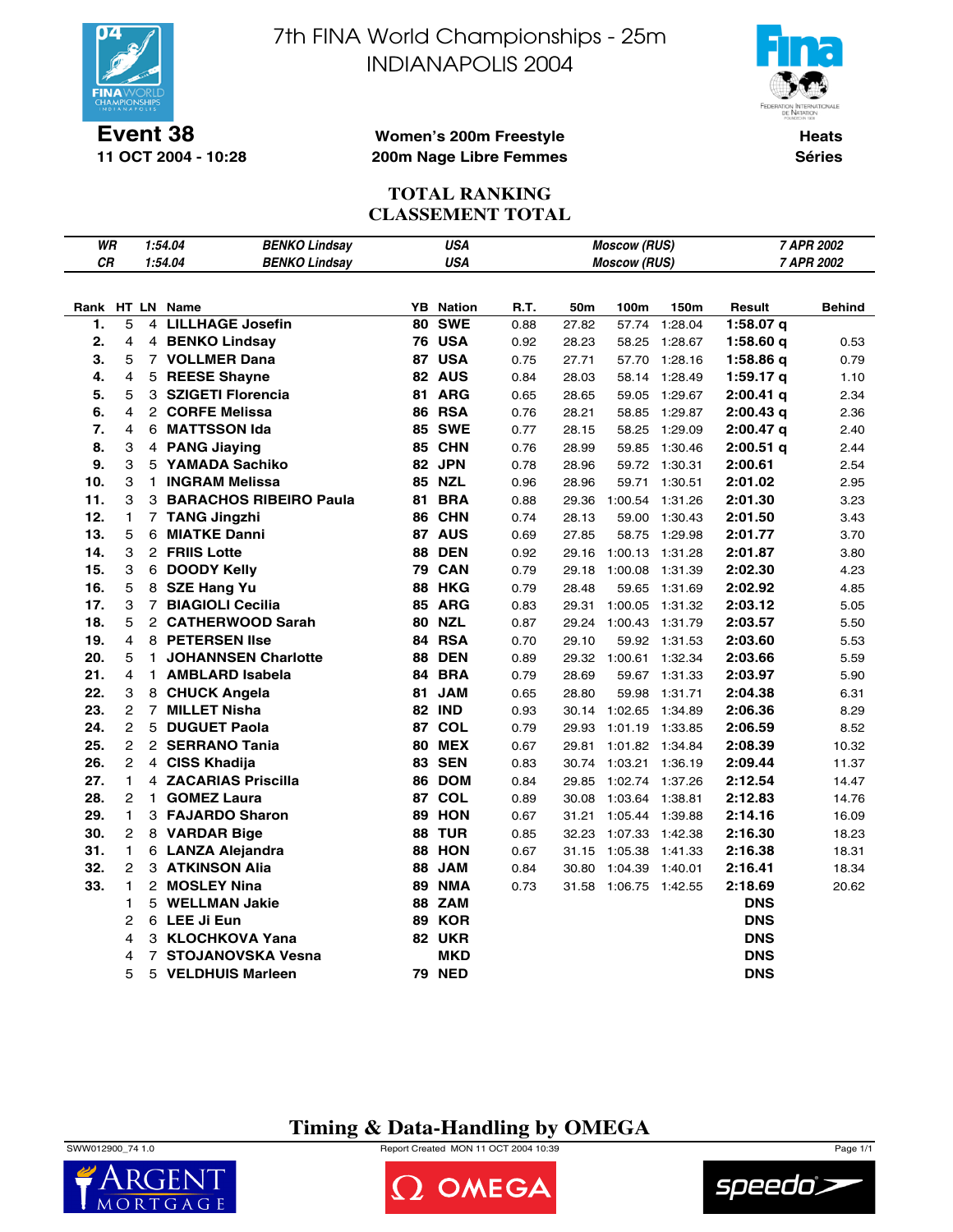

**11 OCT 2004 - 10:28**

7th FINA World Championships - 25m INDIANAPOLIS 2004



**Heats Séries**

### **Women's 200m Freestyle 200m Nage Libre Femmes**

### **TOTAL RANKING CLASSEMENT TOTAL**

| WR         |                     |                | 1:54.04         | <b>BENKO Lindsay</b>            |    | <b>USA</b>               |      |       | <b>Moscow (RUS)</b> |         |                          | 7 APR 2002 |
|------------|---------------------|----------------|-----------------|---------------------------------|----|--------------------------|------|-------|---------------------|---------|--------------------------|------------|
| CR         |                     |                | 1:54.04         | <b>BENKO Lindsay</b>            |    | <b>USA</b>               |      |       | <b>Moscow (RUS)</b> |         |                          | 7 APR 2002 |
|            |                     |                |                 |                                 |    |                          |      |       |                     |         |                          |            |
|            |                     |                | Rank HT LN Name |                                 | YB | <b>Nation</b>            | R.T. | 50m   | 100m                | 150m    | Result                   | Behind     |
| 1.         | 5                   | 4              |                 | <b>LILLHAGE Josefin</b>         | 80 | <b>SWE</b>               | 0.88 | 27.82 | 57.74               | 1:28.04 | $1:58.07$ q              |            |
| 2.         | 4                   |                |                 | 4 BENKO Lindsay                 |    | <b>76 USA</b>            | 0.92 | 28.23 | 58.25               | 1:28.67 | 1:58.60q                 | 0.53       |
| 3.         | 5                   |                |                 | 7 VOLLMER Dana                  | 87 | <b>USA</b>               | 0.75 | 27.71 | 57.70               | 1:28.16 | 1:58.86q                 | 0.79       |
| 4.         | 4                   | 5              |                 | <b>REESE Shayne</b>             |    | 82 AUS                   | 0.84 | 28.03 | 58.14               | 1:28.49 | $1:59.17$ q              | 1.10       |
| 5.         | 5                   |                |                 | 3 SZIGETI Florencia             | 81 | <b>ARG</b>               | 0.65 | 28.65 | 59.05               | 1:29.67 | $2:00.41$ q              | 2.34       |
| 6.         | 4                   |                |                 | 2 CORFE Melissa                 |    | <b>86 RSA</b>            | 0.76 | 28.21 | 58.85               | 1:29.87 | $2:00.43$ q              | 2.36       |
| 7.         | 4                   | 6              |                 | <b>MATTSSON Ida</b>             | 85 | <b>SWE</b>               | 0.77 | 28.15 | 58.25               | 1:29.09 | $2:00.47$ q              | 2.40       |
| 8.         | 3                   |                |                 | 4 PANG Jiaying                  |    | 85 CHN                   | 0.76 | 28.99 | 59.85               | 1:30.46 | $2:00.51$ q              | 2.44       |
| 9.         | 3                   |                |                 | 5 YAMADA Sachiko                | 82 | <b>JPN</b>               | 0.78 | 28.96 | 59.72               | 1:30.31 | 2:00.61                  | 2.54       |
| 10.        | 3                   | 1.             |                 | <b>INGRAM Melissa</b>           |    | <b>85 NZL</b>            | 0.96 | 28.96 | 59.71               | 1:30.51 | 2:01.02                  | 2.95       |
| 11.        | 3                   |                |                 | <b>3 BARACHOS RIBEIRO Paula</b> | 81 | <b>BRA</b>               | 0.88 | 29.36 | 1:00.54             | 1:31.26 | 2:01.30                  | 3.23       |
| 12.        | 1                   | $\overline{7}$ |                 | <b>TANG Jingzhi</b>             | 86 | <b>CHN</b>               | 0.74 | 28.13 | 59.00               | 1:30.43 | 2:01.50                  | 3.43       |
| 13.        | 5                   | 6              |                 | <b>MIATKE Danni</b>             |    | 87 AUS                   | 0.69 | 27.85 | 58.75               | 1:29.98 | 2:01.77                  | 3.70       |
| 14.        | 3                   |                | 2 FRIIS Lotte   |                                 | 88 | <b>DEN</b>               | 0.92 | 29.16 | 1:00.13             | 1:31.28 | 2:01.87                  | 3.80       |
| 15.        | 3                   |                |                 | 6 DOODY Kelly                   |    | <b>79 CAN</b>            | 0.79 | 29.18 | 1:00.08             | 1:31.39 | 2:02.30                  | 4.23       |
| 16.        | 5                   |                |                 | 8 SZE Hang Yu                   | 88 | <b>HKG</b>               | 0.79 | 28.48 | 59.65               | 1:31.69 | 2:02.92                  | 4.85       |
| 17.        | 3                   |                |                 | 7 BIAGIOLI Cecilia              |    | 85 ARG                   | 0.83 | 29.31 | 1:00.05             | 1:31.32 | 2:03.12                  | 5.05       |
| 18.        | 5                   |                |                 | 2 CATHERWOOD Sarah              |    | <b>80 NZL</b>            | 0.87 | 29.24 | 1:00.43             | 1:31.79 | 2:03.57                  | 5.50       |
| 19.        | 4                   |                |                 | 8 PETERSEN Ilse                 | 84 | <b>RSA</b>               | 0.70 | 29.10 | 59.92               | 1:31.53 | 2:03.60                  | 5.53       |
| 20.        | 5                   | 1              |                 | <b>JOHANNSEN Charlotte</b>      | 88 | <b>DEN</b>               | 0.89 | 29.32 | 1:00.61             | 1:32.34 | 2:03.66                  | 5.59       |
| 21.        | 4                   | $\mathbf{1}$   |                 | <b>AMBLARD Isabela</b>          | 84 | <b>BRA</b>               | 0.79 | 28.69 | 59.67               | 1:31.33 | 2:03.97                  | 5.90       |
| 22.        | 3                   | 8              |                 | <b>CHUCK Angela</b>             | 81 | <b>JAM</b>               | 0.65 | 28.80 | 59.98               | 1:31.71 | 2:04.38                  | 6.31       |
| 23.        | $\overline{2}$      | $\overline{7}$ |                 | <b>MILLET Nisha</b>             |    | <b>82 IND</b>            | 0.93 | 30.14 | 1:02.65             | 1:34.89 | 2:06.36                  | 8.29       |
| 24.        | $\overline{2}$      | 5              |                 | <b>DUGUET Paola</b>             |    | 87 COL                   | 0.79 | 29.93 | 1:01.19             | 1:33.85 | 2:06.59                  | 8.52       |
| 25.        | $\overline{2}$      |                |                 | 2 SERRANO Tania                 | 80 | <b>MEX</b>               | 0.67 | 29.81 | 1:01.82             | 1:34.84 | 2:08.39                  | 10.32      |
| 26.        | $\overline{2}$      |                |                 | 4 CISS Khadija                  | 83 | <b>SEN</b>               | 0.83 | 30.74 | 1:03.21             | 1:36.19 | 2:09.44                  | 11.37      |
| 27.        | 1                   |                |                 | 4 ZACARIAS Priscilla            | 86 | <b>DOM</b>               | 0.84 | 29.85 | 1:02.74             | 1:37.26 | 2:12.54                  | 14.47      |
| 28.        | 2                   | 1              |                 | <b>GOMEZ Laura</b>              | 87 | <b>COL</b>               | 0.89 | 30.08 | 1:03.64             | 1:38.81 | 2:12.83                  | 14.76      |
| 29.        | 1                   | 3              |                 | <b>FAJARDO Sharon</b>           | 89 | <b>HON</b>               | 0.67 | 31.21 | 1:05.44             | 1:39.88 | 2:14.16                  | 16.09      |
| 30.        | $\overline{c}$      |                |                 | 8 VARDAR Bige                   | 88 | <b>TUR</b>               | 0.85 | 32.23 | 1:07.33             | 1:42.38 | 2:16.30                  | 18.23      |
| 31.<br>32. | 1<br>$\overline{2}$ |                |                 | 6 LANZA Alejandra               |    | 88 HON                   | 0.67 | 31.15 | 1:05.38             | 1:41.33 | 2:16.38                  | 18.31      |
| 33.        | 1                   |                |                 | <b>3 ATKINSON Alia</b>          | 88 | <b>JAM</b>               | 0.84 | 30.80 | 1:04.39             | 1:40.01 | 2:16.41                  | 18.34      |
|            | 1                   | 5              |                 | 2 MOSLEY Nina                   | 89 | <b>NMA</b><br><b>ZAM</b> | 0.73 | 31.58 | 1:06.75 1:42.55     |         | 2:18.69                  | 20.62      |
|            | 2                   |                | 6 LEE Ji Eun    | <b>WELLMAN Jakie</b>            | 88 | <b>89 KOR</b>            |      |       |                     |         | <b>DNS</b><br><b>DNS</b> |            |
|            | 4                   |                |                 | 3 KLOCHKOVA Yana                |    | <b>82 UKR</b>            |      |       |                     |         | <b>DNS</b>               |            |
|            | 4                   | 7              |                 | <b>STOJANOVSKA Vesna</b>        |    | MKD                      |      |       |                     |         | <b>DNS</b>               |            |
|            | 5                   | 5              |                 | <b>VELDHUIS Marleen</b>         |    | <b>79 NED</b>            |      |       |                     |         | <b>DNS</b>               |            |
|            |                     |                |                 |                                 |    |                          |      |       |                     |         |                          |            |

## **Timing & Data-Handling by OMEGA**

SWW012900\_74 1.0 Report Created MON 11 OCT 2004 10:39 Page 1/1





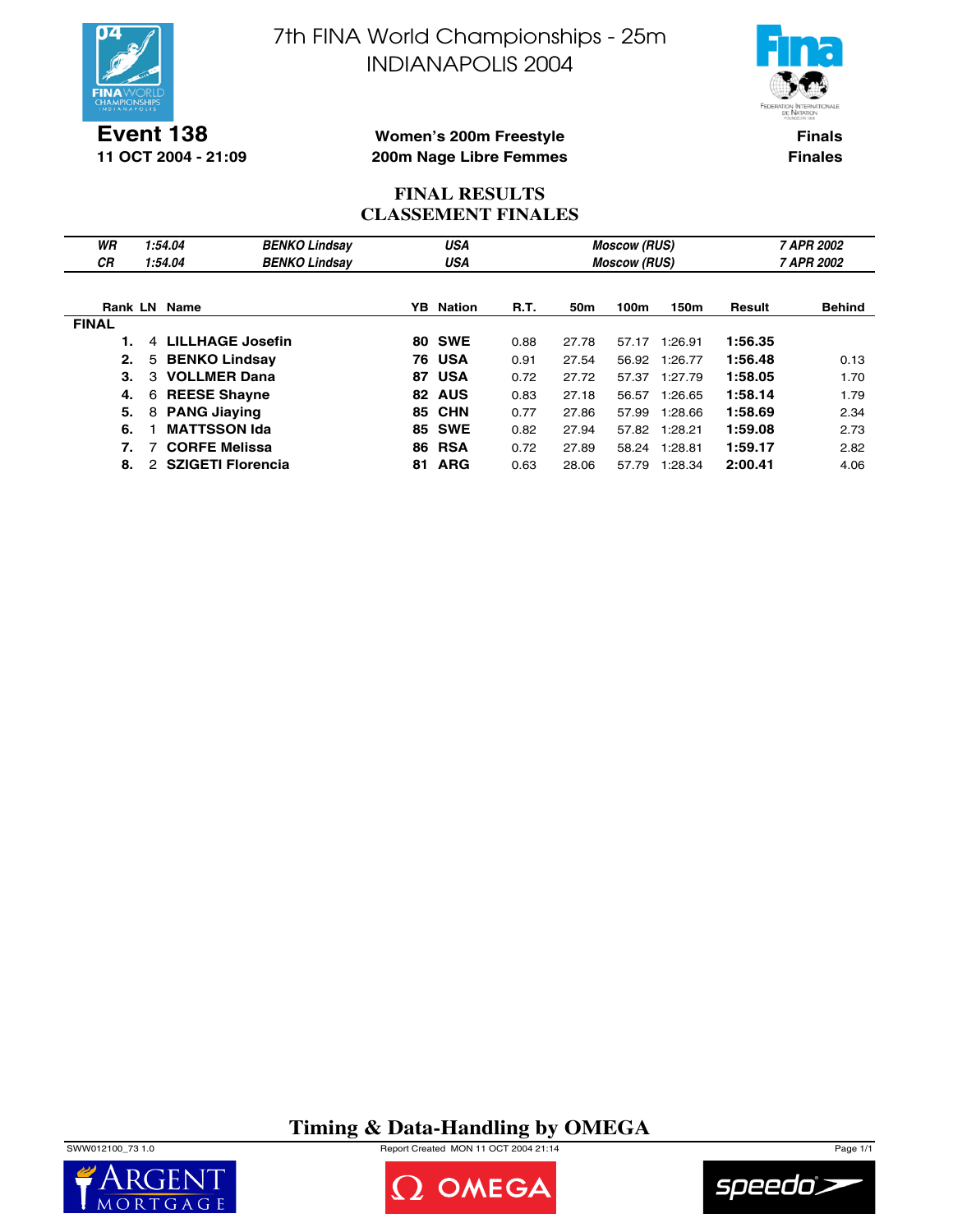



**Event 138 11 OCT 2004 - 21:09**

### **Women's 200m Freestyle 200m Nage Libre Femmes**

**Finals Finales**

### **FINAL RESULTS CLASSEMENT FINALES**

| WR           | 1:54.04                   | <b>BENKO Lindsay</b> |     | <b>USA</b>       |             |                 | <b>Moscow (RUS)</b> |         |         | 7 APR 2002    |
|--------------|---------------------------|----------------------|-----|------------------|-------------|-----------------|---------------------|---------|---------|---------------|
| СR           | 1:54.04                   | <b>BENKO Lindsay</b> |     | USA              |             |                 | <b>Moscow (RUS)</b> |         |         | 7 APR 2002    |
|              |                           |                      |     |                  |             |                 |                     |         |         |               |
|              | Rank LN Name              |                      |     | <b>YB</b> Nation | <b>R.T.</b> | 50 <sub>m</sub> | 100m                | 150m    | Result  | <b>Behind</b> |
| <b>FINAL</b> |                           |                      |     |                  |             |                 |                     |         |         |               |
|              | 4 LILLHAGE Josefin        |                      | 80  | <b>SWE</b>       | 0.88        | 27.78           | 57.17               | 1:26.91 | 1:56.35 |               |
| 2.           | <b>BENKO Lindsay</b><br>5 |                      | 76. | <b>USA</b>       | 0.91        | 27.54           | 56.92               | 1:26.77 | 1:56.48 | 0.13          |
| З.           | 3 VOLLMER Dana            |                      | 87  | <b>USA</b>       | 0.72        | 27.72           | 57.37               | 1:27.79 | 1:58.05 | 1.70          |
| 4.           | <b>REESE Shayne</b><br>6  |                      |     | 82 AUS           | 0.83        | 27.18           | 56.57               | 1:26.65 | 1:58.14 | 1.79          |
| 5.           | <b>PANG Jiaving</b><br>8  |                      |     | <b>85 CHN</b>    | 0.77        | 27.86           | 57.99               | 1:28.66 | 1:58.69 | 2.34          |
| 6.           | <b>MATTSSON Ida</b>       |                      | 85  | <b>SWE</b>       | 0.82        | 27.94           | 57.82               | 1:28.21 | 1:59.08 | 2.73          |
| 7.           | <b>CORFE Melissa</b>      |                      | 86  | <b>RSA</b>       | 0.72        | 27.89           | 58.24               | 1:28.81 | 1:59.17 | 2.82          |
| 8.           | 2 SZIGETI Florencia       |                      | 81  | <b>ARG</b>       | 0.63        | 28.06           | 57.79               | 1:28.34 | 2:00.41 | 4.06          |

# **Timing & Data-Handling by OMEGA**

SWW012100\_73 1.0 Report Created MON 11 OCT 2004 21:14 Page 1/1





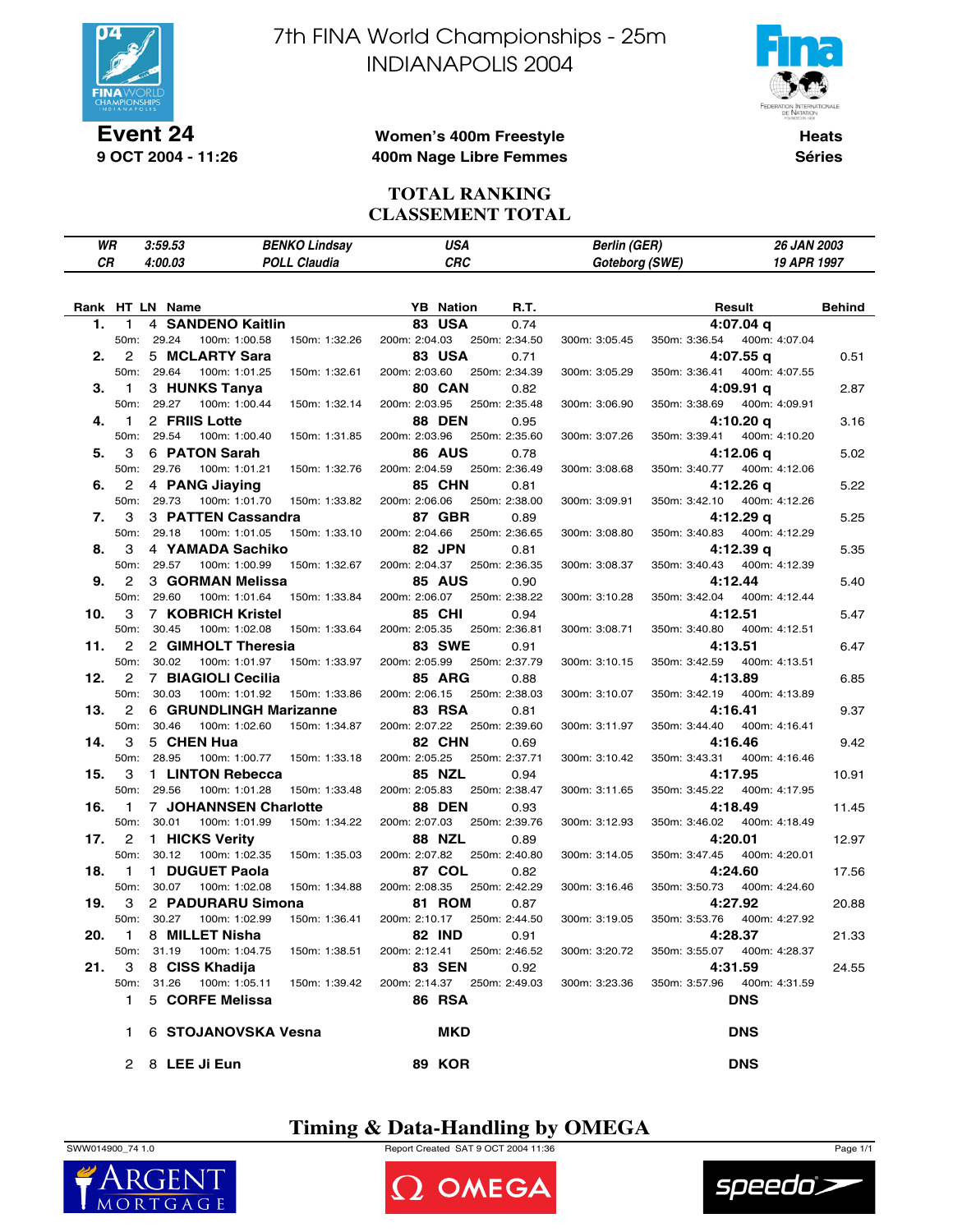

**Event 24 9 OCT 2004 - 11:26** 7th FINA World Championships - 25m INDIANAPOLIS 2004



**Heats Séries**

### **Women's 400m Freestyle 400m Nage Libre Femmes**

**TOTAL RANKING CLASSEMENT TOTAL**

| WR              |                   | 3:59.53    |                          | <b>BENKO Lindsay</b> |                             | <b>USA</b><br><b>CRC</b> |               | <b>Berlin (GER)</b> |               | 26 JAN 2003   |               |
|-----------------|-------------------|------------|--------------------------|----------------------|-----------------------------|--------------------------|---------------|---------------------|---------------|---------------|---------------|
| СR              |                   | 4:00.03    |                          | <b>POLL Claudia</b>  |                             |                          |               | Goteborg (SWE)      |               | 19 APR 1997   |               |
| Rank HT LN Name |                   |            |                          |                      |                             | <b>YB</b> Nation         | <b>R.T.</b>   |                     |               | Result        | <b>Behind</b> |
| 1.              | 1                 |            | 4 SANDENO Kaitlin        |                      | <b>83 USA</b>               |                          | 0.74          |                     |               | 4:07.04 g     |               |
|                 | 50m:              | 29.24      | 100m: 1:00.58            | 150m: 1:32.26        | 200m: 2:04.03               |                          | 250m: 2:34.50 | 300m: 3:05.45       | 350m: 3:36.54 | 400m: 4:07.04 |               |
| 2.              | 2                 |            | 5 MCLARTY Sara           |                      | <b>83 USA</b>               |                          | 0.71          |                     |               | 4:07.55q      | 0.51          |
|                 | 50m:              | 29.64      | 100m: 1:01.25            | 150m: 1:32.61        | 200m: 2:03.60               |                          | 250m: 2:34.39 | 300m: 3:05.29       | 350m: 3:36.41 | 400m: 4:07.55 |               |
| З.              | 1                 |            | 3 HUNKS Tanya            |                      | 80 CAN                      |                          | 0.82          |                     |               | 4:09.91 q     | 2.87          |
|                 | 50m:              | 29.27      | 100m: 1:00.44            | 150m: 1:32.14        | 200m: 2:03.95               |                          | 250m: 2:35.48 | 300m: 3:06.90       | 350m: 3:38.69 | 400m: 4:09.91 |               |
| 4.              | $\mathbf{1}$      |            | 2 FRIIS Lotte            |                      | <b>88 DEN</b>               |                          | 0.95          |                     |               | 4:10.20 q     | 3.16          |
|                 | 50m:              | 29.54      | 100m: 1:00.40            | 150m: 1:31.85        | 200m: 2:03.96               |                          | 250m: 2:35.60 | 300m: 3:07.26       | 350m: 3:39.41 | 400m: 4:10.20 |               |
| 5.              | 3                 |            | 6 PATON Sarah            |                      | 86 AUS                      |                          | 0.78          |                     |               | 4:12.06 g     | 5.02          |
|                 | 50m:              | 29.76      | 100m: 1:01.21            | 150m: 1:32.76        | 200m: 2:04.59               |                          | 250m: 2:36.49 | 300m: 3:08.68       | 350m: 3:40.77 | 400m: 4:12.06 |               |
| 6.              | 2                 |            | 4 PANG Jiaying           |                      | <b>85 CHN</b>               |                          | 0.81          |                     |               | 4:12.26 q     | 5.22          |
|                 | 50m:              | 29.73      | 100m: 1:01.70            | 150m: 1:33.82        | 200m: 2:06.06               |                          | 250m: 2:38.00 | 300m: 3:09.91       | 350m: 3:42.10 | 400m: 4:12.26 |               |
| 7.              | 3                 |            | 3 PATTEN Cassandra       |                      | 87 GBR                      |                          | 0.89          |                     |               | 4:12.29 g     | 5.25          |
|                 | 50m:              | 29.18      | 100m: 1:01.05            | 150m: 1:33.10        | 200m: 2:04.66               |                          | 250m: 2:36.65 | 300m: 3:08.80       | 350m: 3:40.83 | 400m: 4:12.29 |               |
| 8.              | 3                 |            | 4 YAMADA Sachiko         |                      | 82 JPN                      |                          | 0.81          |                     |               | 4:12.39 q     | 5.35          |
|                 | 50 <sub>m</sub> : | 29.57      | 100m: 1:00.99            | 150m: 1:32.67        | 200m: 2:04.37               |                          | 250m: 2:36.35 | 300m: 3:08.37       | 350m: 3:40.43 | 400m: 4:12.39 |               |
| 9.              | 2                 |            | 3 GORMAN Melissa         |                      | <b>85 AUS</b>               |                          | 0.90          |                     |               | 4:12.44       | 5.40          |
|                 | 50m:              | 29.60      | 100m: 1:01.64            | 150m: 1:33.84        | 200m: 2:06.07               |                          | 250m: 2:38.22 | 300m: 3:10.28       | 350m: 3:42.04 | 400m: 4:12.44 |               |
| 10.             | 3                 |            | 7 KOBRICH Kristel        |                      | 85 CHI                      |                          | 0.94          |                     |               | 4:12.51       | 5.47          |
|                 | 50m:              | 30.45      | 100m: 1:02.08            | 150m: 1:33.64        | 200m: 2:05.35               |                          | 250m: 2:36.81 | 300m: 3:08.71       | 350m: 3:40.80 | 400m: 4:12.51 |               |
| 11.             | 2                 |            | 2 GIMHOLT Theresia       |                      | <b>83 SWE</b>               |                          | 0.91          |                     |               | 4:13.51       | 6.47          |
|                 | 50m:              | 30.02      | 100m: 1:01.97            | 150m: 1:33.97        | 200m: 2:05.99               |                          | 250m: 2:37.79 | 300m: 3:10.15       | 350m: 3:42.59 | 400m: 4:13.51 |               |
| 12.             | 2                 |            | 7 BIAGIOLI Cecilia       |                      | <b>85 ARG</b>               |                          | 0.88          |                     |               | 4:13.89       | 6.85          |
|                 | 50m:              | 30.03      | 100m: 1:01.92            | 150m: 1:33.86        | 200m: 2:06.15               |                          | 250m: 2:38.03 | 300m: 3:10.07       | 350m: 3:42.19 | 400m: 4:13.89 |               |
| 13.             | 2                 |            | 6 GRUNDLINGH Marizanne   |                      | <b>83 RSA</b>               |                          | 0.81          |                     |               | 4:16.41       | 9.37          |
|                 | 50m:              | 30.46      | 100m: 1:02.60            | 150m: 1:34.87        | 200m: 2:07.22               |                          | 250m: 2:39.60 | 300m: 3:11.97       | 350m: 3:44.40 | 400m: 4:16.41 |               |
| 14.             | 3                 |            | 5 CHEN Hua               |                      | 82 CHN                      |                          | 0.69          |                     |               | 4:16.46       | 9.42          |
|                 | 50m:              | 28.95      | 100m: 1:00.77            | 150m: 1:33.18        | 200m: 2:05.25               |                          | 250m: 2:37.71 | 300m: 3:10.42       | 350m: 3:43.31 | 400m: 4:16.46 |               |
| 15.             | 3                 |            | 1 LINTON Rebecca         |                      | <b>85 NZL</b>               |                          | 0.94          |                     |               | 4:17.95       | 10.91         |
|                 | 50m:              | 29.56      | 100m: 1:01.28            | 150m: 1:33.48        | 200m: 2:05.83               |                          | 250m: 2:38.47 | 300m: 3:11.65       | 350m: 3:45.22 | 400m: 4:17.95 |               |
| 16.             | $\mathbf{1}$      |            | 7 JOHANNSEN Charlotte    |                      | <b>88 DEN</b>               |                          | 0.93          |                     |               | 4:18.49       | 11.45         |
|                 | 50m:              | 30.01      | 100m: 1:01.99            | 150m: 1:34.22        | 200m: 2:07.03               |                          | 250m: 2:39.76 | 300m: 3:12.93       | 350m: 3:46.02 | 400m: 4:18.49 |               |
| 17.             | 2                 |            | 1 HICKS Verity           |                      | <b>88 NZL</b>               |                          | 0.89          |                     |               | 4:20.01       | 12.97         |
|                 | 50m:              | 30.12      | 100m: 1:02.35            | 150m: 1:35.03        | 200m: 2:07.82               |                          | 250m: 2:40.80 | 300m: 3:14.05       | 350m: 3:47.45 | 400m: 4:20.01 |               |
| 18.             | $\mathbf{1}$      |            | 1 DUGUET Paola           |                      | 87 COL                      |                          | 0.82          |                     |               | 4:24.60       | 17.56         |
|                 | 50m:              | 30.07      | 100m: 1:02.08            | 150m: 1:34.88        | 200m: 2:08.35               |                          | 250m: 2:42.29 | 300m: 3:16.46       | 350m: 3:50.73 | 400m: 4:24.60 |               |
| 19.             | 3                 |            | 2 PADURARU Simona        |                      | <b>81 ROM</b>               |                          | 0.87          |                     |               | 4:27.92       | 20.88         |
|                 |                   | 50m: 30.27 | 100m: 1:02.99            | 150m: 1:36.41        | 200m: 2:10.17 250m: 2:44.50 |                          |               | 300m: 3:19.05       | 350m: 3:53.76 | 400m: 4:27.92 |               |
| 20.             | 1                 |            | 8 MILLET Nisha           |                      | <b>82 IND</b>               |                          | 0.91          |                     |               | 4:28.37       | 21.33         |
|                 |                   | 50m: 31.19 | 100m: 1:04.75            | 150m: 1:38.51        | 200m: 2:12.41               |                          | 250m: 2:46.52 | 300m: 3:20.72       | 350m: 3:55.07 | 400m: 4:28.37 |               |
| 21.             | 3                 |            | 8 CISS Khadija           |                      | <b>83 SEN</b>               |                          | 0.92          |                     |               | 4:31.59       | 24.55         |
|                 |                   |            | 50m: 31.26 100m: 1:05.11 | 150m: 1:39.42        | 200m: 2:14.37 250m: 2:49.03 |                          |               | 300m: 3:23.36       | 350m: 3:57.96 | 400m: 4:31.59 |               |
|                 | 1.                |            | 5 CORFE Melissa          |                      | <b>86 RSA</b>               |                          |               |                     |               | <b>DNS</b>    |               |
|                 | 1.                |            | 6 STOJANOVSKA Vesna      |                      |                             | MKD                      |               |                     |               | <b>DNS</b>    |               |
|                 |                   |            | 2 8 LEE Ji Eun           |                      | <b>89 KOR</b>               |                          |               |                     |               | <b>DNS</b>    |               |

## **Timing & Data-Handling by OMEGA**

SWW014900\_74 1.0 Report Created SAT 9 OCT 2004 11:36 Page 1/1





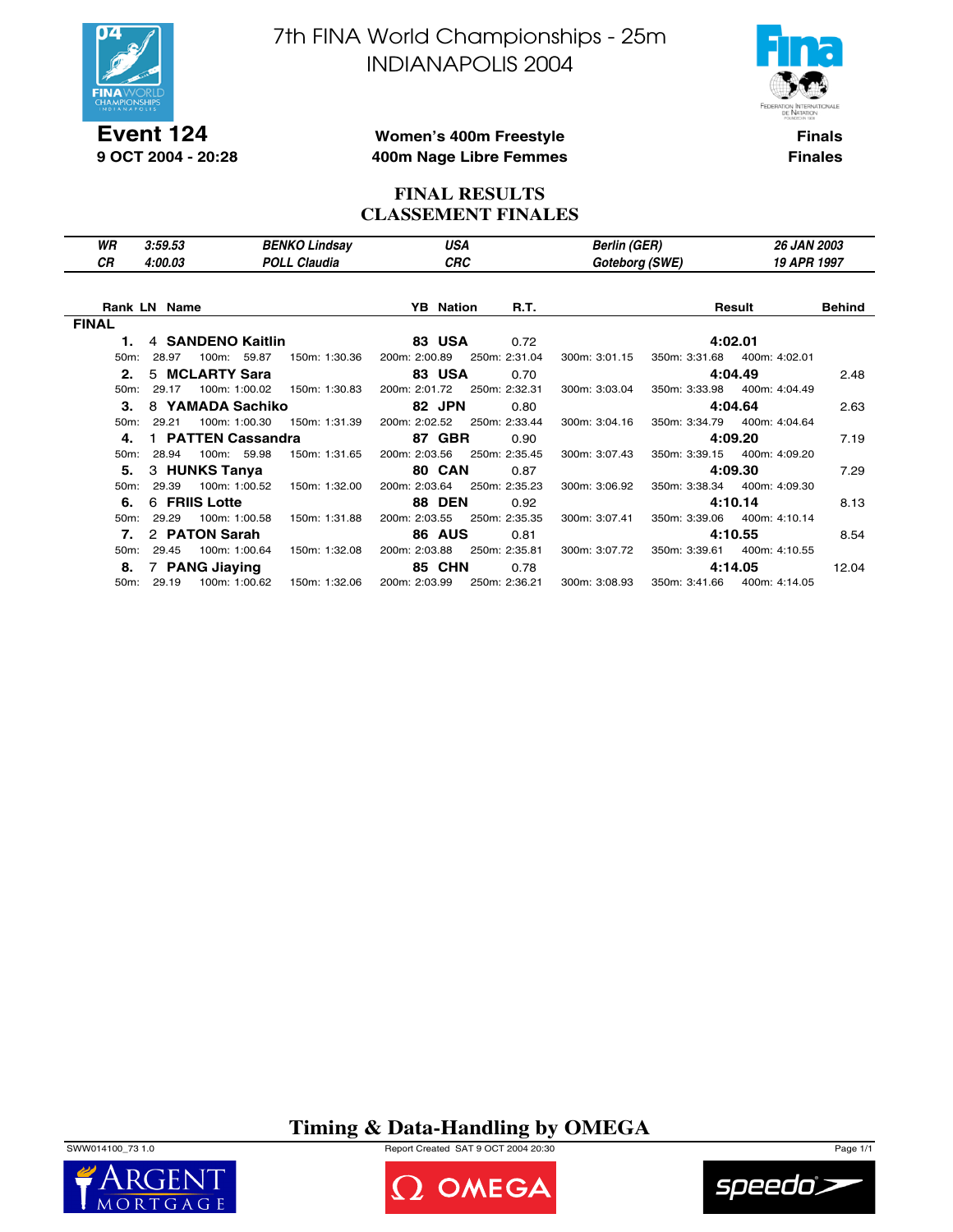

**Event 124 9 OCT 2004 - 20:28** 7th FINA World Championships - 25m INDIANAPOLIS 2004



**Finals Finales**

### **Women's 400m Freestyle 400m Nage Libre Femmes**

### **FINAL RESULTS CLASSEMENT FINALES**

| WR<br>СR          | 3:59.53<br>4:00.03  |                    | <b>BENKO Lindsay</b><br><b>POLL Claudia</b> | USA<br>CRC       |               | <b>Berlin (GER)</b><br>Goteborg (SWE) |               | <b>26 JAN 2003</b><br>19 APR 1997 |               |
|-------------------|---------------------|--------------------|---------------------------------------------|------------------|---------------|---------------------------------------|---------------|-----------------------------------|---------------|
|                   | <b>Rank LN Name</b> |                    |                                             | <b>YB</b> Nation | R.T.          |                                       |               | Result                            | <b>Behind</b> |
| <b>FINAL</b>      |                     |                    |                                             |                  |               |                                       |               |                                   |               |
| 1.                |                     | 4 SANDENO Kaitlin  |                                             | 83 USA           | 0.72          |                                       |               | 4:02.01                           |               |
| 50 <sub>m</sub> : | 28.97               | 100m: 59.87        | 150m: 1:30.36                               | 200m: 2:00.89    | 250m: 2:31.04 | 300m: 3:01.15                         | 350m: 3:31.68 | 400m: 4:02.01                     |               |
| 2.                |                     | 5 MCLARTY Sara     |                                             | <b>83 USA</b>    | 0.70          |                                       |               | 4:04.49                           | 2.48          |
| $50m$ :           | 29.17               | 100m: 1:00.02      | 150m: 1:30.83                               | 200m: 2:01.72    | 250m: 2:32.31 | 300m: 3:03.04                         | 350m: 3:33.98 | 400m: 4:04.49                     |               |
| 3.                |                     | 8 YAMADA Sachiko   |                                             | 82 JPN           | 0.80          |                                       |               | 4:04.64                           | 2.63          |
| $50m$ :           | 29.21               | 100m: 1:00.30      | 150m: 1:31.39                               | 200m: 2:02.52    | 250m: 2:33.44 | 300m: 3:04.16                         | 350m: 3:34.79 | 400m: 4:04.64                     |               |
| 4.                |                     | 1 PATTEN Cassandra |                                             | 87 GBR           | 0.90          |                                       |               | 4:09.20                           | 7.19          |
| $50m$ :           | 28.94               | 100m: 59.98        | 150m: 1:31.65                               | 200m: 2:03.56    | 250m: 2:35.45 | 300m: 3:07.43                         |               | 350m: 3:39.15 400m: 4:09.20       |               |
| 5.                | 3 HUNKS Tanya       |                    |                                             | 80 CAN           | 0.87          |                                       |               | 4:09.30                           | 7.29          |
| 50m:              | 29.39               | 100m: 1:00.52      | 150m: 1:32.00                               | 200m: 2:03.64    | 250m: 2:35.23 | 300m: 3:06.92                         |               | 350m: 3:38.34 400m: 4:09.30       |               |
| 6.                | 6 FRIIS Lotte       |                    |                                             | <b>88 DEN</b>    | 0.92          |                                       |               | 4:10.14                           | 8.13          |
| $50m$ :           | 29.29               | 100m: 1:00.58      | 150m: 1:31.88                               | 200m: 2:03.55    | 250m: 2:35.35 | 300m: 3:07.41                         |               | 350m: 3:39.06 400m: 4:10.14       |               |
| 7.                | 2 PATON Sarah       |                    |                                             | <b>86 AUS</b>    | 0.81          |                                       |               | 4:10.55                           | 8.54          |
| $50m$ :           | 29.45               | 100m: 1:00.64      | 150m: 1:32.08                               | 200m: 2:03.88    | 250m: 2:35.81 | 300m: 3:07.72                         | 350m: 3:39.61 | 400m: 4:10.55                     |               |
| 8.                | 7 PANG Jiaying      |                    |                                             | <b>85 CHN</b>    | 0.78          |                                       |               | 4:14.05                           | 12.04         |
|                   | 50m: 29.19          | 100m: 1:00.62      | 150m: 1:32.06                               | 200m: 2:03.99    | 250m: 2:36.21 | 300m: 3:08.93                         |               | 350m: 3:41.66 400m: 4:14.05       |               |

## **Timing & Data-Handling by OMEGA**

SWW014100\_73 1.0 Report Created SAT 9 OCT 2004 20:30 Page 1/1





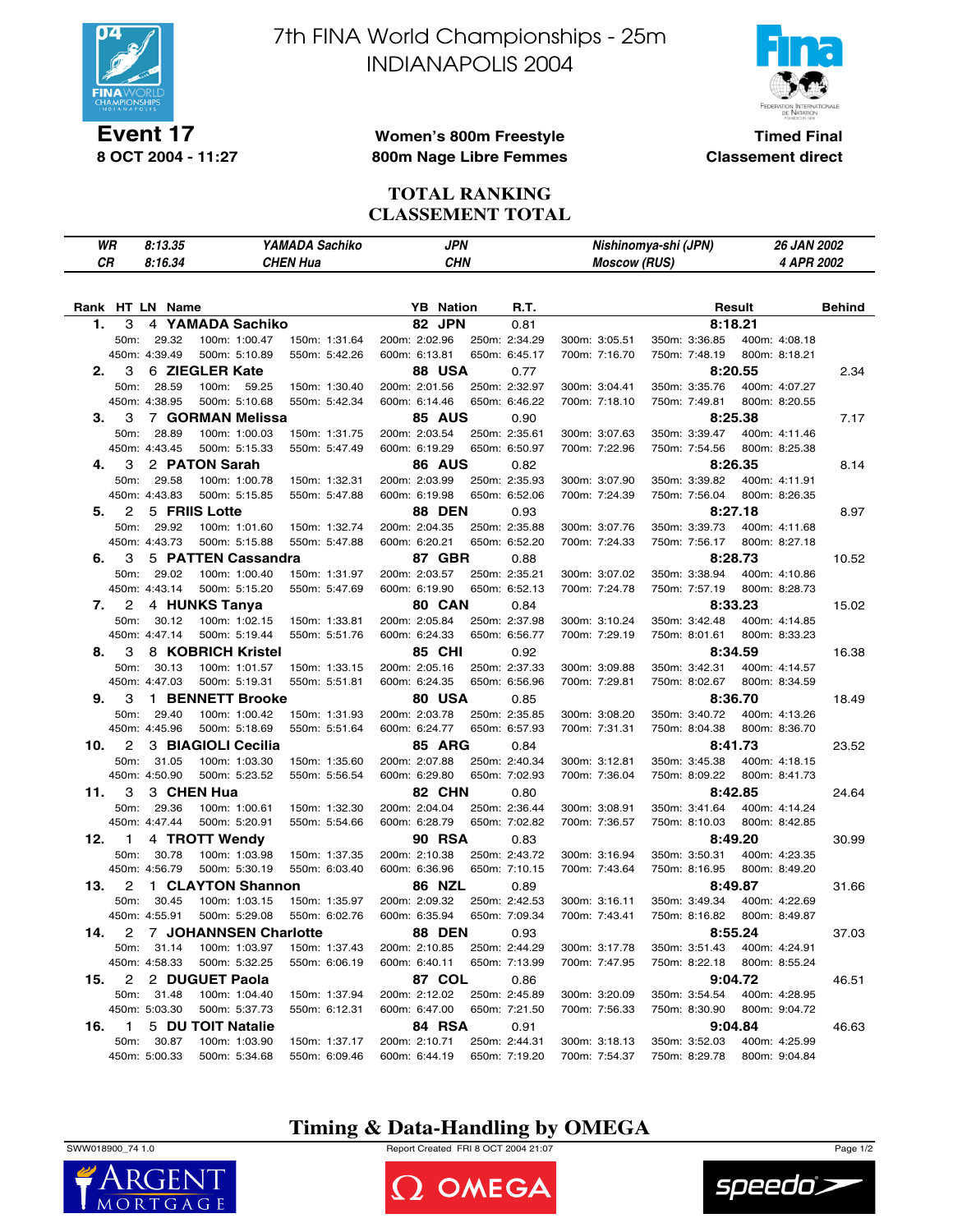

**Event 17 8 OCT 2004 - 11:27** 7th FINA World Championships - 25m INDIANAPOLIS 2004



**Timed Final Classement direct**

### **Women's 800m Freestyle 800m Nage Libre Femmes**

### **TOTAL RANKING CLASSEMENT TOTAL**

| WR              |               | 8:13.35 |                         |               | YAMADA Sachiko  |                  | JPN           |                     | Nishinomya-shi (JPN) | 26 JAN 2002   |               |
|-----------------|---------------|---------|-------------------------|---------------|-----------------|------------------|---------------|---------------------|----------------------|---------------|---------------|
| СR              |               | 8:16.34 |                         |               | <b>CHEN Hua</b> |                  | <b>CHN</b>    | <b>Moscow (RUS)</b> |                      | 4 APR 2002    |               |
|                 |               |         |                         |               |                 |                  |               |                     |                      |               |               |
| Rank HT LN Name |               |         |                         |               |                 | <b>YB</b> Nation | R.T.          |                     |                      | Result        | <b>Behind</b> |
| 1.              | 3             |         | 4 YAMADA Sachiko        |               |                 | 82 JPN           | 0.81          |                     |                      | 8:18.21       |               |
|                 | 50m:          | 29.32   |                         | 100m: 1:00.47 | 150m: 1:31.64   | 200m: 2:02.96    | 250m: 2:34.29 | 300m: 3:05.51       | 350m: 3:36.85        | 400m: 4:08.18 |               |
|                 | 450m: 4:39.49 |         |                         | 500m: 5:10.89 | 550m: 5:42.26   | 600m: 6:13.81    | 650m: 6:45.17 | 700m: 7:16.70       | 750m: 7:48.19        | 800m: 8:18.21 |               |
| 2.              | 3             |         | 6 ZIEGLER Kate          |               |                 | 88 USA           | 0.77          |                     |                      | 8:20.55       | 2.34          |
|                 | 50m:          | 28.59   | 100m:                   | 59.25         | 150m: 1:30.40   | 200m: 2:01.56    | 250m: 2:32.97 | 300m: 3:04.41       | 350m: 3:35.76        | 400m: 4:07.27 |               |
|                 | 450m: 4:38.95 |         |                         | 500m: 5:10.68 | 550m: 5:42.34   | 600m: 6:14.46    | 650m: 6:46.22 | 700m: 7:18.10       | 750m: 7:49.81        | 800m: 8:20.55 |               |
| 3.              | 3             |         | 7 GORMAN Melissa        |               |                 | <b>85 AUS</b>    | 0.90          |                     |                      | 8:25.38       | 7.17          |
|                 | 50m:          | 28.89   |                         | 100m: 1:00.03 | 150m: 1:31.75   | 200m: 2:03.54    | 250m: 2:35.61 | 300m: 3:07.63       | 350m: 3:39.47        | 400m: 4:11.46 |               |
|                 | 450m: 4:43.45 |         |                         | 500m: 5:15.33 | 550m: 5:47.49   | 600m: 6:19.29    | 650m: 6:50.97 | 700m: 7:22.96       | 750m: 7:54.56        | 800m: 8:25.38 |               |
| 4.              | 3             |         | 2 PATON Sarah           |               |                 | <b>86 AUS</b>    | 0.82          |                     |                      | 8:26.35       | 8.14          |
|                 | 50m:          | 29.58   |                         | 100m: 1:00.78 | 150m: 1:32.31   | 200m: 2:03.99    | 250m: 2:35.93 | 300m: 3:07.90       | 350m: 3:39.82        | 400m: 4:11.91 |               |
|                 | 450m: 4:43.83 |         |                         | 500m: 5:15.85 | 550m: 5:47.88   | 600m: 6:19.98    | 650m: 6:52.06 | 700m: 7:24.39       | 750m: 7:56.04        | 800m: 8:26.35 |               |
| 5.              | 2             |         | 5 FRIIS Lotte           |               |                 | <b>88 DEN</b>    | 0.93          |                     |                      | 8:27.18       | 8.97          |
|                 | 50m:          | 29.92   |                         | 100m: 1:01.60 | 150m: 1:32.74   | 200m: 2:04.35    | 250m: 2:35.88 | 300m: 3:07.76       | 350m: 3:39.73        | 400m: 4:11.68 |               |
|                 | 450m: 4:43.73 |         |                         | 500m: 5:15.88 | 550m: 5:47.88   | 600m: 6:20.21    | 650m: 6:52.20 | 700m: 7:24.33       | 750m: 7:56.17        | 800m: 8:27.18 |               |
| 6.              | 3             |         | 5 PATTEN Cassandra      |               |                 | 87 GBR           | 0.88          |                     |                      | 8:28.73       | 10.52         |
|                 | 50m:          | 29.02   |                         | 100m: 1:00.40 | 150m: 1:31.97   | 200m: 2:03.57    | 250m: 2:35.21 | 300m: 3:07.02       | 350m: 3:38.94        | 400m: 4:10.86 |               |
|                 | 450m: 4:43.14 |         |                         | 500m: 5:15.20 | 550m: 5:47.69   | 600m: 6:19.90    | 650m: 6:52.13 | 700m: 7:24.78       | 750m: 7:57.19        | 800m: 8:28.73 |               |
| 7.              | 2             |         | 4 HUNKS Tanya           |               |                 | 80 CAN           | 0.84          |                     |                      | 8:33.23       | 15.02         |
|                 | 50m:          | 30.12   |                         | 100m: 1:02.15 | 150m: 1:33.81   | 200m: 2:05.84    | 250m: 2:37.98 | 300m: 3:10.24       | 350m: 3:42.48        | 400m: 4:14.85 |               |
|                 | 450m: 4:47.14 |         |                         | 500m: 5:19.44 | 550m: 5:51.76   | 600m: 6:24.33    | 650m: 6:56.77 | 700m: 7:29.19       | 750m: 8:01.61        | 800m: 8:33.23 |               |
| 8.              | 3             |         | 8 KOBRICH Kristel       |               |                 | <b>85 CHI</b>    | 0.92          |                     |                      | 8:34.59       | 16.38         |
|                 | 50m:          | 30.13   |                         | 100m: 1:01.57 | 150m: 1:33.15   | 200m: 2:05.16    | 250m: 2:37.33 | 300m: 3:09.88       | 350m: 3:42.31        | 400m: 4:14.57 |               |
|                 | 450m: 4:47.03 |         |                         | 500m: 5:19.31 | 550m: 5:51.81   | 600m: 6:24.35    | 650m: 6:56.96 | 700m: 7:29.81       | 750m: 8:02.67        | 800m: 8:34.59 |               |
| 9.              | 3             |         | 1 BENNETT Brooke        |               |                 | 80 USA           | 0.85          |                     |                      | 8:36.70       | 18.49         |
|                 | 50m:          | 29.40   |                         | 100m: 1:00.42 | 150m: 1:31.93   | 200m: 2:03.78    | 250m: 2:35.85 | 300m: 3:08.20       | 350m: 3:40.72        | 400m: 4:13.26 |               |
|                 | 450m: 4:45.96 |         |                         | 500m: 5:18.69 | 550m: 5:51.64   | 600m: 6:24.77    | 650m: 6:57.93 | 700m: 7:31.31       | 750m: 8:04.38        | 800m: 8:36.70 |               |
| 10.             | 2             |         | 3 BIAGIOLI Cecilia      |               |                 | <b>85 ARG</b>    | 0.84          |                     |                      | 8:41.73       | 23.52         |
|                 | 50m:          | 31.05   |                         | 100m: 1:03.30 | 150m: 1:35.60   | 200m: 2:07.88    | 250m: 2:40.34 | 300m: 3:12.81       | 350m: 3:45.38        | 400m: 4:18.15 |               |
|                 | 450m: 4:50.90 |         |                         | 500m: 5:23.52 | 550m: 5:56.54   | 600m: 6:29.80    | 650m: 7:02.93 | 700m: 7:36.04       | 750m: 8:09.22        | 800m: 8:41.73 |               |
| 11.             | 3             |         | 3 CHEN Hua              |               |                 | 82 CHN           | 0.80          |                     |                      | 8:42.85       | 24.64         |
|                 | 50m:          | 29.36   |                         | 100m: 1:00.61 | 150m: 1:32.30   | 200m: 2:04.04    | 250m: 2:36.44 | 300m: 3:08.91       | 350m: 3:41.64        | 400m: 4:14.24 |               |
|                 | 450m: 4:47.44 |         |                         | 500m: 5:20.91 | 550m: 5:54.66   | 600m: 6:28.79    | 650m: 7:02.82 | 700m: 7:36.57       | 750m: 8:10.03        | 800m: 8:42.85 |               |
| 12.             | 1             |         | 4 TROTT Wendy           |               |                 | <b>90 RSA</b>    | 0.83          |                     |                      | 8:49.20       | 30.99         |
|                 | 50m:          | 30.78   |                         | 100m: 1:03.98 | 150m: 1:37.35   | 200m: 2:10.38    | 250m: 2:43.72 | 300m: 3:16.94       | 350m: 3:50.31        | 400m: 4:23.35 |               |
|                 | 450m: 4:56.79 |         |                         | 500m: 5:30.19 | 550m: 6:03.40   | 600m: 6:36.96    | 650m: 7:10.15 | 700m: 7:43.64       | 750m: 8:16.95        | 800m: 8:49.20 |               |
| 13.             | 2             |         | 1 CLAYTON Shannon       |               |                 | <b>86 NZL</b>    | 0.89          |                     |                      | 8:49.87       | 31.66         |
|                 | 50m:          | 30.45   |                         | 100m: 1:03.15 | 150m: 1:35.97   | 200m: 2:09.32    | 250m: 2:42.53 | 300m: 3:16.11       | 350m: 3:49.34        | 400m: 4:22.69 |               |
|                 | 450m: 4:55.91 |         |                         | 500m: 5:29.08 | 550m: 6:02.76   | 600m: 6:35.94    | 650m: 7:09.34 | 700m: 7:43.41       | 750m: 8:16.82        | 800m: 8:49.87 |               |
| 14.             |               |         | 2 7 JOHANNSEN Charlotte |               |                 | <b>88 DEN</b>    | 0.93          |                     |                      | 8:55.24       | 37.03         |
|                 | 50m:          | 31.14   |                         | 100m: 1:03.97 | 150m: 1:37.43   | 200m: 2:10.85    | 250m: 2:44.29 | 300m: 3:17.78       | 350m: 3:51.43        | 400m: 4:24.91 |               |
|                 | 450m: 4:58.33 |         |                         | 500m: 5:32.25 | 550m: 6:06.19   | 600m: 6:40.11    | 650m: 7:13.99 | 700m: 7:47.95       | 750m: 8:22.18        | 800m: 8:55.24 |               |
| 15.             | 2             |         | 2 DUGUET Paola          |               |                 | 87 COL           | 0.86          |                     |                      | 9:04.72       | 46.51         |
|                 | 50m: 31.48    |         |                         | 100m: 1:04.40 | 150m: 1:37.94   | 200m: 2:12.02    | 250m: 2:45.89 | 300m: 3:20.09       | 350m: 3:54.54        | 400m: 4:28.95 |               |
|                 | 450m: 5:03.30 |         |                         | 500m: 5:37.73 | 550m: 6:12.31   | 600m: 6:47.00    | 650m: 7:21.50 | 700m: 7:56.33       | 750m: 8:30.90        | 800m: 9:04.72 |               |
| 16.             | 1             |         | 5 DU TOIT Natalie       |               |                 | 84 RSA           | 0.91          |                     |                      | 9:04.84       | 46.63         |
|                 | 50m:          | 30.87   |                         | 100m: 1:03.90 | 150m: 1:37.17   | 200m: 2:10.71    | 250m: 2:44.31 | 300m: 3:18.13       | 350m: 3:52.03        | 400m: 4:25.99 |               |
|                 | 450m: 5:00.33 |         |                         | 500m: 5:34.68 | 550m: 6:09.46   | 600m: 6:44.19    | 650m: 7:19.20 | 700m: 7:54.37       | 750m: 8:29.78        | 800m: 9:04.84 |               |

## **Timing & Data-Handling by OMEGA**



 $\mathsf{M}$  $\Omega$ 

SWW018900\_74 1.0 Report Created FRI 8 OCT 2004 21:07 Page 1/2





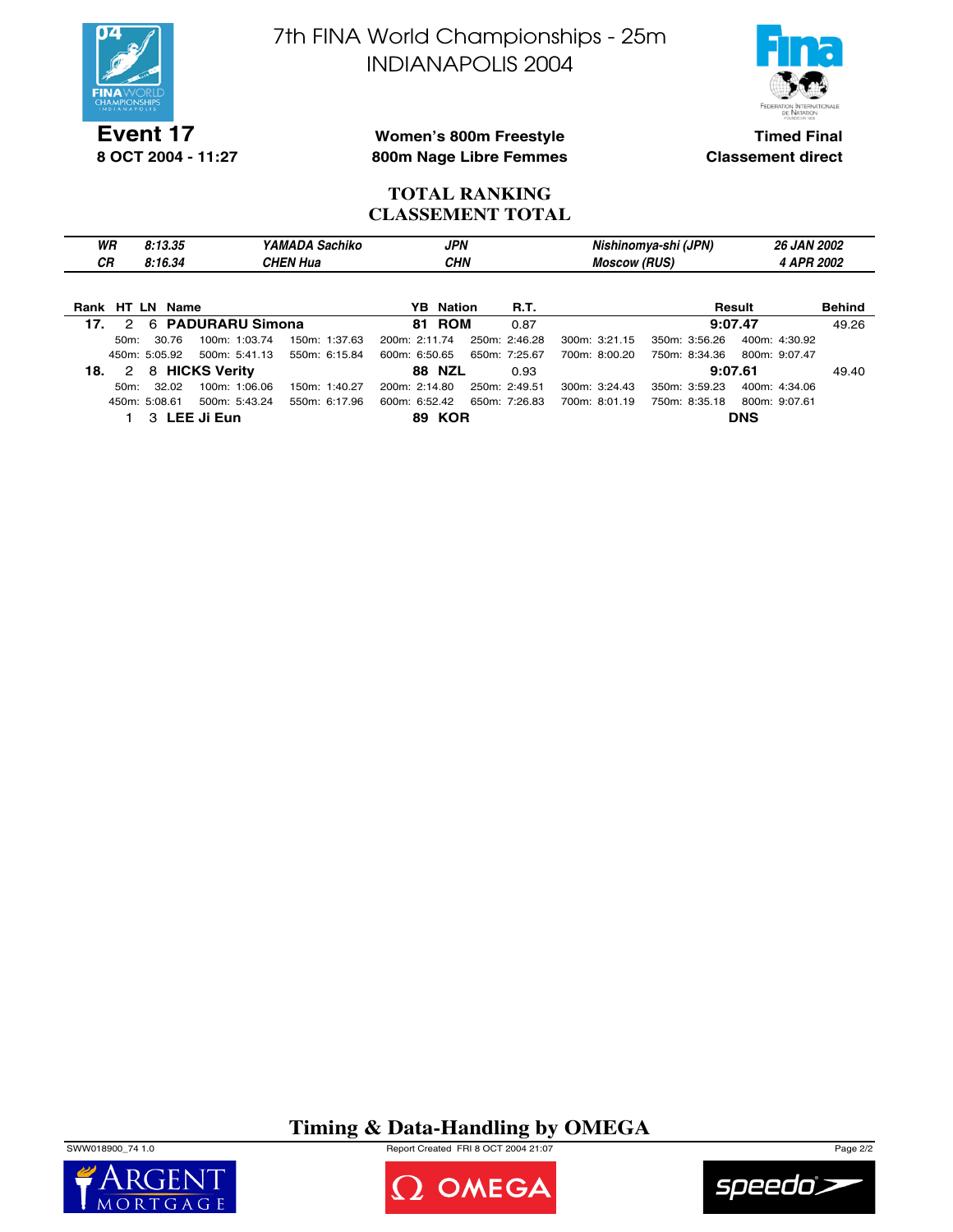

**8 OCT 2004 - 11:27**

7th FINA World Championships - 25m INDIANAPOLIS 2004



**Women's 800m Freestyle 800m Nage Libre Femmes**

**Timed Final Classement direct**

### **TOTAL RANKING CLASSEMENT TOTAL**

| WR | 8:13.35 | Sachiko<br>YAMADA | <b>JPN</b> | Nishinomya-shi (JPN) | <b>26 JAN 2002</b> |
|----|---------|-------------------|------------|----------------------|--------------------|
| СR | 8:16.34 | CHEN Hua          | CHN        | (RUS)<br>Moscow      | APR 2002           |
|    |         |                   |            |                      |                    |

| Rank HT LN Name                |               | <b>YB</b> Nation               | <b>R.T.</b>                    | Result                         | <b>Behind</b> |
|--------------------------------|---------------|--------------------------------|--------------------------------|--------------------------------|---------------|
| 2 6 PADURARU Simona<br>17.     |               | <b>81 ROM</b>                  | 0.87                           | 9:07.47                        | 49.26         |
| 100m: 1:03.74<br>50m: 30.76    | 150m: 1:37.63 | 200m: 2:11.74                  | 250m: 2:46.28<br>300m: 3:21.15 | 350m: 3:56.26<br>400m: 4:30.92 |               |
| 500m: 5:41.13<br>450m: 5:05.92 | 550m: 6:15.84 | 600m: 6:50.65                  | 700m: 8:00.20<br>650m: 7:25.67 | 750m: 8:34.36<br>800m: 9:07.47 |               |
| 2 8 HICKS Verity<br>18.        |               | <b>88 NZL</b>                  | 0.93                           | 9:07.61                        | 49.40         |
| 100m: 1:06.06<br>50m: 32.02    | 150m: 1:40.27 | 200m: 2:14.80<br>250m: 2:49.51 | 300m: 3:24.43                  | 350m: 3:59.23<br>400m: 4:34.06 |               |
| 500m: 5:43.24<br>450m: 5:08.61 | 550m: 6:17.96 | 600m: 6:52.42                  | 650m: 7:26.83<br>700m: 8:01.19 | 750m: 8:35.18<br>800m: 9:07.61 |               |
| 3 LEE Ji Eun                   |               | <b>89 KOR</b>                  |                                | <b>DNS</b>                     |               |

## **Timing & Data-Handling by OMEGA**

SWW018900\_74 1.0 Report Created FRI 8 OCT 2004 21:07 Page 2/2





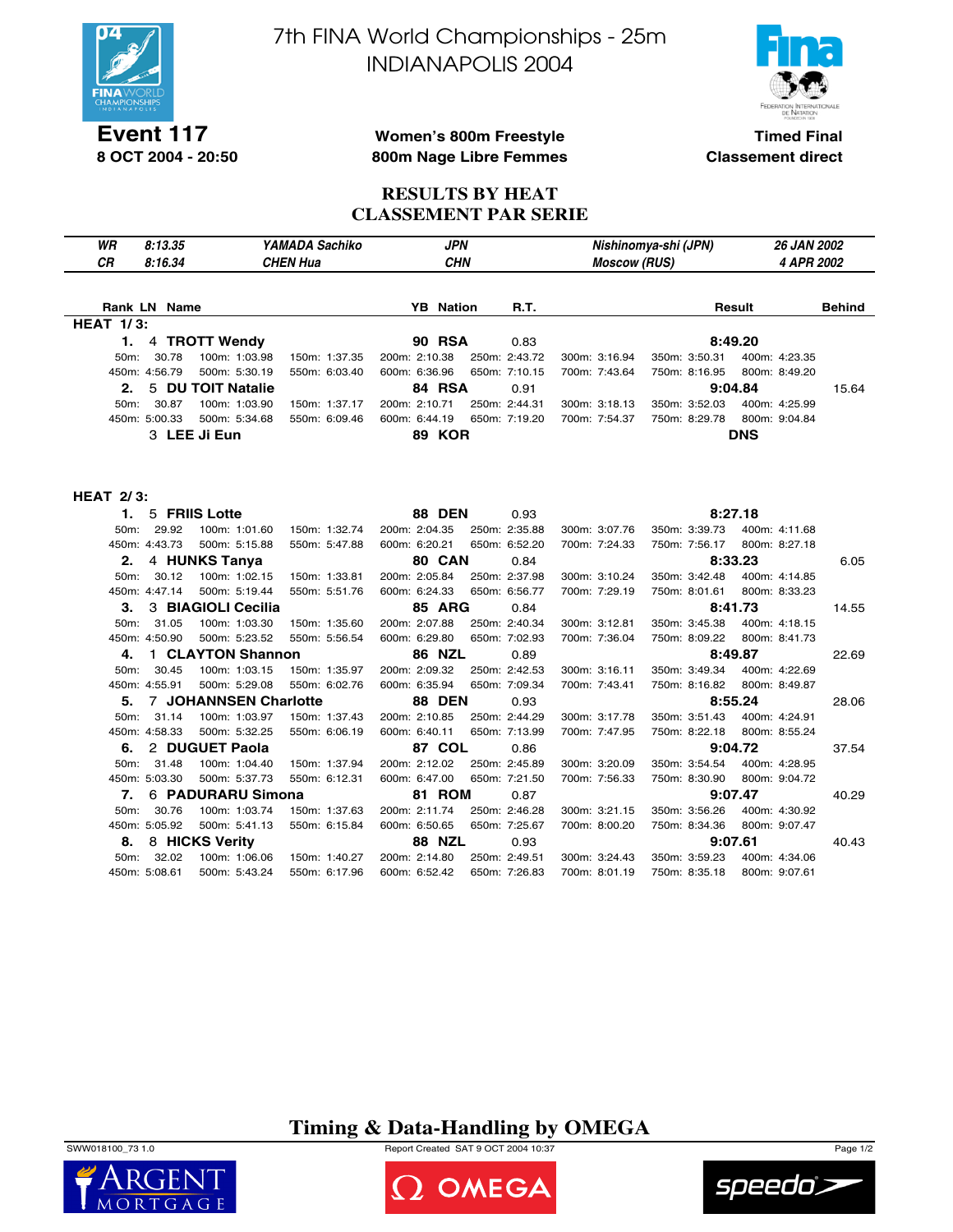

**Event 117 8 OCT 2004 - 20:50** 7th FINA World Championships - 25m INDIANAPOLIS 2004



**Timed Final Classement direct**

### **Women's 800m Freestyle 800m Nage Libre Femmes**

**RESULTS BY HEAT CLASSEMENT PAR SERIE**

| WR               | YAMADA Sachiko<br>8:13.35 |                              |                 |                  | <b>JPN</b>    | Nishinomya-shi (JPN) | 26 JAN 2002   |               |               |
|------------------|---------------------------|------------------------------|-----------------|------------------|---------------|----------------------|---------------|---------------|---------------|
| <b>CR</b>        | 8:16.34                   |                              | <b>CHEN Hua</b> | <b>CHN</b>       |               | <b>Moscow (RUS)</b>  |               | 4 APR 2002    |               |
|                  |                           |                              |                 |                  |               |                      |               |               |               |
|                  | <b>Rank LN Name</b>       |                              |                 | <b>YB</b> Nation | <b>R.T.</b>   |                      |               | Result        | <b>Behind</b> |
| <b>HEAT 1/3:</b> |                           |                              |                 |                  |               |                      |               |               |               |
| 1.               |                           | 4 TROTT Wendy                |                 | <b>90 RSA</b>    | 0.83          |                      |               | 8:49.20       |               |
| 50m:             | 30.78                     | 100m: 1:03.98                | 150m: 1:37.35   | 200m: 2:10.38    | 250m: 2:43.72 | 300m: 3:16.94        | 350m: 3:50.31 | 400m: 4:23.35 |               |
|                  | 450m: 4:56.79             | 500m: 5:30.19                | 550m: 6:03.40   | 600m: 6:36.96    | 650m: 7:10.15 | 700m: 7:43.64        | 750m: 8:16.95 | 800m: 8:49.20 |               |
| 2.               |                           | 5 DU TOIT Natalie            |                 | 84 RSA           | 0.91          |                      |               | 9:04.84       | 15.64         |
| 50m:             | 30.87                     | 100m: 1:03.90                | 150m: 1:37.17   | 200m: 2:10.71    | 250m: 2:44.31 | 300m: 3:18.13        | 350m: 3:52.03 | 400m: 4:25.99 |               |
|                  | 450m: 5:00.33             | 500m: 5:34.68                | 550m: 6:09.46   | 600m: 6:44.19    | 650m: 7:19.20 | 700m: 7:54.37        | 750m: 8:29.78 | 800m: 9:04.84 |               |
|                  |                           | 3 LEE Ji Eun                 |                 | <b>89 KOR</b>    |               |                      |               | <b>DNS</b>    |               |
|                  |                           |                              |                 |                  |               |                      |               |               |               |
|                  |                           |                              |                 |                  |               |                      |               |               |               |
|                  |                           |                              |                 |                  |               |                      |               |               |               |
| <b>HEAT 2/3:</b> |                           |                              |                 |                  |               |                      |               |               |               |
|                  | 1.                        | 5 FRIIS Lotte                |                 | <b>88 DEN</b>    | 0.93          |                      |               | 8:27.18       |               |
| 50m:             | 29.92                     | 100m: 1:01.60                | 150m: 1:32.74   | 200m: 2:04.35    | 250m: 2:35.88 | 300m: 3:07.76        | 350m: 3:39.73 | 400m: 4:11.68 |               |
|                  | 450m: 4:43.73             | 500m: 5:15.88                | 550m: 5:47.88   | 600m: 6:20.21    | 650m: 6:52.20 | 700m: 7:24.33        | 750m: 7:56.17 | 800m: 8:27.18 |               |
| 2.               |                           | 4 HUNKS Tanya                |                 | 80 CAN           | 0.84          |                      |               | 8:33.23       | 6.05          |
| 50m:             | 30.12                     | 100m: 1:02.15                | 150m: 1:33.81   | 200m: 2:05.84    | 250m: 2:37.98 | 300m: 3:10.24        | 350m: 3:42.48 | 400m: 4:14.85 |               |
|                  | 450m: 4:47.14             | 500m: 5:19.44                | 550m: 5:51.76   | 600m: 6:24.33    | 650m: 6:56.77 | 700m: 7:29.19        | 750m: 8:01.61 | 800m: 8:33.23 |               |
| З.               |                           | 3 BIAGIOLI Cecilia           |                 | <b>85 ARG</b>    | 0.84          |                      |               | 8:41.73       | 14.55         |
| 50m:             | 31.05                     | 100m: 1:03.30                | 150m: 1:35.60   | 200m: 2:07.88    | 250m: 2:40.34 | 300m: 3:12.81        | 350m: 3:45.38 | 400m: 4:18.15 |               |
|                  | 450m: 4:50.90             | 500m: 5:23.52                | 550m: 5:56.54   | 600m: 6:29.80    | 650m: 7:02.93 | 700m: 7:36.04        | 750m: 8:09.22 | 800m: 8:41.73 |               |
| 4.               |                           | 1 CLAYTON Shannon            |                 | <b>86 NZL</b>    | 0.89          |                      |               | 8:49.87       | 22.69         |
| 50m:             | 30.45                     | 100m: 1:03.15                | 150m: 1:35.97   | 200m: 2:09.32    | 250m: 2:42.53 | 300m: 3:16.11        | 350m: 3:49.34 | 400m: 4:22.69 |               |
|                  | 450m: 4:55.91             | 500m: 5:29.08                | 550m: 6:02.76   | 600m: 6:35.94    | 650m: 7:09.34 | 700m: 7:43.41        | 750m: 8:16.82 | 800m: 8:49.87 |               |
| 5.               |                           | <b>7 JOHANNSEN Charlotte</b> |                 | <b>88 DEN</b>    | 0.93          |                      |               | 8:55.24       | 28.06         |
| 50m:             | 31.14                     | 100m: 1:03.97                | 150m: 1:37.43   | 200m: 2:10.85    | 250m: 2:44.29 | 300m: 3:17.78        | 350m: 3:51.43 | 400m: 4:24.91 |               |
|                  | 450m: 4:58.33             | 500m: 5:32.25                | 550m: 6:06.19   | 600m: 6:40.11    | 650m: 7:13.99 | 700m: 7:47.95        | 750m: 8:22.18 | 800m: 8:55.24 |               |
| 6.               |                           | 2 DUGUET Paola               |                 | 87 COL           | 0.86          |                      |               | 9:04.72       | 37.54         |
| 50m:             | 31.48                     | 100m: 1:04.40                | 150m: 1:37.94   | 200m: 2:12.02    | 250m: 2:45.89 | 300m: 3:20.09        | 350m: 3:54.54 | 400m: 4:28.95 |               |
|                  | 450m: 5:03.30             | 500m: 5:37.73                | 550m: 6:12.31   | 600m: 6:47.00    | 650m: 7:21.50 | 700m: 7:56.33        | 750m: 8:30.90 | 800m: 9:04.72 |               |
| 7.               |                           | 6 PADURARU Simona            |                 | 81 ROM           | 0.87          |                      |               | 9:07.47       | 40.29         |
| 50m:             | 30.76                     | 100m: 1:03.74                | 150m: 1:37.63   | 200m: 2:11.74    | 250m: 2:46.28 | 300m: 3:21.15        | 350m: 3:56.26 | 400m: 4:30.92 |               |
|                  | 450m: 5:05.92             | 500m: 5:41.13                | 550m: 6:15.84   | 600m: 6:50.65    | 650m: 7:25.67 | 700m: 8:00.20        | 750m: 8:34.36 | 800m: 9:07.47 |               |
| 8.               |                           | 8 HICKS Verity               |                 | <b>88 NZL</b>    | 0.93          |                      |               | 9:07.61       | 40.43         |
| 50m:             | 32.02                     | 100m: 1:06.06                | 150m: 1:40.27   | 200m: 2:14.80    | 250m: 2:49.51 | 300m: 3:24.43        | 350m: 3:59.23 | 400m: 4:34.06 |               |
|                  | 450m: 5:08.61             | 500m: 5:43.24                | 550m: 6:17.96   | 600m: 6:52.42    | 650m: 7:26.83 | 700m: 8:01.19        | 750m: 8:35.18 | 800m: 9:07.61 |               |

**Timing & Data-Handling by OMEGA**







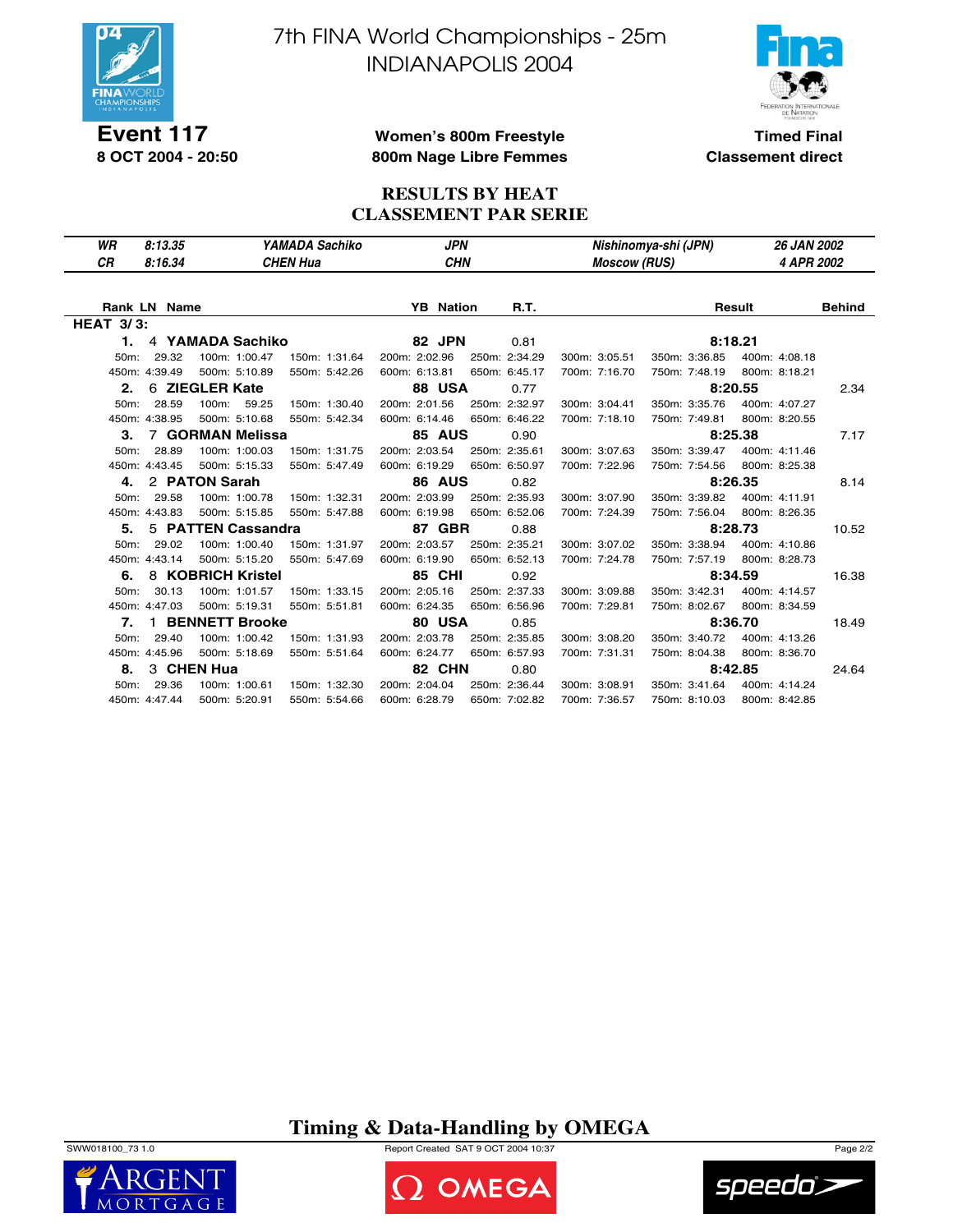

**Event 117 8 OCT 2004 - 20:50** 7th FINA World Championships - 25m INDIANAPOLIS 2004



**Timed Final Classement direct**

### **Women's 800m Freestyle 800m Nage Libre Femmes**

### **RESULTS BY HEAT CLASSEMENT PAR SERIE**

| YAMADA Sachiko<br>WR<br>8:13.35                              | <b>JPN</b>                      | Nishinomya-shi (JPN)           | <b>26 JAN 2002</b>      |
|--------------------------------------------------------------|---------------------------------|--------------------------------|-------------------------|
| <b>CR</b><br>8:16.34<br><b>CHEN Hua</b>                      | <b>CHN</b>                      | <b>Moscow (RUS)</b>            | 4 APR 2002              |
|                                                              |                                 |                                |                         |
| <b>Rank LN Name</b>                                          | <b>YB</b> Nation<br><b>R.T.</b> |                                | <b>Behind</b><br>Result |
| <b>HEAT 3/3:</b>                                             |                                 |                                |                         |
| 4 YAMADA Sachiko<br>1.                                       | 82 JPN<br>0.81                  |                                | 8:18.21                 |
| 29.32<br>100m: 1:00.47<br>150m: 1:31.64<br>50m:              | 200m: 2:02.96<br>250m: 2:34.29  | 350m: 3:36.85<br>300m: 3:05.51 | 400m: 4:08.18           |
| 450m: 4:39.49<br>500m: 5:10.89<br>550m: 5:42.26              | 600m: 6:13.81<br>650m: 6:45.17  | 700m: 7:16.70<br>750m: 7:48.19 | 800m: 8:18.21           |
| 6 ZIEGLER Kate<br>2.                                         | 88 USA<br>0.77                  |                                | 8:20.55<br>2.34         |
| 28.59<br>100m:<br>59.25<br>150m: 1:30.40<br>50m:             | 200m: 2:01.56<br>250m: 2:32.97  | 300m: 3:04.41<br>350m: 3:35.76 | 400m: 4:07.27           |
| 450m: 4:38.95<br>500m: 5:10.68<br>550m: 5:42.34              | 600m: 6:14.46<br>650m: 6:46.22  | 700m: 7:18.10<br>750m: 7:49.81 | 800m: 8:20.55           |
| 7 GORMAN Melissa<br>3.                                       | <b>85 AUS</b><br>0.90           |                                | 8:25.38<br>7.17         |
| 28.89<br>100m: 1:00.03<br>150m: 1:31.75<br>50 <sub>m</sub> : | 200m: 2:03.54<br>250m: 2:35.61  | 350m: 3:39.47<br>300m: 3:07.63 | 400m: 4:11.46           |
| 450m: 4:43.45<br>500m: 5:15.33<br>550m: 5:47.49              | 600m: 6:19.29<br>650m: 6:50.97  | 700m: 7:22.96<br>750m: 7:54.56 | 800m: 8:25.38           |
| 2 PATON Sarah<br>4.                                          | <b>86 AUS</b><br>0.82           |                                | 8:26.35<br>8.14         |
| 29.58<br>100m: 1:00.78<br>50m:<br>150m: 1:32.31              | 200m: 2:03.99<br>250m: 2:35.93  | 350m: 3:39.82<br>300m: 3:07.90 | 400m: 4:11.91           |
| 450m: 4:43.83<br>500m: 5:15.85<br>550m: 5:47.88              | 600m: 6:19.98<br>650m: 6:52.06  | 700m: 7:24.39<br>750m: 7:56.04 | 800m: 8:26.35           |
| 5 PATTEN Cassandra<br>5.                                     | 87 GBR<br>0.88                  |                                | 8:28.73<br>10.52        |
| 50m:<br>29.02<br>100m: 1:00.40<br>150m: 1:31.97              | 200m: 2:03.57<br>250m: 2:35.21  | 300m: 3:07.02<br>350m: 3:38.94 | 400m: 4:10.86           |
| 450m: 4:43.14<br>500m: 5:15.20<br>550m: 5:47.69              | 600m: 6:19.90<br>650m: 6:52.13  | 700m: 7:24.78<br>750m: 7:57.19 | 800m: 8:28.73           |
| 8 KOBRICH Kristel<br>6.                                      | <b>85 CHI</b><br>0.92           |                                | 8:34.59<br>16.38        |
| 50m:<br>30.13<br>100m: 1:01.57<br>150m: 1:33.15              | 200m: 2:05.16<br>250m: 2:37.33  | 350m: 3:42.31<br>300m: 3:09.88 | 400m: 4:14.57           |
| 450m: 4:47.03<br>500m: 5:19.31<br>550m: 5:51.81              | 600m: 6:24.35<br>650m: 6:56.96  | 700m: 7:29.81<br>750m: 8:02.67 | 800m: 8:34.59           |
| <b>BENNETT Brooke</b><br>7.<br>1.                            | 80 USA<br>0.85                  |                                | 8:36.70<br>18.49        |
| 100m: 1:00.42<br>50m:<br>29.40<br>150m: 1:31.93              | 200m: 2:03.78<br>250m: 2:35.85  | 350m: 3:40.72<br>300m: 3:08.20 | 400m: 4:13.26           |
| 450m: 4:45.96<br>500m: 5:18.69<br>550m: 5:51.64              | 600m: 6:24.77<br>650m: 6:57.93  | 700m: 7:31.31<br>750m: 8:04.38 | 800m: 8:36.70           |
| 3 CHEN Hua<br>8.                                             | 82 CHN<br>0.80                  |                                | 8:42.85<br>24.64        |
| 29.36<br>100m: 1:00.61<br>50 <sub>m</sub> :<br>150m: 1:32.30 | 200m: 2:04.04<br>250m: 2:36.44  | 300m: 3:08.91<br>350m: 3:41.64 | 400m: 4:14.24           |
| 450m: 4:47.44<br>500m: 5:20.91<br>550m: 5:54.66              | 600m: 6:28.79<br>650m: 7:02.82  | 700m: 7:36.57<br>750m: 8:10.03 | 800m: 8:42.85           |

# **Timing & Data-Handling by OMEGA**

SWW018100\_73 1.0 Report Created SAT 9 OCT 2004 10:37 Page 2/2





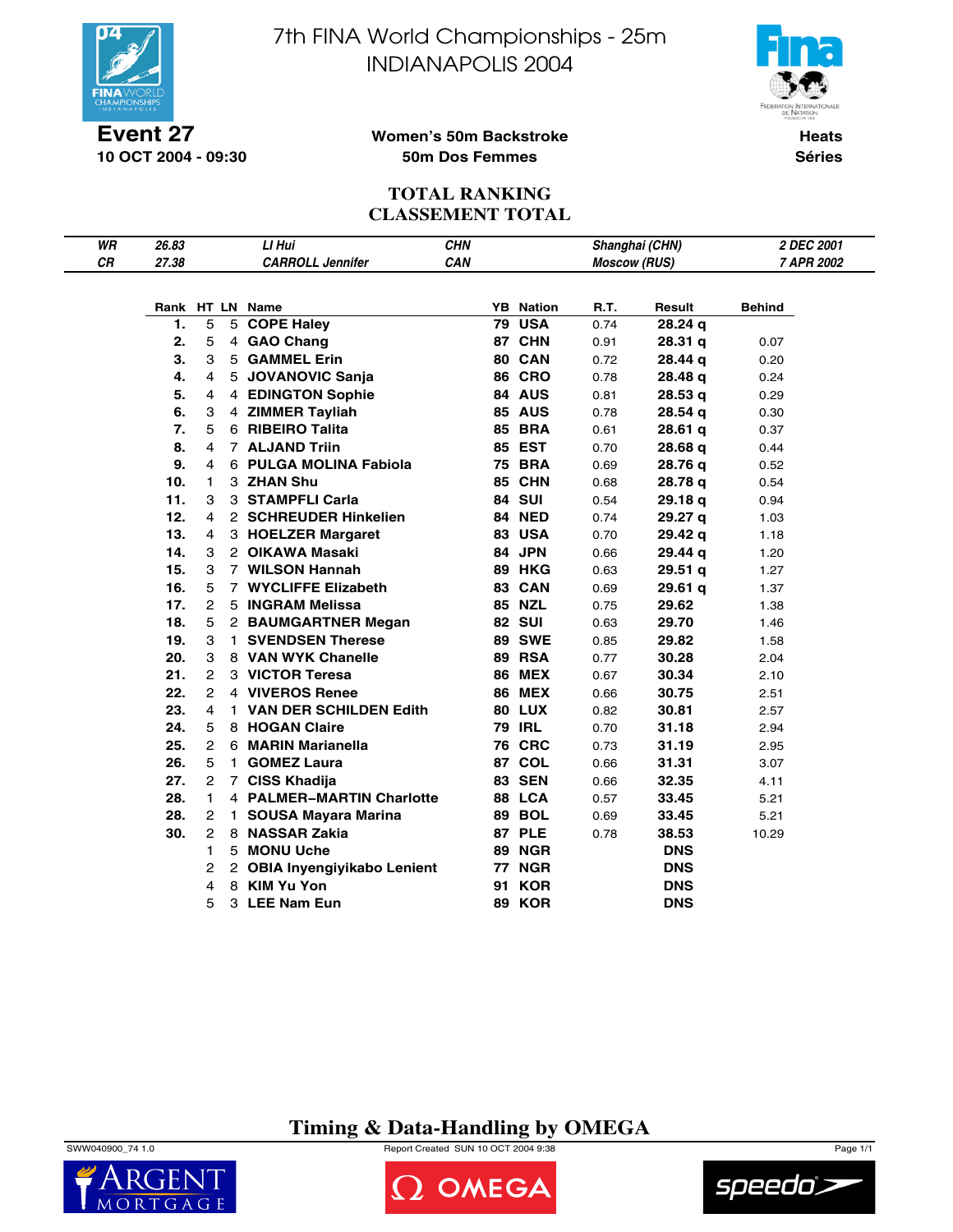

**10 OCT 2004 - 09:30**

7th FINA World Championships - 25m INDIANAPOLIS 2004



**Women's 50m Backstroke 50m Dos Femmes**

**Heats Séries**

## **TOTAL RANKING CLASSEMENT TOTAL**

| WR | 26.83    |                |    | LI Hui                            | <b>CHN</b> |                                   |                     | Shanghai (CHN)     | 2 DEC 2001    |
|----|----------|----------------|----|-----------------------------------|------------|-----------------------------------|---------------------|--------------------|---------------|
| CR | 27.38    |                |    | <b>CARROLL Jennifer</b>           | CAN        |                                   | <b>Moscow (RUS)</b> |                    | 7 APR 2002    |
|    |          |                |    |                                   |            |                                   |                     |                    |               |
|    | 1.       | 5              |    | Rank HT LN Name                   |            | <b>YB</b> Nation<br><b>79 USA</b> | R.T.                | Result             | <b>Behind</b> |
|    |          |                |    | 5 COPE Haley                      |            | 87 CHN                            | 0.74                | 28.24q             |               |
|    | 2.<br>3. | 5              |    | 4 GAO Chang<br>5 GAMMEL Erin      |            | 80 CAN                            | 0.91                | 28.31 <sub>q</sub> | 0.07          |
|    | 4.       | 3              |    |                                   |            |                                   | 0.72                | 28.44 g            | 0.20          |
|    |          | 4              |    | 5 JOVANOVIC Sanja                 |            | <b>86 CRO</b>                     | 0.78                | 28.48 g            | 0.24          |
|    | 5.<br>6. | 4              |    | 4 EDINGTON Sophie                 |            | 84 AUS                            | 0.81                | 28.53q             | 0.29          |
|    |          | 3              |    | 4 ZIMMER Tayliah                  |            | <b>85 AUS</b>                     | 0.78                | 28.54q             | 0.30          |
|    | 7.       | 5              |    | 6 RIBEIRO Talita                  |            | <b>85 BRA</b>                     | 0.61                | 28.61q             | 0.37          |
|    | 8.       | 4              |    | 7 ALJAND Triin                    |            | 85 EST                            | 0.70                | 28.68 q            | 0.44          |
|    | 9.       | 4              |    | 6 PULGA MOLINA Fabiola            |            | <b>75 BRA</b>                     | 0.69                | 28.76 g            | 0.52          |
|    | 10.      | 1              |    | 3 ZHAN Shu                        |            | 85 CHN                            | 0.68                | 28.78 q            | 0.54          |
|    | 11.      | 3              |    | 3 STAMPFLI Carla                  |            | <b>84 SUI</b>                     | 0.54                | 29.18q             | 0.94          |
|    | 12.      | 4              |    | 2 SCHREUDER Hinkelien             |            | 84 NED                            | 0.74                | 29.27 a            | 1.03          |
|    | 13.      | 4              |    | 3 HOELZER Margaret                |            | 83 USA                            | 0.70                | 29.42 q            | 1.18          |
|    | 14.      | 3              |    | 2 OIKAWA Masaki                   |            | 84 JPN                            | 0.66                | 29.44 g            | 1.20          |
|    | 15.      | 3              |    | 7 WILSON Hannah                   |            | <b>89 HKG</b>                     | 0.63                | 29.51q             | 1.27          |
|    | 16.      | 5              |    | 7 WYCLIFFE Elizabeth              |            | 83 CAN                            | 0.69                | 29.61 q            | 1.37          |
|    | 17.      | 2              |    | 5 INGRAM Melissa                  |            | <b>85 NZL</b>                     | 0.75                | 29.62              | 1.38          |
|    | 18.      | 5              |    | 2 BAUMGARTNER Megan               |            | <b>82 SUI</b>                     | 0.63                | 29.70              | 1.46          |
|    | 19.      | З              |    | 1 SVENDSEN Therese                |            | <b>89 SWE</b>                     | 0.85                | 29.82              | 1.58          |
|    | 20.      | 3              |    | 8 VAN WYK Chanelle                |            | 89 RSA                            | 0.77                | 30.28              | 2.04          |
|    | 21.      | 2              |    | 3 VICTOR Teresa                   |            | <b>86 MEX</b>                     | 0.67                | 30.34              | 2.10          |
|    | 22.      | 2              |    | 4 VIVEROS Renee                   |            | <b>86 MEX</b>                     | 0.66                | 30.75              | 2.51          |
|    | 23.      | 4              |    | 1 VAN DER SCHILDEN Edith          |            | <b>80 LUX</b>                     | 0.82                | 30.81              | 2.57          |
|    | 24.      | 5              |    | 8 HOGAN Claire                    |            | <b>79 IRL</b>                     | 0.70                | 31.18              | 2.94          |
|    | 25.      | 2              |    | 6 MARIN Marianella                |            | <b>76 CRC</b>                     | 0.73                | 31.19              | 2.95          |
|    | 26.      | 5              |    | 1 GOMEZ Laura                     |            | 87 COL                            | 0.66                | 31.31              | 3.07          |
|    | 27.      | 2              |    | 7 CISS Khadija                    |            | <b>83 SEN</b>                     | 0.66                | 32.35              | 4.11          |
|    | 28.      | 1              |    | 4 PALMER-MARTIN Charlotte         |            | 88 LCA                            | 0.57                | 33.45              | 5.21          |
|    | 28.      | 2              | 1. | <b>SOUSA Mayara Marina</b>        |            | 89 BOL                            | 0.69                | 33.45              | 5.21          |
|    | 30.      | $\overline{c}$ |    | 8 NASSAR Zakia                    |            | 87 PLE                            | 0.78                | 38.53              | 10.29         |
|    |          | 1              |    | 5 MONU Uche                       |            | <b>89 NGR</b>                     |                     | <b>DNS</b>         |               |
|    |          | 2              | 2  | <b>OBIA Inyengiyikabo Lenient</b> |            | <b>77 NGR</b>                     |                     | <b>DNS</b>         |               |
|    |          | 4              | 8  | <b>KIM Yu Yon</b>                 |            | <b>91 KOR</b>                     |                     | <b>DNS</b>         |               |
|    |          | 5              | 3  | <b>LEE Nam Eun</b>                |            | <b>89 KOR</b>                     |                     | <b>DNS</b>         |               |

## **Timing & Data-Handling by OMEGA**

SWW040900\_74 1.0 Report Created SUN 10 OCT 2004 9:38 Page 1/1





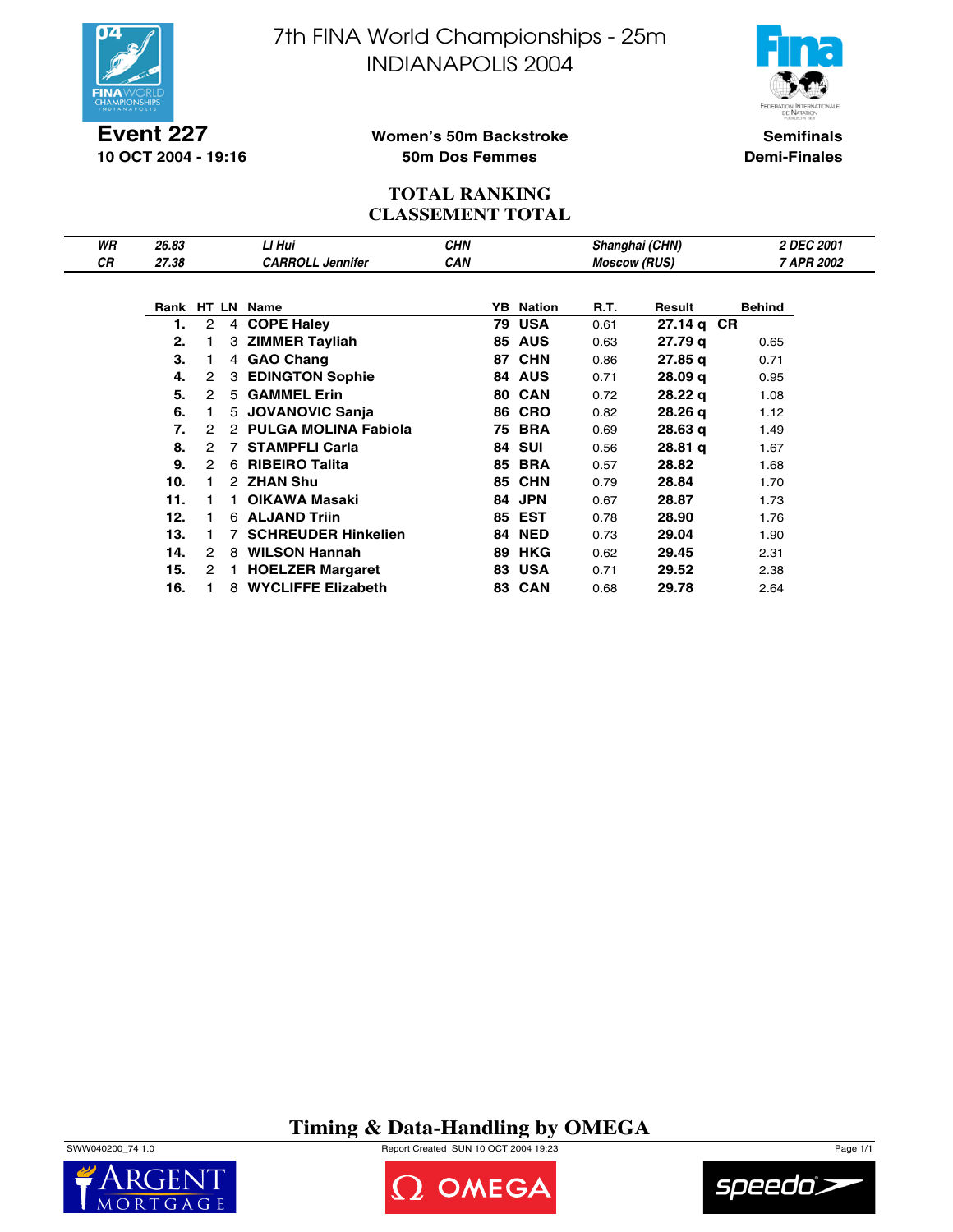



**Event 227 10 OCT 2004 - 19:16**

### **Women's 50m Backstroke 50m Dos Femmes**

**Semifinals Demi-Finales**

### **TOTAL RANKING CLASSEMENT TOTAL**

| WR | 26.83 |               |    | LI Hui                      | <b>CHN</b> |    |                  |                     | Shanghai (CHN)     | 2 DEC 2001    |
|----|-------|---------------|----|-----------------------------|------------|----|------------------|---------------------|--------------------|---------------|
| СR | 27.38 |               |    | <b>CARROLL Jennifer</b>     | <b>CAN</b> |    |                  | <b>Moscow (RUS)</b> |                    | 7 APR 2002    |
|    |       |               |    |                             |            |    |                  |                     |                    |               |
|    |       |               |    | Rank HT LN Name             |            |    | <b>YB</b> Nation | R.T.                | Result             | <b>Behind</b> |
|    |       | 2             |    | 4 COPE Haley                |            | 79 | <b>USA</b>       | 0.61                | 27.14 q CR         |               |
|    | 2.    |               |    | 3 ZIMMER Tayliah            |            | 85 | <b>AUS</b>       | 0.63                | 27.79 g            | 0.65          |
|    | 3.    |               | 4  | <b>GAO Chang</b>            |            | 87 | <b>CHN</b>       | 0.86                | 27.85 g            | 0.71          |
|    | 4.    | 2             | 3  | <b>EDINGTON Sophie</b>      |            | 84 | <b>AUS</b>       | 0.71                | 28.09 <sub>q</sub> | 0.95          |
|    | 5.    | 2             | 5  | <b>GAMMEL Erin</b>          |            | 80 | <b>CAN</b>       | 0.72                | 28.22 g            | 1.08          |
|    | 6.    |               | 5  | <b>JOVANOVIC Sanja</b>      |            | 86 | <b>CRO</b>       | 0.82                | 28.26q             | 1.12          |
|    | 7.    | 2             |    | <b>PULGA MOLINA Fabiola</b> |            | 75 | <b>BRA</b>       | 0.69                | 28.63q             | 1.49          |
|    | 8.    | $\mathcal{P}$ | 7  | <b>STAMPFLI Carla</b>       |            | 84 | <b>SUI</b>       | 0.56                | 28.81 <sub>q</sub> | 1.67          |
|    | 9.    | 2             | 6  | <b>RIBEIRO Talita</b>       |            | 85 | <b>BRA</b>       | 0.57                | 28.82              | 1.68          |
|    | 10.   |               |    | 2 ZHAN Shu                  |            | 85 | <b>CHN</b>       | 0.79                | 28.84              | 1.70          |
|    | 11.   |               |    | OIKAWA Masaki               |            | 84 | <b>JPN</b>       | 0.67                | 28.87              | 1.73          |
|    | 12.   |               | 6. | <b>ALJAND Triin</b>         |            | 85 | <b>EST</b>       | 0.78                | 28.90              | 1.76          |
|    | 13.   |               |    | <b>SCHREUDER Hinkelien</b>  |            | 84 | <b>NED</b>       | 0.73                | 29.04              | 1.90          |
|    | 14.   | 2             | 8  | <b>WILSON Hannah</b>        |            | 89 | <b>HKG</b>       | 0.62                | 29.45              | 2.31          |
|    | 15.   | 2             |    | <b>HOELZER Margaret</b>     |            | 83 | <b>USA</b>       | 0.71                | 29.52              | 2.38          |
|    | 16.   |               | 8  | <b>WYCLIFFE Elizabeth</b>   |            |    | 83 CAN           | 0.68                | 29.78              | 2.64          |

## **Timing & Data-Handling by OMEGA**

SWW040200\_74 1.0 Report Created SUN 10 OCT 2004 19:23 Page 1/1





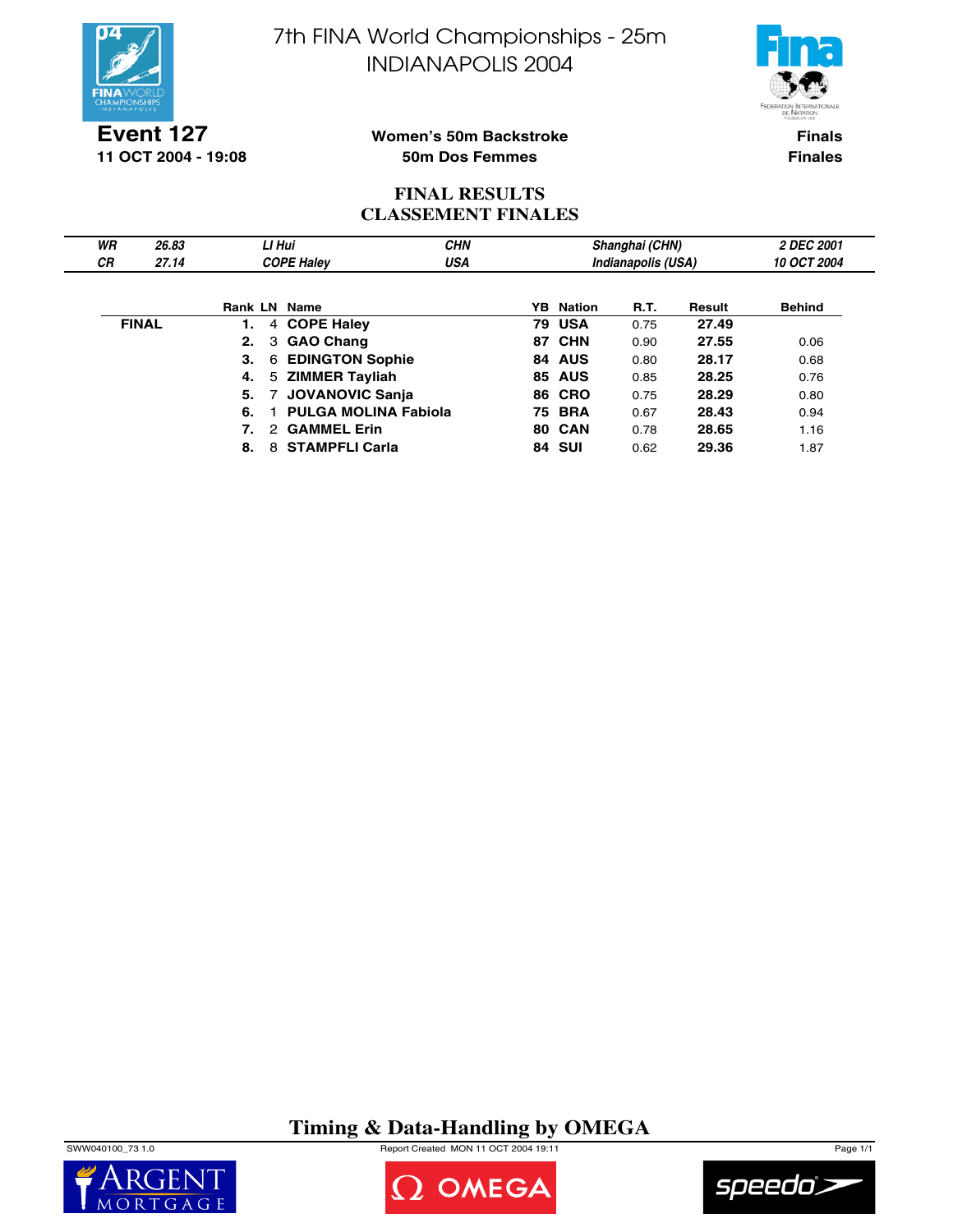



**Event 127 11 OCT 2004 - 19:08**

### **Women's 50m Backstroke 50m Dos Femmes**

**Finals Finales**

## **FINAL RESULTS CLASSEMENT FINALES**

| WR | 26.83        |    | LI Hui         |                             | <b>CHN</b> |                  | Shanghai (CHN)     |        | 2 DEC 2001         |  |
|----|--------------|----|----------------|-----------------------------|------------|------------------|--------------------|--------|--------------------|--|
| СR | 27.14        |    |                | <b>COPE Haley</b>           | <b>USA</b> |                  | Indianapolis (USA) |        | <b>10 OCT 2004</b> |  |
|    |              |    |                | <b>Rank LN Name</b>         |            | <b>YB</b> Nation | <b>R.T.</b>        | Result | <b>Behind</b>      |  |
|    | <b>FINAL</b> |    |                | 4 COPE Haley                |            | <b>79 USA</b>    | 0.75               | 27.49  |                    |  |
|    |              | 2. |                | 3 GAO Chang                 |            | <b>87 CHN</b>    | 0.90               | 27.55  | 0.06               |  |
|    |              | З. |                | 6 EDINGTON Sophie           |            | 84 AUS           | 0.80               | 28.17  | 0.68               |  |
|    |              | 4. |                | 5 ZIMMER Tayliah            |            | <b>85 AUS</b>    | 0.85               | 28.25  | 0.76               |  |
|    |              | 5. | $\overline{7}$ | <b>JOVANOVIC Sanja</b>      |            | <b>86 CRO</b>    | 0.75               | 28.29  | 0.80               |  |
|    |              | 6. |                | <b>PULGA MOLINA Fabiola</b> |            | <b>75 BRA</b>    | 0.67               | 28.43  | 0.94               |  |
|    |              |    |                | 2 GAMMEL Erin               |            | 80 CAN           | 0.78               | 28.65  | 1.16               |  |
|    |              | 8. |                | 8 STAMPFLI Carla            |            | <b>84 SUI</b>    | 0.62               | 29.36  | . 87               |  |

# **Timing & Data-Handling by OMEGA**

SWW040100\_73 1.0 Report Created MON 11 OCT 2004 19:11 Page 1/1





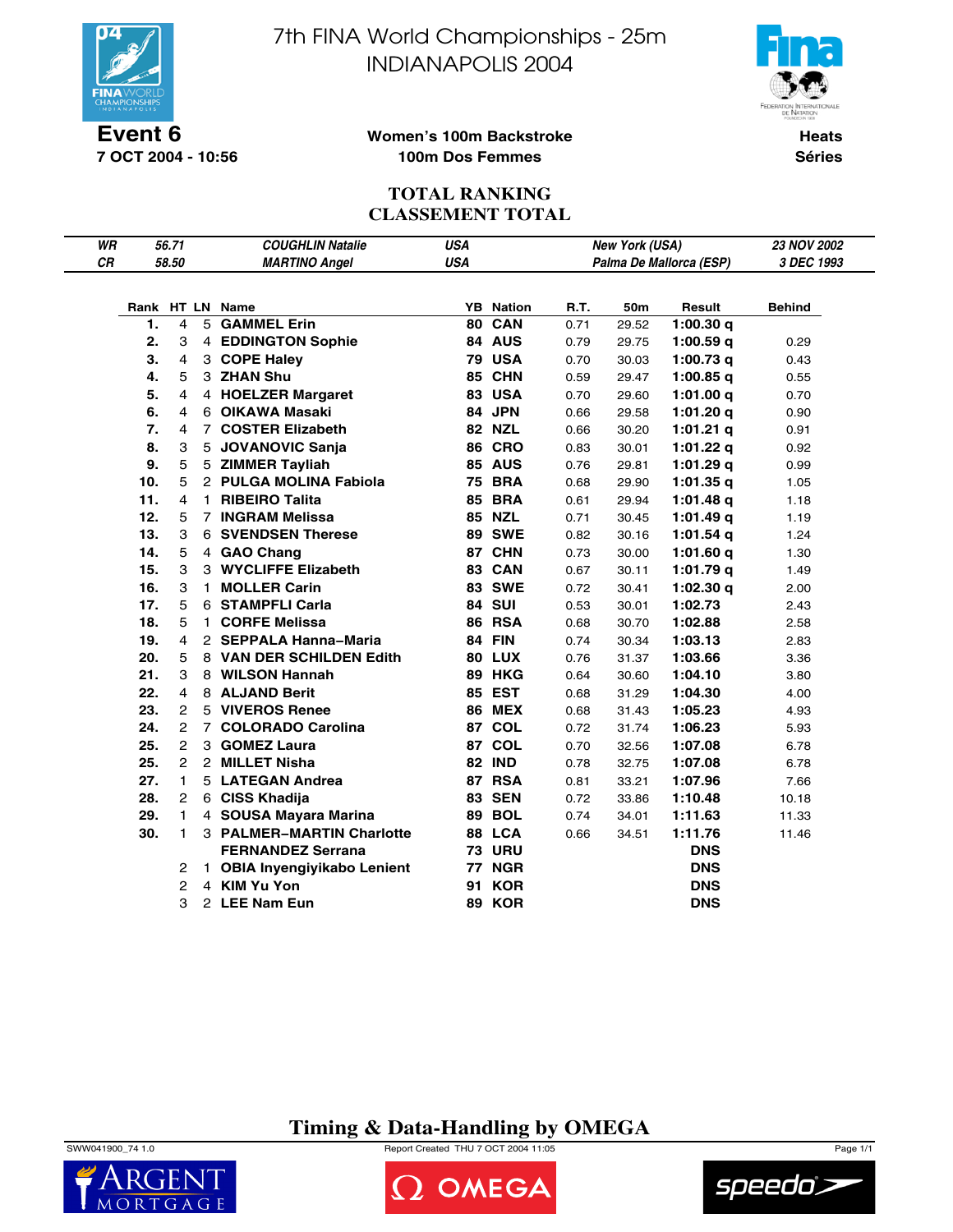

**7 OCT 2004 - 10:56**

7th FINA World Championships - 25m INDIANAPOLIS 2004



### **Women's 100m Backstroke 100m Dos Femmes**

**Heats Séries**

## **TOTAL RANKING CLASSEMENT TOTAL**

| WR        |     | 56.71          | <b>COUGHLIN Natalie</b>      | <b>USA</b> |                  |      | New York (USA) |                         | 23 NOV 2002 |
|-----------|-----|----------------|------------------------------|------------|------------------|------|----------------|-------------------------|-------------|
| <b>CR</b> |     | 58.50          | <b>MARTINO Angel</b>         | <b>USA</b> |                  |      |                | Palma De Mallorca (ESP) | 3 DEC 1993  |
|           |     |                |                              |            |                  |      |                |                         |             |
|           |     |                | Rank HT LN Name              |            | <b>YB</b> Nation | R.T. | 50m            | Result                  | Behind      |
|           | 1.  | 4              | 5 GAMMEL Erin                | 80         | <b>CAN</b>       | 0.71 | 29.52          | 1:00.30q                |             |
|           | 2.  | 3              | 4 EDDINGTON Sophie           |            | 84 AUS           | 0.79 | 29.75          | 1:00.59 $q$             | 0.29        |
|           | 3.  | 4              | 3 COPE Haley                 |            | <b>79 USA</b>    | 0.70 | 30.03          | 1:00.73 $q$             | 0.43        |
|           | 4.  | 5              | 3 ZHAN Shu                   |            | 85 CHN           | 0.59 | 29.47          | $1:00.85$ q             | 0.55        |
|           | 5.  | 4              | 4 HOELZER Margaret           |            | <b>83 USA</b>    | 0.70 | 29.60          | 1:01.00 $q$             | 0.70        |
|           | 6.  | 4              | 6 OIKAWA Masaki              |            | 84 JPN           | 0.66 | 29.58          | 1:01.20 $q$             | 0.90        |
|           | 7.  | 4              | 7 COSTER Elizabeth           |            | <b>82 NZL</b>    | 0.66 | 30.20          | 1:01.21 $q$             | 0.91        |
|           | 8.  | 3              | 5 JOVANOVIC Sanja            |            | <b>86 CRO</b>    | 0.83 | 30.01          | $1:01.22$ q             | 0.92        |
|           | 9.  | 5              | 5 ZIMMER Tayliah             |            | <b>85 AUS</b>    | 0.76 | 29.81          | 1:01.29 $q$             | 0.99        |
|           | 10. | 5              | 2 PULGA MOLINA Fabiola       |            | <b>75 BRA</b>    | 0.68 | 29.90          | 1:01.35q                | 1.05        |
|           | 11. | 4              | 1 RIBEIRO Talita             |            | <b>85 BRA</b>    | 0.61 | 29.94          | 1:01.48 $q$             | 1.18        |
|           | 12. | 5              | 7 INGRAM Melissa             |            | <b>85 NZL</b>    | 0.71 | 30.45          | 1:01.49q                | 1.19        |
|           | 13. | 3              | <b>6 SVENDSEN Therese</b>    |            | <b>89 SWE</b>    | 0.82 | 30.16          | $1:01.54$ q             | 1.24        |
|           | 14. | 5              | 4 GAO Chang                  |            | 87 CHN           | 0.73 | 30.00          | 1:01.60 $q$             | 1.30        |
|           | 15. | 3              | 3 WYCLIFFE Elizabeth         |            | 83 CAN           | 0.67 | 30.11          | 1:01.79 $q$             | 1.49        |
|           | 16. | 3              | 1 MOLLER Carin               |            | <b>83 SWE</b>    | 0.72 | 30.41          | 1:02.30q                | 2.00        |
|           | 17. | 5              | 6 STAMPFLI Carla             |            | <b>84 SUI</b>    | 0.53 | 30.01          | 1:02.73                 | 2.43        |
|           | 18. | 5              | 1 CORFE Melissa              |            | <b>86 RSA</b>    | 0.68 | 30.70          | 1:02.88                 | 2.58        |
|           | 19. | 4              | 2 SEPPALA Hanna-Maria        |            | 84 FIN           | 0.74 | 30.34          | 1:03.13                 | 2.83        |
|           | 20. | 5              | 8 VAN DER SCHILDEN Edith     |            | <b>80 LUX</b>    | 0.76 | 31.37          | 1:03.66                 | 3.36        |
|           | 21. | 3              | 8 WILSON Hannah              |            | 89 HKG           | 0.64 | 30.60          | 1:04.10                 | 3.80        |
|           | 22. | 4              | 8 ALJAND Berit               |            | 85 EST           | 0.68 | 31.29          | 1:04.30                 | 4.00        |
|           | 23. | $\overline{2}$ | 5 VIVEROS Renee              |            | <b>86 MEX</b>    | 0.68 | 31.43          | 1:05.23                 | 4.93        |
|           | 24. | 2              | 7 COLORADO Carolina          | 87         | <b>COL</b>       | 0.72 | 31.74          | 1:06.23                 | 5.93        |
|           | 25. | 2              | 3 GOMEZ Laura                | 87         | <b>COL</b>       | 0.70 | 32.56          | 1:07.08                 | 6.78        |
|           | 25. | $\overline{2}$ | 2 MILLET Nisha               |            | <b>82 IND</b>    | 0.78 | 32.75          | 1:07.08                 | 6.78        |
|           | 27. | $\mathbf{1}$   | 5 LATEGAN Andrea             | 87         | <b>RSA</b>       | 0.81 | 33.21          | 1:07.96                 | 7.66        |
|           | 28. | $\overline{2}$ | 6 CISS Khadija               |            | <b>83 SEN</b>    | 0.72 | 33.86          | 1:10.48                 | 10.18       |
|           | 29. | 1.             | 4 SOUSA Mayara Marina        |            | <b>89 BOL</b>    | 0.74 | 34.01          | 1:11.63                 | 11.33       |
|           | 30. | 1.             | 3 PALMER-MARTIN Charlotte    |            | 88 LCA           | 0.66 | 34.51          | 1:11.76                 | 11.46       |
|           |     |                | <b>FERNANDEZ Serrana</b>     |            | <b>73 URU</b>    |      |                | <b>DNS</b>              |             |
|           |     | 2              | 1 OBIA Inyengiyikabo Lenient |            | <b>77 NGR</b>    |      |                | <b>DNS</b>              |             |
|           |     | 2              | 4 KIM Yu Yon                 | 91         | <b>KOR</b>       |      |                | <b>DNS</b>              |             |
|           |     | 3              | 2 LEE Nam Eun                | 89         | <b>KOR</b>       |      |                | <b>DNS</b>              |             |

## **Timing & Data-Handling by OMEGA**

SWW041900\_74 1.0 Report Created THU 7 OCT 2004 11:05 Page 1/1





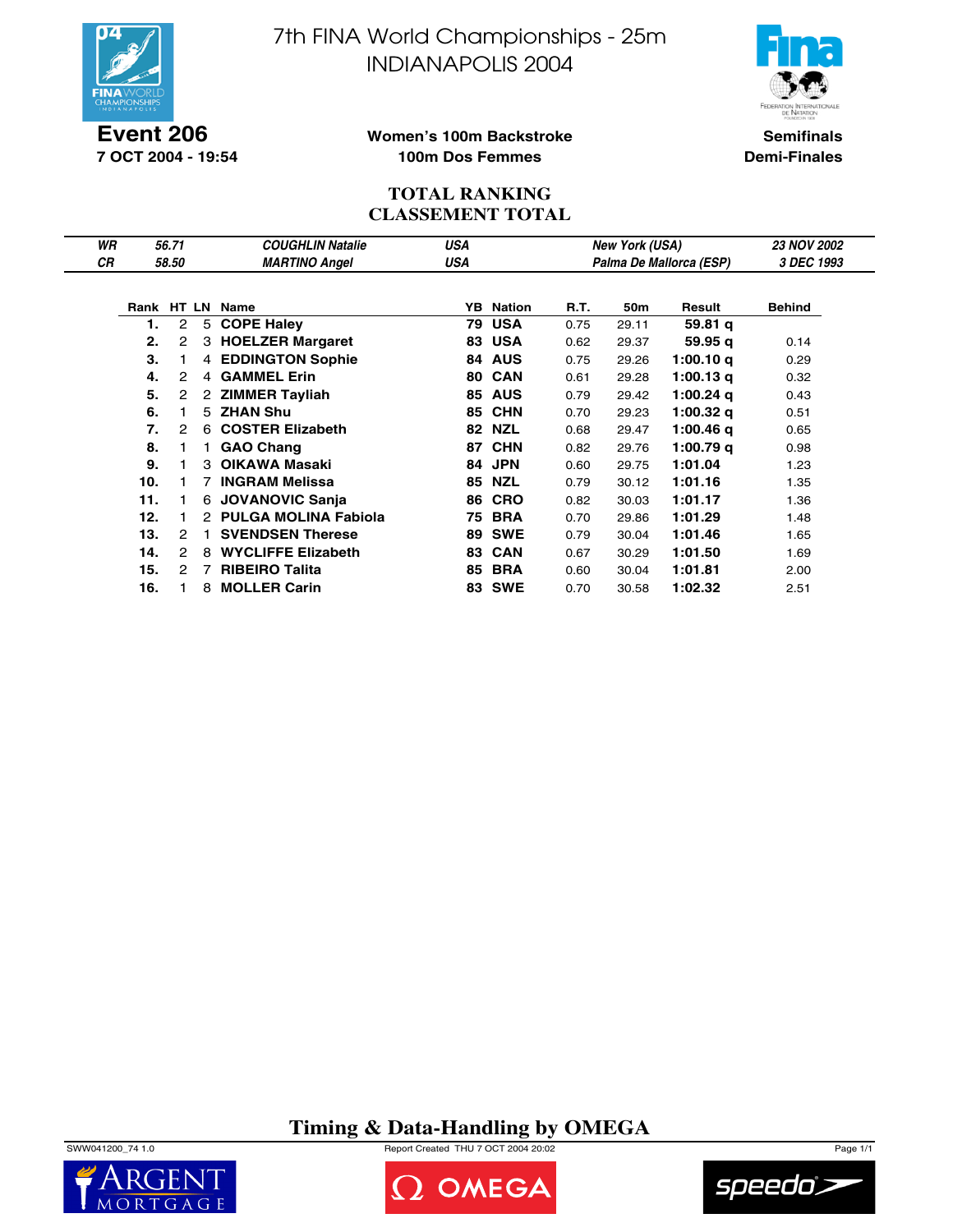

**Event 206 7 OCT 2004 - 19:54** 7th FINA World Championships - 25m INDIANAPOLIS 2004



**Semifinals Demi-Finales**

### **Women's 100m Backstroke 100m Dos Femmes**

### **TOTAL RANKING CLASSEMENT TOTAL**

| WR        |     | 56.71          |   | <b>COUGHLIN Natalie</b>   | <b>USA</b> |               |      | <b>New York (USA)</b> |                         | <b>23 NOV 2002</b> |
|-----------|-----|----------------|---|---------------------------|------------|---------------|------|-----------------------|-------------------------|--------------------|
| <b>CR</b> |     | 58.50          |   | <b>MARTINO Angel</b>      | USA        |               |      |                       | Palma De Mallorca (ESP) | 3 DEC 1993         |
|           |     |                |   |                           |            |               |      |                       |                         |                    |
|           |     |                |   | Rank HT LN Name           | YB         | <b>Nation</b> | R.T. | 50m                   | Result                  | <b>Behind</b>      |
|           | 1.  | $\overline{2}$ | 5 | <b>COPE Haley</b>         | 79         | <b>USA</b>    | 0.75 | 29.11                 | 59.81 q                 |                    |
|           | 2.  | 2              | 3 | <b>HOELZER Margaret</b>   | 83         | <b>USA</b>    | 0.62 | 29.37                 | 59.95 g                 | 0.14               |
|           | 3.  |                |   | 4 EDDINGTON Sophie        | 84         | <b>AUS</b>    | 0.75 | 29.26                 | 1:00.10q                | 0.29               |
|           | 4.  | 2              | 4 | <b>GAMMEL Erin</b>        | 80         | <b>CAN</b>    | 0.61 | 29.28                 | 1:00.13 $q$             | 0.32               |
|           | 5.  | 2              |   | 2 ZIMMER Tayliah          | 85         | <b>AUS</b>    | 0.79 | 29.42                 | 1:00.24 g               | 0.43               |
|           | 6.  |                |   | 5 ZHAN Shu                |            | 85 CHN        | 0.70 | 29.23                 | 1:00.32 $q$             | 0.51               |
|           | 7.  | 2              | 6 | <b>COSTER Elizabeth</b>   | 82         | <b>NZL</b>    | 0.68 | 29.47                 | 1:00.46 g               | 0.65               |
|           | 8.  |                |   | <b>GAO Chang</b>          | 87         | <b>CHN</b>    | 0.82 | 29.76                 | $1:00.79$ q             | 0.98               |
|           | 9.  |                |   | 3 OIKAWA Masaki           | 84         | <b>JPN</b>    | 0.60 | 29.75                 | 1:01.04                 | 1.23               |
|           | 10. |                |   | 7 INGRAM Melissa          | 85         | <b>NZL</b>    | 0.79 | 30.12                 | 1:01.16                 | 1.35               |
|           | 11. |                |   | 6 JOVANOVIC Sanja         | 86         | <b>CRO</b>    | 0.82 | 30.03                 | 1:01.17                 | 1.36               |
|           | 12. |                |   | 2 PULGA MOLINA Fabiola    | 75         | <b>BRA</b>    | 0.70 | 29.86                 | 1:01.29                 | 1.48               |
|           | 13. | 2              |   | <b>SVENDSEN Therese</b>   | 89         | <b>SWE</b>    | 0.79 | 30.04                 | 1:01.46                 | 1.65               |
|           | 14. | $\mathcal{P}$  | 8 | <b>WYCLIFFE Elizabeth</b> | 83         | <b>CAN</b>    | 0.67 | 30.29                 | 1:01.50                 | 1.69               |
|           | 15. | 2              | 7 | <b>RIBEIRO Talita</b>     | 85         | <b>BRA</b>    | 0.60 | 30.04                 | 1:01.81                 | 2.00               |
|           | 16. |                | 8 | <b>MOLLER Carin</b>       | 83         | <b>SWE</b>    | 0.70 | 30.58                 | 1:02.32                 | 2.51               |

**Timing & Data-Handling by OMEGA**

SWW041200\_74 1.0 Report Created THU 7 OCT 2004 20:02 Page 1/1





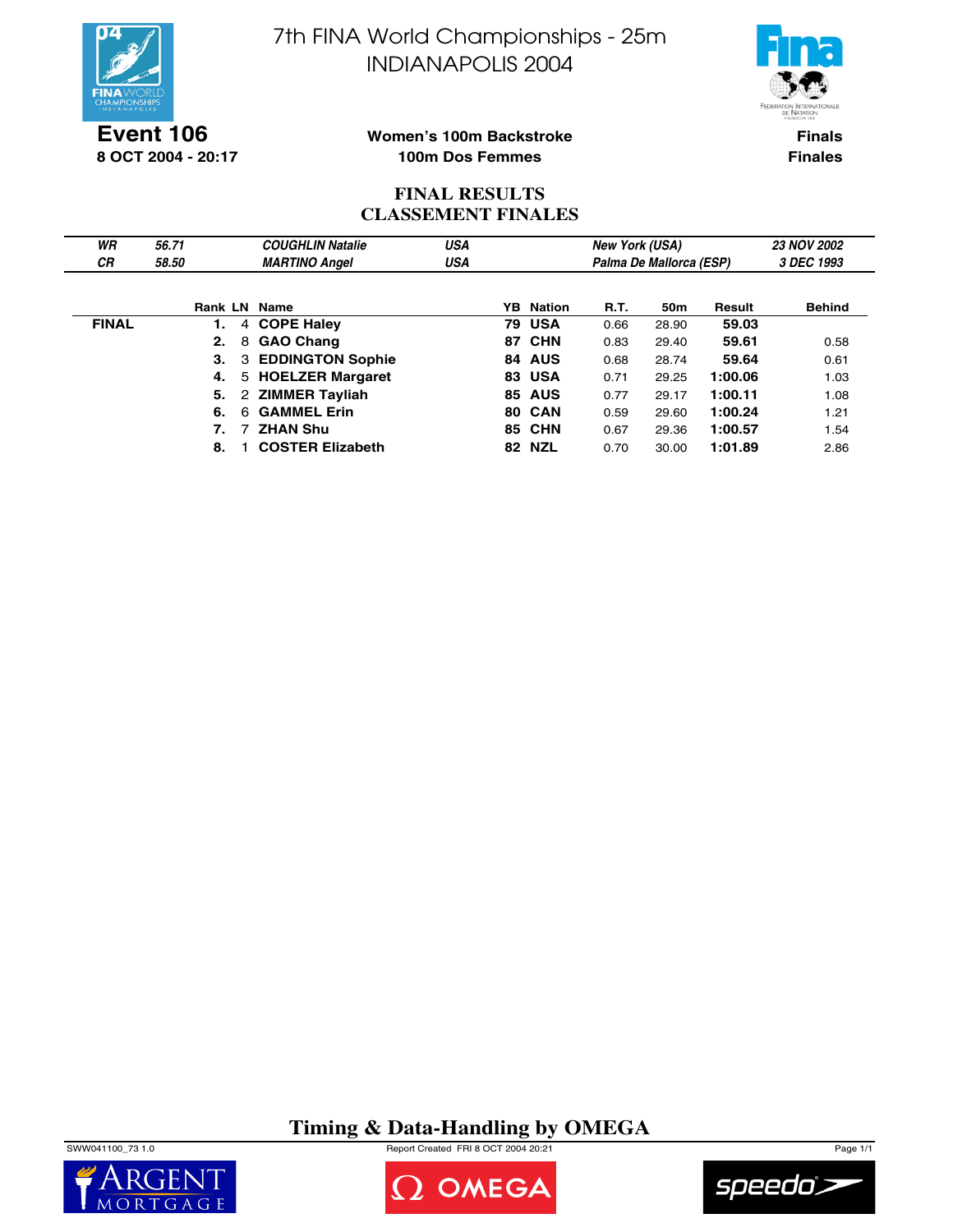



**Event 106 8 OCT 2004 - 20:17**

### **Women's 100m Backstroke 100m Dos Femmes**

**Finals Finales**

## **FINAL RESULTS CLASSEMENT FINALES**

| WR           | 56.71 |    | <b>COUGHLIN Natalie</b>   | USA |                  | <b>New York (USA)</b> |                         |         | <b>23 NOV 2002</b> |
|--------------|-------|----|---------------------------|-----|------------------|-----------------------|-------------------------|---------|--------------------|
| <b>CR</b>    | 58.50 |    | <b>MARTINO Angel</b>      | USA |                  |                       | Palma De Mallorca (ESP) |         | 3 DEC 1993         |
|              |       |    |                           |     |                  |                       |                         |         |                    |
|              |       |    | Rank LN Name              |     | <b>YB</b> Nation | <b>R.T.</b>           | 50 <sub>m</sub>         | Result  | <b>Behind</b>      |
| <b>FINAL</b> | 1.    |    | 4 COPE Haley              |     | <b>79 USA</b>    | 0.66                  | 28.90                   | 59.03   |                    |
|              | 2.    |    | 8 GAO Chang               |     | 87 CHN           | 0.83                  | 29.40                   | 59.61   | 0.58               |
|              |       | 3. | <b>3 EDDINGTON Sophie</b> |     | 84 AUS           | 0.68                  | 28.74                   | 59.64   | 0.61               |
|              | 4.    |    | 5 HOELZER Margaret        |     | <b>83 USA</b>    | 0.71                  | 29.25                   | 1:00.06 | 1.03               |
|              |       | 5. | 2 ZIMMER Tayliah          |     | <b>85 AUS</b>    | 0.77                  | 29.17                   | 1:00.11 | 1.08               |
|              | 6.    | 6. | <b>GAMMEL Erin</b>        |     | <b>80 CAN</b>    | 0.59                  | 29.60                   | 1:00.24 | 1.21               |
|              |       | 7. | 7 ZHAN Shu                |     | <b>85 CHN</b>    | 0.67                  | 29.36                   | 1:00.57 | 1.54               |
|              | 8.    |    | <b>COSTER Elizabeth</b>   |     | 82 NZL           | 0.70                  | 30.00                   | 1:01.89 | 2.86               |

# **Timing & Data-Handling by OMEGA**

SWW041100\_73 1.0 Report Created FRI 8 OCT 2004 20:21 Page 1/1





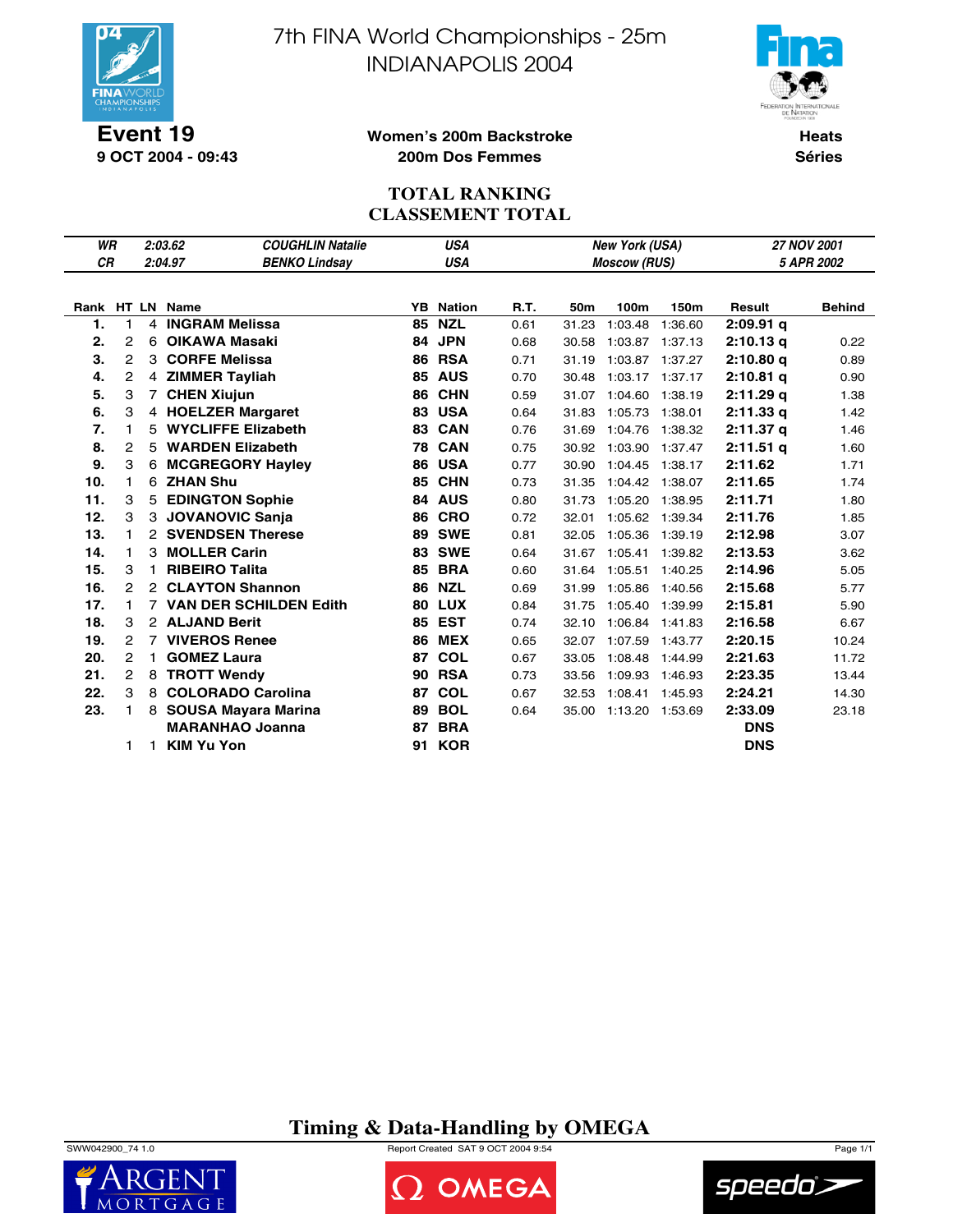

7th FINA World Championships - 25m INDIANAPOLIS 2004



**9 OCT 2004 - 09:43**

### **Women's 200m Backstroke 200m Dos Femmes**

**Heats Séries**

## **TOTAL RANKING CLASSEMENT TOTAL**

| <b>WR</b> |              |    | 2:03.62                         | <b>COUGHLIN Natalie</b> | <b>USA</b> |               |      |       | New York (USA)      |         | 27 NOV 2001 |               |  |
|-----------|--------------|----|---------------------------------|-------------------------|------------|---------------|------|-------|---------------------|---------|-------------|---------------|--|
| <b>CR</b> |              |    | 2:04.97<br><b>BENKO Lindsay</b> |                         |            | <b>USA</b>    |      |       | <b>Moscow (RUS)</b> |         |             | 5 APR 2002    |  |
|           |              |    |                                 |                         |            |               |      |       |                     |         |             |               |  |
|           |              |    | Rank HT LN Name                 | YB.                     |            | <b>Nation</b> | R.T. | 50m   | 100m                | 150m    | Result      | <b>Behind</b> |  |
| 1.        | $\mathbf{1}$ |    | 4 INGRAM Melissa                | 85                      |            | <b>NZL</b>    | 0.61 | 31.23 | 1:03.48             | 1:36.60 | $2:09.91$ q |               |  |
| 2.        | 2            | 6  | <b>OIKAWA Masaki</b>            | 84                      |            | <b>JPN</b>    | 0.68 | 30.58 | 1:03.87 1:37.13     |         | 2:10.13q    | 0.22          |  |
| 3.        | 2            | 3  | <b>CORFE Melissa</b>            | 86                      |            | <b>RSA</b>    | 0.71 | 31.19 | 1:03.87             | 1:37.27 | 2:10.80q    | 0.89          |  |
| 4.        | 2            |    | 4 ZIMMER Tayliah                | 85                      |            | <b>AUS</b>    | 0.70 | 30.48 | 1:03.17 1:37.17     |         | $2:10.81$ q | 0.90          |  |
| 5.        | 3            |    | 7 CHEN Xiujun                   | 86                      |            | <b>CHN</b>    | 0.59 | 31.07 | 1:04.60             | 1:38.19 | 2:11.29q    | 1.38          |  |
| 6.        | 3            |    | 4 HOELZER Margaret              |                         |            | <b>83 USA</b> | 0.64 | 31.83 | 1:05.73             | 1:38.01 | 2:11.33q    | 1.42          |  |
| 7.        | 1            | 5. | <b>WYCLIFFE Elizabeth</b>       | 83                      |            | <b>CAN</b>    | 0.76 | 31.69 | 1:04.76             | 1:38.32 | 2:11.37q    | 1.46          |  |
| 8.        | 2            |    | 5 WARDEN Elizabeth              | 78                      |            | <b>CAN</b>    | 0.75 | 30.92 | 1:03.90             | 1:37.47 | $2:11.51$ q | 1.60          |  |
| 9.        | 3            |    | 6 MCGREGORY Hayley              | 86                      |            | <b>USA</b>    | 0.77 | 30.90 | 1:04.45             | 1:38.17 | 2:11.62     | 1.71          |  |
| 10.       | 1            | 6  | <b>ZHAN Shu</b>                 | 85                      |            | <b>CHN</b>    | 0.73 | 31.35 | 1:04.42             | 1:38.07 | 2:11.65     | 1.74          |  |
| 11.       | 3            | 5  | <b>EDINGTON Sophie</b>          | 84                      |            | <b>AUS</b>    | 0.80 | 31.73 | 1:05.20             | 1:38.95 | 2:11.71     | 1.80          |  |
| 12.       | 3            |    | 3 JOVANOVIC Sanja               | 86                      |            | <b>CRO</b>    | 0.72 | 32.01 | 1:05.62             | 1:39.34 | 2:11.76     | 1.85          |  |
| 13.       | $\mathbf{1}$ |    | 2 SVENDSEN Therese              | 89                      |            | <b>SWE</b>    | 0.81 | 32.05 | 1:05.36             | 1:39.19 | 2:12.98     | 3.07          |  |
| 14.       | 1            | 3  | <b>MOLLER Carin</b>             | 83                      |            | <b>SWE</b>    | 0.64 | 31.67 | 1:05.41             | 1:39.82 | 2:13.53     | 3.62          |  |
| 15.       | 3            | 1  | <b>RIBEIRO Talita</b>           | 85                      |            | <b>BRA</b>    | 0.60 | 31.64 | 1:05.51             | 1:40.25 | 2:14.96     | 5.05          |  |
| 16.       | $\mathbf{2}$ |    | 2 CLAYTON Shannon               | 86                      |            | <b>NZL</b>    | 0.69 | 31.99 | 1:05.86             | 1:40.56 | 2:15.68     | 5.77          |  |
| 17.       | $\mathbf{1}$ |    | <b>7 VAN DER SCHILDEN Edith</b> |                         |            | <b>80 LUX</b> | 0.84 | 31.75 | 1:05.40             | 1:39.99 | 2:15.81     | 5.90          |  |
| 18.       | 3            |    | 2 ALJAND Berit                  | 85                      |            | <b>EST</b>    | 0.74 | 32.10 | 1:06.84             | 1:41.83 | 2:16.58     | 6.67          |  |
| 19.       | 2            |    | <b>VIVEROS Renee</b>            | 86                      |            | <b>MEX</b>    | 0.65 | 32.07 | 1:07.59             | 1:43.77 | 2:20.15     | 10.24         |  |
| 20.       | $\mathbf{2}$ | 1. | <b>GOMEZ Laura</b>              | 87                      |            | <b>COL</b>    | 0.67 | 33.05 | 1:08.48             | 1:44.99 | 2:21.63     | 11.72         |  |
| 21.       | 2            |    | 8 TROTT Wendy                   | 90                      |            | <b>RSA</b>    | 0.73 | 33.56 | 1:09.93             | 1:46.93 | 2:23.35     | 13.44         |  |
| 22.       | 3            |    | 8 COLORADO Carolina             | 87                      |            | <b>COL</b>    | 0.67 | 32.53 | 1:08.41             | 1:45.93 | 2:24.21     | 14.30         |  |
| 23.       | 1            |    | 8 SOUSA Mayara Marina           | 89                      |            | <b>BOL</b>    | 0.64 | 35.00 | 1:13.20 1:53.69     |         | 2:33.09     | 23.18         |  |
|           |              |    | <b>MARANHAO Joanna</b>          | 87                      |            | <b>BRA</b>    |      |       |                     |         | <b>DNS</b>  |               |  |
|           | 1            | 1  | <b>KIM Yu Yon</b>               | 91                      |            | <b>KOR</b>    |      |       |                     |         | <b>DNS</b>  |               |  |

**Timing & Data-Handling by OMEGA**



SWW042900\_74 1.0 Report Created SAT 9 OCT 2004 9:54 Page 1/1



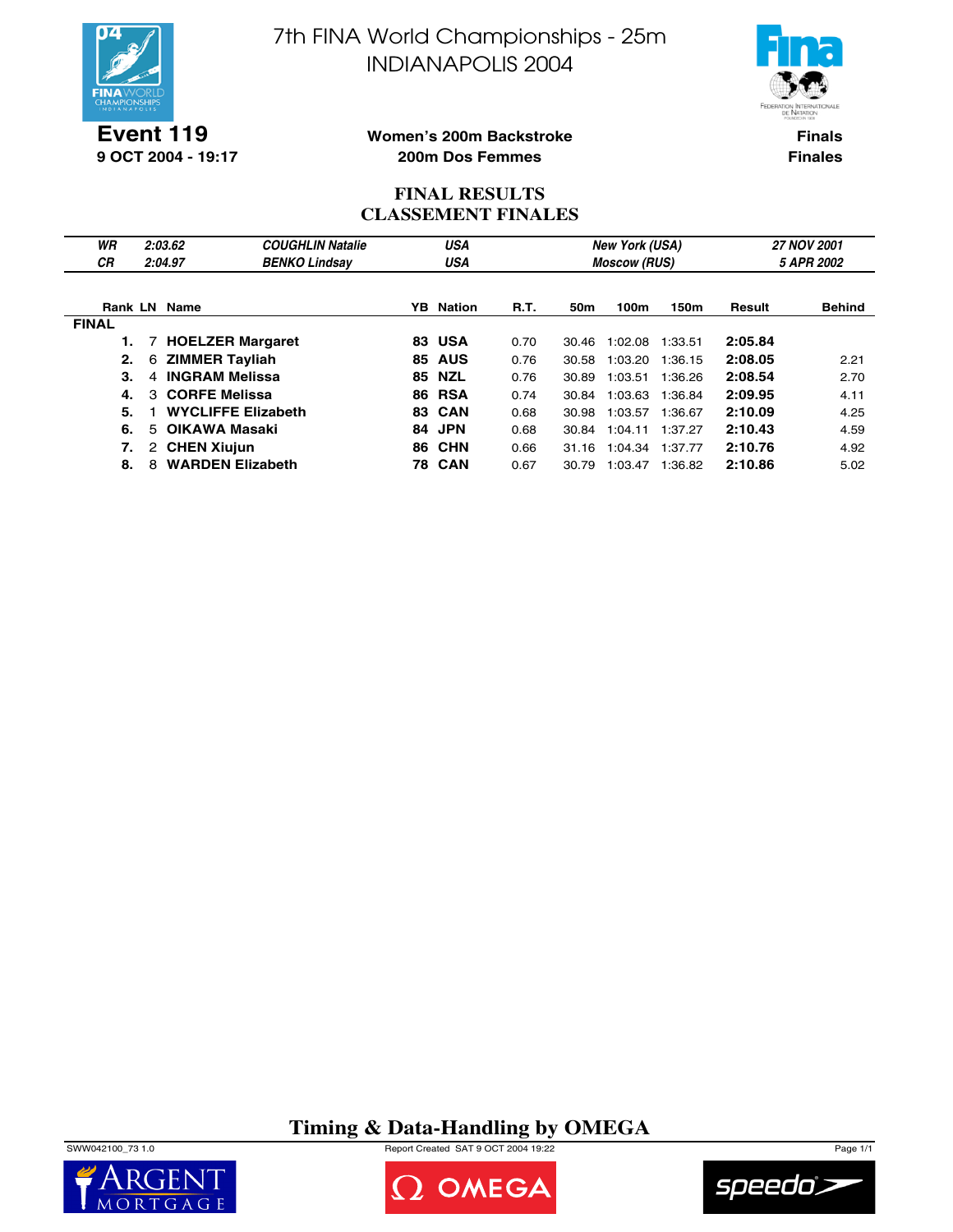

7th FINA World Championships - 25m INDIANAPOLIS 2004



**9 OCT 2004 - 19:17**

### **Women's 200m Backstroke 200m Dos Femmes**

**Finals Finales**

### **FINAL RESULTS CLASSEMENT FINALES**

| WR<br>СR     | 2:03.62<br>2:04.97           | <b>COUGHLIN Natalie</b><br><b>BENKO Lindsay</b> |     | <b>USA</b><br><b>USA</b> |             |       | <b>New York (USA)</b><br><b>Moscow (RUS)</b> |         | <b>27 NOV 2001</b><br>5 APR 2002 |               |  |
|--------------|------------------------------|-------------------------------------------------|-----|--------------------------|-------------|-------|----------------------------------------------|---------|----------------------------------|---------------|--|
|              | <b>Rank LN Name</b>          |                                                 |     | <b>YB</b> Nation         | <b>R.T.</b> | 50m   | 100m                                         | 150m    | Result                           | <b>Behind</b> |  |
| <b>FINAL</b> |                              |                                                 |     |                          |             |       |                                              |         |                                  |               |  |
|              | 7 HOELZER Margaret           |                                                 | 83. | <b>USA</b>               | 0.70        | 30.46 | 1:02.08                                      | 1:33.51 | 2:05.84                          |               |  |
| 2.           | <b>ZIMMER Tayliah</b><br>6   |                                                 | 85  | <b>AUS</b>               | 0.76        | 30.58 | 1:03.20                                      | 1:36.15 | 2:08.05                          | 2.21          |  |
| З.           | <b>INGRAM Melissa</b><br>4   |                                                 | 85  | <b>NZL</b>               | 0.76        | 30.89 | 1:03.51                                      | 1:36.26 | 2:08.54                          | 2.70          |  |
| 4.           | 3 CORFE Melissa              |                                                 | 86  | <b>RSA</b>               | 0.74        | 30.84 | 1:03.63                                      | 1:36.84 | 2:09.95                          | 4.11          |  |
| 5.           | <b>WYCLIFFE Elizabeth</b>    |                                                 | 83. | <b>CAN</b>               | 0.68        | 30.98 | 1:03.57                                      | 1:36.67 | 2:10.09                          | 4.25          |  |
| 6.           | OIKAWA Masaki<br>5.          |                                                 | 84  | <b>JPN</b>               | 0.68        | 30.84 | 1:04.11                                      | 1:37.27 | 2:10.43                          | 4.59          |  |
| 7.           | 2 CHEN Xiujun                |                                                 | 86  | <b>CHN</b>               | 0.66        | 31.16 | 1:04.34                                      | 1:37.77 | 2:10.76                          | 4.92          |  |
| 8.           | <b>WARDEN Elizabeth</b><br>8 |                                                 |     | <b>78 CAN</b>            | 0.67        | 30.79 | 1:03.47                                      | 1:36.82 | 2:10.86                          | 5.02          |  |

**Timing & Data-Handling by OMEGA**

SWW042100\_73 1.0 Report Created SAT 9 OCT 2004 19:22 Page 1/1





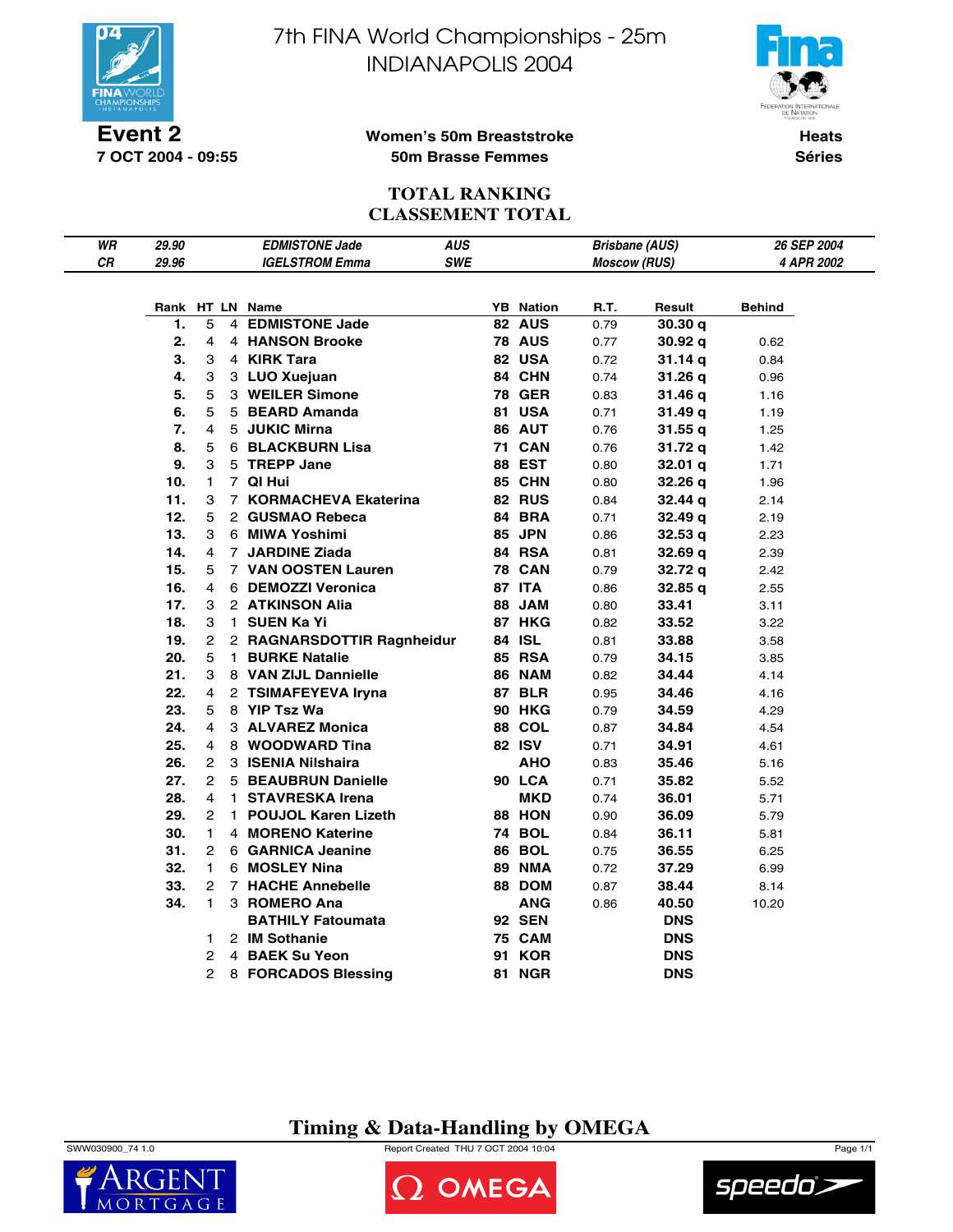

**7 OCT 2004 - 09:55**

7th FINA World Championships - 25m INDIANAPOLIS 2004



**Women's 50m Breaststroke 50m Brasse Femmes**

**Heats Séries**

## **TOTAL RANKING CLASSEMENT TOTAL**

| WR | 29.90 |                | <b>EDMISTONE Jade</b>      | <b>AUS</b> |    |                  | <b>Brisbane (AUS)</b> |                    | 26 SEP 2004 |
|----|-------|----------------|----------------------------|------------|----|------------------|-----------------------|--------------------|-------------|
| CR | 29.96 |                | <b>IGELSTROM Emma</b>      | <b>SWE</b> |    |                  | <b>Moscow (RUS)</b>   |                    | 4 APR 2002  |
|    |       |                |                            |            |    |                  |                       |                    |             |
|    |       |                | Rank HT LN Name            |            |    | <b>YB</b> Nation | R.T.                  | Result             | Behind      |
|    | 1.    | 5              | 4 EDMISTONE Jade           |            |    | 82 AUS           | 0.79                  | 30.30q             |             |
|    | 2.    | 4              | 4 HANSON Brooke            |            |    | <b>78 AUS</b>    | 0.77                  | 30.92 q            | 0.62        |
|    | 3.    | 3              | 4 KIRK Tara                |            |    | 82 USA           | 0.72                  | 31.14 q            | 0.84        |
|    | 4.    | 3              | 3 LUO Xuejuan              |            |    | 84 CHN           | 0.74                  | 31.26 q            | 0.96        |
|    | 5.    | 5              | 3 WEILER Simone            |            |    | <b>78 GER</b>    | 0.83                  | 31.46 q            | 1.16        |
|    | 6.    | 5              | 5 BEARD Amanda             |            |    | <b>81 USA</b>    | 0.71                  | 31.49 q            | 1.19        |
|    | 7.    | 4              | 5 JUKIC Mirna              |            |    | 86 AUT           | 0.76                  | 31.55 q            | 1.25        |
|    | 8.    | 5              | 6 BLACKBURN Lisa           |            |    | <b>71 CAN</b>    | 0.76                  | 31.72 q            | 1.42        |
|    | 9.    | 3              | 5 TREPP Jane               |            |    | 88 EST           | 0.80                  | 32.01 <sub>q</sub> | 1.71        |
|    | 10.   | $\mathbf{1}$   | 7 QI Hui                   |            |    | 85 CHN           | 0.80                  | 32.26 q            | 1.96        |
|    | 11.   | 3              | 7 KORMACHEVA Ekaterina     |            |    | 82 RUS           | 0.84                  | 32.44 q            | 2.14        |
|    | 12.   | 5              | 2 GUSMAO Rebeca            |            |    | 84 BRA           | 0.71                  | 32.49 q            | 2.19        |
|    | 13.   | 3              | 6 MIWA Yoshimi             |            |    | 85 JPN           | 0.86                  | 32.53q             | 2.23        |
|    | 14.   | 4              | 7 JARDINE Ziada            |            |    | <b>84 RSA</b>    | 0.81                  | 32.69 q            | 2.39        |
|    | 15.   | 5              | 7 VAN OOSTEN Lauren        |            |    | <b>78 CAN</b>    | 0.79                  | 32.72 q            | 2.42        |
|    | 16.   | 4              | 6 DEMOZZI Veronica         |            |    | <b>87 ITA</b>    | 0.86                  | 32.85 q            | 2.55        |
|    | 17.   | 3              | 2 ATKINSON Alia            |            |    | 88 JAM           | 0.80                  | 33.41              | 3.11        |
|    | 18.   | 3              | 1 SUEN Ka Yi               |            |    | 87 HKG           | 0.82                  | 33.52              | 3.22        |
|    | 19.   | $\overline{2}$ | 2 RAGNARSDOTTIR Ragnheidur |            |    | 84 ISL           | 0.81                  | 33.88              | 3.58        |
|    | 20.   | 5              | 1 BURKE Natalie            |            |    | <b>85 RSA</b>    | 0.79                  | 34.15              | 3.85        |
|    | 21.   | 3              | 8 VAN ZIJL Dannielle       |            |    | 86 NAM           | 0.82                  | 34.44              | 4.14        |
|    | 22.   | 4              | 2 TSIMAFEYEVA Iryna        |            |    | <b>87 BLR</b>    | 0.95                  | 34.46              | 4.16        |
|    | 23.   | 5              | 8 YIP Tsz Wa               |            |    | <b>90 HKG</b>    | 0.79                  | 34.59              | 4.29        |
|    | 24.   | 4              | 3 ALVAREZ Monica           |            |    | <b>88 COL</b>    | 0.87                  | 34.84              | 4.54        |
|    | 25.   | 4              | 8 WOODWARD Tina            |            |    | 82 ISV           | 0.71                  | 34.91              | 4.61        |
|    | 26.   | $\overline{2}$ | 3 ISENIA Nilshaira         |            |    | <b>AHO</b>       | 0.83                  | 35.46              | 5.16        |
|    | 27.   | $\overline{2}$ | <b>5 BEAUBRUN Danielle</b> |            |    | 90 LCA           | 0.71                  | 35.82              | 5.52        |
|    | 28.   | 4              | 1 STAVRESKA Irena          |            |    | MKD              | 0.74                  | 36.01              | 5.71        |
|    | 29.   | $\mathbf{2}$   | 1 POUJOL Karen Lizeth      |            |    | 88 HON           | 0.90                  | 36.09              | 5.79        |
|    | 30.   | $\mathbf{1}$   | 4 MORENO Katerine          |            |    | <b>74 BOL</b>    | 0.84                  | 36.11              | 5.81        |
|    | 31.   | $\overline{2}$ | 6 GARNICA Jeanine          |            |    | <b>86 BOL</b>    | 0.75                  | 36.55              | 6.25        |
|    | 32.   | 1.             | 6 MOSLEY Nina              |            |    | <b>89 NMA</b>    | 0.72                  | 37.29              | 6.99        |
|    | 33.   | 2              | <b>7 HACHE Annebelle</b>   |            |    | 88 DOM           | 0.87                  | 38.44              | 8.14        |
|    | 34.   | $\mathbf{1}$   | 3 ROMERO Ana               |            |    | <b>ANG</b>       | 0.86                  | 40.50              | 10.20       |
|    |       |                | <b>BATHILY Fatoumata</b>   |            |    | <b>92 SEN</b>    |                       | <b>DNS</b>         |             |
|    |       | 1.             | 2 IM Sothanie              |            |    | <b>75 CAM</b>    |                       | <b>DNS</b>         |             |
|    |       | $\mathbf{2}$   | 4 BAEK Su Yeon             |            |    | <b>91 KOR</b>    |                       | <b>DNS</b>         |             |
|    |       | $\overline{2}$ | 8 FORCADOS Blessing        |            | 81 | <b>NGR</b>       |                       | <b>DNS</b>         |             |

## **Timing & Data-Handling by OMEGA**

SWW030900\_74 1.0 Report Created THU 7 OCT 2004 10:04 Page 1/1



OMEGA

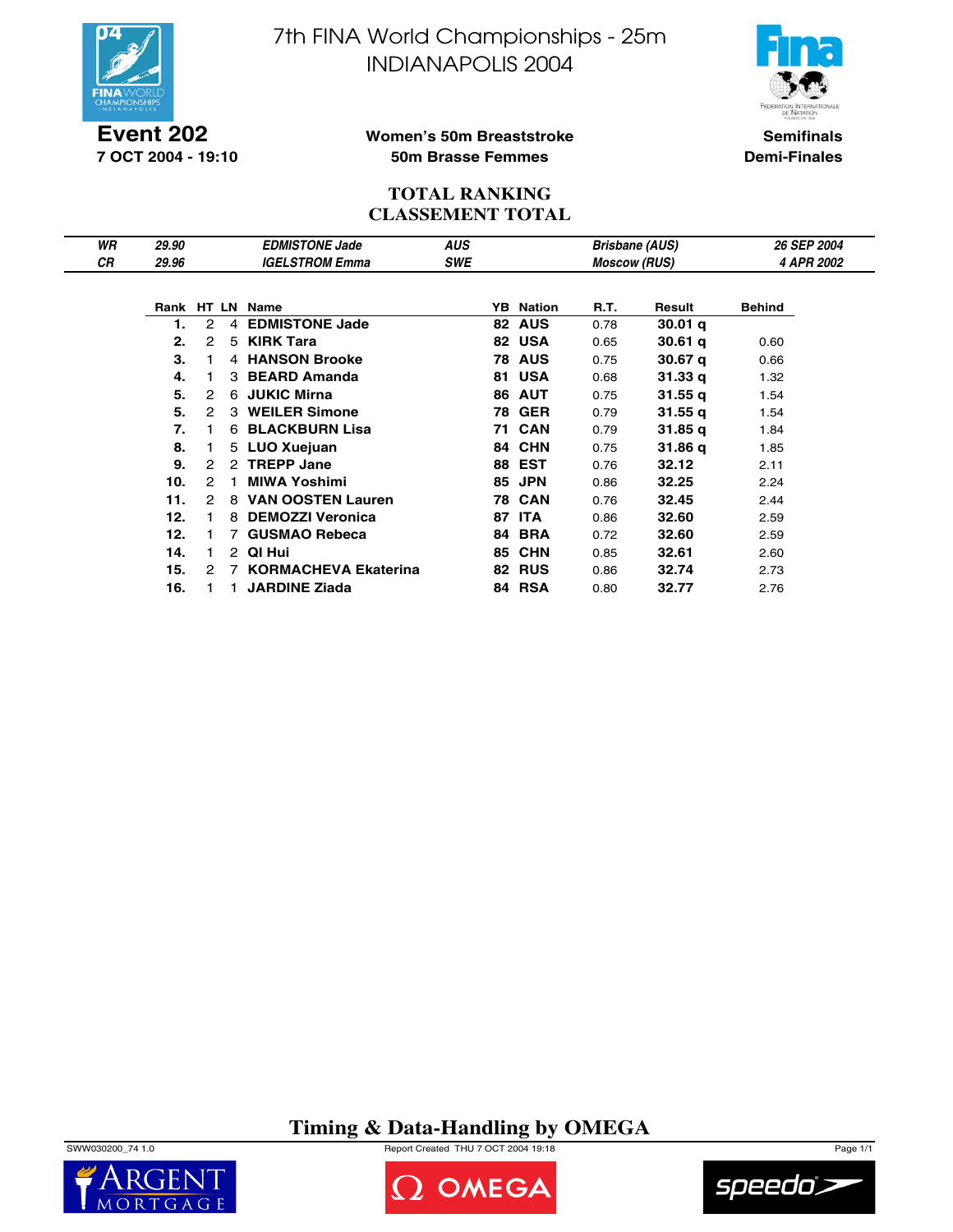



**Event 202 7 OCT 2004 - 19:10**

### **Women's 50m Breaststroke 50m Brasse Femmes**

**Semifinals Demi-Finales**

### **TOTAL RANKING CLASSEMENT TOTAL**

| WR | 29.90 |                      |                | <b>EDMISTONE Jade</b>    | <b>AUS</b> |    |                  |                     | <b>Brisbane (AUS)</b> | <b>26 SEP 2004</b> |  |
|----|-------|----------------------|----------------|--------------------------|------------|----|------------------|---------------------|-----------------------|--------------------|--|
| CR | 29.96 |                      |                | <b>IGELSTROM Emma</b>    | <b>SWE</b> |    |                  | <b>Moscow (RUS)</b> |                       | 4 APR 2002         |  |
|    |       |                      |                |                          |            |    |                  |                     |                       |                    |  |
|    |       |                      |                | Rank HT LN Name          |            |    | <b>YB</b> Nation | R.T.                | Result                | <b>Behind</b>      |  |
|    |       | $\overline{2}$       | $\overline{4}$ | <b>EDMISTONE Jade</b>    |            |    | 82 AUS           | 0.78                | 30.01 <sub>q</sub>    |                    |  |
|    | 2.    | 2                    |                | 5 KIRK Tara              |            |    | 82 USA           | 0.65                | 30.61q                | 0.60               |  |
|    | 3.    |                      |                | 4 HANSON Brooke          |            |    | <b>78 AUS</b>    | 0.75                | 30.67 <sub>q</sub>    | 0.66               |  |
|    | 4.    |                      |                | 3 BEARD Amanda           |            |    | <b>81 USA</b>    | 0.68                | 31.33q                | 1.32               |  |
|    | 5.    | $\mathcal{P}$        |                | 6 JUKIC Mirna            |            |    | <b>86 AUT</b>    | 0.75                | 31.55 <sub>q</sub>    | 1.54               |  |
|    | 5.    | $\mathcal{P}$        |                | 3 WEILER Simone          |            |    | <b>78 GER</b>    | 0.79                | 31.55 <sub>q</sub>    | 1.54               |  |
|    | 7.    |                      |                | 6 BLACKBURN Lisa         |            |    | <b>71 CAN</b>    | 0.79                | 31.85 <sub>q</sub>    | 1.84               |  |
|    | 8.    |                      |                | 5 LUO Xuejuan            |            |    | 84 CHN           | 0.75                | 31.86 g               | 1.85               |  |
|    | 9.    | $\mathcal{P}$        |                | 2 TREPP Jane             |            |    | <b>88 EST</b>    | 0.76                | 32.12                 | 2.11               |  |
|    | 10.   | 2                    | 1.             | <b>MIWA Yoshimi</b>      |            |    | <b>85 JPN</b>    | 0.86                | 32.25                 | 2.24               |  |
|    | 11.   | 2                    | 8              | <b>VAN OOSTEN Lauren</b> |            |    | <b>78 CAN</b>    | 0.76                | 32.45                 | 2.44               |  |
|    | 12.   |                      | 8              | <b>DEMOZZI Veronica</b>  |            | 87 | <b>ITA</b>       | 0.86                | 32.60                 | 2.59               |  |
|    | 12.   |                      | 7              | <b>GUSMAO Rebeca</b>     |            | 84 | <b>BRA</b>       | 0.72                | 32.60                 | 2.59               |  |
|    | 14.   | 1.                   |                | 2 QI Hui                 |            |    | <b>85 CHN</b>    | 0.85                | 32.61                 | 2.60               |  |
|    | 15.   | $\mathbf{2}^{\circ}$ |                | 7 KORMACHEVA Ekaterina   |            |    | <b>82 RUS</b>    | 0.86                | 32.74                 | 2.73               |  |
|    | 16.   |                      |                | <b>JARDINE Ziada</b>     |            |    | 84 RSA           | 0.80                | 32.77                 | 2.76               |  |

# **Timing & Data-Handling by OMEGA**

SWW030200\_74 1.0 Report Created THU 7 OCT 2004 19:18 Page 1/1





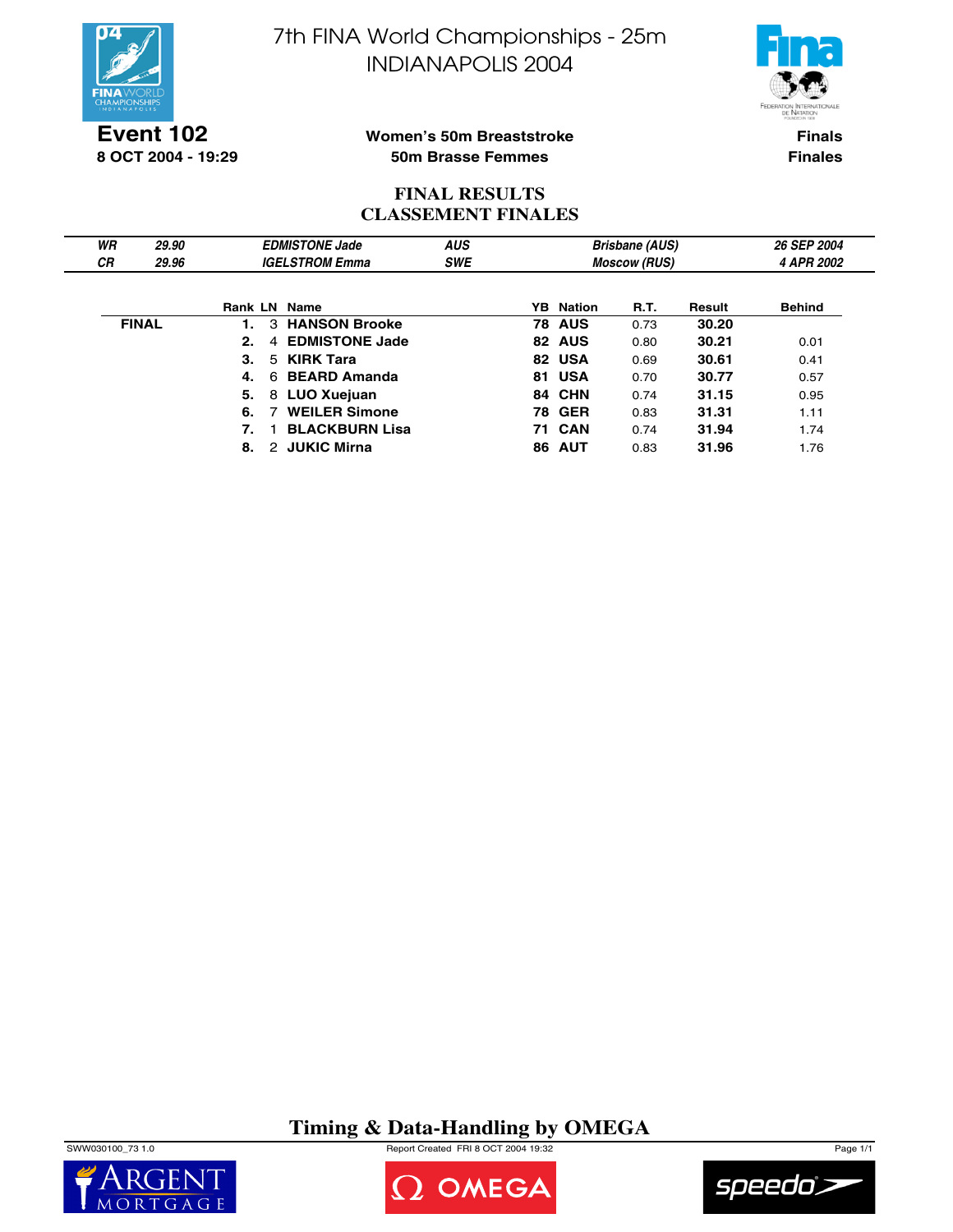



**Event 102 8 OCT 2004 - 19:29**

### **Women's 50m Breaststroke 50m Brasse Femmes**

**Finals Finales**

## **FINAL RESULTS CLASSEMENT FINALES**

| WR        | 29.90        |    | <b>EDMISTONE Jade</b>     | <b>AUS</b> |    |                     | <b>Brisbane (AUS)</b> |            | 26 SEP 2004   |
|-----------|--------------|----|---------------------------|------------|----|---------------------|-----------------------|------------|---------------|
| <b>CR</b> | 29.96        |    | <b>IGELSTROM Emma</b>     | <b>SWE</b> |    | <b>Moscow (RUS)</b> |                       | 4 APR 2002 |               |
|           |              |    |                           |            |    |                     |                       |            |               |
|           |              |    | <b>Rank LN Name</b>       |            |    | <b>YB</b> Nation    | R.T.                  | Result     | <b>Behind</b> |
|           | <b>FINAL</b> | 1. | 3 HANSON Brooke           |            |    | <b>78 AUS</b>       | 0.73                  | 30.20      |               |
|           |              | 2. | 4 EDMISTONE Jade          |            |    | 82 AUS              | 0.80                  | 30.21      | 0.01          |
|           |              | 3. | 5 KIRK Tara               |            |    | 82 USA              | 0.69                  | 30.61      | 0.41          |
|           |              | 4. | 6 BEARD Amanda            |            |    | 81 USA              | 0.70                  | 30.77      | 0.57          |
|           |              | 5. | 8 LUO Xuejuan             |            |    | 84 CHN              | 0.74                  | 31.15      | 0.95          |
|           |              | 6. | <b>WEILER Simone</b><br>7 |            |    | <b>78 GER</b>       | 0.83                  | 31.31      | 1.11          |
|           |              | 7. | <b>BLACKBURN Lisa</b>     |            |    | <b>71 CAN</b>       | 0.74                  | 31.94      | 1.74          |
|           |              | 8. | 2 JUKIC Mirna             |            | 86 | <b>AUT</b>          | 0.83                  | 31.96      | 1.76          |

**Timing & Data-Handling by OMEGA**

SWW030100\_73 1.0 Report Created FRI 8 OCT 2004 19:32 Page 1/1





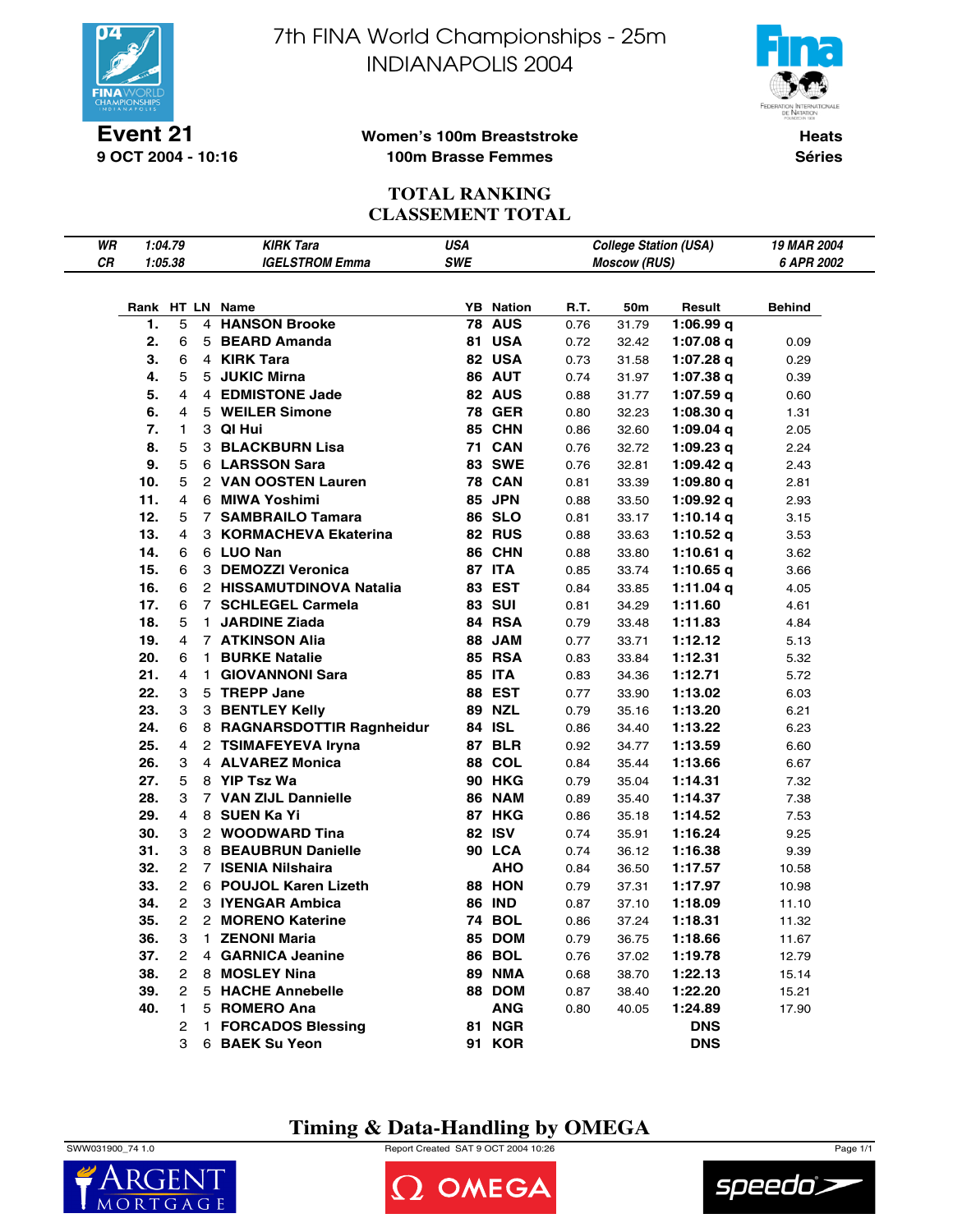

**9 OCT 2004 - 10:16**

7th FINA World Championships - 25m INDIANAPOLIS 2004



### **Women's 100m Breaststroke 100m Brasse Femmes**

**Heats Séries**

## **TOTAL RANKING CLASSEMENT TOTAL**

| WR         | 1:04.79 |                | <b>KIRK Tara</b>           | <b>USA</b> |                  |      | <b>College Station (USA)</b> |             | 19 MAR 2004   |
|------------|---------|----------------|----------------------------|------------|------------------|------|------------------------------|-------------|---------------|
| ${\it CR}$ | 1:05.38 |                | <b>IGELSTROM Emma</b>      | SWE        |                  |      | <b>Moscow (RUS)</b>          |             | 6 APR 2002    |
|            |         |                |                            |            |                  |      |                              |             |               |
|            |         |                | Rank HT LN Name            |            | <b>YB</b> Nation | R.T. | 50m                          | Result      | <b>Behind</b> |
|            | 1.      | 5              | 4 HANSON Brooke            |            | <b>78 AUS</b>    | 0.76 | 31.79                        | 1:06.99 $q$ |               |
|            | 2.      | 6              | 5 BEARD Amanda             |            | <b>81 USA</b>    | 0.72 | 32.42                        | 1:07.08 $q$ | 0.09          |
|            | 3.      | 6              | 4 KIRK Tara                |            | 82 USA           | 0.73 | 31.58                        | 1:07.28 q   | 0.29          |
|            | 4.      | 5              | 5 JUKIC Mirna              |            | 86 AUT           | 0.74 | 31.97                        | 1:07.38q    | 0.39          |
|            | 5.      | 4              | 4 EDMISTONE Jade           |            | 82 AUS           | 0.88 | 31.77                        | 1:07.59q    | 0.60          |
|            | 6.      | 4              | 5 WEILER Simone            |            | <b>78 GER</b>    | 0.80 | 32.23                        | 1:08.30 $q$ | 1.31          |
|            | 7.      | 1              | 3 QI Hui                   |            | 85 CHN           | 0.86 | 32.60                        | 1:09.04 q   | 2.05          |
|            | 8.      | 5              | <b>3 BLACKBURN Lisa</b>    |            | <b>71 CAN</b>    | 0.76 | 32.72                        | 1:09.23 $q$ | 2.24          |
|            | 9.      | 5              | 6 LARSSON Sara             |            | <b>83 SWE</b>    | 0.76 | 32.81                        | 1:09.42 $q$ | 2.43          |
|            | 10.     | 5              | 2 VAN OOSTEN Lauren        |            | <b>78 CAN</b>    | 0.81 | 33.39                        | 1:09.80 $q$ | 2.81          |
|            | 11.     | 4              | 6 MIWA Yoshimi             |            | 85 JPN           | 0.88 | 33.50                        | 1:09.92 $q$ | 2.93          |
|            | 12.     | 5              | 7 SAMBRAILO Tamara         |            | <b>86 SLO</b>    | 0.81 | 33.17                        | 1:10.14 $q$ | 3.15          |
|            | 13.     | 4              | 3 KORMACHEVA Ekaterina     |            | 82 RUS           | 0.88 | 33.63                        | 1:10.52 $q$ | 3.53          |
|            | 14.     | 6              | 6 LUO Nan                  |            | 86 CHN           | 0.88 | 33.80                        | 1:10.61 $q$ | 3.62          |
|            | 15.     | 6              | 3 DEMOZZI Veronica         |            | 87 ITA           | 0.85 | 33.74                        | 1:10.65 $q$ | 3.66          |
|            | 16.     | 6              | 2 HISSAMUTDINOVA Natalia   |            | 83 EST           | 0.84 | 33.85                        | 1:11.04 q   | 4.05          |
|            | 17.     | 6              | 7 SCHLEGEL Carmela         |            | <b>83 SUI</b>    | 0.81 | 34.29                        | 1:11.60     | 4.61          |
|            | 18.     | 5              | 1 JARDINE Ziada            |            | 84 RSA           | 0.79 | 33.48                        | 1:11.83     | 4.84          |
|            | 19.     | 4              | <b>7 ATKINSON Alia</b>     |            | 88 JAM           | 0.77 | 33.71                        | 1:12.12     | 5.13          |
|            | 20.     | 6              | 1 BURKE Natalie            |            | <b>85 RSA</b>    | 0.83 | 33.84                        | 1:12.31     | 5.32          |
|            | 21.     | 4              | 1 GIOVANNONI Sara          |            | <b>85 ITA</b>    | 0.83 | 34.36                        | 1:12.71     | 5.72          |
|            | 22.     | 3              | 5 TREPP Jane               |            | 88 EST           | 0.77 | 33.90                        | 1:13.02     | 6.03          |
|            | 23.     | 3              | 3 BENTLEY Kelly            |            | <b>89 NZL</b>    | 0.79 | 35.16                        | 1:13.20     | 6.21          |
|            | 24.     | 6              | 8 RAGNARSDOTTIR Ragnheidur |            | 84 ISL           | 0.86 | 34.40                        | 1:13.22     | 6.23          |
|            | 25.     | 4              | 2 TSIMAFEYEVA Iryna        |            | 87 BLR           | 0.92 | 34.77                        | 1:13.59     | 6.60          |
|            | 26.     | 3              | 4 ALVAREZ Monica           |            | <b>88 COL</b>    | 0.84 | 35.44                        | 1:13.66     | 6.67          |
|            | 27.     | 5              | 8 YIP Tsz Wa               |            | <b>90 HKG</b>    | 0.79 | 35.04                        | 1:14.31     | 7.32          |
|            | 28.     | 3              | 7 VAN ZIJL Dannielle       |            | <b>86 NAM</b>    | 0.89 | 35.40                        | 1:14.37     | 7.38          |
|            | 29.     | 4              | 8 SUEN Ka Yi               |            | 87 HKG           | 0.86 | 35.18                        | 1:14.52     | 7.53          |
|            | 30.     | 3              | 2 WOODWARD Tina            |            | 82 ISV           | 0.74 | 35.91                        | 1:16.24     | 9.25          |
|            | 31.     | 3              | 8 BEAUBRUN Danielle        |            | 90 LCA           | 0.74 | 36.12                        | 1:16.38     | 9.39          |
|            | 32.     | $\mathbf{2}$   | 7 ISENIA Nilshaira         |            | <b>AHO</b>       | 0.84 | 36.50                        | 1:17.57     | 10.58         |
|            | 33.     | $\overline{2}$ | 6 POUJOL Karen Lizeth      |            | 88 HON           | 0.79 | 37.31                        | 1:17.97     | 10.98         |
|            | 34.     | $\overline{2}$ | 3 IYENGAR Ambica           |            | <b>86 IND</b>    | 0.87 | 37.10                        | 1:18.09     | 11.10         |
|            | 35.     | $\overline{2}$ | 2 MORENO Katerine          |            | <b>74 BOL</b>    | 0.86 | 37.24                        | 1:18.31     | 11.32         |
|            | 36.     | 3              | 1 ZENONI Maria             |            | <b>85 DOM</b>    | 0.79 | 36.75                        | 1:18.66     | 11.67         |
|            | 37.     | $\overline{2}$ | 4 GARNICA Jeanine          |            | <b>86 BOL</b>    | 0.76 | 37.02                        | 1:19.78     | 12.79         |
|            | 38.     | $\overline{2}$ | 8 MOSLEY Nina              |            | <b>89 NMA</b>    | 0.68 | 38.70                        | 1:22.13     | 15.14         |
|            | 39.     | $\overline{2}$ | 5 HACHE Annebelle          |            | 88 DOM           | 0.87 | 38.40                        | 1:22.20     | 15.21         |
|            | 40.     | 1              | 5 ROMERO Ana               |            | ANG              | 0.80 | 40.05                        | 1:24.89     | 17.90         |
|            |         | 2              | 1 FORCADOS Blessing        |            | <b>81 NGR</b>    |      |                              | <b>DNS</b>  |               |
|            |         | 3              | 6 BAEK Su Yeon             |            | 91 KOR           |      |                              | <b>DNS</b>  |               |

**Timing & Data-Handling by OMEGA**



MORT

SWW031900\_74 1.0 Report Created SAT 9 OCT 2004 10:26 Page 1/1

OMEGA

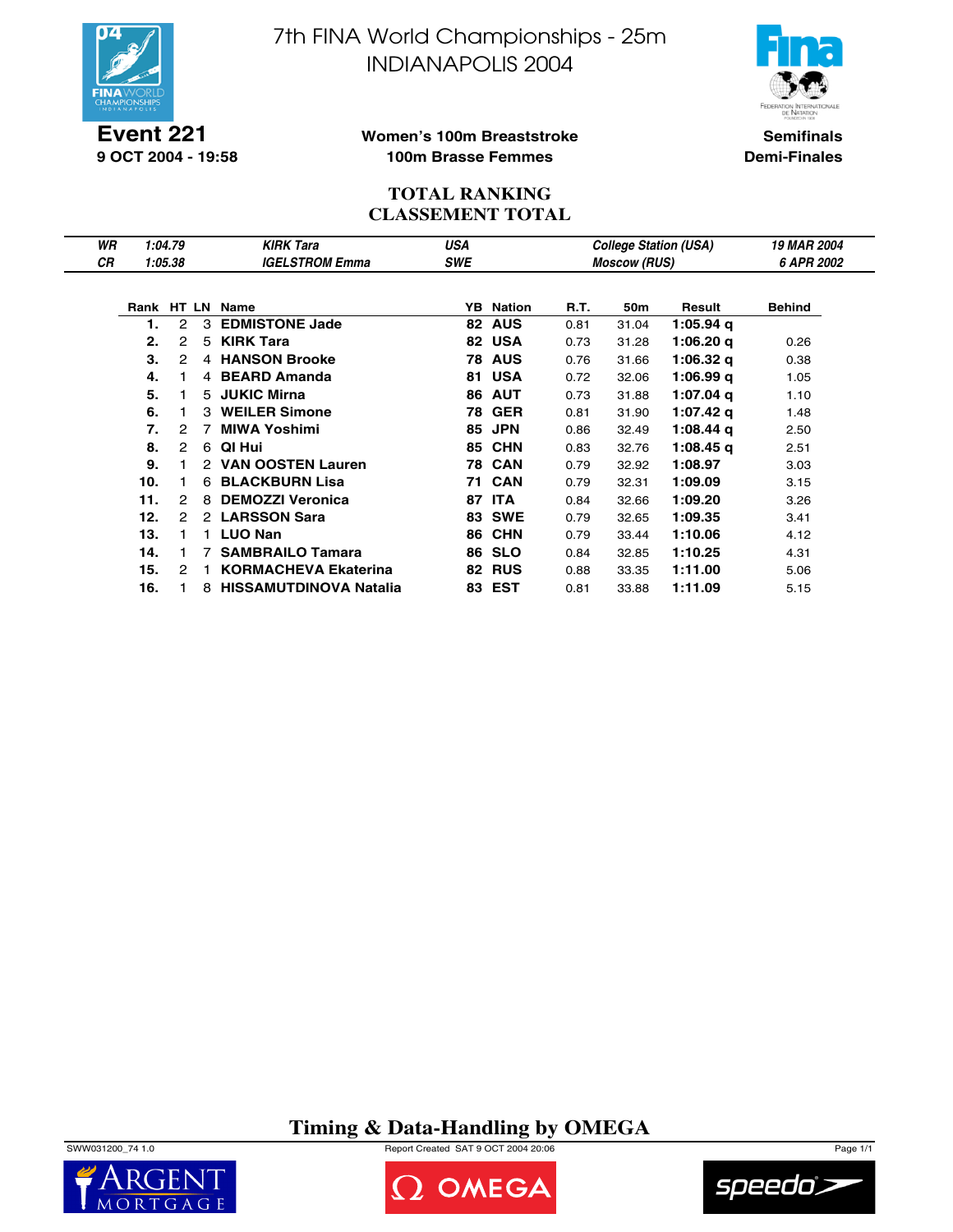

**Event 221 9 OCT 2004 - 19:58** 7th FINA World Championships - 25m INDIANAPOLIS 2004



**Women's 100m Breaststroke 100m Brasse Femmes**

**Semifinals Demi-Finales**

## **TOTAL RANKING CLASSEMENT TOTAL**

| WR | 1:04.79 |   |    | <b>KIRK Tara</b>            | USA |                  |      |                     | <b>College Station (USA)</b> | <b>19 MAR 2004</b> |
|----|---------|---|----|-----------------------------|-----|------------------|------|---------------------|------------------------------|--------------------|
| СR | 1:05.38 |   |    | <b>IGELSTROM Emma</b>       | SWE |                  |      | <b>Moscow (RUS)</b> |                              | 6 APR 2002         |
|    |         |   |    |                             |     |                  |      |                     |                              |                    |
|    |         |   |    | Rank HT LN Name             |     | <b>YB</b> Nation | R.T. | 50m                 | Result                       | <b>Behind</b>      |
|    |         | 2 | 3  | <b>EDMISTONE Jade</b>       |     | 82 AUS           | 0.81 | 31.04               | 1:05.94 g                    |                    |
|    | 2.      | 2 | 5  | <b>KIRK Tara</b>            |     | 82 USA           | 0.73 | 31.28               | $1:06.20$ q                  | 0.26               |
|    | 3.      | 2 |    | 4 HANSON Brooke             |     | <b>78 AUS</b>    | 0.76 | 31.66               | 1:06.32 g                    | 0.38               |
|    | 4.      |   |    | 4 BEARD Amanda              | 81  | <b>USA</b>       | 0.72 | 32.06               | 1:06.99q                     | 1.05               |
|    | 5.      |   |    | 5 JUKIC Mirna               | 86  | <b>AUT</b>       | 0.73 | 31.88               | 1:07.04 g                    | 1.10               |
|    | 6.      |   | 3  | <b>WEILER Simone</b>        | 78  | <b>GER</b>       | 0.81 | 31.90               | 1:07.42 g                    | 1.48               |
|    | 7.      | 2 | 7  | <b>MIWA Yoshimi</b>         | 85  | <b>JPN</b>       | 0.86 | 32.49               | $1:08.44$ q                  | 2.50               |
|    | 8.      | 2 |    | 6 QI Hui                    |     | <b>85 CHN</b>    | 0.83 | 32.76               | $1:08.45$ q                  | 2.51               |
|    | 9.      |   |    | 2 VAN OOSTEN Lauren         |     | <b>78 CAN</b>    | 0.79 | 32.92               | 1:08.97                      | 3.03               |
|    | 10.     |   |    | 6 BLACKBURN Lisa            |     | <b>71 CAN</b>    | 0.79 | 32.31               | 1:09.09                      | 3.15               |
|    | 11.     | 2 | 8  | <b>DEMOZZI Veronica</b>     | 87  | <b>ITA</b>       | 0.84 | 32.66               | 1:09.20                      | 3.26               |
|    | 12.     | 2 |    | 2 LARSSON Sara              |     | <b>83 SWE</b>    | 0.79 | 32.65               | 1:09.35                      | 3.41               |
|    | 13.     |   | 1. | <b>LUO Nan</b>              |     | <b>86 CHN</b>    | 0.79 | 33.44               | 1:10.06                      | 4.12               |
|    | 14.     |   | 7  | <b>SAMBRAILO Tamara</b>     |     | <b>86 SLO</b>    | 0.84 | 32.85               | 1:10.25                      | 4.31               |
|    | 15.     | 2 | 1. | <b>KORMACHEVA Ekaterina</b> |     | <b>82 RUS</b>    | 0.88 | 33.35               | 1:11.00                      | 5.06               |
|    | 16.     |   |    | 8 HISSAMUTDINOVA Natalia    |     | 83 EST           | 0.81 | 33.88               | 1:11.09                      | 5.15               |

**Timing & Data-Handling by OMEGA**







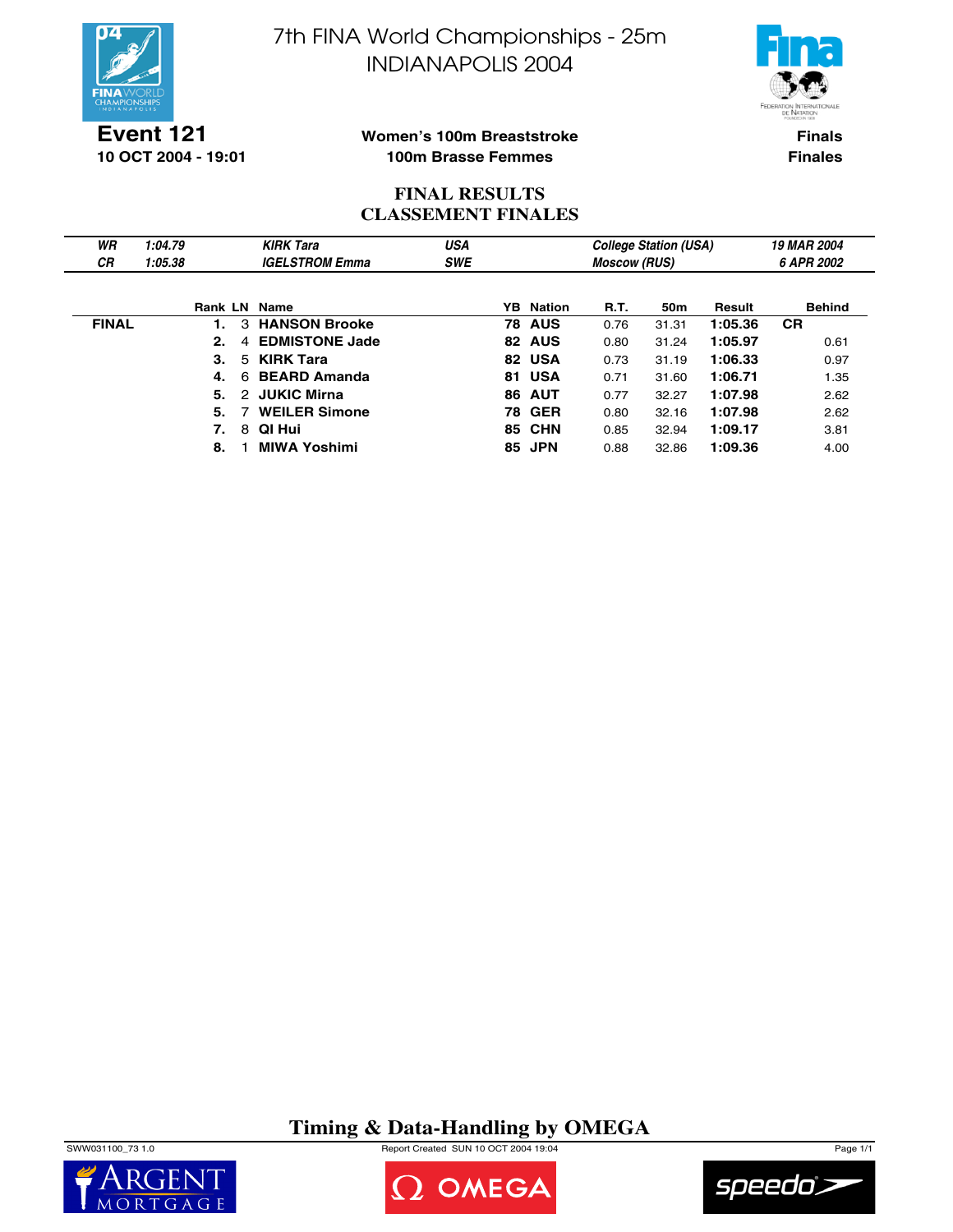



**Event 121 10 OCT 2004 - 19:01**

### **Women's 100m Breaststroke 100m Brasse Femmes**

**Finals Finales**

## **FINAL RESULTS CLASSEMENT FINALES**

| WR           | 1:04.79 |              |    | <b>KIRK Tara</b>      | <b>USA</b> |    |                  |      | <b>College Station (USA)</b> |         | 19 MAR 2004   |
|--------------|---------|--------------|----|-----------------------|------------|----|------------------|------|------------------------------|---------|---------------|
| <b>CR</b>    | 1:05.38 |              |    | <b>IGELSTROM Emma</b> | <b>SWE</b> |    |                  |      | 6 APR 2002                   |         |               |
|              |         |              |    |                       |            |    |                  |      |                              |         |               |
|              |         | Rank LN Name |    |                       |            |    | <b>YB</b> Nation | R.T. | 50 <sub>m</sub>              | Result  | <b>Behind</b> |
| <b>FINAL</b> |         |              |    | 3 HANSON Brooke       |            |    | <b>78 AUS</b>    | 0.76 | 31.31                        | 1:05.36 | <b>CR</b>     |
|              |         | 2.           | 4  | <b>EDMISTONE Jade</b> |            |    | 82 AUS           | 0.80 | 31.24                        | 1:05.97 | 0.61          |
|              |         | 3.           | 5. | <b>KIRK Tara</b>      |            |    | 82 USA           | 0.73 | 31.19                        | 1:06.33 | 0.97          |
|              |         | 4.           | 6  | <b>BEARD Amanda</b>   |            |    | 81 USA           | 0.71 | 31.60                        | 1:06.71 | 1.35          |
|              |         | 5.           |    | 2 JUKIC Mirna         |            | 86 | <b>AUT</b>       | 0.77 | 32.27                        | 1:07.98 | 2.62          |
|              |         | 5.           |    | <b>WEILER Simone</b>  |            |    | <b>78 GER</b>    | 0.80 | 32.16                        | 1:07.98 | 2.62          |
|              |         | 7.           | 8  | QI Hui                |            |    | <b>85 CHN</b>    | 0.85 | 32.94                        | 1:09.17 | 3.81          |
|              |         | 8.           |    | <b>MIWA Yoshimi</b>   |            | 85 | <b>JPN</b>       | 0.88 | 32.86                        | 1:09.36 | 4.00          |

# **Timing & Data-Handling by OMEGA**

SWW031100\_73 1.0 Report Created SUN 10 OCT 2004 19:04 Page 1/1





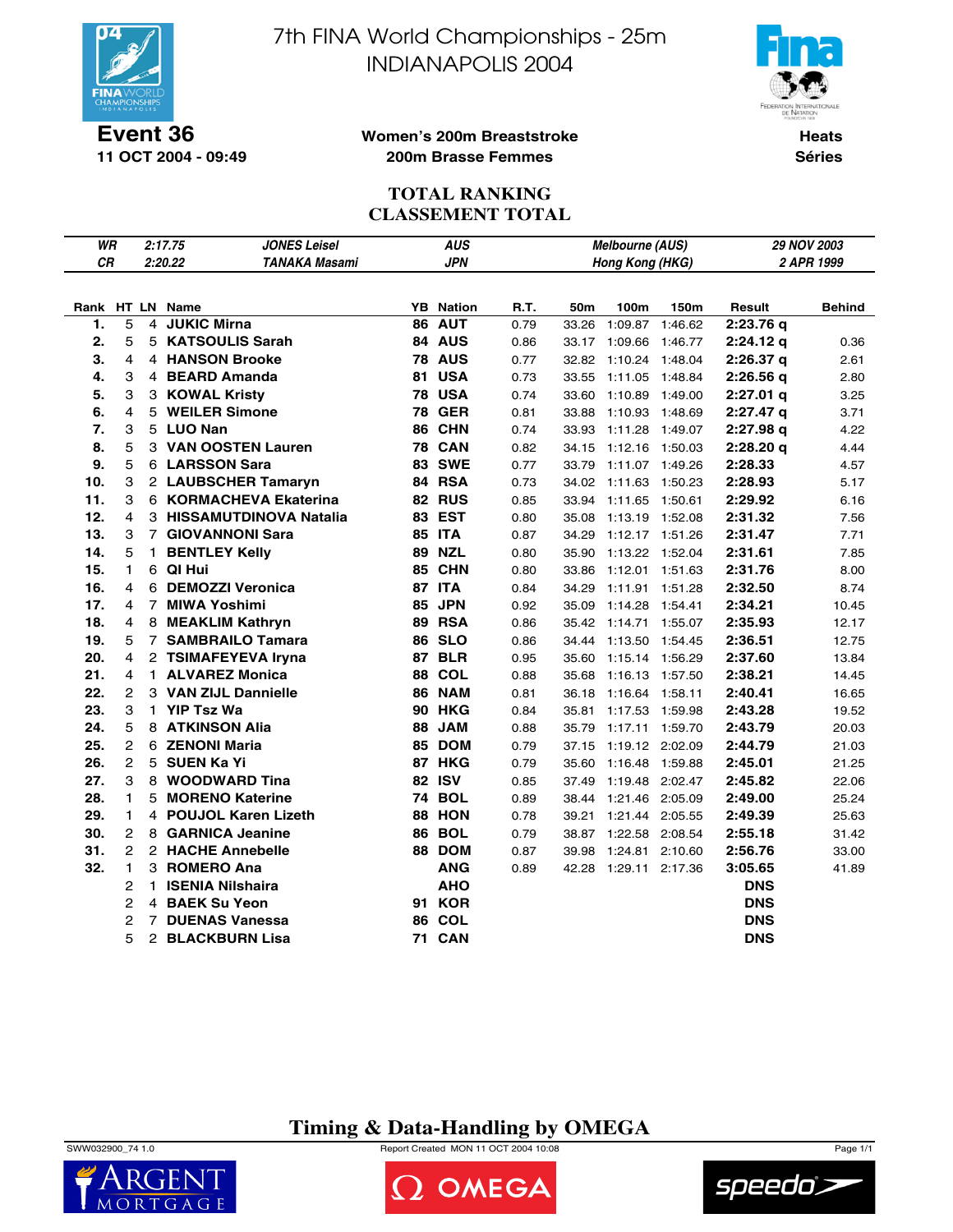

**11 OCT 2004 - 09:49**

7th FINA World Championships - 25m INDIANAPOLIS 2004



#### **Women's 200m Breaststroke 200m Brasse Femmes**

**Heats Séries**

## **TOTAL RANKING CLASSEMENT TOTAL**

| WR        |                   |                | <b>JONES Leisel</b><br>2:17.75 |    | <b>AUS</b>       |      |       | Melbourne (AUS) |         |                      | 29 NOV 2003   |
|-----------|-------------------|----------------|--------------------------------|----|------------------|------|-------|-----------------|---------|----------------------|---------------|
| <b>CR</b> |                   |                | 2:20.22<br>TANAKA Masami       |    | <b>JPN</b>       |      |       | Hong Kong (HKG) |         |                      | 2 APR 1999    |
|           |                   |                |                                |    |                  |      |       |                 |         |                      |               |
|           |                   |                | Rank HT LN Name                |    | <b>YB</b> Nation | R.T. | 50m   | 100m            | 150m    | Result               | <b>Behind</b> |
| 1.        | 5                 | 4              | <b>JUKIC Mirna</b>             |    | 86 AUT           | 0.79 | 33.26 | 1:09.87         | 1:46.62 | 2:23.76q             |               |
| 2.        | 5                 |                | 5 KATSOULIS Sarah              |    | 84 AUS           | 0.86 | 33.17 | 1:09.66         | 1:46.77 | $2:24.12$ q          | 0.36          |
| 3.        | 4                 |                | <b>4 HANSON Brooke</b>         |    | <b>78 AUS</b>    | 0.77 | 32.82 | 1:10.24         | 1:48.04 | 2:26.37 <sub>q</sub> | 2.61          |
| 4.        | 3                 |                | 4 BEARD Amanda                 | 81 | <b>USA</b>       | 0.73 | 33.55 | 1:11.05         | 1:48.84 | 2:26.56q             | 2.80          |
| 5.        | 3                 |                | 3 KOWAL Kristy                 |    | <b>78 USA</b>    | 0.74 | 33.60 | 1:10.89         | 1:49.00 | $2:27.01$ q          | 3.25          |
| 6.        | 4                 |                | 5 WEILER Simone                | 78 | <b>GER</b>       | 0.81 | 33.88 | 1:10.93         | 1:48.69 | $2:27.47$ q          | 3.71          |
| 7.        | 3                 |                | 5 LUO Nan                      | 86 | <b>CHN</b>       | 0.74 | 33.93 | 1:11.28         | 1:49.07 | 2:27.98q             | 4.22          |
| 8.        | 5                 |                | 3 VAN OOSTEN Lauren            | 78 | <b>CAN</b>       | 0.82 | 34.15 | 1:12.16         | 1:50.03 | 2:28.20q             | 4.44          |
| 9.        | 5                 |                | 6 LARSSON Sara                 |    | <b>83 SWE</b>    | 0.77 | 33.79 | 1:11.07 1:49.26 |         | 2:28.33              | 4.57          |
| 10.       | 3                 |                | 2 LAUBSCHER Tamaryn            |    | 84 RSA           | 0.73 | 34.02 | 1:11.63         | 1:50.23 | 2:28.93              | 5.17          |
| 11.       | 3                 |                | 6 KORMACHEVA Ekaterina         |    | 82 RUS           | 0.85 | 33.94 | 1:11.65         | 1:50.61 | 2:29.92              | 6.16          |
| 12.       | 4                 |                | 3 HISSAMUTDINOVA Natalia       |    | 83 EST           | 0.80 | 35.08 | 1:13.19         | 1:52.08 | 2:31.32              | 7.56          |
| 13.       | 3                 |                | 7 GIOVANNONI Sara              |    | <b>85 ITA</b>    | 0.87 | 34.29 | 1:12.17 1:51.26 |         | 2:31.47              | 7.71          |
| 14.       | 5                 |                | 1 BENTLEY Kelly                |    | <b>89 NZL</b>    | 0.80 | 35.90 | 1:13.22 1:52.04 |         | 2:31.61              | 7.85          |
| 15.       | $\mathbf{1}$      |                | 6 QI Hui                       | 85 | CHN              | 0.80 | 33.86 | 1:12.01         | 1:51.63 | 2:31.76              | 8.00          |
| 16.       | 4                 |                | 6 DEMOZZI Veronica             |    | 87 ITA           | 0.84 | 34.29 | 1:11.91         | 1:51.28 | 2:32.50              | 8.74          |
| 17.       | 4                 | $\overline{7}$ | <b>MIWA Yoshimi</b>            |    | 85 JPN           | 0.92 | 35.09 | 1:14.28         | 1:54.41 | 2:34.21              | 10.45         |
| 18.       | 4                 |                | 8 MEAKLIM Kathryn              |    | <b>89 RSA</b>    | 0.86 | 35.42 | 1:14.71         | 1:55.07 | 2:35.93              | 12.17         |
| 19.       | 5                 | $\overline{7}$ | <b>SAMBRAILO Tamara</b>        | 86 | <b>SLO</b>       | 0.86 | 34.44 | 1:13.50         | 1:54.45 | 2:36.51              | 12.75         |
| 20.       | 4                 |                | 2 TSIMAFEYEVA Iryna            | 87 | <b>BLR</b>       | 0.95 | 35.60 | 1:15.14         | 1:56.29 | 2:37.60              | 13.84         |
| 21.       | 4                 |                | 1 ALVAREZ Monica               | 88 | <b>COL</b>       | 0.88 | 35.68 | 1:16.13         | 1:57.50 | 2:38.21              | 14.45         |
| 22.       | $\overline{2}$    |                | 3 VAN ZIJL Dannielle           | 86 | <b>NAM</b>       | 0.81 | 36.18 | 1:16.64         | 1:58.11 | 2:40.41              | 16.65         |
| 23.       | 3                 |                | 1 YIP Tsz Wa                   |    | <b>90 HKG</b>    | 0.84 | 35.81 | 1:17.53         | 1:59.98 | 2:43.28              | 19.52         |
| 24.       | 5                 |                | 8 ATKINSON Alia                |    | 88 JAM           | 0.88 | 35.79 | 1:17.11         | 1:59.70 | 2:43.79              | 20.03         |
| 25.       | 2                 |                | 6 ZENONI Maria                 |    | 85 DOM           | 0.79 | 37.15 | 1:19.12 2:02.09 |         | 2:44.79              | 21.03         |
| 26.       | 2                 |                | 5 SUEN Ka Yi                   | 87 | <b>HKG</b>       | 0.79 | 35.60 | 1:16.48         | 1:59.88 | 2:45.01              | 21.25         |
| 27.       | 3                 |                | 8 WOODWARD Tina                |    | <b>82 ISV</b>    | 0.85 | 37.49 | 1:19.48 2:02.47 |         | 2:45.82              | 22.06         |
| 28.       | 1                 |                | 5 MORENO Katerine              | 74 | <b>BOL</b>       | 0.89 | 38.44 | 1:21.46 2:05.09 |         | 2:49.00              | 25.24         |
| 29.       | $\mathbf{1}$      |                | 4 POUJOL Karen Lizeth          | 88 | <b>HON</b>       | 0.78 | 39.21 | 1:21.44         | 2:05.55 | 2:49.39              | 25.63         |
| 30.       | 2                 |                | 8 GARNICA Jeanine              |    | <b>86 BOL</b>    | 0.79 | 38.87 | 1:22.58         | 2:08.54 | 2:55.18              | 31.42         |
| 31.       | 2<br>$\mathbf{1}$ |                | 2 HACHE Annebelle              |    | 88 DOM           | 0.87 | 39.98 | 1:24.81         | 2:10.60 | 2:56.76              | 33.00         |
| 32.       |                   |                | 3 ROMERO Ana                   |    | <b>ANG</b>       | 0.89 | 42.28 | 1:29.11         | 2:17.36 | 3:05.65              | 41.89         |
|           | 2                 | $\mathbf{1}$   | <b>ISENIA Nilshaira</b>        |    | <b>AHO</b>       |      |       |                 |         | <b>DNS</b>           |               |
|           | 2                 |                | 4 BAEK Su Yeon                 |    | 91 KOR           |      |       |                 |         | <b>DNS</b>           |               |
|           | 2                 | $\overline{7}$ | <b>DUENAS Vanessa</b>          | 86 | COL              |      |       |                 |         | <b>DNS</b>           |               |
|           | 5                 |                | 2 BLACKBURN Lisa               | 71 | CAN              |      |       |                 |         | <b>DNS</b>           |               |

## **Timing & Data-Handling by OMEGA**

SWW032900\_74 1.0 Report Created MON 11 OCT 2004 10:08 Page 1/1





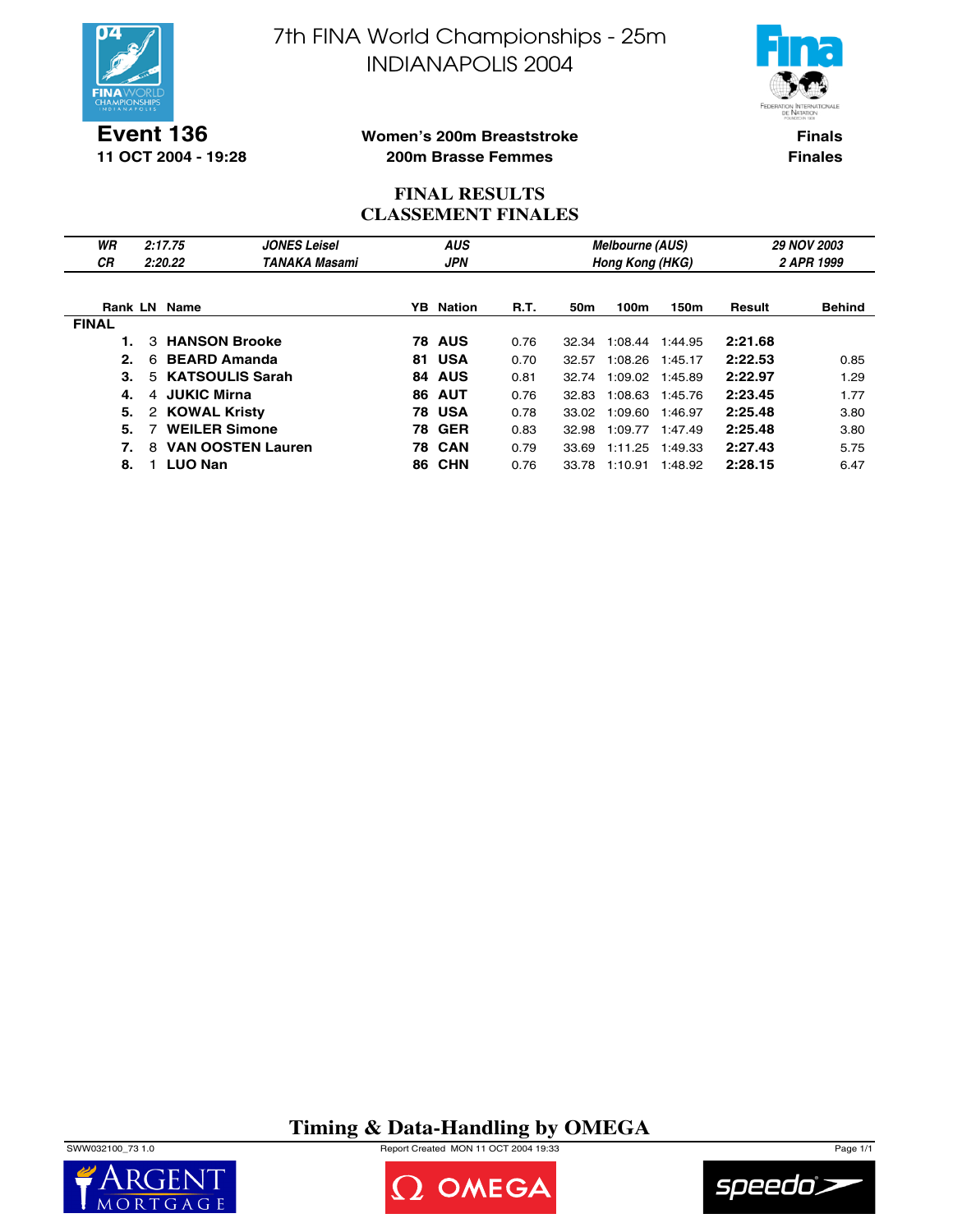



**Event 136 11 OCT 2004 - 19:28**

### **Women's 200m Breaststroke 200m Brasse Femmes**

**Finals Finales**

## **FINAL RESULTS CLASSEMENT FINALES**

| WR<br><b>CR</b> | 2:17.75<br>2:20.22            | <b>JONES Leisel</b><br>TANAKA Masami | <b>AUS</b><br><b>JPN</b> |                  |      |       | <b>Melbourne (AUS)</b><br>Hong Kong (HKG) |         | <b>29 NOV 2003</b><br>2 APR 1999 |               |  |
|-----------------|-------------------------------|--------------------------------------|--------------------------|------------------|------|-------|-------------------------------------------|---------|----------------------------------|---------------|--|
|                 |                               |                                      |                          |                  |      |       |                                           |         |                                  |               |  |
| Rank LN         | Name                          |                                      |                          | <b>YB</b> Nation | R.T. | 50m   | 100m                                      | 150m    | Result                           | <b>Behind</b> |  |
| <b>FINAL</b>    |                               |                                      |                          |                  |      |       |                                           |         |                                  |               |  |
|                 | <b>HANSON Brooke</b><br>3     |                                      |                          | <b>78 AUS</b>    | 0.76 | 32.34 | 1:08.44                                   | 1:44.95 | 2:21.68                          |               |  |
| 2.              | <b>BEARD Amanda</b><br>6      |                                      |                          | 81 USA           | 0.70 | 32.57 | 1:08.26                                   | 1:45.17 | 2:22.53                          | 0.85          |  |
| 3.              | 5 KATSOULIS Sarah             |                                      | 84                       | <b>AUS</b>       | 0.81 | 32.74 | 1:09.02                                   | 1:45.89 | 2:22.97                          | 1.29          |  |
| 4.              | 4 JUKIC Mirna                 |                                      |                          | <b>86 AUT</b>    | 0.76 | 32.83 | 1:08.63                                   | 1:45.76 | 2:23.45                          | 1.77          |  |
| 5.              | 2 KOWAL Kristy                |                                      |                          | <b>78 USA</b>    | 0.78 | 33.02 | 1:09.60                                   | 1:46.97 | 2:25.48                          | 3.80          |  |
| 5.              | <b>WEILER Simone</b>          |                                      |                          | <b>78 GER</b>    | 0.83 | 32.98 | 1:09.77                                   | 1:47.49 | 2:25.48                          | 3.80          |  |
| 7.              | <b>VAN OOSTEN Lauren</b><br>8 |                                      |                          | <b>78 CAN</b>    | 0.79 | 33.69 | 1:11.25                                   | 1:49.33 | 2:27.43                          | 5.75          |  |
| 8.              | <b>LUO Nan</b>                |                                      | 86.                      | <b>CHN</b>       | 0.76 | 33.78 | 1:10.91                                   | 1:48.92 | 2:28.15                          | 6.47          |  |

# **Timing & Data-Handling by OMEGA**

SWW032100\_73 1.0 Report Created MON 11 OCT 2004 19:33 Page 1/1





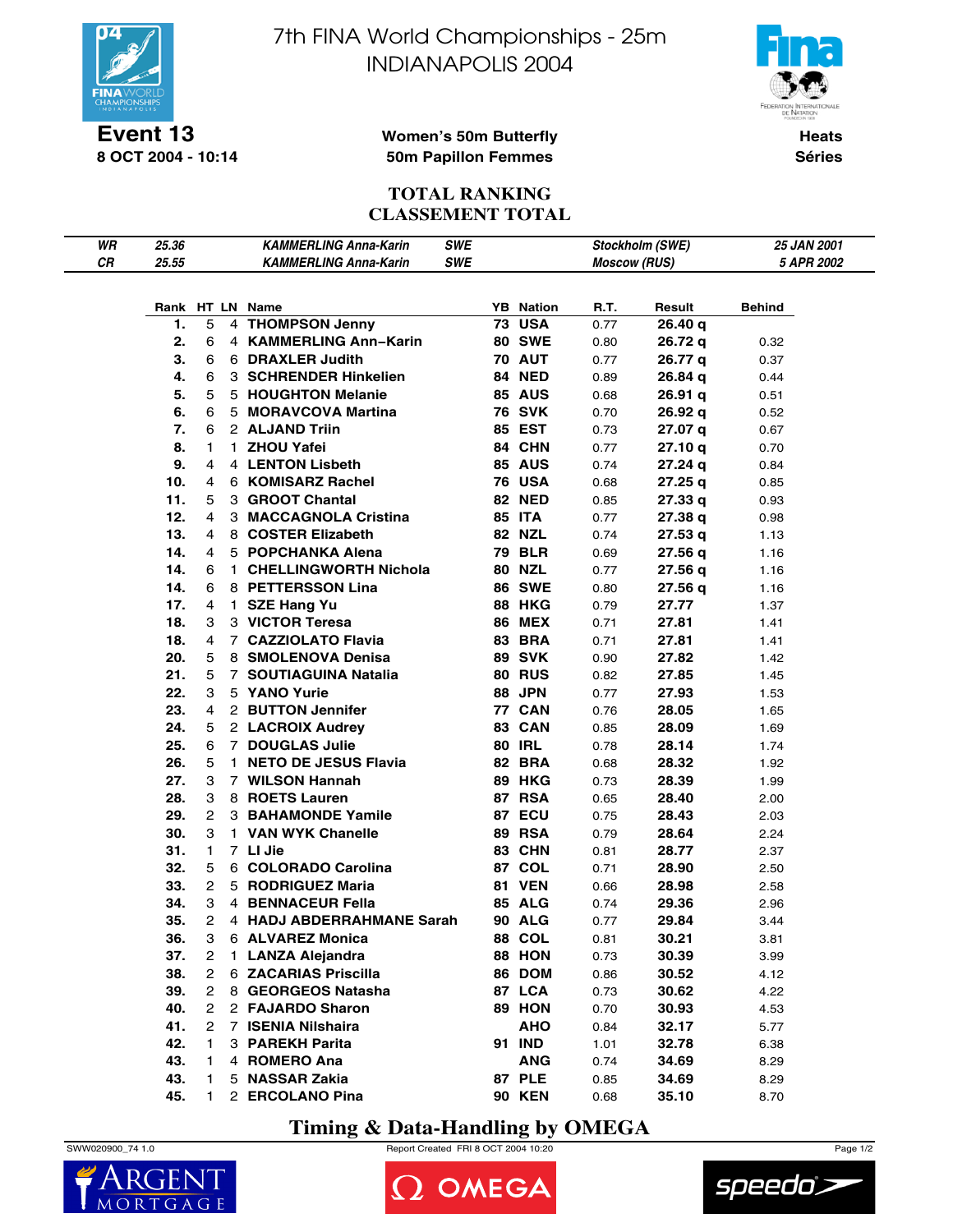

**Event 13 8 OCT 2004 - 10:14** 7th FINA World Championships - 25m INDIANAPOLIS 2004



**Women's 50m Butterfly 50m Papillon Femmes**

**Heats Séries**

## **TOTAL RANKING CLASSEMENT TOTAL**

| WR |       |                |              | <b>KAMMERLING Anna-Karin</b> | <b>SWE</b> |                  |                     |                 | 25 JAN 2001 |
|----|-------|----------------|--------------|------------------------------|------------|------------------|---------------------|-----------------|-------------|
| CR | 25.36 |                |              | <b>KAMMERLING Anna-Karin</b> | <b>SWE</b> |                  |                     | Stockholm (SWE) |             |
|    | 25.55 |                |              |                              |            |                  | <b>Moscow (RUS)</b> |                 | 5 APR 2002  |
|    |       |                |              |                              |            |                  |                     |                 |             |
|    |       |                |              | Rank HT LN Name              |            | <b>YB</b> Nation | R.T.                | Result          | Behind      |
|    | 1.    | 5              |              | 4 THOMPSON Jenny             |            | <b>73 USA</b>    | 0.77                | 26.40 q         |             |
|    | 2.    | 6              |              | 4 KAMMERLING Ann-Karin       |            | <b>80 SWE</b>    | 0.80                | 26.72 g         | 0.32        |
|    | 3.    | 6              |              | 6 DRAXLER Judith             |            | <b>70 AUT</b>    | 0.77                | 26.77 q         | 0.37        |
|    | 4.    | 6              |              | 3 SCHRENDER Hinkelien        |            | 84 NED           | 0.89                | 26.84 q         | 0.44        |
|    | 5.    | 5              |              | 5 HOUGHTON Melanie           |            | <b>85 AUS</b>    | 0.68                | 26.91 q         | 0.51        |
|    | 6.    | 6              |              | 5 MORAVCOVA Martina          |            | <b>76 SVK</b>    | 0.70                | 26.92 g         | 0.52        |
|    | 7.    | 6              |              | 2 ALJAND Triin               |            | <b>85 EST</b>    | 0.73                | 27.07 q         | 0.67        |
|    | 8.    | 1              |              | 1 ZHOU Yafei                 |            | 84 CHN           | 0.77                | 27.10 q         | 0.70        |
|    | 9.    | 4              |              | 4 LENTON Lisbeth             |            | <b>85 AUS</b>    | 0.74                | 27.24q          | 0.84        |
|    | 10.   | 4              |              | 6 KOMISARZ Rachel            |            | <b>76 USA</b>    | 0.68                | 27.25 q         | 0.85        |
|    | 11.   | 5              |              | 3 GROOT Chantal              |            | <b>82 NED</b>    | 0.85                | 27.33q          | 0.93        |
|    | 12.   | 4              |              | 3 MACCAGNOLA Cristina        |            | <b>85 ITA</b>    | 0.77                | 27.38 q         | 0.98        |
|    | 13.   | 4              |              | 8 COSTER Elizabeth           |            | <b>82 NZL</b>    | 0.74                | 27.53q          | 1.13        |
|    | 14.   | 4              |              | 5 POPCHANKA Alena            |            | <b>79 BLR</b>    | 0.69                | 27.56q          | 1.16        |
|    | 14.   | 6              |              | 1 CHELLINGWORTH Nichola      |            | <b>80 NZL</b>    | 0.77                | 27.56 q         | 1.16        |
|    | 14.   | 6              |              | 8 PETTERSSON Lina            |            | <b>86 SWE</b>    | 0.80                | 27.56 q         | 1.16        |
|    | 17.   | 4              |              | 1 SZE Hang Yu                |            | <b>88 HKG</b>    | 0.79                | 27.77           | 1.37        |
|    | 18.   | 3              |              | 3 VICTOR Teresa              |            | <b>86 MEX</b>    | 0.71                | 27.81           | 1.41        |
|    | 18.   | 4              |              | 7 CAZZIOLATO Flavia          |            | <b>83 BRA</b>    | 0.71                | 27.81           | 1.41        |
|    | 20.   | 5              |              | 8 SMOLENOVA Denisa           |            | <b>89 SVK</b>    | 0.90                | 27.82           | 1.42        |
|    | 21.   | 5              |              | 7 SOUTIAGUINA Natalia        |            | <b>80 RUS</b>    | 0.82                | 27.85           | 1.45        |
|    | 22.   | 3              |              | 5 YANO Yurie                 |            | 88 JPN           | 0.77                | 27.93           | 1.53        |
|    | 23.   | 4              |              | 2 BUTTON Jennifer            |            | <b>77 CAN</b>    | 0.76                | 28.05           | 1.65        |
|    | 24.   | 5              |              | 2 LACROIX Audrey             |            | 83 CAN           | 0.85                | 28.09           | 1.69        |
|    | 25.   | 6              |              | 7 DOUGLAS Julie              |            | <b>80 IRL</b>    | 0.78                | 28.14           | 1.74        |
|    | 26.   | 5              |              | 1 NETO DE JESUS Flavia       |            | 82 BRA           | 0.68                | 28.32           | 1.92        |
|    | 27.   | 3              |              | 7 WILSON Hannah              |            | <b>89 HKG</b>    | 0.73                | 28.39           | 1.99        |
|    | 28.   | 3              |              | 8 ROETS Lauren               |            | <b>87 RSA</b>    | 0.65                | 28.40           | 2.00        |
|    | 29.   | $\mathbf{2}$   |              | <b>3 BAHAMONDE Yamile</b>    |            | 87 ECU           | 0.75                | 28.43           | 2.03        |
|    | 30.   | 3              |              | 1 VAN WYK Chanelle           |            | <b>89 RSA</b>    | 0.79                | 28.64           | 2.24        |
|    | 31.   | 1.             |              | 7 LI Jie                     |            | 83 CHN           | 0.81                | 28.77           | 2.37        |
|    | 32.   | 5              |              | 6 COLORADO Carolina          |            | 87 COL           | 0.71                | 28.90           | 2.50        |
|    | 33.   | 2              |              | 5 RODRIGUEZ Maria            |            | <b>81 VEN</b>    | 0.66                | 28.98           | 2.58        |
|    | 34.   | 3              |              | 4 BENNACEUR Fella            |            | 85 ALG           | 0.74                | 29.36           | 2.96        |
|    | 35.   | 2              |              | 4 HADJ ABDERRAHMANE Sarah    |            | <b>90 ALG</b>    | 0.77                | 29.84           | 3.44        |
|    | 36.   | 3              |              | 6 ALVAREZ Monica             |            | 88 COL           | 0.81                | 30.21           | 3.81        |
|    | 37.   | $\overline{2}$ | $\mathbf{1}$ | <b>LANZA Alejandra</b>       |            | 88 HON           | 0.73                | 30.39           | 3.99        |
|    | 38.   | $\overline{2}$ |              | 6 ZACARIAS Priscilla         |            | 86 DOM           | 0.86                | 30.52           | 4.12        |
|    | 39.   | $\overline{2}$ |              | 8 GEORGEOS Natasha           |            | 87 LCA           | 0.73                | 30.62           | 4.22        |
|    | 40.   | $\overline{2}$ |              | 2 FAJARDO Sharon             |            | 89 HON           | 0.70                | 30.93           | 4.53        |
|    | 41.   | 2              |              | 7 ISENIA Nilshaira           |            | <b>AHO</b>       | 0.84                | 32.17           | 5.77        |
|    | 42.   | 1              |              | 3 PAREKH Parita              |            | 91 IND           | 1.01                | 32.78           | 6.38        |
|    | 43.   | 1              |              | 4 ROMERO Ana                 |            | <b>ANG</b>       | 0.74                | 34.69           | 8.29        |
|    | 43.   | 1.             |              | 5 NASSAR Zakia               |            | <b>87 PLE</b>    | 0.85                | 34.69           | 8.29        |
|    | 45.   | 1.             |              | 2 ERCOLANO Pina              |            | <b>90 KEN</b>    | 0.68                | 35.10           | 8.70        |

# **Timing & Data-Handling by OMEGA**







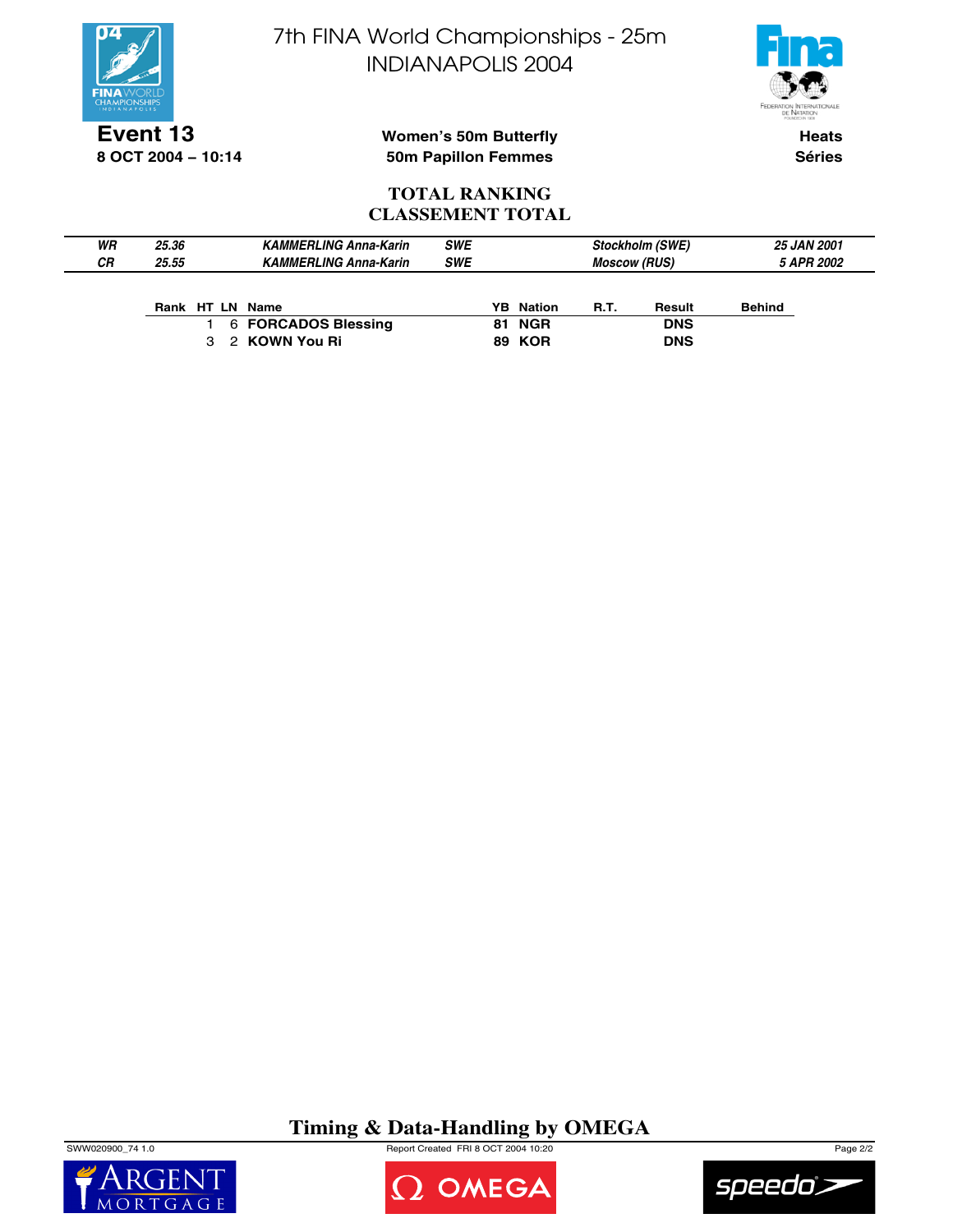



**Event 13 8 OCT 2004 − 10:14**

**Women's 50m Butterfly 50m Papillon Femmes**

**Heats Séries**

### **TOTAL RANKING CLASSEMENT TOTAL**

| WR<br>СR | 25.36<br>25.55 | <b>KAMMERLING Anna-Karin</b><br><b>KAMMERLING Anna-Karin</b> | <b>SWE</b><br><b>SWE</b> |        | <b>Moscow (RUS)</b> | <b>Stockholm (SWE)</b> | <b>25 JAN 2001</b><br>5 APR 2002 |
|----------|----------------|--------------------------------------------------------------|--------------------------|--------|---------------------|------------------------|----------------------------------|
|          | Rank HT LN     | Name                                                         | YB.                      | Nation | <b>R.T.</b>         | Result                 | <b>Behind</b>                    |

|  | Rank HILN Name      | YB Nation     | к. | <b>Result</b> | Benin |
|--|---------------------|---------------|----|---------------|-------|
|  | 6 FORCADOS Blessing | <b>81 NGR</b> |    | <b>DNS</b>    |       |
|  | 3 2 KOWN You Ri     | <b>89 KOR</b> |    | <b>DNS</b>    |       |

# **Timing & Data-Handling by OMEGA**

SWW020900\_74 1.0 Report Created FRI 8 OCT 2004 10:20 Page 2/2





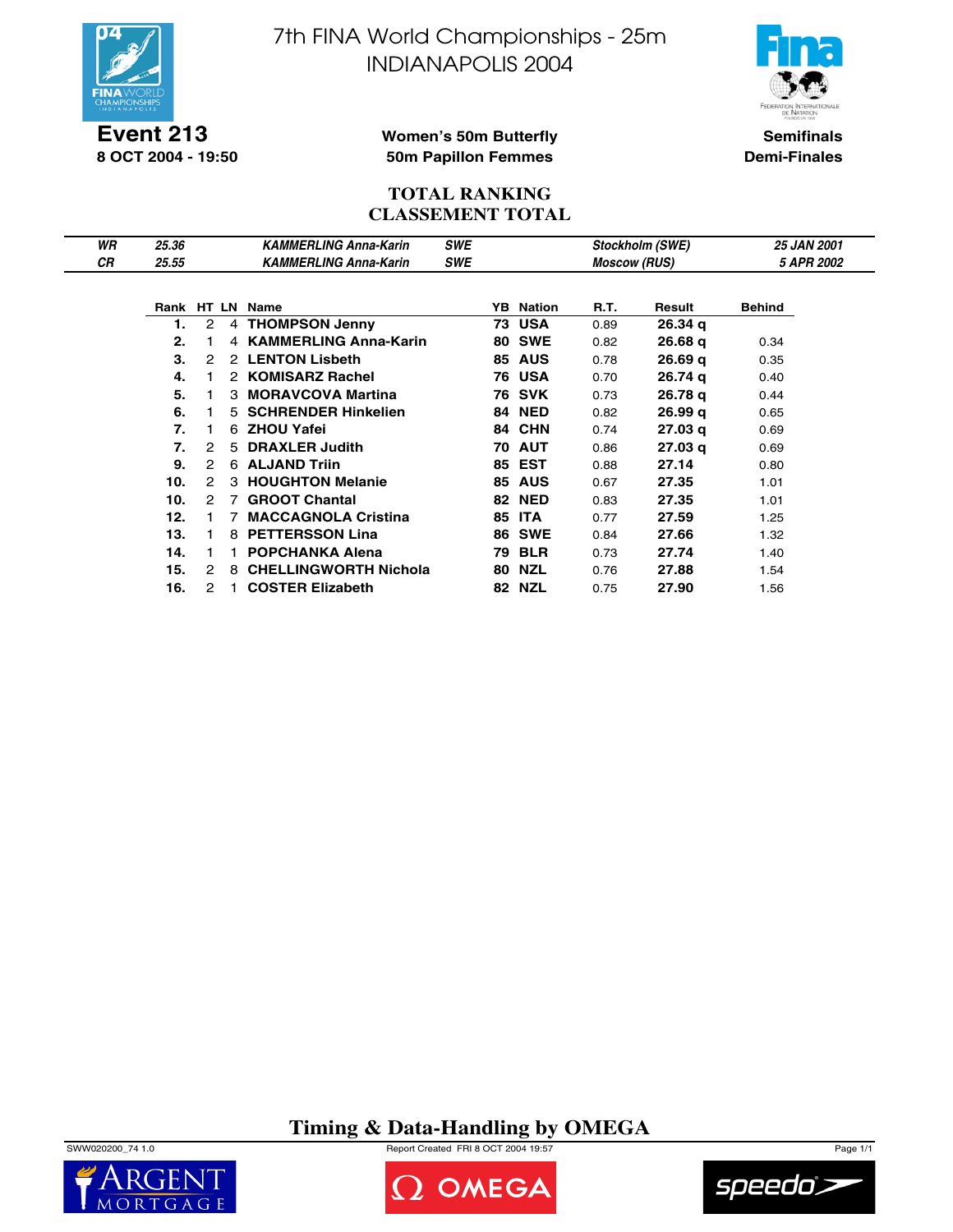

**Event 213 8 OCT 2004 - 19:50** 7th FINA World Championships - 25m INDIANAPOLIS 2004



**Semifinals Demi-Finales**

### **Women's 50m Butterfly 50m Papillon Femmes**

### **TOTAL RANKING CLASSEMENT TOTAL**

| WR | 25.36      |   |   | <b>KAMMERLING Anna-Karin</b> | <b>SWE</b> |    |                     |      | Stockholm (SWE)    | <b>25 JAN 2001</b> |  |
|----|------------|---|---|------------------------------|------------|----|---------------------|------|--------------------|--------------------|--|
| СR | 25.55      |   |   | <b>KAMMERLING Anna-Karin</b> | <b>SWE</b> |    | <b>Moscow (RUS)</b> |      |                    | 5 APR 2002         |  |
|    |            |   |   |                              |            |    |                     |      |                    |                    |  |
|    | Rank HT LN |   |   | <b>Name</b>                  |            | YB | <b>Nation</b>       | R.T. | Result             | <b>Behind</b>      |  |
|    | 1.         | 2 |   | 4 THOMPSON Jenny             |            |    | <b>73 USA</b>       | 0.89 | 26.34 <sub>q</sub> |                    |  |
|    | 2.         |   |   | 4 KAMMERLING Anna-Karin      |            | 80 | <b>SWE</b>          | 0.82 | 26.68q             | 0.34               |  |
|    | 3.         | 2 |   | 2 LENTON Lisbeth             |            |    | <b>85 AUS</b>       | 0.78 | 26.69q             | 0.35               |  |
|    | 4.         |   |   | 2 KOMISARZ Rachel            |            |    | 76 USA              | 0.70 | 26.74 g            | 0.40               |  |
|    | 5.         |   |   | 3 MORAVCOVA Martina          |            |    | 76 SVK              | 0.73 | 26.78 g            | 0.44               |  |
|    | 6.         |   |   | 5 SCHRENDER Hinkelien        |            | 84 | <b>NED</b>          | 0.82 | 26.99q             | 0.65               |  |
|    | 7.         |   |   | 6 ZHOU Yafei                 |            | 84 | <b>CHN</b>          | 0.74 | 27.03q             | 0.69               |  |
|    | 7.         | 2 | 5 | <b>DRAXLER Judith</b>        |            |    | <b>70 AUT</b>       | 0.86 | 27.03 <sub>q</sub> | 0.69               |  |
|    | 9.         | 2 |   | 6 ALJAND Triin               |            |    | <b>85 EST</b>       | 0.88 | 27.14              | 0.80               |  |
|    | 10.        | 2 |   | 3 HOUGHTON Melanie           |            |    | <b>85 AUS</b>       | 0.67 | 27.35              | 1.01               |  |
|    | 10.        | 2 | 7 | <b>GROOT Chantal</b>         |            | 82 | <b>NED</b>          | 0.83 | 27.35              | 1.01               |  |
|    | 12.        |   |   | <b>MACCAGNOLA Cristina</b>   |            | 85 | <b>ITA</b>          | 0.77 | 27.59              | 1.25               |  |
|    | 13.        |   | 8 | <b>PETTERSSON Lina</b>       |            | 86 | <b>SWE</b>          | 0.84 | 27.66              | 1.32               |  |
|    | 14.        |   |   | <b>POPCHANKA Alena</b>       |            | 79 | <b>BLR</b>          | 0.73 | 27.74              | 1.40               |  |
|    | 15.        | 2 | 8 | <b>CHELLINGWORTH Nichola</b> |            | 80 | NZL                 | 0.76 | 27.88              | 1.54               |  |
|    | 16.        | 2 |   | <b>COSTER Elizabeth</b>      |            |    | <b>82 NZL</b>       | 0.75 | 27.90              | 1.56               |  |

**Timing & Data-Handling by OMEGA**

SWW020200\_74 1.0 Report Created FRI 8 OCT 2004 19:57 Page 1/1





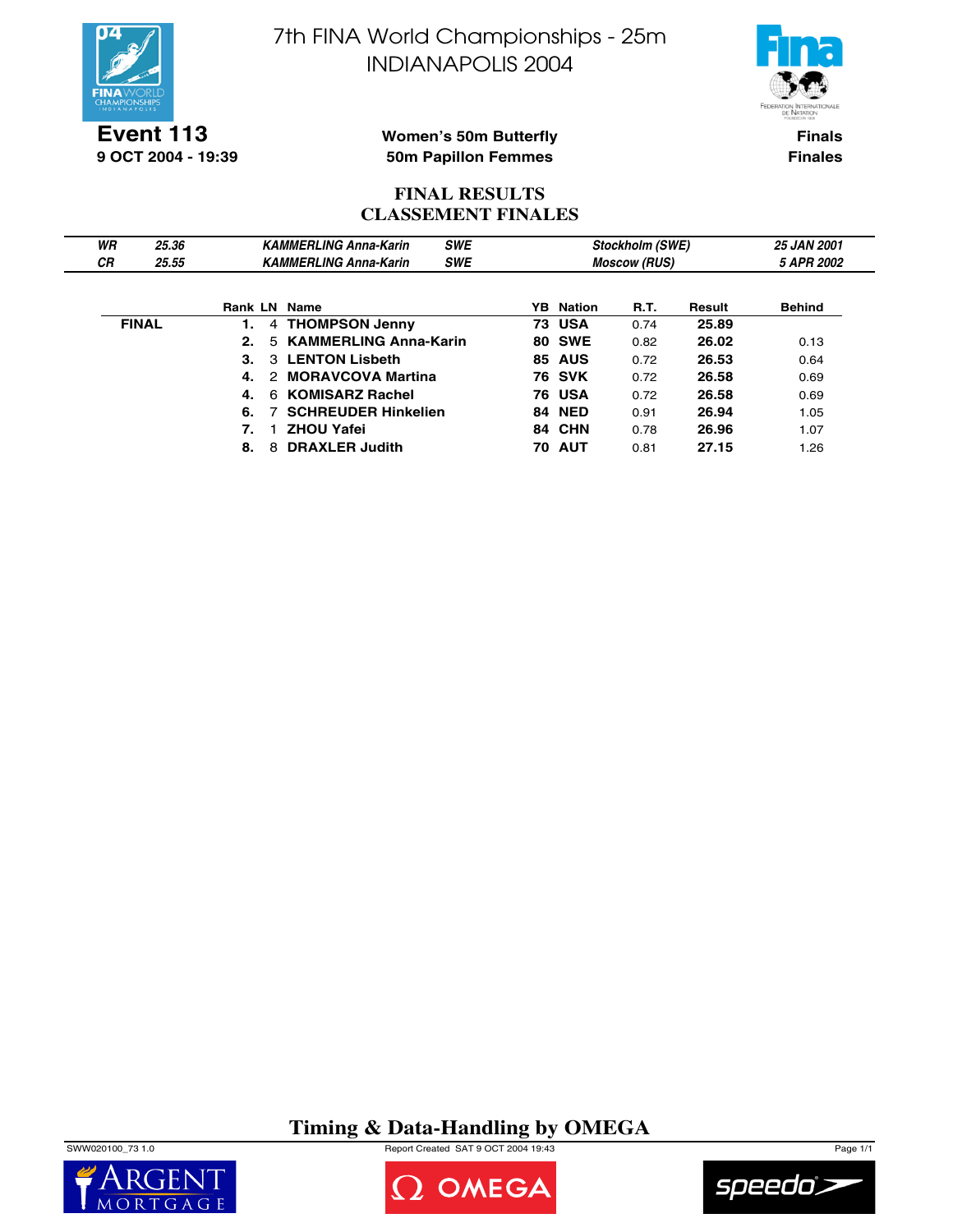



**Event 113 9 OCT 2004 - 19:39**

### **Women's 50m Butterfly 50m Papillon Femmes**

**Finals Finales**

### **FINAL RESULTS CLASSEMENT FINALES**

| WR | 25.36        |              | <b>SWE</b><br><b>KAMMERLING Anna-Karin</b> |                  |                     | <b>Stockholm (SWE)</b> |               | <b>25 JAN 2001</b> |
|----|--------------|--------------|--------------------------------------------|------------------|---------------------|------------------------|---------------|--------------------|
| СR | 25.55        |              | <b>KAMMERLING Anna-Karin</b><br><b>SWE</b> |                  | <b>Moscow (RUS)</b> |                        | 5 APR 2002    |                    |
|    |              | Rank LN Name |                                            | <b>YB</b> Nation | <b>R.T.</b>         | Result                 | <b>Behind</b> |                    |
|    | <b>FINAL</b> |              | 4 THOMPSON Jenny                           |                  | <b>73 USA</b>       | 0.74                   | 25.89         |                    |
|    |              | 2.           | 5 KAMMERLING Anna-Karin                    |                  | <b>80 SWE</b>       | 0.82                   | 26.02         | 0.13               |
|    |              |              | 3 LENTON Lisbeth                           |                  | 85 AUS              | 0.72                   | 26.53         | 0.64               |
|    |              |              | 2 MORAVCOVA Martina                        |                  | <b>76 SVK</b>       | 0.72                   | 26.58         | 0.69               |
|    |              |              | 6 KOMISARZ Rachel                          |                  | <b>76 USA</b>       | 0.72                   | 26.58         | 0.69               |
|    |              | 6.           | <b>SCHREUDER Hinkelien</b>                 |                  | <b>84 NED</b>       | 0.91                   | 26.94         | 1.05               |
|    |              |              | <b>ZHOU Yafei</b>                          |                  | 84 CHN              | 0.78                   | 26.96         | 1.07               |
|    |              | 8.           | 8 DRAXLER Judith                           | 70.              | AUT                 | 0.81                   | 27.15         | .26                |

**Timing & Data-Handling by OMEGA**

SWW020100\_73 1.0 Report Created SAT 9 OCT 2004 19:43 Page 1/1





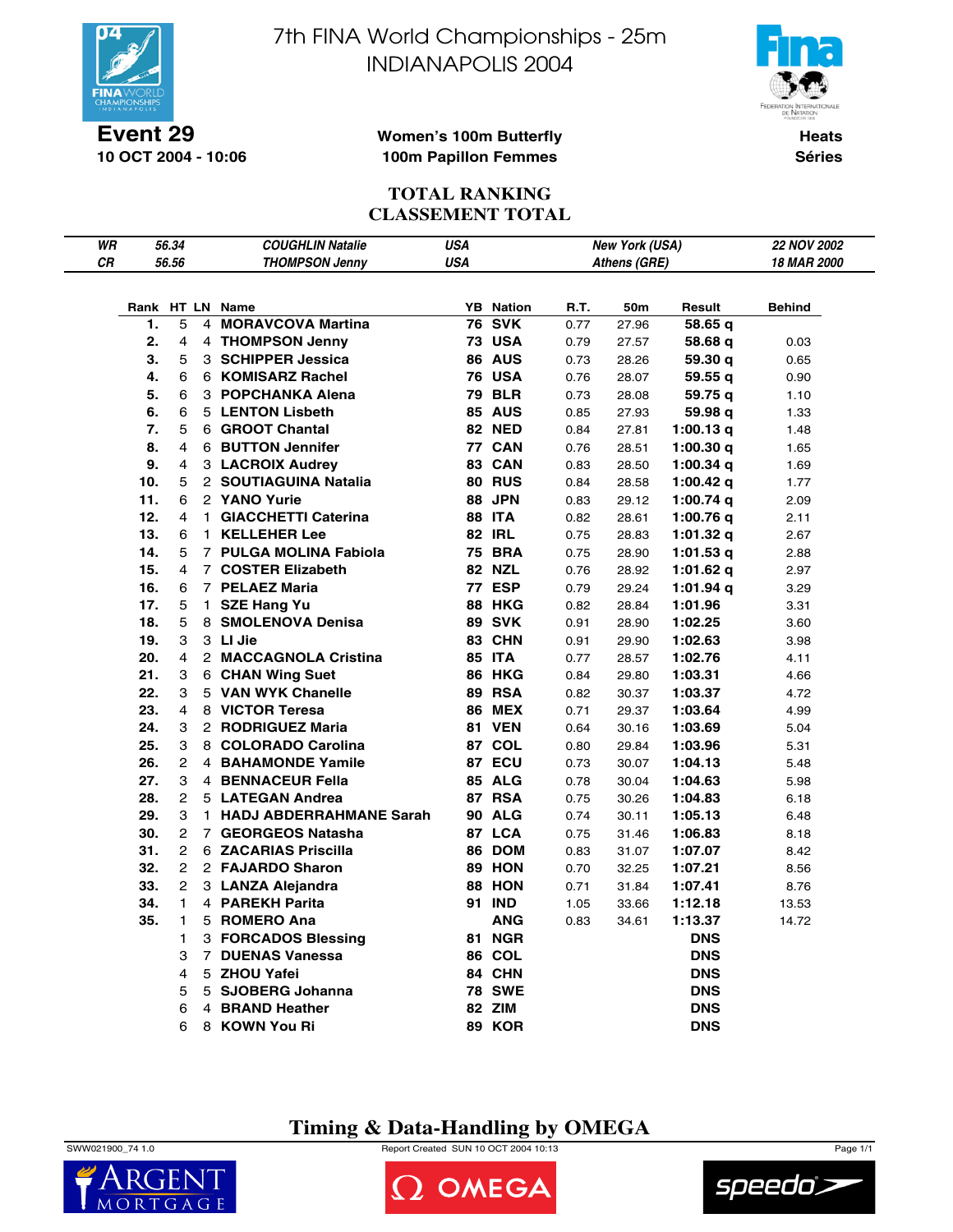

7th FINA World Championships - 25m INDIANAPOLIS 2004



**10 OCT 2004 - 10:06**

#### **Women's 100m Butterfly 100m Papillon Femmes**

**Heats Séries**

## **TOTAL RANKING CLASSEMENT TOTAL**

| WR |      | 56.34          |    | <b>COUGHLIN Natalie</b>   | USA        |                  |      | New York (USA) |                    | 22 NOV 2002  |
|----|------|----------------|----|---------------------------|------------|------------------|------|----------------|--------------------|--------------|
| CR |      | 56.56          |    | <b>THOMPSON Jenny</b>     | <b>USA</b> |                  |      | Athens (GRE)   |                    | 18 MAR 2000  |
|    |      |                |    |                           |            |                  |      |                |                    |              |
|    | Rank |                |    | HT LN Name                |            | <b>YB</b> Nation | R.T. | 50m            | Result             | Behind       |
|    | 1.   | 5              | 4  | <b>MORAVCOVA Martina</b>  | 76         | <b>SVK</b>       | 0.77 | 27.96          | 58.65 q            |              |
|    | 2.   | 4              |    | 4 THOMPSON Jenny          |            | <b>73 USA</b>    | 0.79 | 27.57          | 58.68 q            | 0.03         |
|    | 3.   | 5              |    | 3 SCHIPPER Jessica        |            | <b>86 AUS</b>    | 0.73 | 28.26          | 59.30 q            | 0.65         |
|    | 4.   | 6              |    | 6 KOMISARZ Rachel         |            | <b>76 USA</b>    | 0.76 | 28.07          |                    | 0.90         |
|    | 5.   | 6              |    | 3 POPCHANKA Alena         | 79         | <b>BLR</b>       | 0.73 | 28.08          | 59.55 q<br>59.75 g | 1.10         |
|    | 6.   | 6              |    | 5 LENTON Lisbeth          |            | <b>85 AUS</b>    | 0.85 | 27.93          | 59.98 q            | 1.33         |
|    | 7.   | 5              |    | 6 GROOT Chantal           |            | <b>82 NED</b>    | 0.84 | 27.81          | 1:00.13 $q$        | 1.48         |
|    | 8.   | 4              |    | 6 BUTTON Jennifer         |            | 77 CAN           | 0.76 | 28.51          | 1:00.30 $q$        | 1.65         |
|    | 9.   | 4              |    | 3 LACROIX Audrey          |            | 83 CAN           | 0.83 | 28.50          | 1:00.34 $q$        | 1.69         |
|    | 10.  | 5              |    | 2 SOUTIAGUINA Natalia     |            | <b>80 RUS</b>    | 0.84 | 28.58          | 1:00.42 $q$        | 1.77         |
|    | 11.  | 6              |    | 2 YANO Yurie              |            | <b>88 JPN</b>    | 0.83 | 29.12          | 1:00.74 $q$        | 2.09         |
|    | 12.  | 4              |    | 1 GIACCHETTI Caterina     |            | <b>88 ITA</b>    | 0.82 | 28.61          | 1:00.76 $q$        | 2.11         |
|    | 13.  | 6              | 1. | <b>KELLEHER Lee</b>       |            | <b>82 IRL</b>    | 0.75 | 28.83          | 1:01.32 $q$        | 2.67         |
|    | 14.  | 5              |    | 7 PULGA MOLINA Fabiola    |            | <b>75 BRA</b>    | 0.75 | 28.90          | 1:01.53 $q$        |              |
|    | 15.  | 4              |    | 7 COSTER Elizabeth        |            | <b>82 NZL</b>    | 0.76 | 28.92          | 1:01.62 $q$        | 2.88<br>2.97 |
|    | 16.  | 6              |    | 7 PELAEZ Maria            |            | 77 ESP           | 0.79 | 29.24          | 1:01.94 $q$        | 3.29         |
|    | 17.  | 5              |    | 1 SZE Hang Yu             |            | <b>88 HKG</b>    | 0.82 | 28.84          | 1:01.96            | 3.31         |
|    | 18.  | 5              |    | 8 SMOLENOVA Denisa        |            | <b>89 SVK</b>    | 0.91 | 28.90          | 1:02.25            | 3.60         |
|    | 19.  | 3              |    | 3 LI Jie                  |            | 83 CHN           | 0.91 | 29.90          | 1:02.63            | 3.98         |
|    | 20.  | 4              |    | 2 MACCAGNOLA Cristina     |            | <b>85 ITA</b>    | 0.77 | 28.57          | 1:02.76            | 4.11         |
|    | 21.  | 3              |    | 6 CHAN Wing Suet          |            | <b>86 HKG</b>    | 0.84 | 29.80          | 1:03.31            | 4.66         |
|    | 22.  | 3              |    | 5 VAN WYK Chanelle        |            | <b>89 RSA</b>    | 0.82 | 30.37          | 1:03.37            | 4.72         |
|    | 23.  | 4              |    | 8 VICTOR Teresa           |            | <b>86 MEX</b>    | 0.71 | 29.37          | 1:03.64            | 4.99         |
|    | 24.  | 3              |    | 2 RODRIGUEZ Maria         |            | 81 VEN           | 0.64 | 30.16          | 1:03.69            | 5.04         |
|    | 25.  | 3              |    | 8 COLORADO Carolina       |            | 87 COL           | 0.80 | 29.84          | 1:03.96            | 5.31         |
|    | 26.  | $\overline{2}$ |    | 4 BAHAMONDE Yamile        |            | 87 ECU           | 0.73 | 30.07          | 1:04.13            | 5.48         |
|    | 27.  | 3              |    | 4 BENNACEUR Fella         |            | <b>85 ALG</b>    | 0.78 | 30.04          | 1:04.63            | 5.98         |
|    | 28.  | $\mathbf{2}$   |    | 5 LATEGAN Andrea          |            | <b>87 RSA</b>    | 0.75 | 30.26          | 1:04.83            | 6.18         |
|    | 29.  | 3              |    | 1 HADJ ABDERRAHMANE Sarah |            | <b>90 ALG</b>    | 0.74 | 30.11          | 1:05.13            | 6.48         |
|    | 30.  | $\overline{2}$ |    | 7 GEORGEOS Natasha        |            | 87 LCA           | 0.75 | 31.46          | 1:06.83            | 8.18         |
|    | 31.  | $\overline{2}$ |    | 6 ZACARIAS Priscilla      |            | 86 DOM           | 0.83 | 31.07          | 1:07.07            | 8.42         |
|    | 32.  | $\mathbf{2}$   |    | 2 FAJARDO Sharon          |            | <b>89 HON</b>    | 0.70 | 32.25          | 1:07.21            | 8.56         |
|    | 33.  | $\overline{2}$ |    | 3 LANZA Alejandra         |            | <b>88 HON</b>    | 0.71 | 31.84          | 1:07.41            | 8.76         |
|    | 34.  | 1              |    | 4 PAREKH Parita           |            | 91 IND           | 1.05 | 33.66          | 1:12.18            | 13.53        |
|    | 35.  | 1              |    | 5 ROMERO Ana              |            | <b>ANG</b>       | 0.83 | 34.61          | 1:13.37            | 14.72        |
|    |      | 1              |    | 3 FORCADOS Blessing       |            | <b>81 NGR</b>    |      |                | <b>DNS</b>         |              |
|    |      | 3              |    | 7 DUENAS Vanessa          |            | 86 COL           |      |                | <b>DNS</b>         |              |
|    |      | 4              |    | 5 ZHOU Yafei              |            | 84 CHN           |      |                | <b>DNS</b>         |              |
|    |      | 5              |    | 5 SJOBERG Johanna         |            | <b>78 SWE</b>    |      |                | <b>DNS</b>         |              |
|    |      | 6              |    | 4 BRAND Heather           |            | 82 ZIM           |      |                | <b>DNS</b>         |              |
|    |      | 6              |    | 8 KOWN You Ri             | 89         | KOR              |      |                | <b>DNS</b>         |              |
|    |      |                |    |                           |            |                  |      |                |                    |              |

**Timing & Data-Handling by OMEGA**

SWW021900\_74 1.0 Report Created SUN 10 OCT 2004 10:13 Page 1/1





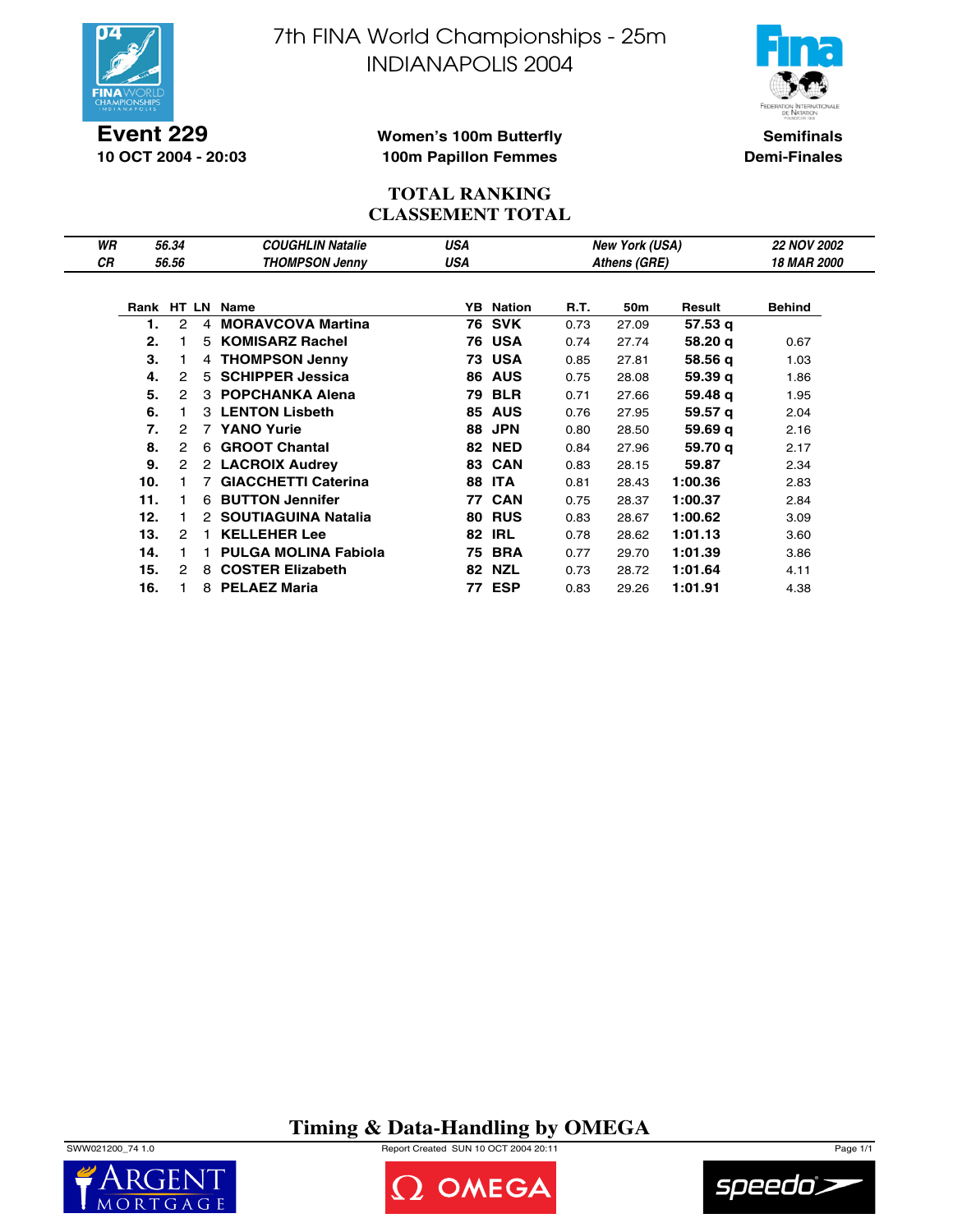

**Event 229 10 OCT 2004 - 20:03** 7th FINA World Championships - 25m INDIANAPOLIS 2004



**Semifinals Demi-Finales**

#### **Women's 100m Butterfly 100m Papillon Femmes**

### **TOTAL RANKING CLASSEMENT TOTAL**

| WR |     | 56.34                |                | <b>COUGHLIN Natalie</b>     | USA |                  |      | <b>New York (USA)</b> |         | <b>22 NOV 2002</b> |
|----|-----|----------------------|----------------|-----------------------------|-----|------------------|------|-----------------------|---------|--------------------|
| СR |     | 56.56                |                | <b>THOMPSON Jenny</b>       | USA |                  |      | Athens (GRE)          |         | <b>18 MAR 2000</b> |
|    |     |                      |                |                             |     |                  |      |                       |         |                    |
|    |     |                      |                | Rank HT LN Name             |     | <b>YB</b> Nation | R.T. | 50m                   | Result  | <b>Behind</b>      |
|    |     | 2                    | 4              | <b>MORAVCOVA Martina</b>    |     | 76 SVK           | 0.73 | 27.09                 | 57.53 g |                    |
|    | 2.  |                      |                | 5 KOMISARZ Rachel           |     | <b>76 USA</b>    | 0.74 | 27.74                 | 58.20 g | 0.67               |
|    | З.  |                      |                | 4 THOMPSON Jenny            |     | <b>73 USA</b>    | 0.85 | 27.81                 | 58.56 g | 1.03               |
|    | 4.  | 2                    |                | 5 SCHIPPER Jessica          | 86  | <b>AUS</b>       | 0.75 | 28.08                 | 59.39q  | 1.86               |
|    | 5.  | $\mathcal{P}$        |                | 3 POPCHANKA Alena           | 79  | <b>BLR</b>       | 0.71 | 27.66                 | 59.48 g | 1.95               |
|    | 6.  |                      |                | 3 LENTON Lisbeth            | 85  | <b>AUS</b>       | 0.76 | 27.95                 | 59.57 q | 2.04               |
|    | 7.  | $\mathcal{P}$        | $\overline{7}$ | <b>YANO Yurie</b>           | 88  | <b>JPN</b>       | 0.80 | 28.50                 | 59.69q  | 2.16               |
|    | 8.  | 2                    |                | 6 GROOT Chantal             |     | <b>82 NED</b>    | 0.84 | 27.96                 | 59.70 g | 2.17               |
|    | 9.  | $\mathbf{2}^{\circ}$ |                | 2 LACROIX Audrey            |     | 83 CAN           | 0.83 | 28.15                 | 59.87   | 2.34               |
|    | 10. |                      | 7              | <b>GIACCHETTI Caterina</b>  |     | <b>88 ITA</b>    | 0.81 | 28.43                 | 1:00.36 | 2.83               |
|    | 11. |                      |                | 6 BUTTON Jennifer           | 77  | <b>CAN</b>       | 0.75 | 28.37                 | 1:00.37 | 2.84               |
|    | 12. |                      |                | 2 SOUTIAGUINA Natalia       | 80  | <b>RUS</b>       | 0.83 | 28.67                 | 1:00.62 | 3.09               |
|    | 13. | 2                    | 1.             | <b>KELLEHER Lee</b>         | 82  | IRL              | 0.78 | 28.62                 | 1:01.13 | 3.60               |
|    | 14. |                      |                | <b>PULGA MOLINA Fabiola</b> | 75  | <b>BRA</b>       | 0.77 | 29.70                 | 1:01.39 | 3.86               |
|    | 15. | 2                    |                | 8 COSTER Elizabeth          | 82  | <b>NZL</b>       | 0.73 | 28.72                 | 1:01.64 | 4.11               |
|    | 16. |                      |                | 8 PELAEZ Maria              | 77. | <b>ESP</b>       | 0.83 | 29.26                 | 1:01.91 | 4.38               |

## **Timing & Data-Handling by OMEGA**

SWW021200\_74 1.0 Report Created SUN 10 OCT 2004 20:11 Page 1/1





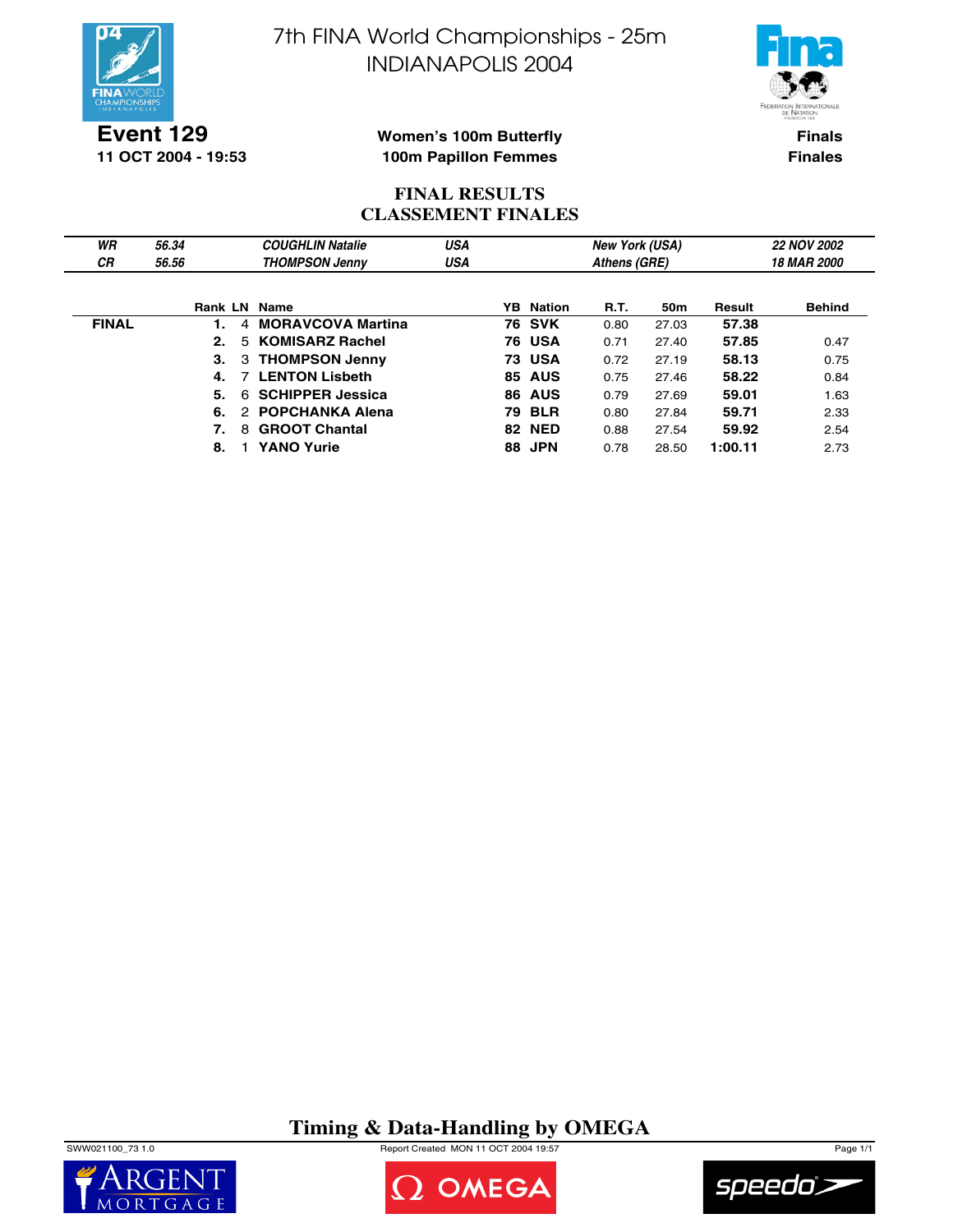

7th FINA World Championships - 25m INDIANAPOLIS 2004



**Event 129 11 OCT 2004 - 19:53**

#### **Women's 100m Butterfly 100m Papillon Femmes**

**Finals Finales**

### **FINAL RESULTS CLASSEMENT FINALES**

| WR           | 56.34          | <b>COUGHLIN Natalie</b>       | USA |    |                  | <b>New York (USA)</b> |       |         | <b>22 NOV 2002</b>        |
|--------------|----------------|-------------------------------|-----|----|------------------|-----------------------|-------|---------|---------------------------|
| СR           | 56.56          | <b>THOMPSON Jenny</b>         | USA |    |                  | Athens (GRE)          |       |         | <i><b>18 MAR 2000</b></i> |
|              |                |                               |     |    |                  |                       |       |         |                           |
|              | <b>Rank LN</b> | Name                          |     |    | <b>YB</b> Nation | R.T.                  | 50m   | Result  | <b>Behind</b>             |
| <b>FINAL</b> |                | <b>MORAVCOVA Martina</b><br>4 |     |    | <b>76 SVK</b>    | 0.80                  | 27.03 | 57.38   |                           |
|              | 2.             | 5 KOMISARZ Rachel             |     |    | <b>76 USA</b>    | 0.71                  | 27.40 | 57.85   | 0.47                      |
|              | З.             | 3 THOMPSON Jenny              |     |    | <b>73 USA</b>    | 0.72                  | 27.19 | 58.13   | 0.75                      |
|              | 4.             | <b>LENTON Lisbeth</b>         |     |    | <b>85 AUS</b>    | 0.75                  | 27.46 | 58.22   | 0.84                      |
|              | 5.             | <b>SCHIPPER Jessica</b><br>6  |     | 86 | <b>AUS</b>       | 0.79                  | 27.69 | 59.01   | 1.63                      |
|              | 6.             | 2 POPCHANKA Alena             |     | 79 | <b>BLR</b>       | 0.80                  | 27.84 | 59.71   | 2.33                      |
|              | 7.             | <b>GROOT Chantal</b><br>8     |     |    | <b>82 NED</b>    | 0.88                  | 27.54 | 59.92   | 2.54                      |
|              | 8.             | <b>YANO Yurie</b>             |     | 88 | <b>JPN</b>       | 0.78                  | 28.50 | 1:00.11 | 2.73                      |

## **Timing & Data-Handling by OMEGA**

SWW021100\_73 1.0 Report Created MON 11 OCT 2004 19:57 Page 1/1





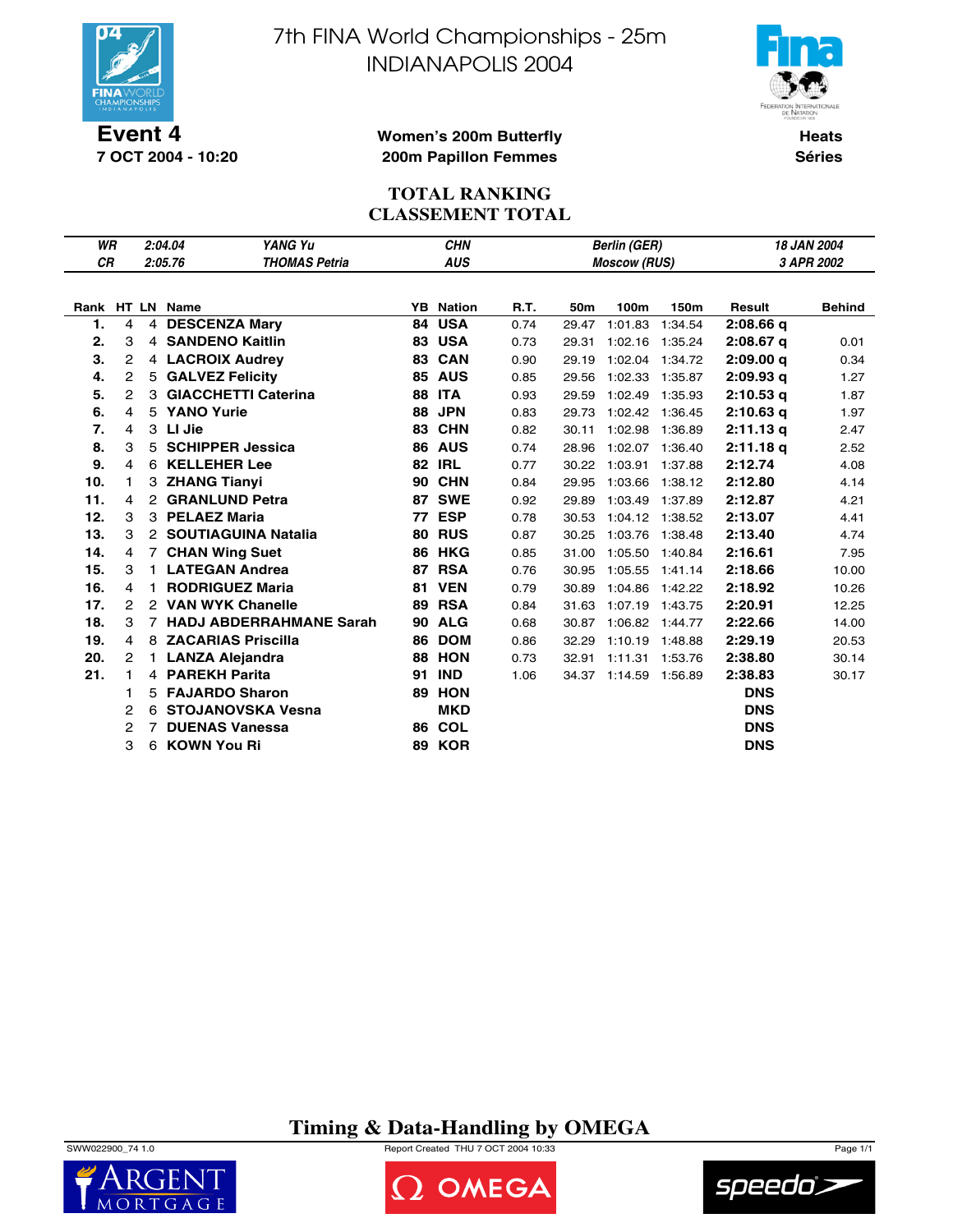

**7 OCT 2004 - 10:20**

7th FINA World Championships - 25m INDIANAPOLIS 2004



**Women's 200m Butterfly 200m Papillon Femmes**

**Heats Séries**

## **TOTAL RANKING CLASSEMENT TOTAL**

| WR        |                |              | 2:04.04<br>YANG Yu              | <b>CHN</b><br><b>Berlin (GER)</b> |                  |      |       |                       |         | 18 JAN 2004 |               |  |
|-----------|----------------|--------------|---------------------------------|-----------------------------------|------------------|------|-------|-----------------------|---------|-------------|---------------|--|
| <b>CR</b> |                |              | 2:05.76<br><b>THOMAS Petria</b> |                                   | <b>AUS</b>       |      |       | <b>Moscow (RUS)</b>   |         | 3 APR 2002  |               |  |
|           |                |              |                                 |                                   |                  |      |       |                       |         |             |               |  |
|           |                |              | Rank HT LN Name                 |                                   | <b>YB</b> Nation | R.T. | 50m   | 100m                  | 150m    | Result      | <b>Behind</b> |  |
| 1.        | 4              |              | 4 DESCENZA Mary                 | 84                                | <b>USA</b>       | 0.74 | 29.47 | 1:01.83               | 1:34.54 | $2:08.66$ q |               |  |
| 2.        | 3              |              | 4 SANDENO Kaitlin               |                                   | 83 USA           | 0.73 | 29.31 | 1:02.16 1:35.24       |         | $2:08.67$ q | 0.01          |  |
| 3.        | 2              |              | 4 LACROIX Audrey                |                                   | 83 CAN           | 0.90 | 29.19 | 1:02.04               | 1:34.72 | 2:09.00q    | 0.34          |  |
| 4.        | 2              |              | 5 GALVEZ Felicity               |                                   | <b>85 AUS</b>    | 0.85 | 29.56 | 1:02.33               | 1:35.87 | 2:09.93q    | 1.27          |  |
| 5.        | $\mathbf{2}$   |              | 3 GIACCHETTI Caterina           | 88                                | <b>ITA</b>       | 0.93 | 29.59 | 1:02.49               | 1:35.93 | $2:10.53$ q | 1.87          |  |
| 6.        | 4              |              | 5 YANO Yurie                    | 88                                | <b>JPN</b>       | 0.83 | 29.73 | 1:02.42 1:36.45       |         | $2:10.63$ q | 1.97          |  |
| 7.        | 4              |              | 3 LI Jie                        | 83                                | <b>CHN</b>       | 0.82 | 30.11 | 1:02.98               | 1:36.89 | 2:11.13q    | 2.47          |  |
| 8.        | 3              | 5            | <b>SCHIPPER Jessica</b>         | 86                                | <b>AUS</b>       | 0.74 | 28.96 | 1:02.07               | 1:36.40 | 2:11.18q    | 2.52          |  |
| 9.        | 4              |              | 6 KELLEHER Lee                  | 82                                | <b>IRL</b>       | 0.77 |       | 30.22 1:03.91 1:37.88 |         | 2:12.74     | 4.08          |  |
| 10.       | 1              |              | 3 ZHANG Tianyi                  | 90                                | <b>CHN</b>       | 0.84 | 29.95 | 1:03.66               | 1:38.12 | 2:12.80     | 4.14          |  |
| 11.       | 4              |              | 2 GRANLUND Petra                | 87                                | <b>SWE</b>       | 0.92 | 29.89 | 1:03.49 1:37.89       |         | 2:12.87     | 4.21          |  |
| 12.       | 3              |              | 3 PELAEZ Maria                  | 77                                | <b>ESP</b>       | 0.78 | 30.53 | 1:04.12 1:38.52       |         | 2:13.07     | 4.41          |  |
| 13.       | 3              |              | 2 SOUTIAGUINA Natalia           | 80                                | <b>RUS</b>       | 0.87 | 30.25 | 1:03.76 1:38.48       |         | 2:13.40     | 4.74          |  |
| 14.       | 4              |              | 7 CHAN Wing Suet                |                                   | <b>86 HKG</b>    | 0.85 | 31.00 | 1:05.50 1:40.84       |         | 2:16.61     | 7.95          |  |
| 15.       | 3              | $\mathbf{1}$ | <b>LATEGAN Andrea</b>           | 87                                | <b>RSA</b>       | 0.76 | 30.95 | 1:05.55 1:41.14       |         | 2:18.66     | 10.00         |  |
| 16.       | 4              |              | <b>RODRIGUEZ Maria</b>          | 81                                | <b>VEN</b>       | 0.79 | 30.89 | 1:04.86 1:42.22       |         | 2:18.92     | 10.26         |  |
| 17.       | 2              |              | 2 VAN WYK Chanelle              |                                   | 89 RSA           | 0.84 | 31.63 | 1:07.19 1:43.75       |         | 2:20.91     | 12.25         |  |
| 18.       | 3              |              | 7 HADJ ABDERRAHMANE Sarah       | 90                                | <b>ALG</b>       | 0.68 | 30.87 | 1:06.82 1:44.77       |         | 2:22.66     | 14.00         |  |
| 19.       | 4              | 8            | <b>ZACARIAS Priscilla</b>       | 86                                | <b>DOM</b>       | 0.86 | 32.29 | 1:10.19               | 1:48.88 | 2:29.19     | 20.53         |  |
| 20.       | $\overline{2}$ |              | 1 LANZA Alejandra               | 88                                | <b>HON</b>       | 0.73 | 32.91 | 1:11.31 1:53.76       |         | 2:38.80     | 30.14         |  |
| 21.       | 1              |              | 4 PAREKH Parita                 | 91                                | <b>IND</b>       | 1.06 |       | 34.37 1:14.59 1:56.89 |         | 2:38.83     | 30.17         |  |
|           | 1              |              | 5 FAJARDO Sharon                | 89                                | <b>HON</b>       |      |       |                       |         | <b>DNS</b>  |               |  |
|           | 2              |              | 6 STOJANOVSKA Vesna             |                                   | <b>MKD</b>       |      |       |                       |         | <b>DNS</b>  |               |  |
|           | $\mathbf{2}$   | 7            | <b>DUENAS Vanessa</b>           |                                   | 86 COL           |      |       |                       |         | <b>DNS</b>  |               |  |
|           | 3              |              | 6 KOWN You Ri                   |                                   | <b>89 KOR</b>    |      |       |                       |         | <b>DNS</b>  |               |  |

**Timing & Data-Handling by OMEGA**







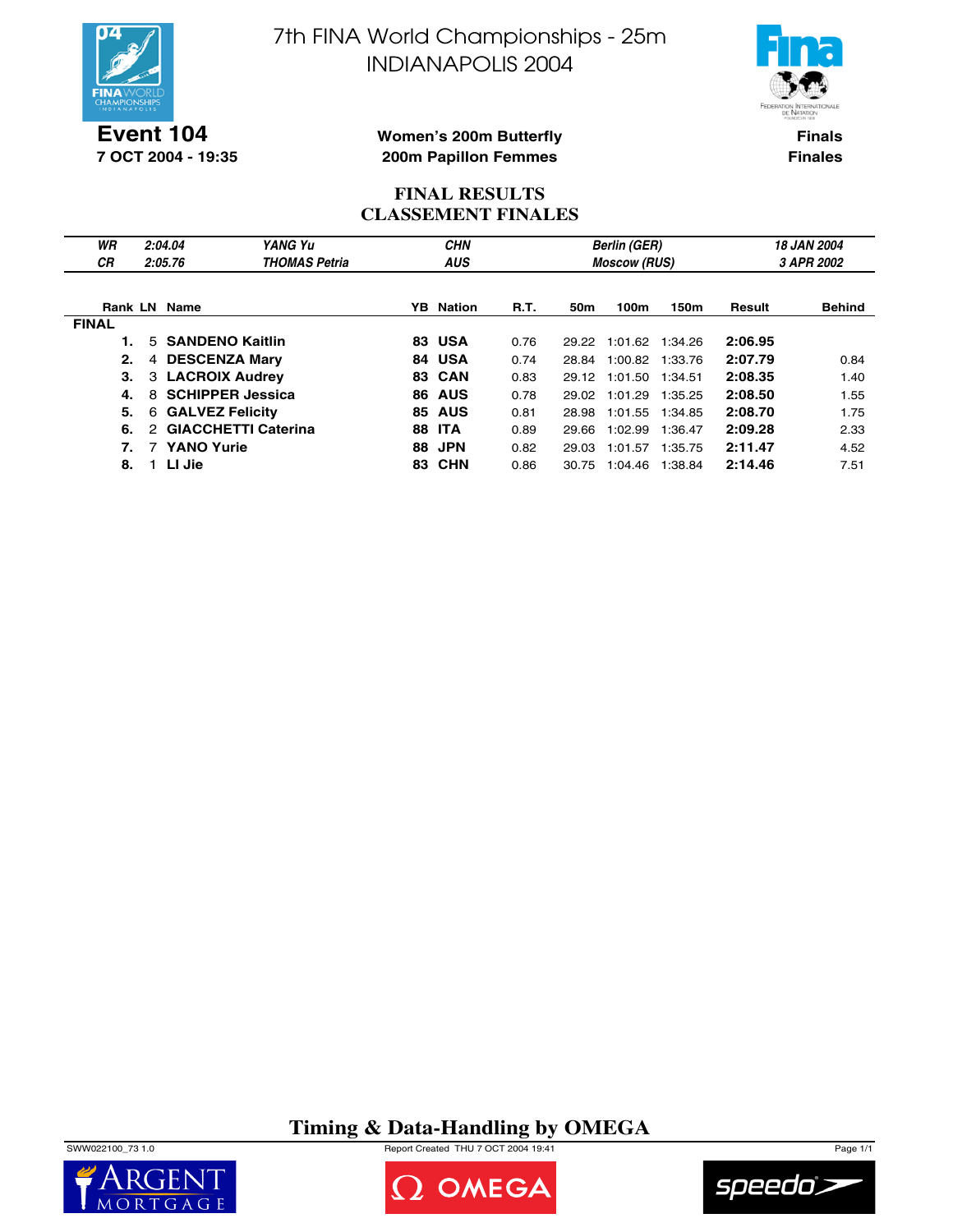

**Event 104 7 OCT 2004 - 19:35** 7th FINA World Championships - 25m INDIANAPOLIS 2004



**Finals Finales**

#### **Women's 200m Butterfly 200m Papillon Femmes**

#### **FINAL RESULTS CLASSEMENT FINALES**

| WR<br><b>CR</b> | 2:04.04<br>2:05.76          | YANG Yu<br><b>THOMAS Petria</b> |     | <b>CHN</b><br><b>AUS</b> |      |       | <b>Berlin (GER)</b><br><b>Moscow (RUS)</b> | 18 JAN 2004<br>3 APR 2002 |         |               |
|-----------------|-----------------------------|---------------------------------|-----|--------------------------|------|-------|--------------------------------------------|---------------------------|---------|---------------|
|                 | <b>Rank LN Name</b>         |                                 |     | <b>YB</b> Nation         | R.T. | 50m   | 100m                                       | 150m                      | Result  | <b>Behind</b> |
| <b>FINAL</b>    |                             |                                 |     |                          |      |       |                                            |                           |         |               |
|                 | 5 SANDENO Kaitlin           |                                 |     | 83 USA                   | 0.76 |       | 29.22 1:01.62 1:34.26                      |                           | 2:06.95 |               |
| 2.              | <b>DESCENZA Mary</b><br>4   |                                 | 84  | <b>USA</b>               | 0.74 | 28.84 | 1:00.82                                    | 1:33.76                   | 2:07.79 | 0.84          |
| З.              | 3                           | <b>LACROIX Audrey</b>           |     | 83 CAN                   | 0.83 | 29.12 | 1:01.50                                    | 1:34.51                   | 2:08.35 | 1.40          |
| 4.              | 8                           | <b>SCHIPPER Jessica</b>         |     | <b>86 AUS</b>            | 0.78 | 29.02 | 1:01.29                                    | 1:35.25                   | 2:08.50 | 1.55          |
| 5.              | <b>GALVEZ Felicity</b><br>6 |                                 | 85  | <b>AUS</b>               | 0.81 | 28.98 | 1:01.55 1:34.85                            |                           | 2:08.70 | 1.75          |
| 6.              | 2                           | <b>GIACCHETTI Caterina</b>      | 88  | <b>ITA</b>               | 0.89 | 29.66 | 1:02.99                                    | 1:36.47                   | 2:09.28 | 2.33          |
| 7.              | 7 YANO Yurie                |                                 | 88  | <b>JPN</b>               | 0.82 | 29.03 | 1:01.57                                    | 1:35.75                   | 2:11.47 | 4.52          |
| 8.              | LI Jie                      |                                 | 83. | CHN                      | 0.86 | 30.75 | 1:04.46                                    | 1:38.84                   | 2:14.46 | 7.51          |

**Timing & Data-Handling by OMEGA**

SWW022100\_73 1.0 Report Created THU 7 OCT 2004 19:41 Page 1/1





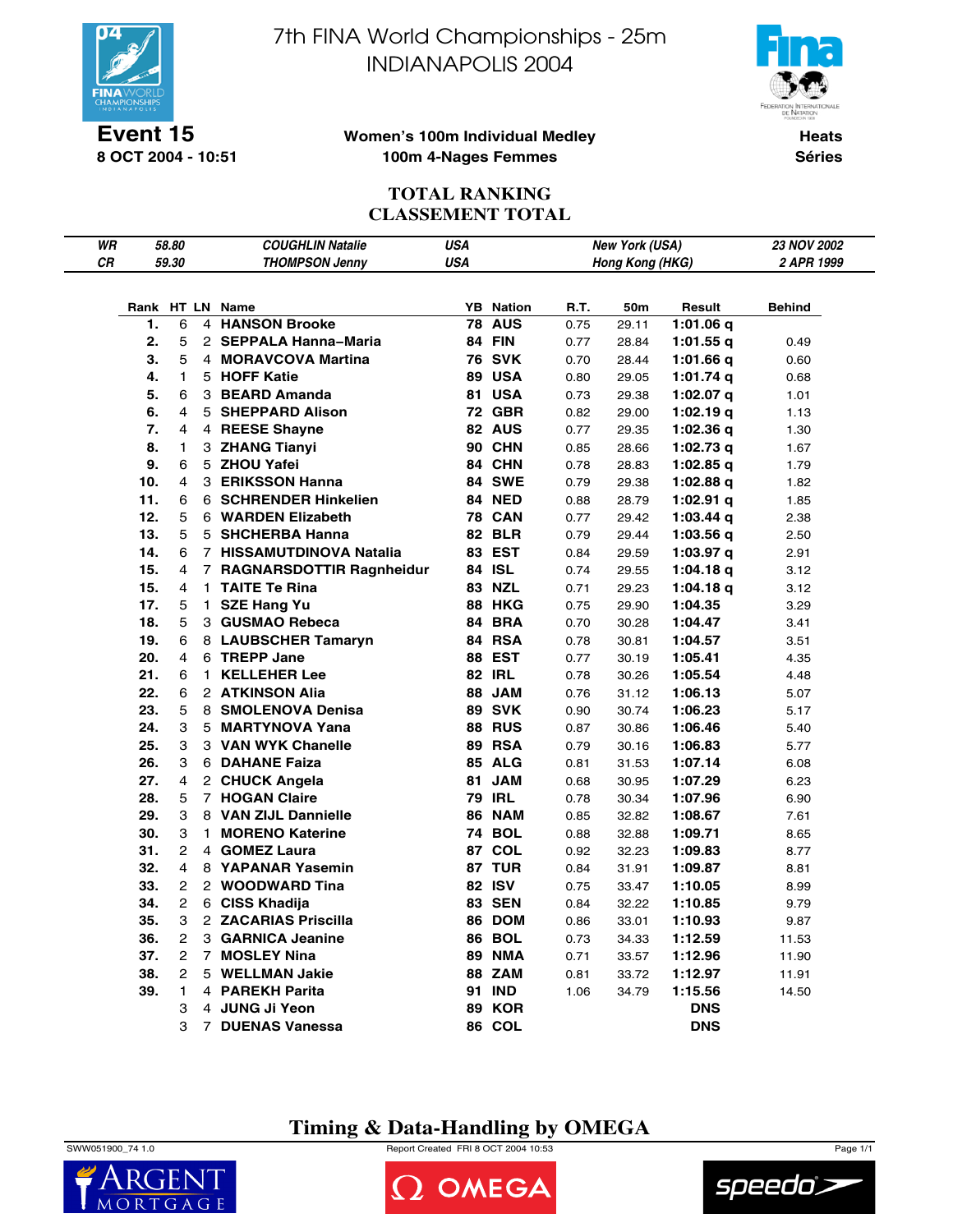

**Event 15 8 OCT 2004 - 10:51** 7th FINA World Championships - 25m INDIANAPOLIS 2004



#### **Women's 100m Individual Medley 100m 4-Nages Femmes**

**Heats Séries**

## **TOTAL RANKING CLASSEMENT TOTAL**

| WR |     | 58.80                   |              | <b>COUGHLIN Natalie</b>    | <b>USA</b> |                  |      | <b>New York (USA)</b> |             | 23 NOV 2002 |
|----|-----|-------------------------|--------------|----------------------------|------------|------------------|------|-----------------------|-------------|-------------|
| СR |     | 59.30                   |              | <b>THOMPSON Jenny</b>      | <b>USA</b> |                  |      | Hong Kong (HKG)       |             | 2 APR 1999  |
|    |     |                         |              |                            |            |                  |      |                       |             |             |
|    |     |                         |              | Rank HT LN Name            |            | <b>YB</b> Nation | R.T. | 50m                   | Result      | Behind      |
|    | 1.  | 6                       |              | 4 HANSON Brooke            | 78         | <b>AUS</b>       | 0.75 | 29.11                 | 1:01.06 $q$ |             |
|    | 2.  | 5                       |              | 2 SEPPALA Hanna-Maria      |            | 84 FIN           | 0.77 | 28.84                 | $1:01.55$ q | 0.49        |
|    | 3.  | 5                       |              | 4 MORAVCOVA Martina        |            | <b>76 SVK</b>    | 0.70 | 28.44                 | 1:01.66 q   | 0.60        |
|    | 4.  | 1                       |              | 5 HOFF Katie               |            | <b>89 USA</b>    | 0.80 | 29.05                 | $1:01.74$ q | 0.68        |
|    | 5.  | 6                       |              | 3 BEARD Amanda             |            | 81 USA           | 0.73 | 29.38                 | $1:02.07$ q | 1.01        |
|    | 6.  | 4                       |              | 5 SHEPPARD Alison          |            | 72 GBR           | 0.82 | 29.00                 | 1:02.19 $q$ | 1.13        |
|    | 7.  | 4                       |              | 4 REESE Shayne             |            | 82 AUS           | 0.77 | 29.35                 | 1:02.36q    | 1.30        |
|    | 8.  | 1                       |              | 3 ZHANG Tianyi             |            | <b>90 CHN</b>    | 0.85 | 28.66                 | $1:02.73$ q | 1.67        |
|    | 9.  | 6                       |              | 5 ZHOU Yafei               |            | 84 CHN           | 0.78 | 28.83                 | $1:02.85$ q | 1.79        |
|    | 10. | 4                       |              | 3 ERIKSSON Hanna           |            | 84 SWE           | 0.79 | 29.38                 | $1:02.88$ q | 1.82        |
|    | 11. | 6                       |              | 6 SCHRENDER Hinkelien      |            | 84 NED           | 0.88 | 28.79                 | $1:02.91$ q | 1.85        |
|    | 12. | 5                       |              | 6 WARDEN Elizabeth         |            | <b>78 CAN</b>    | 0.77 | 29.42                 | 1:03.44 $q$ | 2.38        |
|    | 13. | 5                       |              | 5 SHCHERBA Hanna           |            | <b>82 BLR</b>    | 0.79 | 29.44                 | 1:03.56q    | 2.50        |
|    | 14. | 6                       |              | 7 HISSAMUTDINOVA Natalia   |            | 83 EST           | 0.84 | 29.59                 | $1:03.97$ q | 2.91        |
|    | 15. | 4                       |              | 7 RAGNARSDOTTIR Ragnheidur |            | 84 ISL           | 0.74 | 29.55                 | 1:04.18 q   | 3.12        |
|    | 15. | 4                       |              | 1 TAITE Te Rina            |            | 83 NZL           | 0.71 | 29.23                 | 1:04.18q    | 3.12        |
|    | 17. | 5                       |              | 1 SZE Hang Yu              |            | 88 HKG           | 0.75 | 29.90                 | 1:04.35     | 3.29        |
|    | 18. | 5                       |              | 3 GUSMAO Rebeca            |            | 84 BRA           | 0.70 | 30.28                 | 1:04.47     | 3.41        |
|    | 19. | 6                       |              | 8 LAUBSCHER Tamaryn        |            | 84 RSA           | 0.78 | 30.81                 | 1:04.57     | 3.51        |
|    | 20. | 4                       |              | 6 TREPP Jane               |            | 88 EST           | 0.77 | 30.19                 | 1:05.41     | 4.35        |
|    | 21. | 6                       | 1            | <b>KELLEHER Lee</b>        |            | <b>82 IRL</b>    | 0.78 | 30.26                 | 1:05.54     | 4.48        |
|    | 22. | 6                       |              | 2 ATKINSON Alia            |            | 88 JAM           | 0.76 | 31.12                 | 1:06.13     | 5.07        |
|    | 23. | 5                       |              | 8 SMOLENOVA Denisa         |            | <b>89 SVK</b>    | 0.90 | 30.74                 | 1:06.23     | 5.17        |
|    | 24. | 3                       |              | 5 MARTYNOVA Yana           |            | <b>88 RUS</b>    | 0.87 | 30.86                 | 1:06.46     | 5.40        |
|    | 25. | 3                       |              | 3 VAN WYK Chanelle         |            | <b>89 RSA</b>    | 0.79 | 30.16                 | 1:06.83     | 5.77        |
|    | 26. | 3                       |              | 6 DAHANE Faiza             |            | <b>85 ALG</b>    | 0.81 | 31.53                 | 1:07.14     | 6.08        |
|    | 27. | $\overline{\mathbf{4}}$ |              | 2 CHUCK Angela             | 81         | <b>JAM</b>       | 0.68 | 30.95                 | 1:07.29     | 6.23        |
|    | 28. | 5                       |              | 7 HOGAN Claire             |            | <b>79 IRL</b>    | 0.78 | 30.34                 | 1:07.96     | 6.90        |
|    | 29. | 3                       |              | 8 VAN ZIJL Dannielle       |            | <b>86 NAM</b>    | 0.85 | 32.82                 | 1:08.67     | 7.61        |
|    | 30. | 3                       | $\mathbf{1}$ | <b>MORENO Katerine</b>     |            | <b>74 BOL</b>    | 0.88 | 32.88                 | 1:09.71     | 8.65        |
|    | 31. | 2                       |              | 4 GOMEZ Laura              |            | 87 COL           | 0.92 | 32.23                 | 1:09.83     | 8.77        |
|    | 32. | 4                       |              | 8 YAPANAR Yasemin          |            | 87 TUR           | 0.84 | 31.91                 | 1:09.87     | 8.81        |
|    | 33. | 2                       |              | 2 WOODWARD Tina            |            | 82 ISV           | 0.75 | 33.47                 | 1:10.05     | 8.99        |
|    | 34. | 2                       |              | 6 CISS Khadija             |            | <b>83 SEN</b>    | 0.84 | 32.22                 | 1:10.85     | 9.79        |
|    | 35. | 3                       |              | 2 ZACARIAS Priscilla       |            | 86 DOM           | 0.86 | 33.01                 | 1:10.93     | 9.87        |
|    | 36. | 2                       |              | 3 GARNICA Jeanine          | 86         | <b>BOL</b>       | 0.73 | 34.33                 | 1:12.59     | 11.53       |
|    | 37. | $\overline{2}$          |              | 7 MOSLEY Nina              |            | <b>89 NMA</b>    | 0.71 | 33.57                 | 1:12.96     | 11.90       |
|    | 38. | 2                       |              | 5 WELLMAN Jakie            |            | <b>88 ZAM</b>    | 0.81 | 33.72                 | 1:12.97     | 11.91       |
|    | 39. | $\mathbf{1}$            |              | 4 PAREKH Parita            |            | <b>91 IND</b>    | 1.06 | 34.79                 | 1:15.56     | 14.50       |
|    |     | 3                       |              | 4 JUNG Ji Yeon             | 89         | <b>KOR</b>       |      |                       | <b>DNS</b>  |             |
|    |     | 3                       |              | 7 DUENAS Vanessa           | 86         | COL              |      |                       | <b>DNS</b>  |             |

## **Timing & Data-Handling by OMEGA**

SWW051900\_74 1.0 Report Created FRI 8 OCT 2004 10:53 Page 1/1





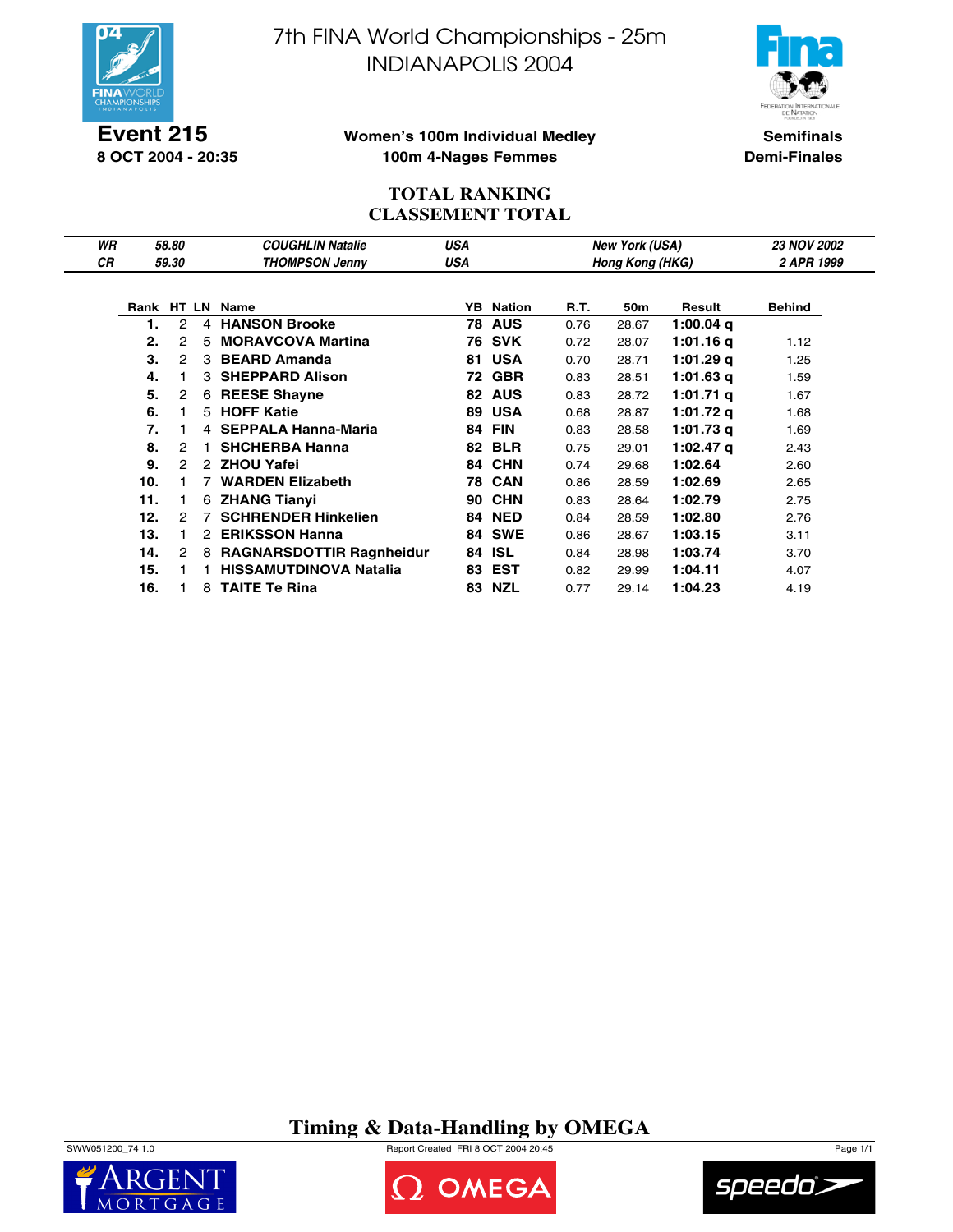

**Event 215 8 OCT 2004 - 20:35** 7th FINA World Championships - 25m INDIANAPOLIS 2004



#### **Women's 100m Individual Medley 100m 4-Nages Femmes**

**Semifinals Demi-Finales**

## **TOTAL RANKING CLASSEMENT TOTAL**

| WR |     | 58.80 |    | <b>COUGHLIN Natalie</b>         | USA |                  |      | New York (USA)  |             | <b>23 NOV 2002</b> |
|----|-----|-------|----|---------------------------------|-----|------------------|------|-----------------|-------------|--------------------|
| СR |     | 59.30 |    | <b>THOMPSON Jenny</b>           | USA |                  |      | Hong Kong (HKG) |             | 2 APR 1999         |
|    |     |       |    |                                 |     |                  |      |                 |             |                    |
|    |     |       |    | Rank HT LN Name                 |     | <b>YB</b> Nation | R.T. | 50m             | Result      | <b>Behind</b>      |
|    | 1.  | 2     |    | 4 HANSON Brooke                 |     | <b>78 AUS</b>    | 0.76 | 28.67           | 1:00.04 $q$ |                    |
|    | 2.  | 2     | 5  | <b>MORAVCOVA Martina</b>        |     | <b>76 SVK</b>    | 0.72 | 28.07           | 1:01.16 g   | 1.12               |
|    | 3.  | 2     |    | 3 BEARD Amanda                  | 81  | <b>USA</b>       | 0.70 | 28.71           | 1:01.29 g   | 1.25               |
|    | 4.  |       |    | 3 SHEPPARD Alison               | 72  | <b>GBR</b>       | 0.83 | 28.51           | 1:01.63 $q$ | 1.59               |
|    | 5.  | 2     | 6  | <b>REESE Shayne</b>             |     | 82 AUS           | 0.83 | 28.72           | 1:01.71 $q$ | 1.67               |
|    | 6.  | 1.    | 5  | <b>HOFF Katie</b>               | 89  | <b>USA</b>       | 0.68 | 28.87           | 1:01.72 g   | 1.68               |
|    | 7.  | 1     |    | 4 SEPPALA Hanna-Maria           | 84  | <b>FIN</b>       | 0.83 | 28.58           | 1:01.73 g   | 1.69               |
|    | 8.  | 2     | 1. | <b>SHCHERBA Hanna</b>           |     | <b>82 BLR</b>    | 0.75 | 29.01           | $1:02.47$ a | 2.43               |
|    | 9.  | 2     |    | 2 ZHOU Yafei                    |     | 84 CHN           | 0.74 | 29.68           | 1:02.64     | 2.60               |
|    | 10. |       |    | <b>WARDEN Elizabeth</b>         | 78  | <b>CAN</b>       | 0.86 | 28.59           | 1:02.69     | 2.65               |
|    | 11. |       | 6  | <b>ZHANG Tianyi</b>             | 90  | <b>CHN</b>       | 0.83 | 28.64           | 1:02.79     | 2.75               |
|    | 12. | 2     |    | <b>SCHRENDER Hinkelien</b>      | 84  | <b>NED</b>       | 0.84 | 28.59           | 1:02.80     | 2.76               |
|    | 13. | 1.    | 2  | <b>ERIKSSON Hanna</b>           |     | <b>84 SWE</b>    | 0.86 | 28.67           | 1:03.15     | 3.11               |
|    | 14. | 2     | 8  | <b>RAGNARSDOTTIR Ragnheidur</b> | 84  | <b>ISL</b>       | 0.84 | 28.98           | 1:03.74     | 3.70               |
|    | 15. |       |    | <b>HISSAMUTDINOVA Natalia</b>   |     | 83 EST           | 0.82 | 29.99           | 1:04.11     | 4.07               |
|    | 16. |       |    | 8 TAITE Te Rina                 |     | 83 NZL           | 0.77 | 29.14           | 1:04.23     | 4.19               |

## **Timing & Data-Handling by OMEGA**







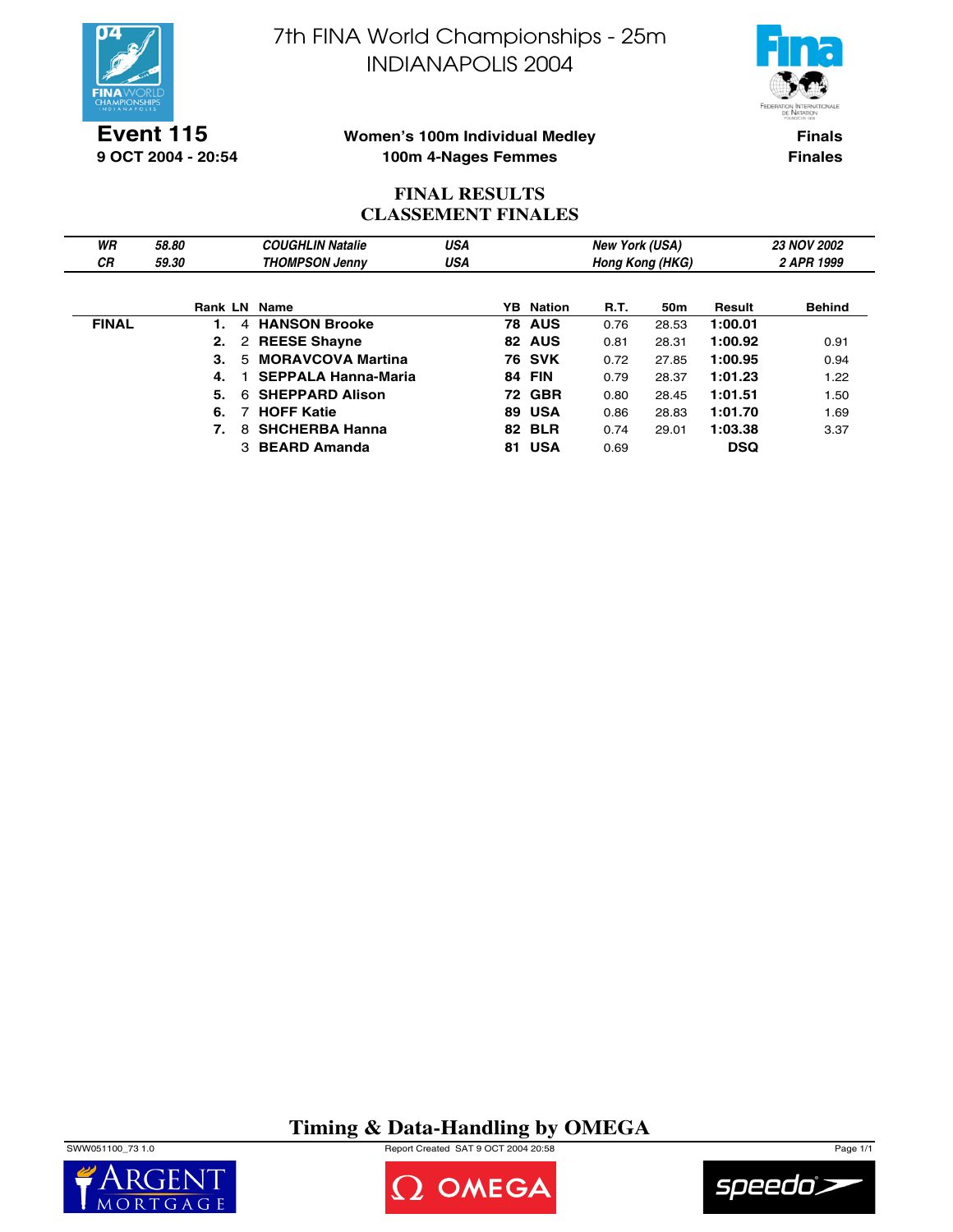

**Event 115 9 OCT 2004 - 20:54** 7th FINA World Championships - 25m INDIANAPOLIS 2004



### **Women's 100m Individual Medley 100m 4-Nages Femmes**

**Finals Finales**

## **FINAL RESULTS CLASSEMENT FINALES**

| WR           | 58.80 | <b>COUGHLIN Natalie</b>        | USA        |                  | <b>New York (USA)</b> |                 |            | <b>23 NOV 2002</b> |
|--------------|-------|--------------------------------|------------|------------------|-----------------------|-----------------|------------|--------------------|
| <b>CR</b>    | 59.30 | <b>THOMPSON Jenny</b>          | <b>USA</b> |                  |                       | Hong Kong (HKG) |            | 2 APR 1999         |
|              |       |                                |            |                  |                       |                 |            |                    |
|              |       | Rank LN Name                   |            | <b>YB</b> Nation | <b>R.T.</b>           | 50 <sub>m</sub> | Result     | <b>Behind</b>      |
| <b>FINAL</b> |       | 4 HANSON Brooke                |            | <b>78 AUS</b>    | 0.76                  | 28.53           | 1:00.01    |                    |
|              |       | 2 REESE Shayne                 |            | 82 AUS           | 0.81                  | 28.31           | 1:00.92    | 0.91               |
|              | 3.    | <b>MORAVCOVA Martina</b><br>5. |            | <b>76 SVK</b>    | 0.72                  | 27.85           | 1:00.95    | 0.94               |
|              | 4.    | <b>SEPPALA Hanna-Maria</b>     |            | <b>84 FIN</b>    | 0.79                  | 28.37           | 1:01.23    | 1.22               |
|              | 5.    | <b>SHEPPARD Alison</b><br>6.   |            | <b>72 GBR</b>    | 0.80                  | 28.45           | 1:01.51    | 1.50               |
|              | 6.    | <b>HOFF Katie</b>              |            | 89 USA           | 0.86                  | 28.83           | 1:01.70    | 1.69               |
|              |       | <b>SHCHERBA Hanna</b><br>8     |            | <b>82 BLR</b>    | 0.74                  | 29.01           | 1:03.38    | 3.37               |
|              |       | 3 BEARD Amanda                 |            | 81 USA           | 0.69                  |                 | <b>DSQ</b> |                    |

**Timing & Data-Handling by OMEGA**

SWW051100\_73 1.0 Report Created SAT 9 OCT 2004 20:58 Page 1/1





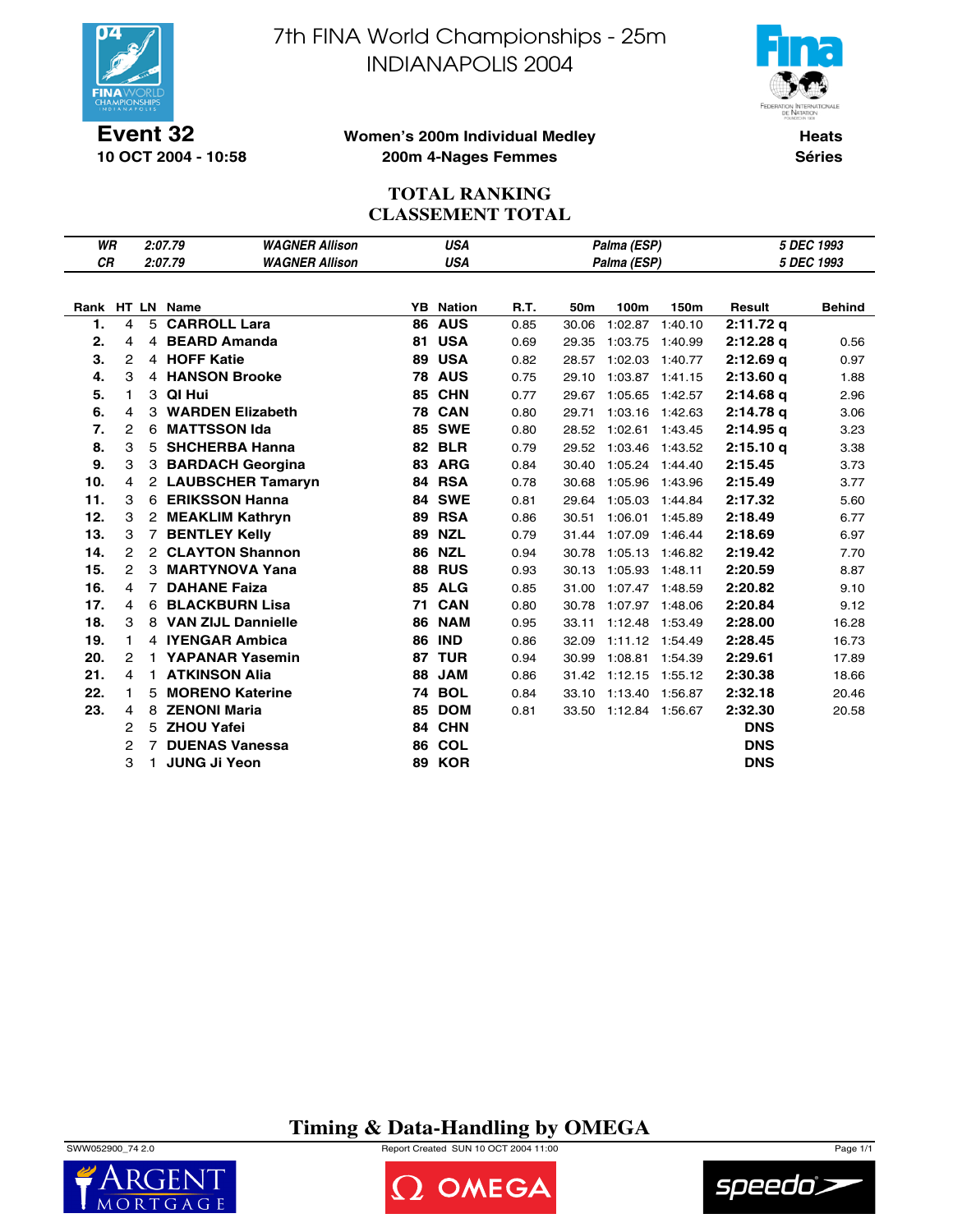

**10 OCT 2004 - 10:58**

7th FINA World Championships - 25m INDIANAPOLIS 2004



#### **Women's 200m Individual Medley 200m 4-Nages Femmes**

**Heats Séries**

## **TOTAL RANKING CLASSEMENT TOTAL**

| WR        |                |                | 2:07.79                | <b>WAGNER Allison</b> |    | <b>USA</b>       |      | Palma (ESP)     | 5 DEC 1993            |         |             |               |  |
|-----------|----------------|----------------|------------------------|-----------------------|----|------------------|------|-----------------|-----------------------|---------|-------------|---------------|--|
| <b>CR</b> |                |                | 2:07.79                | <b>WAGNER Allison</b> |    | <b>USA</b>       |      |                 | Palma (ESP)           |         | 5 DEC 1993  |               |  |
|           |                |                |                        |                       |    |                  |      |                 |                       |         |             |               |  |
|           |                |                | Rank HT LN Name        |                       |    | <b>YB</b> Nation | R.T. | 50 <sub>m</sub> | 100m                  | 150m    | Result      | <b>Behind</b> |  |
| 1.        | 4              | 5              | <b>CARROLL Lara</b>    |                       |    | <b>86 AUS</b>    | 0.85 | 30.06           | 1:02.87               | 1:40.10 | 2:11.72q    |               |  |
| 2.        | 4              |                | 4 BEARD Amanda         |                       | 81 | <b>USA</b>       | 0.69 | 29.35           | 1:03.75               | 1:40.99 | 2:12.28q    | 0.56          |  |
| 3.        | $\overline{c}$ |                | 4 HOFF Katie           |                       | 89 | <b>USA</b>       | 0.82 |                 | 28.57 1:02.03 1:40.77 |         | 2:12.69q    | 0.97          |  |
| 4.        | 3              |                | 4 HANSON Brooke        |                       |    | <b>78 AUS</b>    | 0.75 |                 | 29.10 1:03.87 1:41.15 |         | 2:13.60q    | 1.88          |  |
| 5.        | 1              |                | 3 QI Hui               |                       |    | <b>85 CHN</b>    | 0.77 |                 | 29.67 1:05.65 1:42.57 |         | $2:14.68$ q | 2.96          |  |
| 6.        | 4              |                | 3 WARDEN Elizabeth     |                       |    | <b>78 CAN</b>    | 0.80 | 29.71           | 1:03.16 1:42.63       |         | 2:14.78 g   | 3.06          |  |
| 7.        | $\mathbf{2}$   | 6              | <b>MATTSSON Ida</b>    |                       |    | <b>85 SWE</b>    | 0.80 |                 | 28.52 1:02.61 1:43.45 |         | 2:14.95q    | 3.23          |  |
| 8.        | 3              |                | 5 SHCHERBA Hanna       |                       |    | <b>82 BLR</b>    | 0.79 |                 | 29.52 1:03.46 1:43.52 |         | 2:15.10q    | 3.38          |  |
| 9.        | 3              |                | 3 BARDACH Georgina     |                       |    | 83 ARG           | 0.84 |                 | 30.40 1:05.24 1:44.40 |         | 2:15.45     | 3.73          |  |
| 10.       | 4              |                | 2 LAUBSCHER Tamaryn    |                       |    | 84 RSA           | 0.78 | 30.68           | 1:05.96 1:43.96       |         | 2:15.49     | 3.77          |  |
| 11.       | 3              |                | 6 ERIKSSON Hanna       |                       | 84 | <b>SWE</b>       | 0.81 | 29.64           | 1:05.03 1:44.84       |         | 2:17.32     | 5.60          |  |
| 12.       | 3              |                | 2 MEAKLIM Kathryn      |                       | 89 | <b>RSA</b>       | 0.86 | 30.51           | 1:06.01 1:45.89       |         | 2:18.49     | 6.77          |  |
| 13.       | 3              |                | 7 BENTLEY Kelly        |                       |    | <b>89 NZL</b>    | 0.79 |                 | 31.44 1:07.09 1:46.44 |         | 2:18.69     | 6.97          |  |
| 14.       | 2              |                | 2 CLAYTON Shannon      |                       |    | <b>86 NZL</b>    | 0.94 | 30.78           | 1:05.13 1:46.82       |         | 2:19.42     | 7.70          |  |
| 15.       | $\mathbf{2}$   |                | 3 MARTYNOVA Yana       |                       | 88 | <b>RUS</b>       | 0.93 |                 | 30.13 1:05.93 1:48.11 |         | 2:20.59     | 8.87          |  |
| 16.       | $\overline{4}$ | $\overline{7}$ | <b>DAHANE Faiza</b>    |                       |    | <b>85 ALG</b>    | 0.85 |                 | 31.00 1:07.47 1:48.59 |         | 2:20.82     | 9.10          |  |
| 17.       | $\overline{4}$ |                | 6 BLACKBURN Lisa       |                       | 71 | <b>CAN</b>       | 0.80 |                 | 30.78 1:07.97 1:48.06 |         | 2:20.84     | 9.12          |  |
| 18.       | 3              |                | 8 VAN ZIJL Dannielle   |                       | 86 | <b>NAM</b>       | 0.95 | 33.11           | 1:12.48 1:53.49       |         | 2:28.00     | 16.28         |  |
| 19.       | 1              |                | 4 IYENGAR Ambica       |                       |    | <b>86 IND</b>    | 0.86 | 32.09           | 1:11.12 1:54.49       |         | 2:28.45     | 16.73         |  |
| 20.       | $\overline{2}$ | 1              | <b>YAPANAR Yasemin</b> |                       | 87 | <b>TUR</b>       | 0.94 | 30.99           | 1:08.81 1:54.39       |         | 2:29.61     | 17.89         |  |
| 21.       | 4              | 1              | <b>ATKINSON Alia</b>   |                       | 88 | <b>JAM</b>       | 0.86 |                 | 31.42 1:12.15 1:55.12 |         | 2:30.38     | 18.66         |  |
| 22.       | 1              | 5              | <b>MORENO Katerine</b> |                       |    | <b>74 BOL</b>    | 0.84 |                 | 33.10 1:13.40 1:56.87 |         | 2:32.18     | 20.46         |  |
| 23.       | 4              | 8              | <b>ZENONI Maria</b>    |                       | 85 | <b>DOM</b>       | 0.81 |                 | 33.50 1:12.84 1:56.67 |         | 2:32.30     | 20.58         |  |
|           | 2              |                | 5 ZHOU Yafei           |                       | 84 | <b>CHN</b>       |      |                 |                       |         | <b>DNS</b>  |               |  |
|           | 2              | $\overline{7}$ | <b>DUENAS Vanessa</b>  |                       |    | <b>86 COL</b>    |      |                 |                       |         | <b>DNS</b>  |               |  |
|           | З              |                | <b>JUNG Ji Yeon</b>    |                       |    | <b>89 KOR</b>    |      |                 |                       |         | <b>DNS</b>  |               |  |

### **Timing & Data-Handling by OMEGA**

SWW052900\_74 2.0 Report Created SUN 10 OCT 2004 11:00 Page 1/1





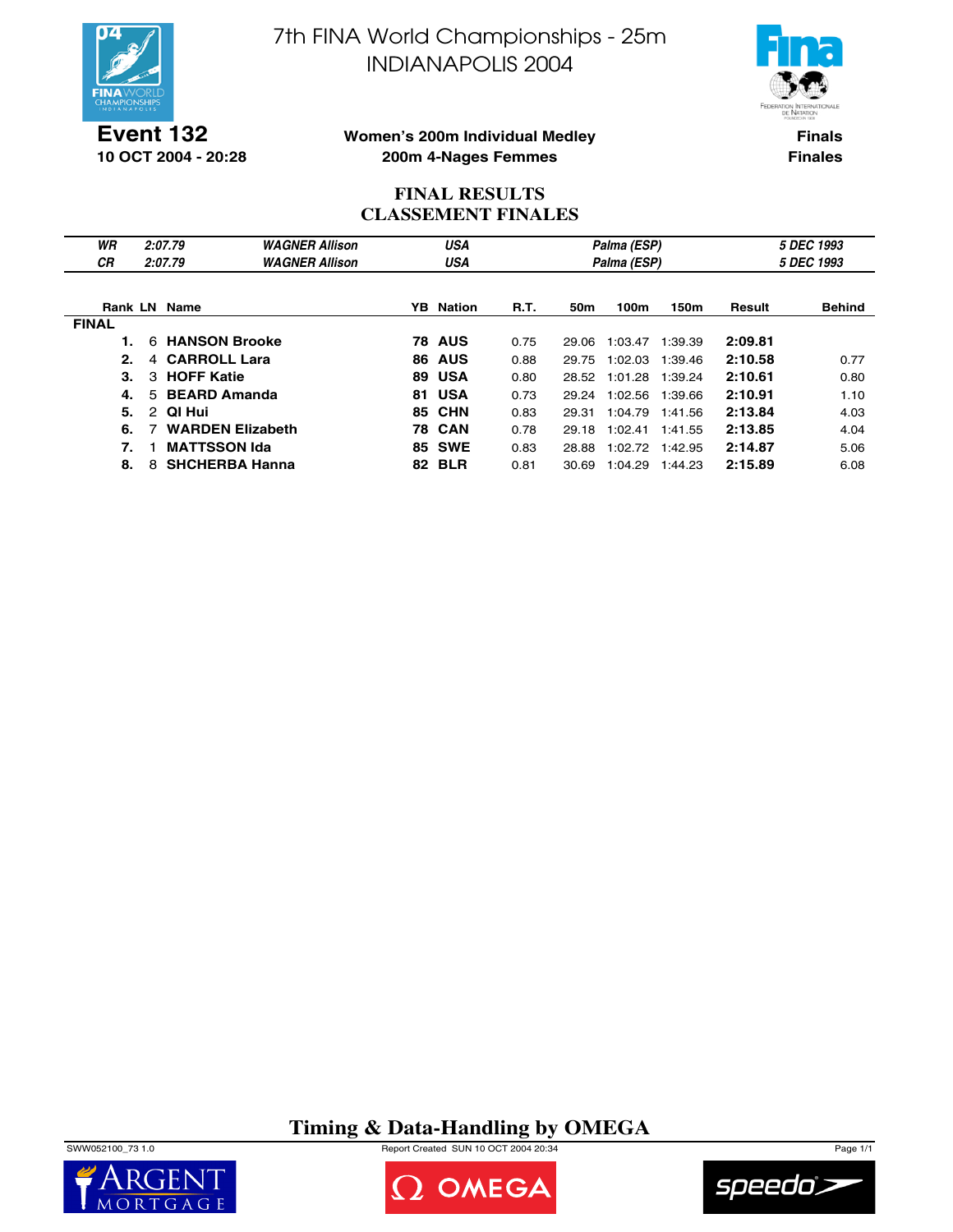

7th FINA World Championships - 25m INDIANAPOLIS 2004



**Event 132 10 OCT 2004 - 20:28**

#### **Women's 200m Individual Medley 200m 4-Nages Femmes**

**Finals Finales**

## **FINAL RESULTS CLASSEMENT FINALES**

| WR           | 2:07.79                   | <b>WAGNER Allison</b>   |     | <b>USA</b>       |             |       | Palma (ESP) |            |         | 5 DEC 1993    |
|--------------|---------------------------|-------------------------|-----|------------------|-------------|-------|-------------|------------|---------|---------------|
| <b>CR</b>    | 2:07.79                   | <b>WAGNER Allison</b>   |     | USA              |             |       | Palma (ESP) | 5 DEC 1993 |         |               |
|              |                           |                         |     |                  |             |       |             |            |         |               |
|              | <b>Rank LN Name</b>       |                         |     | <b>YB</b> Nation | <b>R.T.</b> | 50m   | 100m        | 150m       | Result  | <b>Behind</b> |
| <b>FINAL</b> |                           |                         |     |                  |             |       |             |            |         |               |
|              | 6                         | <b>HANSON Brooke</b>    |     | <b>78 AUS</b>    | 0.75        | 29.06 | 1:03.47     | 1:39.39    | 2:09.81 |               |
| 2.           | <b>CARROLL Lara</b><br>4  |                         | 86. | <b>AUS</b>       | 0.88        | 29.75 | 1:02.03     | 1:39.46    | 2:10.58 | 0.77          |
| З.           | <b>HOFF Katie</b><br>3    |                         | 89  | <b>USA</b>       | 0.80        | 28.52 | 1:01.28     | 1:39.24    | 2:10.61 | 0.80          |
| 4.           | <b>BEARD Amanda</b><br>5. |                         | 81. | <b>USA</b>       | 0.73        | 29.24 | 1:02.56     | 1:39.66    | 2:10.91 | 1.10          |
| 5.           | QI Hui<br>2               |                         | 85  | <b>CHN</b>       | 0.83        | 29.31 | 1:04.79     | 1:41.56    | 2:13.84 | 4.03          |
| 6.           |                           | <b>WARDEN Elizabeth</b> |     | <b>78 CAN</b>    | 0.78        | 29.18 | 1:02.41     | 1:41.55    | 2:13.85 | 4.04          |
| 7.           | <b>MATTSSON Ida</b>       |                         |     | <b>85 SWE</b>    | 0.83        | 28.88 | 1:02.72     | 1:42.95    | 2:14.87 | 5.06          |
| 8.           | 8                         | <b>SHCHERBA Hanna</b>   | 82. | <b>BLR</b>       | 0.81        | 30.69 | 1:04.29     | 1:44.23    | 2:15.89 | 6.08          |

## **Timing & Data-Handling by OMEGA**

SWW052100\_73 1.0 Report Created SUN 10 OCT 2004 20:34 Page 1/1





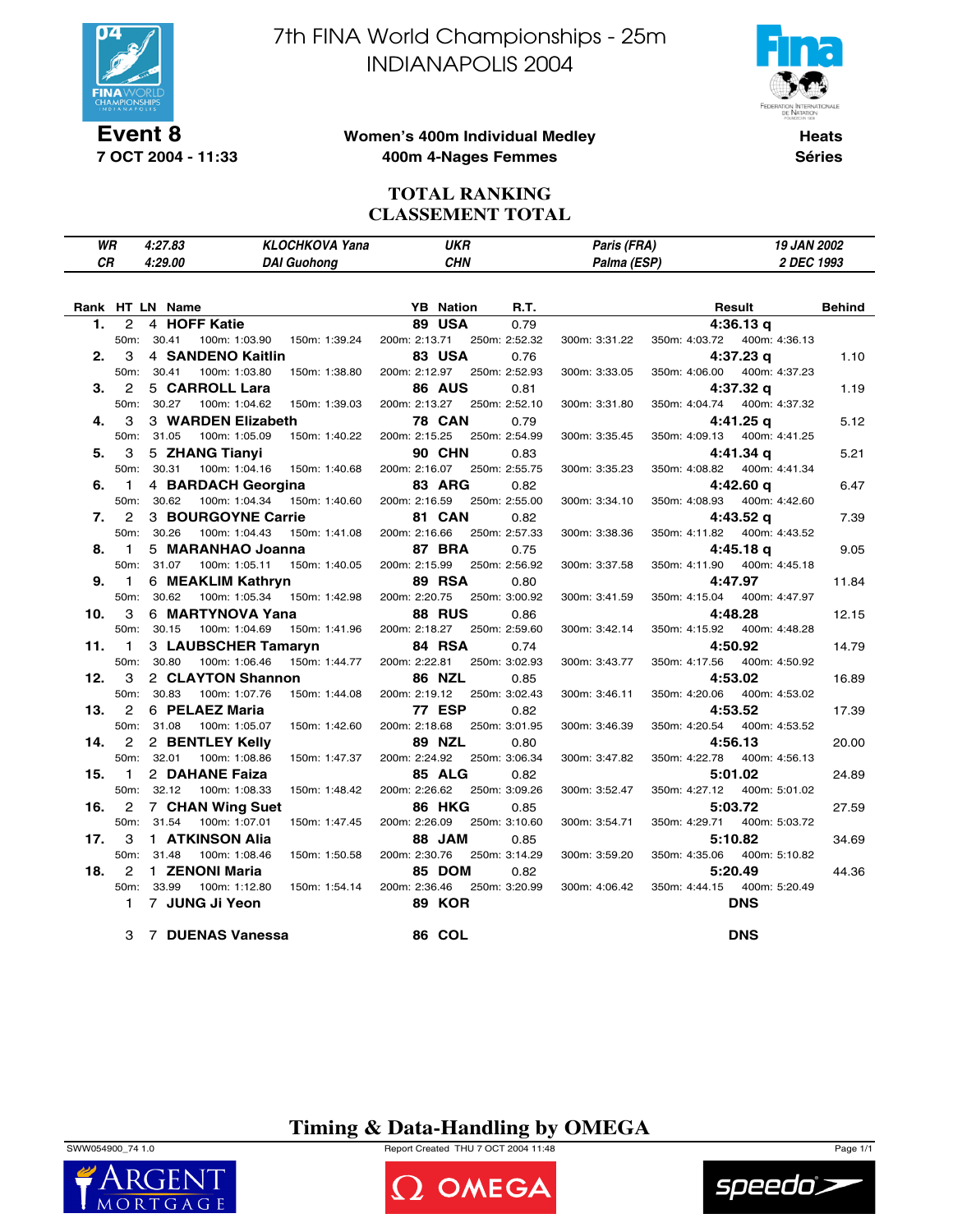

**7 OCT 2004 - 11:33**

7th FINA World Championships - 25m INDIANAPOLIS 2004



#### **Women's 400m Individual Medley 400m 4-Nages Femmes**

**Heats Séries**

### **TOTAL RANKING CLASSEMENT TOTAL**

| WR | $4.278^{\circ}$<br>ده. ،<br>$\sim$ $\sim$ | Yana<br><b>CHKOVA</b><br>ω | UKR | Paris (FRA)<br>rans<br><b>Contract Contract Contract Contract Contract Contract Contract Contract Contract Contract Contract Contract Co</b> | JAN 2002<br>1 U |
|----|-------------------------------------------|----------------------------|-----|----------------------------------------------------------------------------------------------------------------------------------------------|-----------------|
| СR | 4:29.00                                   | <b>DAI Guohono</b>         | CHN | (0.01)<br>Palma                                                                                                                              | 1993<br>DFC     |
|    |                                           |                            |     |                                                                                                                                              |                 |

|     |                | Rank HT LN Name                              | <b>YB</b> Nation<br>R.T.       | <b>Behind</b><br>Result                         |       |
|-----|----------------|----------------------------------------------|--------------------------------|-------------------------------------------------|-------|
| 1.  | $\overline{2}$ | 4 HOFF Katie                                 | <b>89 USA</b><br>0.79          | 4:36.13q                                        |       |
|     | 50m:           | 30.41<br>100m: 1:03.90  150m: 1:39.24        | 200m: 2:13.71 250m: 2:52.32    | 350m: 4:03.72  400m: 4:36.13<br>300m: 3:31.22   |       |
| 2.  | 3              | 4 SANDENO Kaitlin                            | 83 USA<br>0.76                 | $4:37.23$ q                                     | 1.10  |
|     | 50m:           | 30.41<br>100m: 1:03.80<br>150m: 1:38.80      | 200m: 2:12.97 250m: 2:52.93    | 350m: 4:06.00<br>400m: 4:37.23<br>300m: 3:33.05 |       |
| 3.  | $\overline{2}$ | 5 CARROLL Lara                               | <b>86 AUS</b><br>0.81          | 4:37.32 g                                       | 1.19  |
|     | 50m:           | 30.27<br>100m: 1:04.62<br>150m: 1:39.03      | 200m: 2:13.27 250m: 2:52.10    | 400m: 4:37.32<br>300m: 3:31.80<br>350m: 4:04.74 |       |
| 4.  | 3              | 3 WARDEN Elizabeth                           | <b>78 CAN</b><br>0.79          | 4:41.25 g                                       | 5.12  |
|     | 50m:           | 31.05<br>100m: 1:05.09<br>150m: 1:40.22      | 200m: 2:15.25 250m: 2:54.99    | 350m: 4:09.13<br>400m: 4:41.25<br>300m: 3:35.45 |       |
| 5.  | 3              | 5 ZHANG Tianyi                               | <b>90 CHN</b><br>0.83          | 4:41.34 g                                       | 5.21  |
|     | 50m:           | 30.31<br>100m: 1:04.16<br>150m: 1:40.68      | 200m: 2:16.07 250m: 2:55.75    | 300m: 3:35.23<br>350m: 4:08.82  400m: 4:41.34   |       |
| 6.  | $\overline{1}$ | 4 BARDACH Georgina                           | 83 ARG<br>0.82                 | 4:42.60 g                                       | 6.47  |
|     |                | 50m: 30.62<br>100m: 1:04.34<br>150m: 1:40.60 | 200m: 2:16.59 250m: 2:55.00    | 350m: 4:08.93<br>400m: 4:42.60<br>300m: 3:34.10 |       |
| 7.  | $\overline{2}$ | 3 BOURGOYNE Carrie                           | 81 CAN<br>0.82                 | 4:43.52 g                                       | 7.39  |
|     | 50m:           | 30.26<br>100m: 1:04.43<br>150m: 1:41.08      | 200m: 2:16.66<br>250m: 2:57.33 | 350m: 4:11.82<br>400m: 4:43.52<br>300m: 3:38.36 |       |
| 8.  | $\mathbf{1}$   | 5 MARANHAO Joanna                            | <b>87 BRA</b><br>0.75          | 4:45.18 g                                       | 9.05  |
|     | 50m:           | 31.07<br>100m: 1:05.11<br>150m: 1:40.05      | 200m: 2:15.99<br>250m: 2:56.92 | 350m: 4:11.90<br>400m: 4:45.18<br>300m: 3:37.58 |       |
| 9.  | $\blacksquare$ | 6 MEAKLIM Kathryn                            | 89 RSA<br>0.80                 | 4:47.97                                         | 11.84 |
|     | 50m:           | 30.62<br>100m: 1:05.34  150m: 1:42.98        | 200m: 2:20.75 250m: 3:00.92    | 350m: 4:15.04<br>400m: 4:47.97<br>300m: 3:41.59 |       |
| 10. | 3              | 6 MARTYNOVA Yana                             | <b>88 RUS</b><br>0.86          | 4:48.28                                         | 12.15 |
|     | 50m:           | 30.15<br>100m: 1:04.69<br>150m: 1:41.96      | 200m: 2:18.27<br>250m: 2:59.60 | 300m: 3:42.14<br>350m: 4:15.92<br>400m: 4:48.28 |       |
| 11. | $\blacksquare$ | 3 LAUBSCHER Tamaryn                          | 84 RSA<br>0.74                 | 4:50.92                                         | 14.79 |
|     | 50m:           | 30.80<br>100m: 1:06.46<br>150m: 1:44.77      | 200m: 2:22.81<br>250m: 3:02.93 | 350m: 4:17.56<br>400m: 4:50.92<br>300m: 3:43.77 |       |
| 12. | 3              | 2 CLAYTON Shannon                            | <b>86 NZL</b><br>0.85          | 4:53.02                                         | 16.89 |
|     | 50m:           | 30.83<br>100m: 1:07.76<br>150m: 1:44.08      | 200m: 2:19.12<br>250m: 3:02.43 | 350m: 4:20.06<br>400m: 4:53.02<br>300m: 3:46.11 |       |
| 13. | 2              | 6 PELAEZ Maria                               | <b>77 ESP</b><br>0.82          | 4:53.52                                         | 17.39 |
|     |                | 50m: 31.08<br>100m: 1:05.07<br>150m: 1:42.60 | 200m: 2:18.68 250m: 3:01.95    | 300m: 3:46.39<br>350m: 4:20.54  400m: 4:53.52   |       |
| 14. | $\overline{2}$ | 2 BENTLEY Kelly                              | <b>89 NZL</b><br>0.80          | 4:56.13                                         | 20.00 |
|     |                | 50m: 32.01<br>100m: 1:08.86<br>150m: 1:47.37 | 200m: 2:24.92<br>250m: 3:06.34 | 350m: 4:22.78<br>300m: 3:47.82<br>400m: 4:56.13 |       |
| 15. | $\mathbf{1}$   | 2 DAHANE Faiza                               | <b>85 ALG</b><br>0.82          | 5:01.02                                         | 24.89 |
|     | 50m:           | 32.12<br>100m: 1:08.33<br>150m: 1:48.42      | 200m: 2:26.62<br>250m: 3:09.26 | 350m: 4:27.12<br>400m: 5:01.02<br>300m: 3:52.47 |       |
| 16. | 2              | <b>7 CHAN Wing Suet</b>                      | <b>86 HKG</b><br>0.85          | 5:03.72                                         | 27.59 |
|     | 50m:           | 31.54<br>100m: 1:07.01<br>150m: 1:47.45      | 200m: 2:26.09<br>250m: 3:10.60 | 350m: 4:29.71<br>300m: 3:54.71<br>400m: 5:03.72 |       |
| 17. | 3              | 1 ATKINSON Alia                              | 88 JAM<br>0.85                 | 5:10.82                                         | 34.69 |
|     | 50m:           | 31.48<br>100m: 1:08.46<br>150m: 1:50.58      | 200m: 2:30.76<br>250m: 3:14.29 | 350m: 4:35.06<br>400m: 5:10.82<br>300m: 3:59.20 |       |
| 18. | 2              | 1 ZENONI Maria                               | 85 DOM<br>0.82                 | 5:20.49                                         | 44.36 |
|     |                | 50m: 33.99<br>100m: 1:12.80<br>150m: 1:54.14 | 200m: 2:36.46 250m: 3:20.99    | 350m: 4:44.15  400m: 5:20.49<br>300m: 4:06.42   |       |
|     | $\mathbf{1}$   | 7 JUNG Ji Yeon                               | <b>89 KOR</b>                  | <b>DNS</b>                                      |       |
|     |                |                                              |                                |                                                 |       |
|     |                | 3 7 DUENAS Vanessa                           | 86 COL                         | <b>DNS</b>                                      |       |

### **Timing & Data-Handling by OMEGA**

SWW054900\_74 1.0 Report Created THU 7 OCT 2004 11:48 Page 1/1





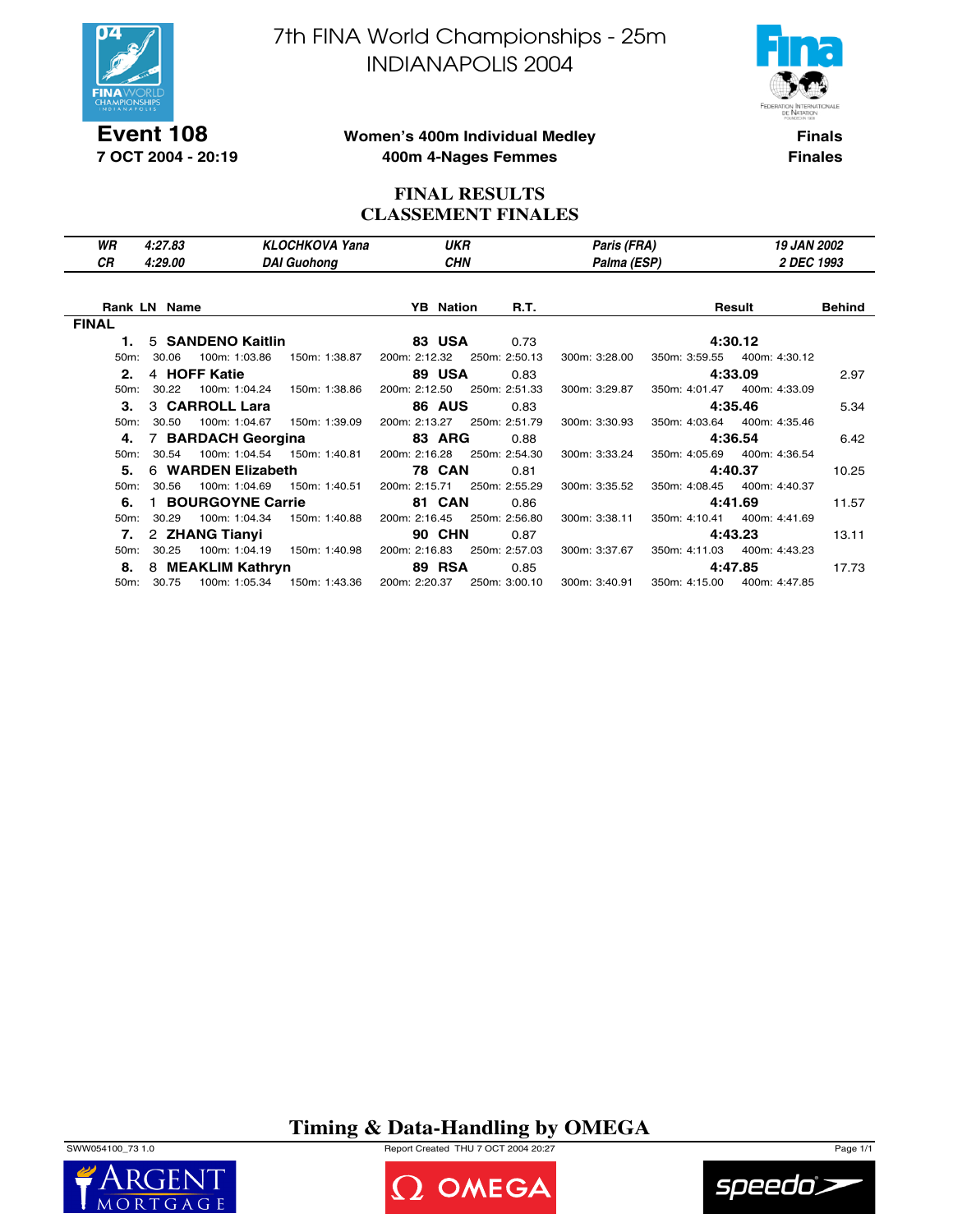

**Event 108 7 OCT 2004 - 20:19** 7th FINA World Championships - 25m INDIANAPOLIS 2004



**Women's 400m Individual Medley 400m 4-Nages Femmes**

**Finals Finales**

### **FINAL RESULTS CLASSEMENT FINALES**

| WR           | 4:27.83             |                    | <b>KLOCHKOVA Yana</b>         | <b>UKR</b>       |                             | Paris (FRA)   | <b>19 JAN 2002</b>           |        |
|--------------|---------------------|--------------------|-------------------------------|------------------|-----------------------------|---------------|------------------------------|--------|
| CR.          | 4:29.00             |                    | <b>DAI Guohong</b>            | <b>CHN</b>       |                             | Palma (ESP)   | 2 DEC 1993                   |        |
|              | <b>Rank LN Name</b> |                    |                               | <b>YB</b> Nation | R.T.                        |               | Result                       | Behind |
| <b>FINAL</b> |                     |                    |                               |                  |                             |               |                              |        |
|              | 5 SANDENO Kaitlin   |                    |                               | <b>83 USA</b>    | 0.73                        |               | 4:30.12                      |        |
| $50m$ :      | 30.06               | 100m: 1:03.86      | 150m: 1:38.87                 |                  | 200m: 2:12.32 250m: 2:50.13 | 300m: 3:28.00 | 350m: 3:59.55  400m: 4:30.12 |        |
| 2.           | 4 HOFF Katie        |                    |                               | <b>89 USA</b>    | 0.83                        |               | 4:33.09                      | 2.97   |
| $50m$ :      | 30.22               |                    | 100m: 1:04.24  150m: 1:38.86  |                  | 200m: 2:12.50 250m: 2:51.33 | 300m: 3:29.87 | 350m: 4:01.47 400m: 4:33.09  |        |
| 3.           | 3 CARROLL Lara      |                    |                               | <b>86 AUS</b>    | 0.83                        |               | 4:35.46                      | 5.34   |
|              | 50m: 30.50          |                    | 100m: 1:04.67  150m: 1:39.09  |                  | 200m: 2:13.27 250m: 2:51.79 | 300m: 3:30.93 | 350m: 4:03.64 400m: 4:35.46  |        |
| 4.           | 7 BARDACH Georgina  |                    |                               | <b>83 ARG</b>    | 0.88                        |               | 4:36.54                      | 6.42   |
| $50m$ :      | 30.54               |                    | 100m: 1:04.54   150m: 1:40.81 |                  | 200m: 2:16.28 250m: 2:54.30 | 300m: 3:33.24 | 350m: 4:05.69 400m: 4:36.54  |        |
| 5.           |                     | 6 WARDEN Elizabeth |                               | <b>78 CAN</b>    | 0.81                        |               | 4:40.37                      | 10.25  |
| 50m:         | 30.56               |                    | 100m: 1:04.69  150m: 1:40.51  |                  | 200m: 2:15.71 250m: 2:55.29 | 300m: 3:35.52 | 350m: 4:08.45 400m: 4:40.37  |        |
| 6.           |                     | 1 BOURGOYNE Carrie |                               | 81 CAN           | 0.86                        |               | 4:41.69                      | 11.57  |
| 50m:         | 30.29               | 100m: 1:04.34      | 150m: 1:40.88                 | 200m: 2:16.45    | 250m: 2:56.80               | 300m: 3:38.11 | 350m: 4:10.41  400m: 4:41.69 |        |
|              | 7. 2 ZHANG Tianyi   |                    |                               | <b>90 CHN</b>    | 0.87                        |               | 4:43.23                      | 13.11  |
| $50m$ :      | 30.25               |                    | 100m: 1:04.19  150m: 1:40.98  | 200m: 2:16.83    | 250m: 2:57.03               | 300m: 3:37.67 | 350m: 4:11.03  400m: 4:43.23 |        |
| 8.           |                     | 8 MEAKLIM Kathryn  |                               | <b>89 RSA</b>    | 0.85                        |               | 4:47.85                      | 17.73  |
|              | 50m: 30.75          |                    |                               | 200m: 2:20.37    | 250m: 3:00.10               | 300m: 3:40.91 | 350m: 4:15.00  400m: 4:47.85 |        |

**Timing & Data-Handling by OMEGA**







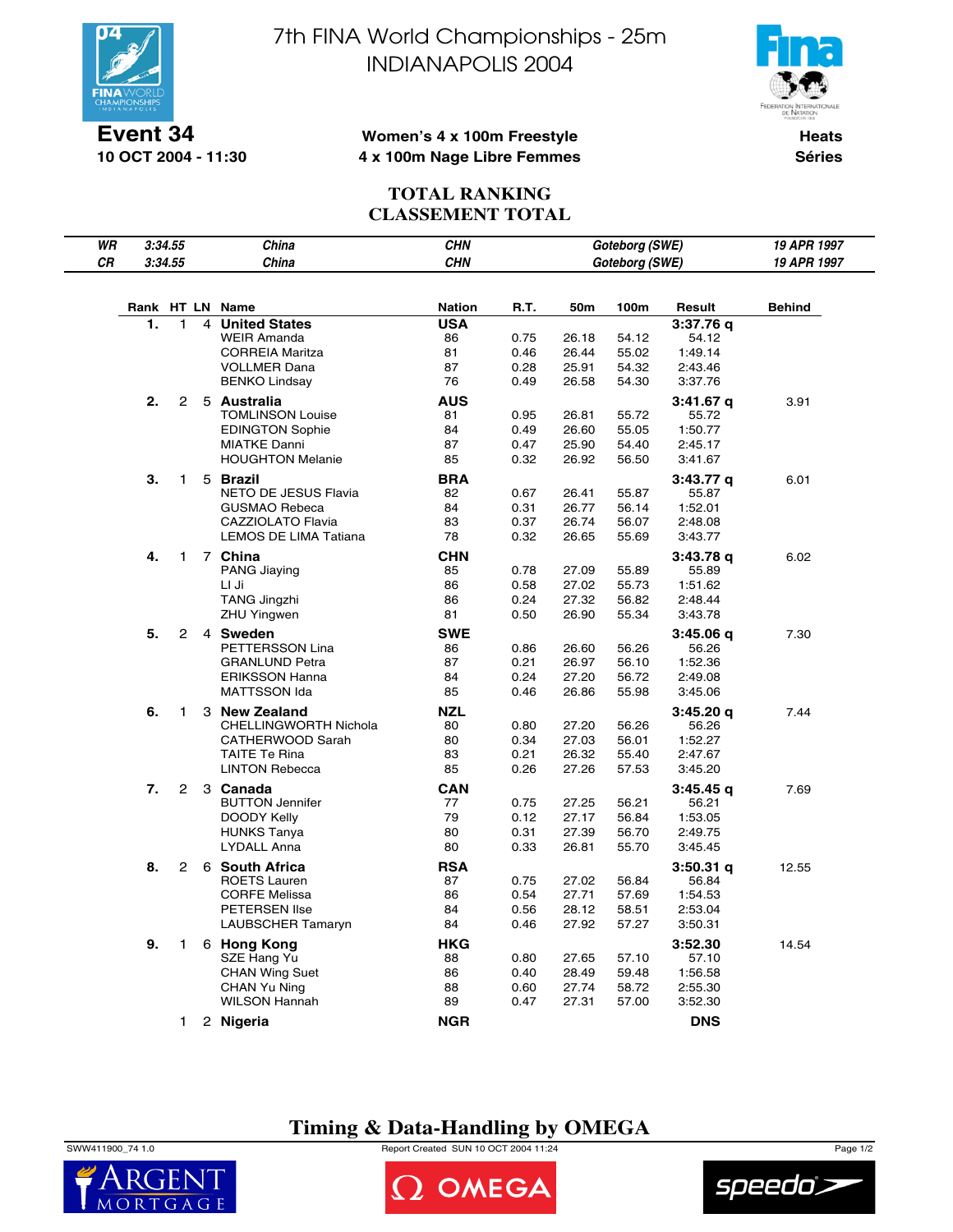

**10 OCT 2004 - 11:30**

7th FINA World Championships - 25m INDIANAPOLIS 2004



#### **Women's 4 x 100m Freestyle 4 x 100m Nage Libre Femmes**

**Heats Séries**

## **TOTAL RANKING CLASSEMENT TOTAL**

| WR |            | 3:34.55        |   | China                                     | <b>CHN</b>       |              |                | Goteborg (SWE) |                    | 19 APR 1997   |
|----|------------|----------------|---|-------------------------------------------|------------------|--------------|----------------|----------------|--------------------|---------------|
| СR |            | 3:34.55        |   | China                                     | <b>CHN</b>       |              |                | Goteborg (SWE) |                    | 19 APR 1997   |
|    | Rank HT LN |                |   | Name                                      | <b>Nation</b>    | R.T.         | 50m            | 100m           | Result             | <b>Behind</b> |
|    | 1.         | 1              | 4 | <b>United States</b>                      | <b>USA</b>       |              |                |                | 3:37.76 q          |               |
|    |            |                |   | <b>WEIR Amanda</b>                        | 86               | 0.75         | 26.18          | 54.12          | 54.12              |               |
|    |            |                |   | <b>CORREIA Maritza</b>                    | 81               | 0.46         | 26.44          | 55.02          | 1:49.14            |               |
|    |            |                |   | <b>VOLLMER Dana</b>                       | 87               | 0.28         | 25.91          | 54.32          | 2:43.46            |               |
|    |            |                |   | <b>BENKO Lindsay</b>                      | 76               | 0.49         | 26.58          | 54.30          | 3:37.76            |               |
|    | 2.         | $\mathbf{2}$   |   | 5 Australia                               | AUS              |              |                |                | $3:41.67$ q        | 3.91          |
|    |            |                |   | <b>TOMLINSON Louise</b>                   | 81               | 0.95         | 26.81          | 55.72          | 55.72              |               |
|    |            |                |   | <b>EDINGTON Sophie</b>                    | 84               | 0.49         | 26.60          | 55.05          | 1:50.77            |               |
|    |            |                |   | <b>MIATKE Danni</b>                       | 87               | 0.47         | 25.90          | 54.40          | 2:45.17            |               |
|    |            |                |   | <b>HOUGHTON Melanie</b>                   | 85               | 0.32         | 26.92          | 56.50          | 3:41.67            |               |
|    | 3.         | 1              |   | 5 Brazil                                  | <b>BRA</b>       |              |                |                | 3:43.77 q          | 6.01          |
|    |            |                |   | NETO DE JESUS Flavia                      | 82               | 0.67         | 26.41          | 55.87          | 55.87              |               |
|    |            |                |   | GUSMAO Rebeca                             | 84               | 0.31         | 26.77          | 56.14          | 1:52.01            |               |
|    |            |                |   | CAZZIOLATO Flavia                         | 83               | 0.37         | 26.74          | 56.07          | 2:48.08            |               |
|    |            |                |   | <b>LEMOS DE LIMA Tatiana</b>              | 78               | 0.32         | 26.65          | 55.69          | 3:43.77            |               |
|    | 4.         | $\mathbf{1}$   |   | 7 China                                   | CHN              |              |                |                | 3:43.78 q          | 6.02          |
|    |            |                |   | PANG Jiaying                              | 85               | 0.78         | 27.09          | 55.89          | 55.89              |               |
|    |            |                |   | LI Ji                                     | 86<br>86         | 0.58         | 27.02          | 55.73<br>56.82 | 1:51.62<br>2:48.44 |               |
|    |            |                |   | <b>TANG Jingzhi</b><br><b>ZHU Yingwen</b> | 81               | 0.24<br>0.50 | 27.32<br>26.90 | 55.34          | 3:43.78            |               |
|    |            |                |   |                                           |                  |              |                |                |                    |               |
|    | 5.         | 2              |   | 4 Sweden<br>PETTERSSON Lina               | <b>SWE</b><br>86 | 0.86         | 26.60          | 56.26          | 3:45.06 q<br>56.26 | 7.30          |
|    |            |                |   | <b>GRANLUND Petra</b>                     | 87               | 0.21         | 26.97          | 56.10          | 1:52.36            |               |
|    |            |                |   | <b>ERIKSSON Hanna</b>                     | 84               | 0.24         | 27.20          | 56.72          | 2:49.08            |               |
|    |            |                |   | <b>MATTSSON Ida</b>                       | 85               | 0.46         | 26.86          | 55.98          | 3:45.06            |               |
|    | 6.         | 1              |   | 3 New Zealand                             | <b>NZL</b>       |              |                |                | 3:45.20 q          | 7.44          |
|    |            |                |   | CHELLINGWORTH Nichola                     | 80               | 0.80         | 27.20          | 56.26          | 56.26              |               |
|    |            |                |   | CATHERWOOD Sarah                          | 80               | 0.34         | 27.03          | 56.01          | 1:52.27            |               |
|    |            |                |   | <b>TAITE Te Rina</b>                      | 83               | 0.21         | 26.32          | 55.40          | 2:47.67            |               |
|    |            |                |   | <b>LINTON Rebecca</b>                     | 85               | 0.26         | 27.26          | 57.53          | 3:45.20            |               |
|    | 7.         | $\overline{2}$ |   | 3 Canada                                  | <b>CAN</b>       |              |                |                | 3:45.45 q          | 7.69          |
|    |            |                |   | <b>BUTTON Jennifer</b>                    | 77               | 0.75         | 27.25          | 56.21          | 56.21              |               |
|    |            |                |   | DOODY Kelly                               | 79               | 0.12         | 27.17          | 56.84          | 1:53.05            |               |
|    |            |                |   | <b>HUNKS Tanya</b>                        | 80               | 0.31         | 27.39          | 56.70          | 2:49.75            |               |
|    |            |                |   | <b>LYDALL Anna</b>                        | 80               | 0.33         | 26.81          | 55.70          | 3:45.45            |               |
|    | 8.         | $\overline{2}$ |   | 6 South Africa                            | RSA              |              |                |                | 3:50.31 q          | 12.55         |
|    |            |                |   | <b>ROETS Lauren</b>                       | 87               | 0.75         | 27.02          | 56.84          | 56.84              |               |
|    |            |                |   | <b>CORFE Melissa</b>                      | 86<br>84         | 0.54         | 27.71<br>28.12 | 57.69<br>58.51 | 1:54.53            |               |
|    |            |                |   | <b>PETERSEN Ilse</b><br>LAUBSCHER Tamaryn | 84               | 0.56<br>0.46 | 27.92          | 57.27          | 2:53.04<br>3:50.31 |               |
|    |            |                |   |                                           |                  |              |                |                |                    |               |
|    | 9.         | 1.             |   | 6 Hong Kong<br>SZE Hang Yu                | HKG<br>88        | 0.80         | 27.65          | 57.10          | 3:52.30<br>57.10   | 14.54         |
|    |            |                |   | <b>CHAN Wing Suet</b>                     | 86               | 0.40         | 28.49          | 59.48          | 1:56.58            |               |
|    |            |                |   | CHAN Yu Ning                              | 88               | 0.60         | 27.74          | 58.72          | 2:55.30            |               |
|    |            |                |   | <b>WILSON Hannah</b>                      | 89               | 0.47         | 27.31          | 57.00          | 3:52.30            |               |
|    |            | 1.             |   | 2 Nigeria                                 | NGR              |              |                |                | <b>DNS</b>         |               |

## **Timing & Data-Handling by OMEGA**

SWW411900\_74 1.0 Report Created SUN 10 OCT 2004 11:24 Page 1/2





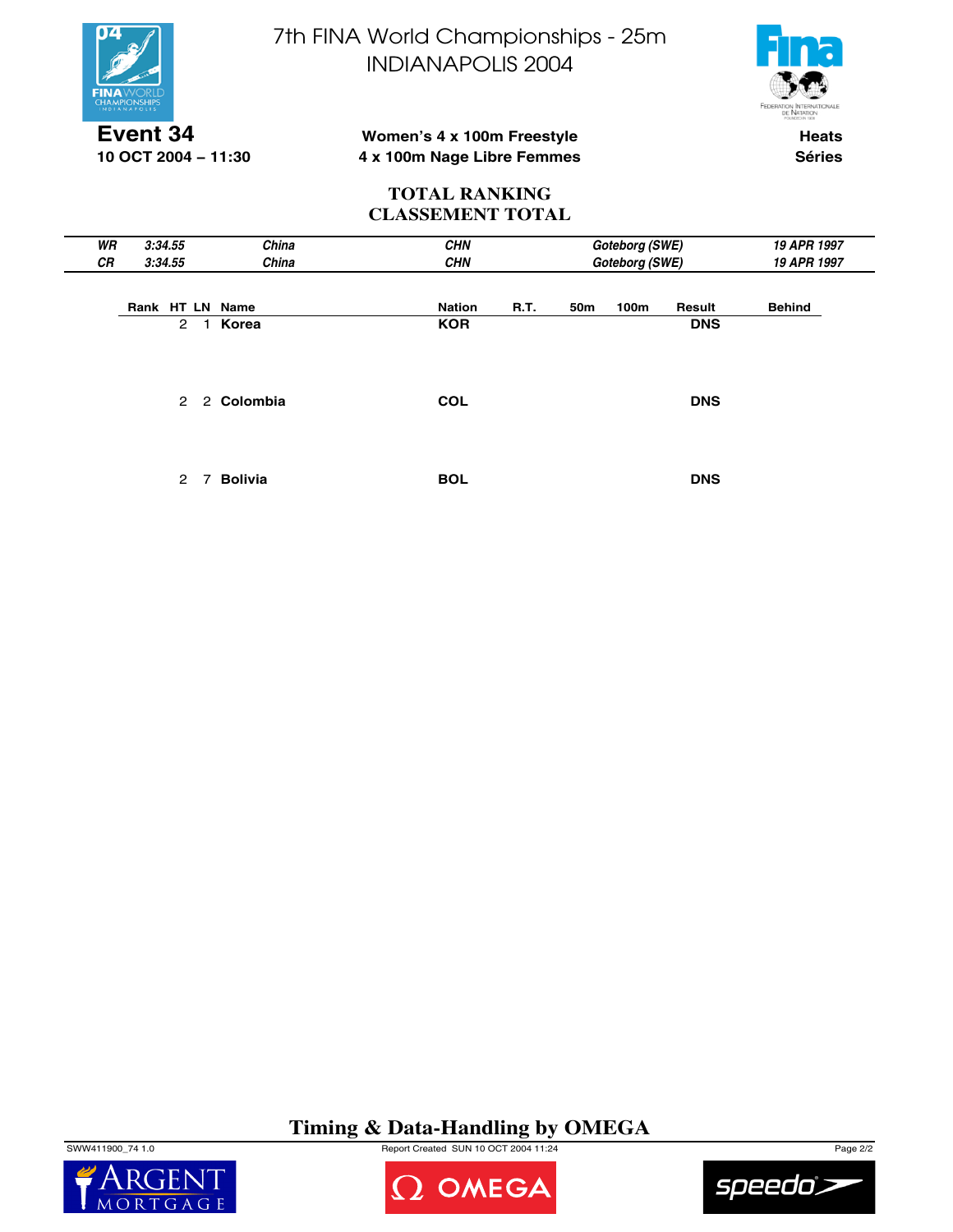

**10 OCT 2004 − 11:30**

7th FINA World Championships - 25m INDIANAPOLIS 2004



### **Women's 4 x 100m Freestyle 4 x 100m Nage Libre Femmes**

**Heats Séries**

#### **TOTAL RANKING CLASSEMENT TOTAL**

| WR | 3:34.55                   | China          | <b>CHN</b>            | Goteborg (SWE)                    | 19 APR 1997   |
|----|---------------------------|----------------|-----------------------|-----------------------------------|---------------|
| CR | 3:34.55                   | China          | <b>CHN</b>            | Goteborg (SWE)                    | 19 APR 1997   |
|    | Rank HT LN Name           |                | R.T.<br><b>Nation</b> | 50 <sub>m</sub><br>100m<br>Result | <b>Behind</b> |
|    | $\overline{2}$<br>1.      | Korea          | <b>KOR</b>            | <b>DNS</b>                        |               |
|    | $\mathbf{2}$              | 2 Colombia     | <b>COL</b>            | <b>DNS</b>                        |               |
|    | $\mathbf{2}^{\circ}$<br>7 | <b>Bolivia</b> | <b>BOL</b>            | <b>DNS</b>                        |               |

## **Timing & Data-Handling by OMEGA**

SWW411900\_74 1.0 Report Created SUN 10 OCT 2004 11:24 Page 2/2





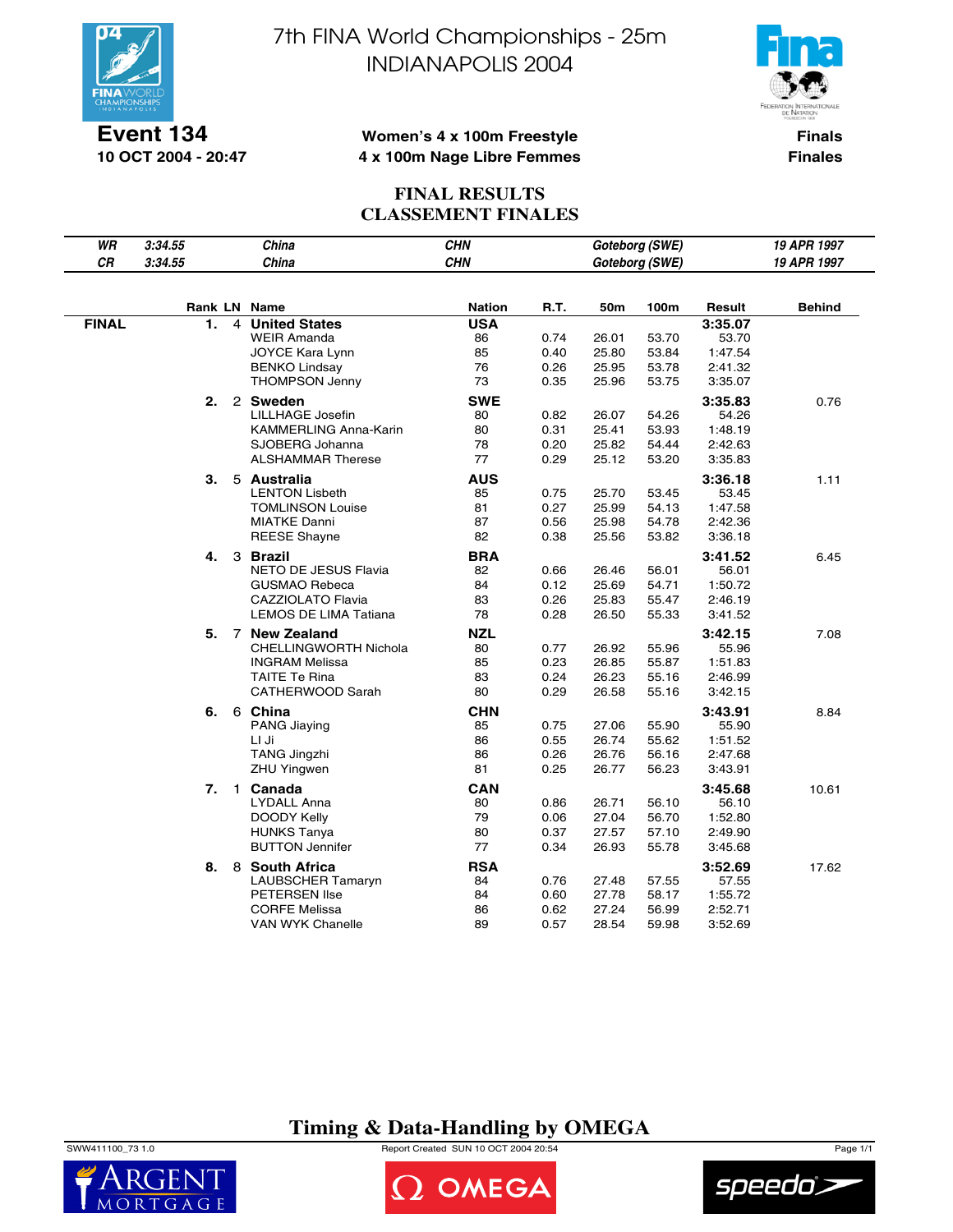

**Event 134 10 OCT 2004 - 20:47** 7th FINA World Championships - 25m INDIANAPOLIS 2004



### **Women's 4 x 100m Freestyle 4 x 100m Nage Libre Femmes**

**Finals Finales**

### **FINAL RESULTS CLASSEMENT FINALES**

| WR<br>China<br><b>CHN</b><br>3:34.55                                                         | Goteborg (SWE)                       | 19 APR 1997   |
|----------------------------------------------------------------------------------------------|--------------------------------------|---------------|
| CR<br>China<br><b>CHN</b><br>3:34.55                                                         | Goteborg (SWE)                       | 19 APR 1997   |
|                                                                                              |                                      |               |
| <b>Rank LN Name</b><br><b>Nation</b><br>R.T.                                                 | 50m<br>100m<br>Result                | <b>Behind</b> |
| <b>FINAL</b><br><b>USA</b><br>1.<br>4 United States                                          | 3:35.07                              |               |
| <b>WEIR Amanda</b><br>86<br>0.74<br>26.01                                                    | 53.70<br>53.70                       |               |
| JOYCE Kara Lynn<br>85<br>0.40<br>25.80                                                       | 53.84<br>1:47.54                     |               |
| <b>BENKO Lindsay</b><br>76<br>0.26<br>25.95                                                  | 53.78<br>2:41.32                     |               |
| 73<br><b>THOMPSON Jenny</b><br>0.35<br>25.96                                                 | 53.75<br>3:35.07                     |               |
| <b>SWE</b><br>2.<br>2 Sweden                                                                 | 3:35.83                              | 0.76          |
| LILLHAGE Josefin<br>80<br>0.82<br>26.07                                                      | 54.26<br>54.26                       |               |
| KAMMERLING Anna-Karin<br>80<br>0.31<br>25.41<br>SJOBERG Johanna                              | 53.93<br>1:48.19                     |               |
| 78<br>0.20<br>25.82<br>77<br><b>ALSHAMMAR Therese</b>                                        | 54.44<br>2:42.63                     |               |
| 0.29<br>25.12                                                                                | 53.20<br>3:35.83                     |               |
| <b>AUS</b><br>З.<br>5 Australia                                                              | 3:36.18                              | 1.11          |
| <b>LENTON Lisbeth</b><br>85<br>0.75<br>25.70                                                 | 53.45<br>53.45                       |               |
| 0.27<br><b>TOMLINSON Louise</b><br>81<br>25.99<br>87<br><b>MIATKE Danni</b><br>0.56<br>25.98 | 54.13<br>1:47.58<br>54.78<br>2:42.36 |               |
| 82<br>0.38<br><b>REESE Shayne</b><br>25.56                                                   | 53.82<br>3:36.18                     |               |
|                                                                                              |                                      |               |
| 4.<br><b>BRA</b><br>3 Brazil                                                                 | 3:41.52                              | 6.45          |
| <b>NETO DE JESUS Flavia</b><br>82<br>0.66<br>26.46                                           | 56.01<br>56.01                       |               |
| <b>GUSMAO Rebeca</b><br>84<br>0.12<br>25.69<br>CAZZIOLATO Flavia<br>83<br>0.26<br>25.83      | 54.71<br>1:50.72<br>55.47<br>2:46.19 |               |
| LEMOS DE LIMA Tatiana<br>78<br>0.28<br>26.50                                                 | 55.33<br>3:41.52                     |               |
|                                                                                              |                                      |               |
| 5.<br>7 New Zealand<br><b>NZL</b>                                                            | 3:42.15                              | 7.08          |
| CHELLINGWORTH Nichola<br>80<br>0.77<br>26.92<br><b>INGRAM Melissa</b><br>85<br>0.23<br>26.85 | 55.96<br>55.96<br>55.87<br>1:51.83   |               |
| TAITE Te Rina<br>83<br>0.24<br>26.23                                                         | 55.16<br>2:46.99                     |               |
| 80<br>0.29<br>CATHERWOOD Sarah<br>26.58                                                      | 55.16<br>3:42.15                     |               |
|                                                                                              |                                      |               |
| 6 China<br><b>CHN</b><br>6.<br>0.75<br>27.06<br><b>PANG Jiaying</b><br>85                    | 3:43.91<br>55.90<br>55.90            | 8.84          |
| LI Ji<br>86<br>0.55<br>26.74                                                                 | 55.62<br>1:51.52                     |               |
| 86<br>0.26<br><b>TANG Jingzhi</b><br>26.76                                                   | 56.16<br>2:47.68                     |               |
| <b>ZHU Yingwen</b><br>81<br>0.25<br>26.77                                                    | 56.23<br>3:43.91                     |               |
| 7.<br>1 Canada<br><b>CAN</b>                                                                 | 3:45.68                              | 10.61         |
| LYDALL Anna<br>80<br>0.86<br>26.71                                                           | 56.10<br>56.10                       |               |
| DOODY Kelly<br>79<br>0.06<br>27.04                                                           | 56.70<br>1:52.80                     |               |
| 0.37<br><b>HUNKS Tanya</b><br>80<br>27.57                                                    | 57.10<br>2:49.90                     |               |
| 77<br><b>BUTTON Jennifer</b><br>0.34<br>26.93                                                | 55.78<br>3:45.68                     |               |
| <b>RSA</b><br>8.<br>8 South Africa                                                           | 3:52.69                              | 17.62         |
| <b>LAUBSCHER Tamaryn</b><br>84<br>0.76<br>27.48                                              | 57.55<br>57.55                       |               |
| PETERSEN Ilse<br>84<br>0.60<br>27.78                                                         | 1:55.72<br>58.17                     |               |
| <b>CORFE Melissa</b><br>86<br>0.62<br>27.24                                                  | 2:52.71<br>56.99                     |               |
| <b>VAN WYK Chanelle</b><br>89<br>0.57<br>28.54                                               | 59.98<br>3:52.69                     |               |

## **Timing & Data-Handling by OMEGA**

SWW411100\_73 1.0 Report Created SUN 10 OCT 2004 20:54 Page 1/1





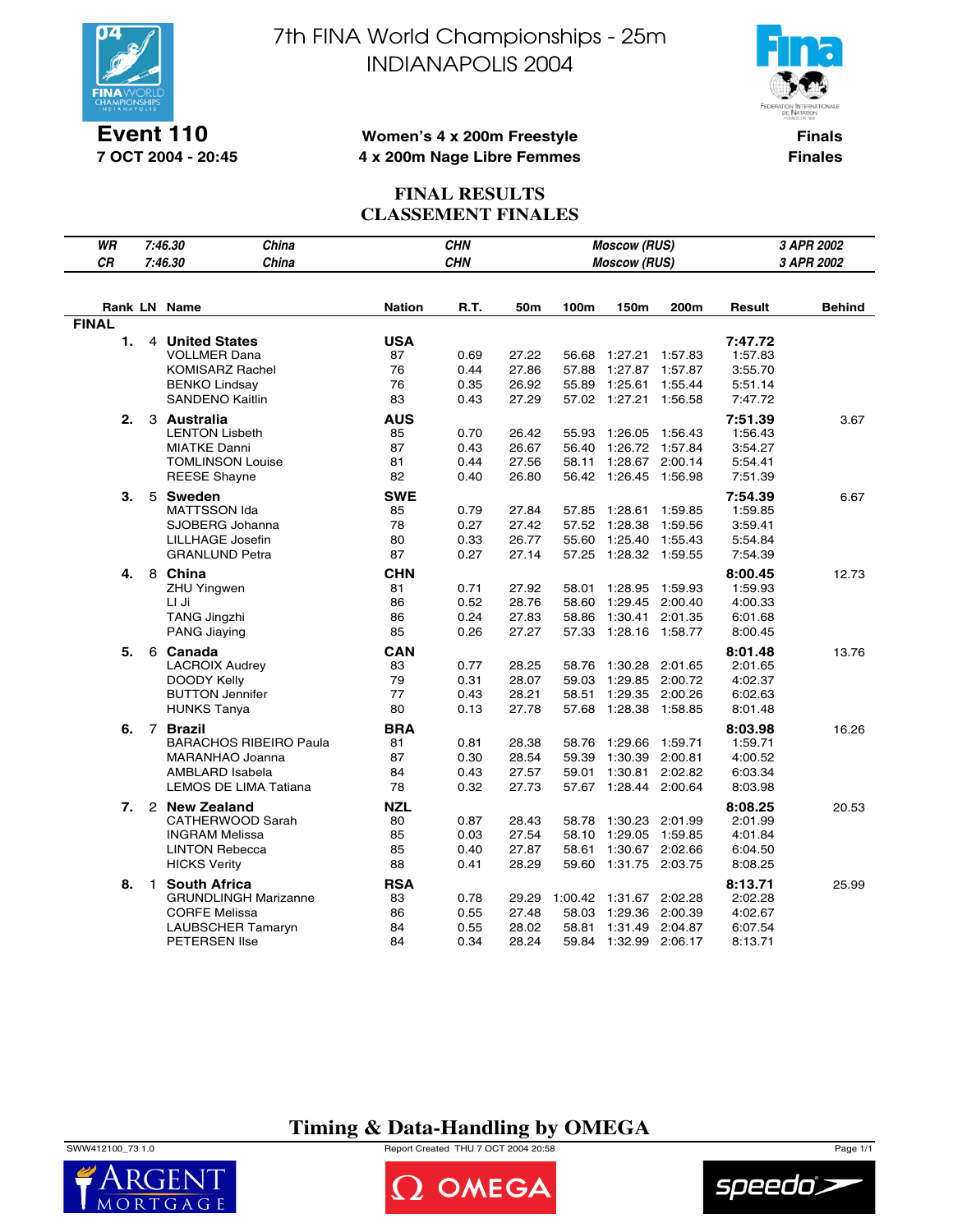

**Event 110 7 OCT 2004 - 20:45**

# 7th FINA World Championships - 25m INDIANAPOLIS 2004



#### **Women's 4 x 200m Freestyle 4 x 200m Nage Libre Femmes**

**Finals Finales**

### **FINAL RESULTS CLASSEMENT FINALES**

| WR           |              | 7:46.30<br>China                                                                                                   |                                    |                              |                                  | <b>Moscow (RUS)</b>                |                                                                                | 3 APR 2002                    |                                                     |        |  |
|--------------|--------------|--------------------------------------------------------------------------------------------------------------------|------------------------------------|------------------------------|----------------------------------|------------------------------------|--------------------------------------------------------------------------------|-------------------------------|-----------------------------------------------------|--------|--|
| <b>CR</b>    |              | China<br>7:46.30                                                                                                   |                                    | <b>CHN</b>                   |                                  |                                    | <b>Moscow (RUS)</b>                                                            |                               | 3 APR 2002                                          |        |  |
|              |              |                                                                                                                    |                                    |                              |                                  |                                    |                                                                                |                               |                                                     |        |  |
|              |              | Rank LN Name                                                                                                       | <b>Nation</b>                      | R.T.                         | 50m                              | 100m                               | 150m                                                                           | 200m                          | Result                                              | Behind |  |
| <b>FINAL</b> |              |                                                                                                                    |                                    |                              |                                  |                                    |                                                                                |                               |                                                     |        |  |
| 1.           |              | 4 United States<br><b>VOLLMER Dana</b><br><b>KOMISARZ Rachel</b><br><b>BENKO Lindsay</b><br><b>SANDENO Kaitlin</b> | <b>USA</b><br>87<br>76<br>76<br>83 | 0.69<br>0.44<br>0.35<br>0.43 | 27.22<br>27.86<br>26.92<br>27.29 | 56.68<br>57.88<br>55.89            | 1:27.21 1:57.83<br>1:27.87<br>1:25.61<br>57.02 1:27.21                         | 1:57.87<br>1:55.44<br>1:56.58 | 7:47.72<br>1:57.83<br>3:55.70<br>5:51.14<br>7:47.72 |        |  |
| 2.           |              | 3 Australia                                                                                                        | <b>AUS</b>                         |                              |                                  |                                    |                                                                                |                               | 7:51.39                                             | 3.67   |  |
|              |              | <b>LENTON Lisbeth</b><br><b>MIATKE Danni</b><br><b>TOMLINSON Louise</b><br><b>REESE Shayne</b>                     | 85<br>87<br>81<br>82               | 0.70<br>0.43<br>0.44<br>0.40 | 26.42<br>26.67<br>27.56<br>26.80 | 55.93<br>56.40<br>58.11            | 1:26.05 1:56.43<br>1:26.72 1:57.84<br>1:28.67 2:00.14<br>56.42 1:26.45 1:56.98 |                               | 1:56.43<br>3:54.27<br>5:54.41<br>7:51.39            |        |  |
| 3.           |              | 5 Sweden<br><b>MATTSSON Ida</b>                                                                                    | <b>SWE</b><br>85                   | 0.79                         | 27.84                            | 57.85                              | 1:28.61                                                                        | 1:59.85                       | 7:54.39<br>1:59.85                                  | 6.67   |  |
|              |              | SJOBERG Johanna                                                                                                    | 78                                 | 0.27                         | 27.42                            | 57.52                              | 1:28.38                                                                        | 1:59.56                       | 3:59.41                                             |        |  |
|              |              | LILLHAGE Josefin                                                                                                   | 80                                 | 0.33                         | 26.77                            | 55.60                              | 1:25.40                                                                        | 1:55.43                       | 5:54.84                                             |        |  |
|              |              | <b>GRANLUND Petra</b>                                                                                              | 87                                 | 0.27                         | 27.14                            | 57.25                              | 1:28.32 1:59.55                                                                |                               | 7:54.39                                             |        |  |
| 4.           |              | 8 China<br><b>ZHU Yingwen</b><br>LI Ji<br><b>TANG Jingzhi</b><br>PANG Jiaying                                      | CHN<br>81<br>86<br>86<br>85        | 0.71<br>0.52<br>0.24<br>0.26 | 27.92<br>28.76<br>27.83<br>27.27 | 58.01<br>58.60<br>58.86<br>57.33   | 1:28.95<br>1:29.45 2:00.40<br>1:30.41 2:01.35<br>1:28.16 1:58.77               | 1:59.93                       | 8:00.45<br>1:59.93<br>4:00.33<br>6:01.68<br>8:00.45 | 12.73  |  |
| 5.           |              | 6 Canada<br><b>LACROIX Audrey</b><br>DOODY Kelly<br><b>BUTTON Jennifer</b><br><b>HUNKS Tanya</b>                   | <b>CAN</b><br>83<br>79<br>77<br>80 | 0.77<br>0.31<br>0.43<br>0.13 | 28.25<br>28.07<br>28.21<br>27.78 | 58.76<br>59.03<br>58.51<br>57.68   | 1:30.28<br>1:29.85 2:00.72<br>1:29.35 2:00.26<br>1:28.38 1:58.85               | 2:01.65                       | 8:01.48<br>2:01.65<br>4:02.37<br>6:02.63<br>8:01.48 | 13.76  |  |
| 6.           |              | 7 Brazil<br><b>BARACHOS RIBEIRO Paula</b><br>MARANHAO Joanna<br>AMBLARD Isabela<br>LEMOS DE LIMA Tatiana           | <b>BRA</b><br>81<br>87<br>84<br>78 | 0.81<br>0.30<br>0.43<br>0.32 | 28.38<br>28.54<br>27.57<br>27.73 | 58.76<br>59.39<br>59.01            | 1:29.66<br>1:30.39 2:00.81<br>1:30.81 2:02.82<br>57.67 1:28.44 2:00.64         | 1:59.71                       | 8:03.98<br>1:59.71<br>4:00.52<br>6:03.34<br>8:03.98 | 16.26  |  |
| 7.           |              | 2 New Zealand<br>CATHERWOOD Sarah<br><b>INGRAM Melissa</b><br><b>LINTON Rebecca</b><br><b>HICKS Verity</b>         | NZL<br>80<br>85<br>85<br>88        | 0.87<br>0.03<br>0.40<br>0.41 | 28.43<br>27.54<br>27.87<br>28.29 | 58.78<br>58.10<br>58.61<br>59.60   | 1:30.23 2:01.99<br>1:29.05 1:59.85<br>1:30.67 2:02.66<br>1:31.75 2:03.75       |                               | 8:08.25<br>2:01.99<br>4:01.84<br>6:04.50<br>8:08.25 | 20.53  |  |
| 8.           | $\mathbf{1}$ | <b>South Africa</b><br><b>GRUNDLINGH Marizanne</b><br><b>CORFE Melissa</b><br>LAUBSCHER Tamaryn<br>PETERSEN Ilse   | <b>RSA</b><br>83<br>86<br>84<br>84 | 0.78<br>0.55<br>0.55<br>0.34 | 29.29<br>27.48<br>28.02<br>28.24 | 1:00.42<br>58.03<br>58.81<br>59.84 | 1:31.67 2:02.28<br>1:29.36 2:00.39<br>1:31.49 2:04.87<br>1:32.99 2:06.17       |                               | 8:13.71<br>2:02.28<br>4:02.67<br>6:07.54<br>8:13.71 | 25.99  |  |

## **Timing & Data-Handling by OMEGA**

SWW412100\_73 1.0 Report Created THU 7 OCT 2004 20:58 Page 1/1





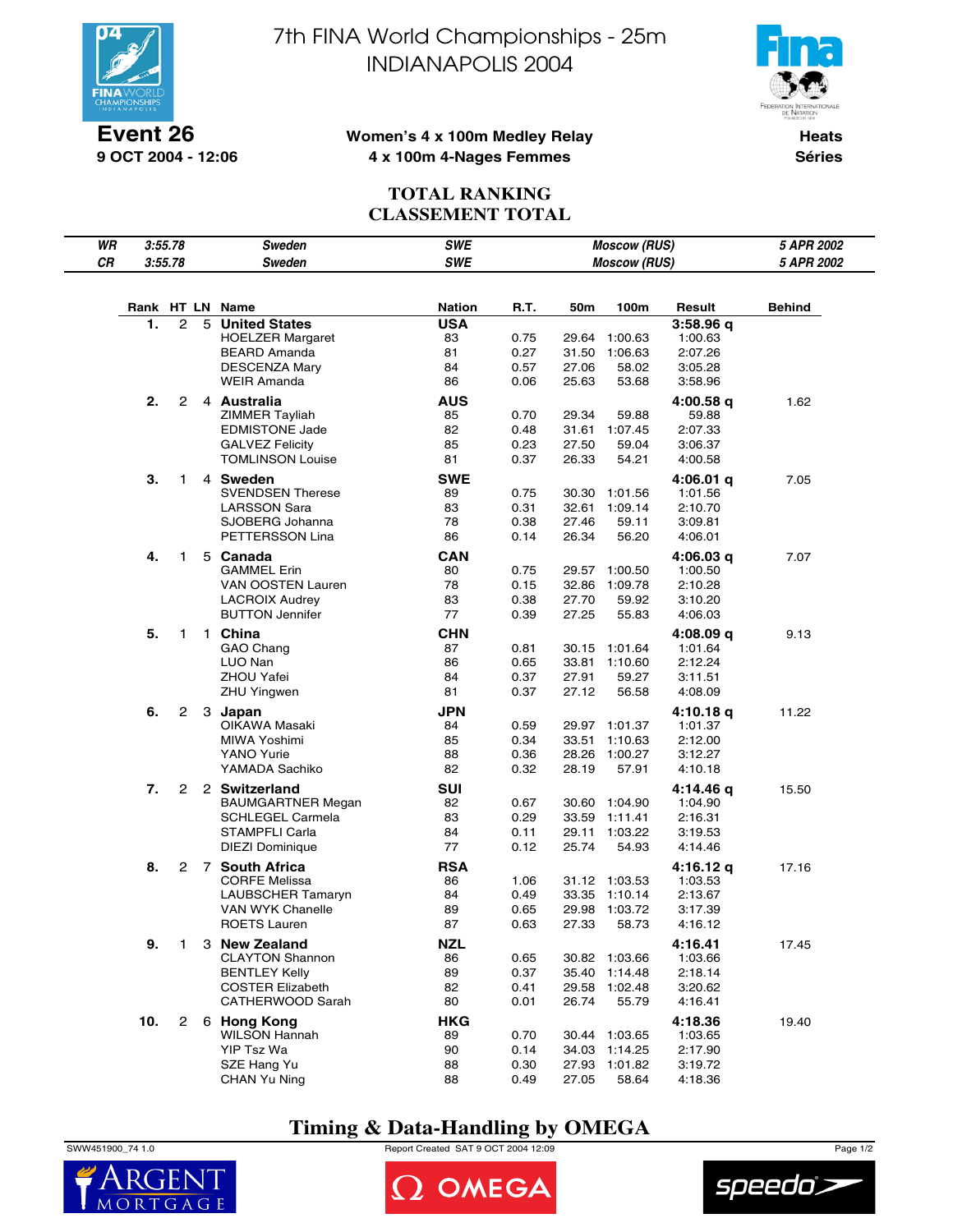

**Event 26 9 OCT 2004 - 12:06** 7th FINA World Championships - 25m INDIANAPOLIS 2004



#### **Women's 4 x 100m Medley Relay 4 x 100m 4-Nages Femmes**

**Heats Séries**

## **TOTAL RANKING CLASSEMENT TOTAL**

| WR     |     | SWE<br>3:55.78<br>Sweden |   |                                            |               | <b>Moscow (RUS)</b> | 5 APR 2002     |                                |                      |               |
|--------|-----|--------------------------|---|--------------------------------------------|---------------|---------------------|----------------|--------------------------------|----------------------|---------------|
| $C\,R$ |     | 3:55.78                  |   | <b>Sweden</b>                              | <b>SWE</b>    |                     |                | <b>Moscow (RUS)</b>            |                      | 5 APR 2002    |
|        |     |                          |   |                                            |               |                     |                |                                |                      |               |
|        |     |                          |   | Rank HT LN Name                            | <b>Nation</b> | R.T.                | 50m            | 100m                           | Result               | <b>Behind</b> |
|        | 1.  | $\mathbf{2}$             | 5 | <b>United States</b>                       | <b>USA</b>    |                     |                |                                | 3:58.96q             |               |
|        |     |                          |   | <b>HOELZER Margaret</b>                    | 83            | 0.75                |                | 29.64 1:00.63                  | 1:00.63              |               |
|        |     |                          |   | <b>BEARD Amanda</b>                        | 81            | 0.27                | 31.50          | 1:06.63                        | 2:07.26              |               |
|        |     |                          |   | <b>DESCENZA Mary</b>                       | 84            | 0.57                | 27.06          | 58.02                          | 3:05.28              |               |
|        |     |                          |   | <b>WEIR Amanda</b>                         | 86            | 0.06                | 25.63          | 53.68                          | 3:58.96              |               |
|        | 2.  | 2                        |   | 4 Australia                                | AUS           |                     |                |                                | 4:00.58 q            | 1.62          |
|        |     |                          |   | ZIMMER Tayliah                             | 85            | 0.70                | 29.34          | 59.88                          | 59.88                |               |
|        |     |                          |   | <b>EDMISTONE Jade</b>                      | 82            | 0.48                | 31.61          | 1:07.45                        | 2:07.33              |               |
|        |     |                          |   | <b>GALVEZ Felicity</b>                     | 85            | 0.23                | 27.50          | 59.04                          | 3:06.37              |               |
|        |     |                          |   | <b>TOMLINSON Louise</b>                    | 81            | 0.37                | 26.33          | 54.21                          | 4:00.58              |               |
|        | з.  | 1                        |   | 4 Sweden                                   | <b>SWE</b>    |                     |                |                                | 4:06.01 q            | 7.05          |
|        |     |                          |   | <b>SVENDSEN Therese</b>                    | 89            | 0.75                | 30.30          | 1:01.56                        | 1:01.56              |               |
|        |     |                          |   | <b>LARSSON Sara</b>                        | 83            | 0.31                | 32.61          | 1:09.14                        | 2:10.70              |               |
|        |     |                          |   | SJOBERG Johanna<br>PETTERSSON Lina         | 78<br>86      | 0.38<br>0.14        | 27.46<br>26.34 | 59.11<br>56.20                 | 3:09.81<br>4:06.01   |               |
|        |     |                          |   |                                            |               |                     |                |                                |                      |               |
|        | 4.  | 1                        |   | 5 Canada                                   | <b>CAN</b>    |                     |                |                                | 4:06.03 q            | 7.07          |
|        |     |                          |   | <b>GAMMEL Erin</b>                         | 80            | 0.75                |                | 29.57 1:00.50                  | 1:00.50              |               |
|        |     |                          |   | VAN OOSTEN Lauren<br><b>LACROIX Audrey</b> | 78<br>83      | 0.15                | 32.86          | 1:09.78                        | 2:10.28              |               |
|        |     |                          |   | <b>BUTTON Jennifer</b>                     | 77            | 0.38<br>0.39        | 27.70<br>27.25 | 59.92<br>55.83                 | 3:10.20<br>4:06.03   |               |
|        |     |                          |   |                                            |               |                     |                |                                |                      |               |
|        | 5.  | 1                        |   | 1 China                                    | <b>CHN</b>    |                     |                |                                | 4:08.09 q            | 9.13          |
|        |     |                          |   | GAO Chang<br>LUO Nan                       | 87<br>86      | 0.81<br>0.65        |                | 30.15 1:01.64<br>33.81 1:10.60 | 1:01.64<br>2:12.24   |               |
|        |     |                          |   | <b>ZHOU Yafei</b>                          | 84            | 0.37                | 27.91          | 59.27                          | 3:11.51              |               |
|        |     |                          |   | <b>ZHU Yingwen</b>                         | 81            | 0.37                | 27.12          | 56.58                          | 4:08.09              |               |
|        | 6.  | $\mathbf{2}^{\prime}$    |   |                                            | <b>JPN</b>    |                     |                |                                |                      | 11.22         |
|        |     |                          |   | 3 Japan<br>OIKAWA Masaki                   | 84            | 0.59                |                | 29.97 1:01.37                  | 4:10.18 q<br>1:01.37 |               |
|        |     |                          |   | MIWA Yoshimi                               | 85            | 0.34                |                | 33.51 1:10.63                  | 2:12.00              |               |
|        |     |                          |   | YANO Yurie                                 | 88            | 0.36                | 28.26          | 1:00.27                        | 3:12.27              |               |
|        |     |                          |   | YAMADA Sachiko                             | 82            | 0.32                | 28.19          | 57.91                          | 4:10.18              |               |
|        | 7.  | 2                        |   | 2 Switzerland                              | SUI           |                     |                |                                | 4:14.46 q            | 15.50         |
|        |     |                          |   | <b>BAUMGARTNER Megan</b>                   | 82            | 0.67                |                | 30.60 1:04.90                  | 1:04.90              |               |
|        |     |                          |   | <b>SCHLEGEL Carmela</b>                    | 83            | 0.29                |                | 33.59 1:11.41                  | 2:16.31              |               |
|        |     |                          |   | STAMPFLI Carla                             | 84            | 0.11                | 29.11          | 1:03.22                        | 3:19.53              |               |
|        |     |                          |   | DIEZI Dominique                            | 77            | 0.12                | 25.74          | 54.93                          | 4:14.46              |               |
|        | 8.  | 2                        |   | 7 South Africa                             | <b>RSA</b>    |                     |                |                                | 4:16.12 q            | 17.16         |
|        |     |                          |   | <b>CORFE Melissa</b>                       | 86            | 1.06                |                | 31.12 1:03.53                  | 1:03.53              |               |
|        |     |                          |   | LAUBSCHER Tamaryn                          | 84            | 0.49                | 33.35          | 1:10.14                        | 2:13.67              |               |
|        |     |                          |   | VAN WYK Chanelle                           | 89            | 0.65                | 29.98          | 1:03.72                        | 3:17.39              |               |
|        |     |                          |   | <b>ROETS Lauren</b>                        | 87            | 0.63                | 27.33          | 58.73                          | 4:16.12              |               |
|        | 9.  | 1                        |   | 3 New Zealand                              | <b>NZL</b>    |                     |                |                                | 4:16.41              | 17.45         |
|        |     |                          |   | <b>CLAYTON Shannon</b>                     | 86            | 0.65                |                | 30.82 1:03.66                  | 1:03.66              |               |
|        |     |                          |   | <b>BENTLEY Kelly</b>                       | 89            | 0.37                | 35.40          | 1:14.48                        | 2:18.14              |               |
|        |     |                          |   | <b>COSTER Elizabeth</b>                    | 82            | 0.41                | 29.58          | 1:02.48                        | 3:20.62              |               |
|        |     |                          |   | CATHERWOOD Sarah                           | 80            | 0.01                | 26.74          | 55.79                          | 4:16.41              |               |
|        | 10. | $^{2}$                   |   | 6 Hong Kong                                | <b>HKG</b>    |                     |                |                                | 4:18.36              | 19.40         |
|        |     |                          |   | <b>WILSON Hannah</b>                       | 89            | 0.70                |                | 30.44 1:03.65                  | 1:03.65              |               |
|        |     |                          |   | YIP Tsz Wa                                 | 90            | 0.14                |                | 34.03 1:14.25                  | 2:17.90              |               |
|        |     |                          |   | SZE Hang Yu                                | 88            | 0.30                | 27.93          | 1:01.82                        | 3:19.72              |               |
|        |     |                          |   | CHAN Yu Ning                               | 88            | 0.49                | 27.05          | 58.64                          | 4:18.36              |               |

# **Timing & Data-Handling by OMEGA**

SWW451900\_74 1.0 Report Created SAT 9 OCT 2004 12:09 Page 1/2





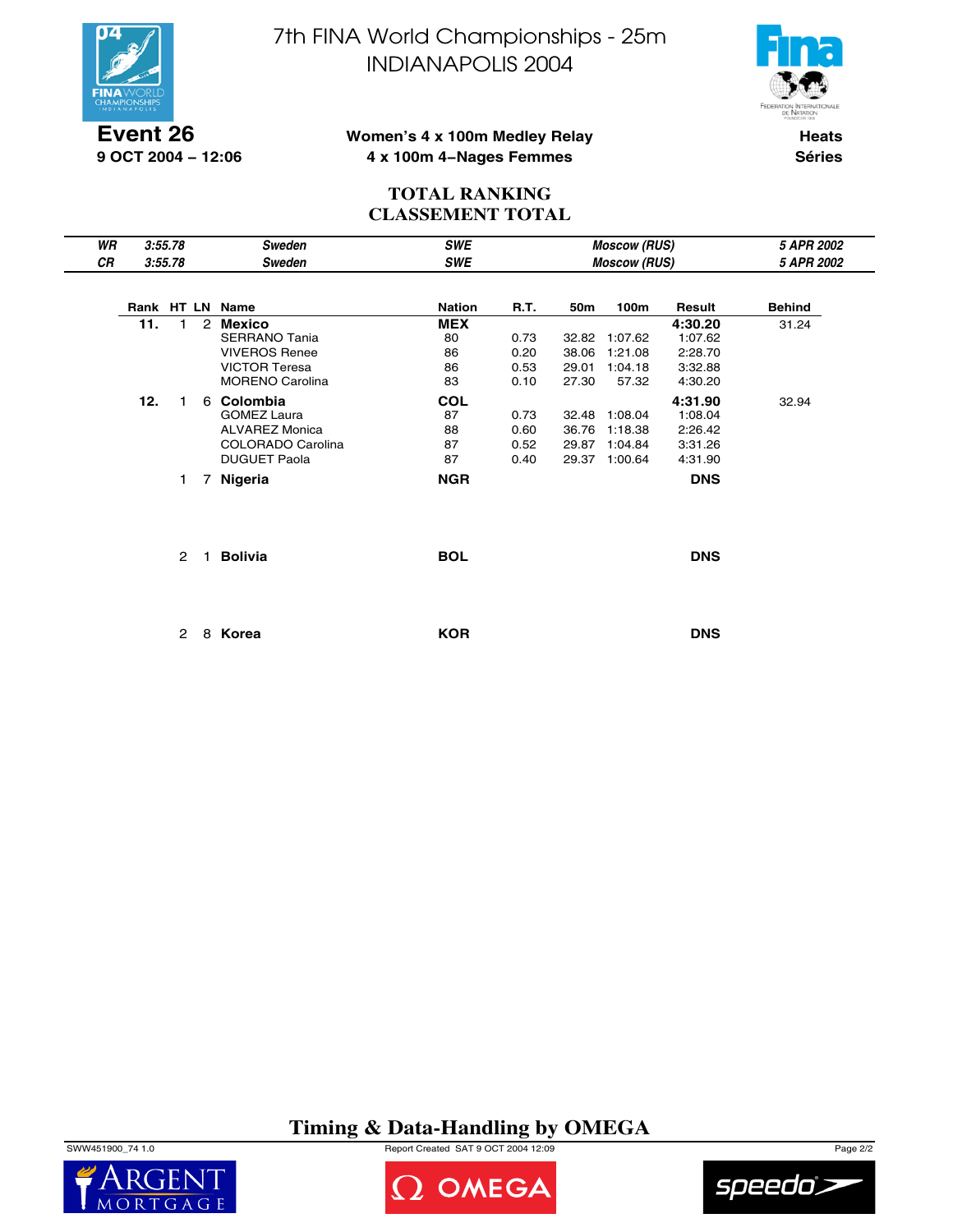

**9 OCT 2004 − 12:06**

7th FINA World Championships - 25m INDIANAPOLIS 2004



#### **Women's 4 x 100m Medley Relay 4 x 100m 4−Nages Femmes**

**Heats Séries**

## **TOTAL RANKING CLASSEMENT TOTAL**

| WR |     | 3:55.78 |                | Sweden                 | <b>SWE</b>    |             |       | <b>Moscow (RUS)</b> |            | 5 APR 2002    |
|----|-----|---------|----------------|------------------------|---------------|-------------|-------|---------------------|------------|---------------|
| CR |     | 3:55.78 |                | Sweden                 | <b>SWE</b>    |             |       | <b>Moscow (RUS)</b> |            | 5 APR 2002    |
|    |     |         |                | Rank HT LN Name        | <b>Nation</b> | <b>R.T.</b> | 50m   | 100m                | Result     | <b>Behind</b> |
|    | 11. | 1       | 2              | Mexico                 | <b>MEX</b>    |             |       |                     | 4:30.20    | 31.24         |
|    |     |         |                | <b>SERRANO Tania</b>   | 80            | 0.73        | 32.82 | 1:07.62             | 1:07.62    |               |
|    |     |         |                | <b>VIVEROS Renee</b>   | 86            | 0.20        | 38.06 | 1:21.08             | 2:28.70    |               |
|    |     |         |                | <b>VICTOR Teresa</b>   | 86            | 0.53        | 29.01 | 1:04.18             | 3:32.88    |               |
|    |     |         |                | <b>MORENO Carolina</b> | 83            | 0.10        | 27.30 | 57.32               | 4:30.20    |               |
|    | 12. | 1       |                | 6 Colombia             | <b>COL</b>    |             |       |                     | 4:31.90    | 32.94         |
|    |     |         |                | <b>GOMEZ Laura</b>     | 87            | 0.73        | 32.48 | 1:08.04             | 1:08.04    |               |
|    |     |         |                | <b>ALVAREZ Monica</b>  | 88            | 0.60        | 36.76 | 1:18.38             | 2:26.42    |               |
|    |     |         |                | COLORADO Carolina      | 87            | 0.52        | 29.87 | 1:04.84             | 3:31.26    |               |
|    |     |         |                | <b>DUGUET Paola</b>    | 87            | 0.40        | 29.37 | 1:00.64             | 4:31.90    |               |
|    |     | 1       | $\overline{7}$ | Nigeria                | <b>NGR</b>    |             |       |                     | <b>DNS</b> |               |
|    |     |         |                |                        |               |             |       |                     |            |               |
|    |     |         |                | <b>Bolivia</b>         | <b>BOL</b>    |             |       |                     | <b>DNS</b> |               |

2 8 **Korea KOR DNS**

## **Timing & Data-Handling by OMEGA**

SWW451900\_74 1.0 Report Created SAT 9 OCT 2004 12:09 Page 2/2





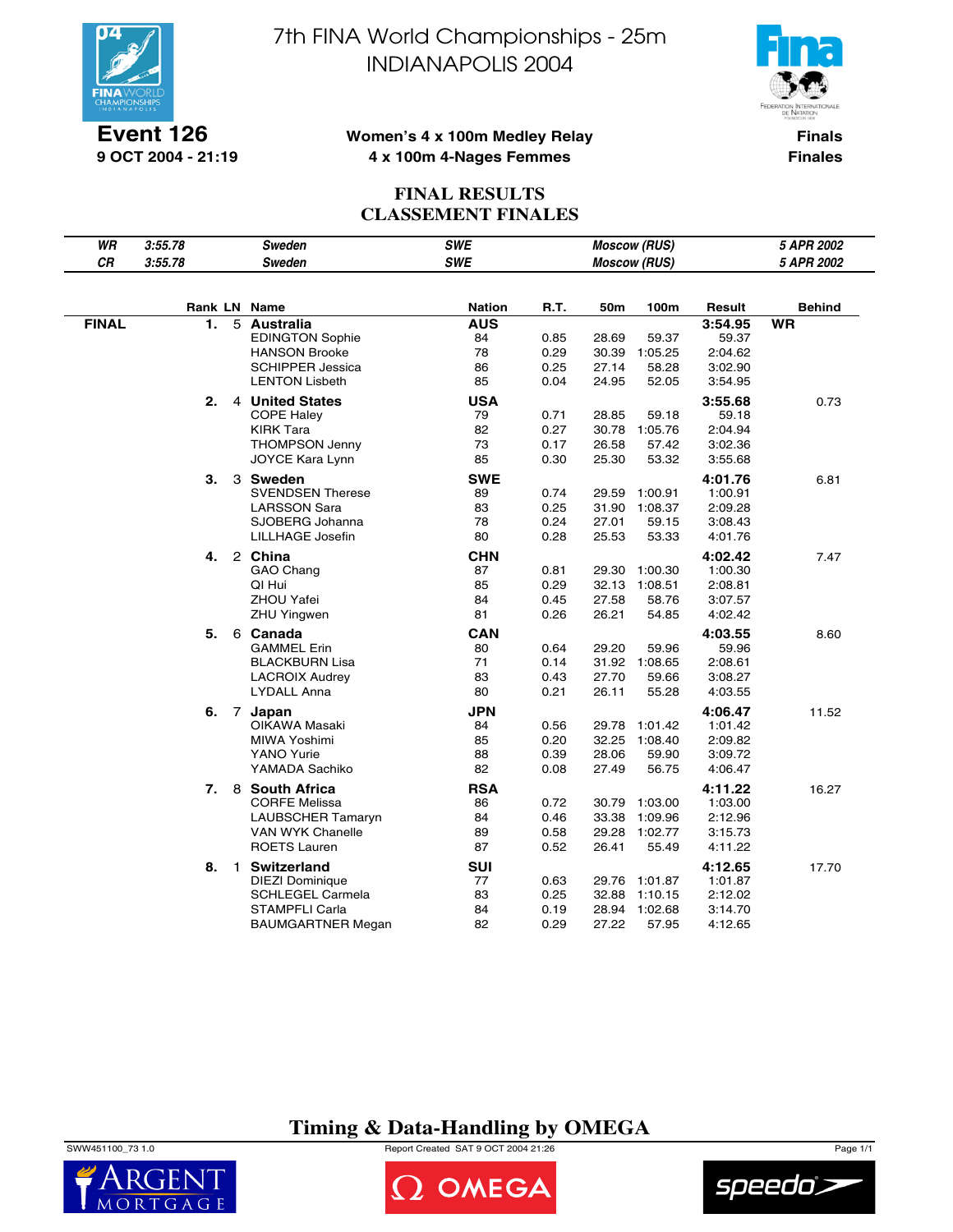

**Event 126 9 OCT 2004 - 21:19** 7th FINA World Championships - 25m INDIANAPOLIS 2004



#### **Women's 4 x 100m Medley Relay 4 x 100m 4-Nages Femmes**

**Finals Finales**

## **FINAL RESULTS CLASSEMENT FINALES**

| WR           | 3:55.78 | Sweden                                         | <b>SWE</b>       |              |                | <b>Moscow (RUS)</b> |                    | 5 APR 2002    |
|--------------|---------|------------------------------------------------|------------------|--------------|----------------|---------------------|--------------------|---------------|
| CR           | 3:55.78 | <b>Sweden</b>                                  | <b>SWE</b>       |              |                | <b>Moscow (RUS)</b> |                    | 5 APR 2002    |
|              |         |                                                |                  |              |                |                     |                    |               |
|              |         | Rank LN Name                                   | <b>Nation</b>    | <b>R.T.</b>  | 50m            | 100m                | Result             | <b>Behind</b> |
| <b>FINAL</b> | 1.      | 5 Australia                                    | <b>AUS</b>       |              |                |                     | 3:54.95            | <b>WR</b>     |
|              |         | <b>EDINGTON Sophie</b><br><b>HANSON Brooke</b> | 84<br>78         | 0.85<br>0.29 | 28.69<br>30.39 | 59.37<br>1:05.25    | 59.37<br>2:04.62   |               |
|              |         | <b>SCHIPPER Jessica</b>                        | 86               | 0.25         | 27.14          | 58.28               | 3:02.90            |               |
|              |         | <b>LENTON Lisbeth</b>                          | 85               | 0.04         | 24.95          | 52.05               | 3:54.95            |               |
|              | 2.      | 4 United States                                | <b>USA</b>       |              |                |                     | 3:55.68            | 0.73          |
|              |         | <b>COPE Haley</b>                              | 79               | 0.71         | 28.85          | 59.18               | 59.18              |               |
|              |         | <b>KIRK Tara</b>                               | 82               | 0.27         | 30.78          | 1:05.76             | 2:04.94            |               |
|              |         | <b>THOMPSON Jenny</b>                          | 73               | 0.17         | 26.58          | 57.42               | 3:02.36            |               |
|              |         | JOYCE Kara Lynn                                | 85               | 0.30         | 25.30          | 53.32               | 3:55.68            |               |
|              | 3.      | 3 Sweden                                       | <b>SWE</b>       |              |                |                     | 4:01.76            | 6.81          |
|              |         | <b>SVENDSEN Therese</b>                        | 89               | 0.74         | 29.59          | 1:00.91             | 1:00.91            |               |
|              |         | <b>LARSSON Sara</b>                            | 83               | 0.25         | 31.90          | 1:08.37             | 2:09.28            |               |
|              |         | SJOBERG Johanna                                | 78               | 0.24         | 27.01          | 59.15               | 3:08.43            |               |
|              |         | <b>LILLHAGE Josefin</b>                        | 80               | 0.28         | 25.53          | 53.33               | 4:01.76            |               |
|              | 4.      | 2 China                                        | <b>CHN</b>       |              |                |                     | 4:02.42            | 7.47          |
|              |         | GAO Chang                                      | 87               | 0.81         | 29.30          | 1:00.30             | 1:00.30            |               |
|              |         | QI Hui                                         | 85               | 0.29         | 32.13          | 1:08.51             | 2:08.81            |               |
|              |         | <b>ZHOU Yafei</b>                              | 84               | 0.45         | 27.58          | 58.76               | 3:07.57            |               |
|              |         | ZHU Yingwen                                    | 81               | 0.26         | 26.21          | 54.85               | 4:02.42            |               |
|              | 5.      | 6 Canada                                       | <b>CAN</b>       |              |                |                     | 4:03.55            | 8.60          |
|              |         | <b>GAMMEL Erin</b>                             | 80               | 0.64         | 29.20          | 59.96               | 59.96              |               |
|              |         | <b>BLACKBURN Lisa</b>                          | 71               | 0.14         |                | 31.92 1:08.65       | 2:08.61            |               |
|              |         | <b>LACROIX Audrey</b><br><b>LYDALL Anna</b>    | 83<br>80         | 0.43<br>0.21 | 27.70<br>26.11 | 59.66<br>55.28      | 3:08.27<br>4:03.55 |               |
|              |         |                                                |                  |              |                |                     |                    |               |
|              | 6.      | 7 Japan                                        | <b>JPN</b>       |              |                |                     | 4:06.47            | 11.52         |
|              |         | OIKAWA Masaki<br>MIWA Yoshimi                  | 84<br>85         | 0.56<br>0.20 | 29.78<br>32.25 | 1:01.42<br>1:08.40  | 1:01.42            |               |
|              |         | <b>YANO Yurie</b>                              | 88               | 0.39         | 28.06          | 59.90               | 2:09.82<br>3:09.72 |               |
|              |         | YAMADA Sachiko                                 | 82               | 0.08         | 27.49          | 56.75               | 4:06.47            |               |
|              |         |                                                |                  |              |                |                     |                    |               |
|              | 7.      | 8 South Africa<br><b>CORFE Melissa</b>         | <b>RSA</b><br>86 | 0.72         | 30.79          | 1:03.00             | 4:11.22<br>1:03.00 | 16.27         |
|              |         | <b>LAUBSCHER Tamaryn</b>                       | 84               | 0.46         | 33.38          | 1:09.96             | 2:12.96            |               |
|              |         | VAN WYK Chanelle                               | 89               | 0.58         | 29.28          | 1:02.77             | 3:15.73            |               |
|              |         | <b>ROETS Lauren</b>                            | 87               | 0.52         | 26.41          | 55.49               | 4:11.22            |               |
|              | 8.      | 1 Switzerland                                  | SUI              |              |                |                     | 4:12.65            | 17.70         |
|              |         | <b>DIEZI Dominique</b>                         | 77               | 0.63         |                | 29.76 1:01.87       | 1:01.87            |               |
|              |         | <b>SCHLEGEL Carmela</b>                        | 83               | 0.25         |                | 32.88 1:10.15       | 2:12.02            |               |
|              |         | STAMPFLI Carla                                 | 84               | 0.19         | 28.94          | 1:02.68             | 3:14.70            |               |
|              |         | BAUMGARTNER Megan                              | 82               | 0.29         | 27.22          | 57.95               | 4:12.65            |               |

## **Timing & Data-Handling by OMEGA**

SWW451100\_73 1.0 Report Created SAT 9 OCT 2004 21:26 Page 1/1





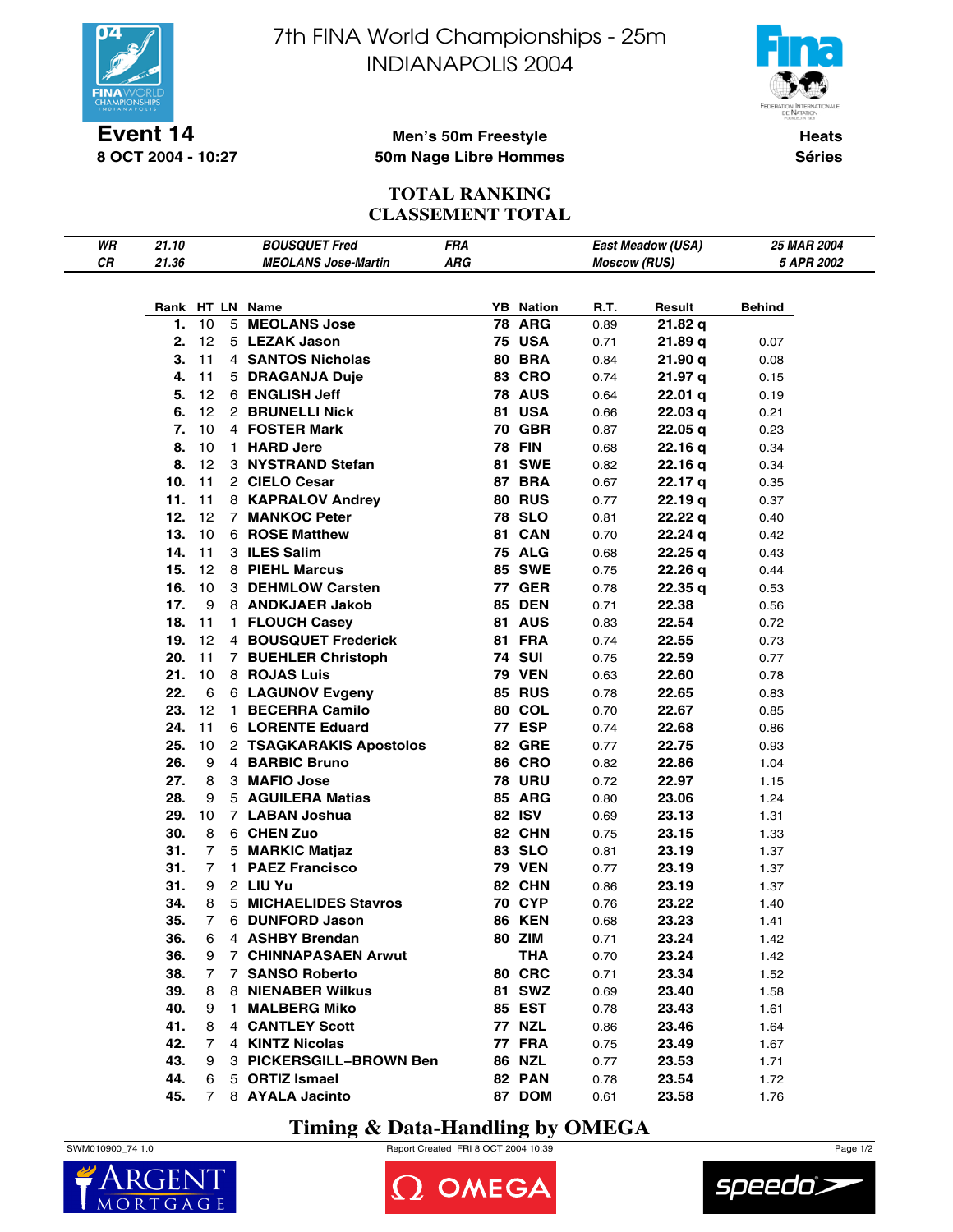

**8 OCT 2004 - 10:27**

7th FINA World Championships - 25m INDIANAPOLIS 2004



**Heats Séries**

#### **Men's 50m Freestyle 50m Nage Libre Hommes**

#### **TOTAL RANKING CLASSEMENT TOTAL**

| WR | 21.10 |                | <b>BOUSQUET Fred</b>        | <b>FRA</b> |                  |                     | East Meadow (USA) | <b>25 MAR 2004</b> |
|----|-------|----------------|-----------------------------|------------|------------------|---------------------|-------------------|--------------------|
| CR | 21.36 |                | <b>MEOLANS Jose-Martin</b>  | ARG        |                  | <b>Moscow (RUS)</b> |                   | 5 APR 2002         |
|    |       |                |                             |            |                  |                     |                   |                    |
|    |       |                |                             |            |                  |                     |                   |                    |
|    |       |                | Rank HT LN Name             |            | <b>YB</b> Nation | R.T.                | Result            | Behind             |
|    | 1.    | 10             | 5 MEOLANS Jose              |            | <b>78 ARG</b>    | 0.89                | 21.82q            |                    |
|    | 2.    | 12             | 5 LEZAK Jason               |            | <b>75 USA</b>    | 0.71                | 21.89 q           | 0.07               |
|    | 3.    | 11             | 4 SANTOS Nicholas           |            | <b>80 BRA</b>    | 0.84                | 21.90 q           | 0.08               |
|    | 4.    | 11             | 5 DRAGANJA Duje             |            | <b>83 CRO</b>    | 0.74                | 21.97 q           | 0.15               |
|    | 5.    | 12             | 6 ENGLISH Jeff              |            | <b>78 AUS</b>    | 0.64                | 22.01 q           | 0.19               |
|    | 6.    | 12             | 2 BRUNELLI Nick             |            | 81 USA           | 0.66                | 22.03q            | 0.21               |
|    | 7.    | 10             | 4 FOSTER Mark               |            | <b>70 GBR</b>    | 0.87                | 22.05q            | 0.23               |
|    | 8.    | 10             | 1 HARD Jere                 |            | <b>78 FIN</b>    | 0.68                | 22.16q            | 0.34               |
|    | 8.    | 12             | 3 NYSTRAND Stefan           |            | <b>81 SWE</b>    | 0.82                | 22.16q            | 0.34               |
|    | 10.   | 11             | 2 CIELO Cesar               |            | <b>87 BRA</b>    | 0.67                | 22.17 q           | 0.35               |
|    | 11.   | 11             | 8 KAPRALOV Andrey           |            | <b>80 RUS</b>    | 0.77                | 22.19q            | 0.37               |
|    | 12.   | 12             | 7 MANKOC Peter              |            | <b>78 SLO</b>    | 0.81                | 22.22q            | 0.40               |
|    | 13.   | 10             | 6 ROSE Matthew              |            | 81 CAN           | 0.70                | 22.24 q           | 0.42               |
|    | 14.   | 11             | 3 ILES Salim                |            | <b>75 ALG</b>    | 0.68                | 22.25q            | 0.43               |
|    | 15.   | 12             | 8 PIEHL Marcus              |            | <b>85 SWE</b>    | 0.75                | 22.26q            | 0.44               |
|    | 16.   | 10             | 3 DEHMLOW Carsten           |            | <b>77 GER</b>    | 0.78                | 22.35q            | 0.53               |
|    | 17.   | 9              | 8 ANDKJAER Jakob            |            | <b>85 DEN</b>    | 0.71                | 22.38             | 0.56               |
|    | 18.   | 11             | 1 FLOUCH Casev              |            | <b>81 AUS</b>    | 0.83                | 22.54             | 0.72               |
|    | 19.   | 12             | 4 BOUSQUET Frederick        |            | <b>81 FRA</b>    | 0.74                | 22.55             | 0.73               |
|    | 20.   | 11             | 7 BUEHLER Christoph         |            | <b>74 SUI</b>    | 0.75                | 22.59             | 0.77               |
|    | 21.   | 10             | 8 ROJAS Luis                |            | <b>79 VEN</b>    | 0.63                | 22.60             | 0.78               |
|    | 22.   | 6              | 6 LAGUNOV Evgeny            |            | <b>85 RUS</b>    | 0.78                | 22.65             | 0.83               |
|    | 23.   | 12             | 1 BECERRA Camilo            |            | 80 COL           | 0.70                | 22.67             | 0.85               |
|    | 24.   | 11             | 6 LORENTE Eduard            |            | <b>77 ESP</b>    | 0.74                | 22.68             | 0.86               |
|    | 25.   | 10             | 2 TSAGKARAKIS Apostolos     |            | <b>82 GRE</b>    | 0.77                | 22.75             | 0.93               |
|    | 26.   | 9              | 4 BARBIC Bruno              |            | <b>86 CRO</b>    | 0.82                | 22.86             | 1.04               |
|    | 27.   | 8              | 3 MAFIO Jose                |            | <b>78 URU</b>    | 0.72                | 22.97             | 1.15               |
|    | 28.   | 9              | 5 AGUILERA Matias           |            | 85 ARG           | 0.80                | 23.06             | 1.24               |
|    | 29.   | 10             | 7 LABAN Joshua              |            | 82 ISV           | 0.69                | 23.13             | 1.31               |
|    | 30.   | 8              | 6 CHEN Zuo                  |            | 82 CHN           | 0.75                | 23.15             | 1.33               |
|    | 31.   | 7              | 5 MARKIC Matjaz             |            | 83 SLO           | 0.81                | 23.19             | 1.37               |
|    | 31.   | 7              | 1 PAEZ Francisco            |            | <b>79 VEN</b>    | 0.77                | 23.19             | 1.37               |
|    | 31.   | 9              | 2 LIU Yu                    |            | 82 CHN           | 0.86                | 23.19             | 1.37               |
|    | 34.   | 8              | 5 MICHAELIDES Stavros       |            | <b>70 CYP</b>    | 0.76                | 23.22             | 1.40               |
|    | 35.   | 7              | 6 DUNFORD Jason             |            | <b>86 KEN</b>    | 0.68                | 23.23             | 1.41               |
|    | 36.   | 6              | 4 ASHBY Brendan             |            | 80 ZIM           | 0.71                | 23.24             | 1.42               |
|    | 36.   | 9              | <b>7 CHINNAPASAEN Arwut</b> |            | <b>THA</b>       | 0.70                | 23.24             | 1.42               |
|    | 38.   | 7              | 7 SANSO Roberto             |            | 80 CRC           | 0.71                | 23.34             | 1.52               |
|    | 39.   | 8              | 8 NIENABER Wilkus           |            | 81 SWZ           | 0.69                | 23.40             | 1.58               |
|    | 40.   | 9              | 1 MALBERG Miko              |            | 85 EST           | 0.78                | 23.43             | 1.61               |
|    | 41.   | 8              | <b>4 CANTLEY Scott</b>      |            | <b>77 NZL</b>    | 0.86                | 23.46             | 1.64               |
|    | 42.   | 7              | 4 KINTZ Nicolas             |            | <b>77 FRA</b>    | 0.75                | 23.49             | 1.67               |
|    | 43.   | 9              | 3 PICKERSGILL-BROWN Ben     |            | 86 NZL           | 0.77                | 23.53             | 1.71               |
|    | 44.   | 6              | 5 ORTIZ Ismael              |            | 82 PAN           | 0.78                | 23.54             | 1.72               |
|    | 45.   | $\overline{7}$ | 8 AYALA Jacinto             |            | 87 DOM           | 0.61                | 23.58             | 1.76               |
|    |       |                |                             |            |                  |                     |                   |                    |

## **Timing & Data-Handling by OMEGA**







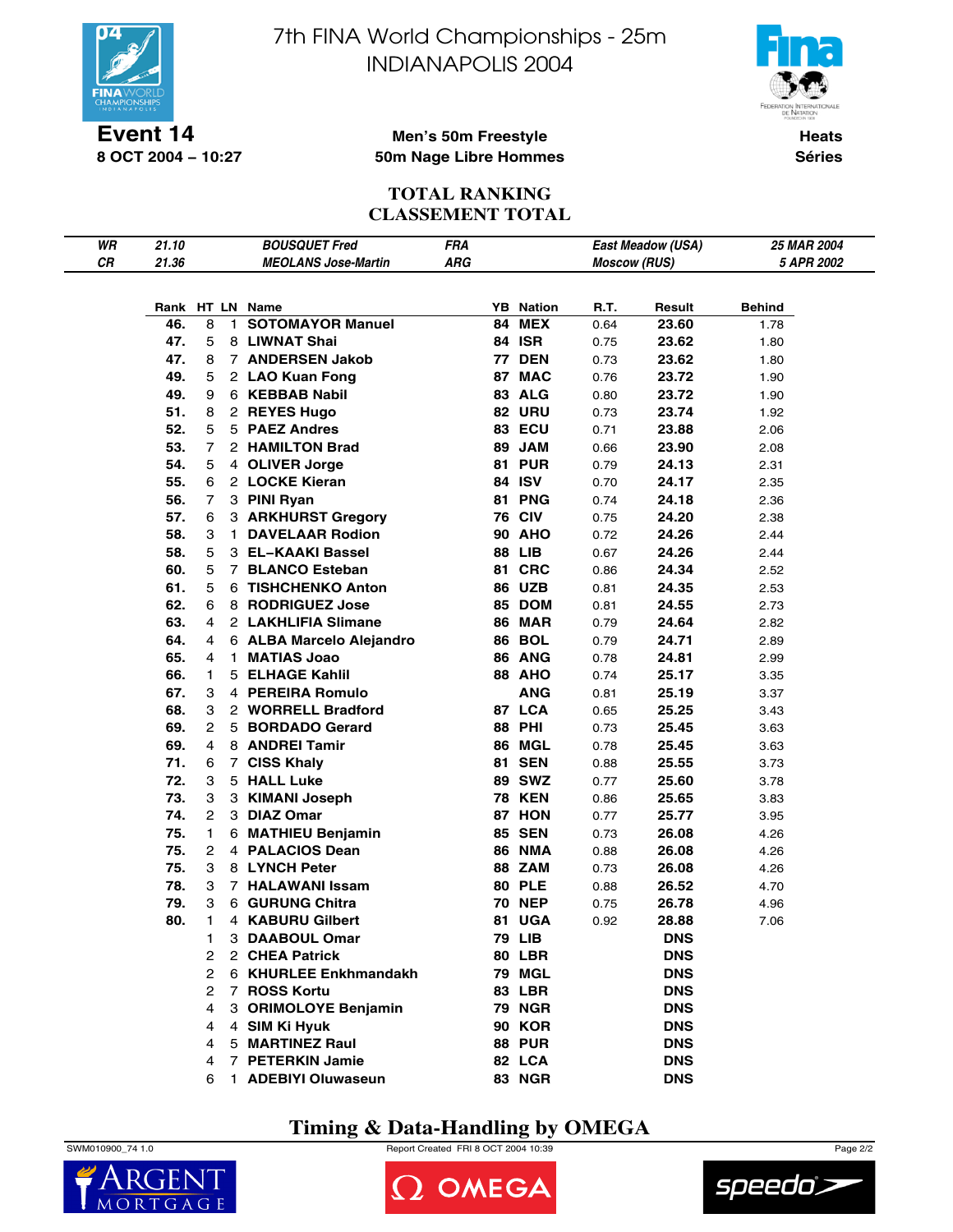

**Event 14 8 OCT 2004 − 10:27** 7th FINA World Championships - 25m INDIANAPOLIS 2004



**Heats Séries**

#### **Men's 50m Freestyle 50m Nage Libre Hommes**

#### **TOTAL RANKING CLASSEMENT TOTAL**

| WR | 21.10 |                |                | <b>BOUSQUET Fred</b>       | <b>FRA</b> |    |                  |                     | East Meadow (USA) | 25 MAR 2004 |
|----|-------|----------------|----------------|----------------------------|------------|----|------------------|---------------------|-------------------|-------------|
| CR | 21.36 |                |                | <b>MEOLANS Jose-Martin</b> | <b>ARG</b> |    |                  | <b>Moscow (RUS)</b> |                   | 5 APR 2002  |
|    |       |                |                |                            |            |    |                  |                     |                   |             |
|    |       |                |                | Rank HT LN Name            |            |    | <b>YB</b> Nation | R.T.                | Result            | Behind      |
|    | 46.   | 8              | 1.             | <b>SOTOMAYOR Manuel</b>    |            | 84 | <b>MEX</b>       | 0.64                | 23.60             | 1.78        |
|    | 47.   | 5              |                | 8 LIWNAT Shai              |            |    | <b>84 ISR</b>    | 0.75                | 23.62             | 1.80        |
|    | 47.   | 8              |                | 7 ANDERSEN Jakob           |            |    | <b>77 DEN</b>    | 0.73                | 23.62             | 1.80        |
|    | 49.   | 5              |                | 2 LAO Kuan Fong            |            |    | 87 MAC           | 0.76                | 23.72             | 1.90        |
|    | 49.   | 9              |                | 6 KEBBAB Nabil             |            |    | 83 ALG           | 0.80                | 23.72             | 1.90        |
|    | 51.   | 8              |                | 2 REYES Hugo               |            |    | <b>82 URU</b>    | 0.73                | 23.74             | 1.92        |
|    | 52.   | 5              |                | 5 PAEZ Andres              |            |    | 83 ECU           | 0.71                | 23.88             | 2.06        |
|    | 53.   | 7              |                | 2 HAMILTON Brad            |            |    | 89 JAM           | 0.66                | 23.90             | 2.08        |
|    | 54.   | 5              |                | 4 OLIVER Jorge             |            |    | <b>81 PUR</b>    | 0.79                | 24.13             | 2.31        |
|    | 55.   | 6              |                | 2 LOCKE Kieran             |            |    | 84 ISV           | 0.70                | 24.17             | 2.35        |
|    | 56.   | 7              |                | 3 PINI Ryan                |            |    | <b>81 PNG</b>    | 0.74                | 24.18             | 2.36        |
|    | 57.   | 6              |                | 3 ARKHURST Gregory         |            |    | <b>76 CIV</b>    | 0.75                | 24.20             | 2.38        |
|    | 58.   | 3              |                | 1 DAVELAAR Rodion          |            |    | <b>90 AHO</b>    | 0.72                | 24.26             | 2.44        |
|    | 58.   | 5              |                | 3 EL-KAAKI Bassel          |            |    | <b>88 LIB</b>    | 0.67                | 24.26             | 2.44        |
|    | 60.   | 5              | $\overline{7}$ | <b>BLANCO Esteban</b>      |            | 81 | <b>CRC</b>       | 0.86                | 24.34             | 2.52        |
|    | 61.   | 5              |                | <b>6 TISHCHENKO Anton</b>  |            |    | <b>86 UZB</b>    | 0.81                | 24.35             | 2.53        |
|    | 62.   | 6              |                | 8 RODRIGUEZ Jose           |            |    | 85 DOM           | 0.81                | 24.55             | 2.73        |
|    | 63.   | 4              |                | 2 LAKHLIFIA Slimane        |            |    | <b>86 MAR</b>    | 0.79                | 24.64             | 2.82        |
|    | 64.   | 4              |                | 6 ALBA Marcelo Alejandro   |            |    | <b>86 BOL</b>    | 0.79                | 24.71             | 2.89        |
|    | 65.   | 4              | 1              | <b>MATIAS Joao</b>         |            |    | 86 ANG           | 0.78                | 24.81             | 2.99        |
|    | 66.   | 1              | 5              | <b>ELHAGE Kahlil</b>       |            |    | <b>88 AHO</b>    | 0.74                | 25.17             | 3.35        |
|    | 67.   | 3              |                | 4 PEREIRA Romulo           |            |    | <b>ANG</b>       | 0.81                | 25.19             | 3.37        |
|    | 68.   | 3              |                | 2 WORRELL Bradford         |            |    | 87 LCA           | 0.65                | 25.25             | 3.43        |
|    | 69.   | 2              |                | 5 BORDADO Gerard           |            |    | <b>88 PHI</b>    | 0.73                | 25.45             | 3.63        |
|    | 69.   | 4              |                | 8 ANDREI Tamir             |            |    | 86 MGL           | 0.78                | 25.45             | 3.63        |
|    | 71.   | 6              |                | 7 CISS Khaly               |            |    | <b>81 SEN</b>    | 0.88                | 25.55             | 3.73        |
|    | 72.   | 3              |                | 5 HALL Luke                |            |    | <b>89 SWZ</b>    | 0.77                | 25.60             | 3.78        |
|    | 73.   | 3              |                | 3 KIMANI Joseph            |            |    | <b>78 KEN</b>    | 0.86                | 25.65             | 3.83        |
|    | 74.   | 2              |                | 3 DIAZ Omar                |            |    | 87 HON           | 0.77                | 25.77             | 3.95        |
|    | 75.   | 1              |                | 6 MATHIEU Benjamin         |            |    | <b>85 SEN</b>    | 0.73                | 26.08             | 4.26        |
|    | 75.   | 2              |                | 4 PALACIOS Dean            |            |    | <b>86 NMA</b>    | 0.88                | 26.08             | 4.26        |
|    | 75.   | 3              |                | 8 LYNCH Peter              |            |    | <b>88 ZAM</b>    | 0.73                | 26.08             | 4.26        |
|    | 78.   | 3              | $7^{\circ}$    | <b>HALAWANI Issam</b>      |            |    | <b>80 PLE</b>    | 0.88                | 26.52             | 4.70        |
|    | 79.   | 3              | 6              | <b>GURUNG Chitra</b>       |            |    | <b>70 NEP</b>    | 0.75                | 26.78             | 4.96        |
|    | 80.   | 1              | 4              | <b>KABURU Gilbert</b>      |            | 81 | <b>UGA</b>       | 0.92                | 28.88             | 7.06        |
|    |       | 1              |                | 3 DAABOUL Omar             |            |    | <b>79 LIB</b>    |                     | <b>DNS</b>        |             |
|    |       | $\overline{2}$ |                | 2 CHEA Patrick             |            |    | <b>80 LBR</b>    |                     | <b>DNS</b>        |             |
|    |       | 2              |                | 6 KHURLEE Enkhmandakh      |            |    | 79 MGL           |                     | <b>DNS</b>        |             |
|    |       |                |                | 2 7 ROSS Kortu             |            |    | 83 LBR           |                     | <b>DNS</b>        |             |
|    |       | 4              |                | 3 ORIMOLOYE Benjamin       |            |    | <b>79 NGR</b>    |                     | <b>DNS</b>        |             |
|    |       | 4              |                | 4 SIM Ki Hyuk              |            |    | <b>90 KOR</b>    |                     | <b>DNS</b>        |             |
|    |       | 4              |                | 5 MARTINEZ Raul            |            |    | <b>88 PUR</b>    |                     | <b>DNS</b>        |             |
|    |       | 4              |                | 7 PETERKIN Jamie           |            |    | 82 LCA           |                     | <b>DNS</b>        |             |
|    |       | 6              |                | 1 ADEBIYI Oluwaseun        |            |    | <b>83 NGR</b>    |                     | <b>DNS</b>        |             |

**Timing & Data-Handling by OMEGA**



 $MO$ R.



DOMEGA

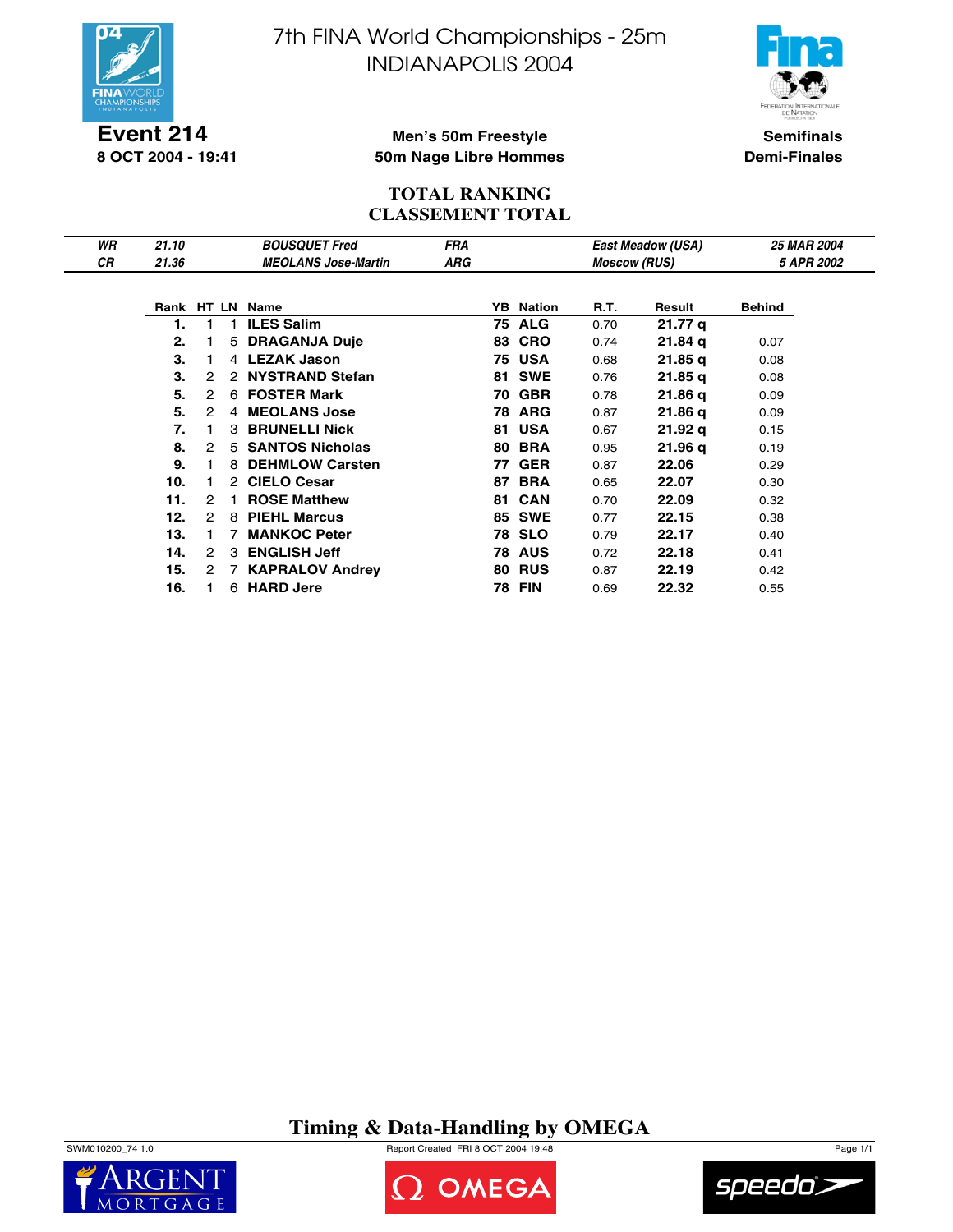

**Event 214 8 OCT 2004 - 19:41** 7th FINA World Championships - 25m INDIANAPOLIS 2004



**Semifinals Demi-Finales**

#### **Men's 50m Freestyle 50m Nage Libre Hommes**

#### **TOTAL RANKING CLASSEMENT TOTAL**

| WR | 21.10 |   |   | <b>BOUSQUET Fred</b>       | <b>FRA</b> |     |                  |                     | East Meadow (USA) | <b>25 MAR 2004</b> |  |
|----|-------|---|---|----------------------------|------------|-----|------------------|---------------------|-------------------|--------------------|--|
| СR | 21.36 |   |   | <b>MEOLANS Jose-Martin</b> | ARG        |     |                  | <b>Moscow (RUS)</b> |                   | 5 APR 2002         |  |
|    |       |   |   |                            |            |     |                  |                     |                   |                    |  |
|    |       |   |   | Rank HT LN Name            |            |     | <b>YB</b> Nation | R.T.                | Result            | <b>Behind</b>      |  |
|    | 1.    |   |   | <b>ILES Salim</b>          |            |     | <b>75 ALG</b>    | 0.70                | 21.77 g           |                    |  |
|    | 2.    |   | 5 | <b>DRAGANJA Duje</b>       |            | 83  | <b>CRO</b>       | 0.74                | 21.84 g           | 0.07               |  |
|    | З.    |   |   | 4 LEZAK Jason              |            |     | <b>75 USA</b>    | 0.68                | 21.85 g           | 0.08               |  |
|    | З.    | 2 |   | 2 NYSTRAND Stefan          |            | 81. | <b>SWE</b>       | 0.76                | 21.85q            | 0.08               |  |
|    | 5.    | 2 |   | 6 FOSTER Mark              |            | 70  | <b>GBR</b>       | 0.78                | 21.86 g           | 0.09               |  |
|    | 5.    | 2 | 4 | <b>MEOLANS Jose</b>        |            |     | <b>78 ARG</b>    | 0.87                | 21.86 q           | 0.09               |  |
|    | 7.    |   | 3 | <b>BRUNELLI Nick</b>       |            | 81  | <b>USA</b>       | 0.67                | 21.92 q           | 0.15               |  |
|    | 8.    | 2 | 5 | <b>SANTOS Nicholas</b>     |            |     | <b>80 BRA</b>    | 0.95                | 21.96q            | 0.19               |  |
|    | 9.    |   | 8 | <b>DEHMLOW Carsten</b>     |            | 77  | <b>GER</b>       | 0.87                | 22.06             | 0.29               |  |
|    | 10.   |   |   | 2 CIELO Cesar              |            | 87  | <b>BRA</b>       | 0.65                | 22.07             | 0.30               |  |
|    | 11.   | 2 |   | <b>ROSE Matthew</b>        |            | 81  | <b>CAN</b>       | 0.70                | 22.09             | 0.32               |  |
|    | 12.   | 2 | 8 | <b>PIEHL Marcus</b>        |            | 85  | <b>SWE</b>       | 0.77                | 22.15             | 0.38               |  |
|    | 13.   |   |   | <b>MANKOC Peter</b>        |            |     | <b>78 SLO</b>    | 0.79                | 22.17             | 0.40               |  |
|    | 14.   | 2 |   | 3 ENGLISH Jeff             |            |     | <b>78 AUS</b>    | 0.72                | 22.18             | 0.41               |  |
|    | 15.   | 2 |   | 7 KAPRALOV Andrey          |            |     | <b>80 RUS</b>    | 0.87                | 22.19             | 0.42               |  |
|    | 16.   |   |   | 6 HARD Jere                |            |     | <b>78 FIN</b>    | 0.69                | 22.32             | 0.55               |  |

**Timing & Data-Handling by OMEGA**







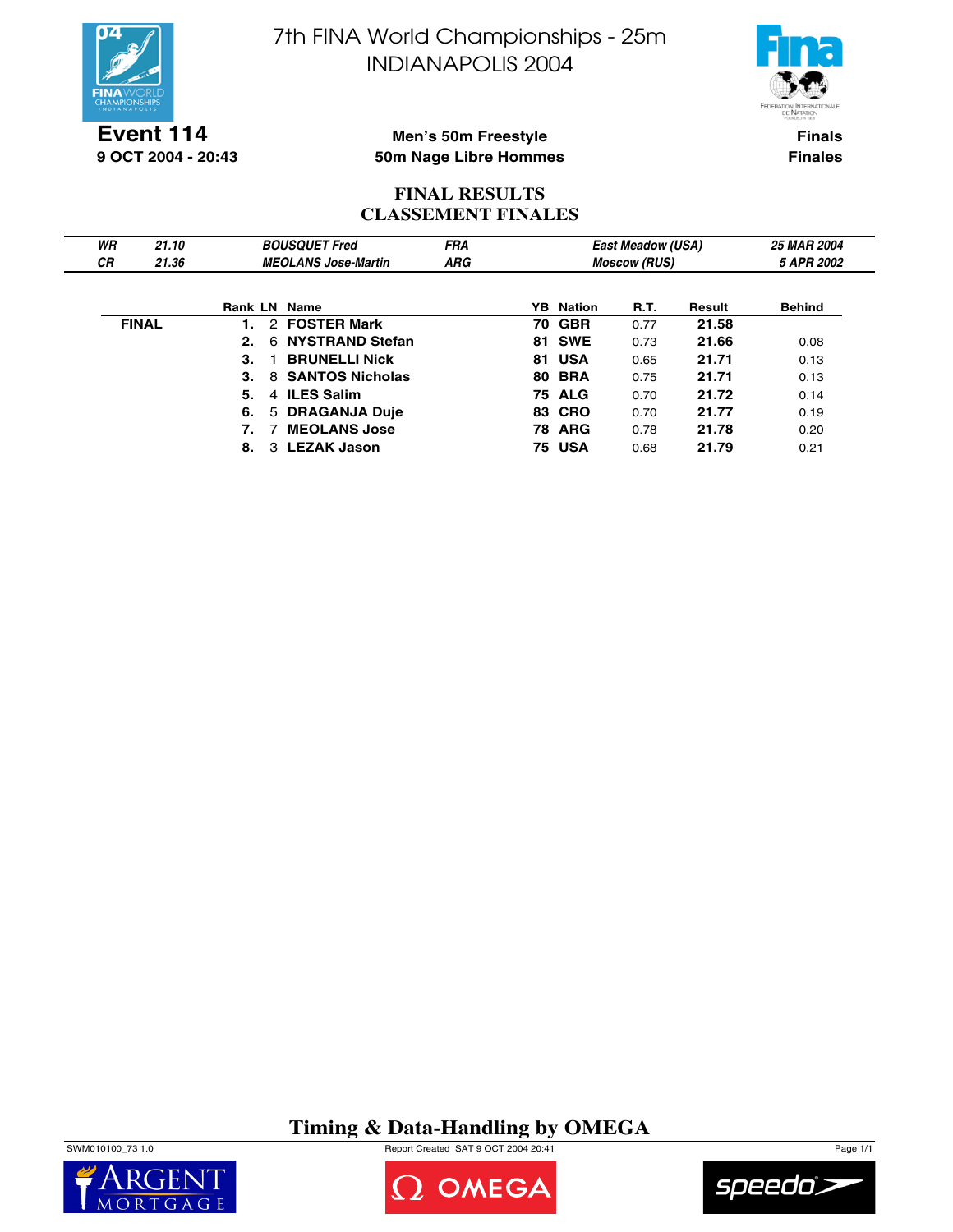

7th FINA World Championships - 25m INDIANAPOLIS 2004



**Finals**

**9 OCT 2004 - 20:43**

**Finales**

## **Men's 50m Freestyle 50m Nage Libre Hommes**

### **FINAL RESULTS CLASSEMENT FINALES**

| WR | 21.10        |                |   | <b>BOUSQUET Fred</b>       | <b>FRA</b> |    |                  | <b>East Meadow (USA)</b> |        | <b>25 MAR 2004</b> |
|----|--------------|----------------|---|----------------------------|------------|----|------------------|--------------------------|--------|--------------------|
| СR | 21.36        |                |   | <b>MEOLANS Jose-Martin</b> | ARG        |    |                  | <b>Moscow (RUS)</b>      |        | 5 APR 2002         |
|    |              |                |   |                            |            |    |                  |                          |        |                    |
|    |              | <b>Rank LN</b> |   | Name                       |            |    | <b>YB</b> Nation | <b>R.T.</b>              | Result | <b>Behind</b>      |
|    | <b>FINAL</b> |                | 2 | <b>FOSTER Mark</b>         |            |    | <b>70 GBR</b>    | 0.77                     | 21.58  |                    |
|    |              | 2.             | 6 | <b>NYSTRAND Stefan</b>     |            |    | <b>81 SWE</b>    | 0.73                     | 21.66  | 0.08               |
|    |              | 3.             |   | <b>BRUNELLI Nick</b>       |            | 81 | USA              | 0.65                     | 21.71  | 0.13               |
|    |              | З.             |   | 8 SANTOS Nicholas          |            |    | <b>80 BRA</b>    | 0.75                     | 21.71  | 0.13               |
|    |              | 5.             |   | 4 ILES Salim               |            |    | <b>75 ALG</b>    | 0.70                     | 21.72  | 0.14               |
|    |              | 6.             |   | 5 DRAGANJA Duje            |            |    | <b>83 CRO</b>    | 0.70                     | 21.77  | 0.19               |
|    |              |                |   | <b>MEOLANS Jose</b>        |            |    | <b>78 ARG</b>    | 0.78                     | 21.78  | 0.20               |
|    |              | 8.             |   | 3 LEZAK Jason              |            |    | <b>75 USA</b>    | 0.68                     | 21.79  | 0.21               |

**Timing & Data-Handling by OMEGA**

SWM010100\_73 1.0 Report Created SAT 9 OCT 2004 20:41 Page 1/1





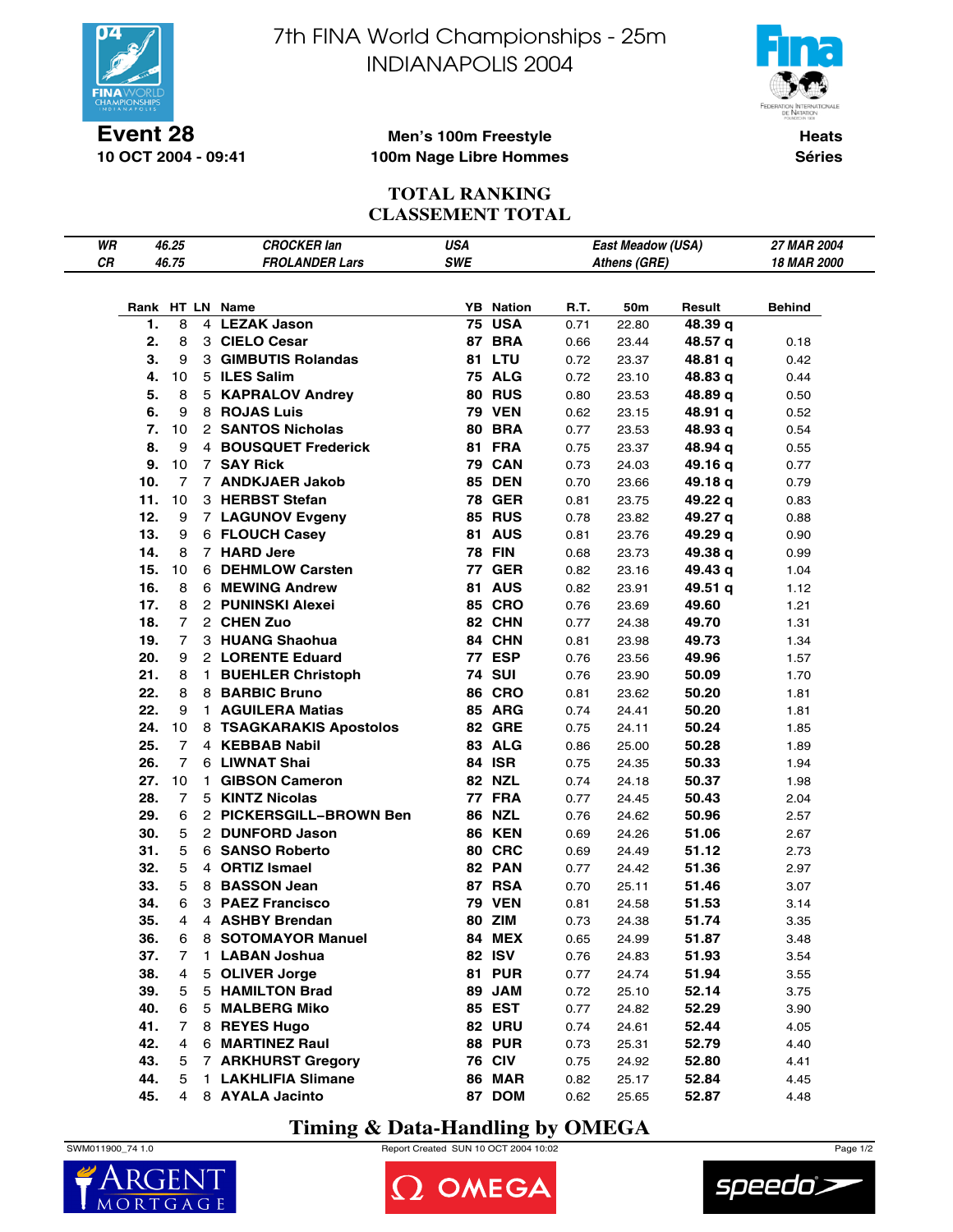

**10 OCT 2004 - 09:41**

7th FINA World Championships - 25m INDIANAPOLIS 2004



**Heats Séries**

#### **Men's 100m Freestyle 100m Nage Libre Hommes**

#### **TOTAL RANKING CLASSEMENT TOTAL**

| WR |          | 46.25          | <b>CROCKER lan</b>               | USA |                                   |      | East Meadow (USA) |         | 27 MAR 2004 |
|----|----------|----------------|----------------------------------|-----|-----------------------------------|------|-------------------|---------|-------------|
| CR |          | 46.75          | <b>FROLANDER Lars</b>            | SWE |                                   |      | Athens (GRE)      |         | 18 MAR 2000 |
|    |          |                |                                  |     |                                   |      |                   |         |             |
|    |          |                |                                  |     |                                   |      |                   |         |             |
|    | 1.       |                | Rank HT LN Name<br>4 LEZAK Jason |     | <b>YB</b> Nation<br><b>75 USA</b> | R.T. | 50m               | Result  | Behind      |
|    |          | 8              | 3 CIELO Cesar                    |     |                                   | 0.71 | 22.80             | 48.39 q |             |
|    | 2.<br>3. | 8              |                                  |     | 87 BRA                            | 0.66 | 23.44             | 48.57 q | 0.18        |
|    |          | 9              | 3 GIMBUTIS Rolandas              |     | <b>81 LTU</b>                     | 0.72 | 23.37             | 48.81 q | 0.42        |
|    | 4.       | 10             | 5 ILES Salim                     |     | <b>75 ALG</b>                     | 0.72 | 23.10             | 48.83 q | 0.44        |
|    | 5.       | 8              | 5 KAPRALOV Andrey                |     | <b>80 RUS</b>                     | 0.80 | 23.53             | 48.89 q | 0.50        |
|    | 6.<br>7. | 9              | 8 ROJAS Luis                     |     | <b>79 VEN</b>                     | 0.62 | 23.15             | 48.91 q | 0.52        |
|    |          | 10             | 2 SANTOS Nicholas                |     | <b>80 BRA</b>                     | 0.77 | 23.53             | 48.93 q | 0.54        |
|    | 8.       | 9              | 4 BOUSQUET Frederick             |     | 81 FRA                            | 0.75 | 23.37             | 48.94 q | 0.55        |
|    | 9.       | 10             | 7 SAY Rick                       |     | 79 CAN                            | 0.73 | 24.03             | 49.16 q | 0.77        |
|    | 10.      | $\overline{7}$ | 7 ANDKJAER Jakob                 |     | <b>85 DEN</b>                     | 0.70 | 23.66             | 49.18 q | 0.79        |
|    | 11.      | 10             | 3 HERBST Stefan                  |     | <b>78 GER</b>                     | 0.81 | 23.75             | 49.22 q | 0.83        |
|    | 12.      | 9              | 7 LAGUNOV Evgeny                 |     | <b>85 RUS</b>                     | 0.78 | 23.82             | 49.27 q | 0.88        |
|    | 13.      | 9              | 6 FLOUCH Casey                   |     | 81 AUS                            | 0.81 | 23.76             | 49.29 q | 0.90        |
|    | 14.      | 8              | 7 HARD Jere                      |     | <b>78 FIN</b>                     | 0.68 | 23.73             | 49.38 q | 0.99        |
|    | 15.      | 10             | 6 DEHMLOW Carsten                |     | <b>77 GER</b>                     | 0.82 | 23.16             | 49.43 q | 1.04        |
|    | 16.      | 8              | 6 MEWING Andrew                  |     | 81 AUS                            | 0.82 | 23.91             | 49.51 q | 1.12        |
|    | 17.      | 8              | 2 PUNINSKI Alexei                |     | <b>85 CRO</b>                     | 0.76 | 23.69             | 49.60   | 1.21        |
|    | 18.      | $\overline{7}$ | 2 CHEN Zuo                       |     | 82 CHN                            | 0.77 | 24.38             | 49.70   | 1.31        |
|    | 19.      | 7              | 3 HUANG Shaohua                  |     | 84 CHN                            | 0.81 | 23.98             | 49.73   | 1.34        |
|    | 20.      | 9              | 2 LORENTE Eduard                 |     | <b>77 ESP</b>                     | 0.76 | 23.56             | 49.96   | 1.57        |
|    | 21.      | 8              | 1 BUEHLER Christoph              |     | <b>74 SUI</b>                     | 0.76 | 23.90             | 50.09   | 1.70        |
|    | 22.      | 8              | 8 BARBIC Bruno                   |     | <b>86 CRO</b>                     | 0.81 | 23.62             | 50.20   | 1.81        |
|    | 22.      | 9              | 1 AGUILERA Matias                |     | <b>85 ARG</b>                     | 0.74 | 24.41             | 50.20   | 1.81        |
|    | 24.      | 10             | 8 TSAGKARAKIS Apostolos          |     | <b>82 GRE</b>                     | 0.75 | 24.11             | 50.24   | 1.85        |
|    | 25.      | $\overline{7}$ | 4 KEBBAB Nabil                   |     | 83 ALG                            | 0.86 | 25.00             | 50.28   | 1.89        |
|    | 26.      | $\overline{7}$ | 6 LIWNAT Shai                    |     | <b>84 ISR</b>                     | 0.75 | 24.35             | 50.33   | 1.94        |
|    | 27.      | 10             | 1 GIBSON Cameron                 |     | <b>82 NZL</b>                     | 0.74 | 24.18             | 50.37   | 1.98        |
|    | 28.      | $\overline{7}$ | 5 KINTZ Nicolas                  |     | <b>77 FRA</b>                     | 0.77 | 24.45             | 50.43   | 2.04        |
|    | 29.      | 6              | 2 PICKERSGILL-BROWN Ben          |     | <b>86 NZL</b>                     | 0.76 | 24.62             | 50.96   | 2.57        |
|    | 30.      | 5              | 2 DUNFORD Jason                  |     | <b>86 KEN</b>                     | 0.69 | 24.26             | 51.06   | 2.67        |
|    | 31.      | 5              | 6 SANSO Roberto                  |     | 80 CRC                            | 0.69 | 24.49             | 51.12   | 2.73        |
|    | 32.      | 5              | 4 ORTIZ Ismael                   |     | 82 PAN                            | 0.77 | 24.42             | 51.36   | 2.97        |
|    | 33.      | 5              | 8 BASSON Jean                    |     | <b>87 RSA</b>                     | 0.70 | 25.11             | 51.46   | 3.07        |
|    | 34.      | 6              | 3 PAEZ Francisco                 |     | <b>79 VEN</b>                     | 0.81 | 24.58             | 51.53   | 3.14        |
|    | 35.      | 4              | 4 ASHBY Brendan                  |     | 80 ZIM                            | 0.73 | 24.38             | 51.74   | 3.35        |
|    | 36.      | 6              | 8 SOTOMAYOR Manuel               |     | 84 MEX                            | 0.65 | 24.99             | 51.87   | 3.48        |
|    | 37.      | 7              | 1 LABAN Joshua                   |     | 82 ISV                            | 0.76 | 24.83             | 51.93   | 3.54        |
|    | 38.      | 4              | 5 OLIVER Jorge                   |     | <b>81 PUR</b>                     | 0.77 | 24.74             | 51.94   | 3.55        |
|    | 39.      | 5              | 5 HAMILTON Brad                  |     | 89 JAM                            | 0.72 | 25.10             | 52.14   | 3.75        |
|    | 40.      | 6              | 5 MALBERG Miko                   |     | 85 EST                            | 0.77 | 24.82             | 52.29   | 3.90        |
|    | 41.      | $\overline{7}$ | 8 REYES Hugo                     |     | <b>82 URU</b>                     | 0.74 | 24.61             | 52.44   | 4.05        |
|    | 42.      | 4              | 6 MARTINEZ Raul                  |     | <b>88 PUR</b>                     | 0.73 | 25.31             | 52.79   | 4.40        |
|    | 43.      | 5              | 7 ARKHURST Gregory               |     | <b>76 CIV</b>                     | 0.75 | 24.92             | 52.80   | 4.41        |
|    | 44.      | 5              | 1 LAKHLIFIA Slimane              |     | <b>86 MAR</b>                     | 0.82 | 25.17             | 52.84   | 4.45        |
|    | 45.      | 4              | 8 AYALA Jacinto                  |     | 87 DOM                            | 0.62 | 25.65             | 52.87   | 4.48        |

**Timing & Data-Handling by OMEGA**







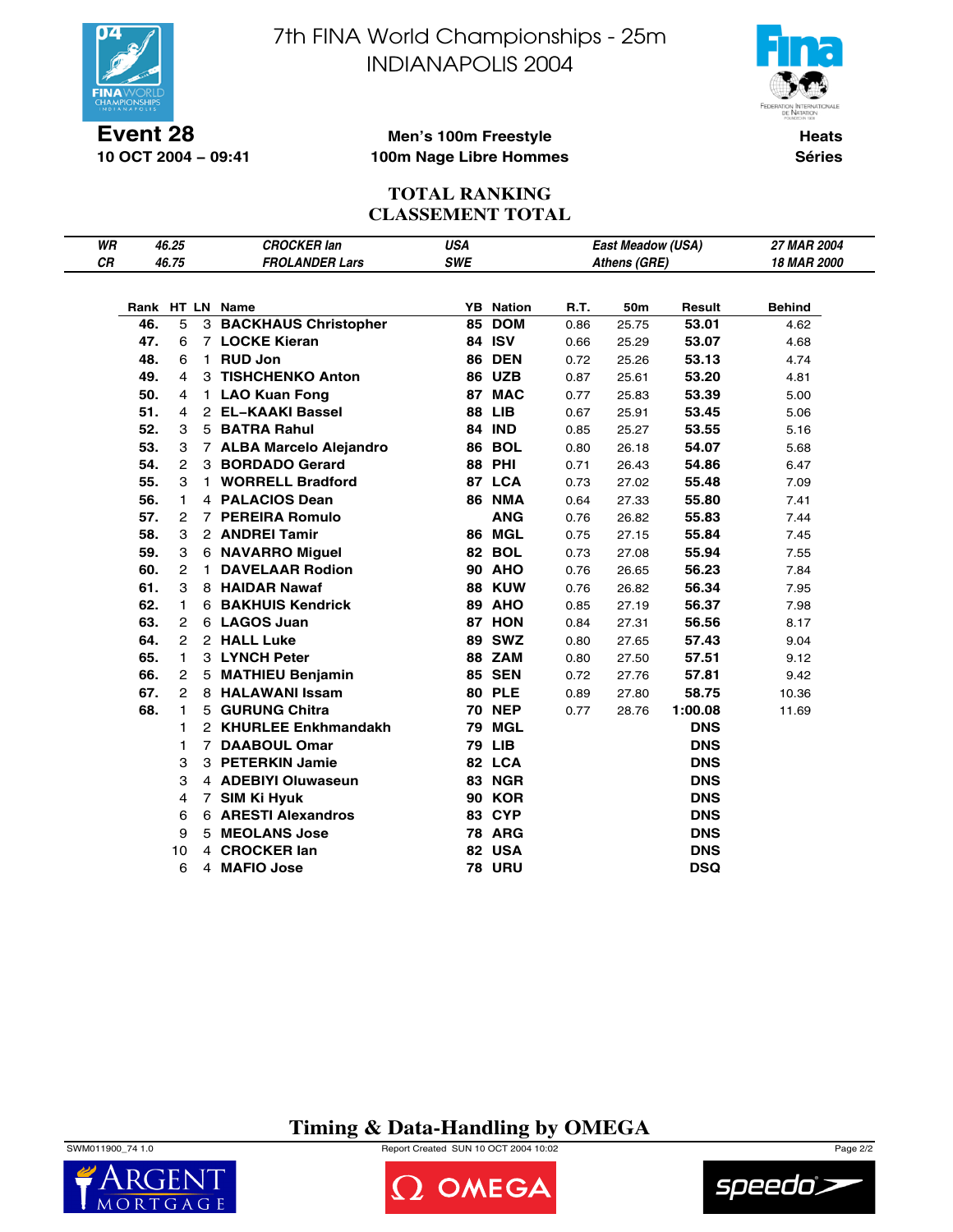

**10 OCT 2004 − 09:41**

7th FINA World Championships - 25m INDIANAPOLIS 2004



**Heats Séries**

#### **Men's 100m Freestyle 100m Nage Libre Hommes**

#### **TOTAL RANKING CLASSEMENT TOTAL**

| WR |     | 46.25          |              | <b>CROCKER lan</b>        | USA        |                  |      | East Meadow (USA) |            | 27 MAR 2004        |
|----|-----|----------------|--------------|---------------------------|------------|------------------|------|-------------------|------------|--------------------|
| СR |     | 46.75          |              | <b>FROLANDER Lars</b>     | <b>SWE</b> |                  |      | Athens (GRE)      |            | <b>18 MAR 2000</b> |
|    |     |                |              |                           |            |                  |      |                   |            |                    |
|    |     |                |              | Rank HT LN Name           |            | <b>YB</b> Nation | R.T. | 50m               | Result     | <b>Behind</b>      |
|    | 46. | 5              |              | 3 BACKHAUS Christopher    | 85         | <b>DOM</b>       | 0.86 | 25.75             | 53.01      | 4.62               |
|    | 47. | 6              |              | 7 LOCKE Kieran            |            | 84 ISV           | 0.66 | 25.29             | 53.07      | 4.68               |
|    | 48. | 6              |              | 1 RUD Jon                 |            | <b>86 DEN</b>    | 0.72 | 25.26             | 53.13      | 4.74               |
|    | 49. | 4              |              | 3 TISHCHENKO Anton        |            | <b>86 UZB</b>    | 0.87 | 25.61             | 53.20      | 4.81               |
|    | 50. | 4              |              | 1 LAO Kuan Fong           |            | 87 MAC           | 0.77 | 25.83             | 53.39      | 5.00               |
|    | 51. | 4              |              | 2 EL-KAAKI Bassel         |            | <b>88 LIB</b>    | 0.67 | 25.91             | 53.45      | 5.06               |
|    | 52. | 3              |              | 5 BATRA Rahul             |            | <b>84 IND</b>    | 0.85 | 25.27             | 53.55      | 5.16               |
|    | 53. | 3              |              | 7 ALBA Marcelo Alejandro  |            | <b>86 BOL</b>    | 0.80 | 26.18             | 54.07      | 5.68               |
|    | 54. | $\mathbf{2}$   |              | 3 BORDADO Gerard          |            | <b>88 PHI</b>    | 0.71 | 26.43             | 54.86      | 6.47               |
|    | 55. | 3              |              | 1 WORRELL Bradford        |            | 87 LCA           | 0.73 | 27.02             | 55.48      | 7.09               |
|    | 56. | 1              |              | 4 PALACIOS Dean           |            | <b>86 NMA</b>    | 0.64 | 27.33             | 55.80      | 7.41               |
|    | 57. | 2              |              | 7 PEREIRA Romulo          |            | <b>ANG</b>       | 0.76 | 26.82             | 55.83      | 7.44               |
|    | 58. | 3              |              | 2 ANDREI Tamir            |            | 86 MGL           | 0.75 | 27.15             | 55.84      | 7.45               |
|    | 59. | 3              |              | 6 NAVARRO Miguel          |            | 82 BOL           | 0.73 | 27.08             | 55.94      | 7.55               |
|    | 60. | $\overline{2}$ | $\mathbf{1}$ | <b>DAVELAAR Rodion</b>    |            | <b>90 AHO</b>    | 0.76 | 26.65             | 56.23      | 7.84               |
|    | 61. | 3              |              | 8 HAIDAR Nawaf            |            | <b>88 KUW</b>    | 0.76 | 26.82             | 56.34      | 7.95               |
|    | 62. | $\mathbf{1}$   |              | <b>6 BAKHUIS Kendrick</b> |            | 89 AHO           | 0.85 | 27.19             | 56.37      | 7.98               |
|    | 63. | $\overline{2}$ |              | 6 LAGOS Juan              |            | 87 HON           | 0.84 | 27.31             | 56.56      | 8.17               |
|    | 64. | $\overline{2}$ |              | 2 HALL Luke               |            | <b>89 SWZ</b>    | 0.80 | 27.65             | 57.43      | 9.04               |
|    | 65. | $\mathbf{1}$   |              | 3 LYNCH Peter             |            | 88 ZAM           | 0.80 | 27.50             | 57.51      | 9.12               |
|    | 66. | $\overline{2}$ |              | 5 MATHIEU Benjamin        |            | <b>85 SEN</b>    | 0.72 | 27.76             | 57.81      | 9.42               |
|    | 67. | $\overline{2}$ |              | 8 HALAWANI Issam          |            | 80 PLE           | 0.89 | 27.80             | 58.75      | 10.36              |
|    | 68. | 1.             |              | 5 GURUNG Chitra           |            | <b>70 NEP</b>    | 0.77 | 28.76             | 1:00.08    | 11.69              |
|    |     | 1              |              | 2 KHURLEE Enkhmandakh     |            | 79 MGL           |      |                   | <b>DNS</b> |                    |
|    |     | 1              |              | 7 DAABOUL Omar            |            | <b>79 LIB</b>    |      |                   | <b>DNS</b> |                    |
|    |     | 3              |              | 3 PETERKIN Jamie          |            | 82 LCA           |      |                   | <b>DNS</b> |                    |
|    |     | 3              |              | 4 ADEBIYI Oluwaseun       |            | 83 NGR           |      |                   | <b>DNS</b> |                    |
|    |     | 4              |              | 7 SIM Ki Hyuk             |            | <b>90 KOR</b>    |      |                   | <b>DNS</b> |                    |
|    |     | 6              |              | 6 ARESTI Alexandros       |            | 83 CYP           |      |                   | <b>DNS</b> |                    |
|    |     | 9              |              | 5 MEOLANS Jose            |            | <b>78 ARG</b>    |      |                   | <b>DNS</b> |                    |
|    |     | 10             |              | 4 CROCKER lan             |            | 82 USA           |      |                   | <b>DNS</b> |                    |
|    |     | 6              |              | 4 MAFIO Jose              |            | <b>78 URU</b>    |      |                   | <b>DSQ</b> |                    |

**Timing & Data-Handling by OMEGA**

SWM011900\_74 1.0 Report Created SUN 10 OCT 2004 10:02 Page 2/2



OMEGA

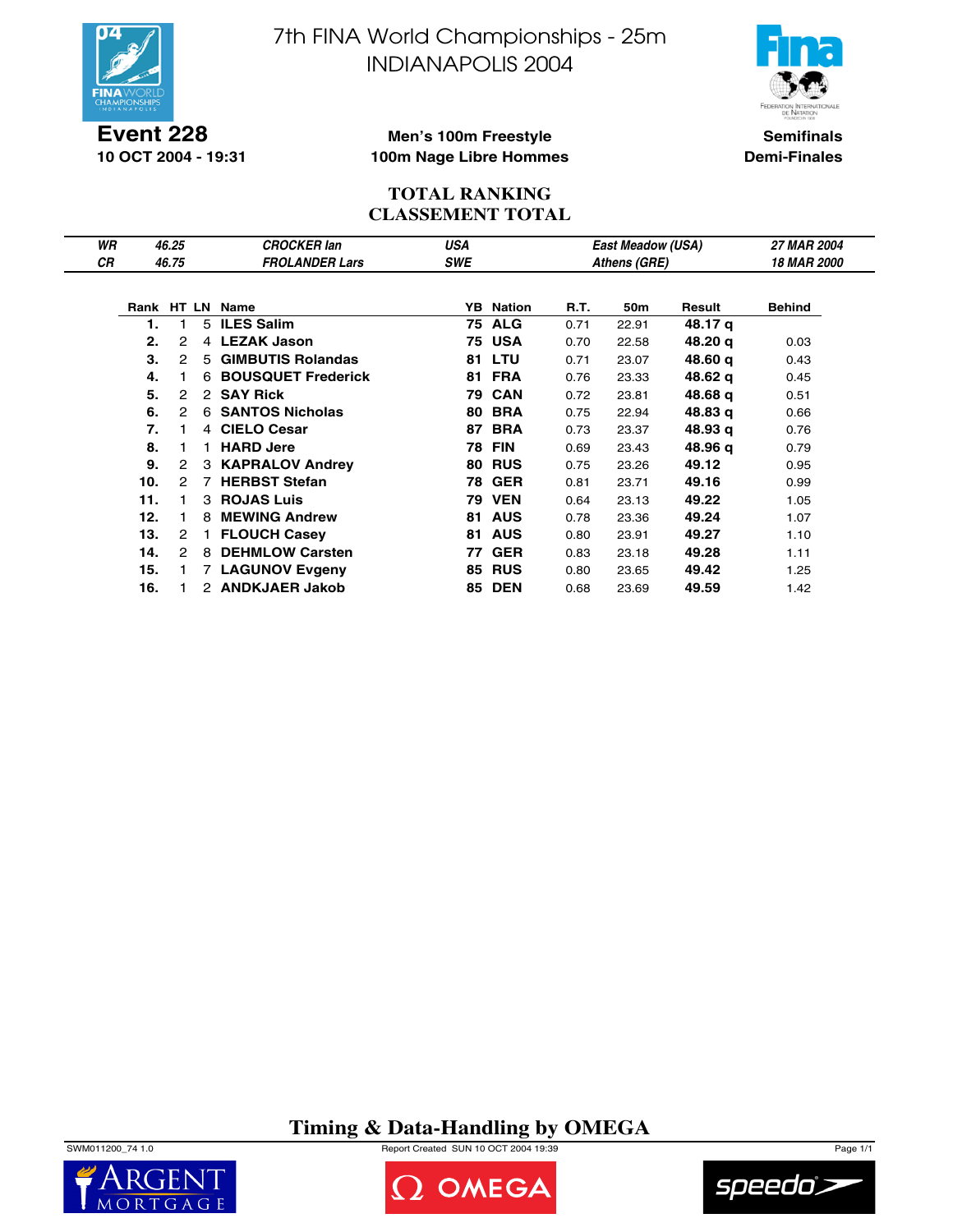

**Event 228 10 OCT 2004 - 19:31** 7th FINA World Championships - 25m INDIANAPOLIS 2004



**Semifinals Demi-Finales**

#### **Men's 100m Freestyle 100m Nage Libre Hommes**

#### **TOTAL RANKING CLASSEMENT TOTAL**

| WR        |     | 46.25          |                | <b>CROCKER lan</b>       | <b>USA</b> |                  |      | <b>East Meadow (USA)</b> |         | <b>27 MAR 2004</b> |
|-----------|-----|----------------|----------------|--------------------------|------------|------------------|------|--------------------------|---------|--------------------|
| <b>CR</b> |     | 46.75          |                | <b>FROLANDER Lars</b>    | <b>SWE</b> |                  |      | Athens (GRE)             |         | <b>18 MAR 2000</b> |
|           |     |                |                |                          |            |                  |      |                          |         |                    |
|           |     |                |                | Rank HT LN Name          |            | <b>YB</b> Nation | R.T. | 50m                      | Result  | <b>Behind</b>      |
|           | 1.  |                |                | 5 ILES Salim             |            | <b>75 ALG</b>    | 0.71 | 22.91                    | 48.17 g |                    |
|           | 2.  | 2              | $\overline{4}$ | <b>LEZAK Jason</b>       |            | 75 USA           | 0.70 | 22.58                    | 48.20 g | 0.03               |
|           | 3.  | 2              | 5              | <b>GIMBUTIS Rolandas</b> |            | <b>81 LTU</b>    | 0.71 | 23.07                    | 48.60 q | 0.43               |
|           | 4.  |                |                | 6 BOUSQUET Frederick     | 81         | <b>FRA</b>       | 0.76 | 23.33                    | 48.62 g | 0.45               |
|           | 5.  | 2              |                | 2 SAY Rick               |            | <b>79 CAN</b>    | 0.72 | 23.81                    | 48.68 q | 0.51               |
|           | 6.  | 2              | 6              | <b>SANTOS Nicholas</b>   | 80         | <b>BRA</b>       | 0.75 | 22.94                    | 48.83 g | 0.66               |
|           | 7.  |                | 4              | <b>CIELO Cesar</b>       | 87         | <b>BRA</b>       | 0.73 | 23.37                    | 48.93 g | 0.76               |
|           | 8.  |                | $\blacksquare$ | <b>HARD Jere</b>         | 78         | FIN              | 0.69 | 23.43                    | 48.96 g | 0.79               |
|           | 9.  | $\overline{2}$ | 3              | <b>KAPRALOV Andrey</b>   | 80         | <b>RUS</b>       | 0.75 | 23.26                    | 49.12   | 0.95               |
|           | 10. | 2              | $\overline{7}$ | <b>HERBST Stefan</b>     |            | <b>78 GER</b>    | 0.81 | 23.71                    | 49.16   | 0.99               |
|           | 11. |                | 3              | <b>ROJAS Luis</b>        |            | <b>79 VEN</b>    | 0.64 | 23.13                    | 49.22   | 1.05               |
|           | 12. |                | 8              | <b>MEWING Andrew</b>     | 81         | <b>AUS</b>       | 0.78 | 23.36                    | 49.24   | 1.07               |
|           | 13. | 2              |                | <b>FLOUCH Casey</b>      | 81         | <b>AUS</b>       | 0.80 | 23.91                    | 49.27   | 1.10               |
|           | 14. | 2              | 8              | <b>DEHMLOW Carsten</b>   | 77         | <b>GER</b>       | 0.83 | 23.18                    | 49.28   | 1.11               |
|           | 15. |                | $\overline{7}$ | <b>LAGUNOV Evgeny</b>    | 85         | <b>RUS</b>       | 0.80 | 23.65                    | 49.42   | 1.25               |
|           | 16. |                |                | 2 ANDKJAER Jakob         |            | <b>85 DEN</b>    | 0.68 | 23.69                    | 49.59   | 1.42               |

**Timing & Data-Handling by OMEGA**

SWM011200\_74 1.0 Report Created SUN 10 OCT 2004 19:39 Page 1/1





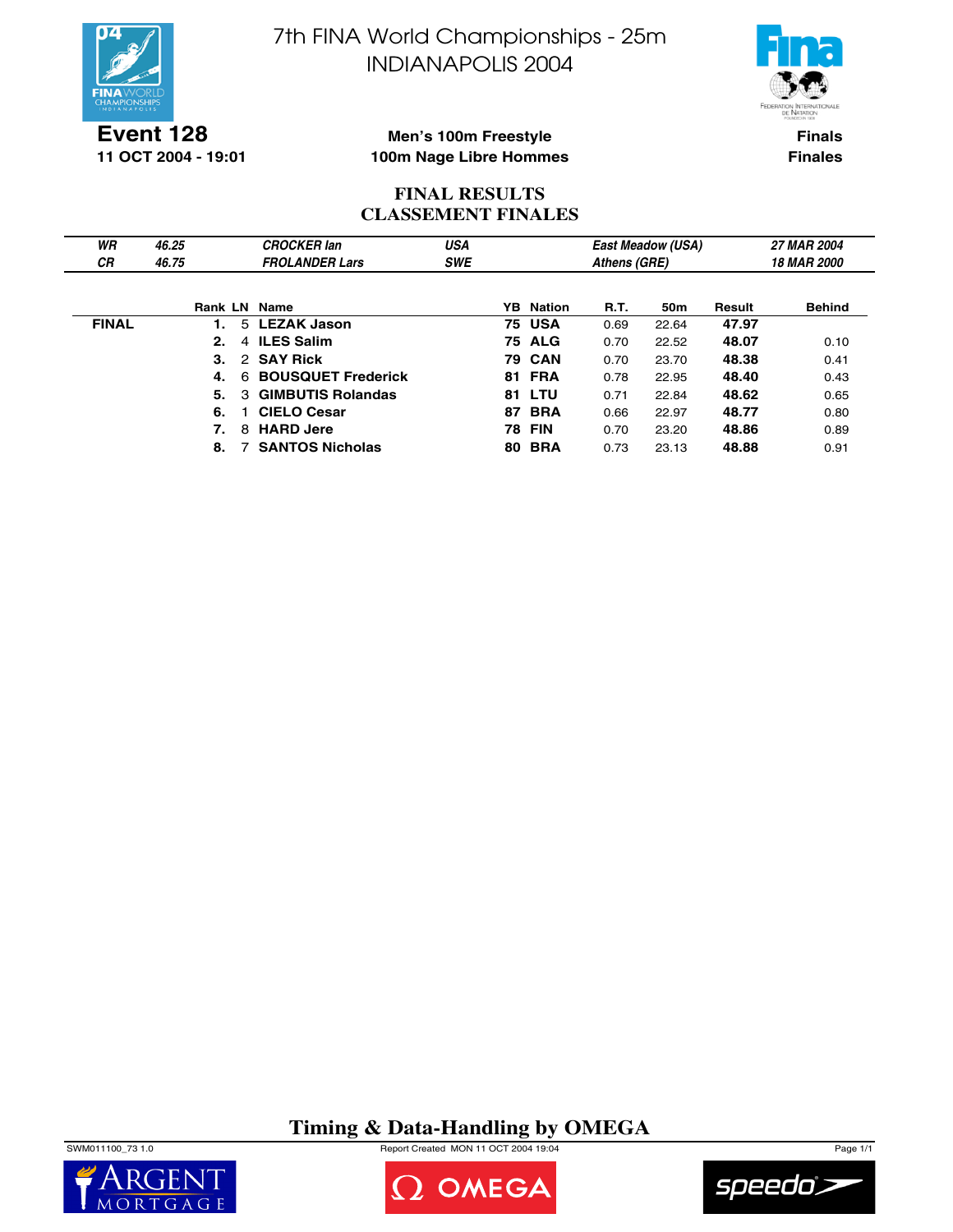

7th FINA World Championships - 25m INDIANAPOLIS 2004



**Event 128 11 OCT 2004 - 19:01**

#### **Men's 100m Freestyle 100m Nage Libre Hommes**

**Finals Finales**

## **FINAL RESULTS CLASSEMENT FINALES**

| WR           | 46.25 |          | <b>CROCKER lan</b>        | <b>USA</b> |    |                  |              | <b>East Meadow (USA)</b> |        | <b>27 MAR 2004</b> |
|--------------|-------|----------|---------------------------|------------|----|------------------|--------------|--------------------------|--------|--------------------|
| <b>CR</b>    | 46.75 |          | <b>FROLANDER Lars</b>     | <b>SWE</b> |    |                  | Athens (GRE) |                          |        | <b>18 MAR 2000</b> |
|              |       |          |                           |            |    |                  |              |                          |        |                    |
|              |       |          | Rank LN Name              |            |    | <b>YB</b> Nation | R.T.         | 50 <sub>m</sub>          | Result | <b>Behind</b>      |
| <b>FINAL</b> |       |          | 5 LEZAK Jason             |            |    | 75 USA           | 0.69         | 22.64                    | 47.97  |                    |
|              |       | 2.       | 4 ILES Salim              |            |    | <b>75 ALG</b>    | 0.70         | 22.52                    | 48.07  | 0.10               |
|              |       | 3.       | 2 SAY Rick                |            |    | <b>79 CAN</b>    | 0.70         | 23.70                    | 48.38  | 0.41               |
|              |       | 4.<br>6  | <b>BOUSQUET Frederick</b> |            |    | <b>81 FRA</b>    | 0.78         | 22.95                    | 48.40  | 0.43               |
|              |       | 5.<br>3. | <b>GIMBUTIS Rolandas</b>  |            | 81 | LTU              | 0.71         | 22.84                    | 48.62  | 0.65               |
|              |       | 6.       | <b>CIELO Cesar</b>        |            | 87 | <b>BRA</b>       | 0.66         | 22.97                    | 48.77  | 0.80               |
|              |       | 7.<br>8  | <b>HARD Jere</b>          |            | 78 | FIN              | 0.70         | 23.20                    | 48.86  | 0.89               |
|              |       | 8.       | <b>SANTOS Nicholas</b>    |            | 80 | <b>BRA</b>       | 0.73         | 23.13                    | 48.88  | 0.91               |

## **Timing & Data-Handling by OMEGA**

SWM011100\_73 1.0 Report Created MON 11 OCT 2004 19:04 Page 1/1





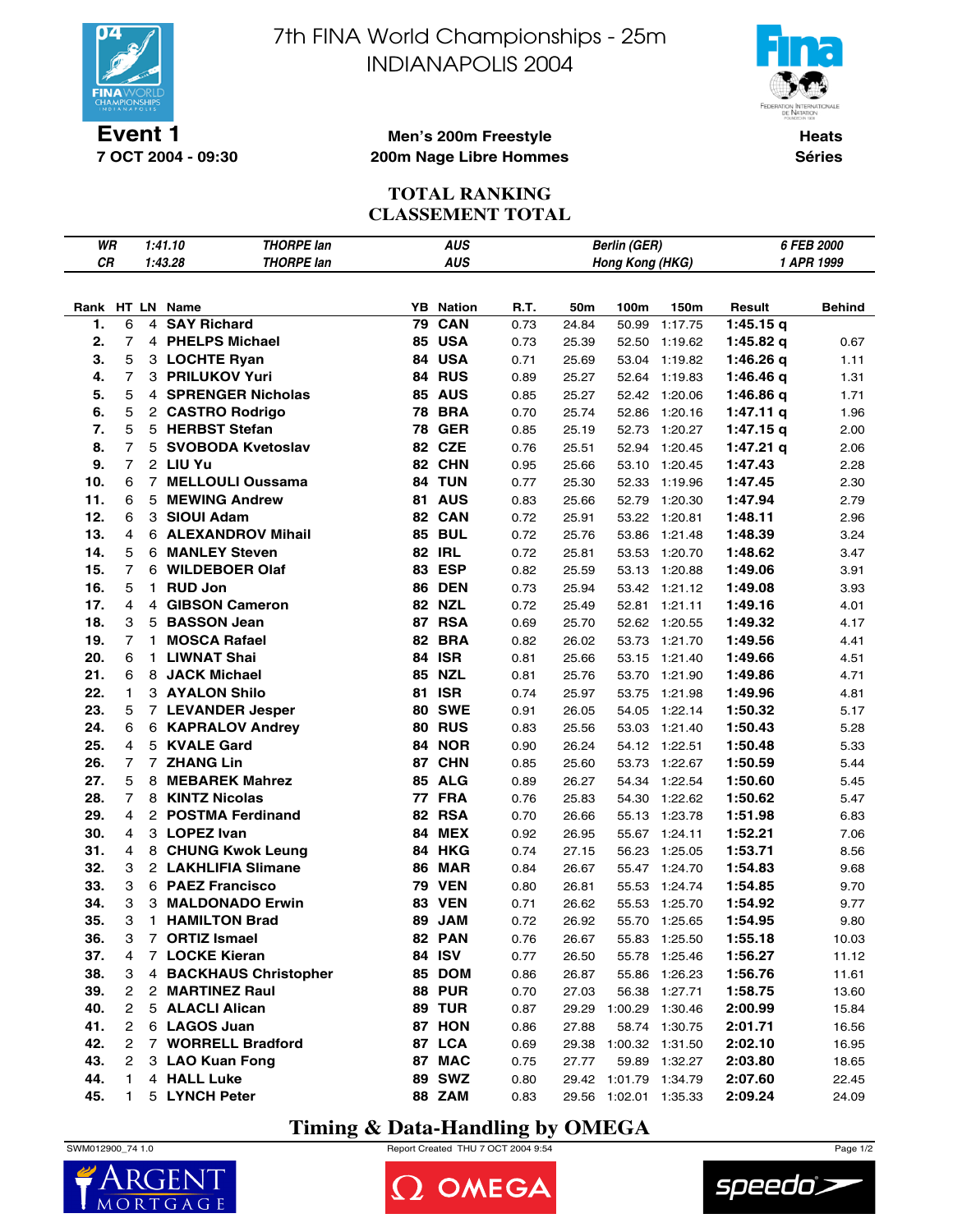

**7 OCT 2004 - 09:30**

7th FINA World Championships - 25m INDIANAPOLIS 2004



**Heats Séries**

#### **Men's 200m Freestyle 200m Nage Libre Hommes**

### **TOTAL RANKING CLASSEMENT TOTAL**

| WR  |                |    | 1:41.10         | <b>THORPE lan</b>      | <b>AUS</b><br><b>Berlin (GER)</b> |                  |      |       |                       |               | 6 FEB 2000  |        |  |
|-----|----------------|----|-----------------|------------------------|-----------------------------------|------------------|------|-------|-----------------------|---------------|-------------|--------|--|
| CR  |                |    | 1:43.28         | <b>THORPE lan</b>      |                                   | <b>AUS</b>       |      |       | Hong Kong (HKG)       |               | 1 APR 1999  |        |  |
|     |                |    |                 |                        |                                   |                  |      |       |                       |               |             |        |  |
|     |                |    | Rank HT LN Name |                        |                                   | <b>YB</b> Nation | R.T. | 50m   | 100m                  | 150m          | Result      | Behind |  |
| 1.  | 6              | 4  |                 | <b>SAY Richard</b>     | 79                                | CAN              | 0.73 | 24.84 | 50.99                 | 1:17.75       | 1:45.15q    |        |  |
| 2.  | $\overline{7}$ |    |                 | 4 PHELPS Michael       |                                   | 85 USA           | 0.73 | 25.39 | 52.50                 | 1:19.62       | 1:45.82 $q$ | 0.67   |  |
| 3.  | 5              |    |                 | 3 LOCHTE Ryan          |                                   | 84 USA           | 0.71 | 25.69 |                       | 53.04 1:19.82 | 1:46.26 q   | 1.11   |  |
| 4.  | 7              |    |                 | 3 PRILUKOV Yuri        |                                   | 84 RUS           | 0.89 | 25.27 |                       | 52.64 1:19.83 | 1:46.46 q   | 1.31   |  |
| 5.  | 5              |    |                 | 4 SPRENGER Nicholas    |                                   | <b>85 AUS</b>    | 0.85 | 25.27 |                       | 52.42 1:20.06 | 1:46.86q    | 1.71   |  |
| 6.  | 5              |    |                 | 2 CASTRO Rodrigo       |                                   | <b>78 BRA</b>    | 0.70 | 25.74 | 52.86                 | 1:20.16       | 1:47.11q    | 1.96   |  |
| 7.  | 5              |    |                 | 5 HERBST Stefan        | 78                                | <b>GER</b>       | 0.85 | 25.19 | 52.73                 | 1:20.27       | $1:47.15$ q | 2.00   |  |
| 8.  | 7              |    |                 | 5 SVOBODA Kvetoslav    |                                   | 82 CZE           | 0.76 | 25.51 | 52.94                 | 1:20.45       | 1:47.21 $q$ | 2.06   |  |
| 9.  | $\overline{7}$ |    | 2 LIU Yu        |                        |                                   | 82 CHN           | 0.95 | 25.66 |                       | 53.10 1:20.45 | 1:47.43     | 2.28   |  |
| 10. | 6              |    |                 | 7 MELLOULI Oussama     |                                   | 84 TUN           | 0.77 | 25.30 | 52.33                 | 1:19.96       | 1:47.45     | 2.30   |  |
| 11. | 6              | 5  |                 | <b>MEWING Andrew</b>   |                                   | <b>81 AUS</b>    | 0.83 | 25.66 | 52.79                 | 1:20.30       | 1:47.94     | 2.79   |  |
| 12. | 6              |    | 3 SIOUI Adam    |                        |                                   | 82 CAN           | 0.72 | 25.91 |                       | 53.22 1:20.81 | 1:48.11     | 2.96   |  |
| 13. | 4              |    |                 | 6 ALEXANDROV Mihail    |                                   | <b>85 BUL</b>    | 0.72 | 25.76 | 53.86                 | 1:21.48       | 1:48.39     | 3.24   |  |
| 14. | 5              |    |                 | 6 MANLEY Steven        |                                   | <b>82 IRL</b>    | 0.72 | 25.81 | 53.53                 | 1:20.70       | 1:48.62     | 3.47   |  |
| 15. | $\overline{7}$ |    |                 | 6 WILDEBOER Olaf       |                                   | 83 ESP           | 0.82 | 25.59 | 53.13                 | 1:20.88       | 1:49.06     | 3.91   |  |
| 16. | 5              | 1. | <b>RUD Jon</b>  |                        |                                   | <b>86 DEN</b>    | 0.73 | 25.94 |                       | 53.42 1:21.12 | 1:49.08     | 3.93   |  |
| 17. | 4              |    |                 | 4 GIBSON Cameron       |                                   | <b>82 NZL</b>    | 0.72 | 25.49 | 52.81                 | 1:21.11       | 1:49.16     | 4.01   |  |
| 18. | 3              |    |                 | 5 BASSON Jean          |                                   | 87 RSA           | 0.69 | 25.70 |                       | 52.62 1:20.55 | 1:49.32     | 4.17   |  |
| 19. | 7              | 1. |                 | <b>MOSCA Rafael</b>    | 82                                | <b>BRA</b>       | 0.82 | 26.02 |                       | 53.73 1:21.70 | 1:49.56     | 4.41   |  |
| 20. | 6              | 1. |                 | <b>LIWNAT Shai</b>     | 84                                | <b>ISR</b>       | 0.81 | 25.66 |                       | 53.15 1:21.40 | 1:49.66     | 4.51   |  |
| 21. | 6              |    |                 | 8 JACK Michael         |                                   | <b>85 NZL</b>    | 0.81 | 25.76 |                       | 53.70 1:21.90 | 1:49.86     | 4.71   |  |
| 22. | 1              |    |                 | 3 AYALON Shilo         |                                   | <b>81 ISR</b>    | 0.74 | 25.97 |                       | 53.75 1:21.98 | 1:49.96     | 4.81   |  |
| 23. | 5              |    |                 | 7 LEVANDER Jesper      |                                   | <b>80 SWE</b>    | 0.91 | 26.05 |                       | 54.05 1:22.14 | 1:50.32     | 5.17   |  |
| 24. | 6              |    |                 | 6 KAPRALOV Andrey      |                                   | <b>80 RUS</b>    | 0.83 | 25.56 | 53.03                 | 1:21.40       | 1:50.43     | 5.28   |  |
| 25. | 4              |    |                 | 5 KVALE Gard           |                                   | <b>84 NOR</b>    | 0.90 | 26.24 |                       | 54.12 1:22.51 | 1:50.48     | 5.33   |  |
| 26. | $\overline{7}$ |    | 7 ZHANG Lin     |                        |                                   | 87 CHN           | 0.85 | 25.60 |                       | 53.73 1:22.67 | 1:50.59     | 5.44   |  |
| 27. | 5              | 8  |                 | <b>MEBAREK Mahrez</b>  |                                   | <b>85 ALG</b>    | 0.89 | 26.27 | 54.34                 | 1:22.54       | 1:50.60     | 5.45   |  |
| 28. | $\overline{7}$ |    |                 | 8 KINTZ Nicolas        |                                   | <b>77 FRA</b>    | 0.76 | 25.83 | 54.30                 | 1:22.62       | 1:50.62     | 5.47   |  |
| 29. | 4              |    |                 | 2 POSTMA Ferdinand     |                                   | 82 RSA           | 0.70 | 26.66 |                       | 55.13 1:23.78 | 1:51.98     | 6.83   |  |
| 30. | 4              |    | 3 LOPEZ Ivan    |                        |                                   | <b>84 MEX</b>    | 0.92 | 26.95 |                       | 55.67 1:24.11 | 1:52.21     | 7.06   |  |
| 31. | 4              |    |                 | 8 CHUNG Kwok Leung     |                                   | 84 HKG           | 0.74 | 27.15 | 56.23                 | 1:25.05       | 1:53.71     | 8.56   |  |
| 32. | 3              |    |                 | 2 LAKHLIFIA Slimane    | 86                                | <b>MAR</b>       | 0.84 | 26.67 |                       | 55.47 1:24.70 | 1:54.83     | 9.68   |  |
| 33. | 3              |    |                 | 6 PAEZ Francisco       |                                   | <b>79 VEN</b>    | 0.80 | 26.81 | 55.53                 | 1:24.74       | 1:54.85     | 9.70   |  |
| 34. | 3              |    |                 | 3 MALDONADO Erwin      |                                   | <b>83 VEN</b>    | 0.71 | 26.62 | 55.53                 | 1:25.70       | 1:54.92     | 9.77   |  |
| 35. | 3              | 1. |                 | <b>HAMILTON Brad</b>   |                                   | 89 JAM           | 0.72 | 26.92 |                       | 55.70 1:25.65 | 1:54.95     | 9.80   |  |
| 36. | 3              |    |                 | 7 ORTIZ Ismael         |                                   | <b>82 PAN</b>    | 0.76 | 26.67 |                       | 55.83 1:25.50 | 1:55.18     | 10.03  |  |
| 37. | 4              |    |                 | 7 LOCKE Kieran         |                                   | 84 ISV           | 0.77 | 26.50 |                       | 55.78 1:25.46 | 1:56.27     | 11.12  |  |
| 38. | 3              |    |                 | 4 BACKHAUS Christopher |                                   | 85 DOM           | 0.86 | 26.87 |                       | 55.86 1:26.23 | 1:56.76     | 11.61  |  |
| 39. | 2              |    |                 | 2 MARTINEZ Raul        |                                   | <b>88 PUR</b>    | 0.70 | 27.03 |                       | 56.38 1:27.71 | 1:58.75     | 13.60  |  |
| 40. | $\mathbf{2}$   |    |                 | 5 ALACLI Alican        |                                   | 89 TUR           | 0.87 |       | 29.29 1:00.29 1:30.46 |               | 2:00.99     | 15.84  |  |
| 41. | 2              |    |                 | 6 LAGOS Juan           |                                   | 87 HON           | 0.86 | 27.88 |                       | 58.74 1:30.75 | 2:01.71     | 16.56  |  |
| 42. | 2              |    |                 | 7 WORRELL Bradford     |                                   | 87 LCA           | 0.69 |       | 29.38 1:00.32 1:31.50 |               | 2:02.10     | 16.95  |  |
| 43. | 2              |    |                 | 3 LAO Kuan Fong        |                                   | 87 MAC           | 0.75 | 27.77 |                       | 59.89 1:32.27 | 2:03.80     | 18.65  |  |
| 44. | 1              |    | 4 HALL Luke     |                        |                                   | 89 SWZ           | 0.80 |       | 29.42 1:01.79 1:34.79 |               | 2:07.60     | 22.45  |  |
| 45. | 1              |    |                 | 5 LYNCH Peter          |                                   | <b>88 ZAM</b>    | 0.83 |       | 29.56 1:02.01 1:35.33 |               | 2:09.24     | 24.09  |  |

## **Timing & Data-Handling by OMEGA**



 $\mathsf{M}$  $\Omega$ 

SWM012900\_74 1.0 Report Created THU 7 OCT 2004 9:54 Page 1/2

2 OMEGA

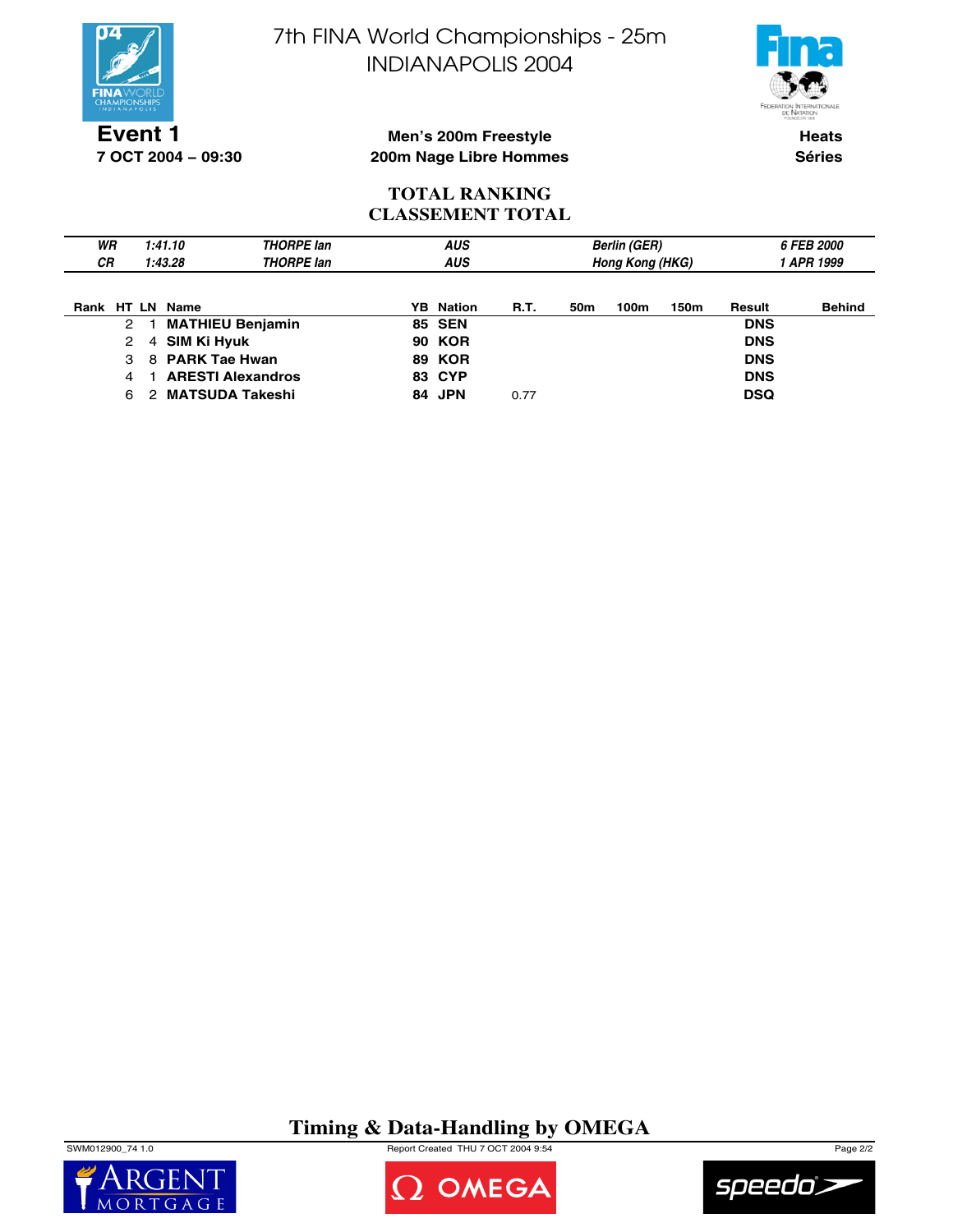

**7 OCT 2004 − 09:30**

7th FINA World Championships - 25m INDIANAPOLIS 2004



**Heats Séries**

#### **Men's 200m Freestyle 200m Nage Libre Hommes**

#### **TOTAL RANKING CLASSEMENT TOTAL**

| WR<br>1:41.10<br><b>CR</b><br>1:43.28 |   |             | THORPE lan<br><b>THORPE lan</b> | <b>AUS</b><br><b>AUS</b> |               |             |     | <b>Berlin (GER)</b><br><b>Hong Kong (HKG)</b> |      | <b>6 FEB 2000</b><br>1 APR 1999 |               |  |
|---------------------------------------|---|-------------|---------------------------------|--------------------------|---------------|-------------|-----|-----------------------------------------------|------|---------------------------------|---------------|--|
| Rank HT LN Name                       |   |             |                                 | YB.                      | Nation        | <b>R.T.</b> | 50m | 100m                                          | 150m | Result                          | <b>Behind</b> |  |
| 2                                     |   |             | <b>MATHIEU Benjamin</b>         |                          | <b>85 SEN</b> |             |     |                                               |      | <b>DNS</b>                      |               |  |
| 2                                     | 4 | SIM Ki Hyuk |                                 |                          | <b>90 KOR</b> |             |     |                                               |      | <b>DNS</b>                      |               |  |
| 3                                     |   |             | 8 PARK Tae Hwan                 |                          | <b>89 KOR</b> |             |     |                                               |      | <b>DNS</b>                      |               |  |
| 4                                     |   |             | <b>ARESTI Alexandros</b>        |                          | <b>83 CYP</b> |             |     |                                               |      | <b>DNS</b>                      |               |  |
| 6                                     | 2 |             | <b>MATSUDA Takeshi</b>          |                          | 84 JPN        | 0.77        |     |                                               |      | <b>DSQ</b>                      |               |  |

## **Timing & Data-Handling by OMEGA**







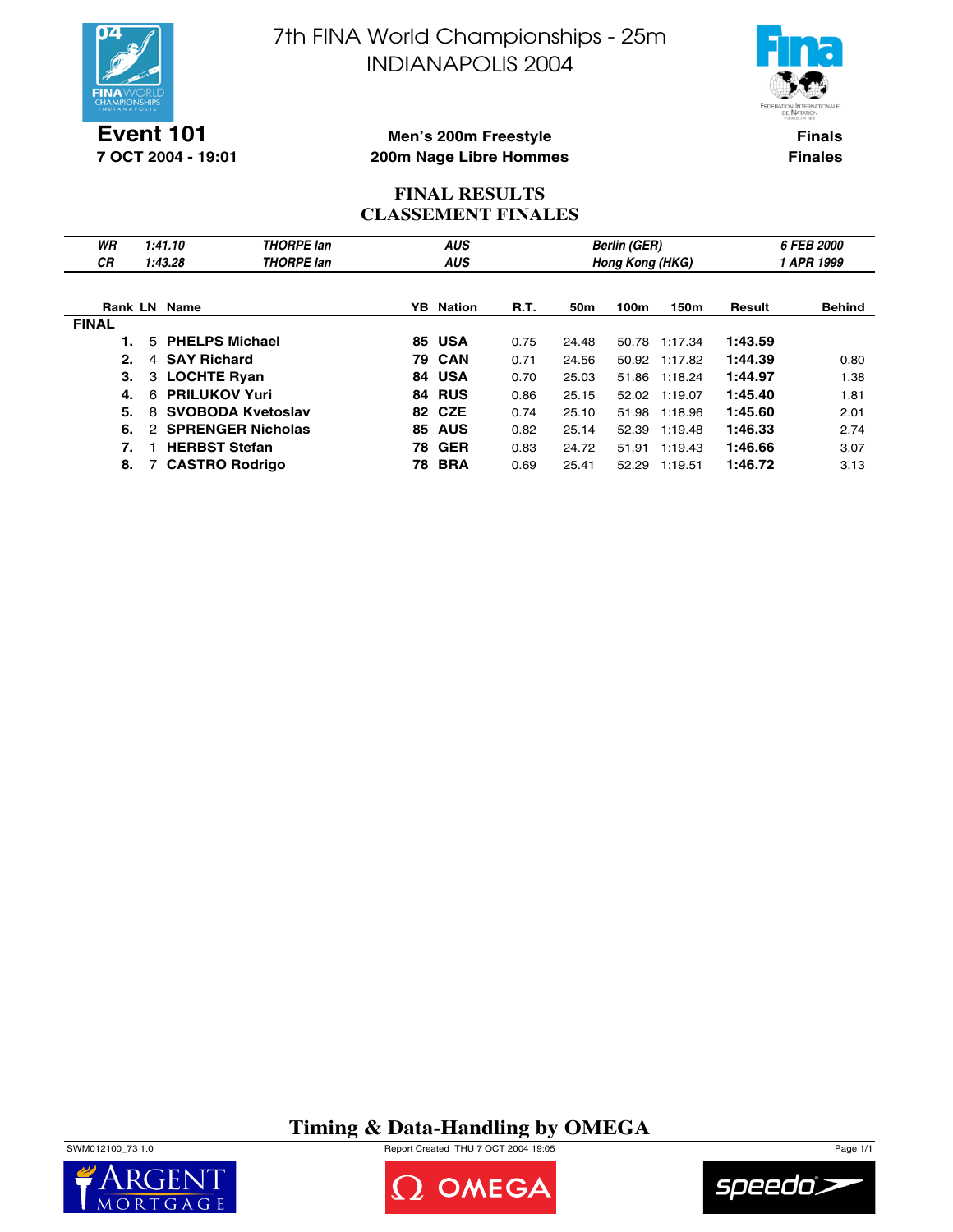

**Event 101 7 OCT 2004 - 19:01** 7th FINA World Championships - 25m INDIANAPOLIS 2004



**Finals Finales**

#### **Men's 200m Freestyle 200m Nage Libre Hommes**

#### **FINAL RESULTS CLASSEMENT FINALES**

| WR           | 1:41.10                   | <b>THORPE</b> lan        |     | <b>AUS</b>    |      |                 | <b>Berlin (GER)</b> |         |            | 6 FEB 2000    |  |
|--------------|---------------------------|--------------------------|-----|---------------|------|-----------------|---------------------|---------|------------|---------------|--|
| СR           | 1:43.28                   | <b>THORPE</b> lan        |     | <b>AUS</b>    |      |                 | Hong Kong (HKG)     |         | 1 APR 1999 |               |  |
|              |                           |                          |     |               |      |                 |                     |         |            |               |  |
|              | <b>Rank LN Name</b>       |                          | YB. | <b>Nation</b> | R.T. | 50 <sub>m</sub> | 100m                | 150m    | Result     | <b>Behind</b> |  |
| <b>FINAL</b> |                           |                          |     |               |      |                 |                     |         |            |               |  |
|              | 5 PHELPS Michael          |                          |     | <b>85 USA</b> | 0.75 | 24.48           | 50.78               | 1:17.34 | 1:43.59    |               |  |
| 2.           | <b>SAY Richard</b><br>4   |                          |     | <b>79 CAN</b> | 0.71 | 24.56           | 50.92               | 1:17.82 | 1:44.39    | 0.80          |  |
| 3.           | 3 LOCHTE Ryan             |                          |     | 84 USA        | 0.70 | 25.03           | 51.86               | 1:18.24 | 1:44.97    | 1.38          |  |
| 4.           | <b>PRILUKOV Yuri</b><br>6 |                          |     | <b>84 RUS</b> | 0.86 | 25.15           | 52.02               | 1:19.07 | 1:45.40    | 1.81          |  |
| 5.           | 8                         | <b>SVOBODA Kvetoslav</b> |     | 82 CZE        | 0.74 | 25.10           | 51.98               | 1:18.96 | 1:45.60    | 2.01          |  |
| 6.           |                           | 2 SPRENGER Nicholas      | 85. | <b>AUS</b>    | 0.82 | 25.14           | 52.39               | 1:19.48 | 1:46.33    | 2.74          |  |
| 7.           | <b>HERBST Stefan</b>      |                          |     | <b>78 GER</b> | 0.83 | 24.72           | 51.91               | 1:19.43 | 1:46.66    | 3.07          |  |
| 8.           |                           | <b>CASTRO Rodrigo</b>    | 78. | <b>BRA</b>    | 0.69 | 25.41           | 52.29               | 1:19.51 | 1:46.72    | 3.13          |  |

**Timing & Data-Handling by OMEGA**

SWM012100\_73 1.0 Report Created THU 7 OCT 2004 19:05 Page 1/1





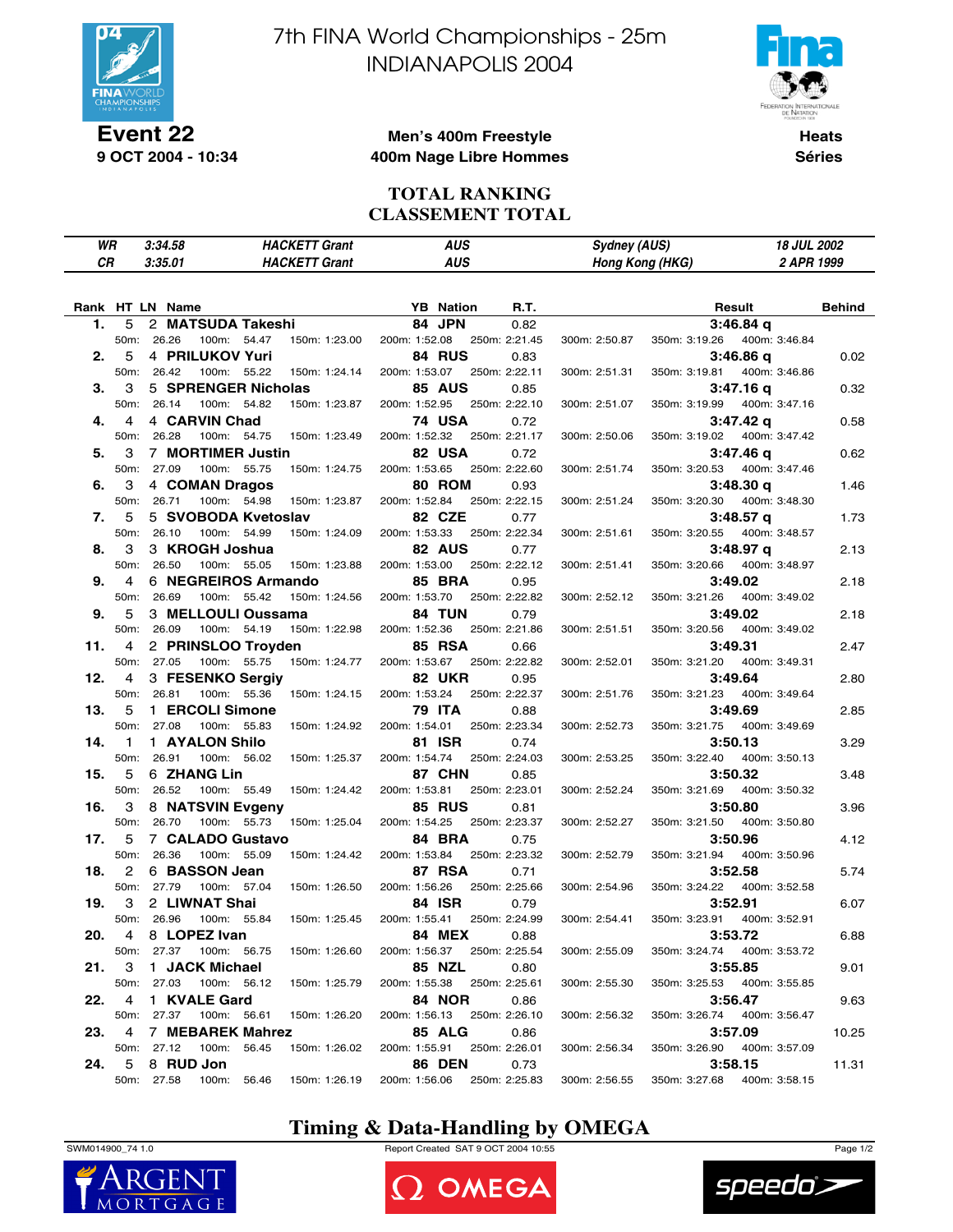

**Event 22 9 OCT 2004 - 10:34** 7th FINA World Championships - 25m INDIANAPOLIS 2004



**Heats Séries**

#### **Men's 400m Freestyle 400m Nage Libre Hommes**

#### **TOTAL RANKING CLASSEMENT TOTAL**

| WR | 3:34.58 | <b>HACKETT Grant</b>      | AUS | <b>Sydney (AUS)</b> | <b>18 JUL 2002</b> |
|----|---------|---------------------------|-----|---------------------|--------------------|
| СR | 3:35.01 | <b>HACKETT</b><br>' Grant | AUS | Hong Kong (HKG)     | 2 APR 1999         |
|    |         |                           |     |                     |                    |

|     |              | Rank HT LN Name |                     |               |               | <b>YB</b> Nation | R.T.          |               |               | Result        | <b>Behind</b> |
|-----|--------------|-----------------|---------------------|---------------|---------------|------------------|---------------|---------------|---------------|---------------|---------------|
| 1.  | 5            |                 | 2 MATSUDA Takeshi   |               |               | 84 JPN           | 0.82          |               |               | 3:46.84q      |               |
|     | 50m:         | 26.26           | 100m: 54.47         | 150m: 1:23.00 | 200m: 1:52.08 |                  | 250m: 2:21.45 | 300m: 2:50.87 | 350m: 3:19.26 | 400m: 3:46.84 |               |
| 2.  | 5            | 4 PRILUKOV Yuri |                     |               |               | 84 RUS           | 0.83          |               |               | 3:46.86 q     | 0.02          |
|     | 50m:         | 26.42           | 100m: 55.22         | 150m: 1:24.14 | 200m: 1:53.07 |                  | 250m: 2:22.11 | 300m: 2:51.31 | 350m: 3:19.81 | 400m: 3:46.86 |               |
| З.  | 3            |                 | 5 SPRENGER Nicholas |               |               | <b>85 AUS</b>    | 0.85          |               |               | 3:47.16 q     | 0.32          |
|     | 50m:         | 26.14           | 100m: 54.82         | 150m: 1:23.87 | 200m: 1:52.95 |                  | 250m: 2:22.10 | 300m: 2:51.07 | 350m: 3:19.99 | 400m: 3:47.16 |               |
| 4.  | 4            | 4 CARVIN Chad   |                     |               |               | <b>74 USA</b>    | 0.72          |               |               | 3:47.42 q     | 0.58          |
|     | 50m:         | 26.28           | 100m: 54.75         | 150m: 1:23.49 | 200m: 1:52.32 |                  | 250m: 2:21.17 | 300m: 2:50.06 | 350m: 3:19.02 | 400m: 3:47.42 |               |
| 5.  | 3            |                 | 7 MORTIMER Justin   |               |               | 82 USA           | 0.72          |               |               | 3:47.46 q     | 0.62          |
|     | 50m:         | 27.09           | 100m: 55.75         | 150m: 1:24.75 | 200m: 1:53.65 |                  | 250m: 2:22.60 | 300m: 2:51.74 | 350m: 3:20.53 | 400m: 3:47.46 |               |
| 6.  | 3            | 4 COMAN Dragos  |                     |               |               | 80 ROM           | 0.93          |               |               | 3:48.30 q     | 1.46          |
|     | 50m:         | 26.71           | 100m: 54.98         | 150m: 1:23.87 | 200m: 1:52.84 |                  | 250m: 2:22.15 | 300m: 2:51.24 | 350m: 3:20.30 | 400m: 3:48.30 |               |
| 7.  | 5            |                 | 5 SVOBODA Kvetoslav |               |               | 82 CZE           | 0.77          |               |               | 3:48.57 q     | 1.73          |
|     | 50m:         | 26.10           | 100m: 54.99         | 150m: 1:24.09 | 200m: 1:53.33 |                  | 250m: 2:22.34 | 300m: 2:51.61 | 350m: 3:20.55 | 400m: 3:48.57 |               |
| 8.  | 3            | 3 KROGH Joshua  |                     |               |               | 82 AUS           | 0.77          |               |               | 3:48.97 q     | 2.13          |
|     | 50m:         | 26.50           | 100m: 55.05         | 150m: 1:23.88 | 200m: 1:53.00 |                  | 250m: 2:22.12 | 300m: 2:51.41 | 350m: 3:20.66 | 400m: 3:48.97 |               |
| 9.  | 4            |                 | 6 NEGREIROS Armando |               |               | <b>85 BRA</b>    | 0.95          |               |               | 3:49.02       | 2.18          |
|     | 50m:         | 26.69           | 100m: 55.42         | 150m: 1:24.56 | 200m: 1:53.70 |                  | 250m: 2:22.82 | 300m: 2:52.12 | 350m: 3:21.26 | 400m: 3:49.02 |               |
| 9.  | 5            |                 | 3 MELLOULI Oussama  |               |               | <b>84 TUN</b>    | 0.79          |               |               | 3:49.02       | 2.18          |
|     | 50m:         | 26.09           | 100m: 54.19         | 150m: 1:22.98 | 200m: 1:52.36 |                  | 250m: 2:21.86 | 300m: 2:51.51 | 350m: 3:20.56 | 400m: 3:49.02 |               |
| 11. | 4            |                 | 2 PRINSLOO Troyden  |               |               | <b>85 RSA</b>    | 0.66          |               |               | 3:49.31       | 2.47          |
|     | 50m:         | 27.05           | 100m: 55.75         | 150m: 1:24.77 | 200m: 1:53.67 |                  | 250m: 2:22.82 | 300m: 2:52.01 | 350m: 3:21.20 | 400m: 3:49.31 |               |
| 12. | 4            |                 | 3 FESENKO Sergiv    |               |               | <b>82 UKR</b>    | 0.95          |               |               | 3:49.64       | 2.80          |
|     | 50m:         | 26.81           | 100m: 55.36         | 150m: 1:24.15 | 200m: 1:53.24 |                  | 250m: 2:22.37 | 300m: 2:51.76 | 350m: 3:21.23 | 400m: 3:49.64 |               |
| 13. | 5            | 1 ERCOLI Simone |                     |               |               | <b>79 ITA</b>    | 0.88          |               |               | 3:49.69       | 2.85          |
|     | 50m:         | 27.08           | 100m: 55.83         | 150m: 1:24.92 | 200m: 1:54.01 |                  | 250m: 2:23.34 | 300m: 2:52.73 | 350m: 3:21.75 | 400m: 3:49.69 |               |
| 14. | $\mathbf{1}$ | 1 AYALON Shilo  |                     |               |               | 81 ISR           | 0.74          |               |               | 3:50.13       | 3.29          |
|     | 50m:         | 26.91           | 100m: 56.02         | 150m: 1:25.37 | 200m: 1:54.74 |                  | 250m: 2:24.03 | 300m: 2:53.25 | 350m: 3:22.40 | 400m: 3:50.13 |               |
| 15. | 5            | 6 ZHANG Lin     |                     |               |               | 87 CHN           | 0.85          |               |               | 3:50.32       | 3.48          |
|     | 50m:         | 26.52           | 100m: 55.49         | 150m: 1:24.42 | 200m: 1:53.81 |                  | 250m: 2:23.01 | 300m: 2:52.24 | 350m: 3:21.69 | 400m: 3:50.32 |               |
| 16. | 3            |                 | 8 NATSVIN Evgeny    |               |               | <b>85 RUS</b>    | 0.81          |               |               | 3:50.80       | 3.96          |
|     | 50m:         | 26.70           | 100m: 55.73         | 150m: 1:25.04 | 200m: 1:54.25 |                  | 250m: 2:23.37 | 300m: 2:52.27 | 350m: 3:21.50 | 400m: 3:50.80 |               |
| 17. | 5            |                 | 7 CALADO Gustavo    |               |               | 84 BRA           | 0.75          |               |               | 3:50.96       | 4.12          |
|     | 50m:         | 26.36           | 100m: 55.09         | 150m: 1:24.42 | 200m: 1:53.84 |                  | 250m: 2:23.32 | 300m: 2:52.79 | 350m: 3:21.94 | 400m: 3:50.96 |               |
| 18. | 2            | 6 BASSON Jean   |                     |               |               | <b>87 RSA</b>    | 0.71          |               |               | 3:52.58       | 5.74          |
|     | 50m:         | 27.79           | 100m: 57.04         | 150m: 1:26.50 | 200m: 1:56.26 |                  | 250m: 2:25.66 | 300m: 2:54.96 | 350m: 3:24.22 | 400m: 3:52.58 |               |
| 19. | 3            | 2 LIWNAT Shai   |                     |               |               | 84 ISR           | 0.79          |               |               | 3:52.91       | 6.07          |
|     | 50m:         | 26.96           | 100m: 55.84         | 150m: 1:25.45 | 200m: 1:55.41 |                  | 250m: 2:24.99 | 300m: 2:54.41 | 350m: 3:23.91 | 400m: 3:52.91 |               |
| 20. | 4            | 8 LOPEZ Ivan    |                     |               |               | <b>84 MEX</b>    | 0.88          |               |               | 3:53.72       | 6.88          |
|     | 50m:         | 27.37           | 100m: 56.75         | 150m: 1:26.60 | 200m: 1:56.37 |                  | 250m: 2:25.54 | 300m: 2:55.09 | 350m: 3:24.74 | 400m: 3:53.72 |               |
| 21. | 3            | 1 JACK Michael  |                     |               |               | 85 NZL           | 0.80          |               |               | 3:55.85       | 9.01          |
|     | 50m:         | 27.03           | 100m: 56.12         | 150m: 1:25.79 | 200m: 1:55.38 |                  | 250m: 2:25.61 | 300m: 2:55.30 | 350m: 3:25.53 | 400m: 3:55.85 |               |
| 22. | 4            | 1 KVALE Gard    |                     |               |               | <b>84 NOR</b>    | 0.86          |               |               | 3:56.47       | 9.63          |
|     | 50m:         | 27.37           | 100m: 56.61         | 150m: 1:26.20 | 200m: 1:56.13 |                  | 250m: 2:26.10 | 300m: 2:56.32 | 350m: 3:26.74 | 400m: 3:56.47 |               |
| 23. | 4            |                 | 7 MEBAREK Mahrez    |               |               | <b>85 ALG</b>    | 0.86          |               |               | 3:57.09       | 10.25         |
|     | 50m:         | 27.12           | 100m:<br>56.45      | 150m: 1:26.02 | 200m: 1:55.91 |                  | 250m: 2:26.01 | 300m: 2:56.34 | 350m: 3:26.90 | 400m: 3:57.09 |               |
| 24. | 5            | 8 RUD Jon       |                     |               |               | <b>86 DEN</b>    | 0.73          |               |               | 3:58.15       | 11.31         |
|     |              | 50m: 27.58      | 100m: 56.46         | 150m: 1:26.19 | 200m: 1:56.06 |                  | 250m: 2:25.83 | 300m: 2:56.55 | 350m: 3:27.68 | 400m: 3:58.15 |               |
|     |              |                 |                     |               |               |                  |               |               |               |               |               |

## **Timing & Data-Handling by OMEGA**



SWM014900\_74 1.0 Report Created SAT 9 OCT 2004 10:55 Page 1/2





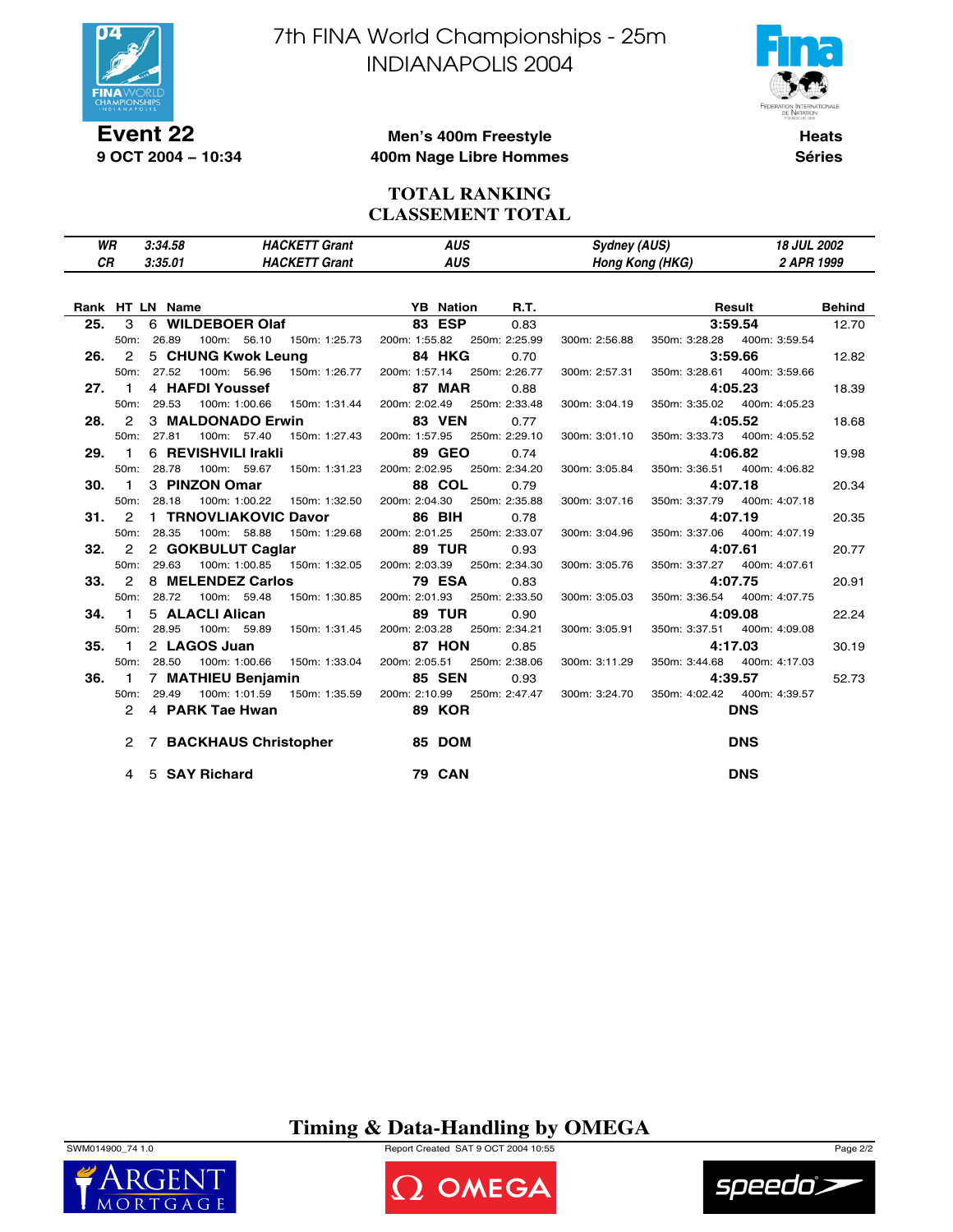

**9 OCT 2004 − 10:34**

7th FINA World Championships - 25m INDIANAPOLIS 2004



**Heats Séries**

#### **Men's 400m Freestyle 400m Nage Libre Hommes**

#### **TOTAL RANKING CLASSEMENT TOTAL**

| WR | 3:34.58 | <b>HACKETT Grant</b> | AUS | <b>Sydney (AUS)</b> | <b>18 JUL 2002</b> |
|----|---------|----------------------|-----|---------------------|--------------------|
| СR | 3:35.01 | HACKETT<br>Grant     | AUS | Hong Kong (HKG)     | 2 APR 1999         |
|    |         |                      |     |                     |                    |

|     |               | N Name<br>6 WILDEBOER Olaf 6 WILDEBOER Olaf 6 83 ESP<br>Rank HT LN Name     | <b>R.T.</b>           | <b>Example 20 All Result</b> Behind                                                                     |  |
|-----|---------------|-----------------------------------------------------------------------------|-----------------------|---------------------------------------------------------------------------------------------------------|--|
| 25. | $\mathcal{S}$ |                                                                             | 0.83                  | <b>3:59.54</b> 12.70                                                                                    |  |
|     |               | 100m: 56.10  150m: 1:25.73  200m: 1:55.82  250m: 2:25.99<br>50m: 26.89      |                       | 300m: 2:56.88 350m: 3:28.28 400m: 3:59.54                                                               |  |
|     |               | 26. 2 5 CHUNG Kwok Leung 84 HKG                                             | 0.70                  | 3:59.66<br>12.82                                                                                        |  |
|     |               | 100m: 56.96  150m: 1:26.77  200m: 1:57.14  250m: 2:26.77<br>50m: 27.52      |                       | 300m: 2:57.31 350m: 3:28.61 400m: 3:59.66                                                               |  |
|     | 27.1          | 4 HAFDI Youssef                                                             | <b>87 MAR</b><br>0.88 | 4:05.23<br>18.39                                                                                        |  |
|     |               | 100m: 1:00.66  150m: 1:31.44  200m: 2:02.49  250m: 2:33.48<br>50m: 29.53    |                       | 300m: 3:04.19 350m: 3:35.02 400m: 4:05.23                                                               |  |
|     |               | 28. 2 3 MALDONADO Erwin 83 VEN                                              | 0.77                  | 4:05.52<br>18.68                                                                                        |  |
|     |               | 50m: 27.81<br>100m: 57.40  150m: 1:27.43  200m: 1:57.95  250m: 2:29.10      |                       | 300m: 3:01.10 350m: 3:33.73 400m: 4:05.52                                                               |  |
|     | 29.1          | 6 REVISHVILI Irakli                                                         | 89 GEO<br>0.74        | 4:06.82<br>19.98                                                                                        |  |
|     |               | 100m: 59.67 150m: 1:31.23 200m: 2:02.95 250m: 2:34.20<br>50m: 28.78         |                       | 300m: 3:05.84 350m: 3:36.51 400m: 4:06.82                                                               |  |
|     | 30.1          | 3 PINZON Omar                                                               | <b>88 COL</b><br>0.79 | 4:07.18<br>20.34                                                                                        |  |
|     |               | 100m: 1:00.22   150m: 1:32.50   200m: 2:04.30   250m: 2:35.88<br>50m: 28.18 |                       | 300m: 3:07.16 350m: 3:37.79 400m: 4:07.18                                                               |  |
|     | 31.7          | 1 TRNOVLIAKOVIC Davor 86 BIH                                                | 0.78                  | 4:07.19<br>20.35                                                                                        |  |
|     |               | 100m: 58.88  150m: 1:29.68  200m: 2:01.25  250m: 2:33.07<br>50m: 28.35      |                       | 300m: 3:04.96 350m: 3:37.06 400m: 4:07.19                                                               |  |
|     |               | 32. 2 2 GOKBULUT Caglar 89 TUR                                              | 0.93                  | 4:07.61<br>20.77                                                                                        |  |
|     |               | 50m: 29.63<br>100m: 1:00.85  150m: 1:32.05  200m: 2:03.39  250m: 2:34.30    |                       | 300m: 3:05.76 350m: 3:37.27 400m: 4:07.61                                                               |  |
|     | 33.2          | 8 MELENDEZ Carlos 79 ESA                                                    | 0.83                  | 4:07.75<br>20.91                                                                                        |  |
|     |               | 50m: 28.72<br>100m: 59.48  150m: 1:30.85  200m: 2:01.93  250m: 2:33.50      |                       | 300m: 3:05.03 350m: 3:36.54 400m: 4:07.75                                                               |  |
|     | 34. 1         | 5 ALACLI Alican                                                             | <b>89 TUR</b><br>0.90 | 4:09.08<br>22.24                                                                                        |  |
|     |               | 50m: 28.95<br>100m: 59.89   150m: 1:31.45   200m: 2:03.28   250m: 2:34.21   |                       | 300m: 3:05.91 350m: 3:37.51 400m: 4:09.08                                                               |  |
|     | 35.1          | 2 LAGOS Juan                                                                | <b>87 HON</b><br>0.85 | 4:17.03<br>30.19                                                                                        |  |
|     |               | 100m: 1:00.66  150m: 1:33.04  200m: 2:05.51  250m: 2:38.06<br>50m: 28.50    |                       | 300m: 3:11.29 350m: 3:44.68 400m: 4:17.03                                                               |  |
| 36. |               | 1 7 MATHIEU Benjamin 85 SEN                                                 | 0.93                  | 4:39.57<br>52.73                                                                                        |  |
|     |               | 50m: 29.49                                                                  |                       | 100m: 1:01.59  150m: 1:35.59  200m: 2:10.99  250m: 2:47.47  300m: 3:24.70  350m: 4:02.42  400m: 4:39.57 |  |
|     |               | 2 4 PARK Tae Hwan 89 KOR                                                    |                       | <b>DNS</b>                                                                                              |  |
|     |               | 2 7 BACKHAUS Christopher 35 DOM                                             |                       | <b>DNS</b>                                                                                              |  |
|     |               | 4 5 SAY Richard                                                             | <b>79 CAN</b>         | <b>DNS</b>                                                                                              |  |

**Timing & Data-Handling by OMEGA**



 $MORT$ 

SWM014900\_74 1.0 Report Created SAT 9 OCT 2004 10:55 Page 2/2



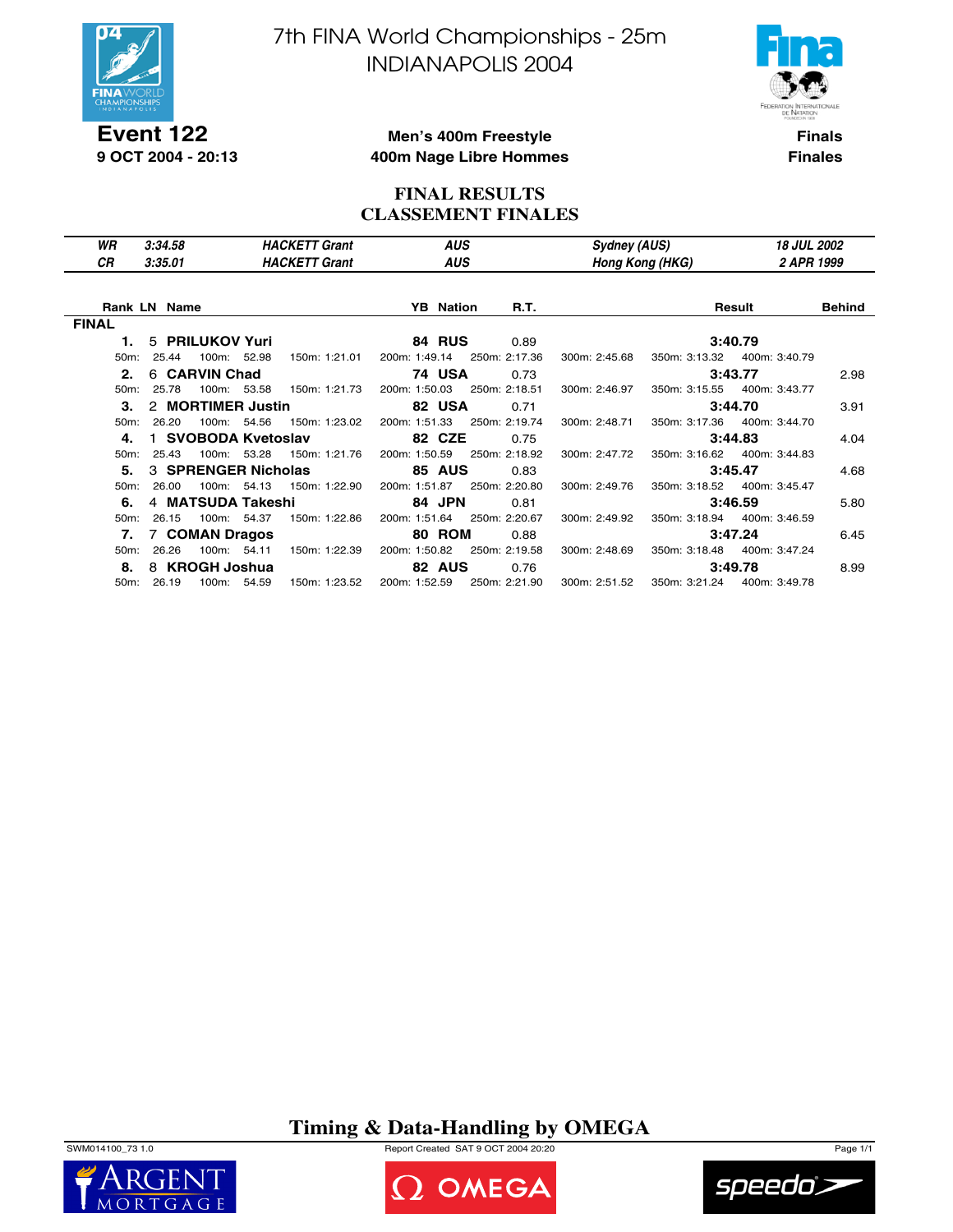

**Event 122 9 OCT 2004 - 20:13** 7th FINA World Championships - 25m INDIANAPOLIS 2004



**Finals Finales**

#### **Men's 400m Freestyle 400m Nage Libre Hommes**

#### **FINAL RESULTS CLASSEMENT FINALES**

| WR<br><b>CR</b> | 3:34.58<br>3:35.01  | <b>HACKETT Grant</b><br><b>HACKETT Grant</b> | <b>AUS</b><br><b>AUS</b> |               | Sydney (AUS)  | Hong Kong (HKG) | <b>18 JUL 2002</b><br>2 APR 1999 |               |
|-----------------|---------------------|----------------------------------------------|--------------------------|---------------|---------------|-----------------|----------------------------------|---------------|
|                 |                     |                                              |                          |               |               |                 |                                  |               |
|                 | <b>Rank LN Name</b> |                                              | <b>YB</b> Nation         | R.T.          |               |                 | Result                           | <b>Behind</b> |
| <b>FINAL</b>    |                     |                                              |                          |               |               |                 |                                  |               |
| 1.              | 5 PRILUKOV Yuri     |                                              | <b>84 RUS</b>            | 0.89          |               |                 | 3:40.79                          |               |
| 50m:            | 25.44               | 100m: 52.98<br>150m: 1:21.01                 | 200m: 1:49.14            | 250m: 2:17.36 | 300m: 2:45.68 | 350m: 3:13.32   | 400m: 3:40.79                    |               |
| 2.              | 6 CARVIN Chad       |                                              | <b>74 USA</b>            | 0.73          |               |                 | 3:43.77                          | 2.98          |
| $50m$ :         | 25.78               | 100m: 53.58<br>150m: 1:21.73                 | 200m: 1:50.03            | 250m: 2:18.51 | 300m: 2:46.97 | 350m: 3:15.55   | 400m: 3:43.77                    |               |
| З.              | 2 MORTIMER Justin   |                                              | 82 USA                   | 0.71          |               |                 | 3:44.70                          | 3.91          |
| $50m$ :         | 26.20               | 100m: 54.56<br>150m: 1:23.02                 | 200m: 1:51.33            | 250m: 2:19.74 | 300m: 2:48.71 |                 | 350m: 3:17.36 400m: 3:44.70      |               |
| 4.              | 1 SVOBODA Kvetoslav |                                              | 82 CZE                   | 0.75          |               |                 | 3:44.83                          | 4.04          |
| $50m$ :         | $100m$ :<br>25.43   | 53.28<br>150m: 1:21.76                       | 200m: 1:50.59            | 250m: 2:18.92 | 300m: 2:47.72 |                 | 350m: 3:16.62  400m: 3:44.83     |               |
| 5.              | 3 SPRENGER Nicholas |                                              | <b>85 AUS</b>            | 0.83          |               |                 | 3:45.47                          | 4.68          |
| $50m$ :         | 26.00               | 100m: 54.13<br>150m: 1:22.90                 | 200m: 1:51.87            | 250m: 2:20.80 | 300m: 2:49.76 | 350m: 3:18.52   | 400m: 3:45.47                    |               |
| 6.              | 4 MATSUDA Takeshi   |                                              | 84 JPN                   | 0.81          |               |                 | 3:46.59                          | 5.80          |
| $50m$ :         | 26.15               | 150m: 1:22.86<br>100m: 54.37                 | 200m: 1:51.64            | 250m: 2:20.67 | 300m: 2:49.92 |                 | 350m: 3:18.94  400m: 3:46.59     |               |
| 7.              | 7 COMAN Dragos      |                                              | 80 ROM                   | 0.88          |               |                 | 3:47.24                          | 6.45          |
| $50m$ :         | 26.26               | 100m: 54.11<br>150m: 1:22.39                 | 200m: 1:50.82            | 250m: 2:19.58 | 300m: 2:48.69 | 350m: 3:18.48   | 400m: 3:47.24                    |               |
| 8.              | 8 KROGH Joshua      |                                              | 82 AUS                   | 0.76          |               |                 | 3:49.78                          | 8.99          |
|                 | 50m: 26.19          | 100m: 54.59<br>150m: 1:23.52                 | 200m: 1:52.59            | 250m: 2:21.90 | 300m: 2:51.52 |                 | 350m: 3:21.24 400m: 3:49.78      |               |

**Timing & Data-Handling by OMEGA**

SWM014100\_73 1.0 Report Created SAT 9 OCT 2004 20:20 Page 1/1





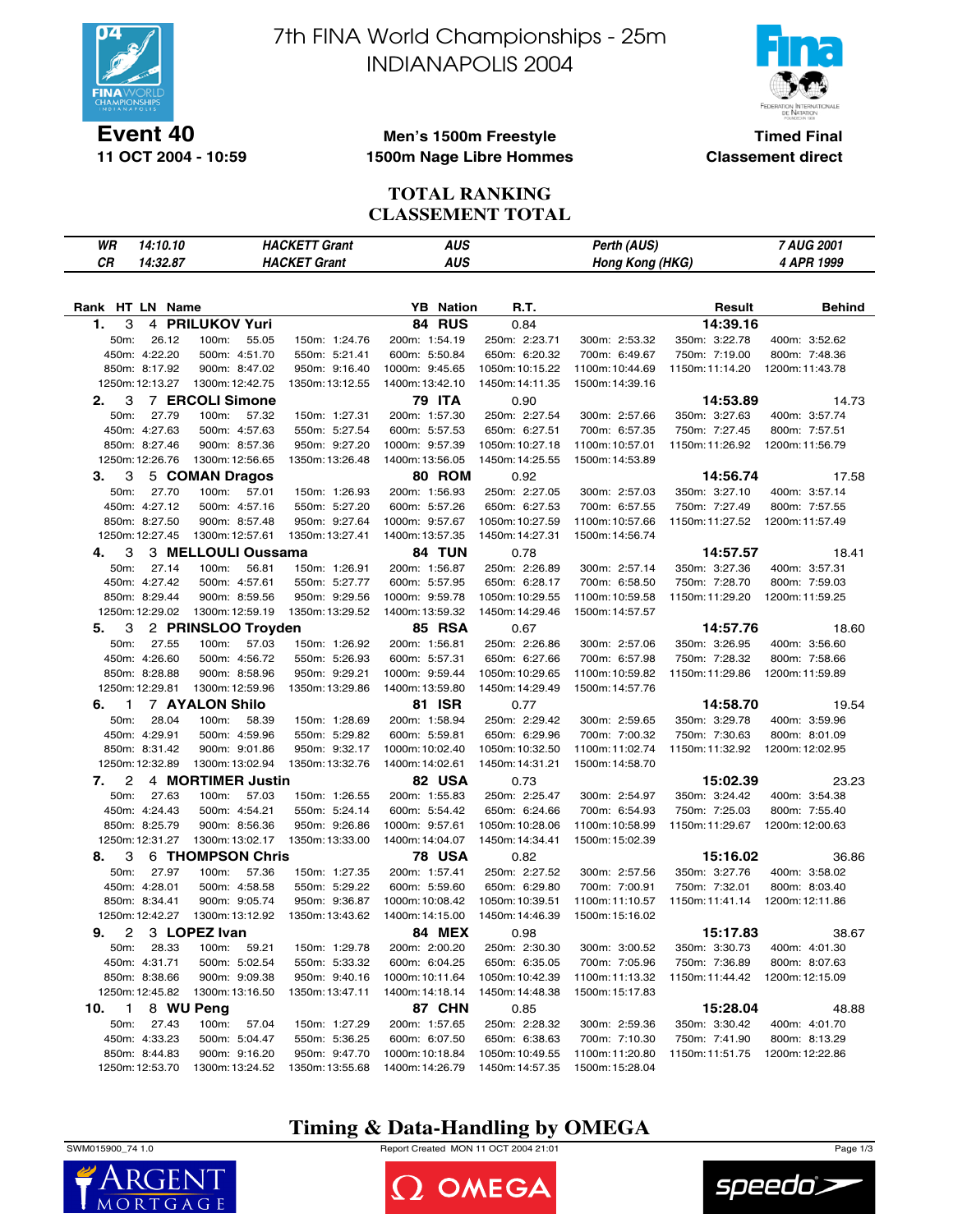

**11 OCT 2004 - 10:59**

# 7th FINA World Championships - 25m INDIANAPOLIS 2004



**Timed Final Classement direct**

#### **Men's 1500m Freestyle 1500m Nage Libre Hommes**

#### **TOTAL RANKING CLASSEMENT TOTAL**

| WR              | 14:10.10        | <b>HACKETT Grant</b>   |                 | <b>AUS</b>       |                 | Perth (AUS)                        |                 | 7 AUG 2001      |
|-----------------|-----------------|------------------------|-----------------|------------------|-----------------|------------------------------------|-----------------|-----------------|
| CR              | 14:32.87        | <b>HACKET Grant</b>    |                 | <b>AUS</b>       |                 | Hong Kong (HKG)                    |                 | 4 APR 1999      |
|                 |                 |                        |                 |                  |                 |                                    |                 |                 |
|                 |                 |                        |                 |                  |                 |                                    |                 |                 |
| Rank HT LN Name |                 |                        |                 | <b>YB</b> Nation | R.T.            |                                    | Result          | <b>Behind</b>   |
| 3<br>1.         |                 | 4 PRILUKOV Yuri        |                 | 84 RUS           | 0.84            |                                    | 14:39.16        |                 |
| 50m:            | 26.12           | 100m:<br>55.05         | 150m: 1:24.76   | 200m: 1:54.19    | 250m: 2:23.71   | 300m: 2:53.32                      | 350m: 3:22.78   | 400m: 3:52.62   |
|                 | 450m: 4:22.20   | 500m: 4:51.70          | 550m: 5:21.41   | 600m: 5:50.84    | 650m: 6:20.32   | 700m: 6:49.67                      | 750m: 7:19.00   | 800m: 7:48.36   |
|                 | 850m: 8:17.92   | 900m: 8:47.02          | 950m: 9:16.40   | 1000m: 9:45.65   | 1050m: 10:15.22 | 1100m: 10:44.69                    | 1150m: 11:14.20 | 1200m: 11:43.78 |
|                 | 1250m: 12:13.27 | 1300m: 12:42.75        | 1350m: 13:12.55 | 1400m: 13:42.10  | 1450m: 14:11.35 | 1500m: 14:39.16                    |                 |                 |
| 3<br>2.         |                 | <b>7 ERCOLI Simone</b> |                 | 79 ITA           | 0.90            |                                    | 14:53.89        | 14.73           |
| 50m:            | 27.79           | 100m:<br>57.32         | 150m: 1:27.31   | 200m: 1:57.30    | 250m: 2:27.54   | 300m: 2:57.66                      | 350m: 3:27.63   | 400m: 3:57.74   |
|                 | 450m: 4:27.63   | 500m: 4:57.63          | 550m: 5:27.54   | 600m: 5:57.53    | 650m: 6:27.51   | 700m: 6:57.35                      | 750m: 7:27.45   | 800m: 7:57.51   |
|                 | 850m: 8:27.46   | 900m: 8:57.36          | 950m: 9:27.20   | 1000m: 9:57.39   | 1050m: 10:27.18 | 1100m: 10:57.01                    | 1150m: 11:26.92 | 1200m: 11:56.79 |
|                 | 1250m: 12:26.76 | 1300m: 12:56.65        | 1350m: 13:26.48 | 1400m: 13:56.05  | 1450m: 14:25.55 | 1500m: 14:53.89                    |                 |                 |
| З.<br>3         |                 | 5 COMAN Dragos         |                 | 80 ROM           | 0.92            |                                    | 14:56.74        | 17.58           |
| 50m:            | 27.70           | 100m:<br>57.01         | 150m: 1:26.93   | 200m: 1:56.93    | 250m: 2:27.05   | 300m: 2:57.03                      | 350m: 3:27.10   | 400m: 3:57.14   |
|                 | 450m: 4:27.12   | 500m: 4:57.16          | 550m: 5:27.20   | 600m: 5:57.26    | 650m: 6:27.53   | 700m: 6:57.55                      | 750m: 7:27.49   | 800m: 7:57.55   |
|                 | 850m: 8:27.50   | 900m: 8:57.48          | 950m: 9:27.64   | 1000m: 9:57.67   | 1050m: 10:27.59 | 1100m: 10:57.66                    | 1150m: 11:27.52 | 1200m: 11:57.49 |
|                 | 1250m: 12:27.45 | 1300m: 12:57.61        | 1350m: 13:27.41 | 1400m: 13:57.35  | 1450m: 14:27.31 | 1500m: 14:56.74                    |                 |                 |
| 4.<br>3         |                 | 3 MELLOULI Oussama     |                 | <b>84 TUN</b>    | 0.78            |                                    | 14:57.57        | 18.41           |
| 50m:            | 27.14           | 100m:<br>56.81         | 150m: 1:26.91   | 200m: 1:56.87    | 250m: 2:26.89   | 300m: 2:57.14                      | 350m: 3:27.36   | 400m: 3:57.31   |
|                 | 450m: 4:27.42   | 500m: 4:57.61          | 550m: 5:27.77   | 600m: 5:57.95    | 650m: 6:28.17   | 700m: 6:58.50                      | 750m: 7:28.70   | 800m: 7:59.03   |
|                 | 850m: 8:29.44   | 900m: 8:59.56          | 950m: 9:29.56   | 1000m: 9:59.78   | 1050m: 10:29.55 | 1100m: 10:59.58                    | 1150m: 11:29.20 | 1200m: 11:59.25 |
|                 | 1250m: 12:29.02 | 1300m: 12:59.19        | 1350m: 13:29.52 | 1400m: 13:59.32  | 1450m: 14:29.46 | 1500m: 14:57.57                    |                 |                 |
| 3<br>5.         |                 | 2 PRINSLOO Troyden     |                 | <b>85 RSA</b>    | 0.67            |                                    | 14:57.76        | 18.60           |
| 50m:            | 27.55           | 100m:<br>57.03         | 150m: 1:26.92   | 200m: 1:56.81    | 250m: 2:26.86   | 300m: 2:57.06                      | 350m: 3:26.95   | 400m: 3:56.60   |
|                 | 450m: 4:26.60   | 500m: 4:56.72          | 550m: 5:26.93   | 600m: 5:57.31    | 650m: 6:27.66   | 700m: 6:57.98                      | 750m: 7:28.32   | 800m: 7:58.66   |
|                 | 850m: 8:28.88   | 900m: 8:58.96          | 950m: 9:29.21   | 1000m: 9:59.44   | 1050m: 10:29.65 | 1100m: 10:59.82                    | 1150m: 11:29.86 | 1200m: 11:59.89 |
|                 | 1250m: 12:29.81 | 1300m: 12:59.96        | 1350m: 13:29.86 | 1400m: 13:59.80  | 1450m: 14:29.49 | 1500m: 14:57.76                    |                 |                 |
| 6.<br>1         |                 | <b>7 AYALON Shilo</b>  |                 | 81 ISR           | 0.77            |                                    | 14:58.70        | 19.54           |
| 50m:            | 28.04           | 100m:<br>58.39         | 150m: 1:28.69   | 200m: 1:58.94    | 250m: 2:29.42   | 300m: 2:59.65                      | 350m: 3:29.78   | 400m: 3:59.96   |
|                 | 450m: 4:29.91   | 500m: 4:59.96          | 550m: 5:29.82   | 600m: 5:59.81    | 650m: 6:29.96   | 700m: 7:00.32                      | 750m: 7:30.63   | 800m: 8:01.09   |
|                 | 850m: 8:31.42   | 900m: 9:01.86          | 950m: 9:32.17   | 1000m: 10:02.40  | 1050m: 10:32.50 | 1100m: 11:02.74                    | 1150m: 11:32.92 | 1200m: 12:02.95 |
|                 | 1250m: 12:32.89 | 1300m: 13:02.94        | 1350m: 13:32.76 | 1400m: 14:02.61  | 1450m: 14:31.21 | 1500m: 14:58.70                    |                 |                 |
| 2<br>7.         |                 | 4 MORTIMER Justin      |                 | 82 USA           | 0.73            |                                    | 15:02.39        | 23.23           |
| 50m:            | 27.63           | 100m:<br>57.03         | 150m: 1:26.55   | 200m: 1:55.83    | 250m: 2:25.47   | 300m: 2:54.97                      | 350m: 3:24.42   | 400m: 3:54.38   |
|                 | 450m: 4:24.43   | 500m: 4:54.21          | 550m: 5:24.14   | 600m: 5:54.42    | 650m: 6:24.66   | 700m: 6:54.93                      | 750m: 7:25.03   | 800m: 7:55.40   |
|                 | 850m: 8:25.79   | 900m: 8:56.36          | 950m: 9:26.86   | 1000m: 9:57.61   | 1050m: 10:28.06 | 1100m: 10:58.99                    | 1150m: 11:29.67 | 1200m: 12:00.63 |
|                 | 1250m: 12:31.27 | 1300m: 13:02.17        | 1350m: 13:33.00 | 1400m: 14:04.07  | 1450m: 14:34.41 | 1500m: 15:02.39                    |                 |                 |
| 3<br>8.         |                 | 6 THOMPSON Chris       |                 | 78 USA           | 0.82            |                                    | 15:16.02        | 36.86           |
| 50m:            | 27.97           | 100m:<br>57.36         | 150m: 1:27.35   | 200m: 1:57.41    | 250m: 2:27.52   | 300m: 2:57.56                      | 350m: 3:27.76   | 400m: 3:58.02   |
|                 | 450m: 4:28.01   | 500m: 4:58.58          | 550m: 5:29.22   | 600m: 5:59.60    | 650m: 6:29.80   | 700m: 7:00.91                      | 750m: 7:32.01   | 800m: 8:03.40   |
|                 | 850m: 8:34.41   | 900m: 9:05.74          | 950m: 9:36.87   | 1000m: 10:08.42  | 1050m: 10:39.51 | 1100m: 11:10.57                    | 1150m: 11:41.14 | 1200m: 12:11.86 |
|                 | 1250m: 12:42.27 | 1300m: 13:12.92        | 1350m: 13:43.62 | 1400m: 14:15.00  | 1450m: 14:46.39 | 1500m: 15:16.02                    |                 |                 |
|                 |                 |                        |                 |                  |                 |                                    |                 |                 |
| 2<br>9.         |                 | 3 LOPEZ Ivan           |                 | <b>84 MEX</b>    | 0.98            |                                    | 15:17.83        | 38.67           |
| 50m:            | 28.33           | 100m:<br>59.21         | 150m: 1:29.78   | 200m: 2:00.20    | 250m: 2:30.30   | 300m: 3:00.52                      | 350m: 3:30.73   | 400m: 4:01.30   |
|                 | 450m: 4:31.71   | 500m: 5:02.54          | 550m: 5:33.32   | 600m: 6:04.25    | 650m: 6:35.05   | 700m: 7:05.96                      | 750m: 7:36.89   | 800m: 8:07.63   |
|                 | 850m: 8:38.66   | 900m: 9:09.38          | 950m: 9:40.16   | 1000m: 10:11.64  | 1050m: 10:42.39 | 1100m: 11:13.32<br>1500m: 15:17.83 | 1150m: 11:44.42 | 1200m: 12:15.09 |
|                 | 1250m: 12:45.82 | 1300m: 13:16.50        | 1350m: 13:47.11 | 1400m: 14:18.14  | 1450m: 14:48.38 |                                    |                 |                 |
| 10.<br>1        |                 | 8 WU Peng              |                 | 87 CHN           | 0.85            |                                    | 15:28.04        | 48.88           |
| 50m:            | 27.43           | 100m:<br>57.04         | 150m: 1:27.29   | 200m: 1:57.65    | 250m: 2:28.32   | 300m: 2:59.36                      | 350m: 3:30.42   | 400m: 4:01.70   |
|                 | 450m: 4:33.23   | 500m: 5:04.47          | 550m: 5:36.25   | 600m: 6:07.50    | 650m: 6:38.63   | 700m: 7:10.30                      | 750m: 7:41.90   | 800m: 8:13.29   |
|                 | 850m: 8:44.83   | 900m: 9:16.20          | 950m: 9:47.70   | 1000m: 10:18.84  | 1050m: 10:49.55 | 1100m: 11:20.80                    | 1150m: 11:51.75 | 1200m: 12:22.86 |
|                 | 1250m: 12:53.70 | 1300m: 13:24.52        | 1350m: 13:55.68 | 1400m: 14:26.79  | 1450m: 14:57.35 | 1500m: 15:28.04                    |                 |                 |

## **Timing & Data-Handling by OMEGA**

SWM015900\_74 1.0 Report Created MON 11 OCT 2004 21:01 Page 1/3





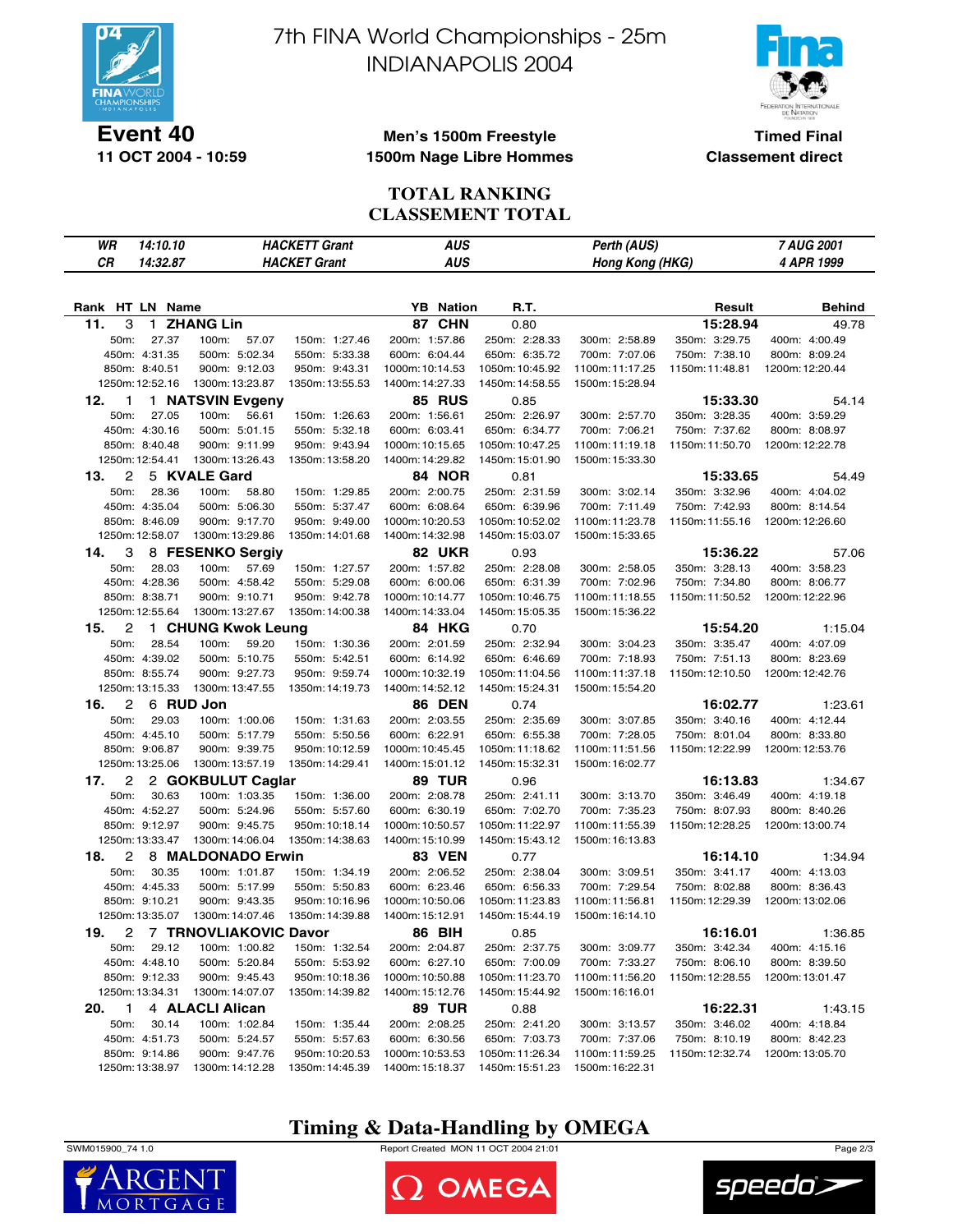

**11 OCT 2004 - 10:59**

7th FINA World Championships - 25m INDIANAPOLIS 2004



**Timed Final Classement direct**

#### **Men's 1500m Freestyle 1500m Nage Libre Hommes**

#### **TOTAL RANKING CLASSEMENT TOTAL**

| WR                    | 14:10.10                         | <b>HACKETT Grant</b>             |                                   | <b>AUS</b>                         |                                    | Perth (AUS)                        |                 | 7 AUG 2001      |
|-----------------------|----------------------------------|----------------------------------|-----------------------------------|------------------------------------|------------------------------------|------------------------------------|-----------------|-----------------|
| СR                    | 14:32.87                         | <b>HACKET Grant</b>              |                                   | AUS                                |                                    | Hong Kong (HKG)                    |                 | 4 APR 1999      |
|                       |                                  |                                  |                                   |                                    |                                    |                                    |                 |                 |
|                       |                                  |                                  |                                   |                                    |                                    |                                    |                 |                 |
| Rank HT LN Name       |                                  |                                  |                                   | <b>YB</b> Nation                   | R.T.                               |                                    | Result          | <b>Behind</b>   |
| 11.<br>3              |                                  | 1 ZHANG Lin                      |                                   | 87 CHN                             | 0.80                               |                                    | 15:28.94        | 49.78           |
| 50m:                  | 27.37                            | 100m:<br>57.07                   | 150m: 1:27.46                     | 200m: 1:57.86                      | 250m: 2:28.33                      | 300m: 2:58.89                      | 350m: 3:29.75   | 400m: 4:00.49   |
|                       | 450m: 4:31.35                    | 500m: 5:02.34                    | 550m: 5:33.38                     | 600m: 6:04.44                      | 650m: 6:35.72                      | 700m: 7:07.06                      | 750m: 7:38.10   | 800m: 8:09.24   |
|                       | 850m: 8:40.51                    | 900m: 9:12.03                    | 950m: 9:43.31                     | 1000m: 10:14.53                    | 1050m: 10:45.92                    | 1100m: 11:17.25                    | 1150m: 11:48.81 | 1200m: 12:20.44 |
|                       | 1250m: 12:52.16                  | 1300m: 13:23.87                  | 1350m: 13:55.53                   | 1400m: 14:27.33                    | 1450m: 14:58.55                    | 1500m: 15:28.94                    |                 |                 |
| 12.<br>1              |                                  | 1 NATSVIN Evgeny                 |                                   | <b>85 RUS</b>                      | 0.85                               |                                    | 15:33.30        | 54.14           |
| 50m:                  | 27.05                            | 100m:<br>56.61                   | 150m: 1:26.63                     | 200m: 1:56.61                      | 250m: 2:26.97                      | 300m: 2:57.70                      | 350m: 3:28.35   | 400m: 3:59.29   |
|                       | 450m: 4:30.16                    | 500m: 5:01.15                    | 550m: 5:32.18                     | 600m: 6:03.41                      | 650m: 6:34.77                      | 700m: 7:06.21                      | 750m: 7:37.62   | 800m: 8:08.97   |
|                       | 850m: 8:40.48                    | 900m: 9:11.99                    | 950m: 9:43.94                     | 1000m: 10:15.65                    | 1050m: 10:47.25                    | 1100m: 11:19.18                    | 1150m: 11:50.70 | 1200m: 12:22.78 |
|                       | 1250m: 12:54.41                  | 1300m: 13:26.43                  | 1350m: 13:58.20                   | 1400m: 14:29.82                    | 1450m: 15:01.90                    | 1500m: 15:33.30                    |                 |                 |
| 2<br>13.              |                                  | 5 KVALE Gard                     |                                   | <b>84 NOR</b>                      | 0.81                               |                                    | 15:33.65        | 54.49           |
| 50m:                  | 28.36                            | 100m:<br>58.80                   | 150m: 1:29.85                     | 200m: 2:00.75                      | 250m: 2:31.59                      | 300m: 3:02.14                      | 350m: 3:32.96   | 400m: 4:04.02   |
|                       | 450m: 4:35.04                    | 500m: 5:06.30                    | 550m: 5:37.47                     | 600m: 6:08.64                      | 650m: 6:39.96                      | 700m: 7:11.49                      | 750m: 7:42.93   | 800m: 8:14.54   |
|                       | 850m: 8:46.09                    | 900m: 9:17.70                    | 950m: 9:49.00                     | 1000m: 10:20.53                    | 1050m: 10:52.02                    | 1100m: 11:23.78                    | 1150m: 11:55.16 | 1200m: 12:26.60 |
|                       | 1250m: 12:58.07                  | 1300m: 13:29.86                  | 1350m: 14:01.68                   | 1400m: 14:32.98                    | 1450m: 15:03.07                    | 1500m: 15:33.65                    |                 |                 |
| 14.<br>3              |                                  | 8 FESENKO Sergiv                 |                                   | <b>82 UKR</b>                      | 0.93                               |                                    | 15:36.22        | 57.06           |
| 50m:                  | 28.03                            | 57.69<br>100m:                   | 150m: 1:27.57                     | 200m: 1:57.82                      | 250m: 2:28.08                      | 300m: 2:58.05                      | 350m: 3:28.13   | 400m: 3:58.23   |
|                       | 450m: 4:28.36                    | 500m: 4:58.42                    | 550m: 5:29.08                     | 600m: 6:00.06                      | 650m: 6:31.39                      | 700m: 7:02.96                      | 750m: 7:34.80   | 800m: 8:06.77   |
|                       | 850m: 8:38.71                    | 900m: 9:10.71                    | 950m: 9:42.78                     | 1000m: 10:14.77                    | 1050m: 10:46.75                    | 1100m: 11:18.55                    | 1150m: 11:50.52 | 1200m: 12:22.96 |
|                       | 1250m: 12:55.64                  | 1300m: 13:27.67                  | 1350m: 14:00.38                   | 1400m: 14:33.04                    | 1450m: 15:05.35                    | 1500m: 15:36.22                    |                 |                 |
| 2<br>15.              |                                  | 1 CHUNG Kwok Leung               |                                   | 84 HKG                             | 0.70                               |                                    | 15:54.20        | 1:15.04         |
| 50m:                  | 28.54                            | 100m:<br>59.20                   | 150m: 1:30.36                     | 200m: 2:01.59                      | 250m: 2:32.94                      | 300m: 3:04.23                      | 350m: 3:35.47   | 400m: 4:07.09   |
|                       | 450m: 4:39.02                    | 500m: 5:10.75                    | 550m: 5:42.51                     | 600m: 6:14.92                      | 650m: 6:46.69                      | 700m: 7:18.93                      | 750m: 7:51.13   | 800m: 8:23.69   |
|                       | 850m: 8:55.74                    | 900m: 9:27.73                    | 950m: 9:59.74                     | 1000m: 10:32.19                    | 1050m: 11:04.56                    | 1100m: 11:37.18                    | 1150m: 12:10.50 | 1200m: 12:42.76 |
|                       | 1250m: 13:15.33                  | 1300m: 13:47.55                  | 1350m: 14:19.73                   | 1400m: 14:52.12                    | 1450m: 15:24.31                    | 1500m: 15:54.20                    |                 |                 |
| $\overline{c}$<br>16. |                                  | 6 RUD Jon                        |                                   | <b>86 DEN</b>                      | 0.74                               |                                    | 16:02.77        | 1:23.61         |
| 50m:                  | 29.03                            | 100m: 1:00.06                    | 150m: 1:31.63                     | 200m: 2:03.55                      | 250m: 2:35.69                      | 300m: 3:07.85                      | 350m: 3:40.16   | 400m: 4:12.44   |
|                       | 450m: 4:45.10                    | 500m: 5:17.79                    | 550m: 5:50.56                     | 600m: 6:22.91                      | 650m: 6:55.38                      | 700m: 7:28.05                      | 750m: 8:01.04   | 800m: 8:33.80   |
|                       | 850m: 9:06.87                    | 900m: 9:39.75                    | 950m: 10:12.59                    | 1000m: 10:45.45                    | 1050m: 11:18.62                    | 1100m: 11:51.56                    | 1150m: 12:22.99 | 1200m: 12:53.76 |
|                       | 1250m: 13:25.06                  | 1300m: 13:57.19                  | 1350m: 14:29.41                   | 1400m: 15:01.12                    | 1450m: 15:32.31                    | 1500m: 16:02.77                    |                 |                 |
|                       |                                  |                                  |                                   |                                    |                                    |                                    |                 |                 |
| 2<br>17.              |                                  | 2 GOKBULUT Caglar                |                                   | 89 TUR                             | 0.96                               |                                    | 16:13.83        | 1:34.67         |
| 50m:                  | 30.63                            | 100m: 1:03.35                    | 150m: 1:36.00                     | 200m: 2:08.78                      | 250m: 2:41.11                      | 300m: 3:13.70                      | 350m: 3:46.49   | 400m: 4:19.18   |
|                       | 450m: 4:52.27                    | 500m: 5:24.96                    | 550m: 5:57.60                     | 600m: 6:30.19                      | 650m: 7:02.70                      | 700m: 7:35.23                      | 750m: 8:07.93   | 800m: 8:40.26   |
|                       | 850m: 9:12.97<br>1250m: 13:33.47 | 900m: 9:45.75<br>1300m: 14:06.04 | 950m: 10:18.14<br>1350m: 14:38.63 | 1000m: 10:50.57<br>1400m: 15:10.99 | 1050m: 11:22.97<br>1450m: 15:43.12 | 1100m: 11:55.39<br>1500m: 16:13.83 | 1150m: 12:28.25 | 1200m: 13:00.74 |
|                       |                                  |                                  |                                   |                                    |                                    |                                    |                 |                 |
| 18.<br>2              |                                  | 8 MALDONADO Erwin                |                                   | <b>83 VEN</b>                      | 0.77                               |                                    | 16:14.10        | 1:34.94         |
| 50m:                  | 30.35                            | 100m: 1:01.87                    | 150m: 1:34.19                     | 200m: 2:06.52                      | 250m: 2:38.04                      | 300m: 3:09.51                      | 350m: 3:41.17   | 400m: 4:13.03   |
|                       | 450m: 4:45.33                    | 500m: 5:17.99                    | 550m: 5:50.83                     | 600m: 6:23.46                      | 650m: 6:56.33                      | 700m: 7:29.54                      | 750m: 8:02.88   | 800m: 8:36.43   |
|                       | 850m: 9:10.21                    | 900m: 9:43.35                    | 950m: 10:16.96                    | 1000m: 10:50.06                    | 1050m: 11:23.83                    | 1100m: 11:56.81                    | 1150m: 12:29.39 | 1200m: 13:02.06 |
|                       | 1250m: 13:35.07                  | 1300m: 14:07.46                  | 1350m: 14:39.88                   | 1400m: 15:12.91                    | 1450m: 15:44.19                    | 1500m: 16:14.10                    |                 |                 |
| 2<br>19.              |                                  | 7 TRNOVLIAKOVIC Davor            |                                   | 86 BIH                             | 0.85                               |                                    | 16:16.01        | 1:36.85         |
| 50m:                  | 29.12                            | 100m: 1:00.82                    | 150m: 1:32.54                     | 200m: 2:04.87                      | 250m: 2:37.75                      | 300m: 3:09.77                      | 350m: 3:42.34   | 400m: 4:15.16   |
|                       | 450m: 4:48.10                    | 500m: 5:20.84                    | 550m: 5:53.92                     | 600m: 6:27.10                      | 650m: 7:00.09                      | 700m: 7:33.27                      | 750m: 8:06.10   | 800m: 8:39.50   |
|                       | 850m: 9:12.33                    | 900m: 9:45.43                    | 950m: 10:18.36                    | 1000m: 10:50.88                    | 1050m: 11:23.70                    | 1100m: 11:56.20                    | 1150m: 12:28.55 | 1200m: 13:01.47 |
|                       | 1250m: 13:34.31                  | 1300m: 14:07.07                  | 1350m: 14:39.82                   | 1400m: 15:12.76                    | 1450m: 15:44.92                    | 1500m: 16:16.01                    |                 |                 |
| 1<br>20.              |                                  | 4 ALACLI Alican                  |                                   | <b>89 TUR</b>                      | 0.88                               |                                    | 16:22.31        | 1:43.15         |
| 50m:                  | 30.14                            | 100m: 1:02.84                    | 150m: 1:35.44                     | 200m: 2:08.25                      | 250m: 2:41.20                      | 300m: 3:13.57                      | 350m: 3:46.02   | 400m: 4:18.84   |
|                       | 450m: 4:51.73                    | 500m: 5:24.57                    | 550m: 5:57.63                     | 600m: 6:30.56                      | 650m: 7:03.73                      | 700m: 7:37.06                      | 750m: 8:10.19   | 800m: 8:42.23   |
|                       | 850m: 9:14.86                    | 900m: 9:47.76                    | 950m: 10:20.53                    | 1000m: 10:53.53                    | 1050m: 11:26.34                    | 1100m: 11:59.25                    | 1150m: 12:32.74 | 1200m: 13:05.70 |
|                       | 1250m: 13:38.97                  | 1300m: 14:12.28                  | 1350m: 14:45.39                   | 1400m: 15:18.37                    | 1450m: 15:51.23                    | 1500m: 16:22.31                    |                 |                 |

## **Timing & Data-Handling by OMEGA**



 $\mathsf{M}$ 

SWM015900\_74 1.0 Report Created MON 11 OCT 2004 21:01 Page 2/3



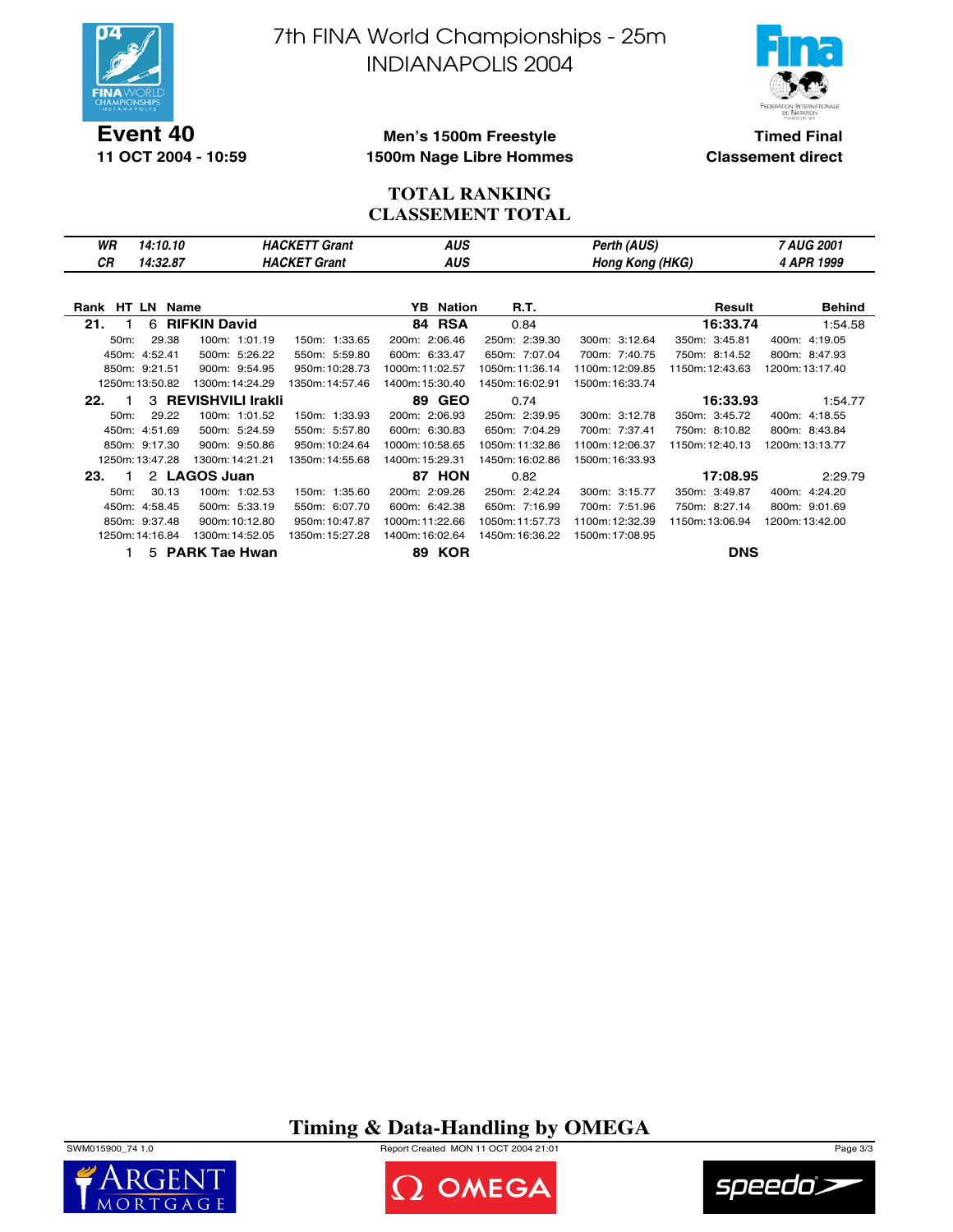

**11 OCT 2004 - 10:59**

7th FINA World Championships - 25m INDIANAPOLIS 2004



**Timed Final Classement direct**

#### **Men's 1500m Freestyle 1500m Nage Libre Hommes**

#### **TOTAL RANKING CLASSEMENT TOTAL**

| WR | 14:10.10 | <b>HACKETT Grant</b> | AUS | Perth (AUS)            | <b>AUG 2001</b> |
|----|----------|----------------------|-----|------------------------|-----------------|
| СR | 14:32.87 | <b>HACKET Grant</b>  | AUS | <b>Hong Kong (HKG)</b> | APR 1999        |
|    |          |                      |     |                        |                 |

| Rank HT LN Name                             |                 | <b>YB Nation</b> | R.T.            |                 | Result          | Behind          |
|---------------------------------------------|-----------------|------------------|-----------------|-----------------|-----------------|-----------------|
| 6 RIFKIN David<br>21.                       |                 | 84 RSA           | 0.84            |                 | 16:33.74        | 1:54.58         |
| 29.38<br>100m: 1:01.19<br>50m:              | 150m: 1:33.65   | 200m: 2:06.46    | 250m: 2:39.30   | 300m: 3:12.64   | 350m: 3:45.81   | 400m: 4:19.05   |
| 450m: 4:52.41<br>500m: 5:26.22              | 550m: 5:59.80   | 600m: 6:33.47    | 650m: 7:07.04   | 700m: 7:40.75   | 750m: 8:14.52   | 800m: 8:47.93   |
| 850m: 9:21.51<br>900m: 9:54.95              | 950m: 10:28.73  | 1000m: 11:02.57  | 1050m: 11:36.14 | 1100m: 12:09.85 | 1150m: 12:43.63 | 1200m: 13:17.40 |
| 1250m: 13:50.82<br>1300m: 14:24.29          | 1350m: 14:57.46 | 1400m: 15:30.40  | 1450m: 16:02.91 | 1500m: 16:33.74 |                 |                 |
| 3 REVISHVILI Irakli<br>22.                  |                 | 89 GEO           | 0.74            |                 | 16:33.93        | 1:54.77         |
| 50 <sub>m</sub> :<br>29.22<br>100m: 1:01.52 | 150m: 1:33.93   | 200m: 2:06.93    | 250m: 2:39.95   | 300m: 3:12.78   | 350m: 3:45.72   | 400m: 4:18.55   |
| 450m: 4:51.69<br>500m: 5:24.59              | 550m: 5:57.80   | 600m: 6:30.83    | 650m: 7:04.29   | 700m: 7:37.41   | 750m: 8:10.82   | 800m: 8:43.84   |
| 850m: 9:17.30<br>900m: 9:50.86              | 950m: 10:24.64  | 1000m: 10:58.65  | 1050m: 11:32.86 | 1100m: 12:06.37 | 1150m: 12:40.13 | 1200m: 13:13.77 |
| 1250m: 13:47.28<br>1300m: 14:21.21          | 1350m: 14:55.68 | 1400m: 15:29.31  | 1450m: 16:02.86 | 1500m: 16:33.93 |                 |                 |
| 2 LAGOS Juan<br>23.                         |                 | <b>87 HON</b>    | 0.82            |                 | 17:08.95        | 2:29.79         |
| 30.13<br>100m: 1:02.53<br>50 <sub>m</sub> : | 150m: 1:35.60   | 200m: 2:09.26    | 250m: 2:42.24   | 300m: 3:15.77   | 350m: 3:49.87   | 400m: 4:24.20   |
| 500m: 5:33.19<br>450m: 4:58.45              | 550m: 6:07.70   | 600m: 6:42.38    | 650m: 7:16.99   | 700m: 7:51.96   | 750m: 8:27.14   | 800m: 9:01.69   |
| 850m: 9:37.48<br>900m: 10:12.80             | 950m: 10:47.87  | 1000m: 11:22.66  | 1050m: 11:57.73 | 1100m: 12:32.39 | 1150m: 13:06.94 | 1200m: 13:42.00 |
| 1250m: 14:16.84<br>1300m: 14:52.05          | 1350m: 15:27.28 | 1400m: 16:02.64  | 1450m: 16:36.22 | 1500m: 17:08.95 |                 |                 |
| 5 PARK Tae Hwan                             |                 | <b>89 KOR</b>    |                 |                 | <b>DNS</b>      |                 |

**Timing & Data-Handling by OMEGA**

SWM015900\_74 1.0 Report Created MON 11 OCT 2004 21:01 Page 3/3





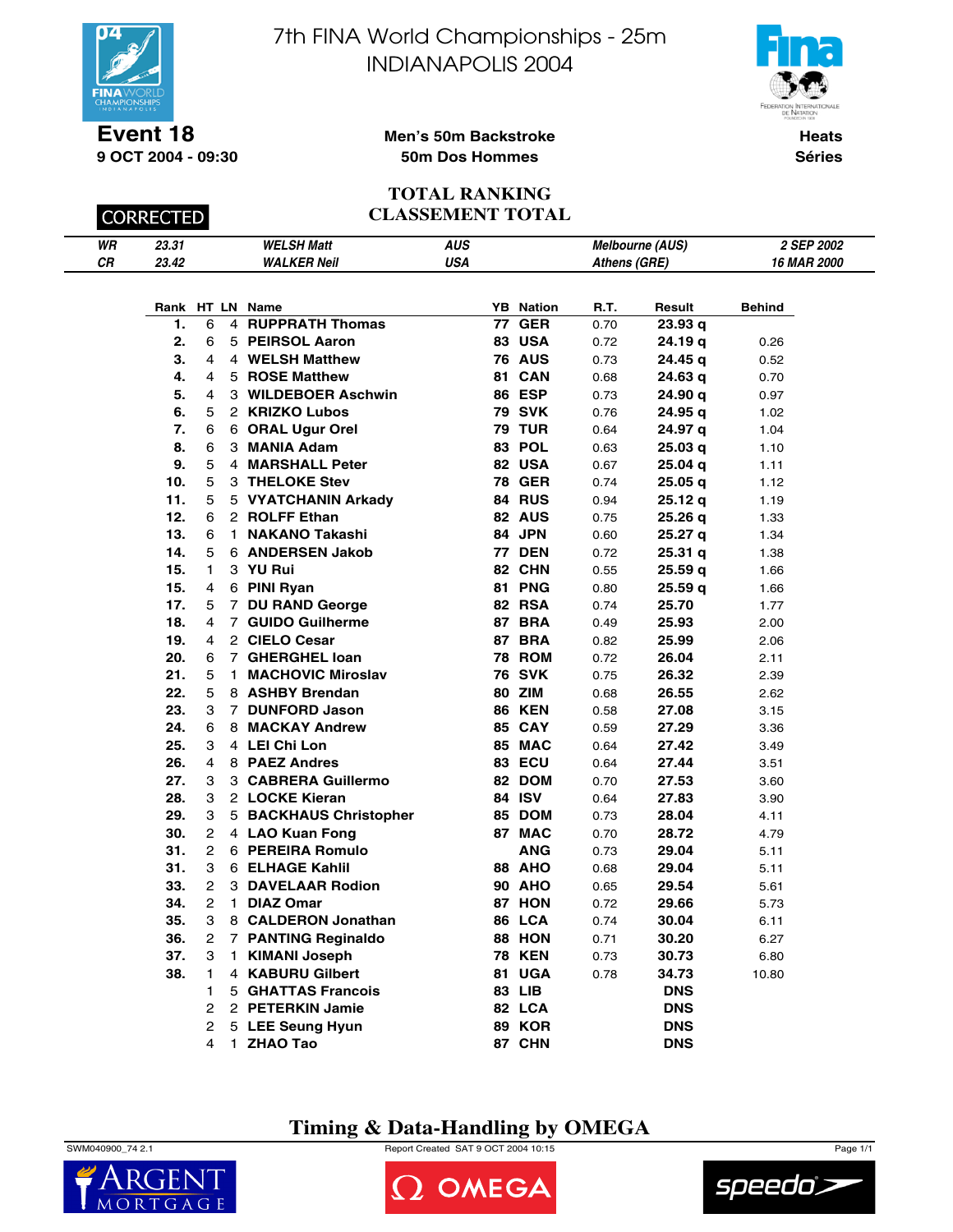



**Event 18 9 OCT 2004 - 09:30**

**CORRECTED** 

### **Men's 50m Backstroke 50m Dos Hommes**

**Heats Séries**

#### **TOTAL RANKING CLASSEMENT TOTAL**

| WR | 02.21<br>ا د.د. | <b>WELSH Matt</b>  | AUS | <b>Melbourne (AUS)</b> | 2 SEP 2002        |
|----|-----------------|--------------------|-----|------------------------|-------------------|
| СR | 23.42           | <b>WALKER Neil</b> | USA | Athens (GRE)           | <b>6 MAR 2000</b> |

| Rank |                |    | HT LN Name             | YΒ | <b>Nation</b> | R.T. | Result             | <b>Behind</b> |
|------|----------------|----|------------------------|----|---------------|------|--------------------|---------------|
| 1.   | 6              |    | 4 RUPPRATH Thomas      | 77 | <b>GER</b>    | 0.70 | 23.93 <sub>q</sub> |               |
| 2.   | 6              |    | 5 PEIRSOL Aaron        |    | <b>83 USA</b> | 0.72 | 24.19 q            | 0.26          |
| 3.   | 4              |    | 4 WELSH Matthew        |    | <b>76 AUS</b> | 0.73 | 24.45 q            | 0.52          |
| 4.   | 4              |    | 5 ROSE Matthew         |    | <b>81 CAN</b> | 0.68 | 24.63 g            | 0.70          |
| 5.   | 4              |    | 3 WILDEBOER Aschwin    |    | 86 ESP        | 0.73 | 24.90 a            | 0.97          |
| 6.   | 5              |    | 2 KRIZKO Lubos         |    | 79 SVK        | 0.76 | 24.95 a            | 1.02          |
| 7.   | 6              |    | 6 ORAL Ugur Orel       |    | <b>79 TUR</b> | 0.64 | 24.97 q            | 1.04          |
| 8.   | 6              |    | 3 MANIA Adam           |    | 83 POL        | 0.63 | 25.03q             | 1.10          |
| 9.   | 5              |    | 4 MARSHALL Peter       |    | 82 USA        | 0.67 | 25.04 g            | 1.11          |
| 10.  | 5              |    | 3 THELOKE Stev         |    | <b>78 GER</b> | 0.74 | 25.05 g            | 1.12          |
| 11.  | 5              |    | 5 VYATCHANIN Arkady    |    | 84 RUS        | 0.94 | 25.12 g            | 1.19          |
| 12.  | 6              |    | 2 ROLFF Ethan          |    | <b>82 AUS</b> | 0.75 | 25.26q             | 1.33          |
| 13.  | 6              | 1. | <b>NAKANO Takashi</b>  |    | 84 JPN        | 0.60 | 25.27 q            | 1.34          |
| 14.  | 5              |    | 6 ANDERSEN Jakob       |    | <b>77 DEN</b> | 0.72 | 25.31 q            | 1.38          |
| 15.  | 1              |    | 3 YU Rui               |    | 82 CHN        | 0.55 | 25.59 g            | 1.66          |
| 15.  | 4              |    | 6 PINI Ryan            |    | 81 PNG        | 0.80 | 25.59 a            | 1.66          |
| 17.  | 5              |    | 7 DU RAND George       |    | <b>82 RSA</b> | 0.74 | 25.70              | 1.77          |
| 18.  | $\overline{4}$ |    | 7 GUIDO Guilherme      |    | <b>87 BRA</b> | 0.49 | 25.93              | 2.00          |
| 19.  | 4              |    | 2 CIELO Cesar          |    | <b>87 BRA</b> | 0.82 | 25.99              | 2.06          |
| 20.  | 6              |    | 7 GHERGHEL Ioan        |    | <b>78 ROM</b> | 0.72 | 26.04              | 2.11          |
| 21.  | 5              |    | 1 MACHOVIC Miroslav    |    | <b>76 SVK</b> | 0.75 | 26.32              | 2.39          |
| 22.  | 5              |    | 8 ASHBY Brendan        |    | <b>80 ZIM</b> | 0.68 | 26.55              | 2.62          |
| 23.  | 3              |    | 7 DUNFORD Jason        |    | <b>86 KEN</b> | 0.58 | 27.08              | 3.15          |
| 24.  | 6              |    | 8 MACKAY Andrew        |    | <b>85 CAY</b> | 0.59 | 27.29              | 3.36          |
| 25.  | 3              |    | 4 LEI Chi Lon          |    | 85 MAC        | 0.64 | 27.42              | 3.49          |
| 26.  | $\overline{4}$ |    | 8 PAEZ Andres          |    | 83 ECU        | 0.64 | 27.44              | 3.51          |
| 27.  | 3              |    | 3 CABRERA Guillermo    |    | 82 DOM        | 0.70 | 27.53              | 3.60          |
| 28.  | 3              |    | 2 LOCKE Kieran         |    | 84 ISV        | 0.64 | 27.83              | 3.90          |
| 29.  | 3              |    | 5 BACKHAUS Christopher |    | <b>85 DOM</b> | 0.73 | 28.04              | 4.11          |
| 30.  | $\overline{2}$ |    | 4 LAO Kuan Fong        |    | 87 MAC        | 0.70 | 28.72              | 4.79          |
| 31.  | $\overline{2}$ |    | 6 PEREIRA Romulo       |    | <b>ANG</b>    | 0.73 | 29.04              | 5.11          |
| 31.  | 3              |    | 6 ELHAGE Kahlil        |    | <b>88 AHO</b> | 0.68 | 29.04              | 5.11          |
| 33.  | $\overline{2}$ |    | 3 DAVELAAR Rodion      |    | <b>90 AHO</b> | 0.65 | 29.54              | 5.61          |
| 34.  | $\overline{2}$ |    | 1 DIAZ Omar            |    | <b>87 HON</b> | 0.72 | 29.66              | 5.73          |
| 35.  | 3              |    | 8 CALDERON Jonathan    |    | <b>86 LCA</b> | 0.74 | 30.04              | 6.11          |
| 36.  | $\overline{2}$ |    | 7 PANTING Reginaldo    |    | <b>88 HON</b> | 0.71 | 30.20              | 6.27          |
| 37.  | 3              |    | 1 KIMANI Joseph        |    | <b>78 KEN</b> | 0.73 | 30.73              | 6.80          |
| 38.  | 1              |    | 4 KABURU Gilbert       |    | <b>81 UGA</b> | 0.78 | 34.73              | 10.80         |
|      | 1              |    | 5 GHATTAS Francois     |    | 83 LIB        |      | <b>DNS</b>         |               |
|      | 2              |    | 2 PETERKIN Jamie       |    | 82 LCA        |      | <b>DNS</b>         |               |
|      | $\overline{2}$ |    | 5 LEE Seung Hyun       |    | <b>89 KOR</b> |      | <b>DNS</b>         |               |
|      | 4              |    | 1 ZHAO Tao             |    | 87 CHN        |      | <b>DNS</b>         |               |

## **Timing & Data-Handling by OMEGA**

SWM040900\_74 2.1 Report Created SAT 9 OCT 2004 10:15 Page 1/1





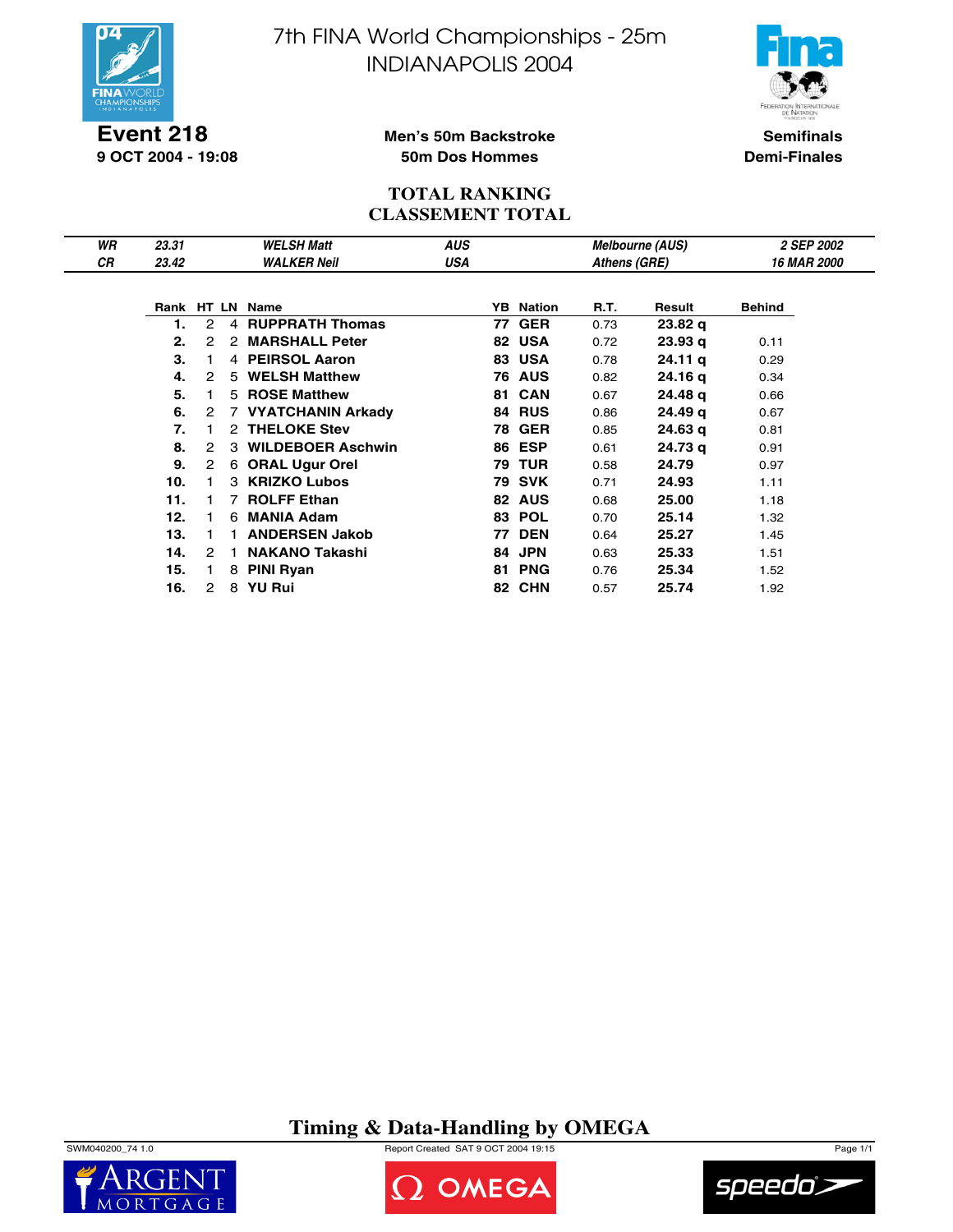

**Event 218 9 OCT 2004 - 19:08** 7th FINA World Championships - 25m INDIANAPOLIS 2004



**Semifinals Demi-Finales**

### **Men's 50m Backstroke 50m Dos Hommes**

### **TOTAL RANKING CLASSEMENT TOTAL**

| WR<br>СR | 23.31<br>23.42 |                      |                | <b>WELSH Matt</b><br><b>WALKER Neil</b> | <b>AUS</b><br>USA |    |               | Athens (GRE) | <b>Melbourne (AUS)</b> | 2 SEP 2002<br><b>16 MAR 2000</b> |
|----------|----------------|----------------------|----------------|-----------------------------------------|-------------------|----|---------------|--------------|------------------------|----------------------------------|
|          |                |                      |                |                                         |                   |    |               |              |                        |                                  |
|          |                |                      |                | Rank HT LN Name                         |                   | YB | Nation        | R.T.         | Result                 | <b>Behind</b>                    |
|          | 1.             | 2                    | $\overline{4}$ | <b>RUPPRATH Thomas</b>                  |                   | 77 | <b>GER</b>    | 0.73         | 23.82 <sub>q</sub>     |                                  |
|          | 2.             | 2                    | 2              | <b>MARSHALL Peter</b>                   |                   |    | 82 USA        | 0.72         | 23.93 <sub>q</sub>     | 0.11                             |
|          | 3.             |                      |                | 4 PEIRSOL Aaron                         |                   |    | 83 USA        | 0.78         | 24.11 <sub>q</sub>     | 0.29                             |
|          | 4.             | 2                    |                | 5 WELSH Matthew                         |                   |    | <b>76 AUS</b> | 0.82         | 24.16 g                | 0.34                             |
|          | 5.             |                      |                | 5 ROSE Matthew                          |                   | 81 | <b>CAN</b>    | 0.67         | 24.48 g                | 0.66                             |
|          | 6.             | 2                    |                | 7 VYATCHANIN Arkady                     |                   | 84 | <b>RUS</b>    | 0.86         | 24.49 g                | 0.67                             |
|          | 7.             |                      | 2              | <b>THELOKE Stev</b>                     |                   | 78 | <b>GER</b>    | 0.85         | 24.63 g                | 0.81                             |
|          | 8.             | 2                    | 3              | <b>WILDEBOER Aschwin</b>                |                   |    | <b>86 ESP</b> | 0.61         | 24.73 g                | 0.91                             |
|          | 9.             | $\mathbf{2}^{\circ}$ | 6              | <b>ORAL Ugur Orel</b>                   |                   |    | <b>79 TUR</b> | 0.58         | 24.79                  | 0.97                             |
|          | 10.            |                      | 3              | <b>KRIZKO Lubos</b>                     |                   |    | <b>79 SVK</b> | 0.71         | 24.93                  | 1.11                             |
|          | 11.            |                      | 7              | <b>ROLFF Ethan</b>                      |                   |    | 82 AUS        | 0.68         | 25.00                  | 1.18                             |
|          | 12.            |                      | 6              | <b>MANIA Adam</b>                       |                   | 83 | <b>POL</b>    | 0.70         | 25.14                  | 1.32                             |
|          | 13.            |                      |                | <b>ANDERSEN Jakob</b>                   |                   | 77 | <b>DEN</b>    | 0.64         | 25.27                  | 1.45                             |
|          | 14.            | 2                    |                | <b>NAKANO Takashi</b>                   |                   | 84 | <b>JPN</b>    | 0.63         | 25.33                  | 1.51                             |
|          | 15.            |                      | 8              | <b>PINI Ryan</b>                        |                   | 81 | <b>PNG</b>    | 0.76         | 25.34                  | 1.52                             |
|          | 16.            | 2                    | 8              | <b>YU Rui</b>                           |                   |    | 82 CHN        | 0.57         | 25.74                  | 1.92                             |

**Timing & Data-Handling by OMEGA**

SWM040200\_74 1.0 Report Created SAT 9 OCT 2004 19:15 Page 1/1





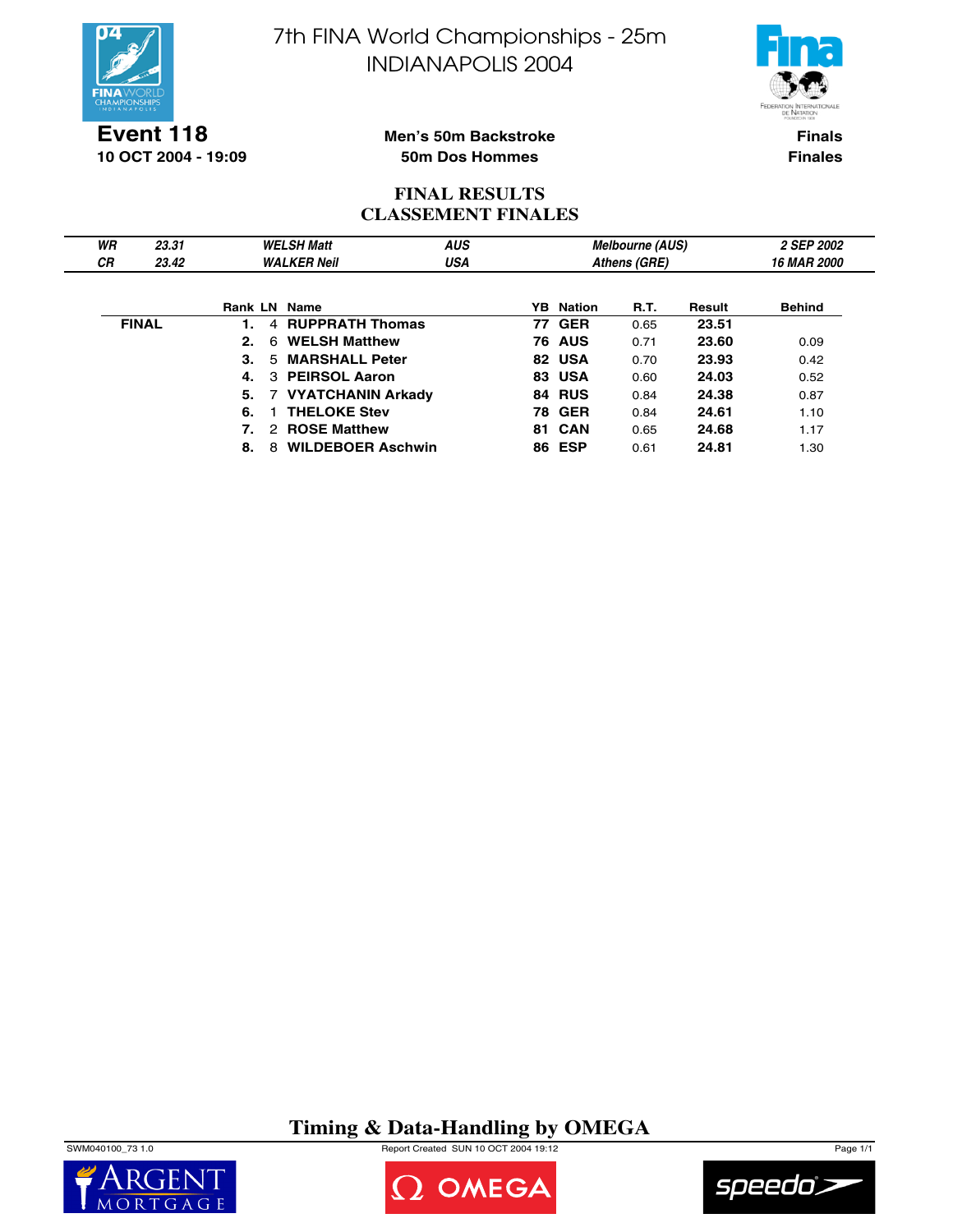



**Event 118 10 OCT 2004 - 19:09**

### **Men's 50m Backstroke 50m Dos Hommes**

**Finals Finales**

## **FINAL RESULTS CLASSEMENT FINALES**

| WR           | 23.31 |    |               | <b>WELSH Matt</b>        | <b>AUS</b> |    |                  | <b>Melbourne (AUS)</b> |        | 2 SEP 2002         |
|--------------|-------|----|---------------|--------------------------|------------|----|------------------|------------------------|--------|--------------------|
| <b>CR</b>    | 23.42 |    |               | <b>WALKER Neil</b>       | USA        |    |                  | Athens (GRE)           |        | <b>16 MAR 2000</b> |
|              |       |    |               |                          |            |    |                  |                        |        |                    |
|              |       |    |               | <b>Rank LN Name</b>      |            |    | <b>YB</b> Nation | R.T.                   | Result | <b>Behind</b>      |
| <b>FINAL</b> |       |    | 4             | <b>RUPPRATH Thomas</b>   |            |    | <b>77 GER</b>    | 0.65                   | 23.51  |                    |
|              |       | 2. | 6             | <b>WELSH Matthew</b>     |            |    | <b>76 AUS</b>    | 0.71                   | 23.60  | 0.09               |
|              |       | 3. | 5.            | <b>MARSHALL Peter</b>    |            |    | 82 USA           | 0.70                   | 23.93  | 0.42               |
|              |       | 4. |               | 3 PEIRSOL Aaron          |            |    | 83 USA           | 0.60                   | 24.03  | 0.52               |
|              |       | 5. |               | 7 VYATCHANIN Arkady      |            |    | <b>84 RUS</b>    | 0.84                   | 24.38  | 0.87               |
|              |       | 6. |               | <b>THELOKE Stev</b>      |            |    | <b>78 GER</b>    | 0.84                   | 24.61  | 1.10               |
|              |       |    | $\mathcal{P}$ | <b>ROSE Matthew</b>      |            | 81 | CAN              | 0.65                   | 24.68  | 1.17               |
|              |       | 8. | 8             | <b>WILDEBOER Aschwin</b> |            |    | <b>86 ESP</b>    | 0.61                   | 24.81  | 1.30               |

# **Timing & Data-Handling by OMEGA**

SWM040100\_73 1.0 Report Created SUN 10 OCT 2004 19:12 Page 1/1





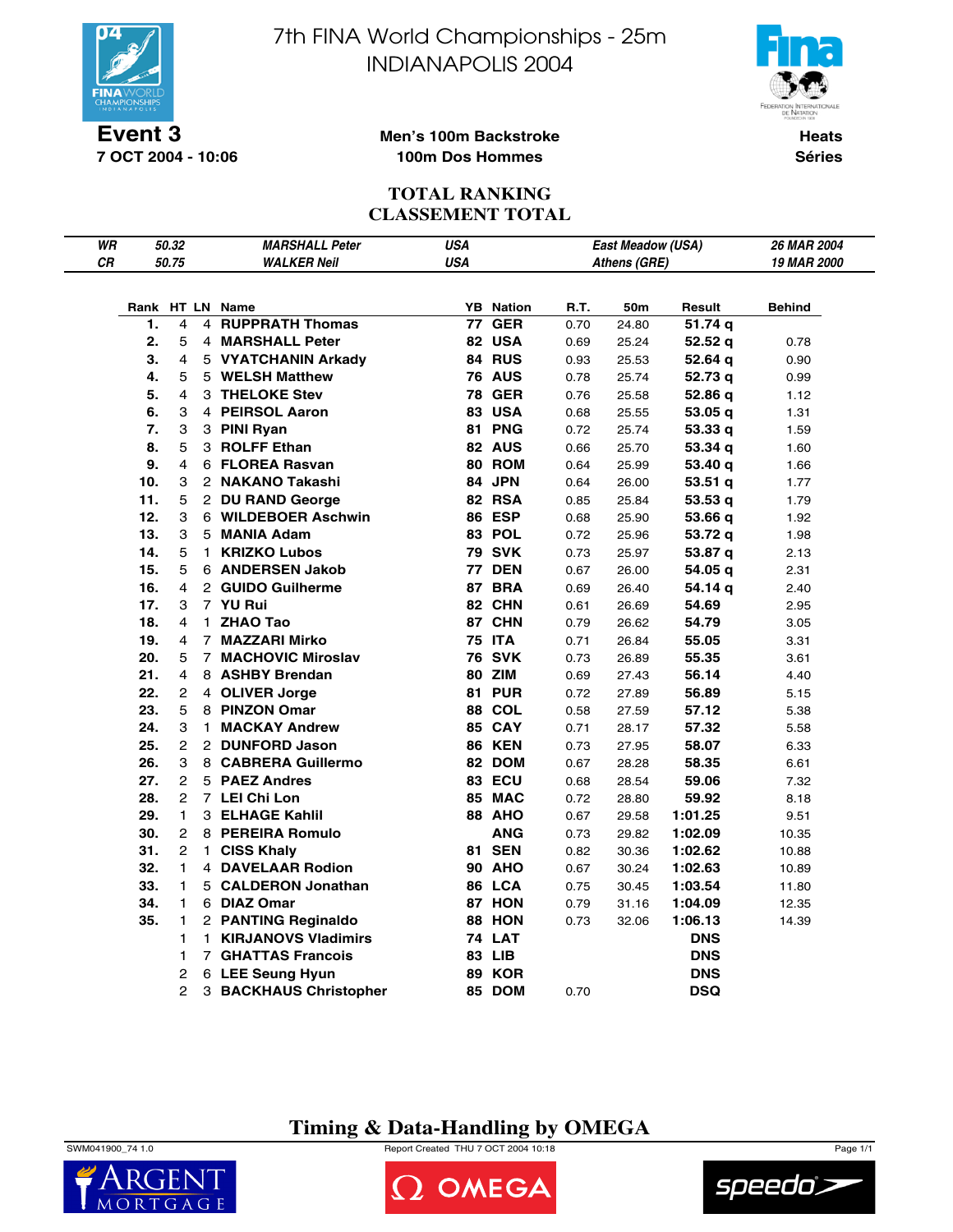

**7 OCT 2004 - 10:06**

7th FINA World Championships - 25m INDIANAPOLIS 2004



**Heats Séries**

### **Men's 100m Backstroke 100m Dos Hommes**

### **TOTAL RANKING CLASSEMENT TOTAL**

| WR |     | 50.32          | <b>MARSHALL Peter</b>      | <b>USA</b> |                  |      | East Meadow (USA) |            | 26 MAR 2004   |
|----|-----|----------------|----------------------------|------------|------------------|------|-------------------|------------|---------------|
| CR |     | 50.75          | <b>WALKER Neil</b>         | <b>USA</b> |                  |      | Athens (GRE)      |            | 19 MAR 2000   |
|    |     |                |                            |            |                  |      |                   |            |               |
|    |     |                | Rank HT LN Name            |            | <b>YB</b> Nation | R.T. | 50m               | Result     | <b>Behind</b> |
|    | 1.  | 4              | <b>4 RUPPRATH Thomas</b>   | 77         | <b>GER</b>       | 0.70 | 24.80             | 51.74 q    |               |
|    | 2.  | 5              | 4 MARSHALL Peter           |            | 82 USA           | 0.69 | 25.24             | 52.52q     | 0.78          |
|    | 3.  | 4              | 5 VYATCHANIN Arkady        |            | 84 RUS           | 0.93 | 25.53             | 52.64 q    | 0.90          |
|    | 4.  | 5              | 5 WELSH Matthew            |            | <b>76 AUS</b>    | 0.78 | 25.74             | 52.73 q    | 0.99          |
|    | 5.  | 4              | 3 THELOKE Stev             |            | <b>78 GER</b>    | 0.76 | 25.58             | 52.86 q    | 1.12          |
|    | 6.  | 3              | 4 PEIRSOL Aaron            |            | <b>83 USA</b>    | 0.68 | 25.55             | 53.05 q    | 1.31          |
|    | 7.  | 3              | 3 PINI Ryan                |            | 81 PNG           | 0.72 | 25.74             | 53.33q     | 1.59          |
|    | 8.  | 5              | 3 ROLFF Ethan              |            | 82 AUS           | 0.66 | 25.70             | 53.34 q    | 1.60          |
|    | 9.  | 4              | 6 FLOREA Rasvan            |            | 80 ROM           | 0.64 | 25.99             | 53.40 q    | 1.66          |
|    | 10. | 3              | 2 NAKANO Takashi           |            | 84 JPN           | 0.64 | 26.00             | 53.51q     | 1.77          |
|    | 11. | 5              | 2 DU RAND George           |            | 82 RSA           | 0.85 | 25.84             | 53.53q     | 1.79          |
|    | 12. | 3              | 6 WILDEBOER Aschwin        |            | 86 ESP           | 0.68 | 25.90             | 53.66 q    | 1.92          |
|    | 13. | 3              | 5 MANIA Adam               |            | 83 POL           | 0.72 | 25.96             | 53.72 g    | 1.98          |
|    | 14. | 5              | 1 KRIZKO Lubos             |            | <b>79 SVK</b>    | 0.73 | 25.97             | 53.87 q    | 2.13          |
|    | 15. | 5              | 6 ANDERSEN Jakob           |            | <b>77 DEN</b>    | 0.67 | 26.00             | 54.05 q    | 2.31          |
|    | 16. | 4              | 2 GUIDO Guilherme          |            | 87 BRA           | 0.69 | 26.40             | 54.14 q    | 2.40          |
|    | 17. | 3              | 7 YU Rui                   |            | 82 CHN           | 0.61 | 26.69             | 54.69      | 2.95          |
|    | 18. | 4              | 1 ZHAO Tao                 |            | 87 CHN           | 0.79 | 26.62             | 54.79      | 3.05          |
|    | 19. | 4              | 7 MAZZARI Mirko            |            | <b>75 ITA</b>    | 0.71 | 26.84             | 55.05      | 3.31          |
|    | 20. | 5              | <b>7 MACHOVIC Miroslav</b> |            | <b>76 SVK</b>    | 0.73 | 26.89             | 55.35      | 3.61          |
|    | 21. | 4              | 8 ASHBY Brendan            |            | 80 ZIM           | 0.69 | 27.43             | 56.14      | 4.40          |
|    | 22. | 2              | 4 OLIVER Jorge             |            | <b>81 PUR</b>    | 0.72 | 27.89             | 56.89      | 5.15          |
|    | 23. | 5              | 8 PINZON Omar              |            | <b>88 COL</b>    | 0.58 | 27.59             | 57.12      | 5.38          |
|    | 24. | 3              | 1 MACKAY Andrew            |            | 85 CAY           | 0.71 | 28.17             | 57.32      | 5.58          |
|    | 25. | 2              | 2 DUNFORD Jason            |            | <b>86 KEN</b>    | 0.73 | 27.95             | 58.07      | 6.33          |
|    | 26. | 3              | 8 CABRERA Guillermo        |            | 82 DOM           | 0.67 | 28.28             | 58.35      | 6.61          |
|    | 27. | $\overline{c}$ | 5 PAEZ Andres              |            | <b>83 ECU</b>    | 0.68 | 28.54             | 59.06      | 7.32          |
|    | 28. | $\overline{c}$ | 7 LEI Chi Lon              |            | 85 MAC           | 0.72 | 28.80             | 59.92      | 8.18          |
|    | 29. | 1              | 3 ELHAGE Kahlil            |            | 88 AHO           | 0.67 | 29.58             | 1:01.25    | 9.51          |
|    | 30. | 2              | 8 PEREIRA Romulo           |            | <b>ANG</b>       | 0.73 | 29.82             | 1:02.09    | 10.35         |
|    | 31. | 2              | 1 CISS Khaly               |            | <b>81 SEN</b>    | 0.82 | 30.36             | 1:02.62    | 10.88         |
|    | 32. | 1              | 4 DAVELAAR Rodion          |            | <b>90 AHO</b>    | 0.67 | 30.24             | 1:02.63    | 10.89         |
|    | 33. | $\mathbf{1}$   | 5 CALDERON Jonathan        |            | 86 LCA           | 0.75 | 30.45             | 1:03.54    | 11.80         |
|    | 34. | 1.             | 6 DIAZ Omar                |            | <b>87 HON</b>    | 0.79 | 31.16             | 1:04.09    | 12.35         |
|    | 35. | 1              | 2 PANTING Reginaldo        |            | 88 HON           | 0.73 | 32.06             | 1:06.13    | 14.39         |
|    |     | 1              | 1 KIRJANOVS Vladimirs      |            | <b>74 LAT</b>    |      |                   | <b>DNS</b> |               |
|    |     | 1              | <b>7 GHATTAS Francois</b>  |            | 83 LIB           |      |                   | <b>DNS</b> |               |
|    |     | 2              | 6 LEE Seung Hyun           |            | <b>89 KOR</b>    |      |                   | <b>DNS</b> |               |
|    |     | 2              | 3 BACKHAUS Christopher     |            | 85 DOM           | 0.70 |                   | <b>DSQ</b> |               |

# **Timing & Data-Handling by OMEGA**

SWM041900\_74 1.0 Report Created THU 7 OCT 2004 10:18 Page 1/1



OMEGA

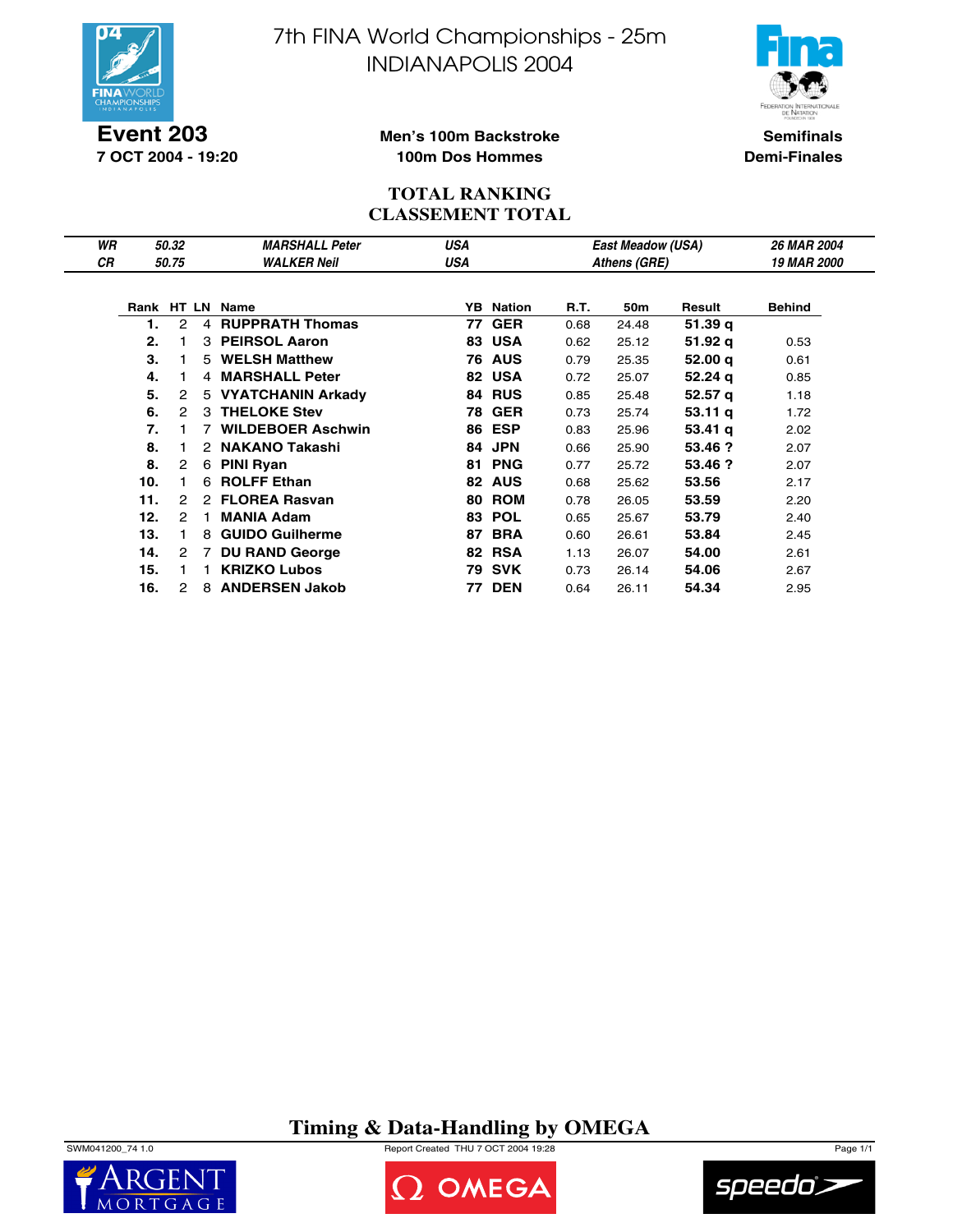

**Event 203 7 OCT 2004 - 19:20** 7th FINA World Championships - 25m INDIANAPOLIS 2004



**Semifinals Demi-Finales**

### **Men's 100m Backstroke 100m Dos Hommes**

### **TOTAL RANKING CLASSEMENT TOTAL**

| WR |     | 50.32                |   | <b>MARSHALL Peter</b>    | <b>USA</b> |                  |      | East Meadow (USA) |                    | 26 MAR 2004        |
|----|-----|----------------------|---|--------------------------|------------|------------------|------|-------------------|--------------------|--------------------|
| СR |     | 50.75                |   | <b>WALKER Neil</b>       | USA        |                  |      | Athens (GRE)      |                    | <b>19 MAR 2000</b> |
|    |     |                      |   |                          |            |                  |      |                   |                    |                    |
|    |     |                      |   | Rank HT LN Name          |            | <b>YB</b> Nation | R.T. | 50 <sub>m</sub>   | Result             | <b>Behind</b>      |
|    | 1.  | 2                    | 4 | <b>RUPPRATH Thomas</b>   | 77         | <b>GER</b>       | 0.68 | 24.48             | 51.39 g            |                    |
|    | 2.  |                      | 3 | <b>PEIRSOL Aaron</b>     | 83         | <b>USA</b>       | 0.62 | 25.12             | 51.92 q            | 0.53               |
|    | 3.  |                      |   | 5 WELSH Matthew          |            | <b>76 AUS</b>    | 0.79 | 25.35             | 52.00 q            | 0.61               |
|    | 4.  |                      |   | 4 MARSHALL Peter         |            | 82 USA           | 0.72 | 25.07             | 52.24q             | 0.85               |
|    | 5.  | 2                    |   | 5 VYATCHANIN Arkady      |            | <b>84 RUS</b>    | 0.85 | 25.48             | 52.57 g            | 1.18               |
|    | 6.  | $\mathcal{P}$        | 3 | <b>THELOKE Stev</b>      | 78         | <b>GER</b>       | 0.73 | 25.74             | 53.11 <sub>q</sub> | 1.72               |
|    | 7.  |                      |   | <b>WILDEBOER Aschwin</b> | 86         | ESP              | 0.83 | 25.96             | $53.41 \text{ q}$  | 2.02               |
|    | 8.  |                      | 2 | <b>NAKANO Takashi</b>    | 84         | <b>JPN</b>       | 0.66 | 25.90             | 53.46 ?            | 2.07               |
|    | 8.  | $\overline{2}$       | 6 | PINI Ryan                | 81         | <b>PNG</b>       | 0.77 | 25.72             | 53.46 ?            | 2.07               |
|    | 10. |                      | 6 | <b>ROLFF Ethan</b>       |            | 82 AUS           | 0.68 | 25.62             | 53.56              | 2.17               |
|    | 11. | 2                    | 2 | <b>FLOREA Rasvan</b>     | 80         | <b>ROM</b>       | 0.78 | 26.05             | 53.59              | 2.20               |
|    | 12. | $\mathcal{P}$        |   | <b>MANIA Adam</b>        | 83         | <b>POL</b>       | 0.65 | 25.67             | 53.79              | 2.40               |
|    | 13. |                      | 8 | <b>GUIDO Guilherme</b>   | 87         | <b>BRA</b>       | 0.60 | 26.61             | 53.84              | 2.45               |
|    | 14. | $\mathbf{2}^{\circ}$ | 7 | <b>DU RAND George</b>    |            | 82 RSA           | 1.13 | 26.07             | 54.00              | 2.61               |
|    | 15. |                      |   | <b>KRIZKO Lubos</b>      |            | 79 SVK           | 0.73 | 26.14             | 54.06              | 2.67               |
|    | 16. | 2                    | 8 | <b>ANDERSEN Jakob</b>    | 77         | <b>DEN</b>       | 0.64 | 26.11             | 54.34              | 2.95               |

**Timing & Data-Handling by OMEGA**







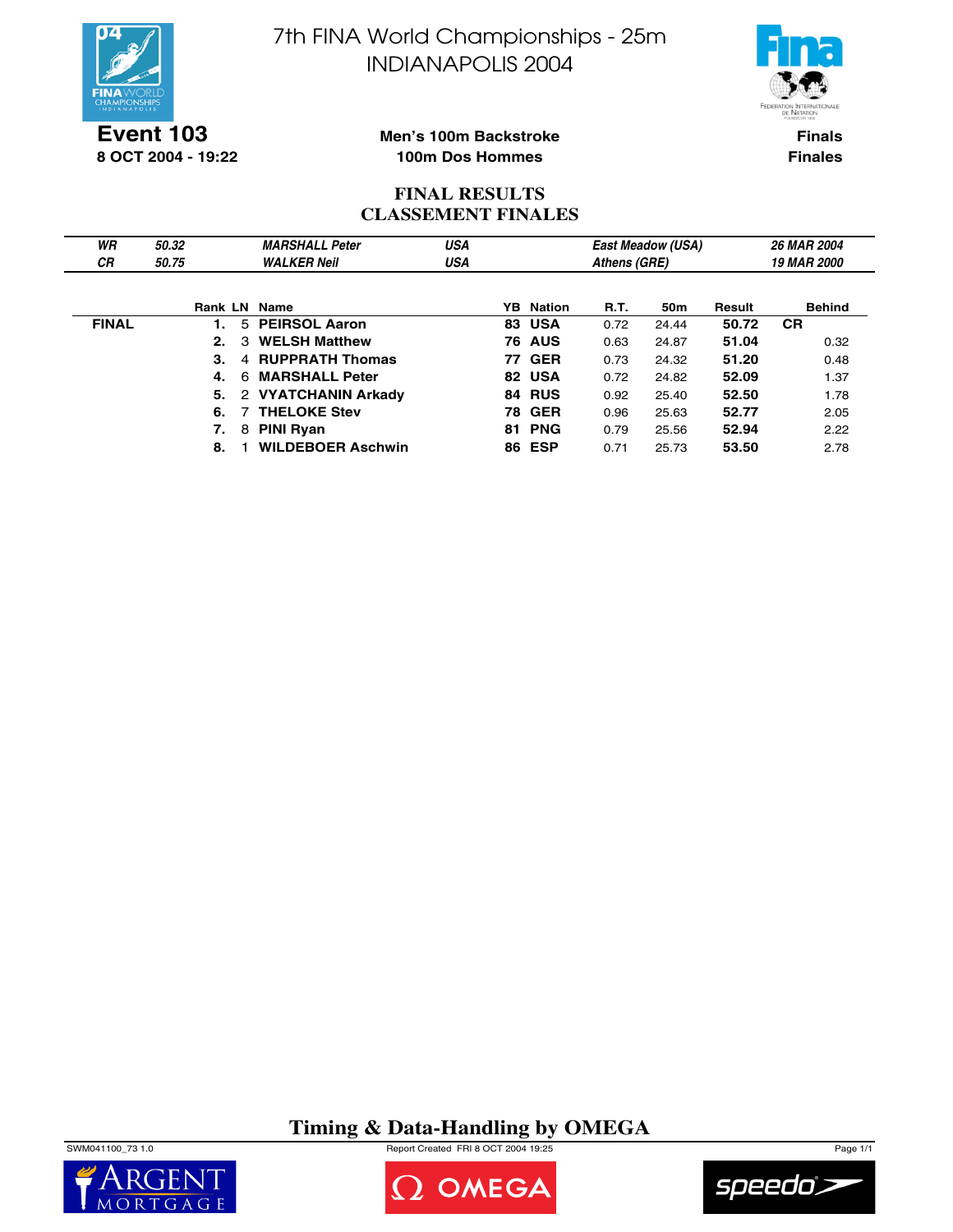



**Event 103 8 OCT 2004 - 19:22**

#### **Men's 100m Backstroke 100m Dos Hommes**

**Finals Finales**

# **FINAL RESULTS CLASSEMENT FINALES**

| WR           | 50.32               | <b>MARSHALL Peter</b>     | USA |    |                  |      | <b>East Meadow (USA)</b> |        | 26 MAR 2004               |  |  |
|--------------|---------------------|---------------------------|-----|----|------------------|------|--------------------------|--------|---------------------------|--|--|
| СR           | 50.75               | <b>WALKER Neil</b>        | USA |    | Athens (GRE)     |      |                          |        | <i><b>19 MAR 2000</b></i> |  |  |
|              |                     |                           |     |    |                  |      |                          |        |                           |  |  |
|              | <b>Rank LN Name</b> |                           |     |    | <b>YB</b> Nation | R.T. | 50m                      | Result | <b>Behind</b>             |  |  |
| <b>FINAL</b> |                     | 5 PEIRSOL Aaron           |     |    | <b>83 USA</b>    | 0.72 | 24.44                    | 50.72  | <b>CR</b>                 |  |  |
|              | 2.                  | <b>WELSH Matthew</b><br>3 |     | 76 | <b>AUS</b>       | 0.63 | 24.87                    | 51.04  | 0.32                      |  |  |
|              | 3.                  | 4 RUPPRATH Thomas         |     |    | <b>77 GER</b>    | 0.73 | 24.32                    | 51.20  | 0.48                      |  |  |
|              | 4.<br>6             | <b>MARSHALL Peter</b>     |     |    | 82 USA           | 0.72 | 24.82                    | 52.09  | 1.37                      |  |  |
|              | 5.                  | 2 VYATCHANIN Arkady       |     |    | 84 RUS           | 0.92 | 25.40                    | 52.50  | 1.78                      |  |  |
|              | 6.                  | 7 THELOKE Stev            |     |    | <b>78 GER</b>    | 0.96 | 25.63                    | 52.77  | 2.05                      |  |  |
|              | 7.                  | <b>PINI Ryan</b><br>8     |     |    | <b>81 PNG</b>    | 0.79 | 25.56                    | 52.94  | 2.22                      |  |  |
|              | 8.                  | <b>WILDEBOER Aschwin</b>  |     |    | <b>86 ESP</b>    | 0.71 | 25.73                    | 53.50  | 2.78                      |  |  |

# **Timing & Data-Handling by OMEGA**

SWM041100\_73 1.0 Report Created FRI 8 OCT 2004 19:25 Page 1/1





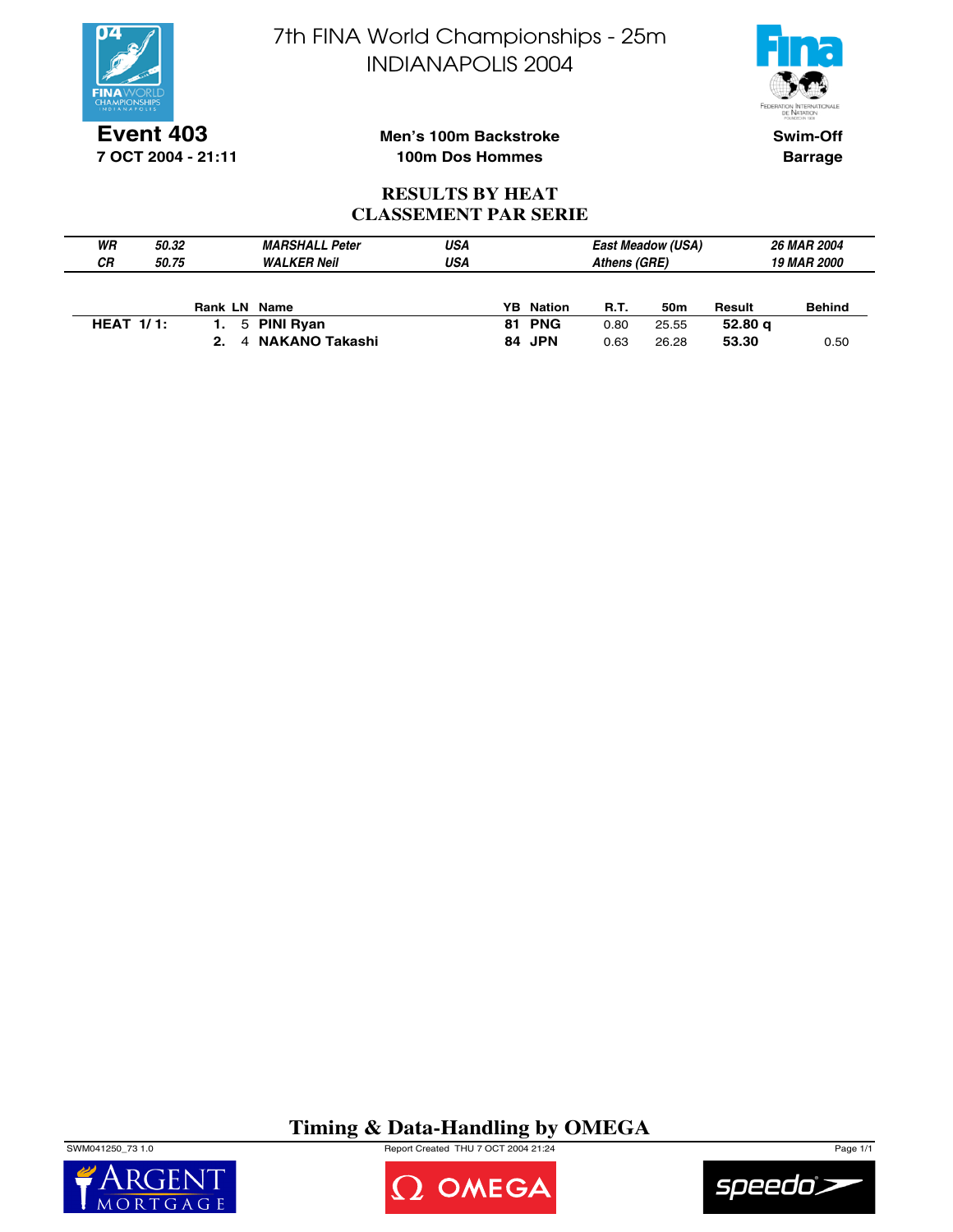

**Event 403 7 OCT 2004 - 21:11** 7th FINA World Championships - 25m INDIANAPOLIS 2004



**Swim-Off Barrage**

## **Men's 100m Backstroke 100m Dos Hommes**

### **RESULTS BY HEAT CLASSEMENT PAR SERIE**

| WR           | 50.32 |              | <b>MARSHALL Peter</b> | USA |                  |              | <b>East Meadow (USA)</b> |                    | <b>26 MAR 2004</b> |  |
|--------------|-------|--------------|-----------------------|-----|------------------|--------------|--------------------------|--------------------|--------------------|--|
| <b>CR</b>    | 50.75 |              | <b>WALKER Neil</b>    | USA |                  | Athens (GRE) |                          | <b>19 MAR 2000</b> |                    |  |
|              |       |              |                       |     |                  |              |                          |                    |                    |  |
|              |       | Rank LN Name |                       |     | <b>YB</b> Nation | <b>R.T.</b>  | 50m                      | Result             | <b>Behind</b>      |  |
| HEAT $1/1$ : |       |              | 5 PINI Ryan           |     | <b>81 PNG</b>    | 0.80         | 25.55                    | 52.80 g            |                    |  |
|              |       | 2.           | 4 NAKANO Takashi      |     | 84 JPN           | 0.63         | 26.28                    | 53.30              | 0.50               |  |

**Timing & Data-Handling by OMEGA**

SWM041250\_73 1.0 Report Created THU 7 OCT 2004 21:24 Page 1/1





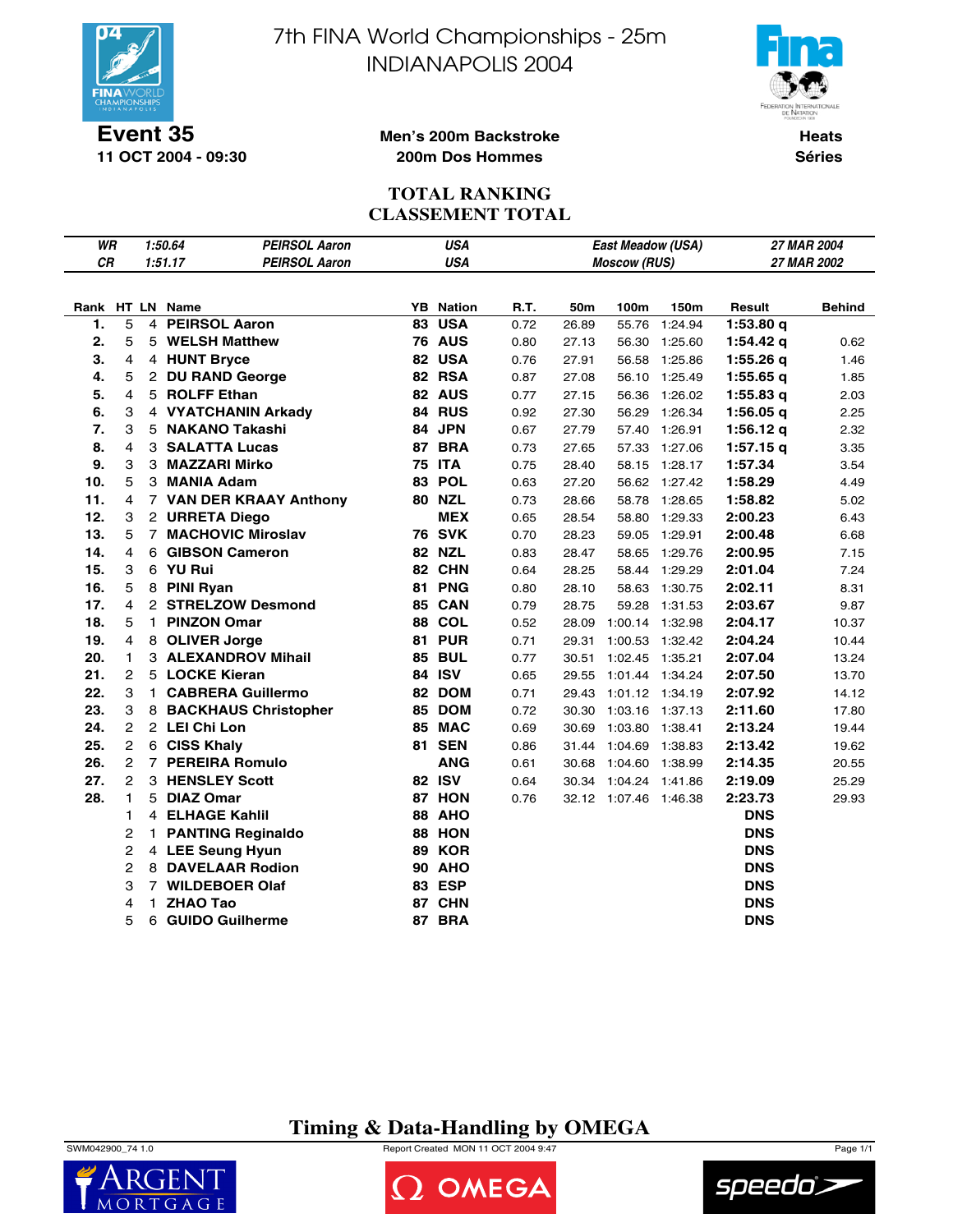

**11 OCT 2004 - 09:30**

7th FINA World Championships - 25m INDIANAPOLIS 2004



**Heats Séries**

#### **Men's 200m Backstroke 200m Dos Hommes**

### **TOTAL RANKING CLASSEMENT TOTAL**

| WR        |                           |    | 1:50.64         | <b>PEIRSOL Aaron</b>       |    | <b>USA</b>       |      |       | East Meadow (USA)     |                 | 27 MAR 2004 |               |
|-----------|---------------------------|----|-----------------|----------------------------|----|------------------|------|-------|-----------------------|-----------------|-------------|---------------|
| <b>CR</b> |                           |    | 1:51.17         | <b>PEIRSOL Aaron</b>       |    | <b>USA</b>       |      |       | <b>Moscow (RUS)</b>   |                 | 27 MAR 2002 |               |
|           |                           |    |                 |                            |    |                  |      |       |                       |                 |             |               |
|           |                           |    | Rank HT LN Name |                            |    | <b>YB</b> Nation | R.T. | 50m   | 100m                  | 150m            | Result      | <b>Behind</b> |
| 1.        | 5                         |    |                 | 4 PEIRSOL Aaron            |    | <b>83 USA</b>    | 0.72 | 26.89 | 55.76                 | 1:24.94         | 1:53.80q    |               |
| 2.        | 5                         |    |                 | 5 WELSH Matthew            |    | <b>76 AUS</b>    | 0.80 | 27.13 |                       | 56.30 1:25.60   | 1:54.42 g   | 0.62          |
| 3.        | $\overline{4}$            |    |                 | 4 HUNT Bryce               |    | 82 USA           | 0.76 | 27.91 | 56.58                 | 1:25.86         | 1:55.26q    | 1.46          |
| 4.        | 5                         |    |                 | 2 DU RAND George           |    | 82 RSA           | 0.87 | 27.08 |                       | 56.10 1:25.49   | $1:55.65$ q | 1.85          |
| 5.        | 4                         |    |                 | 5 ROLFF Ethan              |    | 82 AUS           | 0.77 | 27.15 |                       | 56.36 1:26.02   | $1:55.83$ q | 2.03          |
| 6.        | 3                         |    |                 | 4 VYATCHANIN Arkady        |    | 84 RUS           | 0.92 | 27.30 |                       | 56.29 1:26.34   | 1:56.05q    | 2.25          |
| 7.        | 3                         |    |                 | 5 NAKANO Takashi           |    | 84 JPN           | 0.67 | 27.79 |                       | 57.40 1:26.91   | 1:56.12 $q$ | 2.32          |
| 8.        | 4                         |    |                 | <b>3 SALATTA Lucas</b>     |    | 87 BRA           | 0.73 | 27.65 |                       | 57.33 1:27.06   | $1:57.15$ q | 3.35          |
| 9.        | $\ensuremath{\mathsf{3}}$ |    |                 | 3 MAZZARI Mirko            |    | <b>75 ITA</b>    | 0.75 | 28.40 | 58.15                 | 1:28.17         | 1:57.34     | 3.54          |
| 10.       | 5                         |    |                 | 3 MANIA Adam               |    | 83 POL           | 0.63 | 27.20 |                       | 56.62 1:27.42   | 1:58.29     | 4.49          |
| 11.       | 4                         |    |                 | 7 VAN DER KRAAY Anthony    |    | <b>80 NZL</b>    | 0.73 | 28.66 |                       | 58.78 1:28.65   | 1:58.82     | 5.02          |
| 12.       | 3                         |    |                 | 2 URRETA Diego             |    | <b>MEX</b>       | 0.65 | 28.54 |                       | 58.80 1:29.33   | 2:00.23     | 6.43          |
| 13.       | 5                         |    |                 | 7 MACHOVIC Miroslav        |    | <b>76 SVK</b>    | 0.70 | 28.23 | 59.05                 | 1:29.91         | 2:00.48     | 6.68          |
| 14.       | 4                         |    |                 | 6 GIBSON Cameron           |    | 82 NZL           | 0.83 | 28.47 | 58.65                 | 1:29.76         | 2:00.95     | 7.15          |
| 15.       | 3                         |    | 6 YU Rui        |                            |    | 82 CHN           | 0.64 | 28.25 | 58.44                 | 1:29.29         | 2:01.04     | 7.24          |
| 16.       | 5                         |    | 8 PINI Ryan     |                            |    | 81 PNG           | 0.80 | 28.10 |                       | 58.63 1:30.75   | 2:02.11     | 8.31          |
| 17.       | $\overline{4}$            |    |                 | 2 STRELZOW Desmond         |    | <b>85 CAN</b>    | 0.79 | 28.75 | 59.28                 | 1:31.53         | 2:03.67     | 9.87          |
| 18.       | 5                         |    |                 | 1 PINZON Omar              |    | <b>88 COL</b>    | 0.52 | 28.09 | 1:00.14 1:32.98       |                 | 2:04.17     | 10.37         |
| 19.       | 4                         |    |                 | 8 OLIVER Jorge             |    | 81 PUR           | 0.71 | 29.31 |                       | 1:00.53 1:32.42 | 2:04.24     | 10.44         |
| 20.       | $\mathbf{1}$              |    |                 | <b>3 ALEXANDROV Mihail</b> |    | <b>85 BUL</b>    | 0.77 | 30.51 | 1:02.45 1:35.21       |                 | 2:07.04     | 13.24         |
| 21.       | $\overline{2}$            |    |                 | 5 LOCKE Kieran             |    | 84 ISV           | 0.65 | 29.55 | 1:01.44 1:34.24       |                 | 2:07.50     | 13.70         |
| 22.       | 3                         |    |                 | 1 CABRERA Guillermo        |    | 82 DOM           | 0.71 | 29.43 | 1:01.12 1:34.19       |                 | 2:07.92     | 14.12         |
| 23.       | 3                         |    |                 | 8 BACKHAUS Christopher     |    | 85 DOM           | 0.72 | 30.30 | 1:03.16 1:37.13       |                 | 2:11.60     | 17.80         |
| 24.       | $\mathbf{2}$              |    | 2 LEI Chi Lon   |                            |    | 85 MAC           | 0.69 | 30.69 | 1:03.80 1:38.41       |                 | 2:13.24     | 19.44         |
| 25.       | $\overline{2}$            |    | 6 CISS Khaly    |                            |    | <b>81 SEN</b>    | 0.86 | 31.44 | 1:04.69 1:38.83       |                 | 2:13.42     | 19.62         |
| 26.       | 2                         |    |                 | 7 PEREIRA Romulo           |    | <b>ANG</b>       | 0.61 | 30.68 | 1:04.60 1:38.99       |                 | 2:14.35     | 20.55         |
| 27.       | $\overline{2}$            |    |                 | 3 HENSLEY Scott            |    | 82 ISV           | 0.64 | 30.34 | 1:04.24 1:41.86       |                 | 2:19.09     | 25.29         |
| 28.       | $\mathbf{1}$              |    | 5 DIAZ Omar     |                            |    | 87 HON           | 0.76 |       | 32.12 1:07.46 1:46.38 |                 | 2:23.73     | 29.93         |
|           | 1                         |    |                 | 4 ELHAGE Kahlil            |    | <b>88 AHO</b>    |      |       |                       |                 | <b>DNS</b>  |               |
|           | 2                         | 1. |                 | <b>PANTING Reginaldo</b>   |    | 88 HON           |      |       |                       |                 | <b>DNS</b>  |               |
|           | 2                         |    |                 | 4 LEE Seung Hyun           |    | <b>89 KOR</b>    |      |       |                       |                 | <b>DNS</b>  |               |
|           | 2                         |    |                 | 8 DAVELAAR Rodion          |    | <b>90 AHO</b>    |      |       |                       |                 | <b>DNS</b>  |               |
|           | 3                         |    |                 | 7 WILDEBOER Olaf           |    | <b>83 ESP</b>    |      |       |                       |                 | <b>DNS</b>  |               |
|           | 4                         | 1  | <b>ZHAO Tao</b> |                            | 87 | <b>CHN</b>       |      |       |                       |                 | <b>DNS</b>  |               |
|           | 5                         | 6  |                 | <b>GUIDO Guilherme</b>     | 87 | <b>BRA</b>       |      |       |                       |                 | <b>DNS</b>  |               |

# **Timing & Data-Handling by OMEGA**

SWM042900\_74 1.0 Report Created MON 11 OCT 2004 9:47 Page 1/1





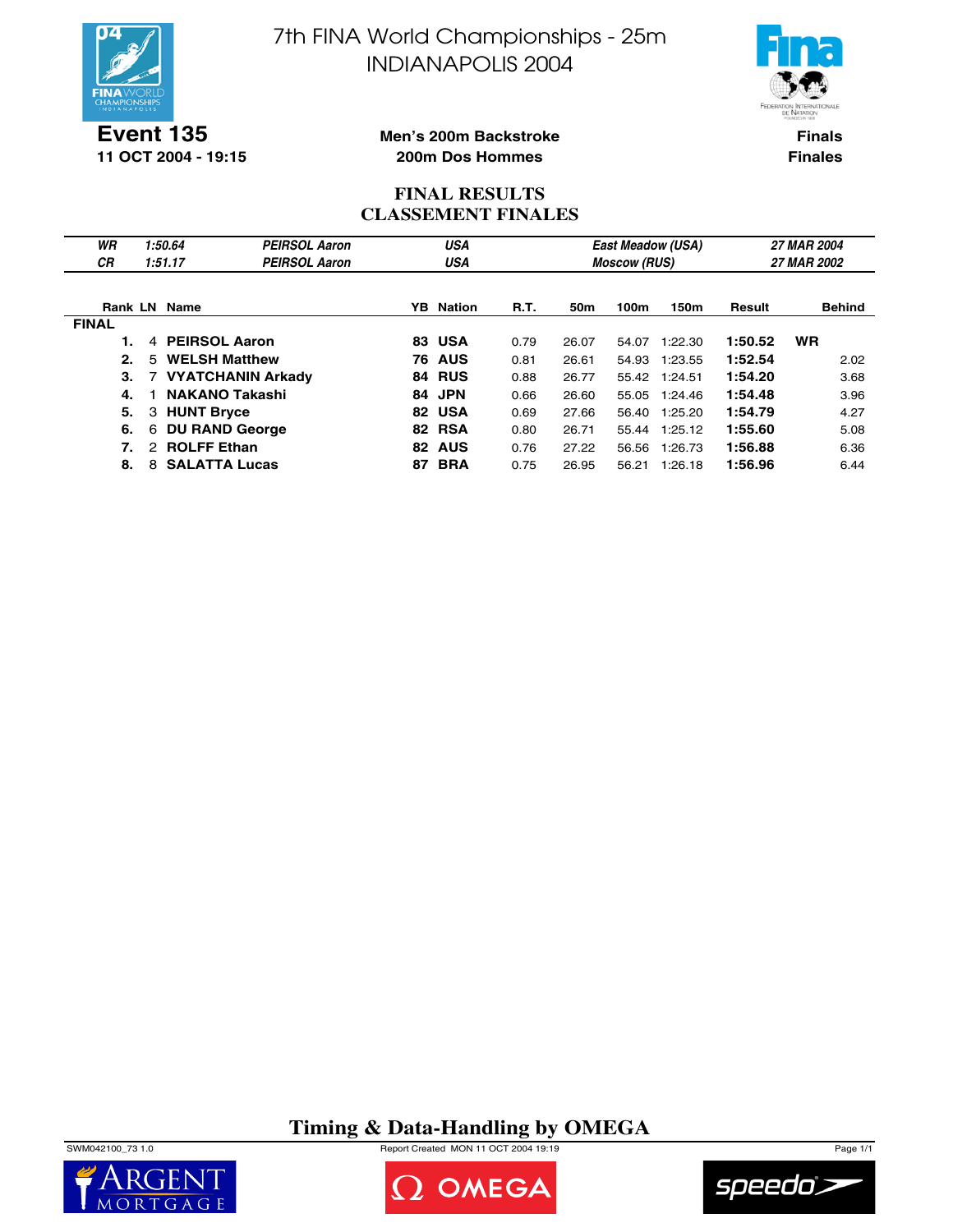

**Event 135 11 OCT 2004 - 19:15** 7th FINA World Championships - 25m INDIANAPOLIS 2004



**Finals Finales**

### **Men's 200m Backstroke 200m Dos Hommes**

### **FINAL RESULTS CLASSEMENT FINALES**

| WR<br><b>CR</b> | 1:50.64<br>1:51.17         | <b>PEIRSOL Aaron</b><br><b>PEIRSOL Aaron</b> | USA<br>USA |               |             |                 | <b>Moscow (RUS)</b> | East Meadow (USA) | 27 MAR 2004<br>27 MAR 2002 |               |  |
|-----------------|----------------------------|----------------------------------------------|------------|---------------|-------------|-----------------|---------------------|-------------------|----------------------------|---------------|--|
|                 | <b>Rank LN Name</b>        |                                              | YB.        | Nation        | <b>R.T.</b> | 50 <sub>m</sub> | 100m                | 150m              | Result                     | <b>Behind</b> |  |
| <b>FINAL</b>    |                            |                                              |            |               |             |                 |                     |                   |                            |               |  |
|                 | <b>PEIRSOL Aaron</b><br>4  |                                              |            | <b>83 USA</b> | 0.79        | 26.07           | 54.07               | 1:22.30           | 1:50.52                    | <b>WR</b>     |  |
| 2.              | <b>WELSH Matthew</b><br>.5 |                                              |            | <b>76 AUS</b> | 0.81        | 26.61           | 54.93               | 1:23.55           | 1:52.54                    | 2.02          |  |
| З.              |                            | 7 VYATCHANIN Arkady                          |            | 84 RUS        | 0.88        | 26.77           |                     | 55.42 1:24.51     | 1:54.20                    | 3.68          |  |
| 4.              | <b>NAKANO Takashi</b>      |                                              |            | 84 JPN        | 0.66        | 26.60           |                     | 55.05 1:24.46     | 1:54.48                    | 3.96          |  |
| 5.              | 3 HUNT Bryce               |                                              | 82         | <b>USA</b>    | 0.69        | 27.66           | 56.40               | 1:25.20           | 1:54.79                    | 4.27          |  |
| 6.              | <b>DU RAND George</b><br>6 |                                              |            | <b>82 RSA</b> | 0.80        | 26.71           | 55.44               | 1:25.12           | 1:55.60                    | 5.08          |  |
| 7.              | 2 ROLFF Ethan              |                                              | 82         | <b>AUS</b>    | 0.76        | 27.22           | 56.56               | 1:26.73           | 1:56.88                    | 6.36          |  |
| 8.              | 8 SALATTA Lucas            |                                              | 87         | <b>BRA</b>    | 0.75        | 26.95           | 56.21               | 1:26.18           | 1:56.96                    | 6.44          |  |

# **Timing & Data-Handling by OMEGA**

SWM042100\_73 1.0 Report Created MON 11 OCT 2004 19:19 Page 1/1





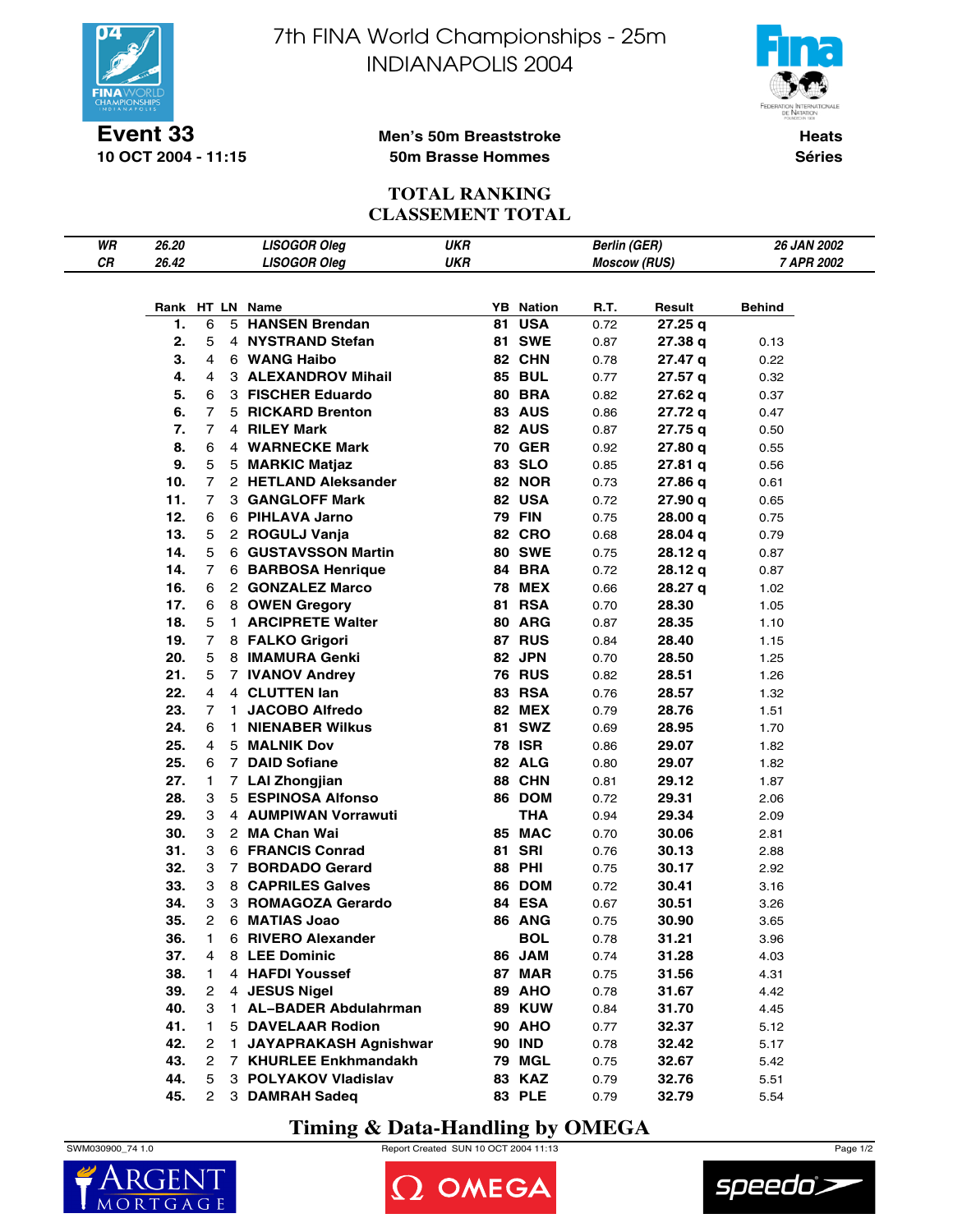

7th FINA World Championships - 25m INDIANAPOLIS 2004



**10 OCT 2004 - 11:15**

### **Men's 50m Breaststroke 50m Brasse Hommes**

**Heats Séries**

# **TOTAL RANKING CLASSEMENT TOTAL**

| WR | 26.20 |                |    | <b>LISOGOR Oleg</b>                      | <b>UKR</b> |    |                                | <b>Berlin (GER)</b> |         | 26 JAN 2002 |
|----|-------|----------------|----|------------------------------------------|------------|----|--------------------------------|---------------------|---------|-------------|
| CR | 26.42 |                |    | <b>LISOGOR Oleg</b>                      | <b>UKR</b> |    |                                | <b>Moscow (RUS)</b> |         | 7 APR 2002  |
|    |       |                |    |                                          |            |    |                                |                     |         |             |
|    |       |                |    |                                          |            |    |                                |                     |         |             |
|    |       |                |    | Rank HT LN Name<br><b>HANSEN Brendan</b> |            |    | <b>YB</b> Nation<br><b>USA</b> | R.T.                | Result  | Behind      |
|    | 1.    | 6              | 5  |                                          |            | 81 |                                | 0.72                | 27.25 q |             |
|    | 2.    | 5              |    | 4 NYSTRAND Stefan                        |            |    | <b>81 SWE</b>                  | 0.87                | 27.38 a | 0.13        |
|    | 3.    | 4              |    | 6 WANG Haibo                             |            |    | 82 CHN                         | 0.78                | 27.47 q | 0.22        |
|    | 4.    | 4              |    | 3 ALEXANDROV Mihail                      |            |    | <b>85 BUL</b>                  | 0.77                | 27.57 q | 0.32        |
|    | 5.    | 6              |    | 3 FISCHER Eduardo                        |            |    | <b>80 BRA</b>                  | 0.82                | 27.62 q | 0.37        |
|    | 6.    | 7              |    | 5 RICKARD Brenton                        |            |    | <b>83 AUS</b>                  | 0.86                | 27.72 q | 0.47        |
|    | 7.    | $\overline{7}$ |    | 4 RILEY Mark                             |            |    | 82 AUS                         | 0.87                | 27.75 q | 0.50        |
|    | 8.    | 6              |    | 4 WARNECKE Mark                          |            |    | <b>70 GER</b>                  | 0.92                | 27.80 q | 0.55        |
|    | 9.    | 5              |    | 5 MARKIC Matjaz                          |            |    | 83 SLO                         | 0.85                | 27.81 q | 0.56        |
|    | 10.   | $\overline{7}$ |    | 2 HETLAND Aleksander                     |            |    | <b>82 NOR</b>                  | 0.73                | 27.86 q | 0.61        |
|    | 11.   | $\overline{7}$ |    | 3 GANGLOFF Mark                          |            |    | 82 USA                         | 0.72                | 27.90 q | 0.65        |
|    | 12.   | 6              |    | 6 PIHLAVA Jarno                          |            |    | <b>79 FIN</b>                  | 0.75                | 28.00 q | 0.75        |
|    | 13.   | 5              |    | 2 ROGULJ Vanja                           |            |    | <b>82 CRO</b>                  | 0.68                | 28.04 q | 0.79        |
|    | 14.   | 5              |    | 6 GUSTAVSSON Martin                      |            |    | <b>80 SWE</b>                  | 0.75                | 28.12 q | 0.87        |
|    | 14.   | 7              |    | 6 BARBOSA Henrique                       |            |    | 84 BRA                         | 0.72                | 28.12 q | 0.87        |
|    | 16.   | 6              |    | 2 GONZALEZ Marco                         |            |    | <b>78 MEX</b>                  | 0.66                | 28.27 q | 1.02        |
|    | 17.   | 6              |    | 8 OWEN Gregory                           |            |    | <b>81 RSA</b>                  | 0.70                | 28.30   | 1.05        |
|    | 18.   | 5              |    | 1 ARCIPRETE Walter                       |            |    | 80 ARG                         | 0.87                | 28.35   | 1.10        |
|    | 19.   | 7              |    | 8 FALKO Grigori                          |            |    | 87 RUS                         | 0.84                | 28.40   | 1.15        |
|    | 20.   | 5              |    | 8 IMAMURA Genki                          |            |    | 82 JPN                         | 0.70                | 28.50   | 1.25        |
|    | 21.   | 5              |    | 7 IVANOV Andrey                          |            |    | <b>76 RUS</b>                  | 0.82                | 28.51   | 1.26        |
|    | 22.   | 4              |    | 4 CLUTTEN lan                            |            |    | 83 RSA                         | 0.76                | 28.57   | 1.32        |
|    | 23.   | 7              | 1. | <b>JACOBO Alfredo</b>                    |            |    | <b>82 MEX</b>                  | 0.79                | 28.76   | 1.51        |
|    | 24.   | 6              | 1. | <b>NIENABER Wilkus</b>                   |            |    | <b>81 SWZ</b>                  | 0.69                | 28.95   | 1.70        |
|    | 25.   | 4              |    | 5 MALNIK Dov                             |            |    | <b>78 ISR</b>                  | 0.86                | 29.07   | 1.82        |
|    | 25.   | 6              |    | 7 DAID Sofiane                           |            |    | 82 ALG                         | 0.80                | 29.07   | 1.82        |
|    | 27.   | 1              |    | 7 LAI Zhongjian                          |            |    | 88 CHN                         | 0.81                | 29.12   | 1.87        |
|    | 28.   | 3              |    | 5 ESPINOSA Alfonso                       |            |    | 86 DOM                         | 0.72                | 29.31   | 2.06        |
|    | 29.   | 3              |    | 4 AUMPIWAN Vorrawuti                     |            |    | <b>THA</b>                     | 0.94                | 29.34   | 2.09        |
|    | 30.   | 3              |    | 2 MA Chan Wai                            |            |    | 85 MAC                         | 0.70                | 30.06   | 2.81        |
|    | 31.   | 3              |    | 6 FRANCIS Conrad                         |            |    | <b>81 SRI</b>                  | 0.76                | 30.13   | 2.88        |
|    | 32.   | 3              |    | 7 BORDADO Gerard                         |            |    | <b>88 PHI</b>                  | 0.75                | 30.17   | 2.92        |
|    | 33.   | 3              |    | 8 CAPRILES Galves                        |            |    | 86 DOM                         | 0.72                | 30.41   | 3.16        |
|    | 34.   | 3              |    | 3 ROMAGOZA Gerardo                       |            |    | 84 ESA                         | 0.67                | 30.51   | 3.26        |
|    | 35.   | 2              |    | 6 MATIAS Joao                            |            |    | <b>86 ANG</b>                  | 0.75                | 30.90   | 3.65        |
|    | 36.   | 1              |    | 6 RIVERO Alexander                       |            |    | <b>BOL</b>                     | 0.78                | 31.21   | 3.96        |
|    | 37.   | 4              |    | 8 LEE Dominic                            |            |    | 86 JAM                         | 0.74                | 31.28   | 4.03        |
|    | 38.   | 1              |    | 4 HAFDI Youssef                          |            |    | 87 MAR                         | 0.75                | 31.56   | 4.31        |
|    | 39.   | 2              |    | 4 JESUS Nigel                            |            |    | 89 AHO                         | 0.78                | 31.67   | 4.42        |
|    | 40.   | 3              |    | 1 AL-BADER Abdulahrman                   |            |    | <b>89 KUW</b>                  | 0.84                | 31.70   | 4.45        |
|    | 41.   | 1              |    | <b>5 DAVELAAR Rodion</b>                 |            |    | <b>90 AHO</b>                  | 0.77                | 32.37   | 5.12        |
|    | 42.   | 2              | 1. | <b>JAYAPRAKASH Agnishwar</b>             |            |    | <b>90 IND</b>                  | 0.78                | 32.42   | 5.17        |
|    | 43.   | 2              |    | 7 KHURLEE Enkhmandakh                    |            |    | 79 MGL                         | 0.75                | 32.67   | 5.42        |
|    | 44.   | 5              |    | 3 POLYAKOV Vladislav                     |            |    | <b>83 KAZ</b>                  | 0.79                | 32.76   | 5.51        |
|    | 45.   | $^{2}$         |    | 3 DAMRAH Sadeq                           |            |    | <b>83 PLE</b>                  | 0.79                | 32.79   | 5.54        |

# **Timing & Data-Handling by OMEGA**







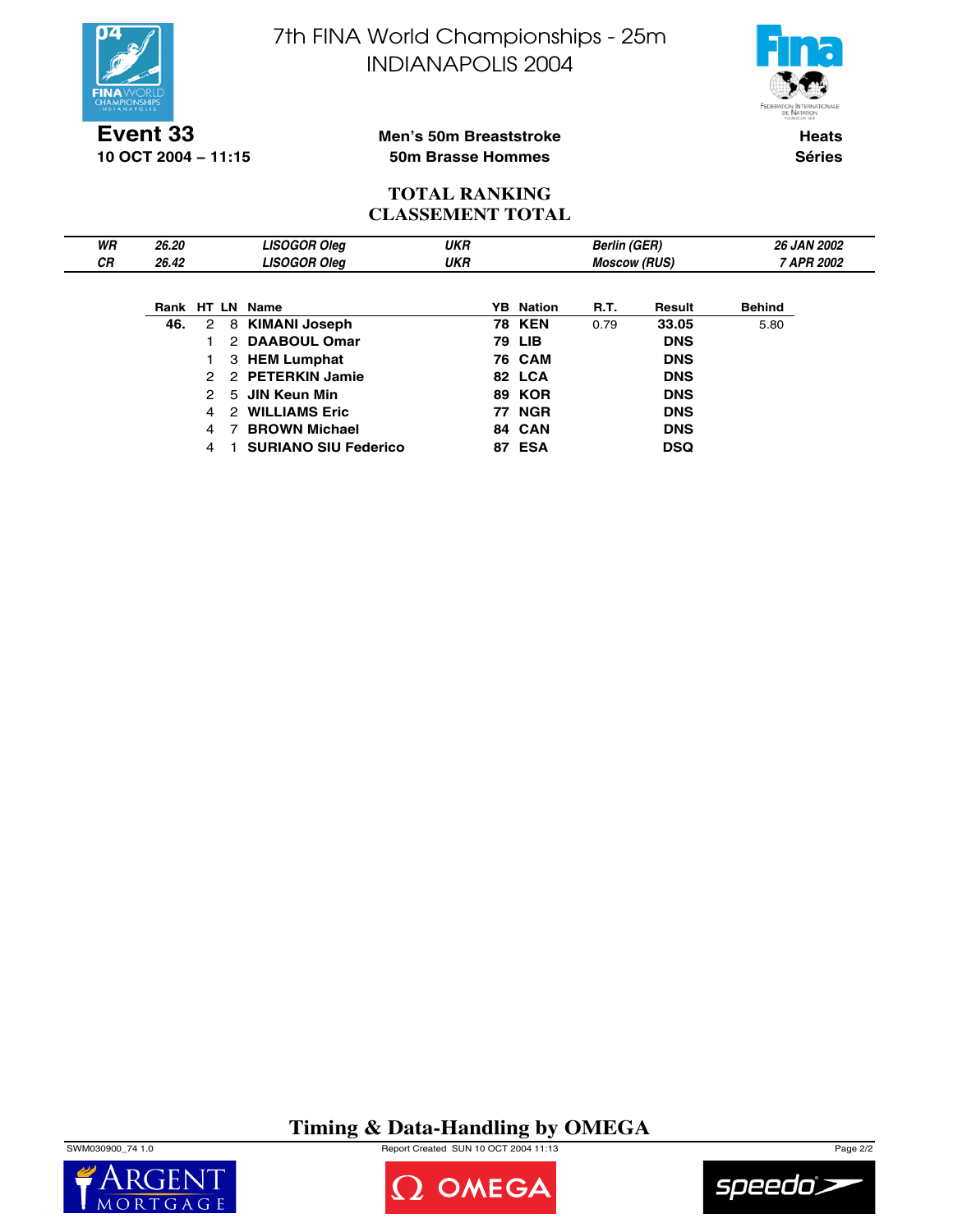



**Event 33 10 OCT 2004 − 11:15**

### **Men's 50m Breaststroke 50m Brasse Hommes**

**Heats Séries**

## **TOTAL RANKING CLASSEMENT TOTAL**

| WR        | 26.20 |               |   | <b>LISOGOR Oleg</b>         | <b>UKR</b> |  |                     | <b>Berlin (GER)</b> |            |               | <b>26 JAN 2002</b> |
|-----------|-------|---------------|---|-----------------------------|------------|--|---------------------|---------------------|------------|---------------|--------------------|
| <b>CR</b> | 26.42 |               |   | <b>LISOGOR Oleg</b>         | <b>UKR</b> |  | <b>Moscow (RUS)</b> |                     | 7 APR 2002 |               |                    |
|           |       |               |   |                             |            |  |                     |                     |            |               |                    |
|           |       |               |   | Rank HT LN Name             |            |  | <b>YB</b> Nation    | <b>R.T.</b>         | Result     | <b>Behind</b> |                    |
|           | 46.   | 2             |   | 8 KIMANI Joseph             |            |  | <b>78 KEN</b>       | 0.79                | 33.05      | 5.80          |                    |
|           |       |               |   | 2 DAABOUL Omar              |            |  | 79 LIB              |                     | <b>DNS</b> |               |                    |
|           |       |               |   | 3 HEM Lumphat               |            |  | <b>76 CAM</b>       |                     | <b>DNS</b> |               |                    |
|           |       | $\mathcal{P}$ |   | 2 PETERKIN Jamie            |            |  | 82 LCA              |                     | <b>DNS</b> |               |                    |
|           |       | 2             |   | 5 JIN Keun Min              |            |  | <b>89 KOR</b>       |                     | <b>DNS</b> |               |                    |
|           |       | 4             | 2 | <b>WILLIAMS Eric</b>        |            |  | <b>77 NGR</b>       |                     | <b>DNS</b> |               |                    |
|           |       | 4             |   | <b>BROWN Michael</b>        |            |  | 84 CAN              |                     | <b>DNS</b> |               |                    |
|           |       | 4             |   | <b>SURIANO SIU Federico</b> |            |  | <b>87 ESA</b>       |                     | <b>DSQ</b> |               |                    |

# **Timing & Data-Handling by OMEGA**

SWM030900\_74 1.0 Report Created SUN 10 OCT 2004 11:13 Page 2/2





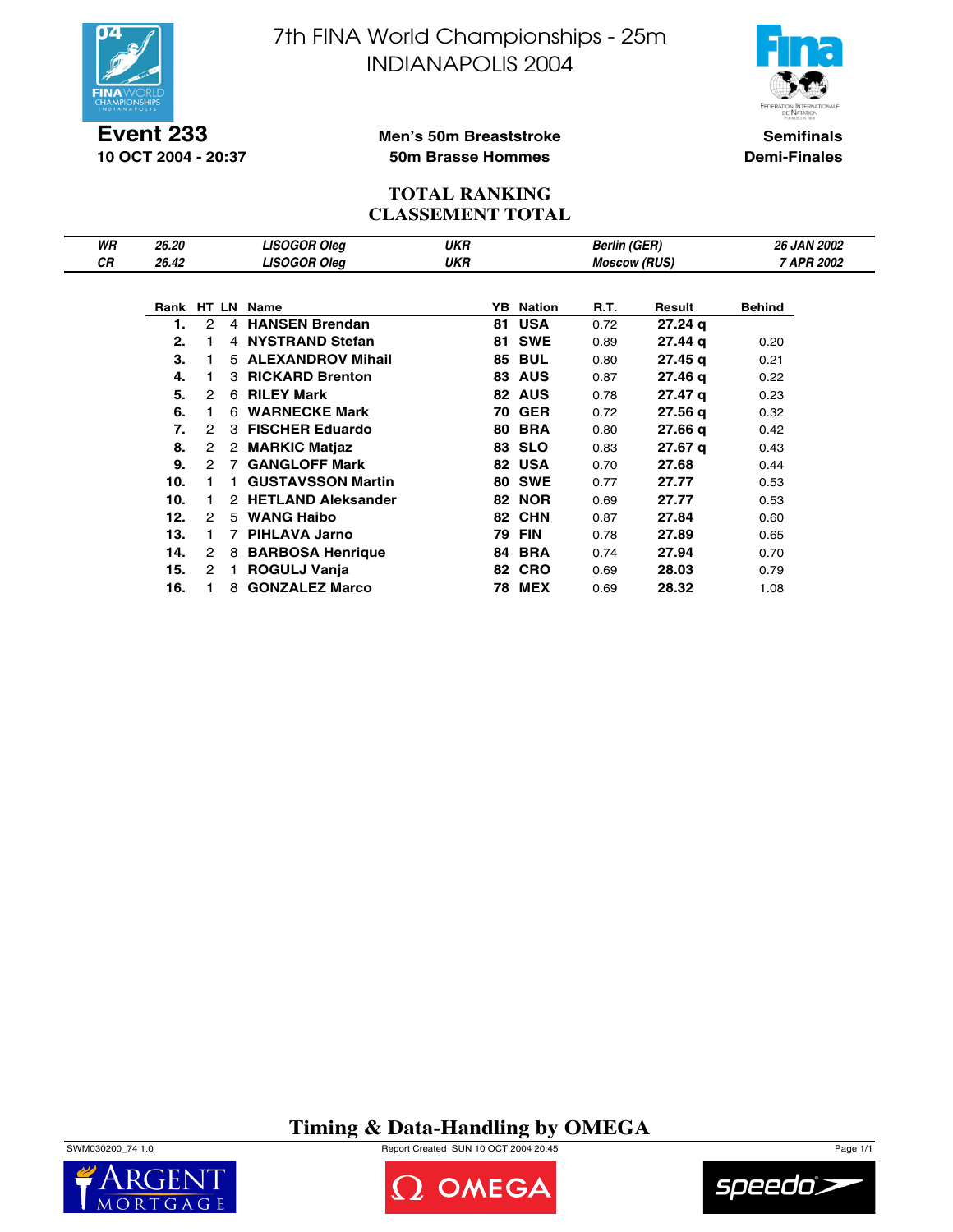

**Event 233 10 OCT 2004 - 20:37** 7th FINA World Championships - 25m INDIANAPOLIS 2004



**Semifinals Demi-Finales**

#### **Men's 50m Breaststroke 50m Brasse Hommes**

### **TOTAL RANKING CLASSEMENT TOTAL**

| WR | 26.20 |                      |    | <b>LISOGOR Oleg</b>      | UKR |     |               | <b>Berlin (GER)</b> |                    | <b>26 JAN 2002</b> |  |
|----|-------|----------------------|----|--------------------------|-----|-----|---------------|---------------------|--------------------|--------------------|--|
| СR | 26.42 |                      |    | <b>LISOGOR Oleg</b>      | UKR |     |               | <b>Moscow (RUS)</b> |                    | 7 APR 2002         |  |
|    |       |                      |    |                          |     |     |               |                     |                    |                    |  |
|    |       |                      |    | Rank HT LN Name          |     | YB. | <b>Nation</b> | R.T.                | Result             | <b>Behind</b>      |  |
|    | 1.    | 2                    |    | 4 HANSEN Brendan         |     | 81  | <b>USA</b>    | 0.72                | 27.24 <sub>q</sub> |                    |  |
|    | 2.    |                      |    | 4 NYSTRAND Stefan        |     | 81  | <b>SWE</b>    | 0.89                | 27.44 g            | 0.20               |  |
|    | 3.    |                      |    | 5 ALEXANDROV Mihail      |     | 85  | <b>BUL</b>    | 0.80                | 27.45 g            | 0.21               |  |
|    | 4.    |                      |    | 3 RICKARD Brenton        |     | 83  | <b>AUS</b>    | 0.87                | 27.46 g            | 0.22               |  |
|    | 5.    | 2                    |    | 6 RILEY Mark             |     |     | 82 AUS        | 0.78                | 27.47 g            | 0.23               |  |
|    | 6.    |                      | 6. | <b>WARNECKE Mark</b>     |     | 70  | <b>GER</b>    | 0.72                | 27.56 g            | 0.32               |  |
|    | 7.    | 2                    | 3  | <b>FISCHER Eduardo</b>   |     | 80  | <b>BRA</b>    | 0.80                | 27.66q             | 0.42               |  |
|    | 8.    | 2                    | 2  | <b>MARKIC Matiaz</b>     |     | 83  | <b>SLO</b>    | 0.83                | 27.67 g            | 0.43               |  |
|    | 9.    | $\mathbf{2}^{\circ}$ | 7  | <b>GANGLOFF Mark</b>     |     |     | 82 USA        | 0.70                | 27.68              | 0.44               |  |
|    | 10.   |                      |    | <b>GUSTAVSSON Martin</b> |     |     | <b>80 SWE</b> | 0.77                | 27.77              | 0.53               |  |
|    | 10.   |                      |    | 2 HETLAND Aleksander     |     | 82  | <b>NOR</b>    | 0.69                | 27.77              | 0.53               |  |
|    | 12.   | 2                    | 5  | <b>WANG Haibo</b>        |     | 82  | <b>CHN</b>    | 0.87                | 27.84              | 0.60               |  |
|    | 13.   |                      |    | <b>PIHLAVA Jarno</b>     |     | 79  | <b>FIN</b>    | 0.78                | 27.89              | 0.65               |  |
|    | 14.   | 2                    | 8  | <b>BARBOSA Henrique</b>  |     | 84  | <b>BRA</b>    | 0.74                | 27.94              | 0.70               |  |
|    | 15.   | $\mathbf{2}^{\circ}$ |    | <b>ROGULJ Vanja</b>      |     | 82  | <b>CRO</b>    | 0.69                | 28.03              | 0.79               |  |
|    | 16.   |                      | 8  | <b>GONZALEZ Marco</b>    |     | 78  | <b>MEX</b>    | 0.69                | 28.32              | 1.08               |  |

**Timing & Data-Handling by OMEGA**





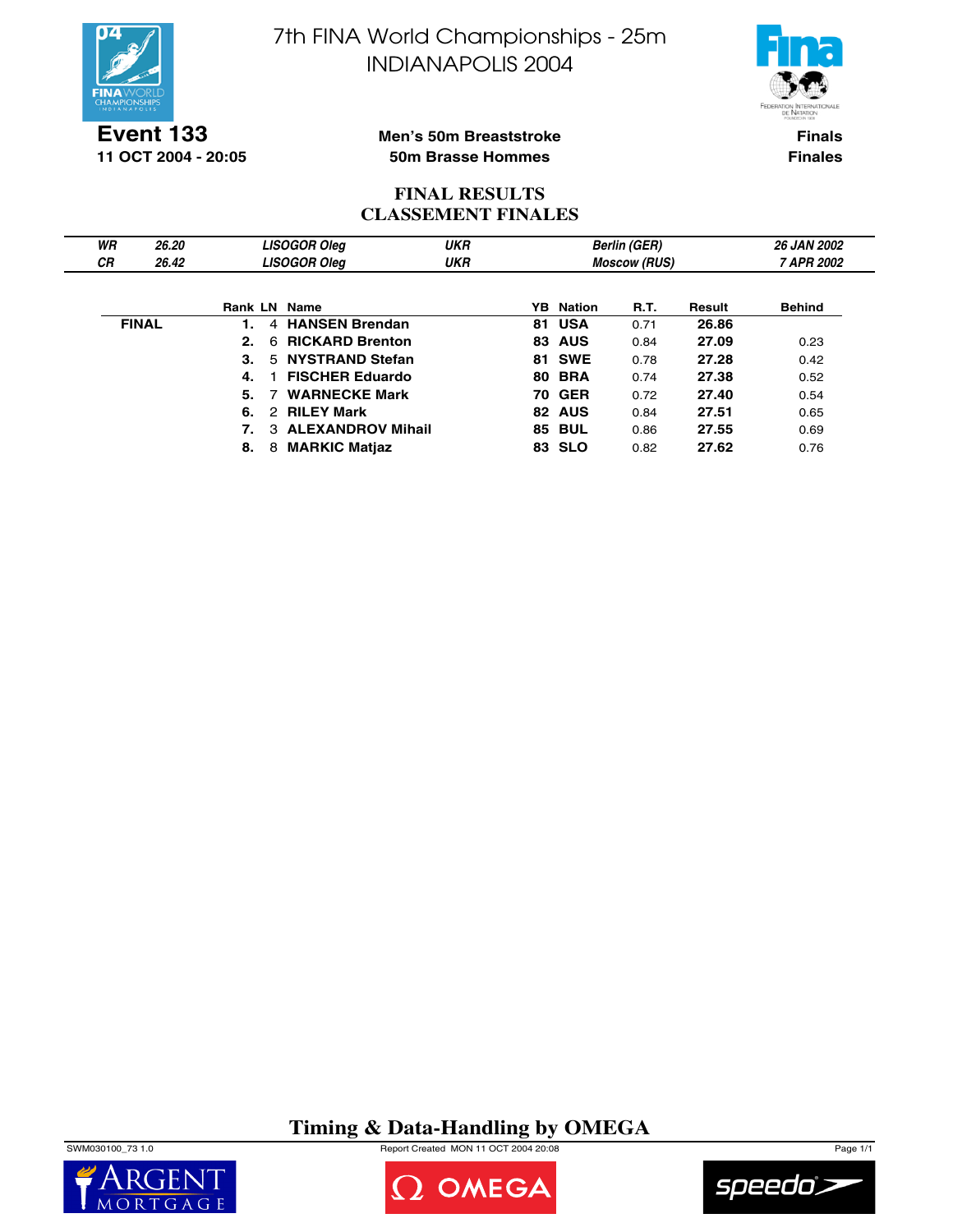



**Event 133 11 OCT 2004 - 20:05**

### **Men's 50m Breaststroke 50m Brasse Hommes**

**Finals Finales**

## **FINAL RESULTS CLASSEMENT FINALES**

| WR        | 26.20        |                     | <b>LISOGOR Oleg</b>    | <b>UKR</b> |     |               | <b>Berlin (GER)</b> |        | <b>26 JAN 2002</b> |
|-----------|--------------|---------------------|------------------------|------------|-----|---------------|---------------------|--------|--------------------|
| <b>CR</b> | 26.42        |                     | <b>LISOGOR Oleg</b>    | UKR        |     |               | <b>Moscow (RUS)</b> |        | 7 APR 2002         |
|           |              | <b>Rank LN Name</b> |                        |            | YB. | Nation        | <b>R.T.</b>         | Result | <b>Behind</b>      |
|           | <b>FINAL</b> | 4                   | <b>HANSEN Brendan</b>  |            | 81  | <b>USA</b>    | 0.71                | 26.86  |                    |
|           |              | 2.<br>6.            | <b>RICKARD Brenton</b> |            |     | <b>83 AUS</b> | 0.84                | 27.09  | 0.23               |
|           |              | 3.                  | 5 NYSTRAND Stefan      |            |     | <b>81 SWE</b> | 0.78                | 27.28  | 0.42               |
|           |              | 4.                  | <b>FISCHER Eduardo</b> |            |     | <b>80 BRA</b> | 0.74                | 27.38  | 0.52               |
|           |              | 5.                  | <b>WARNECKE Mark</b>   |            |     | <b>70 GER</b> | 0.72                | 27.40  | 0.54               |
|           |              | 6.                  | 2 RILEY Mark           |            |     | 82 AUS        | 0.84                | 27.51  | 0.65               |
|           |              |                     | 3 ALEXANDROV Mihail    |            |     | <b>85 BUL</b> | 0.86                | 27.55  | 0.69               |
|           |              | 8.<br>8             | <b>MARKIC Matjaz</b>   |            | 83  | <b>SLO</b>    | 0.82                | 27.62  | 0.76               |

**Timing & Data-Handling by OMEGA**

SWM030100\_73 1.0 Report Created MON 11 OCT 2004 20:08 Page 1/1





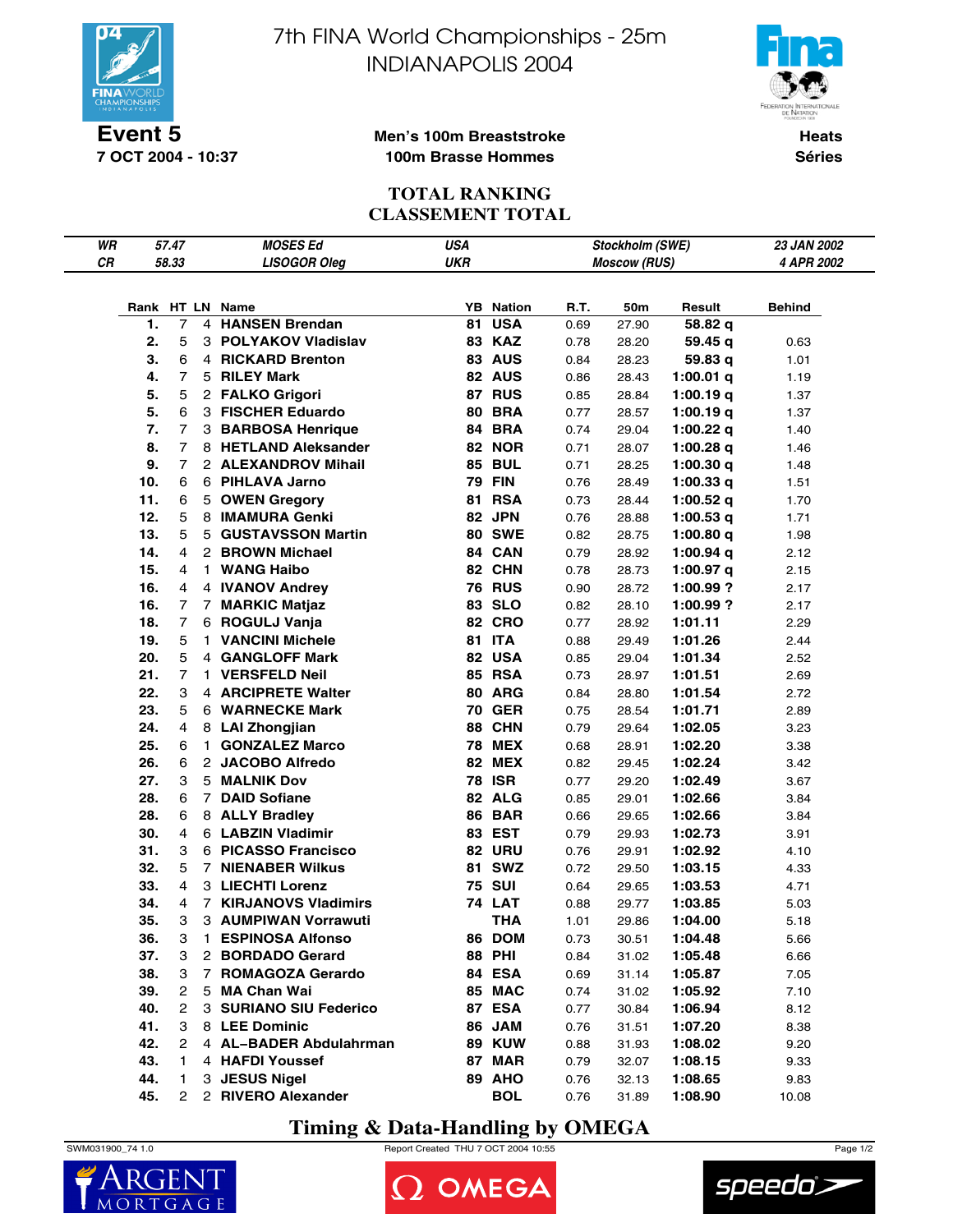

**7 OCT 2004 - 10:37**

7th FINA World Championships - 25m INDIANAPOLIS 2004



#### **Men's 100m Breaststroke 100m Brasse Hommes**

**Heats Séries**

# **TOTAL RANKING CLASSEMENT TOTAL**

| WR |     | 57.47          |                | <b>MOSES Ed</b>                          | <b>USA</b> |                                |              | Stockholm (SWE)     |                            | <b>23 JAN 2002</b> |
|----|-----|----------------|----------------|------------------------------------------|------------|--------------------------------|--------------|---------------------|----------------------------|--------------------|
| CR |     | 58.33          |                | <b>LISOGOR Oleg</b>                      | <b>UKR</b> |                                |              | <b>Moscow (RUS)</b> |                            | 4 APR 2002         |
|    |     |                |                |                                          |            |                                |              |                     |                            |                    |
|    |     |                |                |                                          |            |                                |              |                     |                            |                    |
|    | 1.  | $\overline{7}$ | 4              | Rank HT LN Name<br><b>HANSEN Brendan</b> | 81         | <b>YB</b> Nation<br><b>USA</b> | R.T.<br>0.69 | 50m<br>27.90        | Result<br>58.82 q          | Behind             |
|    | 2.  | 5              |                | 3 POLYAKOV Vladislav                     |            | 83 KAZ                         | 0.78         | 28.20               | 59.45 g                    |                    |
|    | 3.  | 6              |                | 4 RICKARD Brenton                        |            | <b>83 AUS</b>                  | 0.84         | 28.23               | 59.83 q                    | 0.63<br>1.01       |
|    | 4.  | 7              |                | 5 RILEY Mark                             |            | 82 AUS                         | 0.86         | 28.43               | 1:00.01 $q$                | 1.19               |
|    | 5.  | 5              |                | 2 FALKO Grigori                          |            | 87 RUS                         | 0.85         | 28.84               | 1:00.19q                   |                    |
|    | 5.  | 6              |                | 3 FISCHER Eduardo                        |            | <b>80 BRA</b>                  | 0.77         |                     |                            | 1.37               |
|    | 7.  | 7              |                | 3 BARBOSA Henrique                       |            | 84 BRA                         | 0.74         | 28.57<br>29.04      | 1:00.19 $q$<br>$1:00.22$ q | 1.37               |
|    | 8.  | $\overline{7}$ |                | 8 HETLAND Aleksander                     |            | <b>82 NOR</b>                  |              |                     |                            | 1.40               |
|    | 9.  | $\overline{7}$ |                | 2 ALEXANDROV Mihail                      |            | <b>85 BUL</b>                  | 0.71         | 28.07               | 1:00.28 $q$                | 1.46               |
|    | 10. |                |                | 6 PIHLAVA Jarno                          |            | <b>79 FIN</b>                  | 0.71         | 28.25               | 1:00.30 $q$                | 1.48               |
|    |     | 6              |                |                                          |            |                                | 0.76         | 28.49               | 1:00.33 $q$                | 1.51               |
|    | 11. | 6              |                | 5 OWEN Gregory                           | 81         | <b>RSA</b>                     | 0.73         | 28.44               | 1:00.52 $q$                | 1.70               |
|    | 12. | 5              |                | 8 IMAMURA Genki                          |            | 82 JPN                         | 0.76         | 28.88               | 1:00.53 $q$                | 1.71               |
|    | 13. | 5              |                | 5 GUSTAVSSON Martin                      |            | <b>80 SWE</b>                  | 0.82         | 28.75               | 1:00.80 $q$                | 1.98               |
|    | 14. | 4              |                | 2 BROWN Michael                          |            | 84 CAN                         | 0.79         | 28.92               | 1:00.94 $q$                | 2.12               |
|    | 15. | 4              | 1.             | <b>WANG Haibo</b>                        |            | 82 CHN                         | 0.78         | 28.73               | 1:00.97 $q$                | 2.15               |
|    | 16. | 4              |                | 4 <b>IVANOV Andrey</b>                   |            | <b>76 RUS</b>                  | 0.90         | 28.72               | 1:00.99?                   | 2.17               |
|    | 16. | $\overline{7}$ |                | 7 MARKIC Matjaz                          |            | 83 SLO                         | 0.82         | 28.10               | 1:00.99?                   | 2.17               |
|    | 18. | $\overline{7}$ |                | 6 ROGULJ Vanja                           |            | <b>82 CRO</b>                  | 0.77         | 28.92               | 1:01.11                    | 2.29               |
|    | 19. | 5              |                | 1 VANCINI Michele                        |            | 81 ITA                         | 0.88         | 29.49               | 1:01.26                    | 2.44               |
|    | 20. | 5              |                | 4 GANGLOFF Mark                          |            | 82 USA                         | 0.85         | 29.04               | 1:01.34                    | 2.52               |
|    | 21. | $\overline{7}$ |                | 1 VERSFELD Neil                          |            | <b>85 RSA</b>                  | 0.73         | 28.97               | 1:01.51                    | 2.69               |
|    | 22. | 3              |                | 4 ARCIPRETE Walter                       |            | 80 ARG                         | 0.84         | 28.80               | 1:01.54                    | 2.72               |
|    | 23. | 5              |                | 6 WARNECKE Mark                          |            | <b>70 GER</b>                  | 0.75         | 28.54               | 1:01.71                    | 2.89               |
|    | 24. | 4              |                | 8 LAI Zhongjian                          |            | 88 CHN                         | 0.79         | 29.64               | 1:02.05                    | 3.23               |
|    | 25. | 6              | 1.             | <b>GONZALEZ Marco</b>                    |            | <b>78 MEX</b>                  | 0.68         | 28.91               | 1:02.20                    | 3.38               |
|    | 26. | 6              |                | 2 JACOBO Alfredo                         |            | <b>82 MEX</b>                  | 0.82         | 29.45               | 1:02.24                    | 3.42               |
|    | 27. | 3              |                | <b>5 MALNIK Dov</b>                      |            | <b>78 ISR</b>                  | 0.77         | 29.20               | 1:02.49                    | 3.67               |
|    | 28. | 6              | $\overline{7}$ | <b>DAID Sofiane</b>                      |            | 82 ALG                         | 0.85         | 29.01               | 1:02.66                    | 3.84               |
|    | 28. | 6              |                | 8 ALLY Bradley                           |            | <b>86 BAR</b>                  | 0.66         | 29.65               | 1:02.66                    | 3.84               |
|    | 30. | 4              |                | 6 LABZIN Vladimir                        |            | 83 EST                         | 0.79         | 29.93               | 1:02.73                    | 3.91               |
|    | 31. | 3              |                | 6 PICASSO Francisco                      |            | <b>82 URU</b>                  | 0.76         | 29.91               | 1:02.92                    | 4.10               |
|    | 32. | 5              |                | <b>7 NIENABER Wilkus</b>                 |            | 81 SWZ                         | 0.72         | 29.50               | 1:03.15                    | 4.33               |
|    | 33. | 4              |                | 3 LIECHTI Lorenz                         |            | <b>75 SUI</b>                  | 0.64         | 29.65               | 1:03.53                    | 4.71               |
|    | 34. | 4              |                | <b>7 KIRJANOVS Vladimirs</b>             |            | <b>74 LAT</b>                  | 0.88         | 29.77               | 1:03.85                    | 5.03               |
|    | 35. | 3              |                | <b>3 AUMPIWAN Vorrawuti</b>              |            | <b>THA</b>                     | 1.01         | 29.86               | 1:04.00                    | 5.18               |
|    | 36. | З              | $\mathbf{1}$   | <b>ESPINOSA Alfonso</b>                  |            | 86 DOM                         | 0.73         | 30.51               | 1:04.48                    | 5.66               |
|    | 37. | 3              |                | 2 BORDADO Gerard                         |            | <b>88 PHI</b>                  | 0.84         | 31.02               | 1:05.48                    | 6.66               |
|    | 38. | 3              |                | 7 ROMAGOZA Gerardo                       |            | 84 ESA                         | 0.69         | 31.14               | 1:05.87                    | 7.05               |
|    | 39. | 2              |                | 5 MA Chan Wai                            |            | 85 MAC                         | 0.74         | 31.02               | 1:05.92                    | 7.10               |
|    | 40. | 2              |                | 3 SURIANO SIU Federico                   |            | 87 ESA                         | 0.77         | 30.84               | 1:06.94                    | 8.12               |
|    | 41. | 3              |                | 8 LEE Dominic                            |            | 86 JAM                         | 0.76         | 31.51               | 1:07.20                    | 8.38               |
|    | 42. | 2              |                | 4 AL-BADER Abdulahrman                   |            | <b>89 KUW</b>                  | 0.88         | 31.93               | 1:08.02                    | 9.20               |
|    | 43. | 1.             |                | 4 HAFDI Youssef                          |            | 87 MAR                         | 0.79         | 32.07               | 1:08.15                    | 9.33               |
|    | 44. | 1              |                | 3 JESUS Nigel                            |            | 89 AHO                         | 0.76         | 32.13               | 1:08.65                    | 9.83               |
|    | 45. |                |                | 2 2 RIVERO Alexander                     |            | <b>BOL</b>                     | 0.76         | 31.89               | 1:08.90                    | 10.08              |

# **Timing & Data-Handling by OMEGA**



SWM031900\_74 1.0 Report Created THU 7 OCT 2004 10:55 Page 1/2



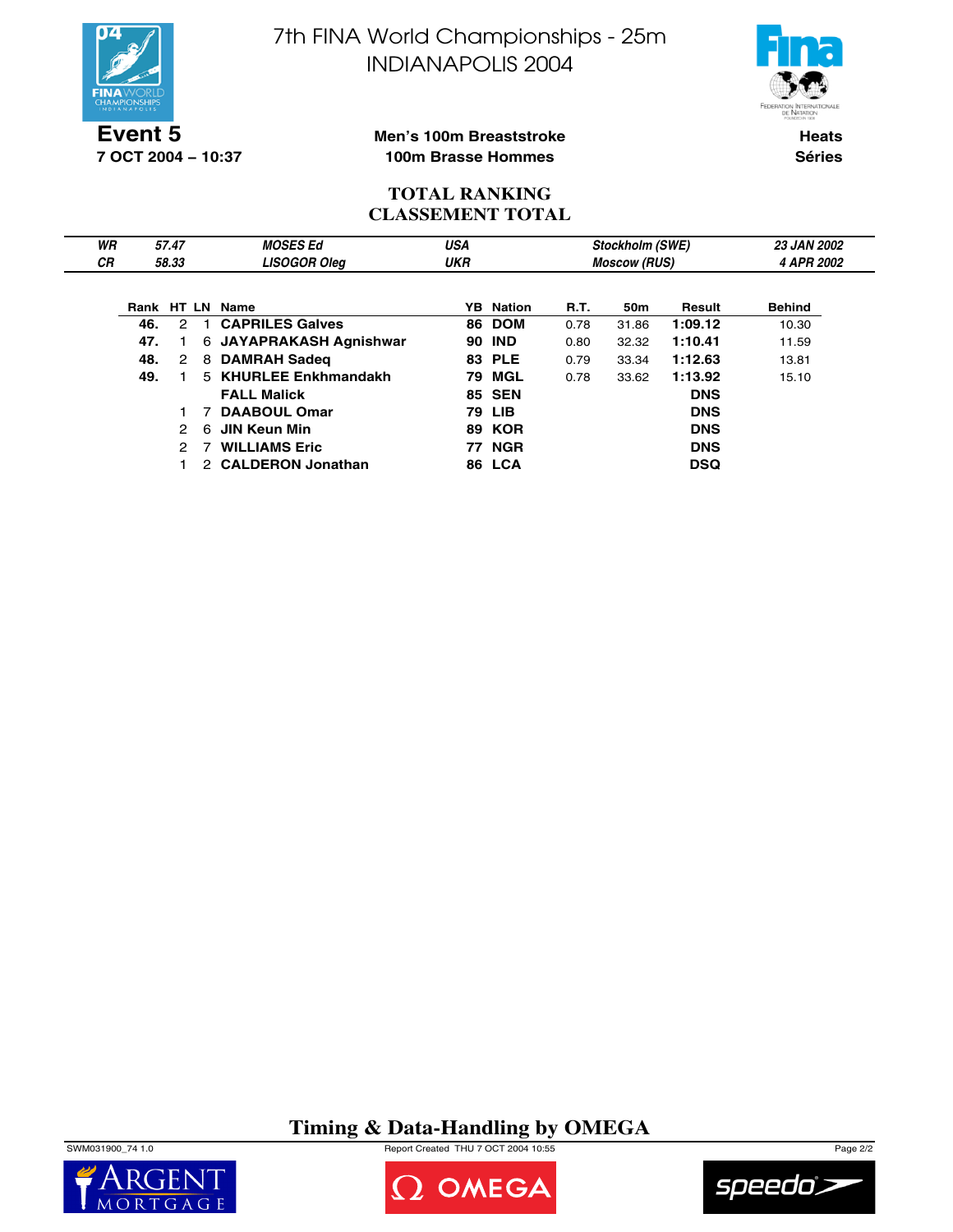

**7 OCT 2004 − 10:37**

7th FINA World Championships - 25m INDIANAPOLIS 2004



### **Men's 100m Breaststroke 100m Brasse Hommes**

**Heats Séries**

## **TOTAL RANKING CLASSEMENT TOTAL**

| WR        |     | 57.47                |              | <b>MOSES Ed</b>         | <b>USA</b> |                  |      | Stockholm (SWE)     |            | <b>23 JAN 2002</b> |  |
|-----------|-----|----------------------|--------------|-------------------------|------------|------------------|------|---------------------|------------|--------------------|--|
| <b>CR</b> |     | 58.33                |              | <b>LISOGOR Oleg</b>     | <b>UKR</b> |                  |      | <b>Moscow (RUS)</b> |            | 4 APR 2002         |  |
|           |     |                      |              |                         |            |                  |      |                     |            |                    |  |
|           |     |                      |              | Rank HT LN Name         |            | <b>YB</b> Nation | R.T. | 50m                 | Result     | <b>Behind</b>      |  |
|           | 46. | $\mathcal{P}$        | $\mathbf{1}$ | <b>CAPRILES Galves</b>  |            | 86 DOM           | 0.78 | 31.86               | 1:09.12    | 10.30              |  |
|           | 47. |                      |              | 6 JAYAPRAKASH Agnishwar | 90         | <b>IND</b>       | 0.80 | 32.32               | 1:10.41    | 11.59              |  |
|           | 48. | $\mathbf{2}^{\circ}$ | 8            | <b>DAMRAH Sadeg</b>     |            | <b>83 PLE</b>    | 0.79 | 33.34               | 1:12.63    | 13.81              |  |
|           | 49. |                      |              | 5 KHURLEE Enkhmandakh   | 79         | MGL              | 0.78 | 33.62               | 1:13.92    | 15.10              |  |
|           |     |                      |              | <b>FALL Malick</b>      |            | <b>85 SEN</b>    |      |                     | <b>DNS</b> |                    |  |
|           |     |                      |              | <b>DAABOUL Omar</b>     |            | 79 LIB           |      |                     | <b>DNS</b> |                    |  |
|           |     | 2                    | 6            | JIN Keun Min            |            | <b>89 KOR</b>    |      |                     | <b>DNS</b> |                    |  |
|           |     |                      |              | <b>WILLIAMS Eric</b>    | 77.        | <b>NGR</b>       |      |                     | <b>DNS</b> |                    |  |
|           |     |                      |              | 2 CALDERON Jonathan     |            | 86 LCA           |      |                     | <b>DSQ</b> |                    |  |

**Timing & Data-Handling by OMEGA**

SWM031900\_74 1.0 Report Created THU 7 OCT 2004 10:55 Page 2/2





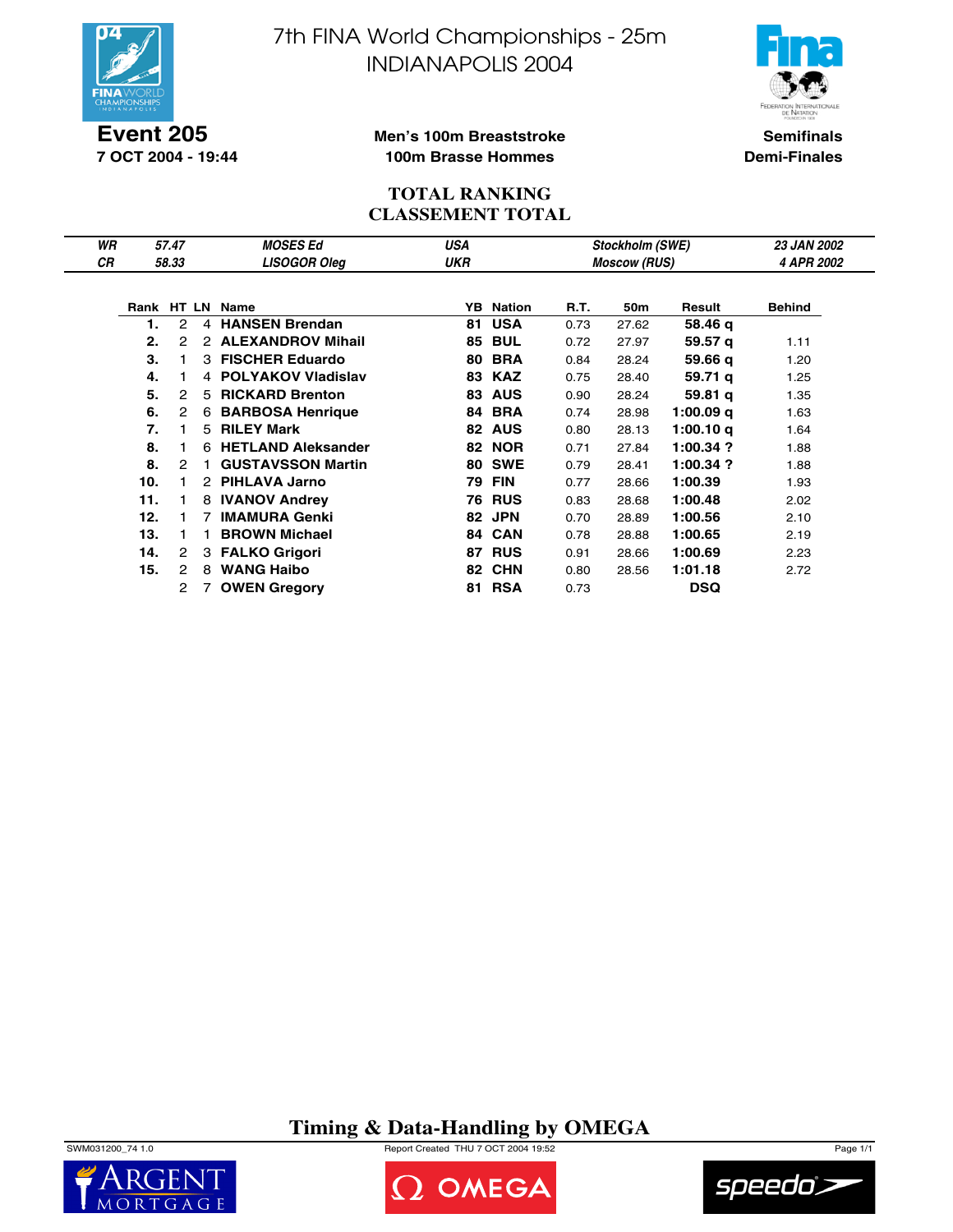

**Event 205 7 OCT 2004 - 19:44** 7th FINA World Championships - 25m INDIANAPOLIS 2004



**Semifinals Demi-Finales**

### **Men's 100m Breaststroke 100m Brasse Hommes**

### **TOTAL RANKING CLASSEMENT TOTAL**

| WR        |     | 57.47         |                | <b>MOSES Ed</b>          | USA        |                  |      | <b>Stockholm (SWE)</b> |             | <b>23 JAN 2002</b> |
|-----------|-----|---------------|----------------|--------------------------|------------|------------------|------|------------------------|-------------|--------------------|
| <b>CR</b> |     | 58.33         |                | <b>LISOGOR Oleg</b>      | <b>UKR</b> |                  |      | <b>Moscow (RUS)</b>    |             | 4 APR 2002         |
|           |     |               |                |                          |            |                  |      |                        |             |                    |
|           |     |               |                | Rank HT LN Name          |            | <b>YB</b> Nation | R.T. | 50m                    | Result      | <b>Behind</b>      |
|           |     | 2             | $\overline{4}$ | <b>HANSEN Brendan</b>    | 81         | <b>USA</b>       | 0.73 | 27.62                  | 58.46 q     |                    |
|           | 2.  | 2             | 2              | <b>ALEXANDROV Mihail</b> | 85         | <b>BUL</b>       | 0.72 | 27.97                  | 59.57 g     | 1.11               |
|           | 3.  |               |                | 3 FISCHER Eduardo        | 80         | <b>BRA</b>       | 0.84 | 28.24                  | 59.66 g     | 1.20               |
|           | 4.  |               |                | 4 POLYAKOV Vladislav     |            | 83 KAZ           | 0.75 | 28.40                  | 59.71 g     | 1.25               |
|           | 5.  | $\mathcal{P}$ | 5.             | <b>RICKARD Brenton</b>   | 83         | <b>AUS</b>       | 0.90 | 28.24                  | 59.81 g     | 1.35               |
|           | 6.  | 2             | 6              | <b>BARBOSA Henrique</b>  | 84         | <b>BRA</b>       | 0.74 | 28.98                  | 1:00.09 q   | 1.63               |
|           | 7.  |               | 5              | <b>RILEY Mark</b>        | 82         | <b>AUS</b>       | 0.80 | 28.13                  | 1:00.10 g   | 1.64               |
|           | 8.  |               |                | 6 HETLAND Aleksander     |            | <b>82 NOR</b>    | 0.71 | 27.84                  | $1:00.34$ ? | 1.88               |
|           | 8.  | $\mathcal{P}$ | 1.             | <b>GUSTAVSSON Martin</b> |            | <b>80 SWE</b>    | 0.79 | 28.41                  | 1:00.34 ?   | 1.88               |
|           | 10. |               | 2              | PIHLAVA Jarno            | 79         | <b>FIN</b>       | 0.77 | 28.66                  | 1:00.39     | 1.93               |
|           | 11. |               | 8              | <b>IVANOV Andrey</b>     | 76         | <b>RUS</b>       | 0.83 | 28.68                  | 1:00.48     | 2.02               |
|           | 12. |               |                | <b>IMAMURA Genki</b>     | 82         | <b>JPN</b>       | 0.70 | 28.89                  | 1:00.56     | 2.10               |
|           | 13. |               | 1.             | <b>BROWN Michael</b>     |            | 84 CAN           | 0.78 | 28.88                  | 1:00.65     | 2.19               |
|           | 14. | 2             |                | 3 FALKO Grigori          | 87         | <b>RUS</b>       | 0.91 | 28.66                  | 1:00.69     | 2.23               |
|           | 15. | 2             | 8              | <b>WANG Haibo</b>        | 82         | <b>CHN</b>       | 0.80 | 28.56                  | 1:01.18     | 2.72               |
|           |     | 2             |                | <b>OWEN Gregory</b>      | 81         | <b>RSA</b>       | 0.73 |                        | <b>DSQ</b>  |                    |

**Timing & Data-Handling by OMEGA**







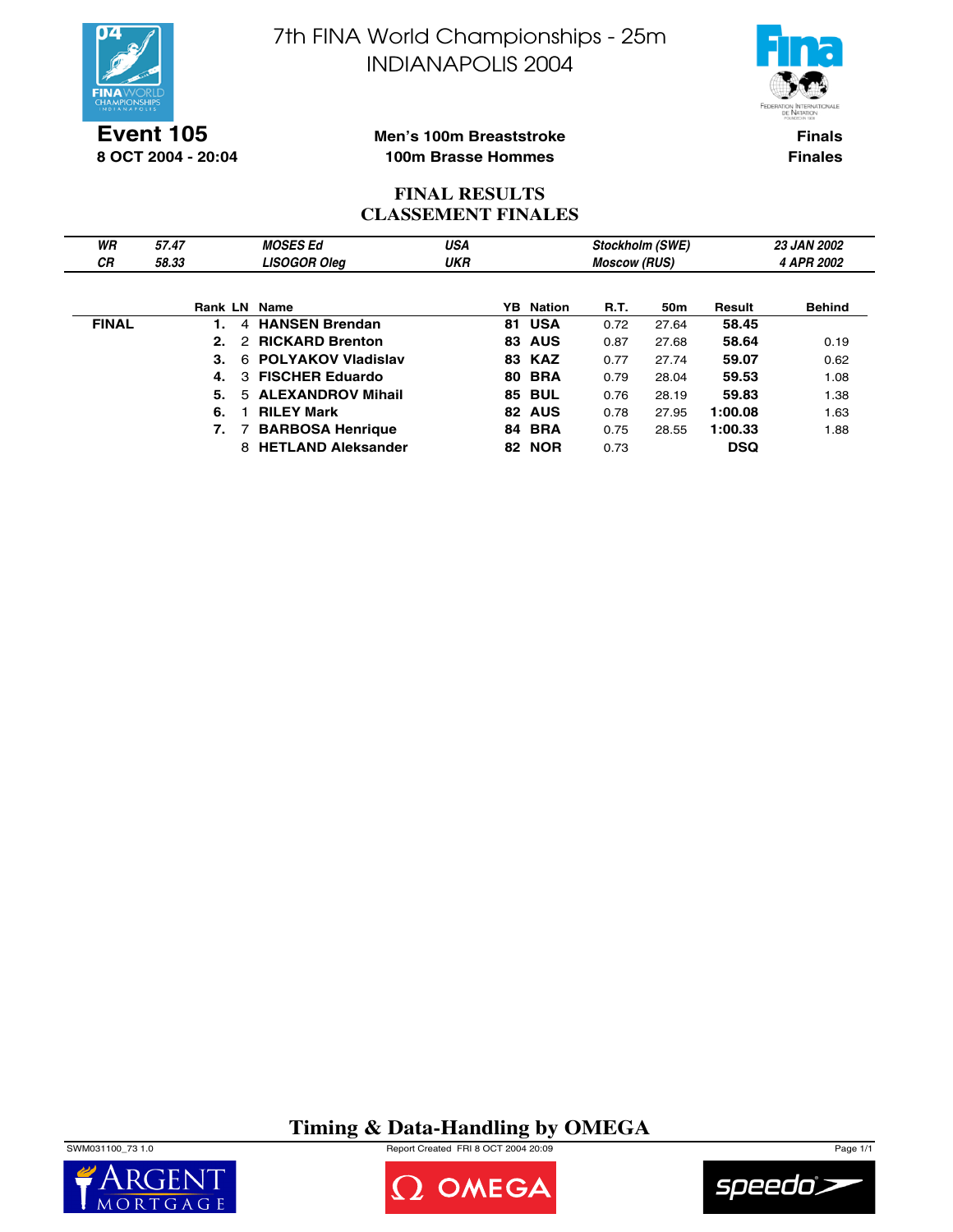



**Event 105 8 OCT 2004 - 20:04**

#### **Men's 100m Breaststroke 100m Brasse Hommes**

**Finals Finales**

## **FINAL RESULTS CLASSEMENT FINALES**

| WR           | 57.47               | <b>MOSES Ed</b>                         | USA        | Stockholm (SWE)<br><b>Moscow (RUS)</b> |      |                 | <b>23 JAN 2002</b> |               |  |
|--------------|---------------------|-----------------------------------------|------------|----------------------------------------|------|-----------------|--------------------|---------------|--|
| СR           | 58.33               | <b>LISOGOR Oleg</b>                     | <b>UKR</b> |                                        |      |                 |                    | 4 APR 2002    |  |
|              |                     |                                         |            |                                        |      |                 |                    |               |  |
|              | <b>Rank LN Name</b> |                                         |            | <b>YB</b> Nation                       | R.T. | 50 <sub>m</sub> | Result             | <b>Behind</b> |  |
| <b>FINAL</b> |                     | <b>HANSEN Brendan</b><br>4              |            | 81 USA                                 | 0.72 | 27.64           | 58.45              |               |  |
|              | $2-$                | <b>RICKARD Brenton</b><br>$\mathcal{P}$ |            | <b>83 AUS</b>                          | 0.87 | 27.68           | 58.64              | 0.19          |  |
|              | З.                  | <b>POLYAKOV Vladislav</b><br>6          |            | <b>83 KAZ</b>                          | 0.77 | 27.74           | 59.07              | 0.62          |  |
|              | 4.                  | <b>FISCHER Eduardo</b><br>3             |            | <b>80 BRA</b>                          | 0.79 | 28.04           | 59.53              | 1.08          |  |
|              | 5.                  | <b>ALEXANDROV Mihail</b><br>5.          |            | <b>85 BUL</b>                          | 0.76 | 28.19           | 59.83              | 1.38          |  |
|              | 6.                  | <b>RILEY Mark</b>                       |            | 82 AUS                                 | 0.78 | 27.95           | 1:00.08            | 1.63          |  |
|              | 7.                  | <b>BARBOSA Henrique</b>                 |            | <b>84 BRA</b>                          | 0.75 | 28.55           | 1:00.33            | 1.88          |  |
|              |                     | 8 HETLAND Aleksander                    |            | <b>82 NOR</b>                          | 0.73 |                 | <b>DSQ</b>         |               |  |

# **Timing & Data-Handling by OMEGA**

SWM031100\_73 1.0 Report Created FRI 8 OCT 2004 20:09 Page 1/1





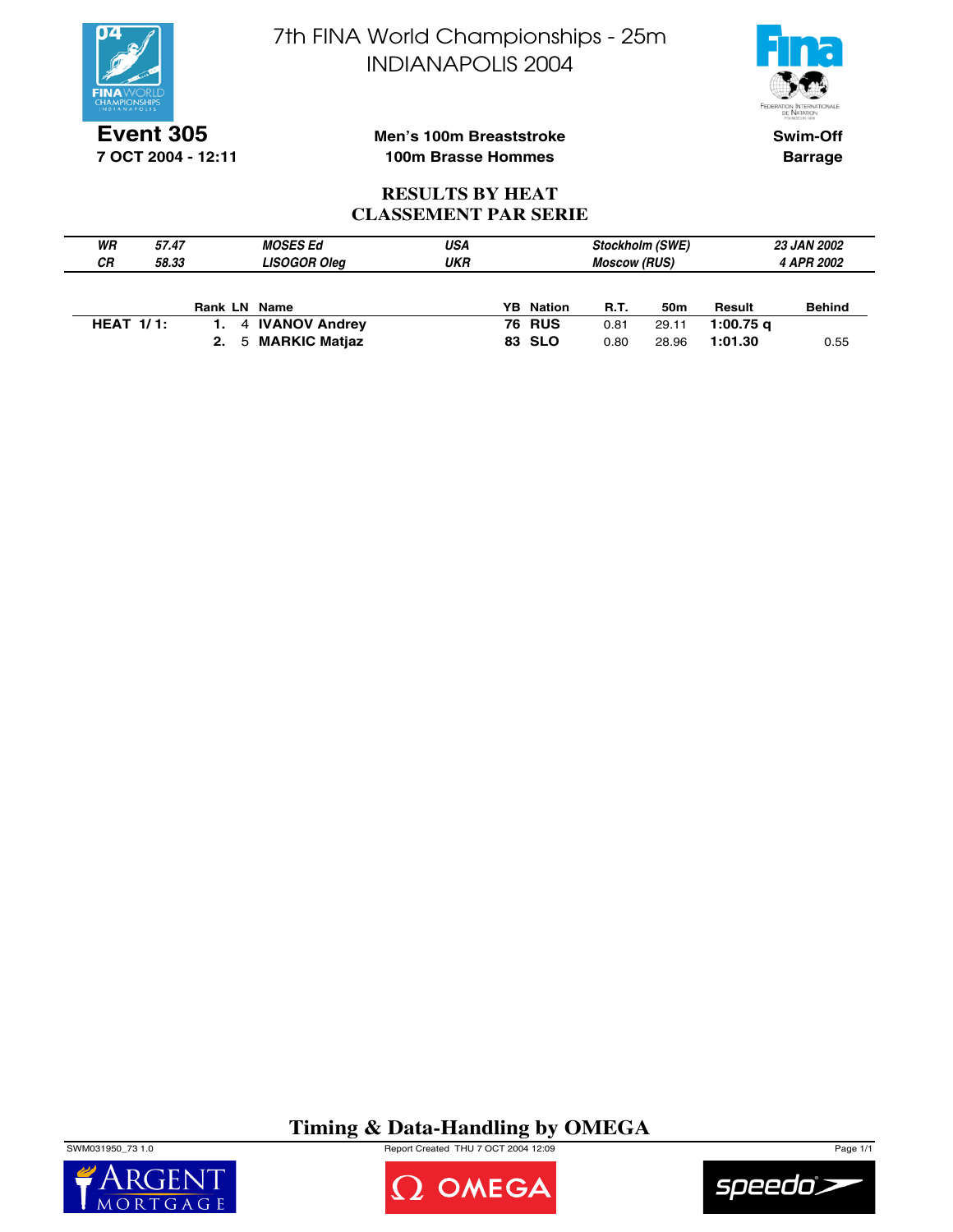



**Event 305 7 OCT 2004 - 12:11** **Men's 100m Breaststroke 100m Brasse Hommes**

**Swim-Off Barrage**

## **RESULTS BY HEAT CLASSEMENT PAR SERIE**

| WR               | 57.47 | <b>MOSES Ed</b>     | USA | <b>Stockholm (SWE)</b> |                     |       | <b>23 JAN 2002</b> |               |  |
|------------------|-------|---------------------|-----|------------------------|---------------------|-------|--------------------|---------------|--|
| <b>CR</b>        | 58.33 | <b>LISOGOR Oleg</b> | UKR |                        | <b>Moscow (RUS)</b> |       | 4 APR 2002         |               |  |
|                  |       |                     |     |                        |                     |       |                    |               |  |
|                  |       | <b>Rank LN Name</b> |     | <b>YB</b> Nation       | <b>R.T.</b>         | 50m   | Result             | <b>Behind</b> |  |
| <b>HEAT 1/1:</b> |       | 1. 4 IVANOV Andrey  |     | <b>76 RUS</b>          | 0.81                | 29.11 | 1:00.75 $q$        |               |  |
|                  |       | 2. 5 MARKIC Matjaz  |     | 83 SLO                 | 0.80                | 28.96 | 1:01.30            | 0.55          |  |

# **Timing & Data-Handling by OMEGA**

SWM031950\_73 1.0 Report Created THU 7 OCT 2004 12:09 Page 1/1





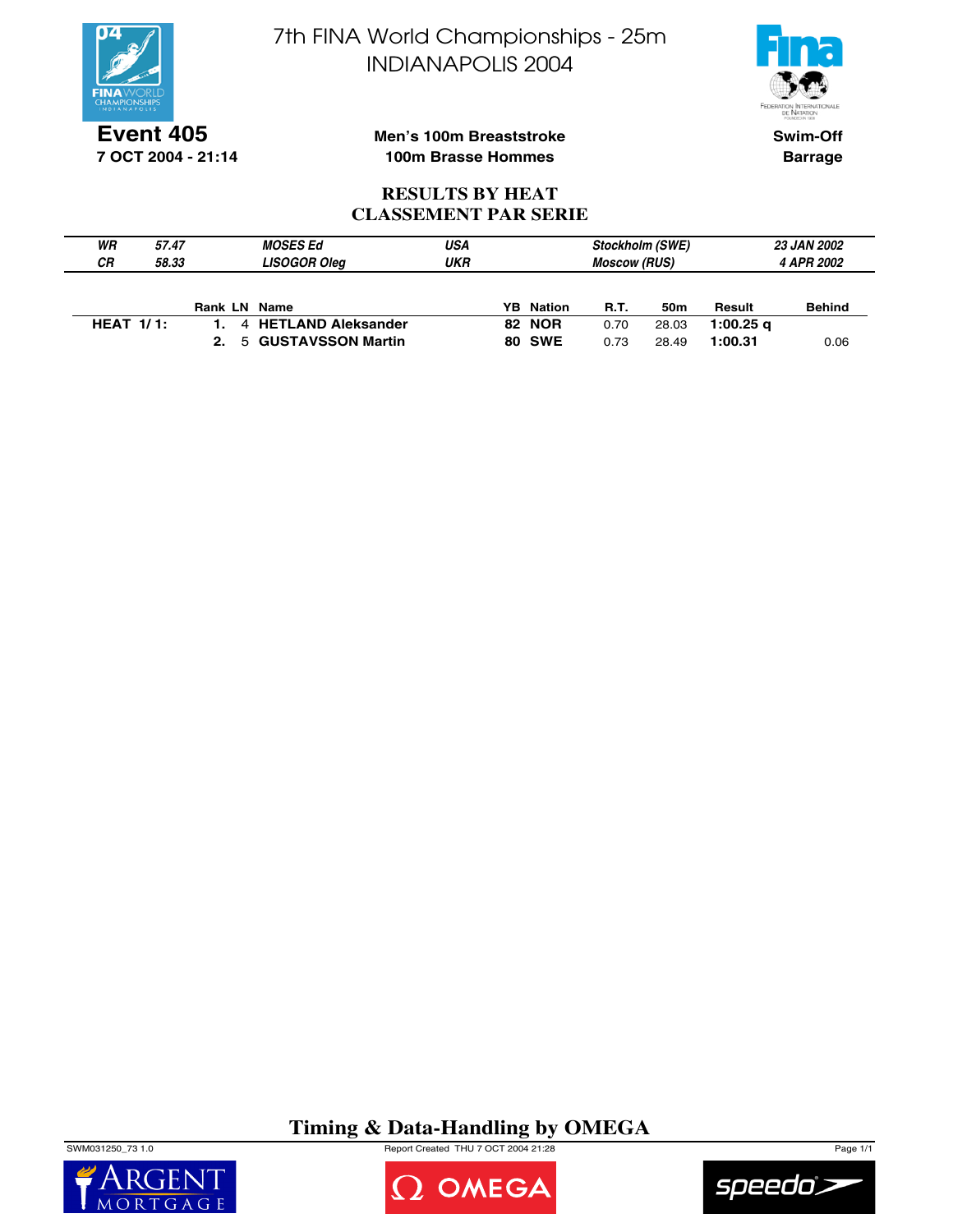



**Event 405 7 OCT 2004 - 21:14** **Men's 100m Breaststroke 100m Brasse Hommes**

**Swim-Off Barrage**

## **RESULTS BY HEAT CLASSEMENT PAR SERIE**

| WR | 57.47        |              | <b>MOSES Ed</b>        | USA | <b>Stockholm (SWE)</b> |             |       | <b>23 JAN 2002</b> |                   |  |
|----|--------------|--------------|------------------------|-----|------------------------|-------------|-------|--------------------|-------------------|--|
| СR | 58.33        |              | <b>LISOGOR Oleg</b>    | UKR | <b>Moscow (RUS)</b>    |             |       |                    | <b>4 APR 2002</b> |  |
|    |              |              |                        |     |                        |             |       |                    |                   |  |
|    |              | Rank LN Name |                        |     | <b>YB</b> Nation       | <b>R.T.</b> | 50m   | Result             | <b>Behind</b>     |  |
|    | HEAT $1/1$ : |              | 4 HETLAND Aleksander   |     | <b>82 NOR</b>          | 0.70        | 28.03 | 1:00.25 $\alpha$   |                   |  |
|    |              |              | 2. 5 GUSTAVSSON Martin |     | <b>80 SWE</b>          | 0.73        | 28.49 | 1:00.31            | 0.06              |  |

**Timing & Data-Handling by OMEGA**

SWM031250\_73 1.0 Report Created THU 7 OCT 2004 21:28 Page 1/1





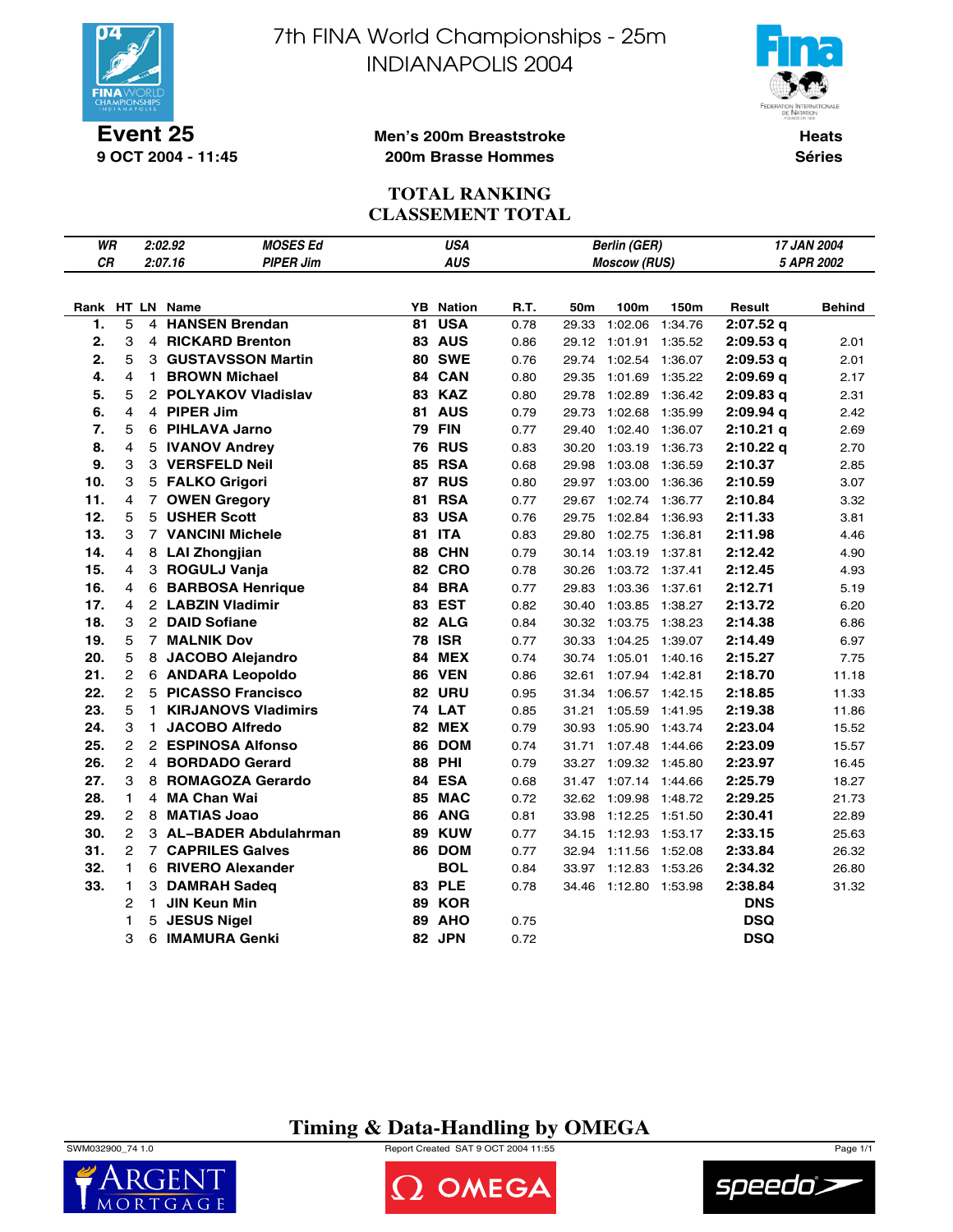

**Event 25 9 OCT 2004 - 11:45** 7th FINA World Championships - 25m INDIANAPOLIS 2004



**Men's 200m Breaststroke 200m Brasse Hommes**

**Heats Séries**

# **TOTAL RANKING CLASSEMENT TOTAL**

| WR  |                |              | 2:02.92                    | <b>MOSES Ed</b>  | <b>USA</b><br>17 JAN 2004<br><b>Berlin (GER)</b><br>5 APR 2002 |  |      |       |                       |         |             |               |
|-----|----------------|--------------|----------------------------|------------------|----------------------------------------------------------------|--|------|-------|-----------------------|---------|-------------|---------------|
| CR  |                |              | 2:07.16                    | <b>PIPER Jim</b> | <b>AUS</b>                                                     |  |      |       | <b>Moscow (RUS)</b>   |         |             |               |
|     |                |              |                            |                  |                                                                |  |      |       |                       |         |             |               |
|     |                |              | Rank HT LN Name            | YB               | <b>Nation</b>                                                  |  | R.T. | 50m   | 100m                  | 150m    | Result      | <b>Behind</b> |
| 1.  | 5              | 4            | <b>HANSEN Brendan</b>      | 81               | <b>USA</b>                                                     |  | 0.78 | 29.33 | 1:02.06               | 1:34.76 | $2:07.52$ q |               |
| 2.  | 3              |              | 4 RICKARD Brenton          |                  | 83 AUS                                                         |  | 0.86 |       | 29.12 1:01.91         | 1:35.52 | 2:09.53q    | 2.01          |
| 2.  | 5              |              | 3 GUSTAVSSON Martin        |                  | <b>80 SWE</b>                                                  |  | 0.76 | 29.74 | 1:02.54               | 1:36.07 | 2:09.53q    | 2.01          |
| 4.  | 4              | $\mathbf{1}$ | <b>BROWN Michael</b>       | 84               | <b>CAN</b>                                                     |  | 0.80 | 29.35 | 1:01.69               | 1:35.22 | 2:09.69q    | 2.17          |
| 5.  | 5              |              | 2 POLYAKOV Vladislav       |                  | <b>83 KAZ</b>                                                  |  | 0.80 | 29.78 | 1:02.89               | 1:36.42 | 2:09.83q    | 2.31          |
| 6.  | 4              |              | 4 PIPER Jim                |                  | 81 AUS                                                         |  | 0.79 | 29.73 | 1:02.68               | 1:35.99 | 2:09.94 a   | 2.42          |
| 7.  | 5              |              | 6 PIHLAVA Jarno            |                  | <b>79 FIN</b>                                                  |  | 0.77 | 29.40 | 1:02.40               | 1:36.07 | 2:10.21 q   | 2.69          |
| 8.  | 4              |              | 5 IVANOV Andrey            | 76               | <b>RUS</b>                                                     |  | 0.83 | 30.20 | 1:03.19               | 1:36.73 | $2:10.22$ q | 2.70          |
| 9.  | 3              |              | 3 VERSFELD Neil            | 85               | <b>RSA</b>                                                     |  | 0.68 | 29.98 | 1:03.08               | 1:36.59 | 2:10.37     | 2.85          |
| 10. | 3              |              | 5 FALKO Grigori            |                  | <b>87 RUS</b>                                                  |  | 0.80 | 29.97 | 1:03.00               | 1:36.36 | 2:10.59     | 3.07          |
| 11. | 4              |              | 7 OWEN Gregory             | 81               | <b>RSA</b>                                                     |  | 0.77 | 29.67 | 1:02.74               | 1:36.77 | 2:10.84     | 3.32          |
| 12. | 5              |              | 5 USHER Scott              |                  | <b>83 USA</b>                                                  |  | 0.76 | 29.75 | 1:02.84               | 1:36.93 | 2:11.33     | 3.81          |
| 13. | 3              |              | <b>7 VANCINI Michele</b>   |                  | 81 ITA                                                         |  | 0.83 | 29.80 | 1:02.75               | 1:36.81 | 2:11.98     | 4.46          |
| 14. | 4              |              | 8 LAI Zhongjian            |                  | 88 CHN                                                         |  | 0.79 | 30.14 | 1:03.19 1:37.81       |         | 2:12.42     | 4.90          |
| 15. | 4              |              | 3 ROGULJ Vanja             |                  | <b>82 CRO</b>                                                  |  | 0.78 | 30.26 | 1:03.72 1:37.41       |         | 2:12.45     | 4.93          |
| 16. | 4              |              | 6 BARBOSA Henrique         |                  | 84 BRA                                                         |  | 0.77 | 29.83 | 1:03.36 1:37.61       |         | 2:12.71     | 5.19          |
| 17. | 4              |              | 2 LABZIN Vladimir          |                  | 83 EST                                                         |  | 0.82 | 30.40 | 1:03.85               | 1:38.27 | 2:13.72     | 6.20          |
| 18. | 3              |              | 2 DAID Sofiane             |                  | 82 ALG                                                         |  | 0.84 | 30.32 | 1:03.75               | 1:38.23 | 2:14.38     | 6.86          |
| 19. | 5              |              | <b>7 MALNIK Dov</b>        |                  | <b>78 ISR</b>                                                  |  | 0.77 | 30.33 | 1:04.25               | 1:39.07 | 2:14.49     | 6.97          |
| 20. | 5              | 8            | <b>JACOBO Alejandro</b>    | 84               | <b>MEX</b>                                                     |  | 0.74 | 30.74 | 1:05.01               | 1:40.16 | 2:15.27     | 7.75          |
| 21. | 2              |              | 6 ANDARA Leopoldo          |                  | <b>86 VEN</b>                                                  |  | 0.86 | 32.61 | 1:07.94               | 1:42.81 | 2:18.70     | 11.18         |
| 22. | $\overline{2}$ |              | 5 PICASSO Francisco        |                  | <b>82 URU</b>                                                  |  | 0.95 | 31.34 | 1:06.57               | 1:42.15 | 2:18.85     | 11.33         |
| 23. | 5              | 1.           | <b>KIRJANOVS Vladimirs</b> |                  | <b>74 LAT</b>                                                  |  | 0.85 | 31.21 | 1:05.59               | 1:41.95 | 2:19.38     | 11.86         |
| 24. | 3              | $\mathbf{1}$ | <b>JACOBO Alfredo</b>      |                  | <b>82 MEX</b>                                                  |  | 0.79 | 30.93 | 1:05.90               | 1:43.74 | 2:23.04     | 15.52         |
| 25. | 2              |              | 2 ESPINOSA Alfonso         | 86               | <b>DOM</b>                                                     |  | 0.74 | 31.71 | 1:07.48               | 1:44.66 | 2:23.09     | 15.57         |
| 26. | 2              |              | 4 BORDADO Gerard           |                  | <b>88 PHI</b>                                                  |  | 0.79 | 33.27 | 1:09.32 1:45.80       |         | 2:23.97     | 16.45         |
| 27. | 3              |              | 8 ROMAGOZA Gerardo         |                  | 84 ESA                                                         |  | 0.68 |       | 31.47 1:07.14 1:44.66 |         | 2:25.79     | 18.27         |
| 28. | 1              |              | 4 MA Chan Wai              | 85               | <b>MAC</b>                                                     |  | 0.72 | 32.62 | 1:09.98               | 1:48.72 | 2:29.25     | 21.73         |
| 29. | 2              |              | 8 MATIAS Joao              |                  | 86 ANG                                                         |  | 0.81 | 33.98 | 1:12.25 1:51.50       |         | 2:30.41     | 22.89         |
| 30. | $\overline{c}$ |              | 3 AL-BADER Abdulahrman     | 89               | <b>KUW</b>                                                     |  | 0.77 | 34.15 | 1:12.93               | 1:53.17 | 2:33.15     | 25.63         |
| 31. | 2              |              | <b>7 CAPRILES Galves</b>   |                  | 86 DOM                                                         |  | 0.77 | 32.94 | 1:11.56               | 1:52.08 | 2:33.84     | 26.32         |
| 32. | 1              |              | 6 RIVERO Alexander         |                  | <b>BOL</b>                                                     |  | 0.84 | 33.97 | 1:12.83               | 1:53.26 | 2:34.32     | 26.80         |
| 33. | 1              |              | 3 DAMRAH Sadeg             |                  | <b>83 PLE</b>                                                  |  | 0.78 |       | 34.46 1:12.80 1:53.98 |         | 2:38.84     | 31.32         |
|     | 2              | 1.           | <b>JIN Keun Min</b>        |                  | <b>89 KOR</b>                                                  |  |      |       |                       |         | <b>DNS</b>  |               |
|     | 1              | 5            | <b>JESUS Nigel</b>         | 89               | <b>AHO</b>                                                     |  | 0.75 |       |                       |         | <b>DSQ</b>  |               |
|     | 3              | 6            | <b>IMAMURA Genki</b>       |                  | 82 JPN                                                         |  | 0.72 |       |                       |         | <b>DSQ</b>  |               |

# **Timing & Data-Handling by OMEGA**

SWM032900\_74 1.0 Report Created SAT 9 OCT 2004 11:55 Page 1/1



OMEGA

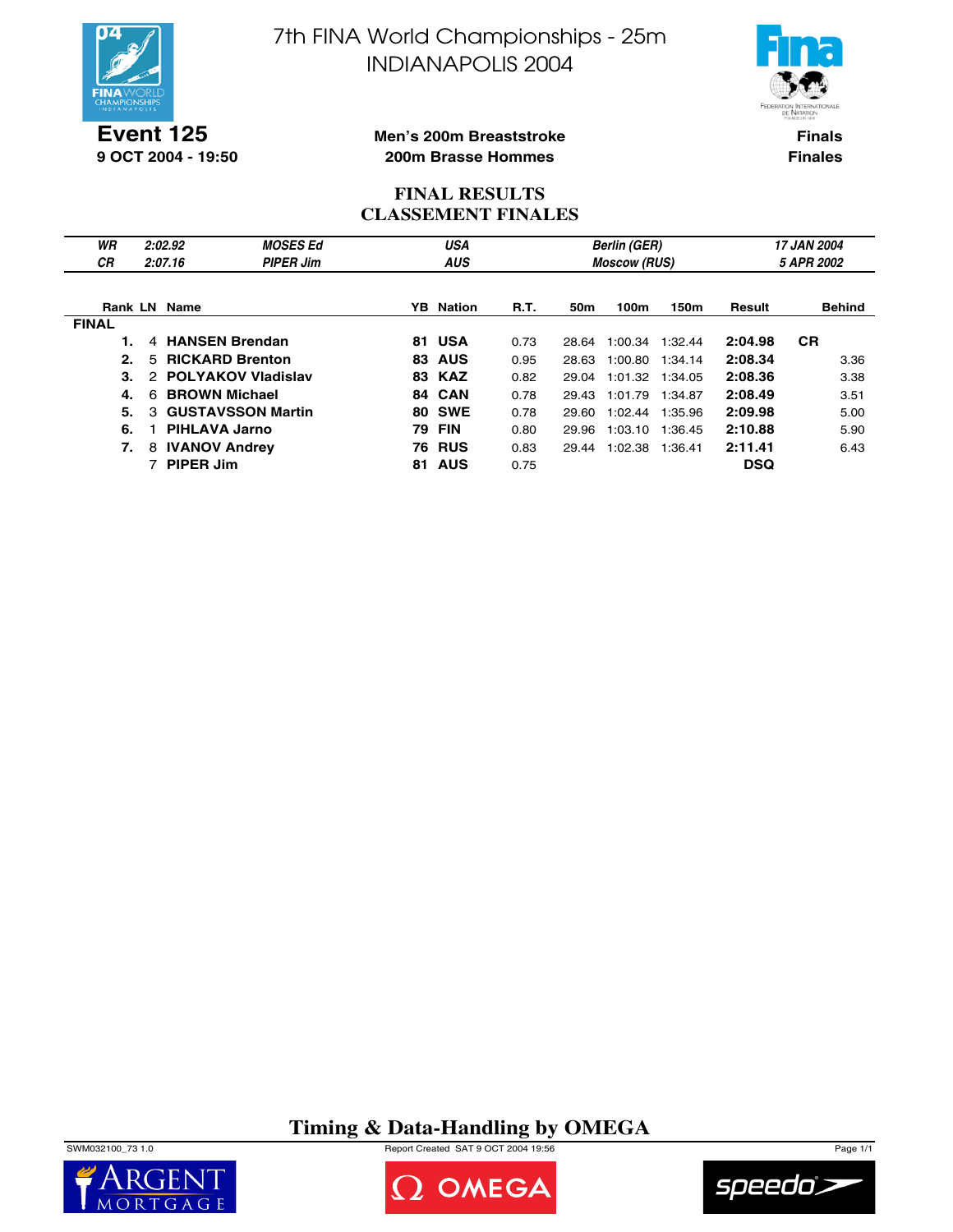



**Event 125 9 OCT 2004 - 19:50**

#### **Men's 200m Breaststroke 200m Brasse Hommes**

**Finals Finales**

## **FINAL RESULTS CLASSEMENT FINALES**

| WR           | 2:02.92                   | <b>MOSES Ed</b>           |     | <b>USA</b>       |             |                     | <b>Berlin (GER)</b> |            | 17 JAN 2004 |               |  |
|--------------|---------------------------|---------------------------|-----|------------------|-------------|---------------------|---------------------|------------|-------------|---------------|--|
| <b>CR</b>    | 2:07.16                   | <b>PIPER Jim</b>          |     | <b>AUS</b>       |             | <b>Moscow (RUS)</b> |                     | 5 APR 2002 |             |               |  |
|              |                           |                           |     |                  |             |                     |                     |            |             |               |  |
|              | Rank LN Name              |                           |     | <b>YB</b> Nation | <b>R.T.</b> | 50m                 | 100m                | 150m       | Result      | <b>Behind</b> |  |
| <b>FINAL</b> |                           |                           |     |                  |             |                     |                     |            |             |               |  |
|              | 4                         | <b>HANSEN Brendan</b>     | 81  | <b>USA</b>       | 0.73        | 28.64               | 1:00.34             | 1:32.44    | 2:04.98     | <b>CR</b>     |  |
| 2.           | 5.                        | <b>RICKARD Brenton</b>    | 83  | <b>AUS</b>       | 0.95        | 28.63               | 1:00.80             | 1:34.14    | 2:08.34     | 3.36          |  |
| З.           | $\mathcal{P}$             | <b>POLYAKOV Vladislav</b> | 83. | <b>KAZ</b>       | 0.82        | 29.04               | 1:01.32 1:34.05     |            | 2:08.36     | 3.38          |  |
| 4.           | <b>BROWN Michael</b><br>6 |                           |     | 84 CAN           | 0.78        | 29.43               | 1:01.79 1:34.87     |            | 2:08.49     | 3.51          |  |
| 5.           | 3                         | <b>GUSTAVSSON Martin</b>  | 80  | <b>SWE</b>       | 0.78        | 29.60               | 1:02.44             | 1:35.96    | 2:09.98     | 5.00          |  |
| 6.           | PIHLAVA Jarno             |                           | 79  | <b>FIN</b>       | 0.80        | 29.96               | 1:03.10             | 1:36.45    | 2:10.88     | 5.90          |  |
| 7.           | <b>IVANOV Andrey</b><br>8 |                           | 76  | <b>RUS</b>       | 0.83        | 29.44               | 1:02.38             | 1:36.41    | 2:11.41     | 6.43          |  |
|              | <b>PIPER Jim</b>          |                           | 81. | <b>AUS</b>       | 0.75        |                     |                     |            | <b>DSQ</b>  |               |  |

# **Timing & Data-Handling by OMEGA**

SWM032100\_73 1.0 Report Created SAT 9 OCT 2004 19:56 Page 1/1





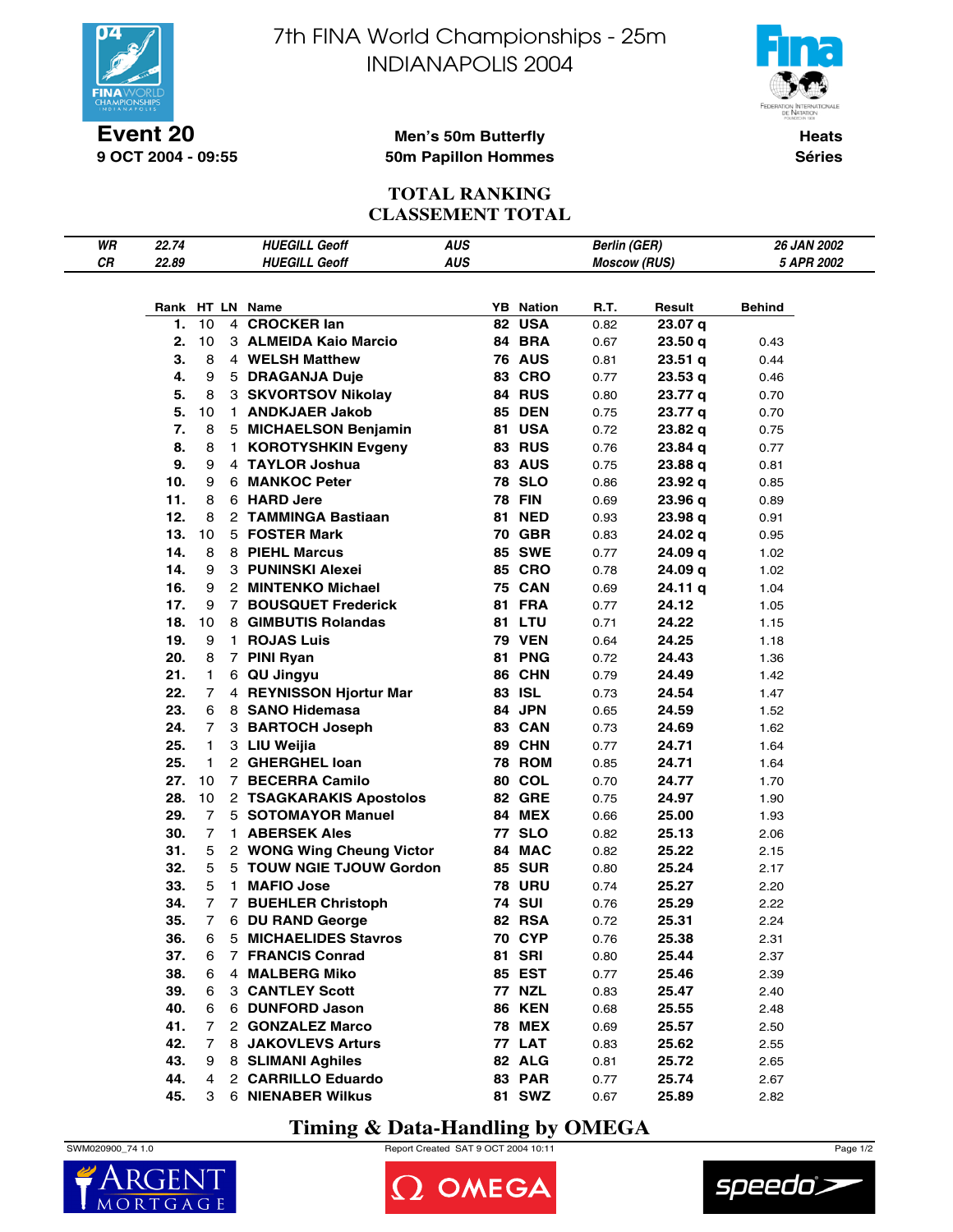

**Event 20 9 OCT 2004 - 09:55** 7th FINA World Championships - 25m INDIANAPOLIS 2004



**Heats Séries**

#### **Men's 50m Butterfly 50m Papillon Hommes**

### **TOTAL RANKING CLASSEMENT TOTAL**

| WR | 22.74 |                |             | <b>HUEGILL Geoff</b>      | <b>AUS</b> |     |               | <b>Berlin (GER)</b> |         | <b>26 JAN 2002</b>       |
|----|-------|----------------|-------------|---------------------------|------------|-----|---------------|---------------------|---------|--------------------------|
| CR | 22.89 |                |             | <b>HUEGILL Geoff</b>      | <b>AUS</b> |     |               | <b>Moscow (RUS)</b> |         | <i><b>5 APR 2002</b></i> |
|    |       |                |             |                           |            |     |               |                     |         |                          |
|    |       |                |             | Rank HT LN Name           |            | YB. | <b>Nation</b> | R.T.                | Result  |                          |
|    | 1.    | 10             |             | 4 CROCKER lan             |            |     | 82 USA        | 0.82                | 23.07 q | Behind                   |
|    | 2.    | 10             |             | 3 ALMEIDA Kaio Marcio     |            |     | 84 BRA        | 0.67                | 23.50q  | 0.43                     |
|    | 3.    | 8              |             | 4 WELSH Matthew           |            |     | <b>76 AUS</b> | 0.81                | 23.51q  | 0.44                     |
|    | 4.    | 9              |             | 5 DRAGANJA Duje           |            |     | <b>83 CRO</b> | 0.77                | 23.53 q | 0.46                     |
|    | 5.    | 8              |             | 3 SKVORTSOV Nikolay       |            |     | 84 RUS        | 0.80                | 23.77 a | 0.70                     |
|    | 5.    | 10             | 1.          | <b>ANDKJAER Jakob</b>     |            |     | <b>85 DEN</b> | 0.75                | 23.77 q | 0.70                     |
|    | 7.    | 8              |             | 5 MICHAELSON Benjamin     |            | 81  | <b>USA</b>    | 0.72                | 23.82 q | 0.75                     |
|    | 8.    | 8              | 1.          | <b>KOROTYSHKIN Evgeny</b> |            |     | <b>83 RUS</b> | 0.76                | 23.84 a | 0.77                     |
|    | 9.    | 9              |             | 4 TAYLOR Joshua           |            |     | <b>83 AUS</b> | 0.75                | 23.88 q | 0.81                     |
|    | 10.   | 9              |             | 6 MANKOC Peter            |            |     | <b>78 SLO</b> | 0.86                | 23.92q  | 0.85                     |
|    | 11.   | 8              |             | 6 HARD Jere               |            |     | <b>78 FIN</b> | 0.69                | 23.96q  | 0.89                     |
|    | 12.   | 8              |             | 2 TAMMINGA Bastiaan       |            | 81  | <b>NED</b>    | 0.93                | 23.98q  | 0.91                     |
|    | 13.   | 10             |             | 5 FOSTER Mark             |            |     | <b>70 GBR</b> | 0.83                | 24.02 q | 0.95                     |
|    | 14.   | 8              |             | 8 PIEHL Marcus            |            |     | <b>85 SWE</b> | 0.77                | 24.09q  | 1.02                     |
|    | 14.   | 9              |             | 3 PUNINSKI Alexei         |            |     | <b>85 CRO</b> | 0.78                | 24.09 q | 1.02                     |
|    | 16.   | 9              |             | 2 MINTENKO Michael        |            |     | <b>75 CAN</b> | 0.69                | 24.11 g | 1.04                     |
|    | 17.   | 9              | $7^{\circ}$ | <b>BOUSQUET Frederick</b> |            | 81  | <b>FRA</b>    | 0.77                | 24.12   | 1.05                     |
|    | 18.   | 10             | 8           | <b>GIMBUTIS Rolandas</b>  |            |     | 81 LTU        | 0.71                | 24.22   | 1.15                     |
|    | 19.   | 9              | 1.          | <b>ROJAS Luis</b>         |            |     | <b>79 VEN</b> | 0.64                | 24.25   | 1.18                     |
|    | 20.   | 8              |             | 7 PINI Ryan               |            | 81  | <b>PNG</b>    | 0.72                | 24.43   | 1.36                     |
|    | 21.   | 1              |             | 6 QU Jingyu               |            |     | 86 CHN        | 0.79                | 24.49   | 1.42                     |
|    | 22.   | 7              |             | 4 REYNISSON Hjortur Mar   |            | 83  | <b>ISL</b>    | 0.73                | 24.54   | 1.47                     |
|    | 23.   | 6              |             | 8 SANO Hidemasa           |            |     | 84 JPN        | 0.65                | 24.59   | 1.52                     |
|    | 24.   | 7              | 3           | <b>BARTOCH Joseph</b>     |            |     | 83 CAN        | 0.73                | 24.69   | 1.62                     |
|    | 25.   | 1              |             | 3 LIU Weijia              |            |     | 89 CHN        | 0.77                | 24.71   | 1.64                     |
|    | 25.   | 1              |             | 2 GHERGHEL Ioan           |            |     | <b>78 ROM</b> | 0.85                | 24.71   | 1.64                     |
|    | 27.   | 10             |             | 7 BECERRA Camilo          |            |     | 80 COL        | 0.70                | 24.77   | 1.70                     |
|    | 28.   | 10             |             | 2 TSAGKARAKIS Apostolos   |            |     | <b>82 GRE</b> | 0.75                | 24.97   | 1.90                     |
|    | 29.   | $\overline{7}$ |             | 5 SOTOMAYOR Manuel        |            |     | <b>84 MEX</b> | 0.66                | 25.00   | 1.93                     |
|    | 30.   | 7              |             | 1 ABERSEK Ales            |            |     | <b>77 SLO</b> | 0.82                | 25.13   | 2.06                     |
|    | 31.   | 5              |             | 2 WONG Wing Cheung Victor |            |     | 84 MAC        | 0.82                | 25.22   | 2.15                     |
|    | 32.   | 5              |             | 5 TOUW NGIE TJOUW Gordon  |            |     | <b>85 SUR</b> | 0.80                | 25.24   | 2.17                     |
|    | 33.   | 5              | 1.          | <b>MAFIO Jose</b>         |            |     | <b>78 URU</b> | 0.74                | 25.27   | 2.20                     |
|    | 34.   | 7              | 7           | <b>BUEHLER Christoph</b>  |            |     | <b>74 SUI</b> | 0.76                | 25.29   | 2.22                     |
|    | 35.   | $\overline{7}$ | 6           | <b>DU RAND George</b>     |            |     | 82 RSA        | 0.72                | 25.31   | 2.24                     |
|    | 36.   | 6              |             | 5 MICHAELIDES Stavros     |            |     | <b>70 CYP</b> | 0.76                | 25.38   | 2.31                     |
|    | 37.   | 6              |             | 7 FRANCIS Conrad          |            |     | <b>81 SRI</b> | 0.80                | 25.44   | 2.37                     |
|    | 38.   | 6              |             | 4 MALBERG Miko            |            |     | 85 EST        | 0.77                | 25.46   | 2.39                     |
|    | 39.   | 6              |             | <b>3 CANTLEY Scott</b>    |            |     | <b>77 NZL</b> | 0.83                | 25.47   | 2.40                     |
|    | 40.   | 6              |             | 6 DUNFORD Jason           |            |     | <b>86 KEN</b> | 0.68                | 25.55   | 2.48                     |
|    | 41.   | 7              |             | 2 GONZALEZ Marco          |            |     | <b>78 MEX</b> | 0.69                | 25.57   | 2.50                     |
|    | 42.   | 7              |             | 8 JAKOVLEVS Arturs        |            |     | <b>77 LAT</b> | 0.83                | 25.62   | 2.55                     |
|    | 43.   | 9              |             | 8 SLIMANI Aghiles         |            |     | 82 ALG        | 0.81                | 25.72   | 2.65                     |
|    | 44.   | 4              |             | 2 CARRILLO Eduardo        |            |     | 83 PAR        | 0.77                | 25.74   | 2.67                     |
|    | 45.   | 3              |             | 6 NIENABER Wilkus         |            |     | <b>81 SWZ</b> | 0.67                | 25.89   | 2.82                     |

# **Timing & Data-Handling by OMEGA**



SWM020900\_74 1.0 Report Created SAT 9 OCT 2004 10:11 Page 1/2

OMEGA

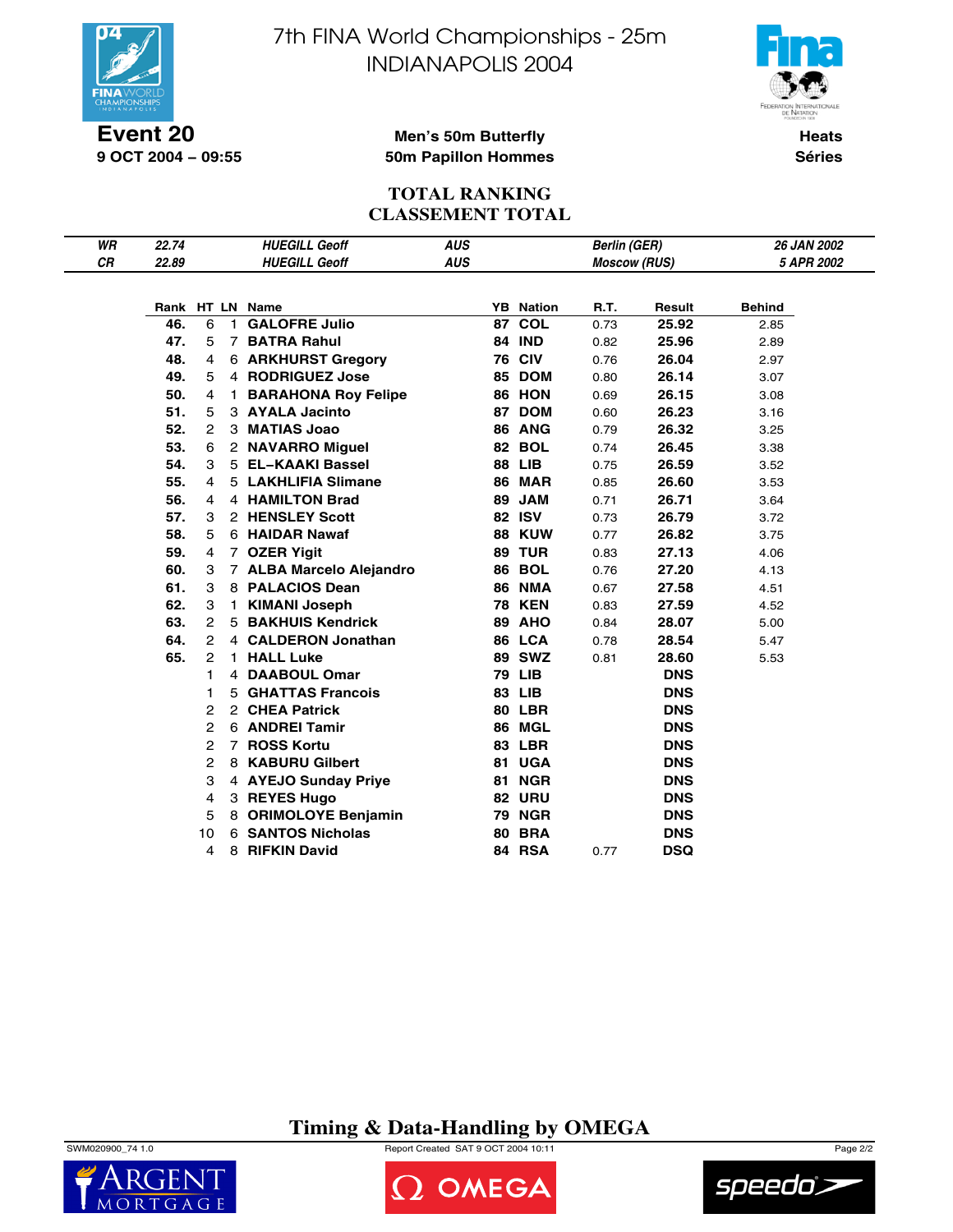

**9 OCT 2004 − 09:55**

7th FINA World Championships - 25m INDIANAPOLIS 2004



**Heats Séries**

#### **Men's 50m Butterfly 50m Papillon Hommes**

### **TOTAL RANKING CLASSEMENT TOTAL**

| WR | 22.74 | <b>HUEGILL Geoff</b> |                |                            | <b>AUS</b> |    |                  | <b>Berlin (GER)</b> |            | <b>26 JAN 2002</b> |  |
|----|-------|----------------------|----------------|----------------------------|------------|----|------------------|---------------------|------------|--------------------|--|
| CR | 22.89 |                      |                | <b>HUEGILL Geoff</b>       | <b>AUS</b> |    |                  | <b>Moscow (RUS)</b> |            | 5 APR 2002         |  |
|    |       |                      |                |                            |            |    |                  |                     |            |                    |  |
|    |       |                      |                | Rank HT LN Name            |            |    | <b>YB</b> Nation | R.T.                | Result     | <b>Behind</b>      |  |
|    | 46.   | 6                    | 1.             | <b>GALOFRE Julio</b>       |            | 87 | <b>COL</b>       | 0.73                | 25.92      | 2.85               |  |
|    | 47.   | 5                    |                | 7 BATRA Rahul              |            | 84 | <b>IND</b>       | 0.82                | 25.96      | 2.89               |  |
|    | 48.   | 4                    |                | <b>6 ARKHURST Gregory</b>  |            |    | <b>76 CIV</b>    | 0.76                | 26.04      | 2.97               |  |
|    | 49.   | 5                    |                | 4 RODRIGUEZ Jose           |            | 85 | <b>DOM</b>       | 0.80                | 26.14      | 3.07               |  |
|    | 50.   | 4                    | 1.             | <b>BARAHONA Roy Felipe</b> |            |    | 86 HON           | 0.69                | 26.15      | 3.08               |  |
|    | 51.   | 5                    |                | 3 AYALA Jacinto            |            | 87 | <b>DOM</b>       | 0.60                | 26.23      | 3.16               |  |
|    | 52.   | 2                    |                | 3 MATIAS Joao              |            |    | 86 ANG           | 0.79                | 26.32      | 3.25               |  |
|    | 53.   | 6                    |                | 2 NAVARRO Miguel           |            |    | <b>82 BOL</b>    | 0.74                | 26.45      | 3.38               |  |
|    | 54.   | 3                    |                | 5 EL-KAAKI Bassel          |            |    | <b>88 LIB</b>    | 0.75                | 26.59      | 3.52               |  |
|    | 55.   | $\overline{4}$       |                | 5 LAKHLIFIA Slimane        |            |    | <b>86 MAR</b>    | 0.85                | 26.60      | 3.53               |  |
|    | 56.   | 4                    |                | 4 HAMILTON Brad            |            | 89 | <b>JAM</b>       | 0.71                | 26.71      | 3.64               |  |
|    | 57.   | 3                    |                | 2 HENSLEY Scott            |            |    | <b>82 ISV</b>    | 0.73                | 26.79      | 3.72               |  |
|    | 58.   | 5                    |                | 6 HAIDAR Nawaf             |            |    | <b>88 KUW</b>    | 0.77                | 26.82      | 3.75               |  |
|    | 59.   | 4                    |                | 7 OZER Yigit               |            |    | <b>89 TUR</b>    | 0.83                | 27.13      | 4.06               |  |
|    | 60.   | 3                    |                | 7 ALBA Marcelo Alejandro   |            | 86 | <b>BOL</b>       | 0.76                | 27.20      | 4.13               |  |
|    | 61.   | 3                    |                | 8 PALACIOS Dean            |            |    | <b>86 NMA</b>    | 0.67                | 27.58      | 4.51               |  |
|    | 62.   | 3                    |                | 1 KIMANI Joseph            |            |    | <b>78 KEN</b>    | 0.83                | 27.59      | 4.52               |  |
|    | 63.   | 2                    |                | 5 BAKHUIS Kendrick         |            |    | <b>89 AHO</b>    | 0.84                | 28.07      | 5.00               |  |
|    | 64.   | 2                    |                | 4 CALDERON Jonathan        |            |    | 86 LCA           | 0.78                | 28.54      | 5.47               |  |
|    | 65.   | 2                    |                | 1 HALL Luke                |            |    | <b>89 SWZ</b>    | 0.81                | 28.60      | 5.53               |  |
|    |       | 1                    |                | 4 DAABOUL Omar             |            |    | <b>79 LIB</b>    |                     | <b>DNS</b> |                    |  |
|    |       | 1                    | 5              | <b>GHATTAS Francois</b>    |            |    | 83 LIB           |                     | <b>DNS</b> |                    |  |
|    |       | 2                    | $\overline{2}$ | <b>CHEA Patrick</b>        |            |    | 80 LBR           |                     | <b>DNS</b> |                    |  |
|    |       | 2                    | 6              | <b>ANDREI Tamir</b>        |            | 86 | <b>MGL</b>       |                     | <b>DNS</b> |                    |  |
|    |       | 2                    | $\overline{7}$ | <b>ROSS Kortu</b>          |            | 83 | <b>LBR</b>       |                     | <b>DNS</b> |                    |  |
|    |       | 2                    | 8              | <b>KABURU Gilbert</b>      |            | 81 | <b>UGA</b>       |                     | <b>DNS</b> |                    |  |
|    |       | 3                    |                | 4 AYEJO Sunday Priye       |            | 81 | <b>NGR</b>       |                     | <b>DNS</b> |                    |  |
|    |       | 4                    |                | 3 REYES Hugo               |            | 82 | <b>URU</b>       |                     | <b>DNS</b> |                    |  |
|    |       | 5                    | 8              | <b>ORIMOLOYE Benjamin</b>  |            | 79 | <b>NGR</b>       |                     | <b>DNS</b> |                    |  |
|    |       | 10                   | 6              | <b>SANTOS Nicholas</b>     |            | 80 | <b>BRA</b>       |                     | <b>DNS</b> |                    |  |
|    |       | 4                    | 8              | <b>RIFKIN David</b>        |            |    | 84 RSA           | 0.77                | <b>DSQ</b> |                    |  |

**Timing & Data-Handling by OMEGA**





**DOMEGA** 

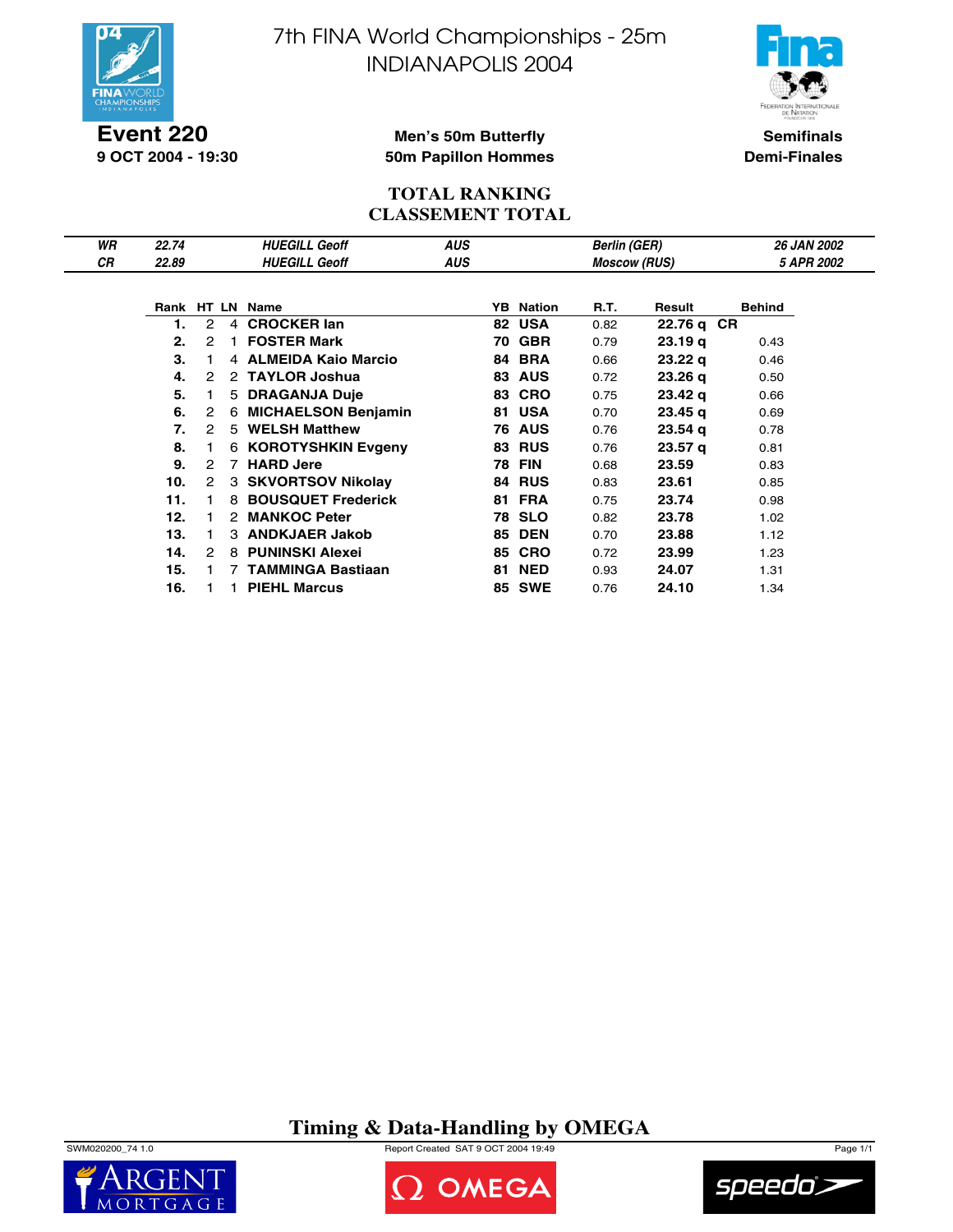

**Event 220 9 OCT 2004 - 19:30** 7th FINA World Championships - 25m INDIANAPOLIS 2004



**Semifinals Demi-Finales**

### **Men's 50m Butterfly 50m Papillon Hommes**

#### **TOTAL RANKING CLASSEMENT TOTAL**

| WR        | 22.74 |                      |                | <b>HUEGILL Geoff</b>     | <b>AUS</b> |    |                  | <b>Berlin (GER)</b> |                    | <b>26 JAN 2002</b>       |  |
|-----------|-------|----------------------|----------------|--------------------------|------------|----|------------------|---------------------|--------------------|--------------------------|--|
| <b>CR</b> | 22.89 |                      |                | <b>HUEGILL Geoff</b>     | AUS        |    |                  | <b>Moscow (RUS)</b> |                    | <i><b>5 APR 2002</b></i> |  |
|           |       |                      |                |                          |            |    |                  |                     |                    |                          |  |
|           |       |                      |                | Rank HT LN Name          |            |    | <b>YB</b> Nation | R.T.                | Result             | <b>Behind</b>            |  |
|           |       | 2                    | 4              | <b>CROCKER lan</b>       |            |    | 82 USA           | 0.82                | 22.76 q CR         |                          |  |
|           | 2.    | 2                    |                | <b>FOSTER Mark</b>       |            | 70 | <b>GBR</b>       | 0.79                | 23.19q             | 0.43                     |  |
|           | 3.    |                      |                | 4 ALMEIDA Kaio Marcio    |            | 84 | <b>BRA</b>       | 0.66                | 23.22 <sub>q</sub> | 0.46                     |  |
|           | 4.    | 2                    |                | 2 TAYLOR Joshua          |            | 83 | <b>AUS</b>       | 0.72                | 23.26q             | 0.50                     |  |
|           | 5.    |                      | 5              | <b>DRAGANJA Duje</b>     |            | 83 | <b>CRO</b>       | 0.75                | 23.42 <sub>q</sub> | 0.66                     |  |
|           | 6.    | $\overline{2}$       |                | 6 MICHAELSON Benjamin    |            | 81 | <b>USA</b>       | 0.70                | 23.45 <sub>q</sub> | 0.69                     |  |
|           | 7.    | 2                    | 5              | <b>WELSH Matthew</b>     |            | 76 | <b>AUS</b>       | 0.76                | 23.54q             | 0.78                     |  |
|           | 8.    |                      |                | 6 KOROTYSHKIN Evgeny     |            | 83 | <b>RUS</b>       | 0.76                | 23.57 <sub>q</sub> | 0.81                     |  |
|           | 9.    | 2                    | $\overline{7}$ | <b>HARD Jere</b>         |            |    | <b>78 FIN</b>    | 0.68                | 23.59              | 0.83                     |  |
|           | 10.   | $\mathbf{2}^{\circ}$ |                | 3 SKVORTSOV Nikolay      |            |    | <b>84 RUS</b>    | 0.83                | 23.61              | 0.85                     |  |
|           | 11.   |                      |                | 8 BOUSQUET Frederick     |            | 81 | <b>FRA</b>       | 0.75                | 23.74              | 0.98                     |  |
|           | 12.   |                      |                | 2 MANKOC Peter           |            |    | <b>78 SLO</b>    | 0.82                | 23.78              | 1.02                     |  |
|           | 13.   |                      |                | 3 ANDKJAER Jakob         |            | 85 | <b>DEN</b>       | 0.70                | 23.88              | 1.12                     |  |
|           | 14.   | $\overline{2}$       | 8              | <b>PUNINSKI Alexei</b>   |            | 85 | <b>CRO</b>       | 0.72                | 23.99              | 1.23                     |  |
|           | 15.   |                      | 7              | <b>TAMMINGA Bastiaan</b> |            | 81 | <b>NED</b>       | 0.93                | 24.07              | 1.31                     |  |
|           | 16.   |                      |                | <b>PIEHL Marcus</b>      |            |    | <b>85 SWE</b>    | 0.76                | 24.10              | 1.34                     |  |

**Timing & Data-Handling by OMEGA**







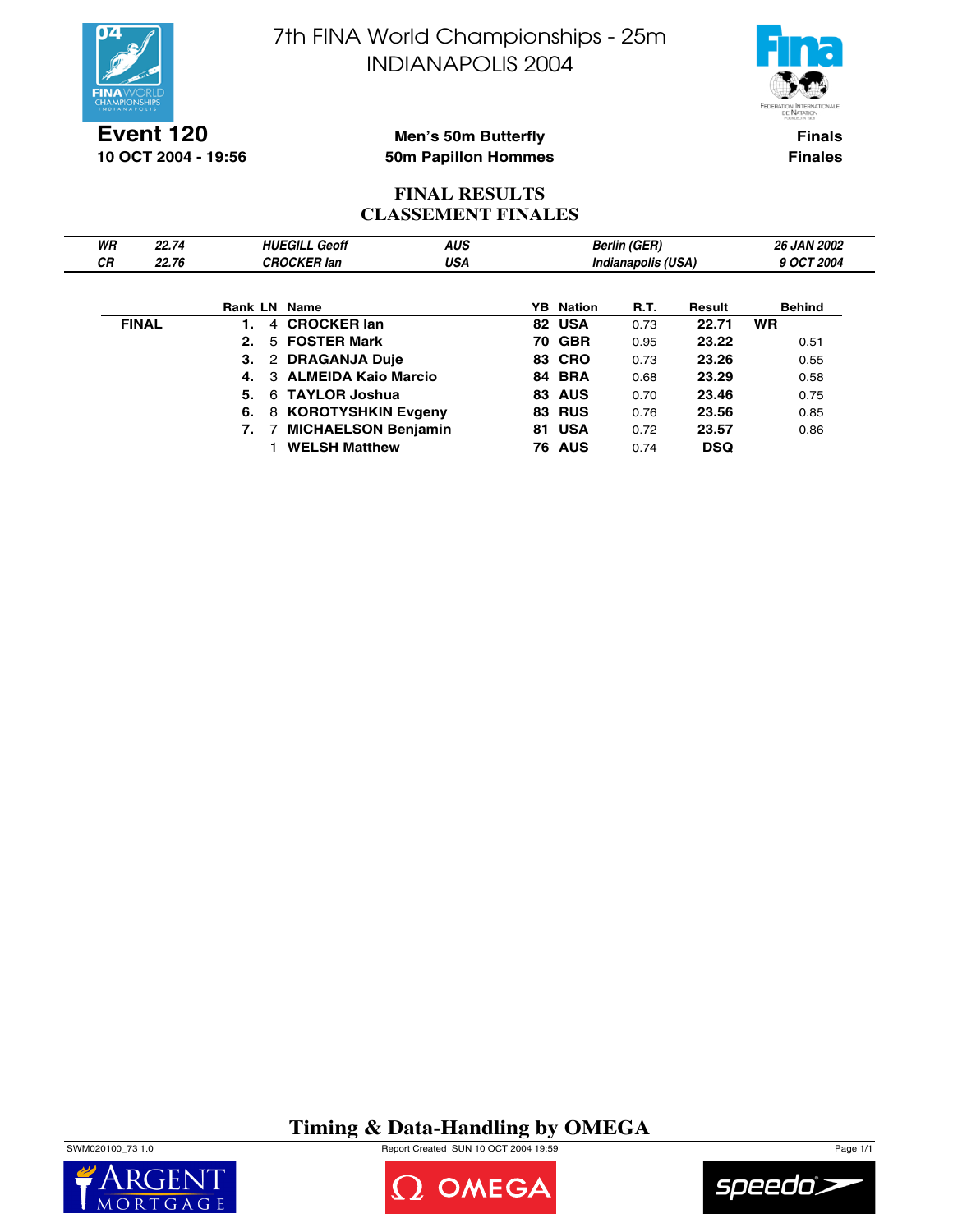



**Event 120 10 OCT 2004 - 19:56**

### **Men's 50m Butterfly 50m Papillon Hommes**

**Finals Finales**

## **FINAL RESULTS CLASSEMENT FINALES**

| WR        | 22.74        |                     | <b>HUEGILL Geoff</b>            | <b>AUS</b> |    |                  | <b>Berlin (GER)</b> |            | <b>26 JAN 2002</b> |
|-----------|--------------|---------------------|---------------------------------|------------|----|------------------|---------------------|------------|--------------------|
| <b>CR</b> | 22.76        |                     | <b>CROCKER lan</b>              | <b>USA</b> |    |                  | Indianapolis (USA)  |            | 9 OCT 2004         |
|           |              |                     |                                 |            |    |                  |                     |            |                    |
|           |              | <b>Rank LN Name</b> |                                 |            |    | <b>YB</b> Nation | R.T.                | Result     | <b>Behind</b>      |
|           | <b>FINAL</b> |                     | <b>CROCKER lan</b><br>4         |            |    | 82 USA           | 0.73                | 22.71      | <b>WR</b>          |
|           |              | 2.                  | 5 FOSTER Mark                   |            |    | <b>70 GBR</b>    | 0.95                | 23.22      | 0.51               |
|           |              | 3.                  | 2 DRAGANJA Duje                 |            |    | 83 CRO           | 0.73                | 23.26      | 0.55               |
|           |              |                     | <b>ALMEIDA Kaio Marcio</b><br>3 |            |    | <b>84 BRA</b>    | 0.68                | 23.29      | 0.58               |
|           |              | 5.                  | 6 TAYLOR Joshua                 |            |    | 83 AUS           | 0.70                | 23.46      | 0.75               |
|           |              | 6.                  | 8 KOROTYSHKIN Evgeny            |            |    | <b>83 RUS</b>    | 0.76                | 23.56      | 0.85               |
|           |              | 7.                  | <b>MICHAELSON Benjamin</b>      |            | 81 | <b>USA</b>       | 0.72                | 23.57      | 0.86               |
|           |              |                     | <b>WELSH Matthew</b>            |            |    | <b>76 AUS</b>    | 0.74                | <b>DSQ</b> |                    |

# **Timing & Data-Handling by OMEGA**

SWM020100\_73 1.0 Report Created SUN 10 OCT 2004 19:59 Page 1/1





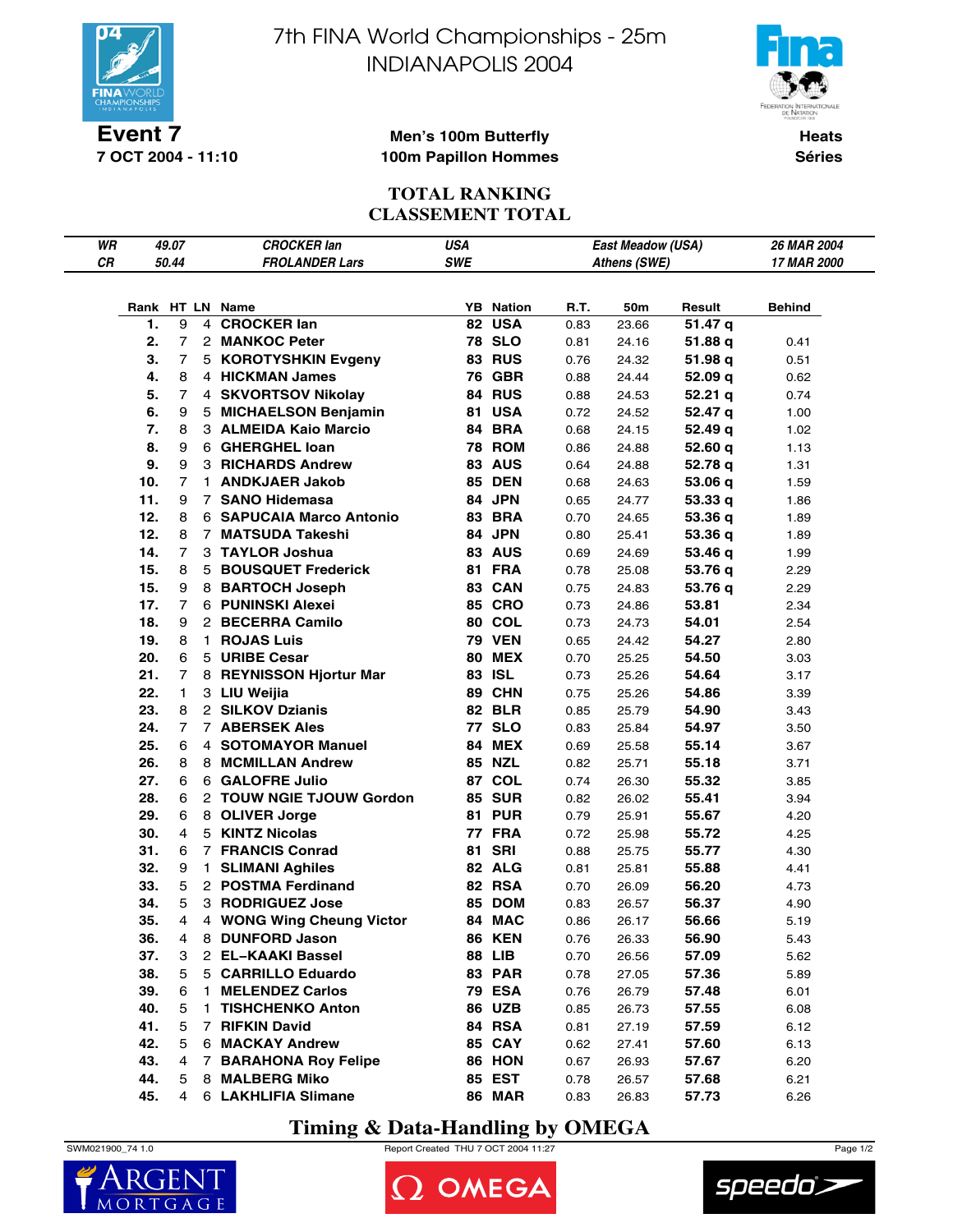

**7 OCT 2004 - 11:10**

7th FINA World Championships - 25m INDIANAPOLIS 2004



**Men's 100m Butterfly 100m Papillon Hommes**

**Heats Séries**

# **TOTAL RANKING CLASSEMENT TOTAL**

| WR |     | 49.07          |                | <b>CROCKER lan</b>                    | <b>USA</b> |                                |              | <b>East Meadow (USA)</b> |                   | <b>26 MAR 2004</b> |
|----|-----|----------------|----------------|---------------------------------------|------------|--------------------------------|--------------|--------------------------|-------------------|--------------------|
| CR |     | 50.44          |                | <b>FROLANDER Lars</b>                 | SWE        |                                |              | Athens (SWE)             |                   | 17 MAR 2000        |
|    |     |                |                |                                       |            |                                |              |                          |                   |                    |
|    |     |                |                |                                       |            |                                |              |                          |                   |                    |
|    | 1.  | 9              | 4              | Rank HT LN Name<br><b>CROCKER lan</b> | 82         | <b>YB</b> Nation<br><b>USA</b> | R.T.<br>0.83 | 50m<br>23.66             | Result<br>51.47 q | Behind             |
|    | 2.  | 7              |                | 2 MANKOC Peter                        |            | <b>78 SLO</b>                  | 0.81         | 24.16                    | 51.88 q           | 0.41               |
|    | 3.  | 7              |                | 5 KOROTYSHKIN Evgeny                  |            | <b>83 RUS</b>                  | 0.76         | 24.32                    | 51.98 q           | 0.51               |
|    | 4.  | 8              |                | 4 HICKMAN James                       |            | <b>76 GBR</b>                  | 0.88         | 24.44                    | 52.09q            | 0.62               |
|    | 5.  | 7              |                | 4 SKVORTSOV Nikolay                   |            | 84 RUS                         | 0.88         | 24.53                    | 52.21q            | 0.74               |
|    | 6.  | 9              |                | 5 MICHAELSON Benjamin                 |            | 81 USA                         | 0.72         | 24.52                    | 52.47 q           | 1.00               |
|    | 7.  | 8              |                | 3 ALMEIDA Kaio Marcio                 |            | 84 BRA                         | 0.68         | 24.15                    | 52.49 q           | 1.02               |
|    | 8.  | 9              |                | 6 GHERGHEL Ioan                       |            | <b>78 ROM</b>                  | 0.86         | 24.88                    | 52.60q            | 1.13               |
|    | 9.  | 9              |                | 3 RICHARDS Andrew                     |            | <b>83 AUS</b>                  | 0.64         | 24.88                    | 52.78 q           | 1.31               |
|    | 10. | $\overline{7}$ | 1.             | <b>ANDKJAER Jakob</b>                 |            | <b>85 DEN</b>                  | 0.68         | 24.63                    | 53.06 q           | 1.59               |
|    | 11. | 9              |                | 7 SANO Hidemasa                       |            | 84 JPN                         | 0.65         | 24.77                    | 53.33q            | 1.86               |
|    | 12. | 8              |                | <b>6 SAPUCAIA Marco Antonio</b>       |            | 83 BRA                         | 0.70         | 24.65                    | 53.36 q           | 1.89               |
|    | 12. | 8              |                | 7 MATSUDA Takeshi                     |            | 84 JPN                         | 0.80         | 25.41                    | 53.36 q           | 1.89               |
|    | 14. | 7              |                | 3 TAYLOR Joshua                       |            | <b>83 AUS</b>                  | 0.69         | 24.69                    | 53.46 q           | 1.99               |
|    | 15. | 8              |                | 5 BOUSQUET Frederick                  |            | 81 FRA                         | 0.78         | 25.08                    | 53.76 q           | 2.29               |
|    | 15. | 9              |                | 8 BARTOCH Joseph                      |            | 83 CAN                         | 0.75         | 24.83                    | 53.76 q           | 2.29               |
|    | 17. | $\overline{7}$ |                | 6 PUNINSKI Alexei                     |            | <b>85 CRO</b>                  | 0.73         | 24.86                    | 53.81             | 2.34               |
|    | 18. | 9              |                | 2 BECERRA Camilo                      |            | <b>80 COL</b>                  | 0.73         | 24.73                    | 54.01             | 2.54               |
|    | 19. | 8              | 1.             | <b>ROJAS Luis</b>                     |            | <b>79 VEN</b>                  | 0.65         | 24.42                    | 54.27             | 2.80               |
|    | 20. | 6              |                | 5 URIBE Cesar                         |            | <b>80 MEX</b>                  | 0.70         | 25.25                    | 54.50             | 3.03               |
|    | 21. | 7              |                | 8 REYNISSON Hjortur Mar               |            | 83 ISL                         | 0.73         | 25.26                    | 54.64             | 3.17               |
|    | 22. | 1              |                | 3 LIU Weijia                          |            | 89 CHN                         | 0.75         | 25.26                    | 54.86             | 3.39               |
|    | 23. | 8              |                | 2 SILKOV Dzianis                      |            | <b>82 BLR</b>                  | 0.85         | 25.79                    | 54.90             | 3.43               |
|    | 24. | 7              |                | <b>7 ABERSEK Ales</b>                 |            | <b>77 SLO</b>                  | 0.83         | 25.84                    | 54.97             | 3.50               |
|    | 25. | 6              |                | 4 SOTOMAYOR Manuel                    |            | 84 MEX                         | 0.69         | 25.58                    | 55.14             | 3.67               |
|    | 26. | 8              |                | 8 MCMILLAN Andrew                     |            | <b>85 NZL</b>                  | 0.82         | 25.71                    | 55.18             | 3.71               |
|    | 27. | 6              |                | 6 GALOFRE Julio                       |            | 87 COL                         | 0.74         | 26.30                    | 55.32             | 3.85               |
|    | 28. | 6              |                | 2 TOUW NGIE TJOUW Gordon              |            | <b>85 SUR</b>                  | 0.82         | 26.02                    | 55.41             | 3.94               |
|    | 29. | 6              |                | 8 OLIVER Jorge                        |            | <b>81 PUR</b>                  | 0.79         | 25.91                    | 55.67             | 4.20               |
|    | 30. | 4              |                | 5 KINTZ Nicolas                       |            | 77 FRA                         | 0.72         | 25.98                    | 55.72             | 4.25               |
|    | 31. | 6              |                | <b>7 FRANCIS Conrad</b>               | 81         | <b>SRI</b>                     | 0.88         | 25.75                    | 55.77             | 4.30               |
|    | 32. | 9              | 1.             | <b>SLIMANI Aghiles</b>                |            | 82 ALG                         | 0.81         | 25.81                    | 55.88             | 4.41               |
|    | 33. | 5              |                | 2 POSTMA Ferdinand                    |            | <b>82 RSA</b>                  | 0.70         | 26.09                    | 56.20             | 4.73               |
|    | 34. | 5              |                | 3 RODRIGUEZ Jose                      |            | 85 DOM                         | 0.83         | 26.57                    | 56.37             | 4.90               |
|    | 35. | 4              |                | 4 WONG Wing Cheung Victor             |            | 84 MAC                         | 0.86         | 26.17                    | 56.66             | 5.19               |
|    | 36. | 4              |                | 8 DUNFORD Jason                       |            | <b>86 KEN</b>                  | 0.76         | 26.33                    | 56.90             | 5.43               |
|    | 37. | 3              |                | 2 EL-KAAKI Bassel                     |            | <b>88 LIB</b>                  | 0.70         | 26.56                    | 57.09             | 5.62               |
|    | 38. | 5              |                | 5 CARRILLO Eduardo                    |            | 83 PAR                         | 0.78         | 27.05                    | 57.36             | 5.89               |
|    | 39. | 6              | 1.             | <b>MELENDEZ Carlos</b>                |            | <b>79 ESA</b>                  | 0.76         | 26.79                    | 57.48             | 6.01               |
|    | 40. | 5              | 1.             | <b>TISHCHENKO Anton</b>               |            | <b>86 UZB</b>                  | 0.85         | 26.73                    | 57.55             | 6.08               |
|    | 41. | 5              | $\overline{7}$ | <b>RIFKIN David</b>                   |            | 84 RSA                         | 0.81         | 27.19                    | 57.59             | 6.12               |
|    | 42. | 5              |                | 6 MACKAY Andrew                       |            | <b>85 CAY</b>                  | 0.62         | 27.41                    | 57.60             | 6.13               |
|    | 43. | 4              | $7^{\circ}$    | <b>BARAHONA Roy Felipe</b>            |            | 86 HON                         | 0.67         | 26.93                    | 57.67             | 6.20               |
|    | 44. | 5              |                | 8 MALBERG Miko                        |            | <b>85 EST</b>                  | 0.78         | 26.57                    | 57.68             | 6.21               |
|    | 45. | 4              |                | 6 LAKHLIFIA Slimane                   |            | <b>86 MAR</b>                  | 0.83         | 26.83                    | 57.73             | 6.26               |

# **Timing & Data-Handling by OMEGA**

SWM021900\_74 1.0 Report Created THU 7 OCT 2004 11:27 Page 1/2





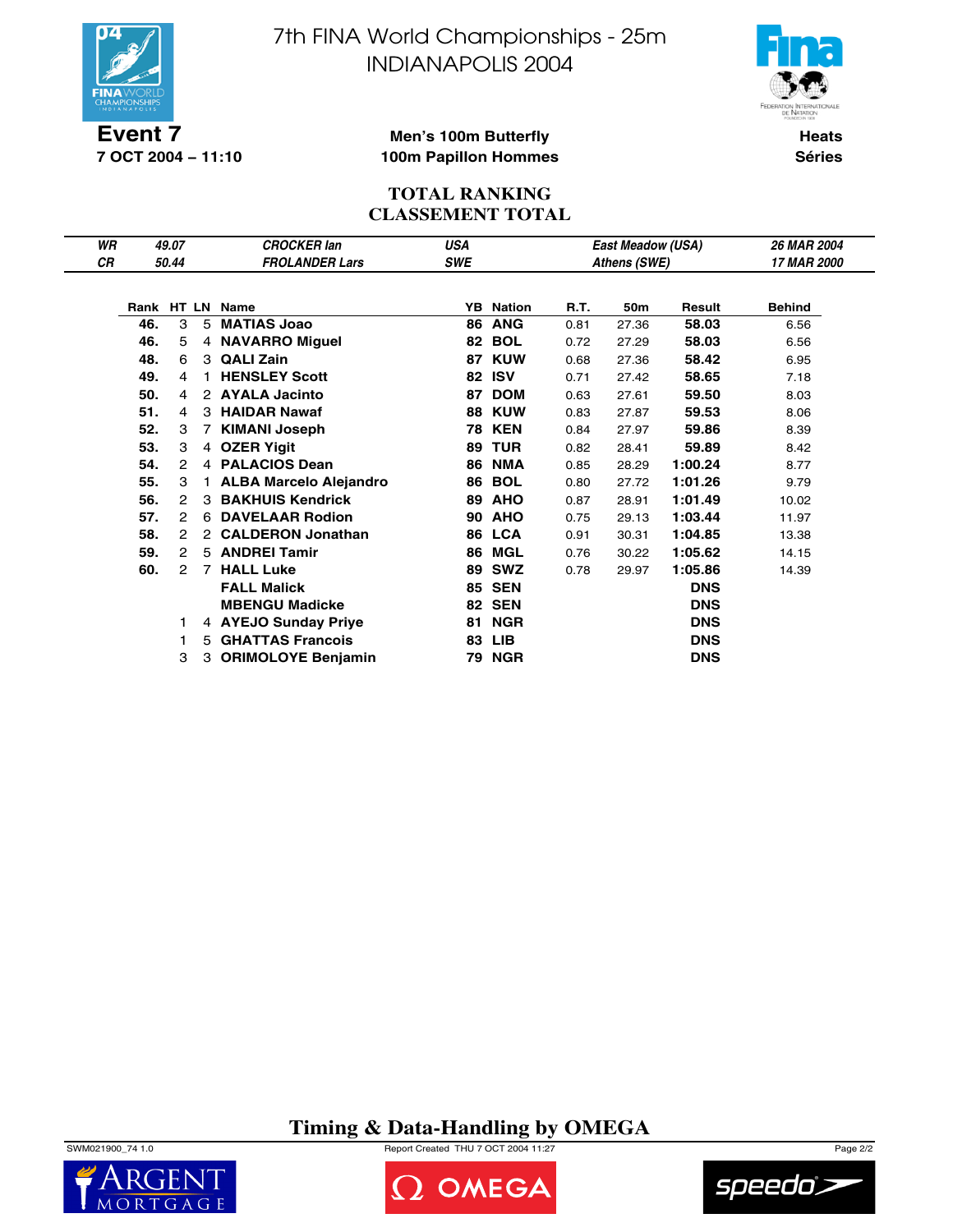

**7 OCT 2004 − 11:10**

7th FINA World Championships - 25m INDIANAPOLIS 2004



**Men's 100m Butterfly 100m Papillon Hommes**

**Heats Séries**

# **TOTAL RANKING CLASSEMENT TOTAL**

| WR |     | 49.07         |                      | <b>CROCKER lan</b>            | <b>USA</b> |               |      | <b>East Meadow (USA)</b> |            | 26 MAR 2004        |
|----|-----|---------------|----------------------|-------------------------------|------------|---------------|------|--------------------------|------------|--------------------|
| СR |     | 50.44         |                      | <b>FROLANDER Lars</b>         | SWE        |               |      | Athens (SWE)             |            | <b>17 MAR 2000</b> |
|    |     |               |                      |                               |            |               |      |                          |            |                    |
|    |     |               |                      | Rank HT LN Name               | YB.        | <b>Nation</b> | R.T. | 50m                      | Result     | <b>Behind</b>      |
|    | 46. | 3             |                      | 5 MATIAS Joao                 | 86         | <b>ANG</b>    | 0.81 | 27.36                    | 58.03      | 6.56               |
|    | 46. | 5             |                      | 4 NAVARRO Miguel              | 82         | <b>BOL</b>    | 0.72 | 27.29                    | 58.03      | 6.56               |
|    | 48. | 6             | 3                    | <b>QALI Zain</b>              | 87         | <b>KUW</b>    | 0.68 | 27.36                    | 58.42      | 6.95               |
|    | 49. | 4             | 1.                   | <b>HENSLEY Scott</b>          | 82         | <b>ISV</b>    | 0.71 | 27.42                    | 58.65      | 7.18               |
|    | 50. | 4             | $\mathbf{2}^{\circ}$ | <b>AYALA Jacinto</b>          | 87         | <b>DOM</b>    | 0.63 | 27.61                    | 59.50      | 8.03               |
|    | 51. | 4             | 3                    | <b>HAIDAR Nawaf</b>           | 88         | <b>KUW</b>    | 0.83 | 27.87                    | 59.53      | 8.06               |
|    | 52. | 3             | $\overline{7}$       | <b>KIMANI Joseph</b>          | 78         | KEN           | 0.84 | 27.97                    | 59.86      | 8.39               |
|    | 53. | 3             | 4                    | <b>OZER Yigit</b>             | 89         | <b>TUR</b>    | 0.82 | 28.41                    | 59.89      | 8.42               |
|    | 54. | $\mathcal{P}$ |                      | 4 PALACIOS Dean               | 86         | <b>NMA</b>    | 0.85 | 28.29                    | 1:00.24    | 8.77               |
|    | 55. | 3             | $\mathbf{1}$         | <b>ALBA Marcelo Alejandro</b> | 86         | <b>BOL</b>    | 0.80 | 27.72                    | 1:01.26    | 9.79               |
|    | 56. | 2             | 3                    | <b>BAKHUIS Kendrick</b>       | 89         | <b>AHO</b>    | 0.87 | 28.91                    | 1:01.49    | 10.02              |
|    | 57. | 2             | 6                    | <b>DAVELAAR Rodion</b>        | 90         | <b>AHO</b>    | 0.75 | 29.13                    | 1:03.44    | 11.97              |
|    | 58. | 2             | $\mathbf{2}^{\circ}$ | <b>CALDERON Jonathan</b>      |            | 86 LCA        | 0.91 | 30.31                    | 1:04.85    | 13.38              |
|    | 59. | 2             |                      | 5 ANDREI Tamir                | 86         | MGL           | 0.76 | 30.22                    | 1:05.62    | 14.15              |
|    | 60. | 2             | 7                    | <b>HALL Luke</b>              | 89         | <b>SWZ</b>    | 0.78 | 29.97                    | 1:05.86    | 14.39              |
|    |     |               |                      | <b>FALL Malick</b>            |            | <b>85 SEN</b> |      |                          | <b>DNS</b> |                    |
|    |     |               |                      | <b>MBENGU Madicke</b>         |            | <b>82 SEN</b> |      |                          | <b>DNS</b> |                    |
|    |     |               |                      | 4 AYEJO Sunday Priye          | 81         | <b>NGR</b>    |      |                          | <b>DNS</b> |                    |
|    |     |               | 5.                   | <b>GHATTAS Francois</b>       | 83         | LIB           |      |                          | <b>DNS</b> |                    |
|    |     | 3             | 3                    | <b>ORIMOLOYE Benjamin</b>     |            | 79 NGR        |      |                          | <b>DNS</b> |                    |

# **Timing & Data-Handling by OMEGA**

SWM021900\_74 1.0 Report Created THU 7 OCT 2004 11:27 Page 2/2





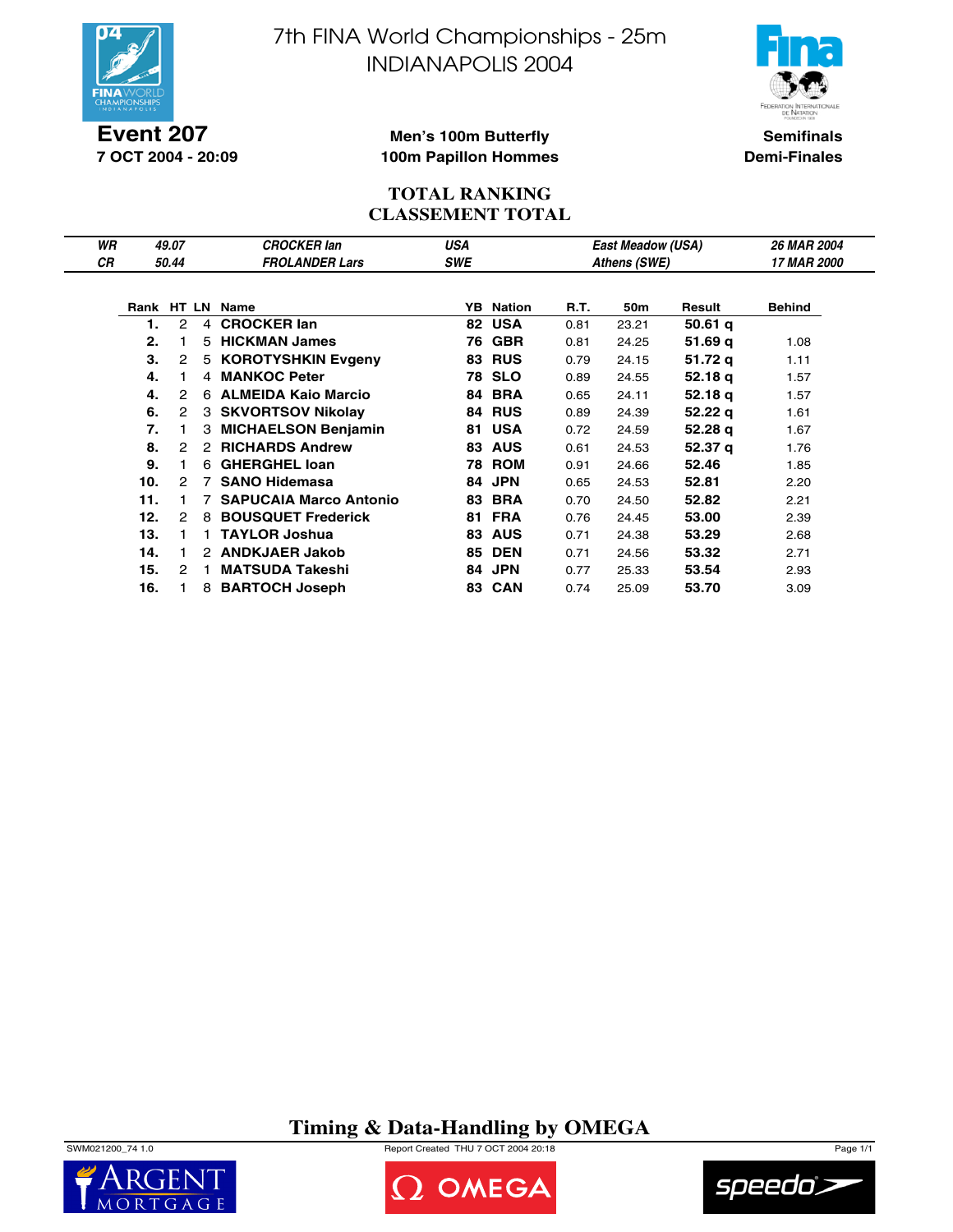

**Event 207 7 OCT 2004 - 20:09** 7th FINA World Championships - 25m INDIANAPOLIS 2004



**Semifinals Demi-Finales**

#### **Men's 100m Butterfly 100m Papillon Hommes**

### **TOTAL RANKING CLASSEMENT TOTAL**

| WR |     | 49.07 |                | <b>CROCKER lan</b>            | USA        |                  |      | East Meadow (USA) |         | <b>26 MAR 2004</b> |
|----|-----|-------|----------------|-------------------------------|------------|------------------|------|-------------------|---------|--------------------|
| СR |     | 50.44 |                | <b>FROLANDER Lars</b>         | <b>SWE</b> |                  |      | Athens (SWE)      |         | <b>17 MAR 2000</b> |
|    |     |       |                |                               |            |                  |      |                   |         |                    |
|    |     |       |                | Rank HT LN Name               |            | <b>YB</b> Nation | R.T. | 50m               | Result  | <b>Behind</b>      |
|    | 1.  | 2     | $\overline{4}$ | <b>CROCKER lan</b>            | 82         | <b>USA</b>       | 0.81 | 23.21             | 50.61q  |                    |
|    | 2.  |       | 5              | <b>HICKMAN James</b>          | 76         | <b>GBR</b>       | 0.81 | 24.25             | 51.69 g | 1.08               |
|    | 3.  | 2     |                | 5 KOROTYSHKIN Evgeny          | 83         | <b>RUS</b>       | 0.79 | 24.15             | 51.72 g | 1.11               |
|    | 4.  |       |                | 4 MANKOC Peter                |            | <b>78 SLO</b>    | 0.89 | 24.55             | 52.18 g | 1.57               |
|    | 4.  | 2     | 6              | <b>ALMEIDA Kaio Marcio</b>    | 84         | <b>BRA</b>       | 0.65 | 24.11             | 52.18 q | 1.57               |
|    | 6.  | 2     |                | 3 SKVORTSOV Nikolay           | 84         | <b>RUS</b>       | 0.89 | 24.39             | 52.22 q | 1.61               |
|    | 7.  |       | 3              | <b>MICHAELSON Benjamin</b>    | 81         | <b>USA</b>       | 0.72 | 24.59             | 52.28 q | 1.67               |
|    | 8.  | 2     | $\mathcal{P}$  | <b>RICHARDS Andrew</b>        | 83         | <b>AUS</b>       | 0.61 | 24.53             | 52.37 g | 1.76               |
|    | 9.  | 1.    | 6              | <b>GHERGHEL loan</b>          |            | <b>78 ROM</b>    | 0.91 | 24.66             | 52.46   | 1.85               |
|    | 10. | 2     | 7              | <b>SANO Hidemasa</b>          | 84         | <b>JPN</b>       | 0.65 | 24.53             | 52.81   | 2.20               |
|    | 11. |       |                | <b>SAPUCAIA Marco Antonio</b> | 83         | <b>BRA</b>       | 0.70 | 24.50             | 52.82   | 2.21               |
|    | 12. | 2     | 8              | <b>BOUSQUET Frederick</b>     | 81         | <b>FRA</b>       | 0.76 | 24.45             | 53.00   | 2.39               |
|    | 13. |       |                | <b>TAYLOR Joshua</b>          | 83         | <b>AUS</b>       | 0.71 | 24.38             | 53.29   | 2.68               |
|    | 14. | 1.    | 2              | <b>ANDKJAER Jakob</b>         | 85         | <b>DEN</b>       | 0.71 | 24.56             | 53.32   | 2.71               |
|    | 15. | 2     |                | <b>MATSUDA Takeshi</b>        | 84         | <b>JPN</b>       | 0.77 | 25.33             | 53.54   | 2.93               |
|    | 16. |       | 8              | <b>BARTOCH Joseph</b>         |            | 83 CAN           | 0.74 | 25.09             | 53.70   | 3.09               |

**Timing & Data-Handling by OMEGA**





OMEGA

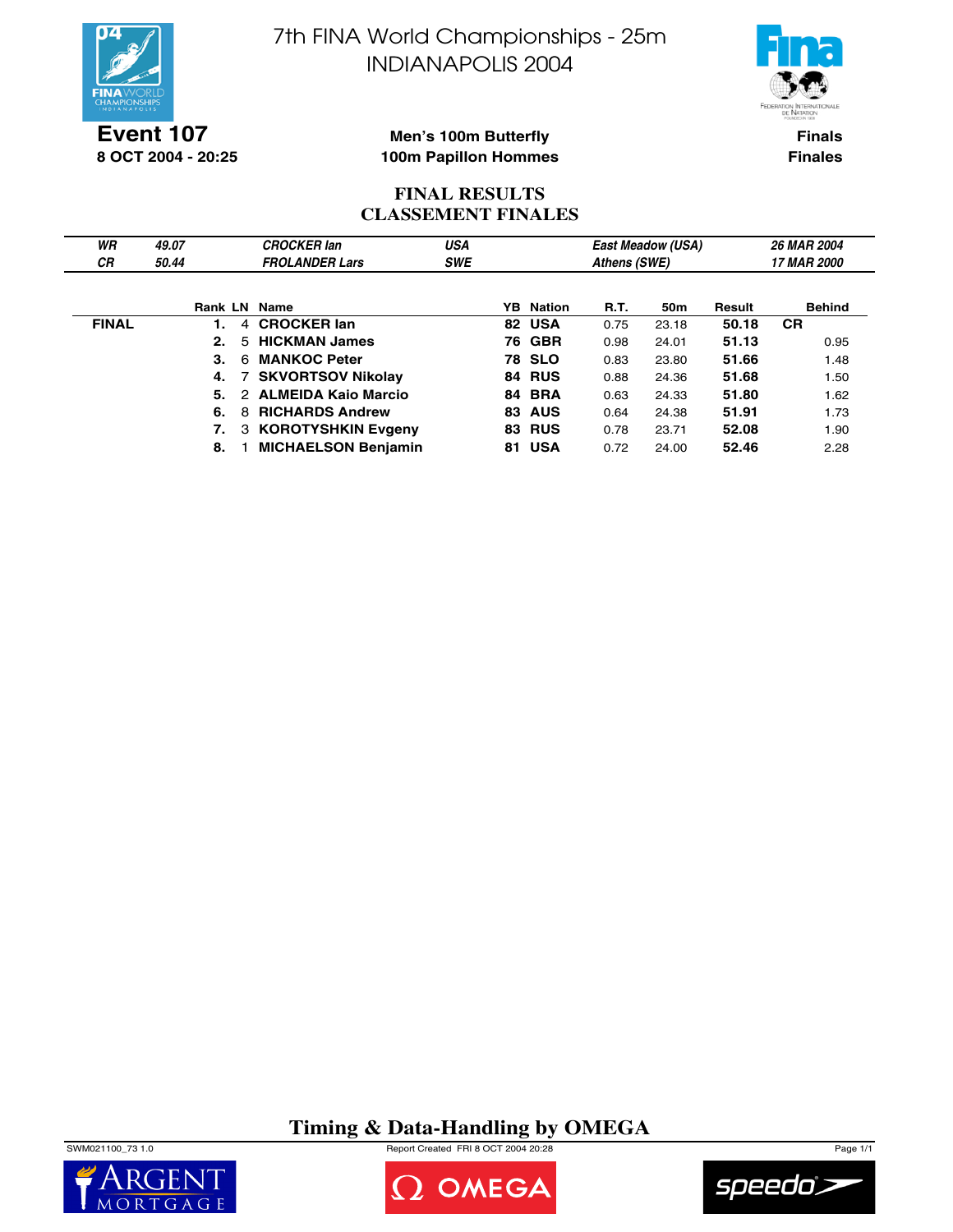



**Event 107 8 OCT 2004 - 20:25**

#### **Men's 100m Butterfly 100m Papillon Hommes**

**Finals Finales**

## **FINAL RESULTS CLASSEMENT FINALES**

| WR           | 49.07 |   | <b>CROCKER lan</b>         | USA        |    |                  |              | <b>East Meadow (USA)</b> |        | <b>26 MAR 2004</b> |
|--------------|-------|---|----------------------------|------------|----|------------------|--------------|--------------------------|--------|--------------------|
| СR           | 50.44 |   | <b>FROLANDER Lars</b>      | <b>SWE</b> |    |                  | Athens (SWE) |                          |        | <b>17 MAR 2000</b> |
|              |       |   |                            |            |    |                  |              |                          |        |                    |
|              |       |   | Rank LN Name               |            |    | <b>YB</b> Nation | R.T.         | 50 <sub>m</sub>          | Result | Behind             |
| <b>FINAL</b> |       |   | 4 CROCKER lan              |            |    | 82 USA           | 0.75         | 23.18                    | 50.18  | <b>CR</b>          |
|              | 2.    |   | 5 HICKMAN James            |            |    | <b>76 GBR</b>    | 0.98         | 24.01                    | 51.13  | 0.95               |
|              | 3.    | 6 | <b>MANKOC Peter</b>        |            |    | <b>78 SLO</b>    | 0.83         | 23.80                    | 51.66  | 1.48               |
|              | 4.    |   | 7 SKVORTSOV Nikolay        |            |    | 84 RUS           | 0.88         | 24.36                    | 51.68  | 1.50               |
|              | 5.    |   | 2 ALMEIDA Kaio Marcio      |            |    | 84 BRA           | 0.63         | 24.33                    | 51.80  | 1.62               |
|              | 6.    | 8 | <b>RICHARDS Andrew</b>     |            |    | <b>83 AUS</b>    | 0.64         | 24.38                    | 51.91  | 1.73               |
|              | 7.    |   | 3 KOROTYSHKIN Evgeny       |            | 83 | <b>RUS</b>       | 0.78         | 23.71                    | 52.08  | 1.90               |
|              | 8.    |   | <b>MICHAELSON Benjamin</b> |            |    | 81 USA           | 0.72         | 24.00                    | 52.46  | 2.28               |

**Timing & Data-Handling by OMEGA**

SWM021100\_73 1.0 Report Created FRI 8 OCT 2004 20:28 Page 1/1





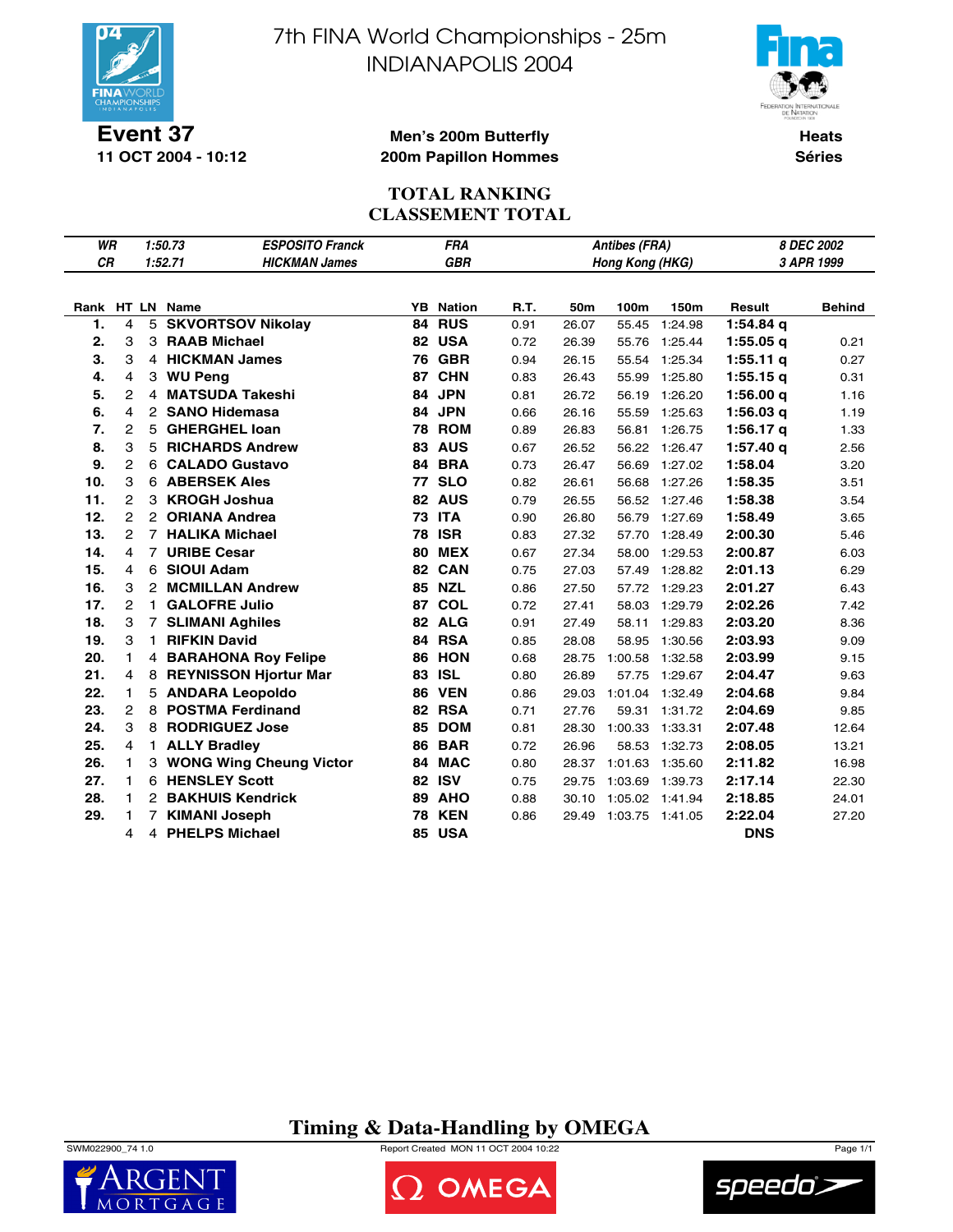

**11 OCT 2004 - 10:12**

7th FINA World Championships - 25m INDIANAPOLIS 2004



**Heats Séries**

#### **Men's 200m Butterfly 200m Papillon Hommes**

## **TOTAL RANKING CLASSEMENT TOTAL**

| WR        |                |                                                    | <b>ESPOSITO Franck</b><br>1:50.73 | 8 DEC 2002<br><b>FRA</b><br><b>Antibes (FRA)</b><br><b>GBR</b><br>3 APR 1999 |                  |      |       |         |         |             |               |  |
|-----------|----------------|----------------------------------------------------|-----------------------------------|------------------------------------------------------------------------------|------------------|------|-------|---------|---------|-------------|---------------|--|
| <b>CR</b> |                | 1:52.71<br><b>HICKMAN James</b><br>Hong Kong (HKG) |                                   |                                                                              |                  |      |       |         |         |             |               |  |
|           |                |                                                    |                                   |                                                                              |                  |      |       |         |         |             |               |  |
|           |                |                                                    | Rank HT LN Name                   |                                                                              | <b>YB</b> Nation | R.T. | 50m   | 100m    | 150m    | Result      | <b>Behind</b> |  |
| 1.        | 4              |                                                    | 5 SKVORTSOV Nikolay               | 84                                                                           | <b>RUS</b>       | 0.91 | 26.07 | 55.45   | 1:24.98 | $1:54.84$ q |               |  |
| 2.        | 3              |                                                    | 3 RAAB Michael                    |                                                                              | 82 USA           | 0.72 | 26.39 | 55.76   | 1:25.44 | $1:55.05$ q | 0.21          |  |
| 3.        | 3              |                                                    | 4 HICKMAN James                   | 76                                                                           | <b>GBR</b>       | 0.94 | 26.15 | 55.54   | 1:25.34 | $1:55.11$ q | 0.27          |  |
| 4.        | $\overline{4}$ | 3                                                  | <b>WU Peng</b>                    | 87                                                                           | <b>CHN</b>       | 0.83 | 26.43 | 55.99   | 1:25.80 | 1:55.15q    | 0.31          |  |
| 5.        | $\overline{c}$ | 4                                                  | <b>MATSUDA Takeshi</b>            | 84                                                                           | <b>JPN</b>       | 0.81 | 26.72 | 56.19   | 1:26.20 | 1:56.00q    | 1.16          |  |
| 6.        | 4              |                                                    | 2 SANO Hidemasa                   |                                                                              | 84 JPN           | 0.66 | 26.16 | 55.59   | 1:25.63 | $1:56.03$ q | 1.19          |  |
| 7.        | $\mathbf{2}$   | 5                                                  | <b>GHERGHEL loan</b>              | 78                                                                           | <b>ROM</b>       | 0.89 | 26.83 | 56.81   | 1:26.75 | 1:56.17 $q$ | 1.33          |  |
| 8.        | 3              | 5                                                  | <b>RICHARDS Andrew</b>            | 83                                                                           | <b>AUS</b>       | 0.67 | 26.52 | 56.22   | 1:26.47 | $1:57.40$ q | 2.56          |  |
| 9.        | 2              | 6                                                  | <b>CALADO Gustavo</b>             | 84                                                                           | <b>BRA</b>       | 0.73 | 26.47 | 56.69   | 1:27.02 | 1:58.04     | 3.20          |  |
| 10.       | 3              |                                                    | <b>6 ABERSEK Ales</b>             | 77                                                                           | <b>SLO</b>       | 0.82 | 26.61 | 56.68   | 1:27.26 | 1:58.35     | 3.51          |  |
| 11.       | $\mathbf{2}$   | 3                                                  | <b>KROGH Joshua</b>               |                                                                              | 82 AUS           | 0.79 | 26.55 | 56.52   | 1:27.46 | 1:58.38     | 3.54          |  |
| 12.       | $\overline{2}$ | $\mathbf{2}$                                       | <b>ORIANA Andrea</b>              |                                                                              | <b>73 ITA</b>    | 0.90 | 26.80 | 56.79   | 1:27.69 | 1:58.49     | 3.65          |  |
| 13.       | $\overline{2}$ |                                                    | 7 HALIKA Michael                  | 78                                                                           | <b>ISR</b>       | 0.83 | 27.32 | 57.70   | 1:28.49 | 2:00.30     | 5.46          |  |
| 14.       | 4              |                                                    | 7 URIBE Cesar                     | 80                                                                           | <b>MEX</b>       | 0.67 | 27.34 | 58.00   | 1:29.53 | 2:00.87     | 6.03          |  |
| 15.       | 4              | 6                                                  | <b>SIOUI Adam</b>                 |                                                                              | 82 CAN           | 0.75 | 27.03 | 57.49   | 1:28.82 | 2:01.13     | 6.29          |  |
| 16.       | 3              | $\overline{2}$                                     | <b>MCMILLAN Andrew</b>            |                                                                              | 85 NZL           | 0.86 | 27.50 | 57.72   | 1:29.23 | 2:01.27     | 6.43          |  |
| 17.       | $\mathbf{2}$   | $\mathbf{1}$                                       | <b>GALOFRE Julio</b>              | 87                                                                           | <b>COL</b>       | 0.72 | 27.41 | 58.03   | 1:29.79 | 2:02.26     | 7.42          |  |
| 18.       | 3              | $\overline{7}$                                     | <b>SLIMANI Aghiles</b>            |                                                                              | 82 ALG           | 0.91 | 27.49 | 58.11   | 1:29.83 | 2:03.20     | 8.36          |  |
| 19.       | 3              |                                                    | 1 RIFKIN David                    |                                                                              | 84 RSA           | 0.85 | 28.08 | 58.95   | 1:30.56 | 2:03.93     | 9.09          |  |
| 20.       | 1              |                                                    | 4 BARAHONA Roy Felipe             | 86                                                                           | <b>HON</b>       | 0.68 | 28.75 | 1:00.58 | 1:32.58 | 2:03.99     | 9.15          |  |
| 21.       | 4              |                                                    | 8 REYNISSON Hjortur Mar           | 83                                                                           | <b>ISL</b>       | 0.80 | 26.89 | 57.75   | 1:29.67 | 2:04.47     | 9.63          |  |
| 22.       | 1              |                                                    | 5 ANDARA Leopoldo                 | 86                                                                           | <b>VEN</b>       | 0.86 | 29.03 | 1:01.04 | 1:32.49 | 2:04.68     | 9.84          |  |
| 23.       | $\overline{2}$ | 8                                                  | <b>POSTMA Ferdinand</b>           |                                                                              | 82 RSA           | 0.71 | 27.76 | 59.31   | 1:31.72 | 2:04.69     | 9.85          |  |
| 24.       | 3              |                                                    | 8 RODRIGUEZ Jose                  | 85                                                                           | <b>DOM</b>       | 0.81 | 28.30 | 1:00.33 | 1:33.31 | 2:07.48     | 12.64         |  |
| 25.       | 4              |                                                    | 1 ALLY Bradley                    | 86                                                                           | <b>BAR</b>       | 0.72 | 26.96 | 58.53   | 1:32.73 | 2:08.05     | 13.21         |  |
| 26.       | $\mathbf{1}$   |                                                    | 3 WONG Wing Cheung Victor         | 84                                                                           | <b>MAC</b>       | 0.80 | 28.37 | 1:01.63 | 1:35.60 | 2:11.82     | 16.98         |  |
| 27.       | 1              |                                                    | 6 HENSLEY Scott                   | 82                                                                           | <b>ISV</b>       | 0.75 | 29.75 | 1:03.69 | 1:39.73 | 2:17.14     | 22.30         |  |
| 28.       | 1              | $\mathbf{2}$                                       | <b>BAKHUIS Kendrick</b>           | 89                                                                           | <b>AHO</b>       | 0.88 | 30.10 | 1:05.02 | 1:41.94 | 2:18.85     | 24.01         |  |
| 29.       | 1              | 7                                                  | <b>KIMANI Joseph</b>              | 78                                                                           | <b>KEN</b>       | 0.86 | 29.49 | 1:03.75 | 1:41.05 | 2:22.04     | 27.20         |  |
|           | 4              | 4                                                  | <b>PHELPS Michael</b>             | 85                                                                           | <b>USA</b>       |      |       |         |         | <b>DNS</b>  |               |  |

**Timing & Data-Handling by OMEGA**





2 OMEGA

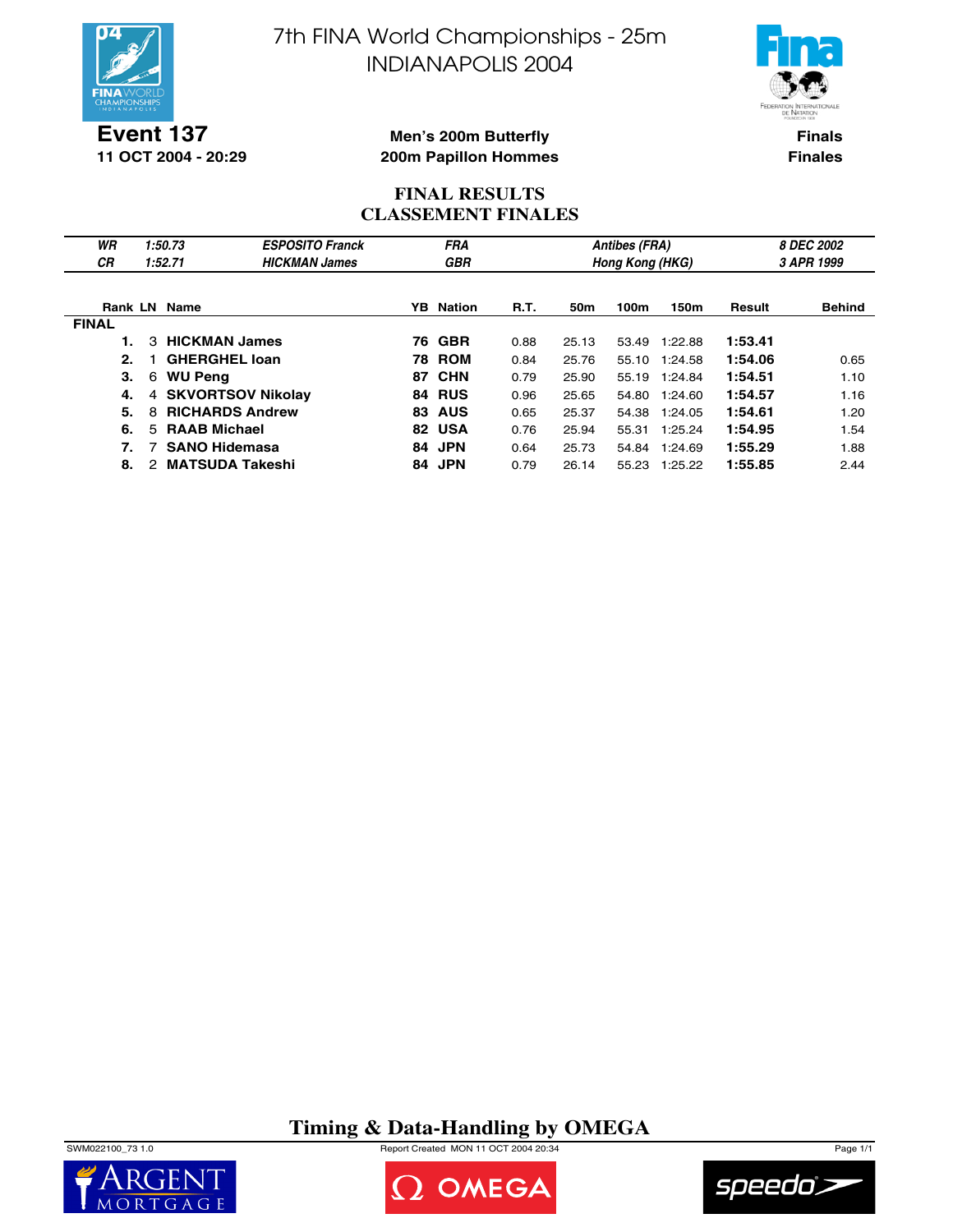

**Event 137 11 OCT 2004 - 20:29** 7th FINA World Championships - 25m INDIANAPOLIS 2004



**Finals Finales**

#### **Men's 200m Butterfly 200m Papillon Hommes**

### **FINAL RESULTS CLASSEMENT FINALES**

| WR<br>СR     | 1:50.73<br>1:52.71          | <b>ESPOSITO Franck</b><br><b>HICKMAN James</b> |     | <b>FRA</b><br><b>GBR</b> |      |       | <b>Antibes (FRA)</b><br>Hong Kong (HKG) |         | 8 DEC 2002<br>3 APR 1999 |               |  |
|--------------|-----------------------------|------------------------------------------------|-----|--------------------------|------|-------|-----------------------------------------|---------|--------------------------|---------------|--|
|              |                             |                                                |     |                          |      |       |                                         |         |                          |               |  |
|              | <b>Rank LN Name</b>         |                                                | YB. | Nation                   | R.T. | 50m   | 100m                                    | 150m    | Result                   | <b>Behind</b> |  |
| <b>FINAL</b> |                             |                                                |     |                          |      |       |                                         |         |                          |               |  |
|              | 3 HICKMAN James             |                                                |     | <b>76 GBR</b>            | 0.88 | 25.13 | 53.49                                   | 1:22.88 | 1:53.41                  |               |  |
| 2.           | <b>GHERGHEL loan</b>        |                                                |     | <b>78 ROM</b>            | 0.84 | 25.76 | 55.10                                   | 1:24.58 | 1:54.06                  | 0.65          |  |
| 3.           | <b>WU Peng</b><br>6         |                                                |     | 87 CHN                   | 0.79 | 25.90 | 55.19                                   | 1:24.84 | 1:54.51                  | 1.10          |  |
| 4.           | 4 SKVORTSOV Nikolay         |                                                |     | 84 RUS                   | 0.96 | 25.65 | 54.80                                   | 1:24.60 | 1:54.57                  | 1.16          |  |
| 5.           | <b>RICHARDS Andrew</b><br>8 |                                                | 83  | <b>AUS</b>               | 0.65 | 25.37 | 54.38                                   | 1:24.05 | 1:54.61                  | 1.20          |  |
| 6.           | <b>RAAB Michael</b><br>5.   |                                                | 82  | <b>USA</b>               | 0.76 | 25.94 | 55.31                                   | 1:25.24 | 1:54.95                  | 1.54          |  |
| 7.           | <b>SANO Hidemasa</b>        |                                                |     | 84 JPN                   | 0.64 | 25.73 | 54.84                                   | 1:24.69 | 1:55.29                  | 1.88          |  |
| 8.           | <b>MATSUDA Takeshi</b><br>2 |                                                |     | 84 JPN                   | 0.79 | 26.14 | 55.23                                   | 1:25.22 | 1:55.85                  | 2.44          |  |

# **Timing & Data-Handling by OMEGA**

SWM022100\_73 1.0 Report Created MON 11 OCT 2004 20:34 Page 1/1





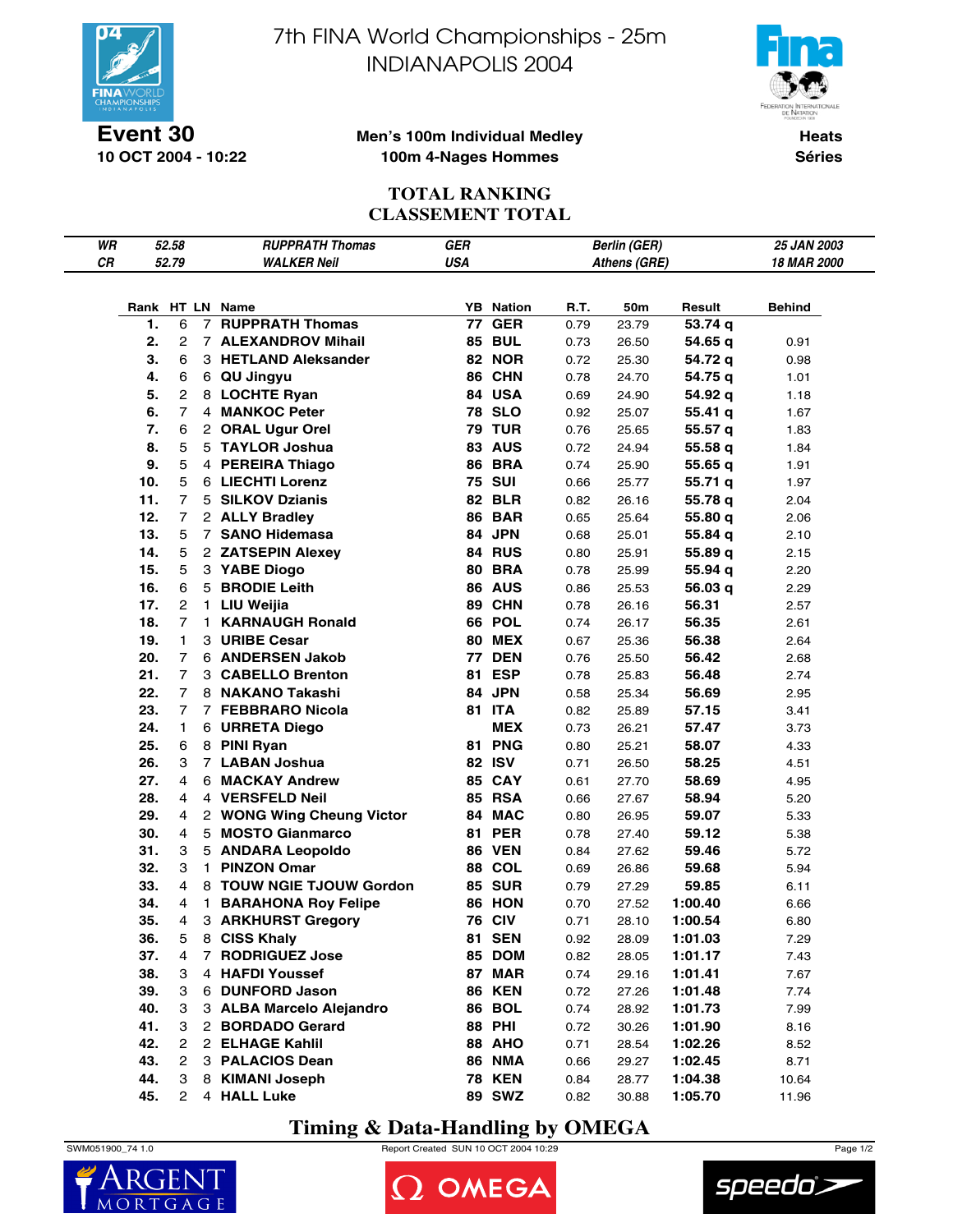

**10 OCT 2004 - 10:22**

7th FINA World Championships - 25m INDIANAPOLIS 2004



#### **Men's 100m Individual Medley 100m 4-Nages Hommes**

**Heats Séries**

# **TOTAL RANKING CLASSEMENT TOTAL**

| WR |     | 52.58          |                | <b>RUPPRATH Thomas</b>     | GER        |                  |      | <b>Berlin (GER)</b> |         | 25 JAN 2003 |
|----|-----|----------------|----------------|----------------------------|------------|------------------|------|---------------------|---------|-------------|
| CR |     | 52.79          |                | <b>WALKER Neil</b>         | <b>USA</b> |                  |      | Athens (GRE)        |         | 18 MAR 2000 |
|    |     |                |                |                            |            |                  |      |                     |         |             |
|    |     |                |                |                            |            |                  |      |                     |         |             |
|    |     | 6              | $\overline{7}$ | Rank HT LN Name            |            | <b>YB</b> Nation | R.T. | 50m                 | Result  | Behind      |
|    | 1.  |                |                | <b>RUPPRATH Thomas</b>     | 77         | <b>GER</b>       | 0.79 | 23.79               | 53.74 q |             |
|    | 2.  | $\mathbf{2}$   |                | 7 ALEXANDROV Mihail        |            | <b>85 BUL</b>    | 0.73 | 26.50               | 54.65 q | 0.91        |
|    | 3.  | 6              |                | 3 HETLAND Aleksander       |            | <b>82 NOR</b>    | 0.72 | 25.30               | 54.72 q | 0.98        |
|    | 4.  | 6              |                | 6 QU Jingyu                |            | 86 CHN           | 0.78 | 24.70               | 54.75 q | 1.01        |
|    | 5.  | $\overline{c}$ |                | 8 LOCHTE Ryan              |            | 84 USA           | 0.69 | 24.90               | 54.92 q | 1.18        |
|    | 6.  | $\overline{7}$ |                | 4 MANKOC Peter             |            | <b>78 SLO</b>    | 0.92 | 25.07               | 55.41 q | 1.67        |
|    | 7.  | 6              |                | 2 ORAL Ugur Orel           |            | <b>79 TUR</b>    | 0.76 | 25.65               | 55.57 q | 1.83        |
|    | 8.  | 5              |                | 5 TAYLOR Joshua            |            | 83 AUS           | 0.72 | 24.94               | 55.58 q | 1.84        |
|    | 9.  | 5              |                | 4 PEREIRA Thiago           |            | <b>86 BRA</b>    | 0.74 | 25.90               | 55.65q  | 1.91        |
|    | 10. | 5              |                | 6 LIECHTI Lorenz           |            | <b>75 SUI</b>    | 0.66 | 25.77               | 55.71q  | 1.97        |
|    | 11. | $\overline{7}$ |                | 5 SILKOV Dzianis           |            | <b>82 BLR</b>    | 0.82 | 26.16               | 55.78 q | 2.04        |
|    | 12. | $\overline{7}$ |                | 2 ALLY Bradley             |            | <b>86 BAR</b>    | 0.65 | 25.64               | 55.80 q | 2.06        |
|    | 13. | 5              |                | 7 SANO Hidemasa            |            | 84 JPN           | 0.68 | 25.01               | 55.84 q | 2.10        |
|    | 14. | 5              |                | 2 ZATSEPIN Alexey          |            | 84 RUS           | 0.80 | 25.91               | 55.89 q | 2.15        |
|    | 15. | 5              |                | 3 YABE Diogo               |            | <b>80 BRA</b>    | 0.78 | 25.99               | 55.94 q | 2.20        |
|    | 16. | 6              |                | 5 BRODIE Leith             |            | <b>86 AUS</b>    | 0.86 | 25.53               | 56.03 q | 2.29        |
|    | 17. | $\overline{2}$ | 1.             | LIU Weijia                 |            | 89 CHN           | 0.78 | 26.16               | 56.31   | 2.57        |
|    | 18. | $\overline{7}$ | 1.             | <b>KARNAUGH Ronald</b>     |            | <b>66 POL</b>    | 0.74 | 26.17               | 56.35   | 2.61        |
|    | 19. | 1.             |                | 3 URIBE Cesar              |            | <b>80 MEX</b>    | 0.67 | 25.36               | 56.38   | 2.64        |
|    | 20. | $\overline{7}$ |                | 6 ANDERSEN Jakob           |            | <b>77 DEN</b>    | 0.76 | 25.50               | 56.42   | 2.68        |
|    | 21. | $\overline{7}$ |                | 3 CABELLO Brenton          |            | 81 ESP           |      |                     |         |             |
|    |     |                |                |                            |            |                  | 0.78 | 25.83               | 56.48   | 2.74        |
|    | 22. | $\overline{7}$ |                | 8 NAKANO Takashi           |            | 84 JPN           | 0.58 | 25.34               | 56.69   | 2.95        |
|    | 23. | $\overline{7}$ |                | 7 FEBBRARO Nicola          |            | 81 ITA           | 0.82 | 25.89               | 57.15   | 3.41        |
|    | 24. | 1              |                | 6 URRETA Diego             |            | <b>MEX</b>       | 0.73 | 26.21               | 57.47   | 3.73        |
|    | 25. | 6              |                | 8 PINI Ryan                |            | 81 PNG           | 0.80 | 25.21               | 58.07   | 4.33        |
|    | 26. | 3              |                | 7 LABAN Joshua             |            | 82 ISV           | 0.71 | 26.50               | 58.25   | 4.51        |
|    | 27. | 4              |                | 6 MACKAY Andrew            |            | 85 CAY           | 0.61 | 27.70               | 58.69   | 4.95        |
|    | 28. | 4              |                | 4 VERSFELD Neil            |            | <b>85 RSA</b>    | 0.66 | 27.67               | 58.94   | 5.20        |
|    | 29. | 4              |                | 2 WONG Wing Cheung Victor  |            | 84 MAC           | 0.80 | 26.95               | 59.07   | 5.33        |
|    | 30. | 4              |                | 5 MOSTO Gianmarco          |            | <b>81 PER</b>    | 0.78 | 27.40               | 59.12   | 5.38        |
|    | 31. | 3              |                | 5 ANDARA Leopoldo          |            | <b>86 VEN</b>    | 0.84 | 27.62               | 59.46   | 5.72        |
|    | 32. | 3              | 1.             | <b>PINZON Omar</b>         |            | 88 COL           | 0.69 | 26.86               | 59.68   | 5.94        |
|    | 33. | 4              |                | 8 TOUW NGIE TJOUW Gordon   |            | <b>85 SUR</b>    | 0.79 | 27.29               | 59.85   | 6.11        |
|    | 34. | 4              | 1.             | <b>BARAHONA Roy Felipe</b> |            | 86 HON           | 0.70 | 27.52               | 1:00.40 | 6.66        |
|    | 35. | 4              |                | 3 ARKHURST Gregory         |            | <b>76 CIV</b>    | 0.71 | 28.10               | 1:00.54 | 6.80        |
|    | 36. | 5              |                | 8 CISS Khaly               |            | <b>81 SEN</b>    | 0.92 | 28.09               | 1:01.03 | 7.29        |
|    | 37. | 4              |                | 7 RODRIGUEZ Jose           |            | 85 DOM           | 0.82 | 28.05               | 1:01.17 | 7.43        |
|    | 38. | 3              |                | 4 HAFDI Youssef            |            | 87 MAR           | 0.74 | 29.16               | 1:01.41 | 7.67        |
|    | 39. | 3              |                | 6 DUNFORD Jason            |            | <b>86 KEN</b>    | 0.72 | 27.26               | 1:01.48 | 7.74        |
|    | 40. | 3              |                | 3 ALBA Marcelo Alejandro   |            | <b>86 BOL</b>    | 0.74 | 28.92               | 1:01.73 | 7.99        |
|    | 41. | 3              |                | 2 BORDADO Gerard           |            | <b>88 PHI</b>    | 0.72 | 30.26               | 1:01.90 | 8.16        |
|    | 42. | 2              |                | 2 ELHAGE Kahlil            |            | 88 AHO           | 0.71 | 28.54               | 1:02.26 | 8.52        |
|    | 43. | 2              |                | 3 PALACIOS Dean            |            | <b>86 NMA</b>    | 0.66 | 29.27               | 1:02.45 | 8.71        |
|    | 44. | 3              |                | 8 KIMANI Joseph            |            | <b>78 KEN</b>    | 0.84 | 28.77               | 1:04.38 | 10.64       |
|    | 45. | $\overline{2}$ |                | 4 HALL Luke                |            | <b>89 SWZ</b>    | 0.82 | 30.88               | 1:05.70 | 11.96       |
|    |     |                |                |                            |            |                  |      |                     |         |             |

# **Timing & Data-Handling by OMEGA**

SWM051900\_74 1.0 Report Created SUN 10 OCT 2004 10:29 Page 1/2





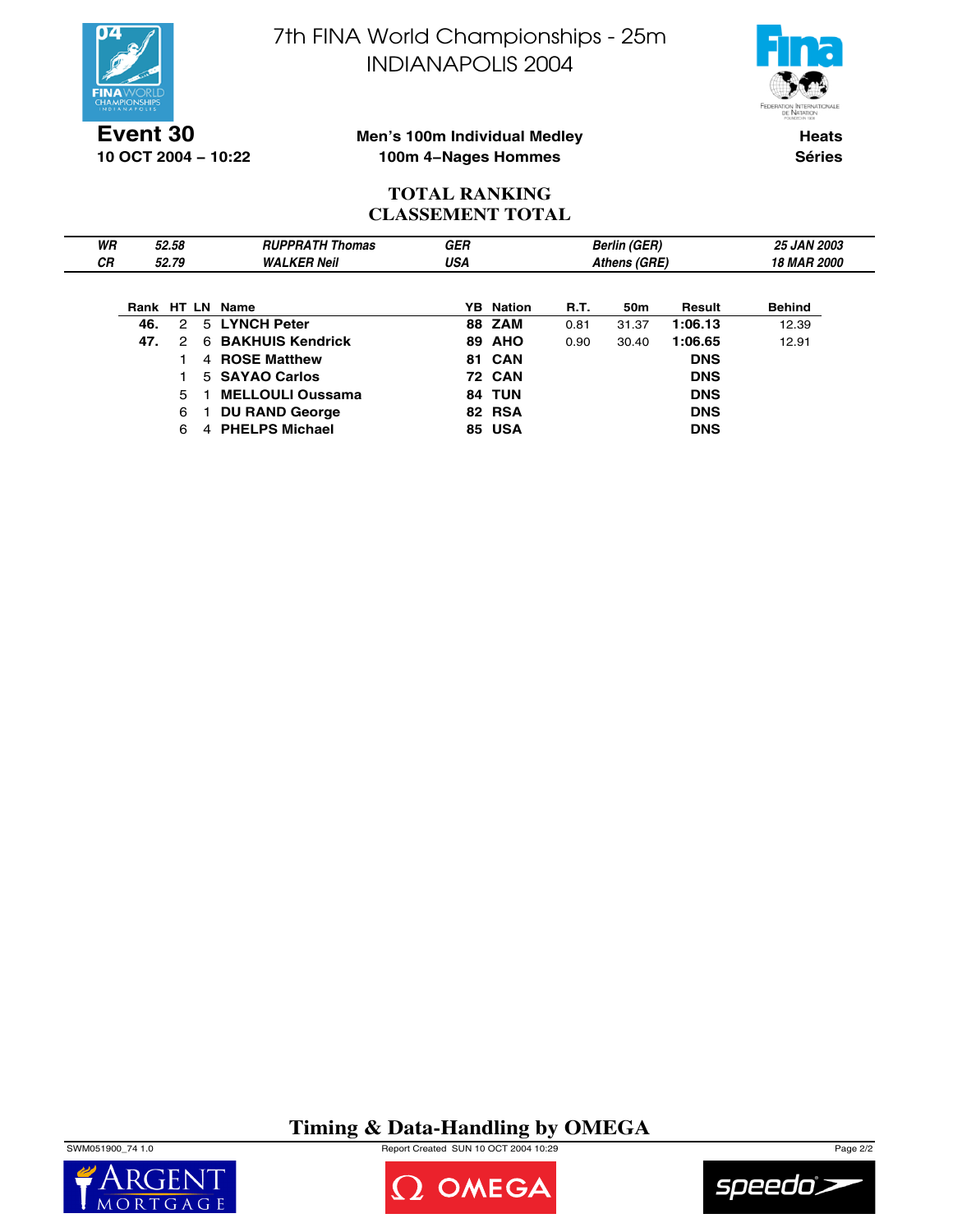

**10 OCT 2004 − 10:22**

7th FINA World Championships - 25m INDIANAPOLIS 2004



**Men's 100m Individual Medley 100m 4−Nages Hommes**

**Heats Séries**

## **TOTAL RANKING CLASSEMENT TOTAL**

| WR        |     | 52.58 |   | <b>RUPPRATH Thomas</b>  | <b>GER</b> |                  |      | <b>Berlin (GER)</b> |            | <b>25 JAN 2003</b> |
|-----------|-----|-------|---|-------------------------|------------|------------------|------|---------------------|------------|--------------------|
| <b>CR</b> |     | 52.79 |   | <b>WALKER Neil</b>      | USA        |                  |      | Athens (GRE)        |            | <b>18 MAR 2000</b> |
|           |     |       |   |                         |            |                  |      |                     |            |                    |
|           |     |       |   | Rank HT LN Name         |            | <b>YB</b> Nation | R.T. | 50m                 | Result     | <b>Behind</b>      |
|           | 46. | 2     |   | 5 LYNCH Peter           |            | <b>88 ZAM</b>    | 0.81 | 31.37               | 1:06.13    | 12.39              |
|           | 47. | 2     |   | 6 BAKHUIS Kendrick      |            | <b>89 AHO</b>    | 0.90 | 30.40               | 1:06.65    | 12.91              |
|           |     |       |   | 4 ROSE Matthew          |            | <b>81 CAN</b>    |      |                     | <b>DNS</b> |                    |
|           |     |       |   | 5 SAYAO Carlos          |            | <b>72 CAN</b>    |      |                     | <b>DNS</b> |                    |
|           |     | 5.    |   | <b>MELLOULI Oussama</b> |            | <b>84 TUN</b>    |      |                     | <b>DNS</b> |                    |
|           |     | 6     |   | <b>DU RAND George</b>   |            | 82 RSA           |      |                     | <b>DNS</b> |                    |
|           |     | 6     | 4 | <b>PHELPS Michael</b>   |            | <b>85 USA</b>    |      |                     | <b>DNS</b> |                    |

**Timing & Data-Handling by OMEGA**

SWM051900\_74 1.0 Report Created SUN 10 OCT 2004 10:29 Page 2/2





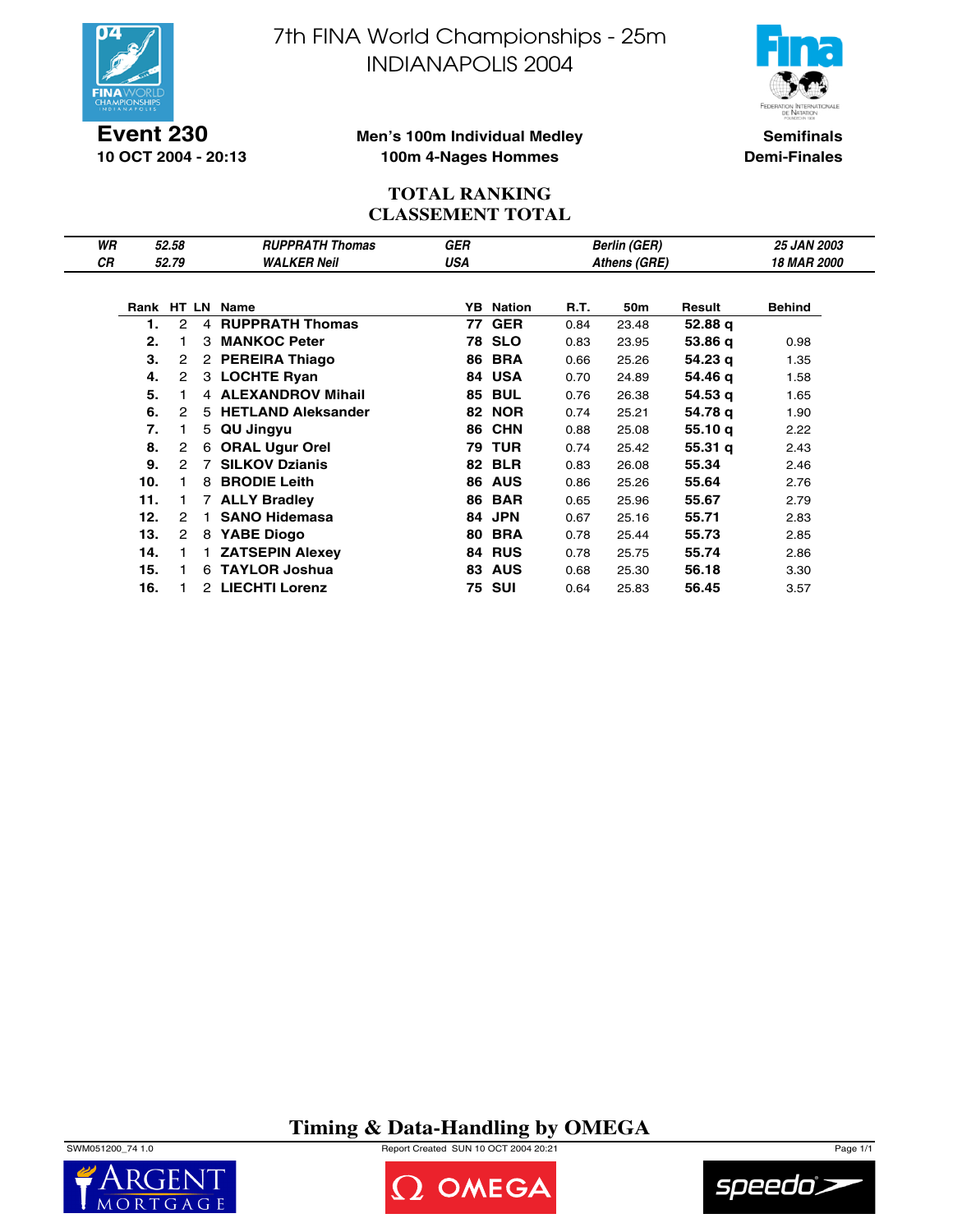

**Event 230 10 OCT 2004 - 20:13** 7th FINA World Championships - 25m INDIANAPOLIS 2004



**Men's 100m Individual Medley 100m 4-Nages Hommes**

**Semifinals Demi-Finales**

## **TOTAL RANKING CLASSEMENT TOTAL**

| WR |     | 52.58          |   | <b>RUPPRATH Thomas</b>  | GER |                  |      | <b>Berlin (GER)</b> |                    | <b>25 JAN 2003</b> |
|----|-----|----------------|---|-------------------------|-----|------------------|------|---------------------|--------------------|--------------------|
| СR |     | 52.79          |   | <b>WALKER Neil</b>      | USA |                  |      | Athens (GRE)        |                    | <b>18 MAR 2000</b> |
|    |     |                |   |                         |     |                  |      |                     |                    |                    |
|    |     |                |   | Rank HT LN Name         |     | <b>YB</b> Nation | R.T. | 50m                 | Result             | <b>Behind</b>      |
|    | 1.  | 2              |   | 4 RUPPRATH Thomas       |     | <b>77 GER</b>    | 0.84 | 23.48               | 52.88 q            |                    |
|    | 2.  |                |   | 3 MANKOC Peter          |     | <b>78 SLO</b>    | 0.83 | 23.95               | 53.86 q            | 0.98               |
|    | 3.  | 2              |   | 2 PEREIRA Thiago        |     | <b>86 BRA</b>    | 0.66 | 25.26               | 54.23 g            | 1.35               |
|    | 4.  | 2              |   | 3 LOCHTE Ryan           |     | 84 USA           | 0.70 | 24.89               | 54.46 q            | 1.58               |
|    | 5.  |                |   | 4 ALEXANDROV Mihail     | 85  | <b>BUL</b>       | 0.76 | 26.38               | 54.53 g            | 1.65               |
|    | 6.  | 2              |   | 5 HETLAND Aleksander    | 82  | <b>NOR</b>       | 0.74 | 25.21               | 54.78 q            | 1.90               |
|    | 7.  |                |   | 5 QU Jingyu             | 86  | <b>CHN</b>       | 0.88 | 25.08               | 55.10q             | 2.22               |
|    | 8.  | $\overline{2}$ | 6 | <b>ORAL Ugur Orel</b>   |     | <b>79 TUR</b>    | 0.74 | 25.42               | 55.31 <sub>q</sub> | 2.43               |
|    | 9.  | $\mathcal{P}$  |   | <b>7 SILKOV Dzianis</b> |     | <b>82 BLR</b>    | 0.83 | 26.08               | 55.34              | 2.46               |
|    | 10. |                | 8 | <b>BRODIE Leith</b>     |     | <b>86 AUS</b>    | 0.86 | 25.26               | 55.64              | 2.76               |
|    | 11. |                |   | 7 ALLY Bradley          | 86  | <b>BAR</b>       | 0.65 | 25.96               | 55.67              | 2.79               |
|    | 12. | 2              |   | <b>SANO Hidemasa</b>    | 84  | <b>JPN</b>       | 0.67 | 25.16               | 55.71              | 2.83               |
|    | 13. | 2              |   | 8 YABE Diogo            | 80  | <b>BRA</b>       | 0.78 | 25.44               | 55.73              | 2.85               |
|    | 14. |                |   | <b>ZATSEPIN Alexey</b>  |     | 84 RUS           | 0.78 | 25.75               | 55.74              | 2.86               |
|    | 15. |                |   | 6 TAYLOR Joshua         | 83  | <b>AUS</b>       | 0.68 | 25.30               | 56.18              | 3.30               |
|    | 16. |                |   | 2 LIECHTI Lorenz        |     | 75 SUI           | 0.64 | 25.83               | 56.45              | 3.57               |

**Timing & Data-Handling by OMEGA**

SWM051200\_74 1.0 Report Created SUN 10 OCT 2004 20:21 Page 1/1





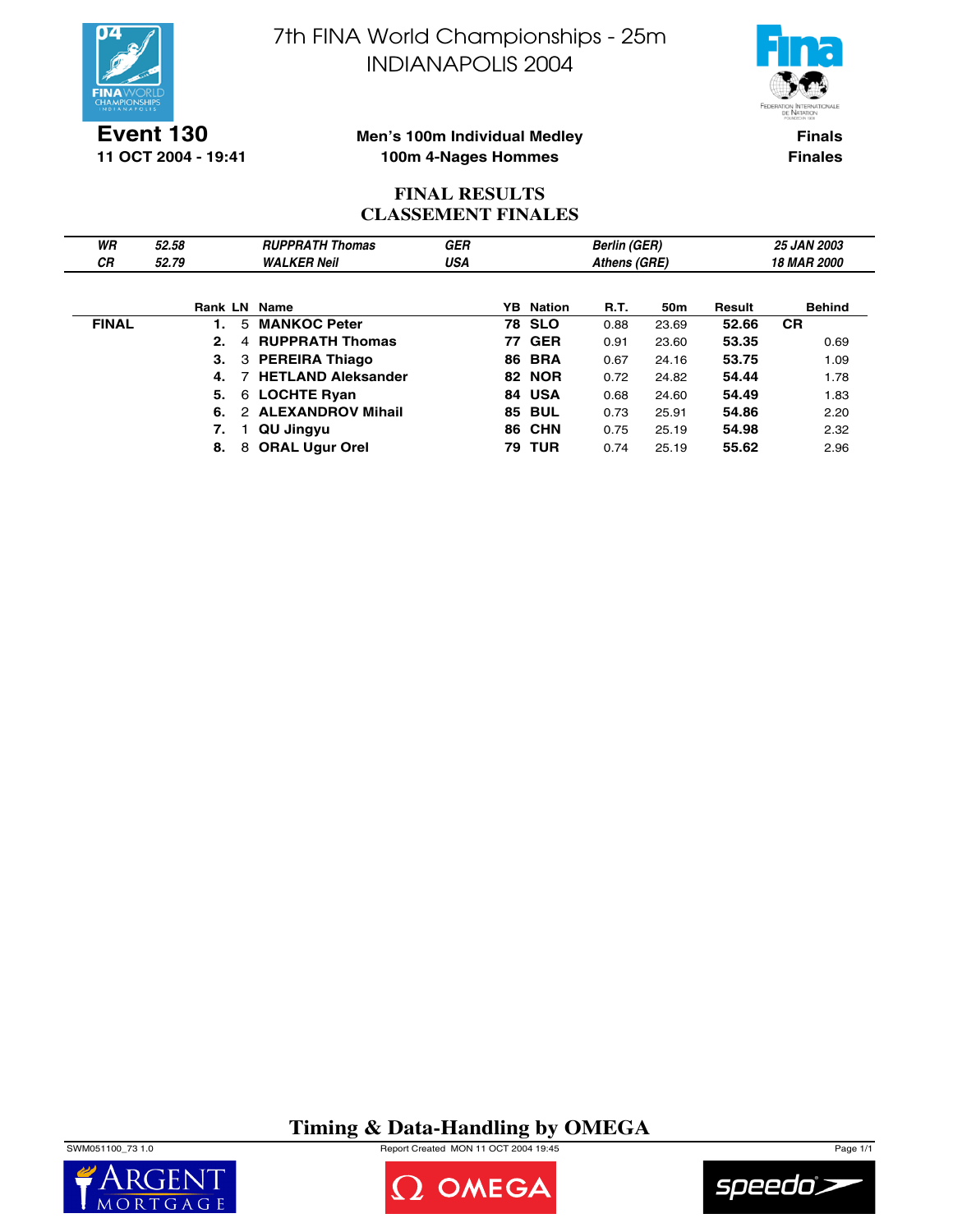

**Event 130 11 OCT 2004 - 19:41** 7th FINA World Championships - 25m INDIANAPOLIS 2004



**Men's 100m Individual Medley 100m 4-Nages Hommes**

**Finals Finales**

## **FINAL RESULTS CLASSEMENT FINALES**

| WR<br><b>CR</b> | 52.58<br>52.79 |   | <b>RUPPRATH Thomas</b><br><b>WALKER Neil</b> | <b>GER</b><br>USA |     |               | <b>Berlin (GER)</b><br>Athens (GRE) |       |        | <b>25 JAN 2003</b><br><b>18 MAR 2000</b> |
|-----------------|----------------|---|----------------------------------------------|-------------------|-----|---------------|-------------------------------------|-------|--------|------------------------------------------|
|                 |                |   |                                              |                   |     |               |                                     |       |        |                                          |
|                 |                |   | Rank LN Name                                 |                   | YB. | Nation        | R.T.                                | 50m   | Result | <b>Behind</b>                            |
| <b>FINAL</b>    | $\mathbf{1}$ . | 5 | <b>MANKOC Peter</b>                          |                   |     | <b>78 SLO</b> | 0.88                                | 23.69 | 52.66  | <b>CR</b>                                |
|                 | 2.             | 4 | <b>RUPPRATH Thomas</b>                       |                   |     | <b>77 GER</b> | 0.91                                | 23.60 | 53.35  | 0.69                                     |
|                 | 3.             |   | 3 PEREIRA Thiago                             |                   |     | <b>86 BRA</b> | 0.67                                | 24.16 | 53.75  | 1.09                                     |
|                 | 4.             |   | 7 HETLAND Aleksander                         |                   |     | <b>82 NOR</b> | 0.72                                | 24.82 | 54.44  | 1.78                                     |
|                 | 5.             |   | 6 LOCHTE Ryan                                |                   |     | 84 USA        | 0.68                                | 24.60 | 54.49  | 1.83                                     |
|                 | 6.             |   | 2 ALEXANDROV Mihail                          |                   |     | <b>85 BUL</b> | 0.73                                | 25.91 | 54.86  | 2.20                                     |
|                 | 7.             |   | QU Jingyu                                    |                   |     | <b>86 CHN</b> | 0.75                                | 25.19 | 54.98  | 2.32                                     |
|                 | 8.             | 8 | <b>ORAL Ugur Orel</b>                        |                   | 79  | <b>TUR</b>    | 0.74                                | 25.19 | 55.62  | 2.96                                     |

# **Timing & Data-Handling by OMEGA**

SWM051100\_73 1.0 Report Created MON 11 OCT 2004 19:45 Page 1/1





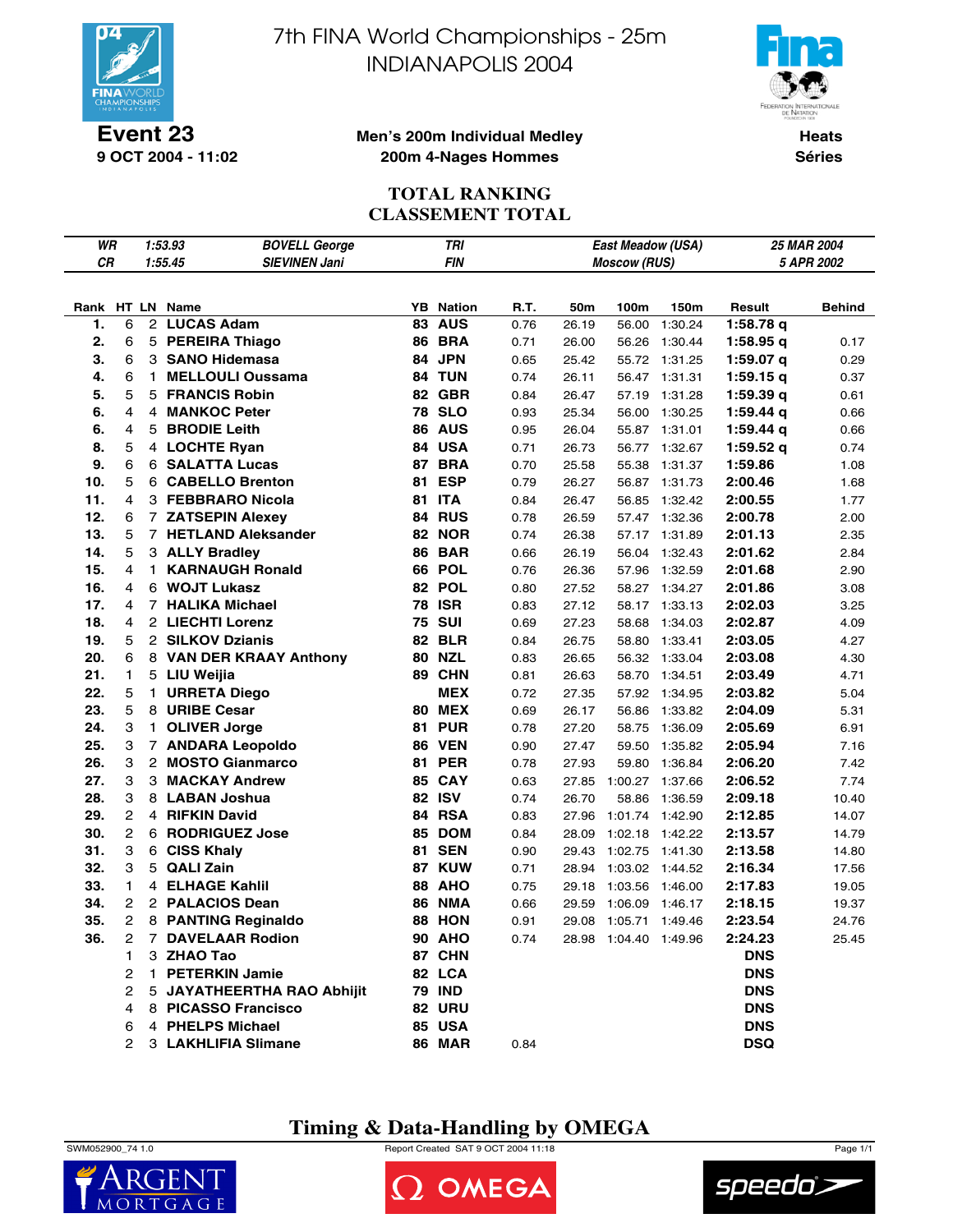

**Event 23 9 OCT 2004 - 11:02** 7th FINA World Championships - 25m INDIANAPOLIS 2004



#### **Men's 200m Individual Medley 200m 4-Nages Hommes**

**Heats Séries**

# **TOTAL RANKING CLASSEMENT TOTAL**

| WR  |                |   | 1:53.93                 | <b>BOVELL George</b>       | <b>TRI</b> |               |      | East Meadow (USA) |                       |                 | 25 MAR 2004 |               |
|-----|----------------|---|-------------------------|----------------------------|------------|---------------|------|-------------------|-----------------------|-----------------|-------------|---------------|
| CR  |                |   | 1:55.45                 | <b>SIEVINEN Jani</b>       |            | <b>FIN</b>    |      |                   | <b>Moscow (RUS)</b>   |                 | 5 APR 2002  |               |
|     |                |   |                         |                            |            |               |      |                   |                       |                 |             |               |
|     |                |   | Rank HT LN Name         |                            | YB         | <b>Nation</b> | R.T. | 50m               | 100m                  | 150m            | Result      | <b>Behind</b> |
| 1.  | 6              |   | 2 LUCAS Adam            |                            |            | <b>83 AUS</b> | 0.76 | 26.19             | 56.00                 | 1:30.24         | 1:58.78 q   |               |
| 2.  | 6              |   | 5 PEREIRA Thiago        |                            |            | <b>86 BRA</b> | 0.71 | 26.00             |                       | 56.26 1:30.44   | 1:58.95q    | 0.17          |
| 3.  | 6              |   | 3 SANO Hidemasa         |                            |            | 84 JPN        | 0.65 | 25.42             |                       | 55.72 1:31.25   | 1:59.07 $q$ | 0.29          |
| 4.  | 6              |   | 1 MELLOULI Oussama      |                            |            | 84 TUN        | 0.74 | 26.11             |                       | 56.47 1:31.31   | 1:59.15q    | 0.37          |
| 5.  | 5              |   | 5 FRANCIS Robin         |                            |            | <b>82 GBR</b> | 0.84 | 26.47             | 57.19                 | 1:31.28         | 1:59.39q    | 0.61          |
| 6.  | 4              |   | 4 MANKOC Peter          |                            |            | <b>78 SLO</b> | 0.93 | 25.34             |                       | 56.00 1:30.25   | $1:59.44$ q | 0.66          |
| 6.  | 4              | 5 | <b>BRODIE Leith</b>     |                            |            | <b>86 AUS</b> | 0.95 | 26.04             |                       | 55.87 1:31.01   | 1:59.44 q   | 0.66          |
| 8.  | 5              |   | 4 LOCHTE Ryan           |                            |            | 84 USA        | 0.71 | 26.73             | 56.77                 | 1:32.67         | 1:59.52 $q$ | 0.74          |
| 9.  | 6              |   | <b>6 SALATTA Lucas</b>  |                            | 87         | <b>BRA</b>    | 0.70 | 25.58             | 55.38                 | 1:31.37         | 1:59.86     | 1.08          |
| 10. | 5              |   | 6 CABELLO Brenton       |                            | 81         | <b>ESP</b>    | 0.79 | 26.27             | 56.87                 | 1:31.73         | 2:00.46     | 1.68          |
| 11. | 4              |   | 3 FEBBRARO Nicola       |                            | 81         | <b>ITA</b>    | 0.84 | 26.47             | 56.85                 | 1:32.42         | 2:00.55     | 1.77          |
| 12. | 6              |   | 7 ZATSEPIN Alexey       |                            |            | 84 RUS        | 0.78 | 26.59             | 57.47                 | 1:32.36         | 2:00.78     | 2.00          |
| 13. | 5              |   | 7 HETLAND Aleksander    |                            |            | <b>82 NOR</b> | 0.74 | 26.38             | 57.17                 | 1:31.89         | 2:01.13     | 2.35          |
| 14. | 5              |   | 3 ALLY Bradley          |                            |            | <b>86 BAR</b> | 0.66 | 26.19             | 56.04                 | 1:32.43         | 2:01.62     | 2.84          |
| 15. | 4              |   | 1 KARNAUGH Ronald       |                            |            | <b>66 POL</b> | 0.76 | 26.36             | 57.96                 | 1:32.59         | 2:01.68     | 2.90          |
| 16. | 4              |   | 6 WOJT Lukasz           |                            |            | 82 POL        | 0.80 | 27.52             | 58.27                 | 1:34.27         | 2:01.86     | 3.08          |
| 17. | 4              |   | 7 HALIKA Michael        |                            | 78         | <b>ISR</b>    | 0.83 | 27.12             |                       | 58.17 1:33.13   | 2:02.03     | 3.25          |
| 18. | 4              |   | 2 LIECHTI Lorenz        |                            |            | <b>75 SUI</b> | 0.69 | 27.23             | 58.68                 | 1:34.03         | 2:02.87     | 4.09          |
| 19. | 5              |   | 2 SILKOV Dzianis        |                            |            | <b>82 BLR</b> | 0.84 | 26.75             | 58.80                 | 1:33.41         | 2:03.05     | 4.27          |
| 20. | 6              |   | 8 VAN DER KRAAY Anthony |                            |            | <b>80 NZL</b> | 0.83 | 26.65             | 56.32                 | 1:33.04         | 2:03.08     | 4.30          |
| 21. | 1              |   | 5 LIU Weijia            |                            |            | 89 CHN        | 0.81 | 26.63             | 58.70                 | 1:34.51         | 2:03.49     | 4.71          |
| 22. | 5              |   | 1 URRETA Diego          |                            |            | <b>MEX</b>    | 0.72 | 27.35             | 57.92                 | 1:34.95         | 2:03.82     | 5.04          |
| 23. | 5              |   | 8 URIBE Cesar           |                            |            | <b>80 MEX</b> | 0.69 | 26.17             | 56.86                 | 1:33.82         | 2:04.09     | 5.31          |
| 24. | 3              |   | 1 OLIVER Jorge          |                            |            | <b>81 PUR</b> | 0.78 | 27.20             | 58.75                 | 1:36.09         | 2:05.69     | 6.91          |
| 25. | 3              |   | 7 ANDARA Leopoldo       |                            |            | <b>86 VEN</b> | 0.90 | 27.47             | 59.50                 | 1:35.82         | 2:05.94     | 7.16          |
| 26. | 3              |   | 2 MOSTO Gianmarco       |                            | 81         | <b>PER</b>    | 0.78 | 27.93             | 59.80                 | 1:36.84         | 2:06.20     | 7.42          |
| 27. | 3              |   | 3 MACKAY Andrew         |                            |            | <b>85 CAY</b> | 0.63 | 27.85             | 1:00.27               | 1:37.66         | 2:06.52     | 7.74          |
| 28. | 3              |   | 8 LABAN Joshua          |                            |            | <b>82 ISV</b> | 0.74 | 26.70             | 58.86                 | 1:36.59         | 2:09.18     | 10.40         |
| 29. | 2              |   | 4 RIFKIN David          |                            |            | 84 RSA        | 0.83 | 27.96             | 1:01.74               | 1:42.90         | 2:12.85     | 14.07         |
| 30. | 2              |   | 6 RODRIGUEZ Jose        |                            | 85         | <b>DOM</b>    | 0.84 | 28.09             |                       | 1:02.18 1:42.22 | 2:13.57     | 14.79         |
| 31. | 3              |   | 6 CISS Khaly            |                            |            | <b>81 SEN</b> | 0.90 | 29.43             | 1:02.75 1:41.30       |                 | 2:13.58     | 14.80         |
| 32. | 3              |   | 5 QALI Zain             |                            |            | 87 KUW        | 0.71 | 28.94             | 1:03.02 1:44.52       |                 | 2:16.34     | 17.56         |
| 33. | 1              |   | 4 ELHAGE Kahlil         |                            |            | <b>88 AHO</b> | 0.75 | 29.18             | 1:03.56               | 1:46.00         | 2:17.83     | 19.05         |
| 34. | 2              |   | 2 PALACIOS Dean         |                            | 86         | <b>NMA</b>    | 0.66 | 29.59             | 1:06.09               | 1:46.17         | 2:18.15     | 19.37         |
| 35. | 2              |   | 8 PANTING Reginaldo     |                            |            | 88 HON        | 0.91 | 29.08             | 1:05.71 1:49.46       |                 | 2:23.54     | 24.76         |
| 36. | $\overline{2}$ |   | 7 DAVELAAR Rodion       |                            |            | <b>90 AHO</b> | 0.74 |                   | 28.98 1:04.40 1:49.96 |                 | 2:24.23     | 25.45         |
|     | 1.             |   | 3 ZHAO Tao              |                            |            | 87 CHN        |      |                   |                       |                 | <b>DNS</b>  |               |
|     | $\overline{2}$ |   | 1 PETERKIN Jamie        |                            |            | 82 LCA        |      |                   |                       |                 | <b>DNS</b>  |               |
|     | 2              |   |                         | 5 JAYATHEERTHA RAO Abhijit |            | <b>79 IND</b> |      |                   |                       |                 | <b>DNS</b>  |               |
|     | 4              |   | 8 PICASSO Francisco     |                            |            | <b>82 URU</b> |      |                   |                       |                 | <b>DNS</b>  |               |
|     | 6              |   | 4 PHELPS Michael        |                            |            | <b>85 USA</b> |      |                   |                       |                 | <b>DNS</b>  |               |
|     | 2              |   | 3 LAKHLIFIA Slimane     |                            |            | <b>86 MAR</b> | 0.84 |                   |                       |                 | <b>DSQ</b>  |               |

# **Timing & Data-Handling by OMEGA**

 $\mathsf{M}$  $\Omega$ 

SWM052900\_74 1.0 Report Created SAT 9 OCT 2004 11:18 Page 1/1





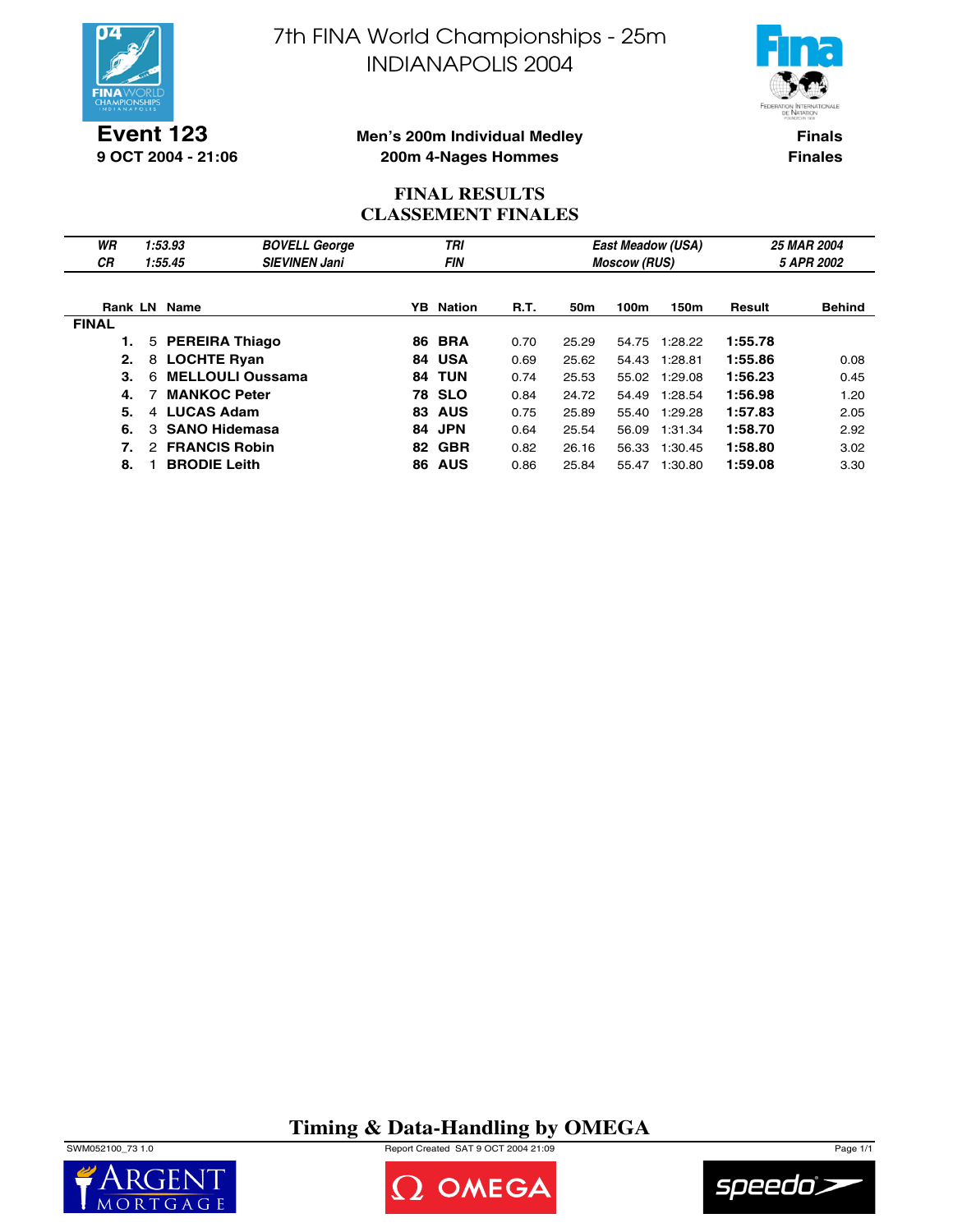

7th FINA World Championships - 25m INDIANAPOLIS 2004



**Event 123 9 OCT 2004 - 21:06**

**Men's 200m Individual Medley 200m 4-Nages Hommes**

**Finals Finales**

### **FINAL RESULTS CLASSEMENT FINALES**

| WR           | 1:53.93                               | <b>BOVELL George</b>    |     | TRI              |             |                 |                     | East Meadow (USA) |         | 25 MAR 2004   |
|--------------|---------------------------------------|-------------------------|-----|------------------|-------------|-----------------|---------------------|-------------------|---------|---------------|
| <b>CR</b>    | 1:55.45                               | <b>SIEVINEN Jani</b>    |     | FIN              |             |                 | <b>Moscow (RUS)</b> |                   |         | 5 APR 2002    |
|              |                                       |                         |     |                  |             |                 |                     |                   |         |               |
|              | Rank LN Name                          |                         |     | <b>YB</b> Nation | <b>R.T.</b> | 50 <sub>m</sub> | 100m                | 150m              | Result  | <b>Behind</b> |
| <b>FINAL</b> |                                       |                         |     |                  |             |                 |                     |                   |         |               |
|              | 5 PEREIRA Thiago                      |                         | 86  | <b>BRA</b>       | 0.70        | 25.29           | 54.75               | 1:28.22           | 1:55.78 |               |
| 2.           | <b>LOCHTE Ryan</b><br>8               |                         | 84  | <b>USA</b>       | 0.69        | 25.62           | 54.43               | 1:28.81           | 1:55.86 | 0.08          |
| З.           | 6                                     | <b>MELLOULI Oussama</b> | 84  | TUN              | 0.74        | 25.53           | 55.02               | 1:29.08           | 1:56.23 | 0.45          |
| 4.           | <b>MANKOC Peter</b>                   |                         |     | <b>78 SLO</b>    | 0.84        | 24.72           | 54.49               | 1:28.54           | 1:56.98 | 1.20          |
| 5.           | <b>LUCAS Adam</b><br>4                |                         | 83  | <b>AUS</b>       | 0.75        | 25.89           | 55.40               | 1:29.28           | 1:57.83 | 2.05          |
| 6.           | <b>SANO Hidemasa</b><br>3             |                         | 84  | <b>JPN</b>       | 0.64        | 25.54           | 56.09               | 1:31.34           | 1:58.70 | 2.92          |
| 7.           | <b>FRANCIS Robin</b><br>$\mathcal{P}$ |                         | 82  | <b>GBR</b>       | 0.82        | 26.16           | 56.33               | 1:30.45           | 1:58.80 | 3.02          |
| 8.           | <b>BRODIE Leith</b>                   |                         | 86. | <b>AUS</b>       | 0.86        | 25.84           | 55.47               | 1:30.80           | 1:59.08 | 3.30          |

## **Timing & Data-Handling by OMEGA**

SWM052100\_73 1.0 Report Created SAT 9 OCT 2004 21:09 Page 1/1





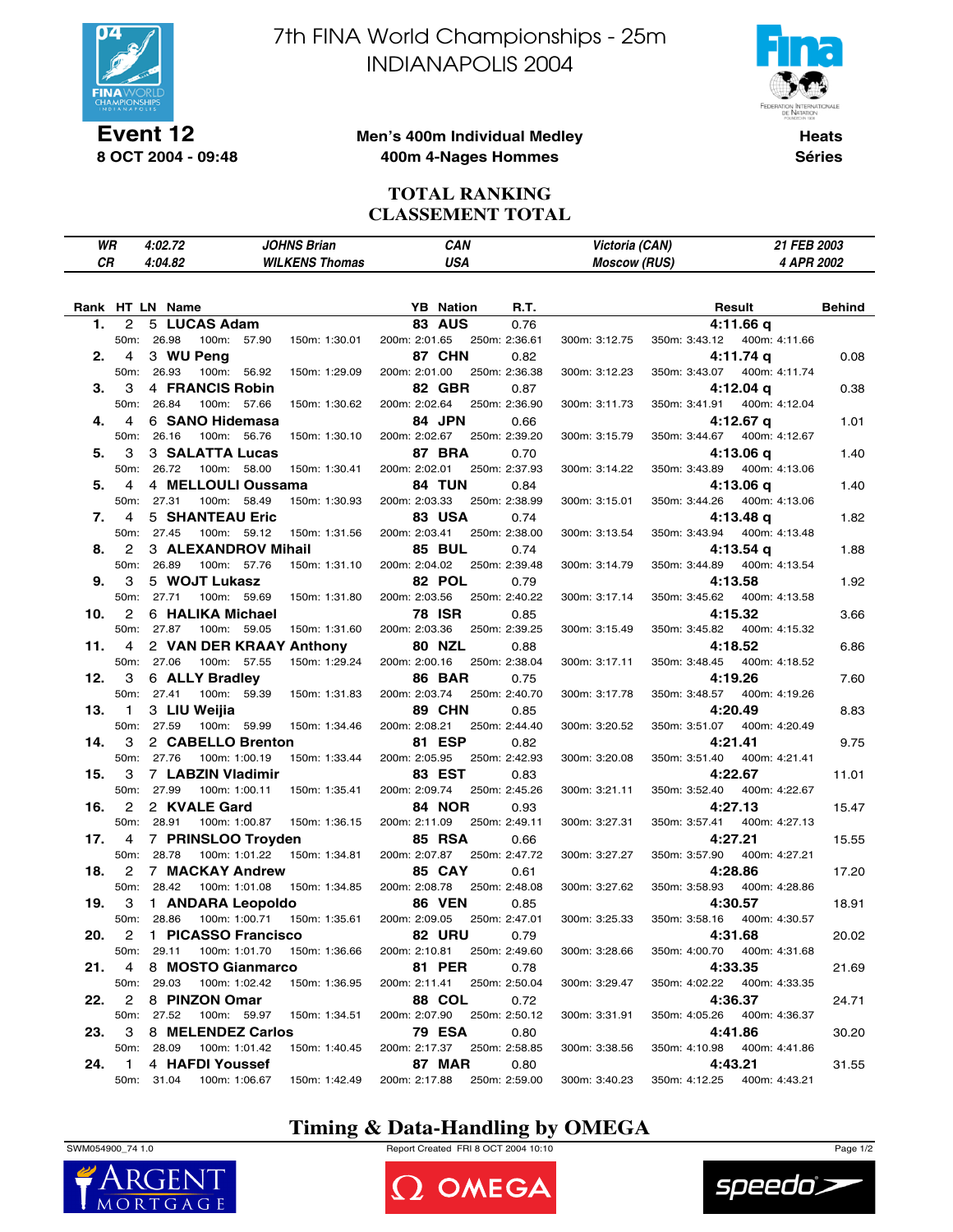

**Event 12 8 OCT 2004 - 09:48** 7th FINA World Championships - 25m INDIANAPOLIS 2004



### **Men's 400m Individual Medley 400m 4-Nages Hommes**

**Heats Séries**

### **TOTAL RANKING CLASSEMENT TOTAL**

|     | WR                | 4:02.72         |                          | <b>JOHNS Brian</b>                       |               | CAN                         |               | Victoria (CAN)      |               | 21 FEB 2003                  |        |
|-----|-------------------|-----------------|--------------------------|------------------------------------------|---------------|-----------------------------|---------------|---------------------|---------------|------------------------------|--------|
| СR  |                   | 4:04.82         |                          | <b>WILKENS Thomas</b>                    |               | <b>USA</b>                  |               | <b>Moscow (RUS)</b> |               | 4 APR 2002                   |        |
|     |                   | Rank HT LN Name |                          |                                          |               | <b>YB</b> Nation            | R.T.          |                     |               | Result                       | Behind |
| 1.  | 2                 |                 | 5 LUCAS Adam             |                                          |               | <b>83 AUS</b>               | 0.76          |                     |               | 4:11.66 q                    |        |
|     |                   | 50m: 26.98      | 100m: 57.90              | 150m: 1:30.01                            | 200m: 2:01.65 |                             | 250m: 2:36.61 | 300m: 3:12.75       | 350m: 3:43.12 | 400m: 4:11.66                |        |
| 2.  | 4                 | 3 WU Peng       |                          |                                          |               | 87 CHN                      | 0.82          |                     |               | 4:11.74 q                    | 0.08   |
|     | 50m:              | 26.93           | 100m: 56.92              | 150m: 1:29.09                            | 200m: 2:01.00 |                             | 250m: 2:36.38 | 300m: 3:12.23       | 350m: 3:43.07 | 400m: 4:11.74                |        |
| З.  | 3                 |                 | <b>4 FRANCIS Robin</b>   |                                          |               | <b>82 GBR</b>               | 0.87          |                     |               | 4:12.04 q                    | 0.38   |
|     |                   | 50m: 26.84      | 100m: 57.66              | 150m: 1:30.62                            | 200m: 2:02.64 |                             | 250m: 2:36.90 | 300m: 3:11.73       | 350m: 3:41.91 | 400m: 4:12.04                |        |
| 4.  | 4                 |                 | 6 SANO Hidemasa          |                                          |               | 84 JPN                      | 0.66          |                     |               | $4:12.67$ q                  | 1.01   |
|     | 50m:              | 26.16           | 100m: 56.76              | 150m: 1:30.10                            | 200m: 2:02.67 |                             | 250m: 2:39.20 | 300m: 3:15.79       | 350m: 3:44.67 | 400m: 4:12.67                |        |
| 5.  | 3                 |                 | <b>3 SALATTA Lucas</b>   |                                          |               | <b>87 BRA</b>               | 0.70          |                     |               | 4:13.06 g                    | 1.40   |
|     | 50m:              | 26.72           | 100m: 58.00              | 150m: 1:30.41                            | 200m: 2:02.01 |                             | 250m: 2:37.93 | 300m: 3:14.22       | 350m: 3:43.89 | 400m: 4:13.06                |        |
| 5.  | 4                 |                 | 4 MELLOULI Oussama       |                                          |               | <b>84 TUN</b>               | 0.84          |                     |               | 4:13.06 q                    | 1.40   |
|     | 50m:              | 27.31           | 100m: 58.49              | 150m: 1:30.93                            | 200m: 2:03.33 |                             | 250m: 2:38.99 | 300m: 3:15.01       | 350m: 3:44.26 | 400m: 4:13.06                |        |
| 7.  | 4                 |                 | 5 SHANTEAU Eric          |                                          |               | <b>83 USA</b>               | 0.74          |                     |               | 4:13.48 q                    | 1.82   |
|     | 50m:              | 27.45           | 100m: 59.12              | 150m: 1:31.56                            | 200m: 2:03.41 |                             | 250m: 2:38.00 | 300m: 3:13.54       | 350m: 3:43.94 | 400m: 4:13.48                |        |
| 8.  | 2                 |                 | 3 ALEXANDROV Mihail      |                                          |               | <b>85 BUL</b>               | 0.74          |                     |               | 4:13.54 g                    | 1.88   |
|     | 50m:              | 26.89           | 100m: 57.76              | 150m: 1:31.10                            | 200m: 2:04.02 |                             | 250m: 2:39.48 | 300m: 3:14.79       | 350m: 3:44.89 | 400m: 4:13.54                |        |
| 9.  | 3                 |                 | 5 WOJT Lukasz            |                                          |               | 82 POL                      | 0.79          |                     |               | 4:13.58                      | 1.92   |
|     | 50m:              | 27.71           | 100m: 59.69              | 150m: 1:31.80                            | 200m: 2:03.56 |                             | 250m: 2:40.22 | 300m: 3:17.14       | 350m: 3:45.62 | 400m: 4:13.58                |        |
| 10. | 2                 |                 | 6 HALIKA Michael         |                                          |               | 78 ISR                      | 0.85          |                     |               | 4:15.32                      | 3.66   |
|     |                   | 50m: 27.87      | 100m: 59.05              | 150m: 1:31.60                            | 200m: 2:03.36 |                             | 250m: 2:39.25 | 300m: 3:15.49       | 350m: 3:45.82 | 400m: 4:15.32                |        |
| 11. | 4                 |                 | 2 VAN DER KRAAY Anthony  |                                          |               | <b>80 NZL</b>               | 0.88          |                     |               | 4:18.52                      | 6.86   |
|     | 50m:              | 27.06           | 100m: 57.55              | 150m: 1:29.24                            | 200m: 2:00.16 |                             | 250m: 2:38.04 | 300m: 3:17.11       | 350m: 3:48.45 | 400m: 4:18.52                |        |
| 12. | 3                 |                 | 6 ALLY Bradley           |                                          |               | <b>86 BAR</b>               | 0.75          |                     |               | 4:19.26                      | 7.60   |
|     |                   | 50m: 27.41      | 100m: 59.39              | 150m: 1:31.83                            | 200m: 2:03.74 |                             | 250m: 2:40.70 | 300m: 3:17.78       | 350m: 3:48.57 | 400m: 4:19.26                |        |
| 13. | $\mathbf{1}$      | 3 LIU Weijia    |                          |                                          |               | <b>89 CHN</b>               | 0.85          |                     |               | 4:20.49                      | 8.83   |
|     | 50m:              | 27.59           | 100m: 59.99              | 150m: 1:34.46                            | 200m: 2:08.21 |                             | 250m: 2:44.40 | 300m: 3:20.52       | 350m: 3:51.07 | 400m: 4:20.49                |        |
| 14. | 3                 |                 | 2 CABELLO Brenton        |                                          |               | 81 ESP                      | 0.82          |                     |               | 4:21.41                      | 9.75   |
|     |                   | 50m: 27.76      | 100m: 1:00.19            | 150m: 1:33.44                            | 200m: 2:05.95 |                             | 250m: 2:42.93 | 300m: 3:20.08       | 350m: 3:51.40 | 400m: 4:21.41                |        |
| 15. | 3                 |                 | 7 LABZIN Vladimir        |                                          |               | 83 EST                      | 0.83          |                     |               | 4:22.67                      | 11.01  |
|     | 50m:              | 27.99           | 100m: 1:00.11            | 150m: 1:35.41                            | 200m: 2:09.74 |                             | 250m: 2:45.26 | 300m: 3:21.11       | 350m: 3:52.40 | 400m: 4:22.67                |        |
| 16. | 2                 | 2 KVALE Gard    |                          |                                          |               | <b>84 NOR</b>               | 0.93          |                     |               | 4:27.13                      | 15.47  |
|     | 50m:              | 28.91           | 100m: 1:00.87            | 150m: 1:36.15                            | 200m: 2:11.09 |                             | 250m: 2:49.11 | 300m: 3:27.31       | 350m: 3:57.41 | 400m: 4:27.13                |        |
| 17. | 4                 |                 | 7 PRINSLOO Troyden       |                                          |               | <b>85 RSA</b>               | 0.66          |                     |               | 4:27.21                      | 15.55  |
|     | 50 <sub>m</sub> : | 28.78           | 100m: 1:01.22            | 150m: 1:34.81                            | 200m: 2:07.87 |                             | 250m: 2:47.72 | 300m: 3:27.27       | 350m: 3:57.90 | 400m: 4:27.21                |        |
| 18. | $\mathbf{2}$      |                 | 7 MACKAY Andrew          |                                          |               | <b>85 CAY</b>               | 0.61          |                     |               | 4:28.86                      | 17.20  |
|     | 50m:              | 28.42           | 100m: 1:01.08            | 150m: 1:34.85                            | 200m: 2:08.78 |                             | 250m: 2:48.08 | 300m: 3:27.62       | 350m: 3:58.93 | 400m: 4:28.86                |        |
| 19. | 3                 |                 | 1 ANDARA Leopoldo        |                                          |               | <b>86 VEN</b>               | 0.85          |                     |               | 4:30.57                      | 18.91  |
|     |                   |                 |                          | 50m: 28.86  100m: 1:00.71  150m: 1:35.61 |               | 200m: 2:09.05 250m: 2:47.01 |               | 300m: 3:25.33       |               | 350m: 3:58.16  400m: 4:30.57 |        |
| 20. | 2                 |                 | 1 PICASSO Francisco      |                                          |               | <b>82 URU</b>               | 0.79          |                     |               | 4:31.68                      | 20.02  |
|     |                   | 50m: 29.11      |                          | 100m: 1:01.70  150m: 1:36.66             | 200m: 2:10.81 |                             | 250m: 2:49.60 | 300m: 3:28.66       |               | 350m: 4:00.70  400m: 4:31.68 |        |
| 21. | 4                 |                 | 8 MOSTO Gianmarco        |                                          |               | <b>81 PER</b>               | 0.78          |                     |               | 4:33.35                      | 21.69  |
|     |                   | 50m: 29.03      | 100m: 1:02.42            | 150m: 1:36.95                            | 200m: 2:11.41 |                             | 250m: 2:50.04 | 300m: 3:29.47       |               | 350m: 4:02.22  400m: 4:33.35 |        |
| 22. | $\mathbf{2}$      |                 | 8 PINZON Omar            |                                          |               | <b>88 COL</b>               | 0.72          |                     |               | 4:36.37                      | 24.71  |
|     |                   | 50m: 27.52      | 100m: 59.97              | 150m: 1:34.51                            | 200m: 2:07.90 |                             | 250m: 2:50.12 | 300m: 3:31.91       | 350m: 4:05.26 | 400m: 4:36.37                |        |
| 23. | 3                 |                 | 8 MELENDEZ Carlos        |                                          |               | <b>79 ESA</b>               | 0.80          |                     |               | 4:41.86                      | 30.20  |
|     |                   | 50m: 28.09      | 100m: 1:01.42            | 150m: 1:40.45                            |               | 200m: 2:17.37 250m: 2:58.85 |               | 300m: 3:38.56       |               | 350m: 4:10.98 400m: 4:41.86  |        |
| 24. | $\mathbf{1}$      |                 | 4 HAFDI Youssef          |                                          |               | <b>87 MAR</b>               | 0.80          |                     |               | 4:43.21                      | 31.55  |
|     |                   |                 | 50m: 31.04 100m: 1:06.67 | 150m: 1:42.49                            | 200m: 2:17.88 |                             | 250m: 2:59.00 | 300m: 3:40.23       |               | 350m: 4:12.25  400m: 4:43.21 |        |

## **Timing & Data-Handling by OMEGA**

SWM054900\_74 1.0 Report Created FRI 8 OCT 2004 10:10 Page 1/2





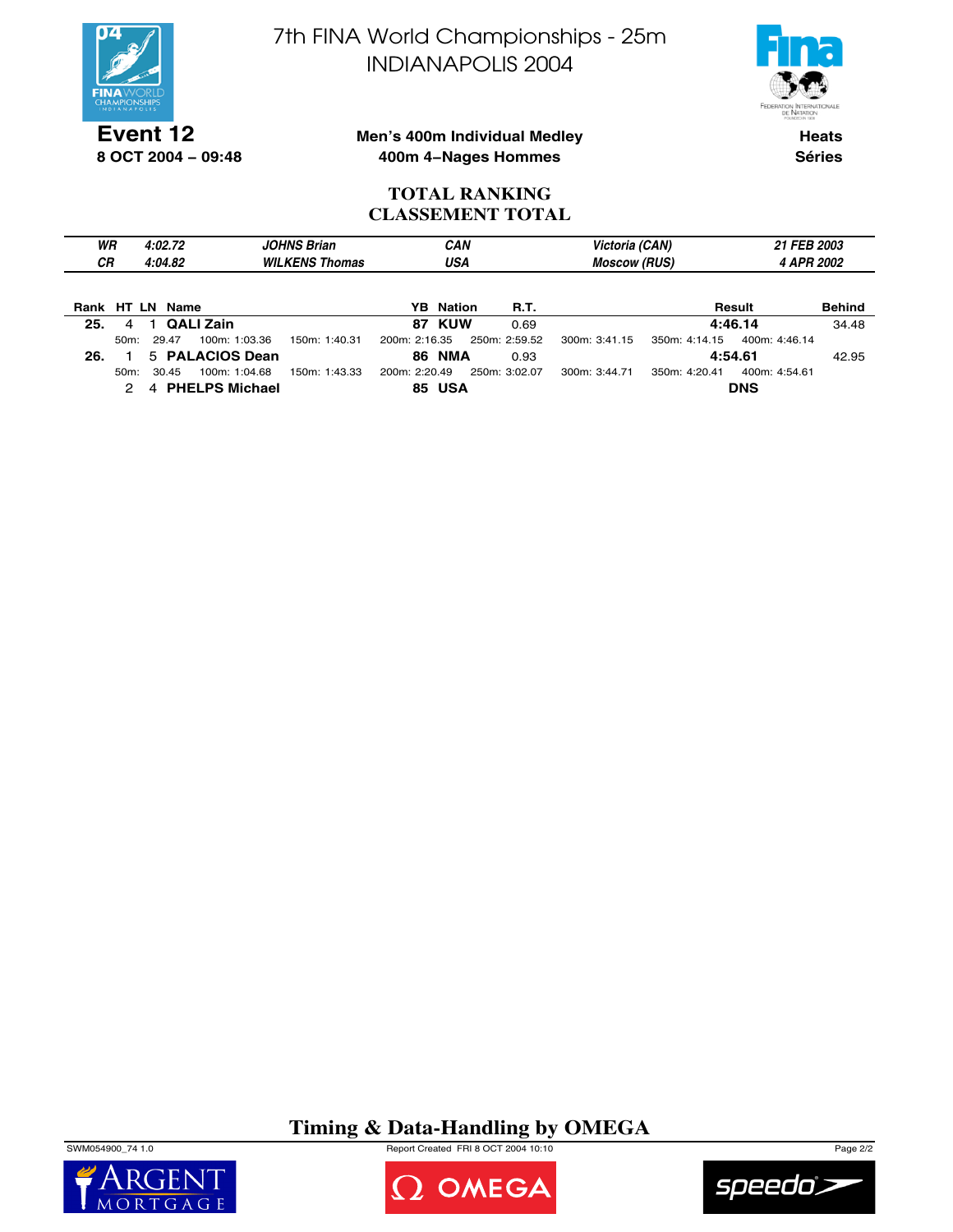

**Event 12**

**8 OCT 2004 − 09:48**

7th FINA World Championships - 25m INDIANAPOLIS 2004



### **Men's 400m Individual Medley 400m 4−Nages Hommes**

**Heats Séries**

### **TOTAL RANKING CLASSEMENT TOTAL**

| WR<br><b>CR</b> |         | 4:02.72<br>4:04.82 |                       | <b>JOHNS Brian</b><br><b>WILKENS Thomas</b> |               | <b>CAN</b><br>USA |               | Victoria (CAN)<br><b>Moscow (RUS)</b> | 21 FEB 2003<br>4 APR 2002 |               |               |
|-----------------|---------|--------------------|-----------------------|---------------------------------------------|---------------|-------------------|---------------|---------------------------------------|---------------------------|---------------|---------------|
| Rank HT LN      |         | Name               |                       |                                             |               | <b>YB</b> Nation  | <b>R.T.</b>   |                                       |                           | Result        | <b>Behind</b> |
| 25.             | 4       |                    | <b>QALI Zain</b>      |                                             |               | 87 KUW            | 0.69          |                                       |                           | 4:46.14       | 34.48         |
|                 | $50m$ : | 29.47              | 100m: 1:03.36         | 150m: 1:40.31                               | 200m: 2:16.35 |                   | 250m: 2:59.52 | 300m: 3:41.15                         | 350m: 4:14.15             | 400m: 4:46.14 |               |
| 26.             |         |                    | 5 PALACIOS Dean       |                                             |               | <b>86 NMA</b>     | 0.93          |                                       |                           | 4:54.61       | 42.95         |
|                 | $50m$ : | 30.45              | 100m: 1:04.68         | 150m: 1:43.33                               | 200m: 2:20.49 |                   | 250m: 3:02.07 | 300m: 3:44.71                         | 350m: 4:20.41             | 400m: 4:54.61 |               |
|                 |         | 4                  | <b>PHELPS Michael</b> |                                             |               | <b>85 USA</b>     |               |                                       |                           | <b>DNS</b>    |               |

# **Timing & Data-Handling by OMEGA**

SWM054900\_74 1.0 Report Created FRI 8 OCT 2004 10:10 Page 2/2





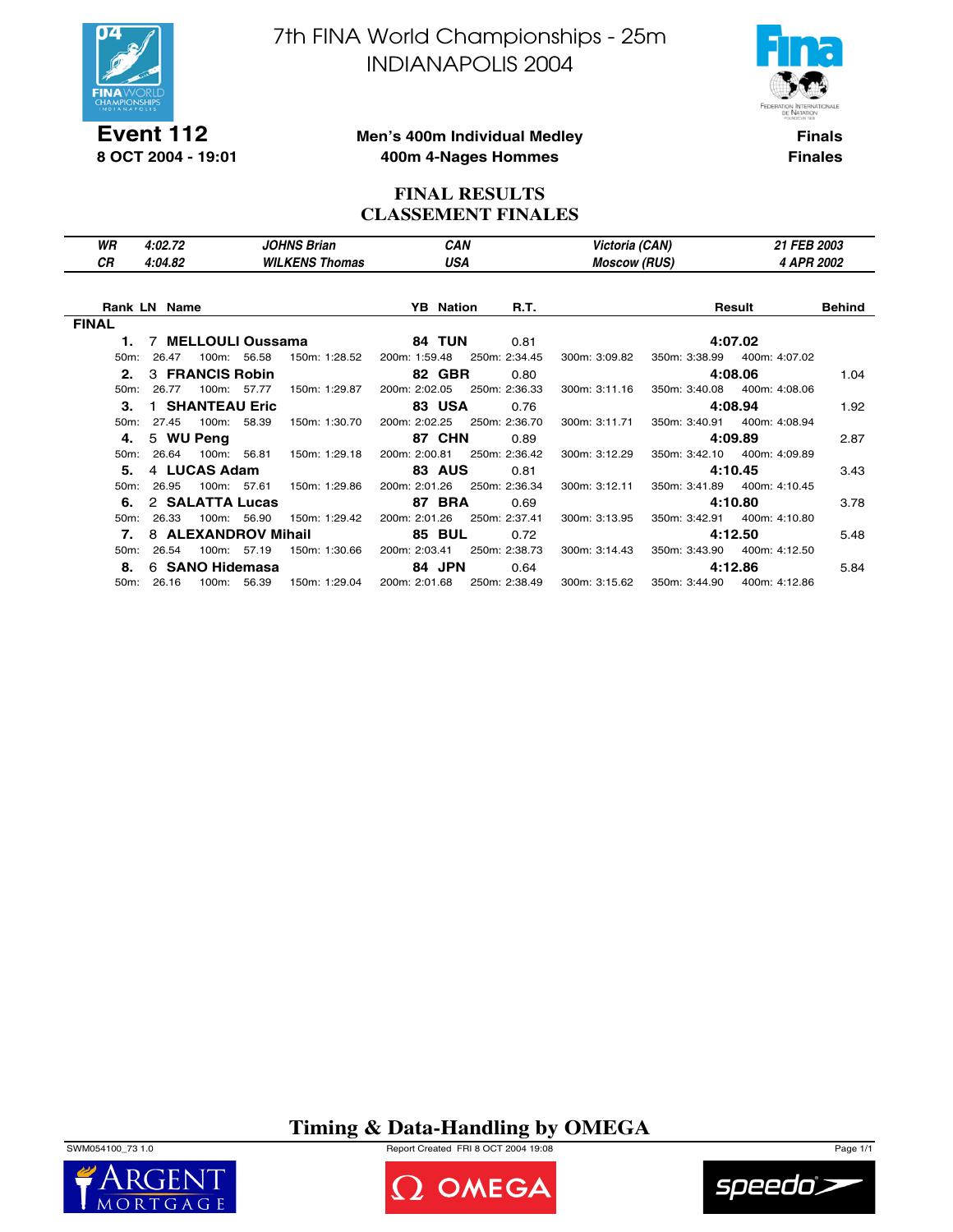

7th FINA World Championships - 25m INDIANAPOLIS 2004



**Event 112 8 OCT 2004 - 19:01**

**Men's 400m Individual Medley 400m 4-Nages Hommes**

**Finals Finales**

### **FINAL RESULTS CLASSEMENT FINALES**

| WR<br>СR          | 4:02.72<br>4:04.82  | <b>JOHNS Brian</b><br><b>WILKENS Thomas</b> | <b>CAN</b><br>USA |                             | Victoria (CAN)<br><b>Moscow (RUS)</b> |                             |                              | <b>21 FEB 2003</b><br>4 APR 2002 |  |
|-------------------|---------------------|---------------------------------------------|-------------------|-----------------------------|---------------------------------------|-----------------------------|------------------------------|----------------------------------|--|
|                   | <b>Rank LN Name</b> |                                             | <b>YB</b> Nation  | R.T.                        |                                       |                             | Result                       | Behind                           |  |
| <b>FINAL</b>      |                     |                                             |                   |                             |                                       |                             |                              |                                  |  |
| 1.                | 7 MELLOULI Oussama  |                                             | 84 TUN            | 0.81                        |                                       |                             | 4:07.02                      |                                  |  |
| $50m$ :           | 26.47               | 100m: 56.58<br>150m: 1:28.52                | 200m: 1:59.48     | 250m: 2:34.45               | 300m: 3:09.82                         | 350m: 3:38.99               | 400m: 4:07.02                |                                  |  |
| 2.                | 3 FRANCIS Robin     |                                             | <b>82 GBR</b>     | 0.80                        |                                       |                             | 4:08.06                      | 1.04                             |  |
| 50m:              | 26.77               | 100m: 57.77<br>150m: 1:29.87                | 200m: 2:02.05     | 250m: 2:36.33               | 300m: 3:11.16                         |                             | 350m: 3:40.08 400m: 4:08.06  |                                  |  |
| З.                | 1 SHANTEAU Eric     |                                             | <b>83 USA</b>     | 0.76                        |                                       |                             | 4:08.94                      | 1.92                             |  |
| $50m$ :           | 27.45               | 100m: 58.39<br>150m: 1:30.70                |                   | 200m: 2:02.25 250m: 2:36.70 | 300m: 3:11.71                         | 350m: 3:40.91               | 400m: 4:08.94                |                                  |  |
| 4.                | 5 WU Peng           |                                             | <b>87 CHN</b>     | 0.89                        |                                       |                             | 4:09.89                      | 2.87                             |  |
| 50 <sub>m</sub> : | 26.64               | 100m: 56.81<br>150m: 1:29.18                | 200m: 2:00.81     | 250m: 2:36.42               | 300m: 3:12.29                         |                             | 350m: 3:42.10 400m: 4:09.89  |                                  |  |
| 5.                | 4 LUCAS Adam        |                                             | <b>83 AUS</b>     | 0.81                        |                                       |                             | 4:10.45                      | 3.43                             |  |
| 50m:              | 26.95               | 100m: 57.61<br>150m: 1:29.86                | 200m: 2:01.26     | 250m: 2:36.34               | 300m: 3:12.11                         |                             | 350m: 3:41.89  400m: 4:10.45 |                                  |  |
| 6.                | 2 SALATTA Lucas     |                                             | <b>87 BRA</b>     | 0.69                        |                                       |                             | 4:10.80                      | 3.78                             |  |
| $50m$ :           | $100m$ :<br>26.33   | 56.90<br>150m: 1:29.42                      | 200m: 2:01.26     | 250m: 2:37.41               | 300m: 3:13.95                         |                             | 350m: 3:42.91 400m: 4:10.80  |                                  |  |
| 7.                | 8 ALEXANDROV Mihail |                                             | <b>85 BUL</b>     | 0.72                        |                                       |                             | 4:12.50                      | 5.48                             |  |
| $50m$ :           | 26.54               | 100m: 57.19<br>150m: 1:30.66                | 200m: 2:03.41     | 250m: 2:38.73               | 300m: 3:14.43                         |                             | 350m: 3:43.90 400m: 4:12.50  |                                  |  |
| 8.                | 6 SANO Hidemasa     |                                             | 84 JPN            | 0.64                        |                                       |                             | 4:12.86                      | 5.84                             |  |
|                   | 50m: 26.16          | 100m: 56.39<br>150m: 1:29.04                |                   | 200m: 2:01.68 250m: 2:38.49 |                                       | 300m: 3:15.62 350m: 3:44.90 | 400m: 4:12.86                |                                  |  |

**Timing & Data-Handling by OMEGA**

SWM054100\_73 1.0 Report Created FRI 8 OCT 2004 19:08 Page 1/1





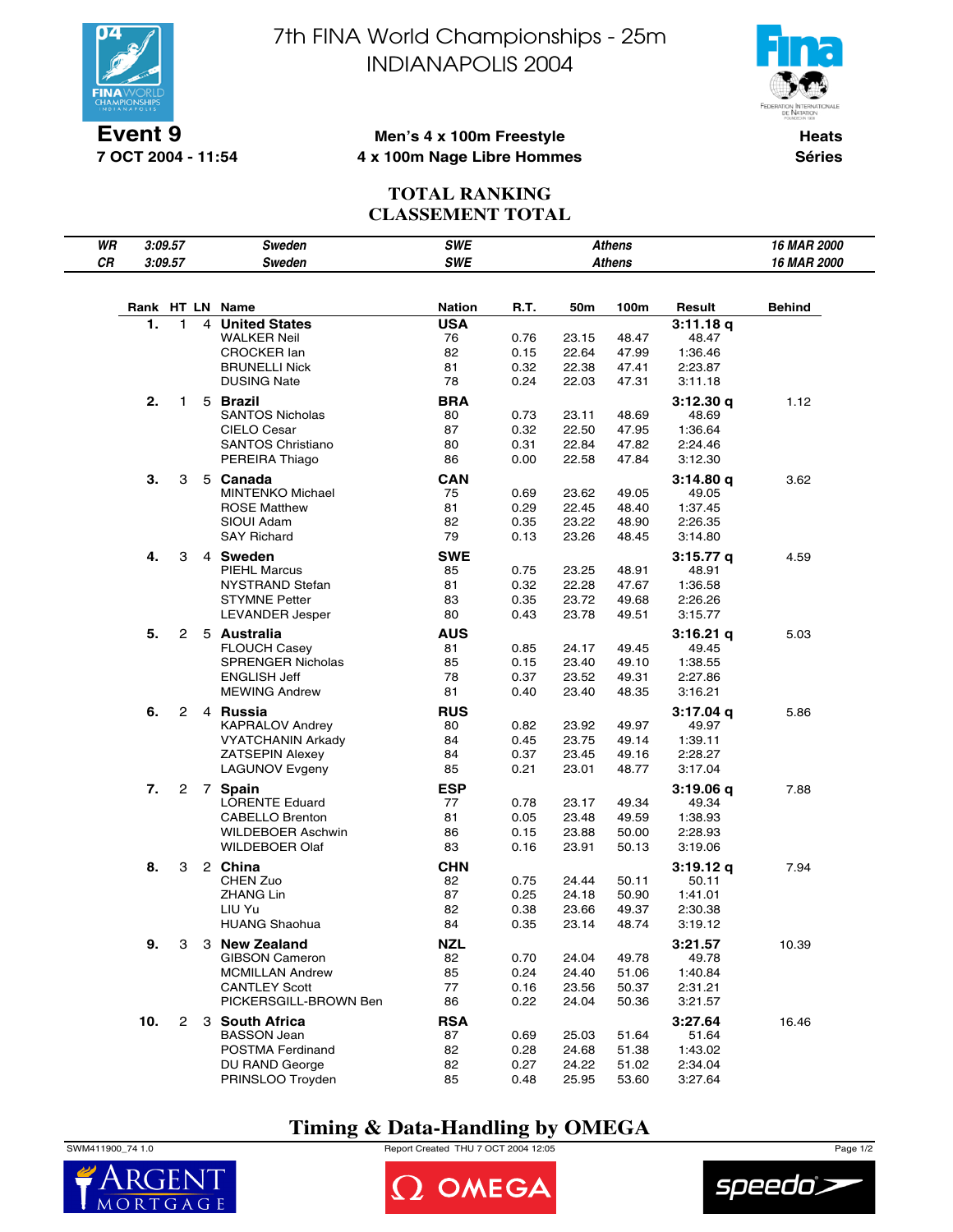

**7 OCT 2004 - 11:54**

7th FINA World Championships - 25m INDIANAPOLIS 2004



### **Men's 4 x 100m Freestyle 4 x 100m Nage Libre Hommes**

**Heats Séries**

### **TOTAL RANKING CLASSEMENT TOTAL**

| WR |     | 3:09.57               |   | Sweden                                             | <b>SWE</b>       |              |                | Athens         |                    | 16 MAR 2000 |
|----|-----|-----------------------|---|----------------------------------------------------|------------------|--------------|----------------|----------------|--------------------|-------------|
| CR |     | 3:09.57               |   | <b>Sweden</b>                                      | <b>SWE</b>       |              |                | <b>Athens</b>  |                    | 16 MAR 2000 |
|    |     |                       |   |                                                    |                  |              |                |                |                    |             |
|    |     |                       |   | Rank HT LN Name                                    | <b>Nation</b>    | R.T.         | 50m            | 100m           | Result             | Behind      |
|    | 1.  | $\mathbf{1}$          | 4 | <b>United States</b>                               | <b>USA</b>       |              |                |                | 3:11.18q           |             |
|    |     |                       |   | <b>WALKER Neil</b>                                 | 76               | 0.76         | 23.15          | 48.47          | 48.47              |             |
|    |     |                       |   | <b>CROCKER lan</b>                                 | 82               | 0.15         | 22.64          | 47.99          | 1:36.46            |             |
|    |     |                       |   | <b>BRUNELLI Nick</b>                               | 81               | 0.32         | 22.38          | 47.41          | 2:23.87            |             |
|    |     |                       |   | <b>DUSING Nate</b>                                 | 78               | 0.24         | 22.03          | 47.31          | 3:11.18            |             |
|    | 2.  | 1                     |   | 5 Brazil                                           | <b>BRA</b>       |              |                |                | 3:12.30q           | 1.12        |
|    |     |                       |   | <b>SANTOS Nicholas</b>                             | 80               | 0.73         | 23.11          | 48.69          | 48.69              |             |
|    |     |                       |   | CIELO Cesar                                        | 87               | 0.32         | 22.50          | 47.95          | 1:36.64            |             |
|    |     |                       |   | <b>SANTOS Christiano</b>                           | 80               | 0.31         | 22.84          | 47.82          | 2:24.46            |             |
|    |     |                       |   | PEREIRA Thiago                                     | 86               | 0.00         | 22.58          | 47.84          | 3:12.30            |             |
|    | 3.  | 3                     |   | 5 Canada                                           | <b>CAN</b>       |              |                |                | 3:14.80 q          | 3.62        |
|    |     |                       |   | <b>MINTENKO Michael</b><br><b>ROSE Matthew</b>     | 75<br>81         | 0.69         | 23.62          | 49.05<br>48.40 | 49.05              |             |
|    |     |                       |   | SIOUI Adam                                         | 82               | 0.29<br>0.35 | 22.45<br>23.22 | 48.90          | 1:37.45<br>2:26.35 |             |
|    |     |                       |   | <b>SAY Richard</b>                                 | 79               | 0.13         | 23.26          | 48.45          | 3:14.80            |             |
|    |     |                       |   |                                                    |                  |              |                |                |                    |             |
|    | 4.  | 3                     |   | 4 Sweden<br><b>PIEHL Marcus</b>                    | <b>SWE</b><br>85 | 0.75         | 23.25          | 48.91          | 3:15.77 q<br>48.91 | 4.59        |
|    |     |                       |   | NYSTRAND Stefan                                    | 81               | 0.32         | 22.28          | 47.67          | 1:36.58            |             |
|    |     |                       |   | <b>STYMNE Petter</b>                               | 83               | 0.35         | 23.72          | 49.68          | 2:26.26            |             |
|    |     |                       |   | LEVANDER Jesper                                    | 80               | 0.43         | 23.78          | 49.51          | 3:15.77            |             |
|    | 5.  | 2                     |   | 5 Australia                                        | <b>AUS</b>       |              |                |                | $3:16.21$ q        | 5.03        |
|    |     |                       |   | <b>FLOUCH Casey</b>                                | 81               | 0.85         | 24.17          | 49.45          | 49.45              |             |
|    |     |                       |   | <b>SPRENGER Nicholas</b>                           | 85               | 0.15         | 23.40          | 49.10          | 1:38.55            |             |
|    |     |                       |   | <b>ENGLISH Jeff</b>                                | 78               | 0.37         | 23.52          | 49.31          | 2:27.86            |             |
|    |     |                       |   | <b>MEWING Andrew</b>                               | 81               | 0.40         | 23.40          | 48.35          | 3:16.21            |             |
|    | 6.  | $\mathbf{2}^{\prime}$ |   | 4 Russia                                           | <b>RUS</b>       |              |                |                | $3:17.04$ q        | 5.86        |
|    |     |                       |   | <b>KAPRALOV Andrey</b>                             | 80               | 0.82         | 23.92          | 49.97          | 49.97              |             |
|    |     |                       |   | <b>VYATCHANIN Arkady</b>                           | 84               | 0.45         | 23.75          | 49.14          | 1:39.11            |             |
|    |     |                       |   | <b>ZATSEPIN Alexey</b>                             | 84               | 0.37         | 23.45          | 49.16          | 2:28.27            |             |
|    |     |                       |   | <b>LAGUNOV Evgeny</b>                              | 85               | 0.21         | 23.01          | 48.77          | 3:17.04            |             |
|    | 7.  | 2                     |   | 7 Spain                                            | <b>ESP</b>       |              |                |                | 3:19.06q           | 7.88        |
|    |     |                       |   | <b>LORENTE Eduard</b>                              | 77               | 0.78         | 23.17          | 49.34          | 49.34              |             |
|    |     |                       |   | <b>CABELLO Brenton</b><br><b>WILDEBOER Aschwin</b> | 81<br>86         | 0.05<br>0.15 | 23.48<br>23.88 | 49.59<br>50.00 | 1:38.93<br>2:28.93 |             |
|    |     |                       |   | <b>WILDEBOER Olaf</b>                              | 83               | 0.16         | 23.91          | 50.13          | 3:19.06            |             |
|    | 8.  | 3                     |   | 2 China                                            |                  |              |                |                |                    |             |
|    |     |                       |   | CHEN Zuo                                           | CHN<br>82        | 0.75         | 24.44          | 50.11          | 3:19.12q<br>50.11  | 7.94        |
|    |     |                       |   | <b>ZHANG Lin</b>                                   | 87               | 0.25         | 24.18          | 50.90          | 1:41.01            |             |
|    |     |                       |   | LIU Yu                                             | 82               | 0.38         | 23.66          | 49.37          | 2:30.38            |             |
|    |     |                       |   | <b>HUANG Shaohua</b>                               | 84               | 0.35         | 23.14          | 48.74          | 3:19.12            |             |
|    | 9.  | 3                     |   | 3 New Zealand                                      | <b>NZL</b>       |              |                |                | 3:21.57            | 10.39       |
|    |     |                       |   | <b>GIBSON Cameron</b>                              | 82               | 0.70         | 24.04          | 49.78          | 49.78              |             |
|    |     |                       |   | <b>MCMILLAN Andrew</b>                             | 85               | 0.24         | 24.40          | 51.06          | 1:40.84            |             |
|    |     |                       |   | <b>CANTLEY Scott</b>                               | 77               | 0.16         | 23.56          | 50.37          | 2:31.21            |             |
|    |     |                       |   | PICKERSGILL-BROWN Ben                              | 86               | 0.22         | 24.04          | 50.36          | 3:21.57            |             |
|    | 10. | $^{2}$                |   | 3 South Africa                                     | <b>RSA</b>       |              |                |                | 3:27.64            | 16.46       |
|    |     |                       |   | <b>BASSON Jean</b>                                 | 87               | 0.69         | 25.03          | 51.64          | 51.64              |             |
|    |     |                       |   | POSTMA Ferdinand                                   | 82               | 0.28         | 24.68          | 51.38          | 1:43.02            |             |
|    |     |                       |   | DU RAND George                                     | 82               | 0.27         | 24.22          | 51.02          | 2:34.04            |             |
|    |     |                       |   | PRINSLOO Troyden                                   | 85               | 0.48         | 25.95          | 53.60          | 3:27.64            |             |

# **Timing & Data-Handling by OMEGA**

SWM411900\_74 1.0 Report Created THU 7 OCT 2004 12:05 Page 1/2



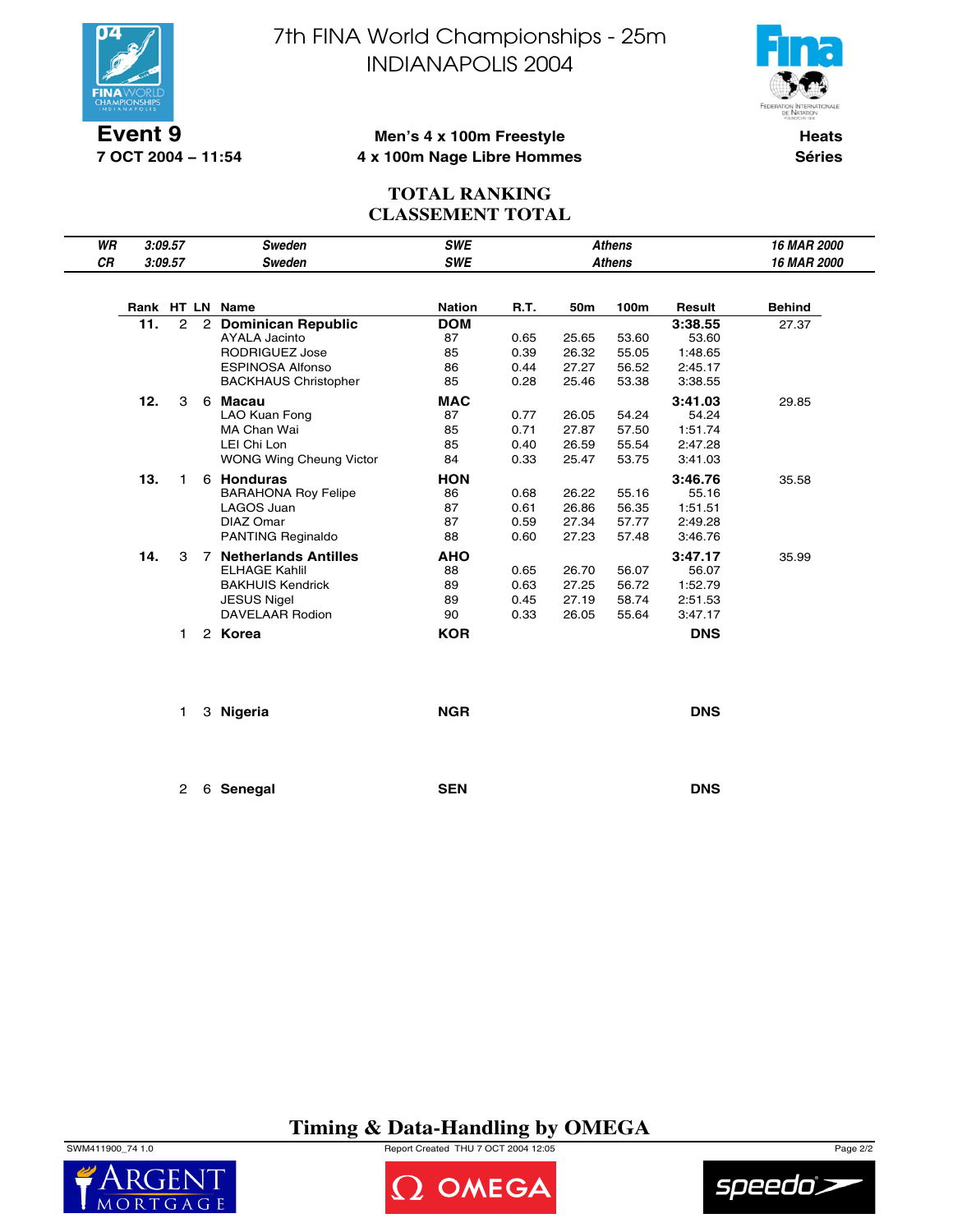

**7 OCT 2004 − 11:54**

7th FINA World Championships - 25m INDIANAPOLIS 2004



### **Men's 4 x 100m Freestyle 4 x 100m Nage Libre Hommes**

**Heats Séries**

### **TOTAL RANKING CLASSEMENT TOTAL**

| WR |     | 3:09.57        |   | Sweden                                     | <b>SWE</b>       | <b>Athens</b><br><b>Athens</b> |       |       |                  | 16 MAR 2000   |
|----|-----|----------------|---|--------------------------------------------|------------------|--------------------------------|-------|-------|------------------|---------------|
| CR |     | 3:09.57        |   | Sweden                                     | <b>SWE</b>       |                                |       |       |                  | 16 MAR 2000   |
|    |     |                |   | Rank HT LN Name                            | <b>Nation</b>    | R.T.                           | 50m   | 100m  | Result           | <b>Behind</b> |
|    |     |                |   |                                            |                  |                                |       |       |                  |               |
|    | 11. | $\overline{2}$ | 2 | <b>Dominican Republic</b><br>AYALA Jacinto | <b>DOM</b><br>87 | 0.65                           | 25.65 | 53.60 | 3:38.55<br>53.60 | 27.37         |
|    |     |                |   | <b>RODRIGUEZ Jose</b>                      | 85               | 0.39                           | 26.32 | 55.05 | 1:48.65          |               |
|    |     |                |   | <b>ESPINOSA Alfonso</b>                    | 86               | 0.44                           | 27.27 | 56.52 | 2:45.17          |               |
|    |     |                |   | <b>BACKHAUS Christopher</b>                | 85               | 0.28                           | 25.46 | 53.38 | 3:38.55          |               |
|    | 12. | 3              | 6 | Macau                                      | <b>MAC</b>       |                                |       |       | 3:41.03          | 29.85         |
|    |     |                |   | LAO Kuan Fong                              | 87               | 0.77                           | 26.05 | 54.24 | 54.24            |               |
|    |     |                |   | MA Chan Wai                                | 85               | 0.71                           | 27.87 | 57.50 | 1:51.74          |               |
|    |     |                |   | LEI Chi Lon                                | 85               | 0.40                           | 26.59 | 55.54 | 2:47.28          |               |
|    |     |                |   | <b>WONG Wing Cheung Victor</b>             | 84               | 0.33                           | 25.47 | 53.75 | 3:41.03          |               |
|    | 13. | 1.             |   | 6 Honduras                                 | <b>HON</b>       |                                |       |       | 3:46.76          | 35.58         |
|    |     |                |   | <b>BARAHONA Roy Felipe</b>                 | 86               | 0.68                           | 26.22 | 55.16 | 55.16            |               |
|    |     |                |   | LAGOS Juan                                 | 87               | 0.61                           | 26.86 | 56.35 | 1:51.51          |               |
|    |     |                |   | DIAZ Omar                                  | 87               | 0.59                           | 27.34 | 57.77 | 2:49.28          |               |
|    |     |                |   | PANTING Reginaldo                          | 88               | 0.60                           | 27.23 | 57.48 | 3:46.76          |               |
|    | 14. | 3              | 7 | <b>Netherlands Antilles</b>                | <b>AHO</b>       |                                |       |       | 3:47.17          | 35.99         |
|    |     |                |   | <b>ELHAGE Kahlil</b>                       | 88               | 0.65                           | 26.70 | 56.07 | 56.07            |               |
|    |     |                |   | <b>BAKHUIS Kendrick</b>                    | 89               | 0.63                           | 27.25 | 56.72 | 1:52.79          |               |
|    |     |                |   | <b>JESUS Nigel</b>                         | 89               | 0.45                           | 27.19 | 58.74 | 2:51.53          |               |
|    |     |                |   | DAVELAAR Rodion                            | 90               | 0.33                           | 26.05 | 55.64 | 3:47.17          |               |
|    |     | 1.             |   | 2 Korea                                    | <b>KOR</b>       |                                |       |       | <b>DNS</b>       |               |
|    |     |                |   |                                            |                  |                                |       |       |                  |               |
|    |     | 1.             |   | 3 Nigeria                                  | <b>NGR</b>       |                                |       |       | <b>DNS</b>       |               |
|    |     | $\overline{2}$ |   | 6 Senegal                                  | <b>SEN</b>       |                                |       |       | <b>DNS</b>       |               |

## **Timing & Data-Handling by OMEGA**

 $\mathsf{M}$  $\bigcap$ 



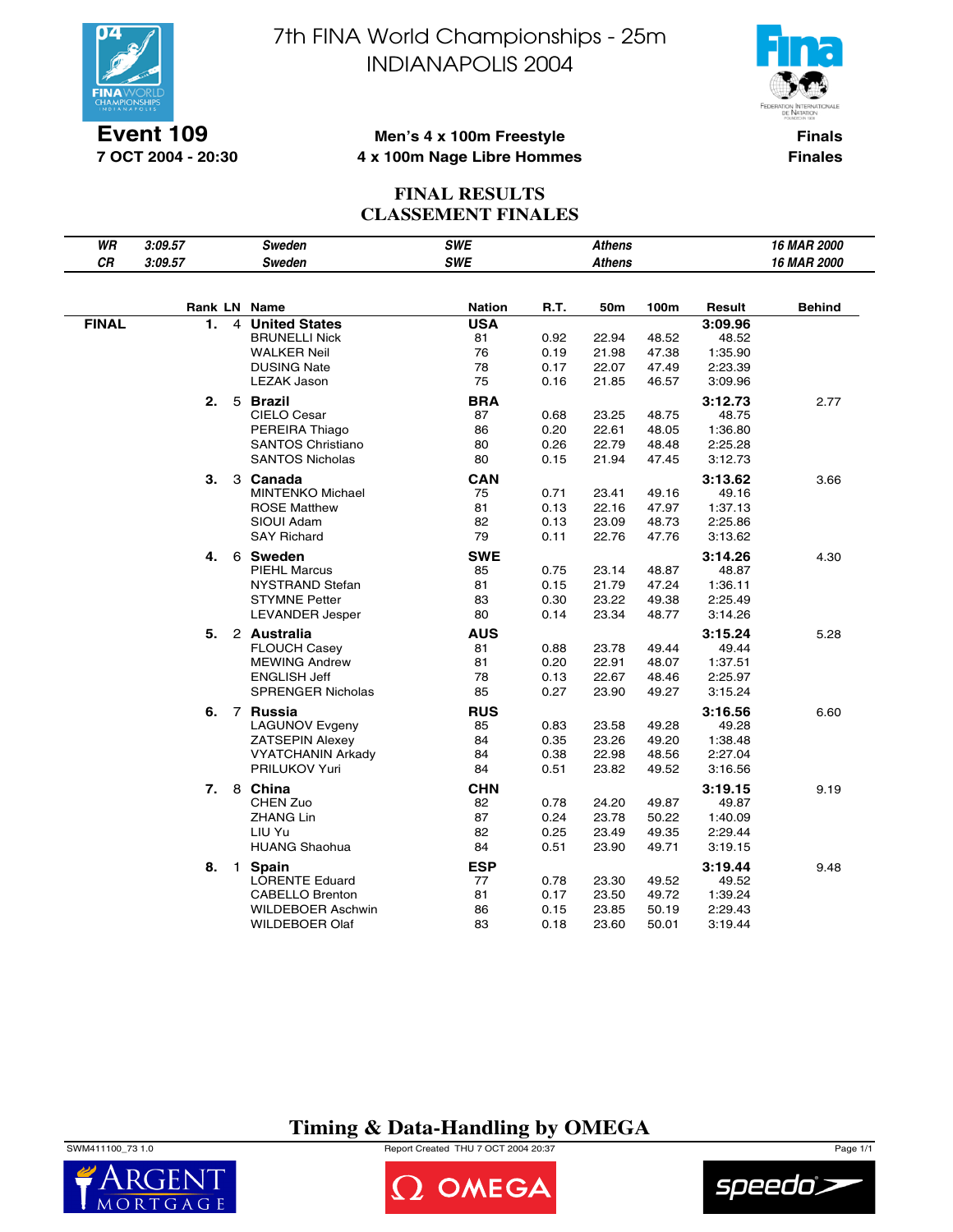

**Event 109 7 OCT 2004 - 20:30**

# 7th FINA World Championships - 25m INDIANAPOLIS 2004



### **Men's 4 x 100m Freestyle 4 x 100m Nage Libre Hommes**

**Finals Finales**

### **FINAL RESULTS CLASSEMENT FINALES**

| WR           | 3:09.57 |                | <b>Sweden</b>            | <b>SWE</b>    |      | <b>Athens</b> |       |         | 16 MAR 2000   |
|--------------|---------|----------------|--------------------------|---------------|------|---------------|-------|---------|---------------|
| CR           | 3:09.57 |                | <b>Sweden</b>            | <b>SWE</b>    |      | <b>Athens</b> |       |         | 16 MAR 2000   |
|              |         |                |                          |               |      |               |       |         |               |
|              |         |                | Rank LN Name             | <b>Nation</b> | R.T. | 50m           | 100m  | Result  | <b>Behind</b> |
| <b>FINAL</b> | 1.      | 4              | <b>United States</b>     | <b>USA</b>    |      |               |       | 3:09.96 |               |
|              |         |                | <b>BRUNELLI Nick</b>     | 81            | 0.92 | 22.94         | 48.52 | 48.52   |               |
|              |         |                | <b>WALKER Neil</b>       | 76            | 0.19 | 21.98         | 47.38 | 1:35.90 |               |
|              |         |                | <b>DUSING Nate</b>       | 78            | 0.17 | 22.07         | 47.49 | 2:23.39 |               |
|              |         |                | <b>LEZAK Jason</b>       | 75            | 0.16 | 21.85         | 46.57 | 3:09.96 |               |
|              | 2.      |                | 5 Brazil                 | <b>BRA</b>    |      |               |       | 3:12.73 | 2.77          |
|              |         |                | CIELO Cesar              | 87            | 0.68 | 23.25         | 48.75 | 48.75   |               |
|              |         |                | PEREIRA Thiago           | 86            | 0.20 | 22.61         | 48.05 | 1:36.80 |               |
|              |         |                | <b>SANTOS Christiano</b> | 80            | 0.26 | 22.79         | 48.48 | 2:25.28 |               |
|              |         |                | <b>SANTOS Nicholas</b>   | 80            | 0.15 | 21.94         | 47.45 | 3:12.73 |               |
|              | З.      |                | 3 Canada                 | <b>CAN</b>    |      |               |       | 3:13.62 | 3.66          |
|              |         |                | <b>MINTENKO Michael</b>  | 75            | 0.71 | 23.41         | 49.16 | 49.16   |               |
|              |         |                | <b>ROSE Matthew</b>      | 81            | 0.13 | 22.16         | 47.97 | 1:37.13 |               |
|              |         |                | SIOUI Adam               | 82            | 0.13 | 23.09         | 48.73 | 2:25.86 |               |
|              |         |                | <b>SAY Richard</b>       | 79            | 0.11 | 22.76         | 47.76 | 3:13.62 |               |
|              | 4.      |                | 6 Sweden                 | <b>SWE</b>    |      |               |       | 3:14.26 | 4.30          |
|              |         |                | <b>PIEHL Marcus</b>      | 85            | 0.75 | 23.14         | 48.87 | 48.87   |               |
|              |         |                | <b>NYSTRAND Stefan</b>   | 81            | 0.15 | 21.79         | 47.24 | 1:36.11 |               |
|              |         |                | <b>STYMNE Petter</b>     | 83            | 0.30 | 23.22         | 49.38 | 2:25.49 |               |
|              |         |                | <b>LEVANDER Jesper</b>   | 80            | 0.14 | 23.34         | 48.77 | 3:14.26 |               |
|              | 5.      |                | 2 Australia              | <b>AUS</b>    |      |               |       | 3:15.24 | 5.28          |
|              |         |                | <b>FLOUCH Casey</b>      | 81            | 0.88 | 23.78         | 49.44 | 49.44   |               |
|              |         |                | <b>MEWING Andrew</b>     | 81            | 0.20 | 22.91         | 48.07 | 1:37.51 |               |
|              |         |                | <b>ENGLISH Jeff</b>      | 78            | 0.13 | 22.67         | 48.46 | 2:25.97 |               |
|              |         |                | <b>SPRENGER Nicholas</b> | 85            | 0.27 | 23.90         | 49.27 | 3:15.24 |               |
|              | 6.      |                | 7 Russia                 | <b>RUS</b>    |      |               |       | 3:16.56 | 6.60          |
|              |         |                | <b>LAGUNOV Evgeny</b>    | 85            | 0.83 | 23.58         | 49.28 | 49.28   |               |
|              |         |                | <b>ZATSEPIN Alexey</b>   | 84            | 0.35 | 23.26         | 49.20 | 1:38.48 |               |
|              |         |                | <b>VYATCHANIN Arkady</b> | 84            | 0.38 | 22.98         | 48.56 | 2:27.04 |               |
|              |         |                | PRILUKOV Yuri            | 84            | 0.51 | 23.82         | 49.52 | 3:16.56 |               |
|              | 7.      |                | 8 China                  | <b>CHN</b>    |      |               |       | 3:19.15 | 9.19          |
|              |         |                | CHEN Zuo                 | 82            | 0.78 | 24.20         | 49.87 | 49.87   |               |
|              |         |                | <b>ZHANG Lin</b>         | 87            | 0.24 | 23.78         | 50.22 | 1:40.09 |               |
|              |         |                | LIU Yu                   | 82            | 0.25 | 23.49         | 49.35 | 2:29.44 |               |
|              |         |                | <b>HUANG Shaohua</b>     | 84            | 0.51 | 23.90         | 49.71 | 3:19.15 |               |
|              | 8.      | $\overline{1}$ | <b>Spain</b>             | <b>ESP</b>    |      |               |       | 3:19.44 | 9.48          |
|              |         |                | <b>LORENTE Eduard</b>    | 77            | 0.78 | 23.30         | 49.52 | 49.52   |               |
|              |         |                | <b>CABELLO Brenton</b>   | 81            | 0.17 | 23.50         | 49.72 | 1:39.24 |               |
|              |         |                | WILDEBOER Aschwin        | 86            | 0.15 | 23.85         | 50.19 | 2:29.43 |               |
|              |         |                | <b>WILDEBOER Olaf</b>    | 83            | 0.18 | 23.60         | 50.01 | 3:19.44 |               |

## **Timing & Data-Handling by OMEGA**

SWM411100\_73 1.0 Report Created THU 7 OCT 2004 20:37 Page 1/1





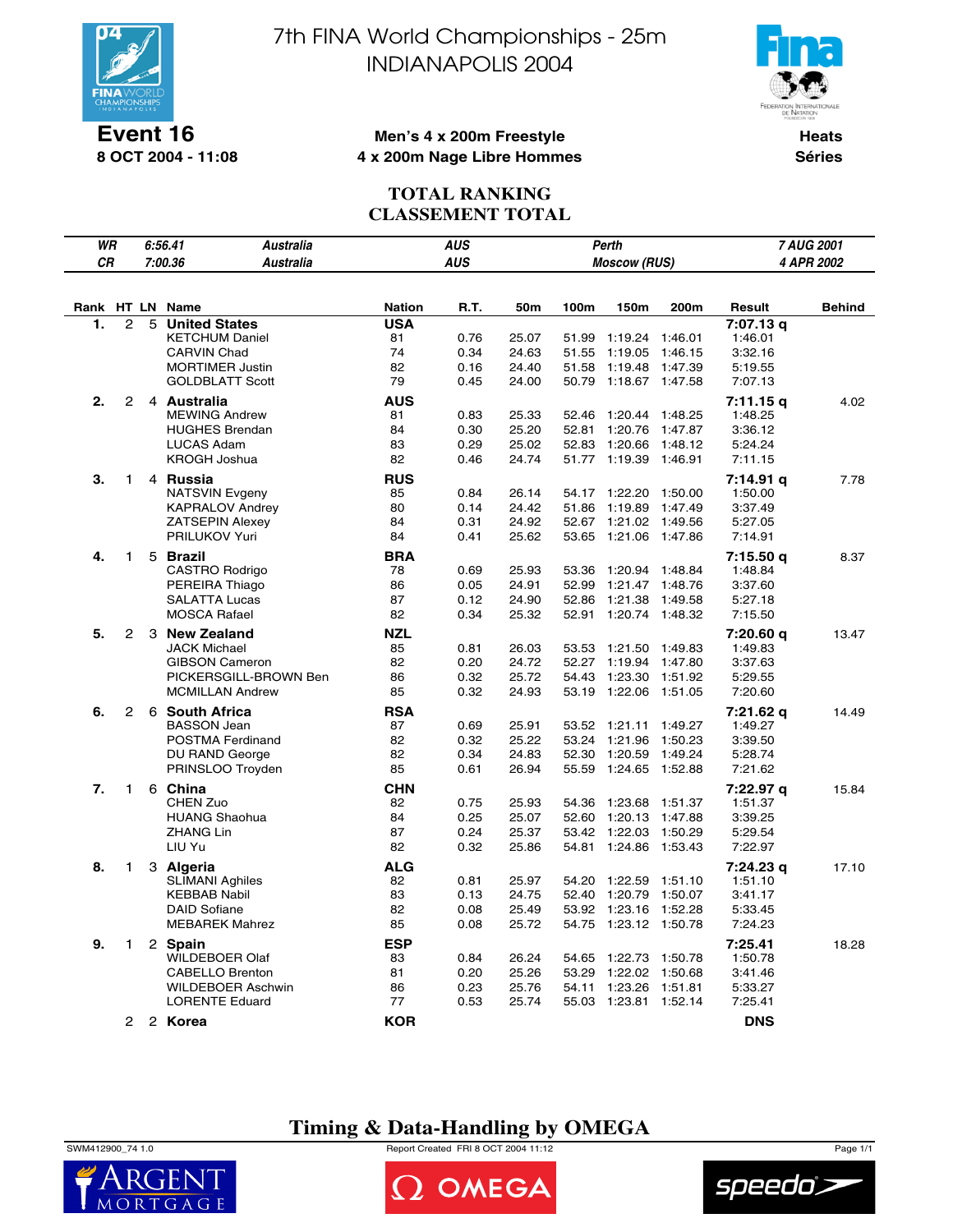

**Event 16 8 OCT 2004 - 11:08**

# 7th FINA World Championships - 25m INDIANAPOLIS 2004



### **Men's 4 x 200m Freestyle 4 x 200m Nage Libre Hommes**

**Heats Séries**

## **TOTAL RANKING CLASSEMENT TOTAL**

|            | WR<br><b>AUS</b><br>6:56.41<br><b>Australia</b><br>Perth<br><b>AUS</b><br>СR<br>7:00.36<br><b>Australia</b><br><b>Moscow (RUS)</b> |   |                                                |                  |              |                | 7 AUG 2001     |                    |                    |                      |            |
|------------|------------------------------------------------------------------------------------------------------------------------------------|---|------------------------------------------------|------------------|--------------|----------------|----------------|--------------------|--------------------|----------------------|------------|
|            |                                                                                                                                    |   |                                                |                  |              |                |                |                    |                    |                      | 4 APR 2002 |
|            |                                                                                                                                    |   |                                                |                  |              |                |                |                    |                    |                      |            |
|            |                                                                                                                                    |   | Name                                           | <b>Nation</b>    | R.T.         | 50m            | 100m           | 150m               | 200m               |                      | Behind     |
| Rank<br>1. | HT LN<br>$\overline{c}$                                                                                                            | 5 | <b>United States</b>                           | <b>USA</b>       |              |                |                |                    |                    | Result<br>7:07.13 g  |            |
|            |                                                                                                                                    |   | <b>KETCHUM Daniel</b>                          | 81               | 0.76         | 25.07          | 51.99          | 1:19.24            | 1:46.01            | 1:46.01              |            |
|            |                                                                                                                                    |   | <b>CARVIN Chad</b>                             | 74               | 0.34         | 24.63          | 51.55          | 1:19.05            | 1:46.15            | 3:32.16              |            |
|            |                                                                                                                                    |   | <b>MORTIMER Justin</b>                         | 82               | 0.16         | 24.40          | 51.58          | 1:19.48            | 1:47.39            | 5:19.55              |            |
|            |                                                                                                                                    |   | <b>GOLDBLATT Scott</b>                         | 79               | 0.45         | 24.00          | 50.79          | 1:18.67            | 1:47.58            | 7:07.13              |            |
| 2.         | 2                                                                                                                                  |   | 4 Australia                                    | <b>AUS</b>       |              |                |                |                    |                    | 7:11.15 q            | 4.02       |
|            |                                                                                                                                    |   | <b>MEWING Andrew</b>                           | 81               | 0.83         | 25.33          | 52.46          | 1:20.44            | 1:48.25            | 1:48.25              |            |
|            |                                                                                                                                    |   | <b>HUGHES Brendan</b>                          | 84               | 0.30         | 25.20          | 52.81          | 1:20.76            | 1:47.87            | 3:36.12              |            |
|            |                                                                                                                                    |   | <b>LUCAS Adam</b>                              | 83               | 0.29         | 25.02          | 52.83          | 1:20.66            | 1:48.12            | 5:24.24              |            |
|            |                                                                                                                                    |   | <b>KROGH Joshua</b>                            | 82               | 0.46         | 24.74          | 51.77          | 1:19.39            | 1:46.91            | 7:11.15              |            |
| 3.         | 1                                                                                                                                  |   | 4 Russia                                       | <b>RUS</b>       |              |                |                |                    |                    | 7:14.91 q            | 7.78       |
|            |                                                                                                                                    |   | <b>NATSVIN Evgeny</b>                          | 85               | 0.84         | 26.14          |                | 54.17 1:22.20      | 1:50.00            | 1:50.00              |            |
|            |                                                                                                                                    |   | <b>KAPRALOV Andrey</b>                         | 80               | 0.14         | 24.42          | 51.86          | 1:19.89            | 1:47.49            | 3:37.49              |            |
|            |                                                                                                                                    |   | <b>ZATSEPIN Alexey</b>                         | 84               | 0.31         | 24.92          | 52.67          | 1:21.02            | 1:49.56            | 5:27.05              |            |
|            |                                                                                                                                    |   | PRILUKOV Yuri                                  | 84               | 0.41         | 25.62          | 53.65          | 1:21.06            | 1:47.86            | 7:14.91              |            |
| 4.         | $\mathbf{1}$                                                                                                                       |   | 5 Brazil                                       | <b>BRA</b>       |              |                |                |                    |                    | 7:15.50 q            | 8.37       |
|            |                                                                                                                                    |   | CASTRO Rodrigo                                 | 78               | 0.69         | 25.93          | 53.36          | 1:20.94            | 1:48.84            | 1:48.84              |            |
|            |                                                                                                                                    |   | PEREIRA Thiago                                 | 86               | 0.05         | 24.91          | 52.99          | 1:21.47            | 1:48.76            | 3:37.60              |            |
|            |                                                                                                                                    |   | <b>SALATTA Lucas</b><br><b>MOSCA Rafael</b>    | 87<br>82         | 0.12         | 24.90<br>25.32 | 52.86<br>52.91 | 1:21.38<br>1:20.74 | 1:49.58<br>1:48.32 | 5:27.18              |            |
|            |                                                                                                                                    |   |                                                |                  | 0.34         |                |                |                    |                    | 7:15.50              |            |
| 5.         | 2                                                                                                                                  |   | 3 New Zealand                                  | NZL              |              |                |                |                    |                    | 7:20.60 q            | 13.47      |
|            |                                                                                                                                    |   | <b>JACK Michael</b>                            | 85<br>82         | 0.81         | 26.03          | 53.53          | 1:21.50            | 1:49.83            | 1:49.83              |            |
|            |                                                                                                                                    |   | <b>GIBSON Cameron</b><br>PICKERSGILL-BROWN Ben | 86               | 0.20<br>0.32 | 24.72<br>25.72 | 52.27<br>54.43 | 1:19.94<br>1:23.30 | 1:47.80<br>1:51.92 | 3:37.63<br>5:29.55   |            |
|            |                                                                                                                                    |   | <b>MCMILLAN Andrew</b>                         | 85               | 0.32         | 24.93          |                | 53.19 1:22.06      | 1:51.05            | 7:20.60              |            |
|            |                                                                                                                                    |   |                                                |                  |              |                |                |                    |                    |                      |            |
| 6.         | 2                                                                                                                                  |   | 6 South Africa<br><b>BASSON Jean</b>           | <b>RSA</b><br>87 | 0.69         | 25.91          |                | 53.52 1:21.11      | 1:49.27            | 7:21.62 q<br>1:49.27 | 14.49      |
|            |                                                                                                                                    |   | POSTMA Ferdinand                               | 82               | 0.32         | 25.22          | 53.24          | 1:21.96            | 1:50.23            | 3:39.50              |            |
|            |                                                                                                                                    |   | DU RAND George                                 | 82               | 0.34         | 24.83          | 52.30          | 1:20.59            | 1:49.24            | 5:28.74              |            |
|            |                                                                                                                                    |   | PRINSLOO Troyden                               | 85               | 0.61         | 26.94          | 55.59          | 1:24.65            | 1:52.88            | 7:21.62              |            |
| 7.         | 1                                                                                                                                  |   | 6 China                                        | <b>CHN</b>       |              |                |                |                    |                    | 7:22.97 q            | 15.84      |
|            |                                                                                                                                    |   | <b>CHEN Zuo</b>                                | 82               | 0.75         | 25.93          | 54.36          | 1:23.68            | 1:51.37            | 1:51.37              |            |
|            |                                                                                                                                    |   | <b>HUANG Shaohua</b>                           | 84               | 0.25         | 25.07          | 52.60          | 1:20.13            | 1:47.88            | 3:39.25              |            |
|            |                                                                                                                                    |   | <b>ZHANG Lin</b>                               | 87               | 0.24         | 25.37          | 53.42          | 1:22.03            | 1:50.29            | 5:29.54              |            |
|            |                                                                                                                                    |   | LIU Yu                                         | 82               | 0.32         | 25.86          | 54.81          | 1:24.86            | 1:53.43            | 7:22.97              |            |
| 8.         | 1                                                                                                                                  |   | 3 Algeria                                      | ALG              |              |                |                |                    |                    | 7:24.23 g            | 17.10      |
|            |                                                                                                                                    |   | <b>SLIMANI Aghiles</b>                         | 82               | 0.81         | 25.97          | 54.20          | 1:22.59            | 1:51.10            | 1:51.10              |            |
|            |                                                                                                                                    |   | <b>KEBBAB Nabil</b>                            | 83               | 0.13         | 24.75          | 52.40          | 1:20.79            | 1:50.07            | 3:41.17              |            |
|            |                                                                                                                                    |   | <b>DAID Sofiane</b>                            | 82               | 0.08         | 25.49          | 53.92          | 1:23.16            | 1:52.28            | 5:33.45              |            |
|            |                                                                                                                                    |   | <b>MEBAREK Mahrez</b>                          | 85               | 0.08         | 25.72          | 54.75          | 1:23.12            | 1:50.78            | 7:24.23              |            |
| 9.         | 1                                                                                                                                  |   | 2 Spain                                        | <b>ESP</b>       |              |                |                |                    |                    | 7:25.41              | 18.28      |
|            |                                                                                                                                    |   | <b>WILDEBOER Olaf</b>                          | 83               | 0.84         | 26.24          | 54.65          | 1:22.73            | 1:50.78            | 1:50.78              |            |
|            |                                                                                                                                    |   | <b>CABELLO Brenton</b>                         | 81               | 0.20         | 25.26          | 53.29          | 1:22.02            | 1:50.68            | 3:41.46              |            |
|            |                                                                                                                                    |   | <b>WILDEBOER Aschwin</b>                       | 86               | 0.23         | 25.76          | 54.11          | 1:23.26            | 1:51.81            | 5:33.27              |            |
|            |                                                                                                                                    |   | <b>LORENTE Eduard</b>                          | 77               | 0.53         | 25.74          | 55.03          | 1:23.81            | 1:52.14            | 7:25.41              |            |
|            | 2                                                                                                                                  |   | 2 Korea                                        | <b>KOR</b>       |              |                |                |                    |                    | <b>DNS</b>           |            |

## **Timing & Data-Handling by OMEGA**

SWM412900\_74 1.0 Report Created FRI 8 OCT 2004 11:12 Page 1/1





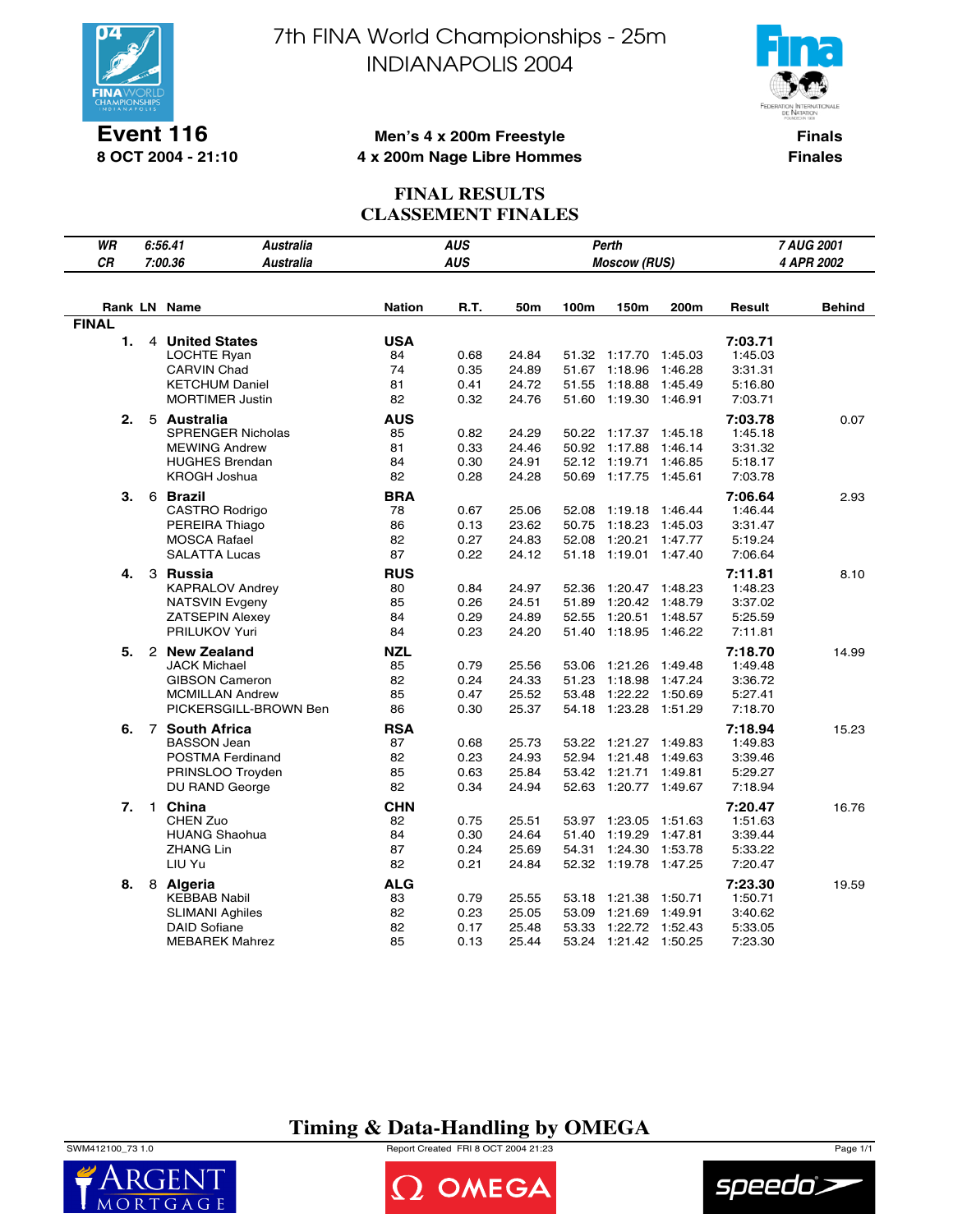

**Event 116 8 OCT 2004 - 21:10**

# 7th FINA World Championships - 25m INDIANAPOLIS 2004



### **Men's 4 x 200m Freestyle 4 x 200m Nage Libre Hommes**

**Finals Finales**

### **FINAL RESULTS CLASSEMENT FINALES**

| WR           |              | 6:56.41<br>Australia                                                                                             |                                    | <b>AUS</b>                   |                                  |                         | Perth                                                                            |                                          |                                                     | 7 AUG 2001    |
|--------------|--------------|------------------------------------------------------------------------------------------------------------------|------------------------------------|------------------------------|----------------------------------|-------------------------|----------------------------------------------------------------------------------|------------------------------------------|-----------------------------------------------------|---------------|
| CR           |              | 7:00.36<br><b>Australia</b>                                                                                      |                                    | <b>AUS</b>                   |                                  |                         | <b>Moscow (RUS)</b>                                                              |                                          |                                                     | 4 APR 2002    |
|              |              |                                                                                                                  |                                    |                              |                                  |                         |                                                                                  |                                          |                                                     |               |
|              |              | Rank LN Name                                                                                                     | <b>Nation</b>                      | R.T.                         | 50m                              | 100m                    | 150m                                                                             | 200m                                     | Result                                              | <b>Behind</b> |
| <b>FINAL</b> |              |                                                                                                                  |                                    |                              |                                  |                         |                                                                                  |                                          |                                                     |               |
| 1.           |              | 4 United States<br><b>LOCHTE Ryan</b><br><b>CARVIN Chad</b><br><b>KETCHUM Daniel</b><br><b>MORTIMER Justin</b>   | <b>USA</b><br>84<br>74<br>81<br>82 | 0.68<br>0.35<br>0.41<br>0.32 | 24.84<br>24.89<br>24.72<br>24.76 | 51.67<br>51.55<br>51.60 | 51.32 1:17.70 1:45.03<br>1:18.96<br>1:18.88<br>1:19.30 1:46.91                   | 1:46.28<br>1:45.49                       | 7:03.71<br>1:45.03<br>3:31.31<br>5:16.80<br>7:03.71 |               |
| 2.           |              | 5 Australia                                                                                                      | <b>AUS</b>                         |                              |                                  |                         |                                                                                  |                                          | 7:03.78                                             | 0.07          |
|              |              | <b>SPRENGER Nicholas</b><br><b>MEWING Andrew</b><br><b>HUGHES Brendan</b><br><b>KROGH Joshua</b>                 | 85<br>81<br>84<br>82               | 0.82<br>0.33<br>0.30<br>0.28 | 24.29<br>24.46<br>24.91<br>24.28 |                         | 50.22 1:17.37<br>50.92 1:17.88<br>52.12 1:19.71<br>50.69 1:17.75 1:45.61         | 1:45.18<br>1:46.14<br>1:46.85            | 1:45.18<br>3:31.32<br>5:18.17<br>7:03.78            |               |
| 3.           |              | 6 Brazil                                                                                                         | <b>BRA</b>                         |                              |                                  |                         |                                                                                  |                                          | 7:06.64                                             | 2.93          |
|              |              | CASTRO Rodrigo<br>PEREIRA Thiago<br><b>MOSCA Rafael</b><br><b>SALATTA Lucas</b>                                  | 78<br>86<br>82<br>87               | 0.67<br>0.13<br>0.27<br>0.22 | 25.06<br>23.62<br>24.83<br>24.12 | 52.08<br>50.75<br>52.08 | 1:19.18<br>1:18.23<br>1:20.21<br>51.18 1:19.01 1:47.40                           | 1:46.44<br>1:45.03<br>1:47.77            | 1:46.44<br>3:31.47<br>5:19.24<br>7:06.64            |               |
|              |              |                                                                                                                  |                                    |                              |                                  |                         |                                                                                  |                                          |                                                     |               |
| 4.           |              | 3 Russia<br><b>KAPRALOV Andrey</b><br><b>NATSVIN Evgeny</b><br><b>ZATSEPIN Alexey</b><br>PRILUKOV Yuri           | <b>RUS</b><br>80<br>85<br>84<br>84 | 0.84<br>0.26<br>0.29<br>0.23 | 24.97<br>24.51<br>24.89<br>24.20 | 52.36<br>51.89<br>52.55 | 1:20.47<br>1:20.42 1:48.79<br>1:20.51 1:48.57<br>51.40 1:18.95 1:46.22           | 1:48.23                                  | 7:11.81<br>1:48.23<br>3:37.02<br>5:25.59<br>7:11.81 | 8.10          |
| 5.           |              | 2 New Zealand<br><b>JACK Michael</b><br><b>GIBSON Cameron</b><br><b>MCMILLAN Andrew</b><br>PICKERSGILL-BROWN Ben | <b>NZL</b><br>85<br>82<br>85<br>86 | 0.79<br>0.24<br>0.47<br>0.30 | 25.56<br>24.33<br>25.52<br>25.37 | 53.06<br>53.48          | 1:21.26<br>51.23 1:18.98 1:47.24<br>1:22.22 1:50.69<br>54.18 1:23.28             | 1:49.48<br>1:51.29                       | 7:18.70<br>1:49.48<br>3:36.72<br>5:27.41<br>7:18.70 | 14.99         |
| 6.           |              | 7 South Africa<br><b>BASSON Jean</b><br>POSTMA Ferdinand<br>PRINSLOO Troyden<br>DU RAND George                   | <b>RSA</b><br>87<br>82<br>85<br>82 | 0.68<br>0.23<br>0.63<br>0.34 | 25.73<br>24.93<br>25.84<br>24.94 |                         | 53.22 1:21.27<br>52.94 1:21.48 1:49.63<br>53.42 1:21.71<br>52.63 1:20.77 1:49.67 | 1:49.83<br>1:49.81                       | 7:18.94<br>1:49.83<br>3:39.46<br>5:29.27<br>7:18.94 | 15.23         |
| 7.           | $\mathbf{1}$ | China<br><b>CHEN Zuo</b><br><b>HUANG Shaohua</b><br><b>ZHANG Lin</b><br>LIU Yu                                   | <b>CHN</b><br>82<br>84<br>87<br>82 | 0.75<br>0.30<br>0.24<br>0.21 | 25.51<br>24.64<br>25.69<br>24.84 | 51.40<br>54.31<br>52.32 | 53.97 1:23.05<br>1:19.29<br>1:24.30<br>1:19.78                                   | 1:51.63<br>1:47.81<br>1:53.78<br>1:47.25 | 7:20.47<br>1:51.63<br>3:39.44<br>5:33.22<br>7:20.47 | 16.76         |
| 8.           |              | 8 Algeria<br><b>KEBBAB Nabil</b><br><b>SLIMANI Aghiles</b><br><b>DAID Sofiane</b><br><b>MEBAREK Mahrez</b>       | <b>ALG</b><br>83<br>82<br>82<br>85 | 0.79<br>0.23<br>0.17<br>0.13 | 25.55<br>25.05<br>25.48<br>25.44 | 53.09<br>53.33          | 53.18 1:21.38<br>1:21.69<br>1:22.72 1:52.43<br>53.24 1:21.42 1:50.25             | 1:50.71<br>1:49.91                       | 7:23.30<br>1:50.71<br>3:40.62<br>5:33.05<br>7:23.30 | 19.59         |

## **Timing & Data-Handling by OMEGA**

SWM412100\_73 1.0 Report Created FRI 8 OCT 2004 21:23 Page 1/1





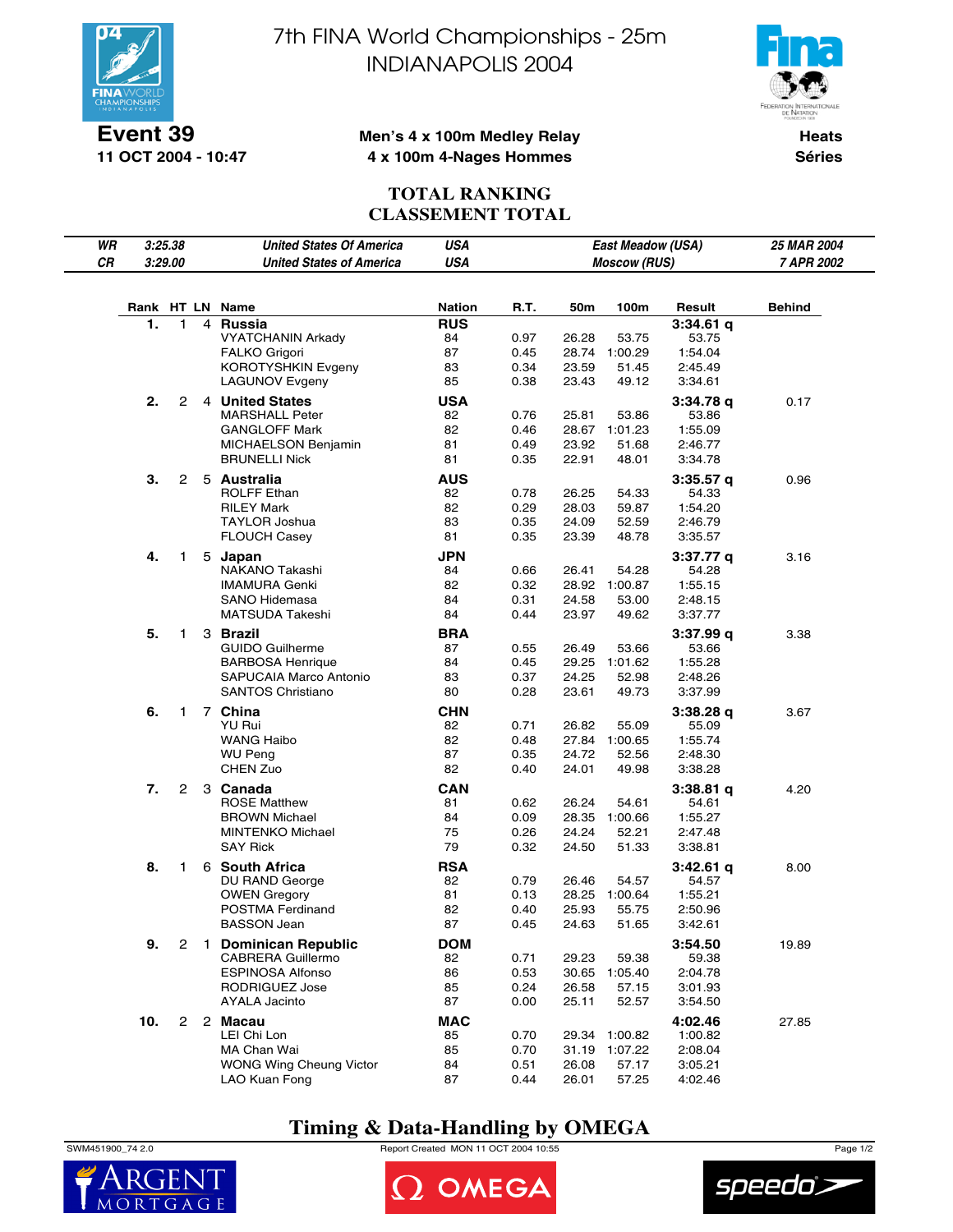

**11 OCT 2004 - 10:47**

7th FINA World Championships - 25m INDIANAPOLIS 2004



### **Men's 4 x 100m Medley Relay 4 x 100m 4-Nages Hommes**

**Heats Séries**

### **TOTAL RANKING CLASSEMENT TOTAL**

| WR |     | 3:25.38        |              | <b>United States Of America</b>                 | <b>USA</b>           |              |                | East Meadow (USA)   |                      | 25 MAR 2004 |
|----|-----|----------------|--------------|-------------------------------------------------|----------------------|--------------|----------------|---------------------|----------------------|-------------|
| CR |     | 3:29.00        |              | <b>United States of America</b>                 | <b>USA</b>           |              |                | <b>Moscow (RUS)</b> |                      | 7 APR 2002  |
|    |     |                |              |                                                 |                      |              |                |                     |                      |             |
|    |     |                |              |                                                 |                      |              |                |                     |                      |             |
|    |     |                |              | Rank HT LN Name                                 | Nation<br><b>RUS</b> | R.T.         | 50m            | 100m                | Result               | Behind      |
|    | 1.  | 1              | 4            | <b>Russia</b><br><b>VYATCHANIN Arkady</b>       | 84                   | 0.97         | 26.28          | 53.75               | $3:34.61$ q<br>53.75 |             |
|    |     |                |              | <b>FALKO Grigori</b>                            | 87                   | 0.45         | 28.74          | 1:00.29             | 1:54.04              |             |
|    |     |                |              | <b>KOROTYSHKIN Evgeny</b>                       | 83                   | 0.34         | 23.59          | 51.45               | 2:45.49              |             |
|    |     |                |              | <b>LAGUNOV Evgeny</b>                           | 85                   | 0.38         | 23.43          | 49.12               | 3:34.61              |             |
|    | 2.  | 2              |              | 4 United States                                 | <b>USA</b>           |              |                |                     | 3:34.78q             | 0.17        |
|    |     |                |              | <b>MARSHALL Peter</b>                           | 82                   | 0.76         | 25.81          | 53.86               | 53.86                |             |
|    |     |                |              | <b>GANGLOFF Mark</b>                            | 82                   | 0.46         | 28.67          | 1:01.23             | 1:55.09              |             |
|    |     |                |              | MICHAELSON Benjamin                             | 81                   | 0.49         | 23.92          | 51.68               | 2:46.77              |             |
|    |     |                |              | <b>BRUNELLI Nick</b>                            | 81                   | 0.35         | 22.91          | 48.01               | 3:34.78              |             |
|    | 3.  | 2              |              | 5 Australia                                     | <b>AUS</b>           |              |                |                     | 3:35.57q             | 0.96        |
|    |     |                |              | <b>ROLFF Ethan</b>                              | 82                   | 0.78         | 26.25          | 54.33               | 54.33                |             |
|    |     |                |              | <b>RILEY Mark</b>                               | 82                   | 0.29         | 28.03          | 59.87               | 1:54.20              |             |
|    |     |                |              | <b>TAYLOR Joshua</b>                            | 83                   | 0.35         | 24.09          | 52.59               | 2:46.79              |             |
|    |     |                |              | <b>FLOUCH Casey</b>                             | 81                   | 0.35         | 23.39          | 48.78               | 3:35.57              |             |
|    | 4.  | 1              |              | 5 Japan                                         | JPN                  |              |                |                     | 3:37.77 g            | 3.16        |
|    |     |                |              | NAKANO Takashi                                  | 84                   | 0.66         | 26.41          | 54.28               | 54.28                |             |
|    |     |                |              | <b>IMAMURA Genki</b>                            | 82                   | 0.32         | 28.92          | 1:00.87             | 1:55.15              |             |
|    |     |                |              | <b>SANO Hidemasa</b>                            | 84                   | 0.31         | 24.58          | 53.00               | 2:48.15              |             |
|    |     |                |              | MATSUDA Takeshi                                 | 84                   | 0.44         | 23.97          | 49.62               | 3:37.77              |             |
|    | 5.  | 1              |              | 3 Brazil                                        | <b>BRA</b>           |              |                |                     | 3:37.99q             | 3.38        |
|    |     |                |              | <b>GUIDO Guilherme</b>                          | 87                   | 0.55         | 26.49          | 53.66               | 53.66                |             |
|    |     |                |              | <b>BARBOSA Henrique</b>                         | 84                   | 0.45         | 29.25          | 1:01.62             | 1:55.28              |             |
|    |     |                |              | SAPUCAIA Marco Antonio                          | 83                   | 0.37         | 24.25          | 52.98               | 2:48.26              |             |
|    |     |                |              | <b>SANTOS Christiano</b>                        | 80                   | 0.28         | 23.61          | 49.73               | 3:37.99              |             |
|    | 6.  | 1              |              | 7 China                                         | <b>CHN</b>           |              |                |                     | 3:38.28q             | 3.67        |
|    |     |                |              | YU Rui                                          | 82                   | 0.71         | 26.82          | 55.09               | 55.09                |             |
|    |     |                |              | <b>WANG Haibo</b>                               | 82                   | 0.48         | 27.84          | 1:00.65             | 1:55.74              |             |
|    |     |                |              | <b>WU Peng</b><br>CHEN Zuo                      | 87<br>82             | 0.35         | 24.72          | 52.56<br>49.98      | 2:48.30              |             |
|    |     |                |              |                                                 |                      | 0.40         | 24.01          |                     | 3:38.28              |             |
|    | 7.  | $\overline{2}$ |              | 3 Canada                                        | <b>CAN</b>           |              |                |                     | $3:38.81$ q          | 4.20        |
|    |     |                |              | <b>ROSE Matthew</b>                             | 81                   | 0.62         | 26.24          | 54.61               | 54.61                |             |
|    |     |                |              | <b>BROWN Michael</b><br><b>MINTENKO Michael</b> | 84<br>75             | 0.09<br>0.26 | 28.35<br>24.24 | 1:00.66<br>52.21    | 1:55.27<br>2:47.48   |             |
|    |     |                |              | <b>SAY Rick</b>                                 | 79                   | 0.32         | 24.50          | 51.33               | 3:38.81              |             |
|    |     |                |              |                                                 |                      |              |                |                     |                      |             |
|    | 8.  | 1              |              | 6 South Africa<br>DU RAND George                | <b>RSA</b><br>82     | 0.79         | 26.46          | 54.57               | $3:42.61$ q<br>54.57 | 8.00        |
|    |     |                |              | <b>OWEN Gregory</b>                             | 81                   | 0.13         | 28.25          | 1:00.64             | 1:55.21              |             |
|    |     |                |              | POSTMA Ferdinand                                | 82                   | 0.40         | 25.93          | 55.75               | 2:50.96              |             |
|    |     |                |              | <b>BASSON Jean</b>                              | 87                   | 0.45         | 24.63          | 51.65               | 3:42.61              |             |
|    | 9.  | $\overline{c}$ | $\mathbf{1}$ | <b>Dominican Republic</b>                       | <b>DOM</b>           |              |                |                     | 3:54.50              | 19.89       |
|    |     |                |              | CABRERA Guillermo                               | 82                   | 0.71         | 29.23          | 59.38               | 59.38                |             |
|    |     |                |              | <b>ESPINOSA Alfonso</b>                         | 86                   | 0.53         | 30.65          | 1:05.40             | 2:04.78              |             |
|    |     |                |              | RODRIGUEZ Jose                                  | 85                   | 0.24         | 26.58          | 57.15               | 3:01.93              |             |
|    |     |                |              | AYALA Jacinto                                   | 87                   | 0.00         | 25.11          | 52.57               | 3:54.50              |             |
|    | 10. | $\mathbf{2}$   |              | 2 Macau                                         | <b>MAC</b>           |              |                |                     | 4:02.46              | 27.85       |
|    |     |                |              | LEI Chi Lon                                     | 85                   | 0.70         | 29.34          | 1:00.82             | 1:00.82              |             |
|    |     |                |              | MA Chan Wai                                     | 85                   | 0.70         | 31.19          | 1:07.22             | 2:08.04              |             |
|    |     |                |              | WONG Wing Cheung Victor                         | 84                   | 0.51         | 26.08          | 57.17               | 3:05.21              |             |
|    |     |                |              | LAO Kuan Fong                                   | 87                   | 0.44         | 26.01          | 57.25               | 4:02.46              |             |

# **Timing & Data-Handling by OMEGA**

SWM451900\_74 2.0 Report Created MON 11 OCT 2004 10:55 Page 1/2





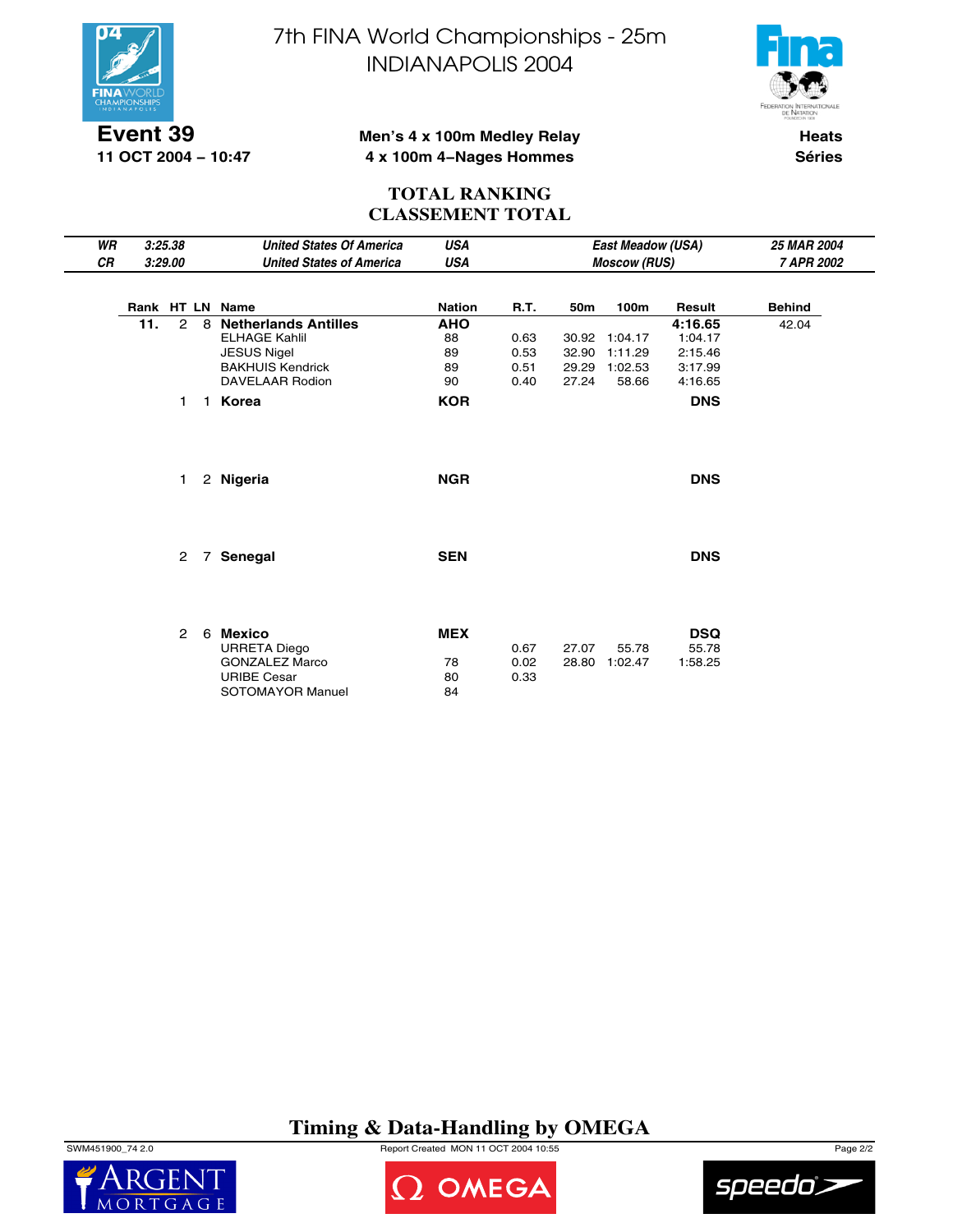

**11 OCT 2004 − 10:47**

7th FINA World Championships - 25m INDIANAPOLIS 2004



### **Men's 4 x 100m Medley Relay 4 x 100m 4−Nages Hommes**

**Heats Séries**

### **TOTAL RANKING CLASSEMENT TOTAL**

| WR        |     | 3:25.38                       |                   | <b>United States Of America</b>                                                                                                                | <b>USA</b>                                       |                              |                | East Meadow (USA)                                  |                                                                   | 25 MAR 2004   |
|-----------|-----|-------------------------------|-------------------|------------------------------------------------------------------------------------------------------------------------------------------------|--------------------------------------------------|------------------------------|----------------|----------------------------------------------------|-------------------------------------------------------------------|---------------|
| <b>CR</b> |     | 3:29.00                       |                   | <b>United States of America</b>                                                                                                                | <b>USA</b>                                       |                              |                | <b>Moscow (RUS)</b>                                |                                                                   | 7 APR 2002    |
|           |     |                               |                   | Rank HT LN Name                                                                                                                                | <b>Nation</b>                                    | R.T.                         | 50m            | 100m                                               | Result                                                            | <b>Behind</b> |
|           | 11. | $\mathcal{P}$<br>$\mathbf{1}$ | 8<br>$\mathbf{1}$ | <b>Netherlands Antilles</b><br><b>ELHAGE Kahlil</b><br><b>JESUS Nigel</b><br><b>BAKHUIS Kendrick</b><br><b>DAVELAAR Rodion</b><br><b>Korea</b> | <b>AHO</b><br>88<br>89<br>89<br>90<br><b>KOR</b> | 0.63<br>0.53<br>0.51<br>0.40 | 32.90<br>27.24 | 30.92 1:04.17<br>1:11.29<br>29.29 1:02.53<br>58.66 | 4:16.65<br>1:04.17<br>2:15.46<br>3:17.99<br>4:16.65<br><b>DNS</b> | 42.04         |
|           |     | 1                             |                   | 2 Nigeria                                                                                                                                      | <b>NGR</b>                                       |                              |                |                                                    | <b>DNS</b>                                                        |               |
|           |     | $\mathbf{2}^{\circ}$          | $\overline{7}$    | Senegal                                                                                                                                        | <b>SEN</b>                                       |                              |                |                                                    | <b>DNS</b>                                                        |               |
|           |     | $\mathbf{2}^{\circ}$          | 6                 | Mexico<br><b>URRETA Diego</b><br><b>GONZALEZ Marco</b><br><b>URIBE Cesar</b><br>SOTOMAYOR Manuel                                               | <b>MEX</b><br>78<br>80<br>84                     | 0.67<br>0.02<br>0.33         | 27.07          | 55.78<br>28.80 1:02.47                             | <b>DSQ</b><br>55.78<br>1:58.25                                    |               |

# **Timing & Data-Handling by OMEGA**

SWM451900\_74 2.0 Report Created MON 11 OCT 2004 10:55 Page 2/2





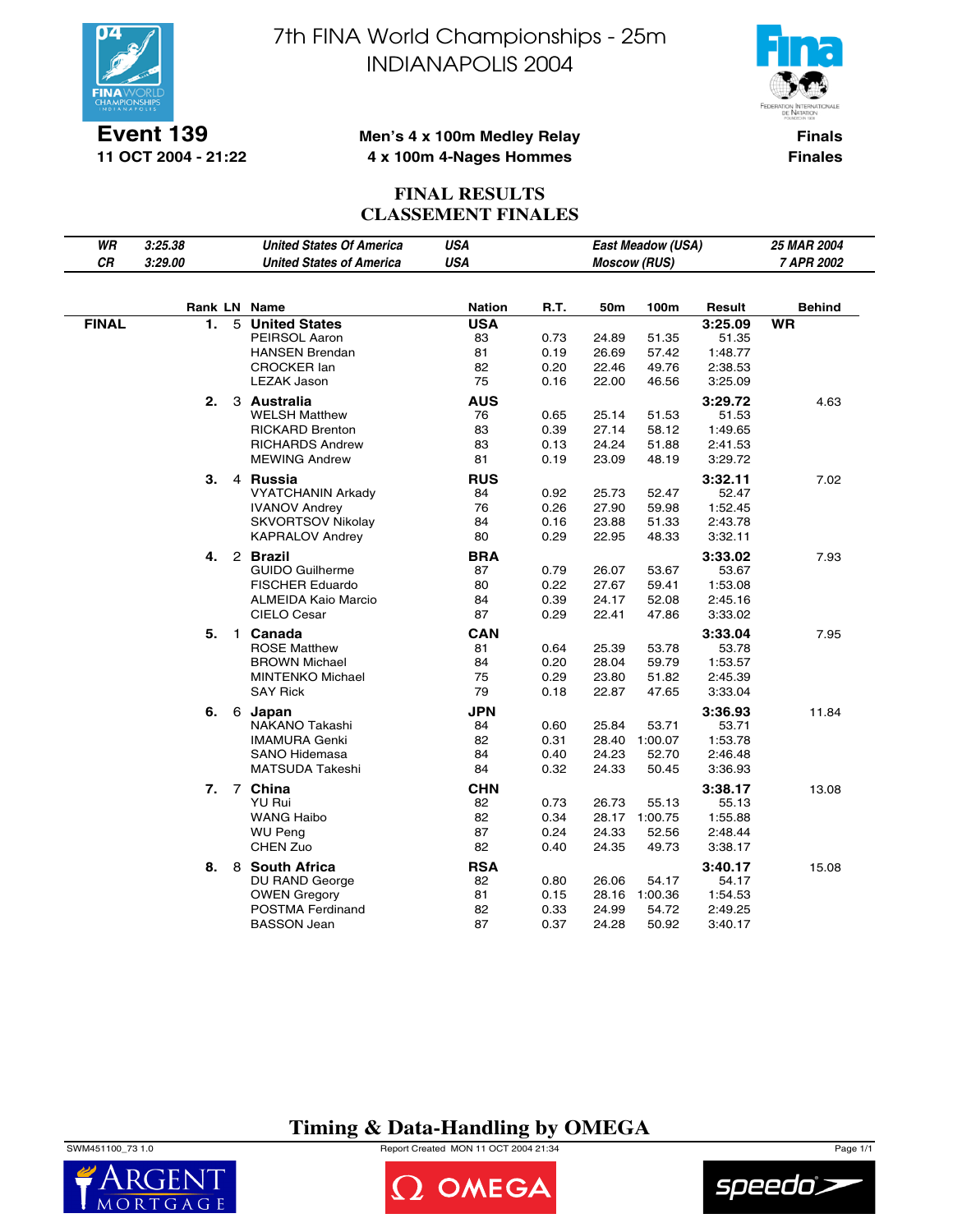

**Event 139 11 OCT 2004 - 21:22** 7th FINA World Championships - 25m INDIANAPOLIS 2004



### **Men's 4 x 100m Medley Relay 4 x 100m 4-Nages Hommes**

**Finals Finales**

### **FINAL RESULTS CLASSEMENT FINALES**

| WR           | 3:25.38 |   | <b>United States Of America</b>             | <b>USA</b>       |              |                | East Meadow (USA)   |                    | 25 MAR 2004   |
|--------------|---------|---|---------------------------------------------|------------------|--------------|----------------|---------------------|--------------------|---------------|
| CR           | 3:29.00 |   | <b>United States of America</b>             | <b>USA</b>       |              |                | <b>Moscow (RUS)</b> |                    | 7 APR 2002    |
|              |         |   |                                             |                  |              |                |                     |                    |               |
|              |         |   | Rank LN Name                                | <b>Nation</b>    | R.T.         | 50m            | 100m                | Result             | <b>Behind</b> |
| <b>FINAL</b> | 1.      | 5 | <b>United States</b>                        | <b>USA</b>       |              |                |                     | 3:25.09            | <b>WR</b>     |
|              |         |   | PEIRSOL Aaron                               | 83               | 0.73         | 24.89          | 51.35               | 51.35              |               |
|              |         |   | <b>HANSEN Brendan</b><br><b>CROCKER lan</b> | 81<br>82         | 0.19<br>0.20 | 26.69<br>22.46 | 57.42               | 1:48.77<br>2:38.53 |               |
|              |         |   | <b>LEZAK Jason</b>                          | 75               | 0.16         | 22.00          | 49.76<br>46.56      | 3:25.09            |               |
|              |         |   |                                             |                  |              |                |                     |                    |               |
|              | 2.      |   | 3 Australia<br>WELSH Matthew                | <b>AUS</b><br>76 | 0.65         | 25.14          | 51.53               | 3:29.72<br>51.53   | 4.63          |
|              |         |   | <b>RICKARD Brenton</b>                      | 83               | 0.39         | 27.14          | 58.12               | 1:49.65            |               |
|              |         |   | <b>RICHARDS Andrew</b>                      | 83               | 0.13         | 24.24          | 51.88               | 2:41.53            |               |
|              |         |   | <b>MEWING Andrew</b>                        | 81               | 0.19         | 23.09          | 48.19               | 3:29.72            |               |
|              | 3.      |   | 4 Russia                                    | <b>RUS</b>       |              |                |                     | 3:32.11            | 7.02          |
|              |         |   | <b>VYATCHANIN Arkady</b>                    | 84               | 0.92         | 25.73          | 52.47               | 52.47              |               |
|              |         |   | <b>IVANOV Andrey</b>                        | 76               | 0.26         | 27.90          | 59.98               | 1:52.45            |               |
|              |         |   | SKVORTSOV Nikolav                           | 84               | 0.16         | 23.88          | 51.33               | 2:43.78            |               |
|              |         |   | <b>KAPRALOV Andrey</b>                      | 80               | 0.29         | 22.95          | 48.33               | 3:32.11            |               |
|              | 4.      |   | 2 Brazil                                    | <b>BRA</b>       |              |                |                     | 3:33.02            | 7.93          |
|              |         |   | <b>GUIDO Guilherme</b>                      | 87               | 0.79         | 26.07          | 53.67               | 53.67              |               |
|              |         |   | <b>FISCHER Eduardo</b>                      | 80               | 0.22         | 27.67          | 59.41               | 1:53.08            |               |
|              |         |   | <b>ALMEIDA Kaio Marcio</b>                  | 84               | 0.39         | 24.17          | 52.08               | 2:45.16            |               |
|              |         |   | CIELO Cesar                                 | 87               | 0.29         | 22.41          | 47.86               | 3:33.02            |               |
|              | 5.      |   | 1 Canada                                    | CAN              |              |                |                     | 3:33.04            | 7.95          |
|              |         |   | <b>ROSE Matthew</b>                         | 81               | 0.64         | 25.39          | 53.78               | 53.78              |               |
|              |         |   | <b>BROWN Michael</b>                        | 84               | 0.20         | 28.04          | 59.79               | 1:53.57            |               |
|              |         |   | <b>MINTENKO Michael</b><br>SAY Rick         | 75<br>79         | 0.29<br>0.18 | 23.80<br>22.87 | 51.82<br>47.65      | 2:45.39<br>3:33.04 |               |
|              |         |   |                                             |                  |              |                |                     |                    |               |
|              | 6.      |   | 6 Japan<br>NAKANO Takashi                   | <b>JPN</b><br>84 | 0.60         | 25.84          | 53.71               | 3:36.93<br>53.71   | 11.84         |
|              |         |   | <b>IMAMURA Genki</b>                        | 82               | 0.31         |                | 28.40 1:00.07       | 1:53.78            |               |
|              |         |   | <b>SANO Hidemasa</b>                        | 84               | 0.40         | 24.23          | 52.70               | 2:46.48            |               |
|              |         |   | <b>MATSUDA Takeshi</b>                      | 84               | 0.32         | 24.33          | 50.45               | 3:36.93            |               |
|              |         |   | 7. 7 China                                  | <b>CHN</b>       |              |                |                     | 3:38.17            | 13.08         |
|              |         |   | <b>YU Rui</b>                               | 82               | 0.73         | 26.73          | 55.13               | 55.13              |               |
|              |         |   | <b>WANG Haibo</b>                           | 82               | 0.34         |                | 28.17 1:00.75       | 1:55.88            |               |
|              |         |   | WU Peng                                     | 87               | 0.24         | 24.33          | 52.56               | 2:48.44            |               |
|              |         |   | CHEN Zuo                                    | 82               | 0.40         | 24.35          | 49.73               | 3:38.17            |               |
|              |         |   | 8. 8 South Africa                           | <b>RSA</b>       |              |                |                     | 3:40.17            | 15.08         |
|              |         |   | DU RAND George                              | 82               | 0.80         | 26.06          | 54.17               | 54.17              |               |
|              |         |   | <b>OWEN Gregory</b>                         | 81               | 0.15         |                | 28.16 1:00.36       | 1:54.53            |               |
|              |         |   | POSTMA Ferdinand                            | 82               | 0.33         | 24.99          | 54.72               | 2:49.25            |               |
|              |         |   | <b>BASSON Jean</b>                          | 87               | 0.37         | 24.28          | 50.92               | 3:40.17            |               |

## **Timing & Data-Handling by OMEGA**

SWM451100\_73 1.0 Report Created MON 11 OCT 2004 21:34 Page 1/1





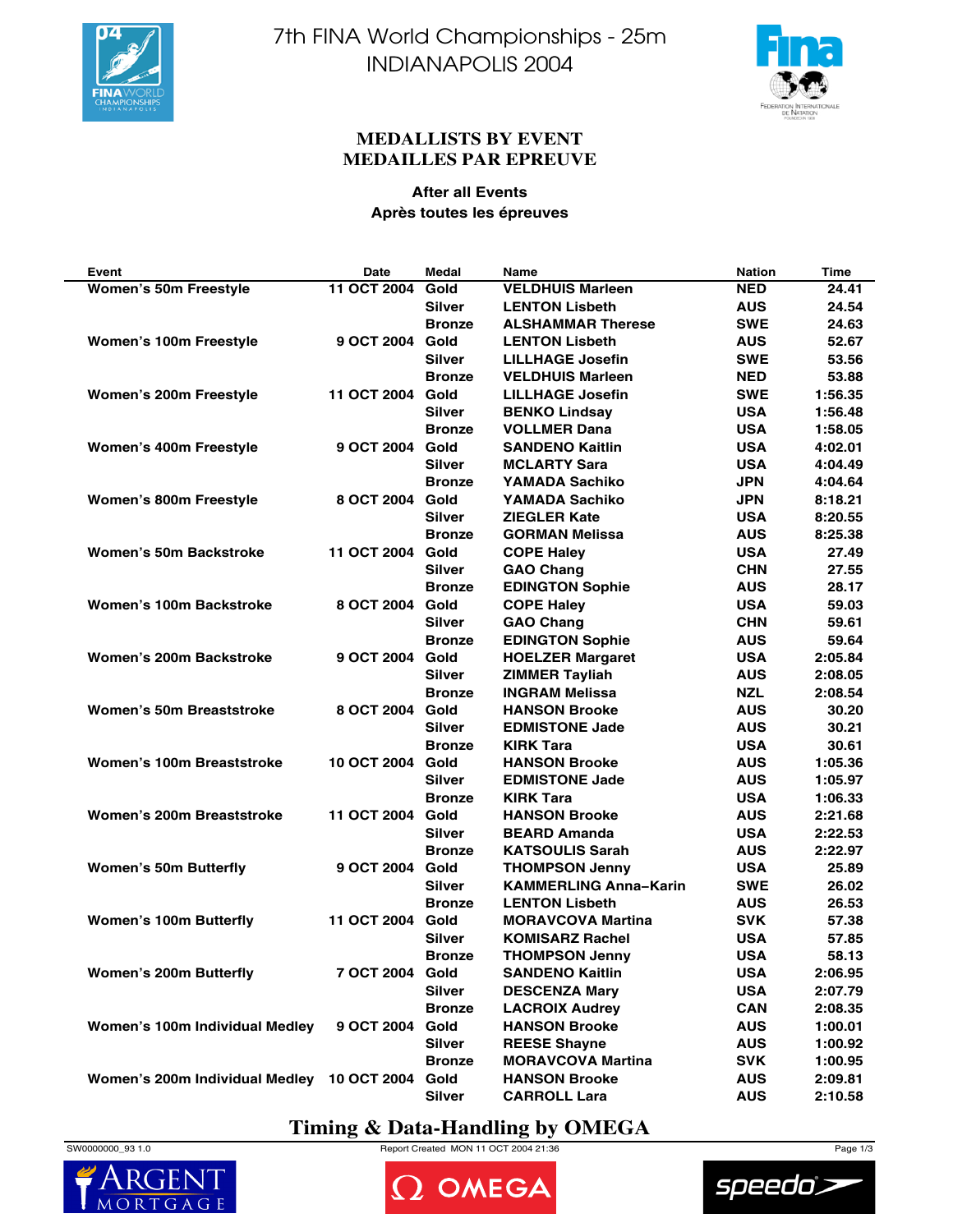



### **MEDALLISTS BY EVENT MEDAILLES PAR EPREUVE**

### **After all Events Après toutes les épreuves**

| Event                                      | Date               | Medal         | Name                         | <b>Nation</b> | Time    |
|--------------------------------------------|--------------------|---------------|------------------------------|---------------|---------|
| <b>Women's 50m Freestyle</b>               | 11 OCT 2004 Gold   |               | <b>VELDHUIS Marleen</b>      | <b>NED</b>    | 24.41   |
|                                            |                    | <b>Silver</b> | <b>LENTON Lisbeth</b>        | <b>AUS</b>    | 24.54   |
|                                            |                    | <b>Bronze</b> | <b>ALSHAMMAR Therese</b>     | <b>SWE</b>    | 24.63   |
| Women's 100m Freestyle                     | 9 OCT 2004         | Gold          | <b>LENTON Lisbeth</b>        | <b>AUS</b>    | 52.67   |
|                                            |                    | Silver        | <b>LILLHAGE Josefin</b>      | <b>SWE</b>    | 53.56   |
|                                            |                    | <b>Bronze</b> | <b>VELDHUIS Marleen</b>      | <b>NED</b>    | 53.88   |
| Women's 200m Freestyle                     | 11 OCT 2004        | Gold          | <b>LILLHAGE Josefin</b>      | <b>SWE</b>    | 1:56.35 |
|                                            |                    | Silver        | <b>BENKO Lindsay</b>         | <b>USA</b>    | 1:56.48 |
|                                            |                    | <b>Bronze</b> | <b>VOLLMER Dana</b>          | <b>USA</b>    | 1:58.05 |
| Women's 400m Freestyle                     | 9 OCT 2004 Gold    |               | <b>SANDENO Kaitlin</b>       | <b>USA</b>    | 4:02.01 |
|                                            |                    | <b>Silver</b> | <b>MCLARTY Sara</b>          | <b>USA</b>    | 4:04.49 |
|                                            |                    | <b>Bronze</b> | YAMADA Sachiko               | <b>JPN</b>    | 4:04.64 |
| Women's 800m Freestyle                     | 8 OCT 2004         | Gold          | <b>YAMADA Sachiko</b>        | <b>JPN</b>    | 8:18.21 |
|                                            |                    | <b>Silver</b> | <b>ZIEGLER Kate</b>          | <b>USA</b>    | 8:20.55 |
|                                            |                    | <b>Bronze</b> | <b>GORMAN Melissa</b>        | <b>AUS</b>    | 8:25.38 |
| <b>Women's 50m Backstroke</b>              | 11 OCT 2004 Gold   |               | <b>COPE Haley</b>            | <b>USA</b>    | 27.49   |
|                                            |                    | <b>Silver</b> | <b>GAO Chang</b>             | <b>CHN</b>    | 27.55   |
|                                            |                    | <b>Bronze</b> | <b>EDINGTON Sophie</b>       | <b>AUS</b>    | 28.17   |
| Women's 100m Backstroke                    | 8 OCT 2004 Gold    |               | <b>COPE Haley</b>            | <b>USA</b>    | 59.03   |
|                                            |                    | Silver        | <b>GAO Chang</b>             | <b>CHN</b>    | 59.61   |
|                                            |                    | <b>Bronze</b> | <b>EDINGTON Sophie</b>       | <b>AUS</b>    | 59.64   |
| Women's 200m Backstroke                    | 9 OCT 2004         | Gold          | <b>HOELZER Margaret</b>      | <b>USA</b>    | 2:05.84 |
|                                            |                    | Silver        | <b>ZIMMER Tayliah</b>        | <b>AUS</b>    | 2:08.05 |
|                                            |                    | <b>Bronze</b> | <b>INGRAM Melissa</b>        | <b>NZL</b>    | 2:08.54 |
| Women's 50m Breaststroke                   | 8 OCT 2004 Gold    |               | <b>HANSON Brooke</b>         | <b>AUS</b>    | 30.20   |
|                                            |                    | Silver        | <b>EDMISTONE Jade</b>        | <b>AUS</b>    | 30.21   |
|                                            |                    | <b>Bronze</b> | <b>KIRK Tara</b>             | <b>USA</b>    | 30.61   |
| Women's 100m Breaststroke                  | <b>10 OCT 2004</b> | Gold          | <b>HANSON Brooke</b>         | <b>AUS</b>    | 1:05.36 |
|                                            |                    | <b>Silver</b> | <b>EDMISTONE Jade</b>        | <b>AUS</b>    | 1:05.97 |
|                                            |                    | <b>Bronze</b> | <b>KIRK Tara</b>             | <b>USA</b>    | 1:06.33 |
| Women's 200m Breaststroke                  | 11 OCT 2004        | Gold          | <b>HANSON Brooke</b>         | <b>AUS</b>    | 2:21.68 |
|                                            |                    | Silver        | <b>BEARD Amanda</b>          | <b>USA</b>    | 2:22.53 |
|                                            |                    | <b>Bronze</b> | <b>KATSOULIS Sarah</b>       | <b>AUS</b>    | 2:22.97 |
| <b>Women's 50m Butterfly</b>               | 9 OCT 2004 Gold    |               | <b>THOMPSON Jenny</b>        | <b>USA</b>    | 25.89   |
|                                            |                    | <b>Silver</b> | <b>KAMMERLING Anna-Karin</b> | <b>SWE</b>    | 26.02   |
|                                            |                    | <b>Bronze</b> | <b>LENTON Lisbeth</b>        | <b>AUS</b>    | 26.53   |
| <b>Women's 100m Butterfly</b>              | 11 OCT 2004 Gold   |               | <b>MORAVCOVA Martina</b>     | <b>SVK</b>    | 57.38   |
|                                            |                    | <b>Silver</b> | <b>KOMISARZ Rachel</b>       | <b>USA</b>    | 57.85   |
|                                            |                    | <b>Bronze</b> | <b>THOMPSON Jenny</b>        | <b>USA</b>    | 58.13   |
| <b>Women's 200m Butterfly</b>              | 7 OCT 2004 Gold    |               | <b>SANDENO Kaitlin</b>       | <b>USA</b>    | 2:06.95 |
|                                            |                    | <b>Silver</b> | <b>DESCENZA Mary</b>         | <b>USA</b>    | 2:07.79 |
|                                            |                    | <b>Bronze</b> | <b>LACROIX Audrey</b>        | <b>CAN</b>    | 2:08.35 |
| Women's 100m Individual Medley             | 9 OCT 2004 Gold    |               | <b>HANSON Brooke</b>         | <b>AUS</b>    | 1:00.01 |
|                                            |                    | <b>Silver</b> | <b>REESE Shayne</b>          | <b>AUS</b>    | 1:00.92 |
|                                            |                    | <b>Bronze</b> | <b>MORAVCOVA Martina</b>     | <b>SVK</b>    | 1:00.95 |
| Women's 200m Individual Medley 10 OCT 2004 |                    | Gold          | <b>HANSON Brooke</b>         | <b>AUS</b>    | 2:09.81 |
|                                            |                    | <b>Silver</b> | <b>CARROLL Lara</b>          | <b>AUS</b>    | 2:10.58 |
|                                            |                    |               |                              |               |         |

# **Timing & Data-Handling by OMEGA**





OMEGA

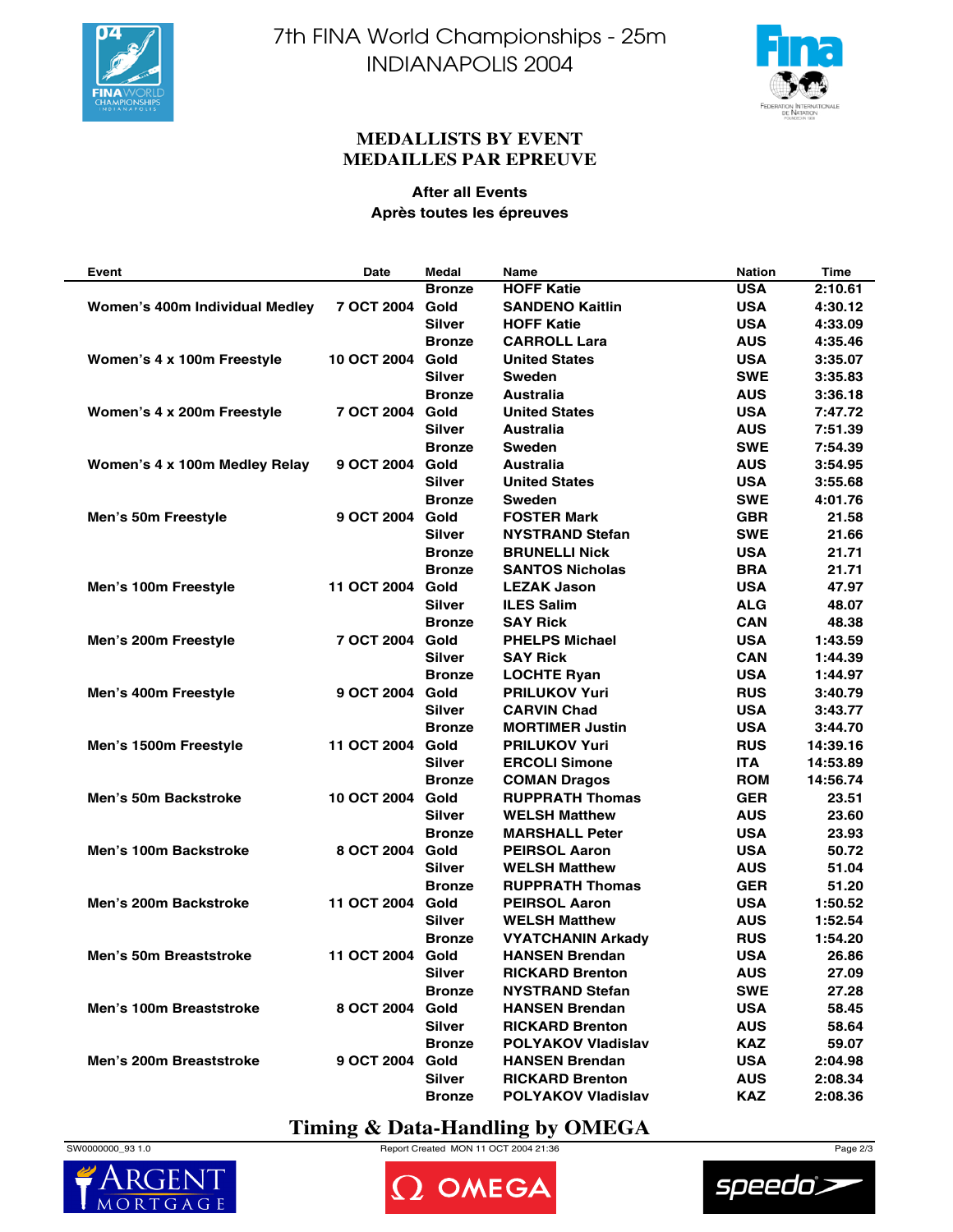



### **MEDALLISTS BY EVENT MEDAILLES PAR EPREUVE**

### **After all Events Après toutes les épreuves**

| Event                          | Date               | <b>Medal</b>  | Name                      | <b>Nation</b> | Time     |
|--------------------------------|--------------------|---------------|---------------------------|---------------|----------|
|                                |                    | <b>Bronze</b> | <b>HOFF Katie</b>         | <b>USA</b>    | 2:10.61  |
| Women's 400m Individual Medley | 7 OCT 2004         | Gold          | <b>SANDENO Kaitlin</b>    | <b>USA</b>    | 4:30.12  |
|                                |                    | <b>Silver</b> | <b>HOFF Katie</b>         | <b>USA</b>    | 4:33.09  |
|                                |                    | <b>Bronze</b> | <b>CARROLL Lara</b>       | <b>AUS</b>    | 4:35.46  |
| Women's 4 x 100m Freestyle     | <b>10 OCT 2004</b> | Gold          | <b>United States</b>      | <b>USA</b>    | 3:35.07  |
|                                |                    | <b>Silver</b> | <b>Sweden</b>             | <b>SWE</b>    | 3:35.83  |
|                                |                    | <b>Bronze</b> | <b>Australia</b>          | <b>AUS</b>    | 3:36.18  |
| Women's 4 x 200m Freestyle     | 7 OCT 2004 Gold    |               | <b>United States</b>      | <b>USA</b>    | 7:47.72  |
|                                |                    | <b>Silver</b> | Australia                 | <b>AUS</b>    | 7:51.39  |
|                                |                    | <b>Bronze</b> | <b>Sweden</b>             | <b>SWE</b>    | 7:54.39  |
| Women's 4 x 100m Medley Relay  | 9 OCT 2004         | Gold          | Australia                 | <b>AUS</b>    | 3:54.95  |
|                                |                    | <b>Silver</b> | <b>United States</b>      | <b>USA</b>    | 3:55.68  |
|                                |                    | <b>Bronze</b> | Sweden                    | <b>SWE</b>    | 4:01.76  |
| Men's 50m Freestyle            | 9 OCT 2004         | Gold          | <b>FOSTER Mark</b>        | <b>GBR</b>    | 21.58    |
|                                |                    | <b>Silver</b> | <b>NYSTRAND Stefan</b>    | <b>SWE</b>    | 21.66    |
|                                |                    | <b>Bronze</b> | <b>BRUNELLI Nick</b>      | <b>USA</b>    | 21.71    |
|                                |                    | <b>Bronze</b> | <b>SANTOS Nicholas</b>    | <b>BRA</b>    | 21.71    |
| Men's 100m Freestyle           | 11 OCT 2004 Gold   |               | <b>LEZAK Jason</b>        | <b>USA</b>    | 47.97    |
|                                |                    | <b>Silver</b> | <b>ILES Salim</b>         | <b>ALG</b>    | 48.07    |
|                                |                    | <b>Bronze</b> | <b>SAY Rick</b>           | <b>CAN</b>    | 48.38    |
| Men's 200m Freestyle           | 7 OCT 2004         | Gold          | <b>PHELPS Michael</b>     | <b>USA</b>    | 1:43.59  |
|                                |                    | <b>Silver</b> | <b>SAY Rick</b>           | <b>CAN</b>    | 1:44.39  |
|                                |                    |               |                           |               |          |
|                                |                    | <b>Bronze</b> | <b>LOCHTE Ryan</b>        | <b>USA</b>    | 1:44.97  |
| Men's 400m Freestyle           | 9 OCT 2004         | Gold          | <b>PRILUKOV Yuri</b>      | <b>RUS</b>    | 3:40.79  |
|                                |                    | <b>Silver</b> | <b>CARVIN Chad</b>        | <b>USA</b>    | 3:43.77  |
|                                |                    | <b>Bronze</b> | <b>MORTIMER Justin</b>    | <b>USA</b>    | 3:44.70  |
| Men's 1500m Freestyle          | 11 OCT 2004        | Gold          | <b>PRILUKOV Yuri</b>      | <b>RUS</b>    | 14:39.16 |
|                                |                    | <b>Silver</b> | <b>ERCOLI Simone</b>      | <b>ITA</b>    | 14:53.89 |
|                                |                    | <b>Bronze</b> | <b>COMAN Dragos</b>       | <b>ROM</b>    | 14:56.74 |
| <b>Men's 50m Backstroke</b>    | <b>10 OCT 2004</b> | Gold          | <b>RUPPRATH Thomas</b>    | <b>GER</b>    | 23.51    |
|                                |                    | <b>Silver</b> | <b>WELSH Matthew</b>      | <b>AUS</b>    | 23.60    |
|                                |                    | <b>Bronze</b> | <b>MARSHALL Peter</b>     | <b>USA</b>    | 23.93    |
| Men's 100m Backstroke          | 8 OCT 2004 Gold    |               | <b>PEIRSOL Aaron</b>      | <b>USA</b>    | 50.72    |
|                                |                    | <b>Silver</b> | <b>WELSH Matthew</b>      | <b>AUS</b>    | 51.04    |
|                                |                    | <b>Bronze</b> | <b>RUPPRATH Thomas</b>    | <b>GER</b>    | 51.20    |
| Men's 200m Backstroke          | 11 OCT 2004        | Gold          | <b>PEIRSOL Aaron</b>      | <b>USA</b>    | 1:50.52  |
|                                |                    | <b>Silver</b> | <b>WELSH Matthew</b>      | <b>AUS</b>    | 1:52.54  |
|                                |                    | Bronze        | <b>VYATCHANIN Arkady</b>  | <b>RUS</b>    | 1:54.20  |
| Men's 50m Breaststroke         | 11 OCT 2004        | Gold          | <b>HANSEN Brendan</b>     | <b>USA</b>    | 26.86    |
|                                |                    | <b>Silver</b> | <b>RICKARD Brenton</b>    | <b>AUS</b>    | 27.09    |
|                                |                    | <b>Bronze</b> | <b>NYSTRAND Stefan</b>    | <b>SWE</b>    | 27.28    |
| Men's 100m Breaststroke        | 8 OCT 2004 Gold    |               | <b>HANSEN Brendan</b>     | <b>USA</b>    | 58.45    |
|                                |                    | <b>Silver</b> | <b>RICKARD Brenton</b>    | <b>AUS</b>    | 58.64    |
|                                |                    | <b>Bronze</b> | <b>POLYAKOV Vladislav</b> | <b>KAZ</b>    | 59.07    |
| Men's 200m Breaststroke        | 9 OCT 2004         | Gold          | <b>HANSEN Brendan</b>     | <b>USA</b>    | 2:04.98  |
|                                |                    | <b>Silver</b> | <b>RICKARD Brenton</b>    | <b>AUS</b>    | 2:08.34  |
|                                |                    | <b>Bronze</b> | <b>POLYAKOV Vladislav</b> | <b>KAZ</b>    | 2:08.36  |

## **Timing & Data-Handling by OMEGA**





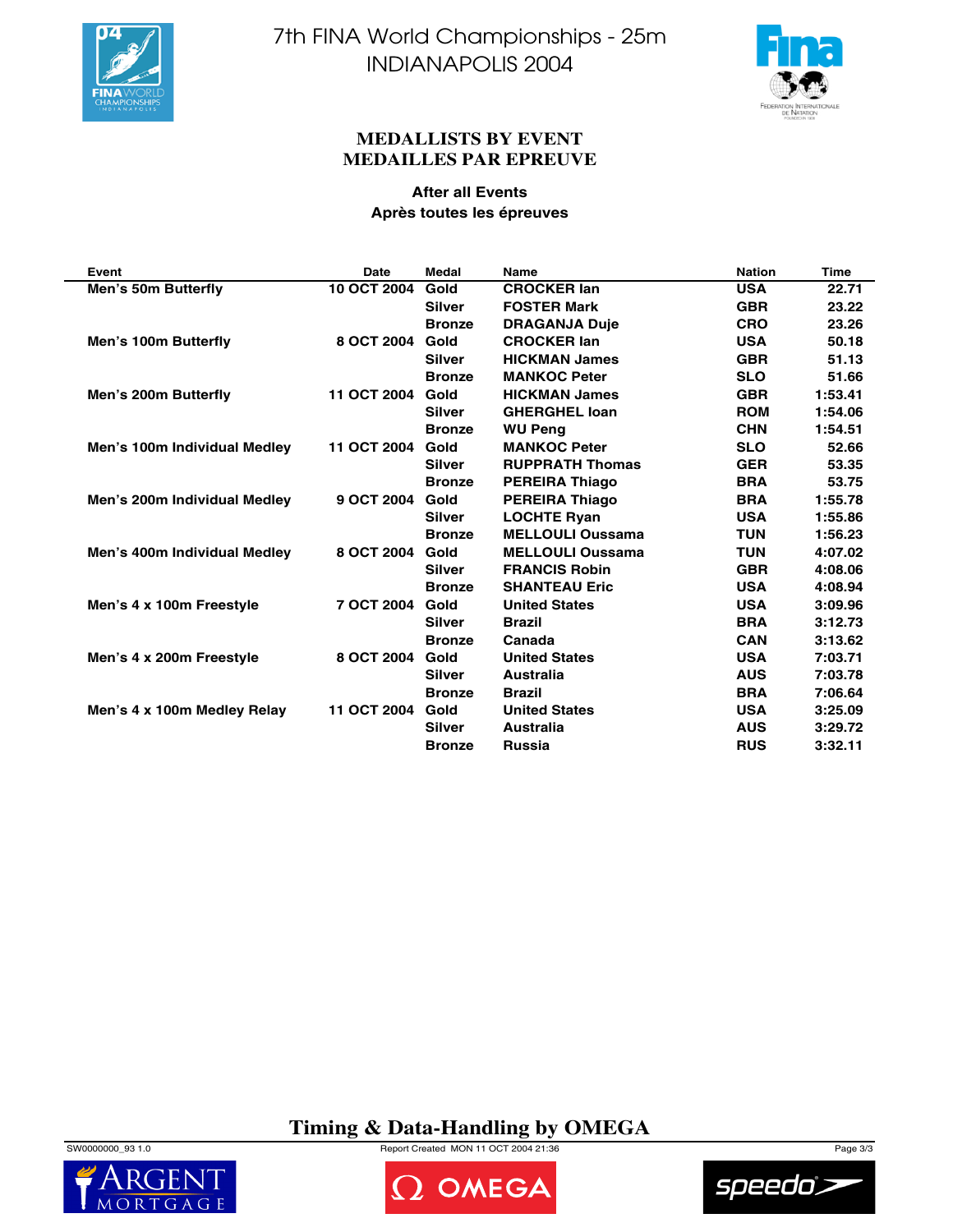



### **MEDALLISTS BY EVENT MEDAILLES PAR EPREUVE**

### **After all Events Après toutes les épreuves**

| Event                        | <b>Date</b> | <b>Medal</b>  | <b>Name</b>             | <b>Nation</b> | <b>Time</b> |
|------------------------------|-------------|---------------|-------------------------|---------------|-------------|
| Men's 50m Butterfly          | 10 OCT 2004 | Gold          | <b>CROCKER lan</b>      | <b>USA</b>    | 22.71       |
|                              |             | <b>Silver</b> | <b>FOSTER Mark</b>      | <b>GBR</b>    | 23.22       |
|                              |             | <b>Bronze</b> | <b>DRAGANJA Duje</b>    | <b>CRO</b>    | 23.26       |
| Men's 100m Butterfly         | 8 OCT 2004  | Gold          | <b>CROCKER lan</b>      | <b>USA</b>    | 50.18       |
|                              |             | <b>Silver</b> | <b>HICKMAN James</b>    | <b>GBR</b>    | 51.13       |
|                              |             | <b>Bronze</b> | <b>MANKOC Peter</b>     | <b>SLO</b>    | 51.66       |
| Men's 200m Butterfly         | 11 OCT 2004 | Gold          | <b>HICKMAN James</b>    | <b>GBR</b>    | 1:53.41     |
|                              |             | <b>Silver</b> | <b>GHERGHEL loan</b>    | <b>ROM</b>    | 1:54.06     |
|                              |             | <b>Bronze</b> | <b>WU Peng</b>          | <b>CHN</b>    | 1:54.51     |
| Men's 100m Individual Medley | 11 OCT 2004 | Gold          | <b>MANKOC Peter</b>     | <b>SLO</b>    | 52.66       |
|                              |             | <b>Silver</b> | <b>RUPPRATH Thomas</b>  | <b>GER</b>    | 53.35       |
|                              |             | <b>Bronze</b> | <b>PEREIRA Thiago</b>   | <b>BRA</b>    | 53.75       |
| Men's 200m Individual Medley | 9 OCT 2004  | Gold          | <b>PEREIRA Thiago</b>   | <b>BRA</b>    | 1:55.78     |
|                              |             | <b>Silver</b> | <b>LOCHTE Ryan</b>      | <b>USA</b>    | 1:55.86     |
|                              |             | <b>Bronze</b> | <b>MELLOULI Oussama</b> | <b>TUN</b>    | 1:56.23     |
| Men's 400m Individual Medley | 8 OCT 2004  | Gold          | <b>MELLOULI Oussama</b> | <b>TUN</b>    | 4:07.02     |
|                              |             | <b>Silver</b> | <b>FRANCIS Robin</b>    | <b>GBR</b>    | 4:08.06     |
|                              |             | <b>Bronze</b> | <b>SHANTEAU Eric</b>    | <b>USA</b>    | 4:08.94     |
| Men's 4 x 100m Freestyle     | 7 OCT 2004  | Gold          | <b>United States</b>    | <b>USA</b>    | 3:09.96     |
|                              |             | <b>Silver</b> | <b>Brazil</b>           | <b>BRA</b>    | 3:12.73     |
|                              |             | <b>Bronze</b> | Canada                  | <b>CAN</b>    | 3:13.62     |
| Men's 4 x 200m Freestyle     | 8 OCT 2004  | Gold          | <b>United States</b>    | <b>USA</b>    | 7:03.71     |
|                              |             | <b>Silver</b> | Australia               | <b>AUS</b>    | 7:03.78     |
|                              |             | <b>Bronze</b> | <b>Brazil</b>           | <b>BRA</b>    | 7:06.64     |
| Men's 4 x 100m Medley Relay  | 11 OCT 2004 | Gold          | <b>United States</b>    | <b>USA</b>    | 3:25.09     |
|                              |             | <b>Silver</b> | Australia               | <b>AUS</b>    | 3:29.72     |
|                              |             | <b>Bronze</b> | <b>Russia</b>           | <b>RUS</b>    | 3:32.11     |

# **Timing & Data-Handling by OMEGA**

**DOMEGA** 

 $MORT$ 



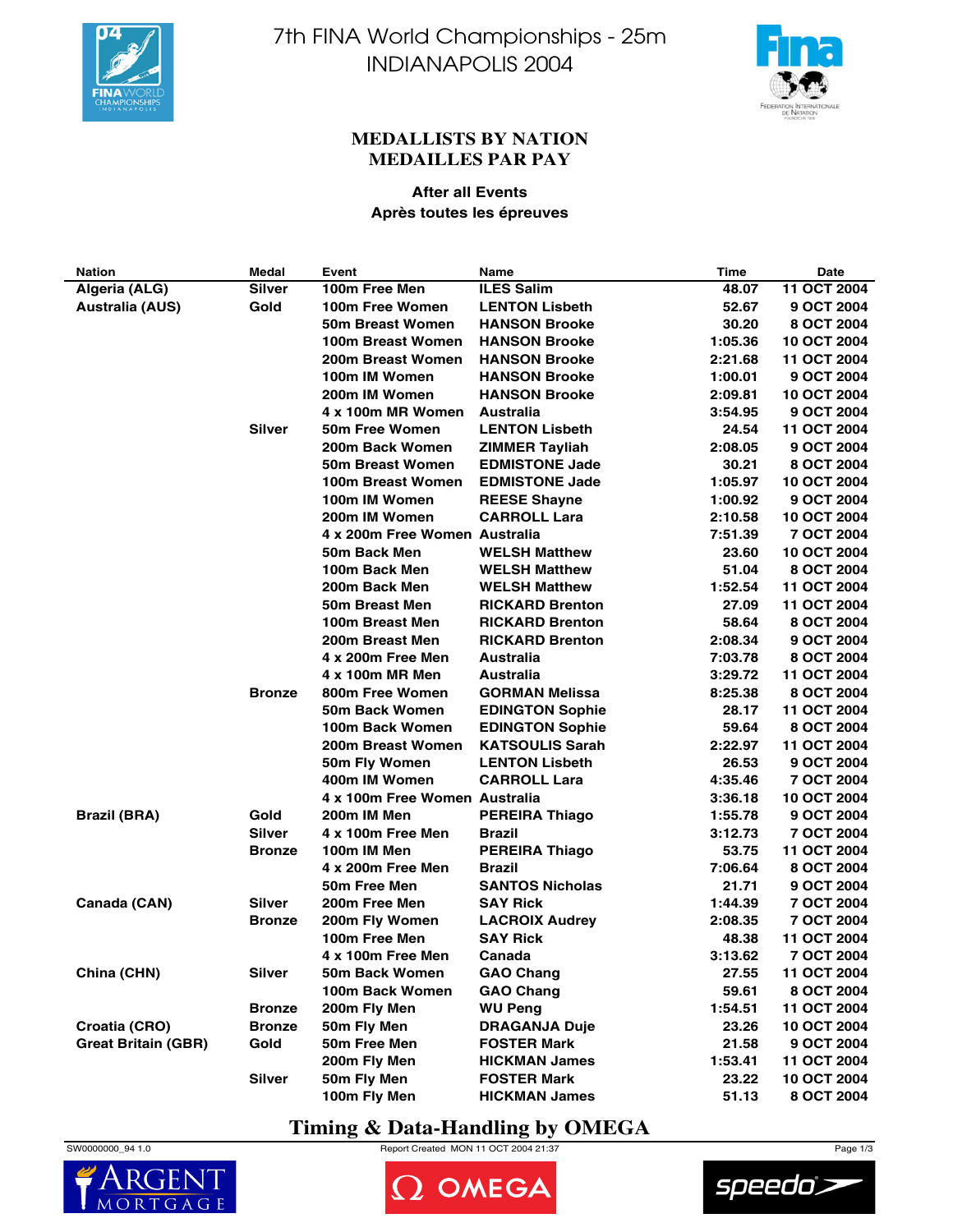



### **MEDALLISTS BY NATION MEDAILLES PAR PAY**

### **After all Events Après toutes les épreuves**

| <b>Nation</b>              | Medal         | Event                         | <b>Name</b>            | Time    | <b>Date</b> |
|----------------------------|---------------|-------------------------------|------------------------|---------|-------------|
| Algeria (ALG)              | <b>Silver</b> | 100m Free Men                 | <b>ILES Salim</b>      | 48.07   | 11 OCT 2004 |
| <b>Australia (AUS)</b>     | Gold          | 100m Free Women               | <b>LENTON Lisbeth</b>  | 52.67   | 9 OCT 2004  |
|                            |               | 50m Breast Women              | <b>HANSON Brooke</b>   | 30.20   | 8 OCT 2004  |
|                            |               | 100m Breast Women             | <b>HANSON Brooke</b>   | 1:05.36 | 10 OCT 2004 |
|                            |               | 200m Breast Women             | <b>HANSON Brooke</b>   | 2:21.68 | 11 OCT 2004 |
|                            |               | 100m IM Women                 | <b>HANSON Brooke</b>   | 1:00.01 | 9 OCT 2004  |
|                            |               | 200m IM Women                 | <b>HANSON Brooke</b>   | 2:09.81 | 10 OCT 2004 |
|                            |               | 4 x 100m MR Women             | Australia              | 3:54.95 | 9 OCT 2004  |
|                            | <b>Silver</b> | 50m Free Women                | <b>LENTON Lisbeth</b>  | 24.54   | 11 OCT 2004 |
|                            |               | 200m Back Women               | <b>ZIMMER Tayliah</b>  | 2:08.05 | 9 OCT 2004  |
|                            |               | 50m Breast Women              | <b>EDMISTONE Jade</b>  | 30.21   | 8 OCT 2004  |
|                            |               | 100m Breast Women             | <b>EDMISTONE Jade</b>  | 1:05.97 | 10 OCT 2004 |
|                            |               | 100m IM Women                 | <b>REESE Shayne</b>    | 1:00.92 | 9 OCT 2004  |
|                            |               | 200m IM Women                 | <b>CARROLL Lara</b>    | 2:10.58 | 10 OCT 2004 |
|                            |               | 4 x 200m Free Women Australia |                        | 7:51.39 | 7 OCT 2004  |
|                            |               | 50m Back Men                  | <b>WELSH Matthew</b>   | 23.60   | 10 OCT 2004 |
|                            |               | 100m Back Men                 | <b>WELSH Matthew</b>   | 51.04   | 8 OCT 2004  |
|                            |               | 200m Back Men                 | <b>WELSH Matthew</b>   | 1:52.54 | 11 OCT 2004 |
|                            |               | 50m Breast Men                |                        |         |             |
|                            |               |                               | <b>RICKARD Brenton</b> | 27.09   | 11 OCT 2004 |
|                            |               | 100m Breast Men               | <b>RICKARD Brenton</b> | 58.64   | 8 OCT 2004  |
|                            |               | 200m Breast Men               | <b>RICKARD Brenton</b> | 2:08.34 | 9 OCT 2004  |
|                            |               | 4 x 200m Free Men             | Australia              | 7:03.78 | 8 OCT 2004  |
|                            |               | 4 x 100m MR Men               | Australia              | 3:29.72 | 11 OCT 2004 |
|                            | <b>Bronze</b> | 800m Free Women               | <b>GORMAN Melissa</b>  | 8:25.38 | 8 OCT 2004  |
|                            |               | 50m Back Women                | <b>EDINGTON Sophie</b> | 28.17   | 11 OCT 2004 |
|                            |               | 100m Back Women               | <b>EDINGTON Sophie</b> | 59.64   | 8 OCT 2004  |
|                            |               | 200m Breast Women             | <b>KATSOULIS Sarah</b> | 2:22.97 | 11 OCT 2004 |
|                            |               | 50m Fly Women                 | <b>LENTON Lisbeth</b>  | 26.53   | 9 OCT 2004  |
|                            |               | 400m IM Women                 | <b>CARROLL Lara</b>    | 4:35.46 | 7 OCT 2004  |
|                            |               | 4 x 100m Free Women Australia |                        | 3:36.18 | 10 OCT 2004 |
| <b>Brazil (BRA)</b>        | Gold          | 200m IM Men                   | <b>PEREIRA Thiago</b>  | 1:55.78 | 9 OCT 2004  |
|                            | Silver        | 4 x 100m Free Men             | Brazil                 | 3:12.73 | 7 OCT 2004  |
|                            | <b>Bronze</b> | 100m IM Men                   | <b>PEREIRA Thiago</b>  | 53.75   | 11 OCT 2004 |
|                            |               | 4 x 200m Free Men             | <b>Brazil</b>          | 7:06.64 | 8 OCT 2004  |
|                            |               | 50m Free Men                  | <b>SANTOS Nicholas</b> | 21.71   | 9 OCT 2004  |
| Canada (CAN)               | Silver        | 200m Free Men                 | <b>SAY Rick</b>        | 1:44.39 | 7 OCT 2004  |
|                            | <b>Bronze</b> | 200m Fly Women                | <b>LACROIX Audrey</b>  | 2:08.35 | 7 OCT 2004  |
|                            |               | 100m Free Men                 | <b>SAY Rick</b>        | 48.38   | 11 OCT 2004 |
|                            |               | 4 x 100m Free Men             | Canada                 | 3:13.62 | 7 OCT 2004  |
| China (CHN)                | Silver        | 50m Back Women                | <b>GAO Chang</b>       | 27.55   | 11 OCT 2004 |
|                            |               | 100m Back Women               | <b>GAO Chang</b>       | 59.61   | 8 OCT 2004  |
|                            | <b>Bronze</b> | 200m Fly Men                  | <b>WU Peng</b>         | 1:54.51 | 11 OCT 2004 |
| Croatia (CRO)              | <b>Bronze</b> | 50m Fly Men                   | <b>DRAGANJA Duje</b>   | 23.26   | 10 OCT 2004 |
| <b>Great Britain (GBR)</b> | Gold          | 50m Free Men                  | <b>FOSTER Mark</b>     | 21.58   | 9 OCT 2004  |
|                            |               | 200m Fly Men                  | <b>HICKMAN James</b>   | 1:53.41 | 11 OCT 2004 |
|                            | <b>Silver</b> |                               | <b>FOSTER Mark</b>     |         |             |
|                            |               | 50m Fly Men                   |                        | 23.22   | 10 OCT 2004 |
|                            |               | 100m Fly Men                  | <b>HICKMAN James</b>   | 51.13   | 8 OCT 2004  |

## **Timing & Data-Handling by OMEGA**





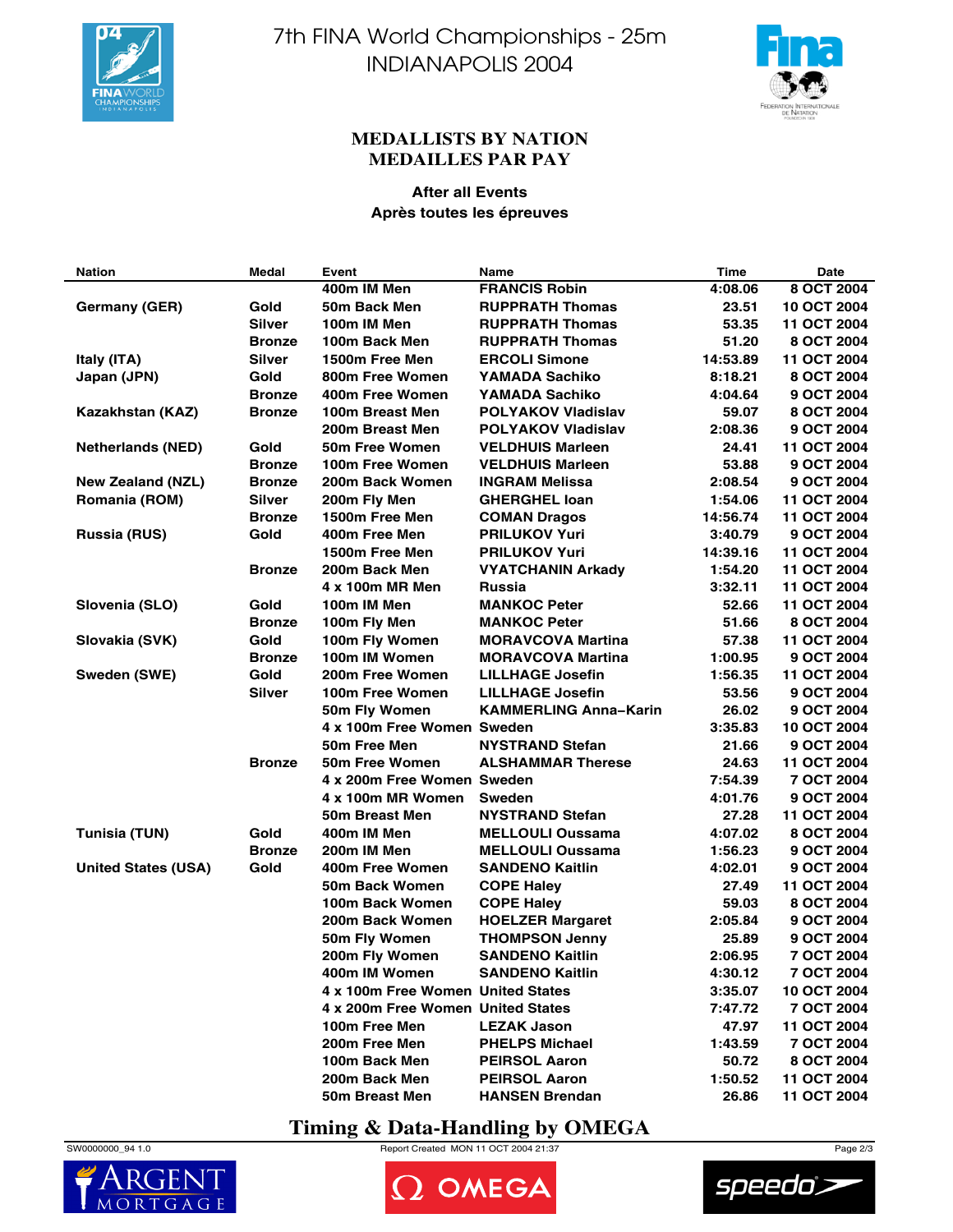



### **MEDALLISTS BY NATION MEDAILLES PAR PAY**

### **After all Events Après toutes les épreuves**

| <b>Nation</b>              | Medal         | Event                             | <b>Name</b>                  | <b>Time</b> | Date        |
|----------------------------|---------------|-----------------------------------|------------------------------|-------------|-------------|
|                            |               | 400m IM Men                       | <b>FRANCIS Robin</b>         | 4:08.06     | 8 OCT 2004  |
| <b>Germany (GER)</b>       | Gold          | 50m Back Men                      | <b>RUPPRATH Thomas</b>       | 23.51       | 10 OCT 2004 |
|                            | Silver        | 100m IM Men                       | <b>RUPPRATH Thomas</b>       | 53.35       | 11 OCT 2004 |
|                            | <b>Bronze</b> | 100m Back Men                     | <b>RUPPRATH Thomas</b>       | 51.20       | 8 OCT 2004  |
| Italy (ITA)                | Silver        | 1500m Free Men                    | <b>ERCOLI Simone</b>         | 14:53.89    | 11 OCT 2004 |
| Japan (JPN)                | Gold          | 800m Free Women                   | <b>YAMADA Sachiko</b>        | 8:18.21     | 8 OCT 2004  |
|                            | <b>Bronze</b> | 400m Free Women                   | YAMADA Sachiko               | 4:04.64     | 9 OCT 2004  |
| Kazakhstan (KAZ)           | <b>Bronze</b> | 100m Breast Men                   | <b>POLYAKOV Vladislav</b>    | 59.07       | 8 OCT 2004  |
|                            |               | 200m Breast Men                   | <b>POLYAKOV Vladislav</b>    | 2:08.36     | 9 OCT 2004  |
| <b>Netherlands (NED)</b>   | Gold          | 50m Free Women                    | <b>VELDHUIS Marleen</b>      | 24.41       | 11 OCT 2004 |
|                            | <b>Bronze</b> | 100m Free Women                   | <b>VELDHUIS Marleen</b>      | 53.88       | 9 OCT 2004  |
| <b>New Zealand (NZL)</b>   | <b>Bronze</b> | 200m Back Women                   | <b>INGRAM Melissa</b>        | 2:08.54     | 9 OCT 2004  |
| <b>Romania (ROM)</b>       | Silver        | 200m Fly Men                      | <b>GHERGHEL loan</b>         | 1:54.06     | 11 OCT 2004 |
|                            | <b>Bronze</b> | 1500m Free Men                    | <b>COMAN Dragos</b>          | 14:56.74    | 11 OCT 2004 |
| <b>Russia (RUS)</b>        | Gold          | 400m Free Men                     | <b>PRILUKOV Yuri</b>         | 3:40.79     | 9 OCT 2004  |
|                            |               | 1500m Free Men                    | <b>PRILUKOV Yuri</b>         | 14:39.16    | 11 OCT 2004 |
|                            | <b>Bronze</b> | 200m Back Men                     | <b>VYATCHANIN Arkady</b>     | 1:54.20     | 11 OCT 2004 |
|                            |               | 4 x 100m MR Men                   | <b>Russia</b>                | 3:32.11     | 11 OCT 2004 |
| Slovenia (SLO)             | Gold          | 100m IM Men                       | <b>MANKOC Peter</b>          | 52.66       | 11 OCT 2004 |
|                            | <b>Bronze</b> | 100m Fly Men                      | <b>MANKOC Peter</b>          | 51.66       | 8 OCT 2004  |
| Slovakia (SVK)             | Gold          | 100m Fly Women                    | <b>MORAVCOVA Martina</b>     | 57.38       | 11 OCT 2004 |
|                            | <b>Bronze</b> | 100m IM Women                     | <b>MORAVCOVA Martina</b>     | 1:00.95     | 9 OCT 2004  |
| Sweden (SWE)               | Gold          | 200m Free Women                   | <b>LILLHAGE Josefin</b>      | 1:56.35     | 11 OCT 2004 |
|                            | Silver        | 100m Free Women                   | <b>LILLHAGE Josefin</b>      | 53.56       | 9 OCT 2004  |
|                            |               | 50m Fly Women                     | <b>KAMMERLING Anna-Karin</b> | 26.02       | 9 OCT 2004  |
|                            |               | 4 x 100m Free Women Sweden        |                              | 3:35.83     | 10 OCT 2004 |
|                            |               | 50m Free Men                      | <b>NYSTRAND Stefan</b>       | 21.66       | 9 OCT 2004  |
|                            | <b>Bronze</b> | 50m Free Women                    | <b>ALSHAMMAR Therese</b>     | 24.63       | 11 OCT 2004 |
|                            |               | 4 x 200m Free Women Sweden        |                              | 7:54.39     | 7 OCT 2004  |
|                            |               | 4 x 100m MR Women                 | <b>Sweden</b>                | 4:01.76     | 9 OCT 2004  |
|                            |               | 50m Breast Men                    | <b>NYSTRAND Stefan</b>       | 27.28       | 11 OCT 2004 |
| <b>Tunisia (TUN)</b>       | Gold          | 400m IM Men                       | <b>MELLOULI Oussama</b>      | 4:07.02     | 8 OCT 2004  |
|                            | <b>Bronze</b> | 200m IM Men                       | <b>MELLOULI Oussama</b>      | 1:56.23     | 9 OCT 2004  |
| <b>United States (USA)</b> | Gold          | 400m Free Women                   | <b>SANDENO Kaitlin</b>       | 4:02.01     | 9 OCT 2004  |
|                            |               | 50m Back Women                    | <b>COPE Haley</b>            | 27.49       | 11 OCT 2004 |
|                            |               | 100m Back Women                   | <b>COPE Haley</b>            | 59.03       | 8 OCT 2004  |
|                            |               | 200m Back Women                   | <b>HOELZER Margaret</b>      | 2:05.84     | 9 OCT 2004  |
|                            |               |                                   |                              | 25.89       | 9 OCT 2004  |
|                            |               | 50m Fly Women                     | <b>THOMPSON Jenny</b>        |             |             |
|                            |               | 200m Fly Women                    | <b>SANDENO Kaitlin</b>       | 2:06.95     | 7 OCT 2004  |
|                            |               | 400m IM Women                     | <b>SANDENO Kaitlin</b>       | 4:30.12     | 7 OCT 2004  |
|                            |               | 4 x 100m Free Women United States |                              | 3:35.07     | 10 OCT 2004 |
|                            |               | 4 x 200m Free Women United States |                              | 7:47.72     | 7 OCT 2004  |
|                            |               | 100m Free Men                     | <b>LEZAK Jason</b>           | 47.97       | 11 OCT 2004 |
|                            |               | 200m Free Men                     | <b>PHELPS Michael</b>        | 1:43.59     | 7 OCT 2004  |
|                            |               | 100m Back Men                     | <b>PEIRSOL Aaron</b>         | 50.72       | 8 OCT 2004  |
|                            |               | 200m Back Men                     | <b>PEIRSOL Aaron</b>         | 1:50.52     | 11 OCT 2004 |
|                            |               | 50m Breast Men                    | <b>HANSEN Brendan</b>        | 26.86       | 11 OCT 2004 |

## **Timing & Data-Handling by OMEGA**



 $\mathsf{M}$ 

SW0000000\_94 1.0 Report Created MON 11 OCT 2004 21:37 Page 2/3





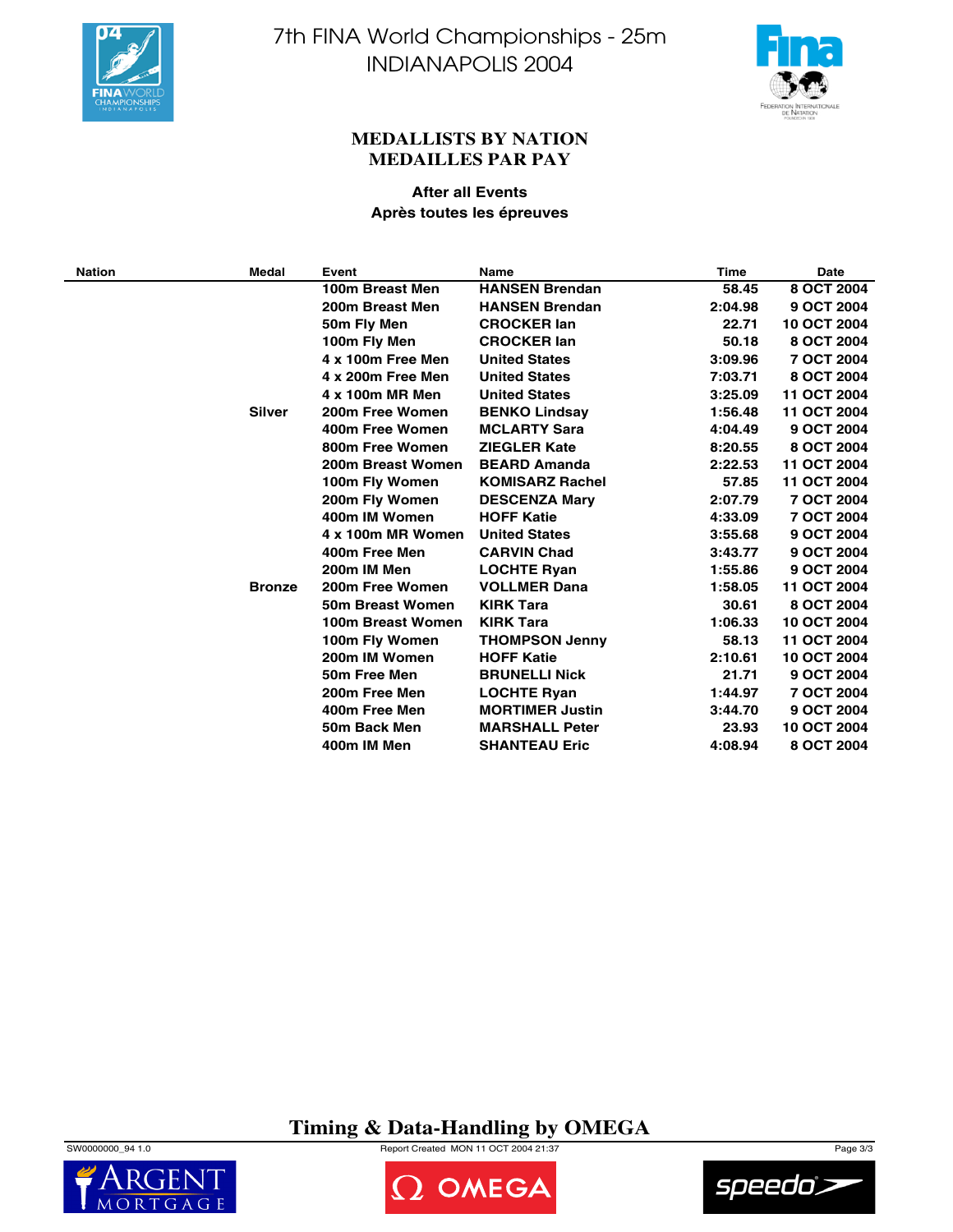



### **MEDALLISTS BY NATION MEDAILLES PAR PAY**

### **After all Events Après toutes les épreuves**

| <b>Nation</b> | Medal         | Event             | <b>Name</b>            | <b>Time</b> | <b>Date</b> |
|---------------|---------------|-------------------|------------------------|-------------|-------------|
|               |               | 100m Breast Men   | <b>HANSEN Brendan</b>  | 58.45       | 8 OCT 2004  |
|               |               | 200m Breast Men   | <b>HANSEN Brendan</b>  | 2:04.98     | 9 OCT 2004  |
|               |               | 50m Fly Men       | <b>CROCKER lan</b>     | 22.71       | 10 OCT 2004 |
|               |               | 100m Fly Men      | <b>CROCKER lan</b>     | 50.18       | 8 OCT 2004  |
|               |               | 4 x 100m Free Men | <b>United States</b>   | 3:09.96     | 7 OCT 2004  |
|               |               | 4 x 200m Free Men | <b>United States</b>   | 7:03.71     | 8 OCT 2004  |
|               |               | 4 x 100m MR Men   | <b>United States</b>   | 3:25.09     | 11 OCT 2004 |
|               | Silver        | 200m Free Women   | <b>BENKO Lindsay</b>   | 1:56.48     | 11 OCT 2004 |
|               |               | 400m Free Women   | <b>MCLARTY Sara</b>    | 4:04.49     | 9 OCT 2004  |
|               |               | 800m Free Women   | <b>ZIEGLER Kate</b>    | 8:20.55     | 8 OCT 2004  |
|               |               | 200m Breast Women | <b>BEARD Amanda</b>    | 2:22.53     | 11 OCT 2004 |
|               |               | 100m Fly Women    | <b>KOMISARZ Rachel</b> | 57.85       | 11 OCT 2004 |
|               |               | 200m Fly Women    | <b>DESCENZA Mary</b>   | 2:07.79     | 7 OCT 2004  |
|               |               | 400m IM Women     | <b>HOFF Katie</b>      | 4:33.09     | 7 OCT 2004  |
|               |               | 4 x 100m MR Women | <b>United States</b>   | 3:55.68     | 9 OCT 2004  |
|               |               | 400m Free Men     | <b>CARVIN Chad</b>     | 3:43.77     | 9 OCT 2004  |
|               |               | 200m IM Men       | <b>LOCHTE Ryan</b>     | 1:55.86     | 9 OCT 2004  |
|               | <b>Bronze</b> | 200m Free Women   | <b>VOLLMER Dana</b>    | 1:58.05     | 11 OCT 2004 |
|               |               | 50m Breast Women  | <b>KIRK Tara</b>       | 30.61       | 8 OCT 2004  |
|               |               | 100m Breast Women | <b>KIRK Tara</b>       | 1:06.33     | 10 OCT 2004 |
|               |               | 100m Fly Women    | <b>THOMPSON Jenny</b>  | 58.13       | 11 OCT 2004 |
|               |               | 200m IM Women     | <b>HOFF Katie</b>      | 2:10.61     | 10 OCT 2004 |
|               |               | 50m Free Men      | <b>BRUNELLI Nick</b>   | 21.71       | 9 OCT 2004  |
|               |               | 200m Free Men     | <b>LOCHTE Ryan</b>     | 1:44.97     | 7 OCT 2004  |
|               |               | 400m Free Men     | <b>MORTIMER Justin</b> | 3:44.70     | 9 OCT 2004  |
|               |               | 50m Back Men      | <b>MARSHALL Peter</b>  | 23.93       | 10 OCT 2004 |
|               |               | 400m IM Men       | <b>SHANTEAU Eric</b>   | 4:08.94     | 8 OCT 2004  |

# **Timing & Data-Handling by OMEGA**

SW0000000\_94 1.0 Page 3/3





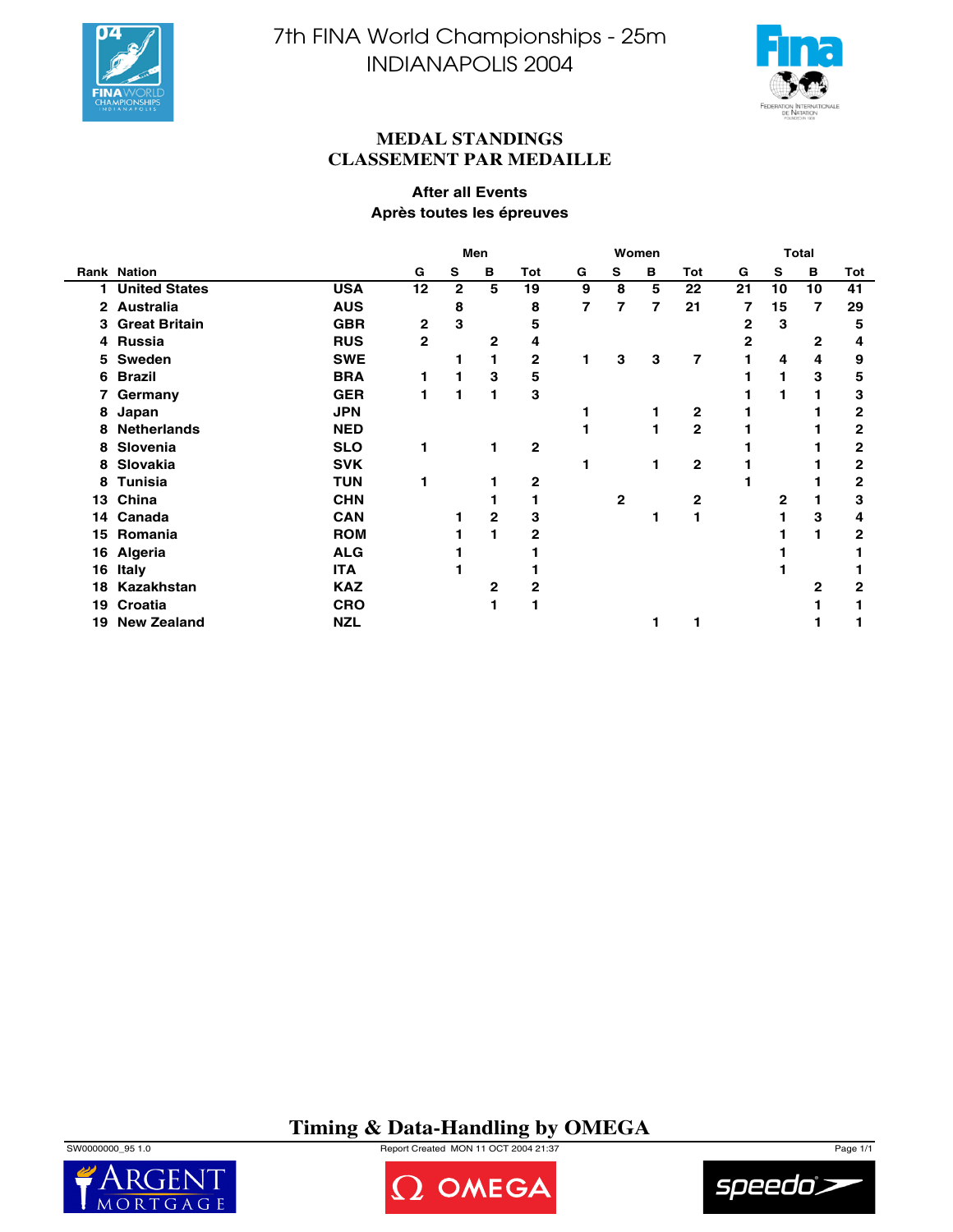



### **MEDAL STANDINGS CLASSEMENT PAR MEDAILLE**

### **After all Events Après toutes les épreuves**

|    |                      |            | Men          |              |              | Women        |   |   | Total |                |    |    |    |              |
|----|----------------------|------------|--------------|--------------|--------------|--------------|---|---|-------|----------------|----|----|----|--------------|
|    | Rank Nation          |            | G            | S            | в            | Tot          | G | s | в     | <b>Tot</b>     | G  | s  | в  | Tot          |
| 1. | <b>United States</b> | <b>USA</b> | 12           | $\mathbf{2}$ | 5            | 19           | 9 | 8 | 5     | 22             | 21 | 10 | 10 | 41           |
|    | 2 Australia          | <b>AUS</b> |              | 8            |              | 8            | 7 | 7 | 7     | 21             | 7  | 15 | 7  | 29           |
|    | 3 Great Britain      | <b>GBR</b> | 2            | 3            |              | 5            |   |   |       |                | 2  | 3  |    | 5            |
|    | 4 Russia             | <b>RUS</b> | $\mathbf{2}$ |              | 2            | 4            |   |   |       |                | 2  |    | 2  | 4            |
|    | 5 Sweden             | <b>SWE</b> |              |              |              | $\mathbf 2$  |   | 3 | 3     | 7              |    | 4  | 4  | 9            |
| 6  | Brazil               | <b>BRA</b> |              |              | 3            | 5            |   |   |       |                |    |    | 3  | 5            |
| 7  | Germany              | <b>GER</b> |              |              |              | 3            |   |   |       |                |    |    |    | 3            |
| 8  | Japan                | <b>JPN</b> |              |              |              |              |   |   |       | 2              |    |    |    | 2            |
|    | 8 Netherlands        | <b>NED</b> |              |              |              |              |   |   |       | $\overline{2}$ |    |    |    | 2            |
| 8  | Slovenia             | <b>SLO</b> |              |              |              | $\mathbf{2}$ |   |   |       |                |    |    |    | 2            |
| 8  | Slovakia             | <b>SVK</b> |              |              |              |              |   |   |       | $\mathbf{2}$   |    |    |    | 2            |
| 8  | <b>Tunisia</b>       | <b>TUN</b> |              |              |              | 2            |   |   |       |                |    |    |    | 2            |
| 13 | China                | <b>CHN</b> |              |              |              |              |   | 2 |       | 2              |    | 2  |    | 3            |
| 14 | Canada               | <b>CAN</b> |              |              | 2            | 3            |   |   |       |                |    |    | 3  | 4            |
| 15 | Romania              | <b>ROM</b> |              |              |              | 2            |   |   |       |                |    |    |    | $\mathbf{2}$ |
| 16 | <b>Algeria</b>       | <b>ALG</b> |              |              |              |              |   |   |       |                |    |    |    |              |
| 16 | Italy                | <b>ITA</b> |              |              |              |              |   |   |       |                |    |    |    |              |
| 18 | Kazakhstan           | <b>KAZ</b> |              |              | $\mathbf{2}$ | 2            |   |   |       |                |    |    | 2  | 2            |
| 19 | Croatia              | <b>CRO</b> |              |              |              |              |   |   |       |                |    |    |    |              |
| 19 | <b>New Zealand</b>   | <b>NZL</b> |              |              |              |              |   |   |       |                |    |    |    |              |

# **Timing & Data-Handling by OMEGA**

SW0000000\_95 1.0 Report Created MON 11 OCT 2004 21:37 Page 1/1





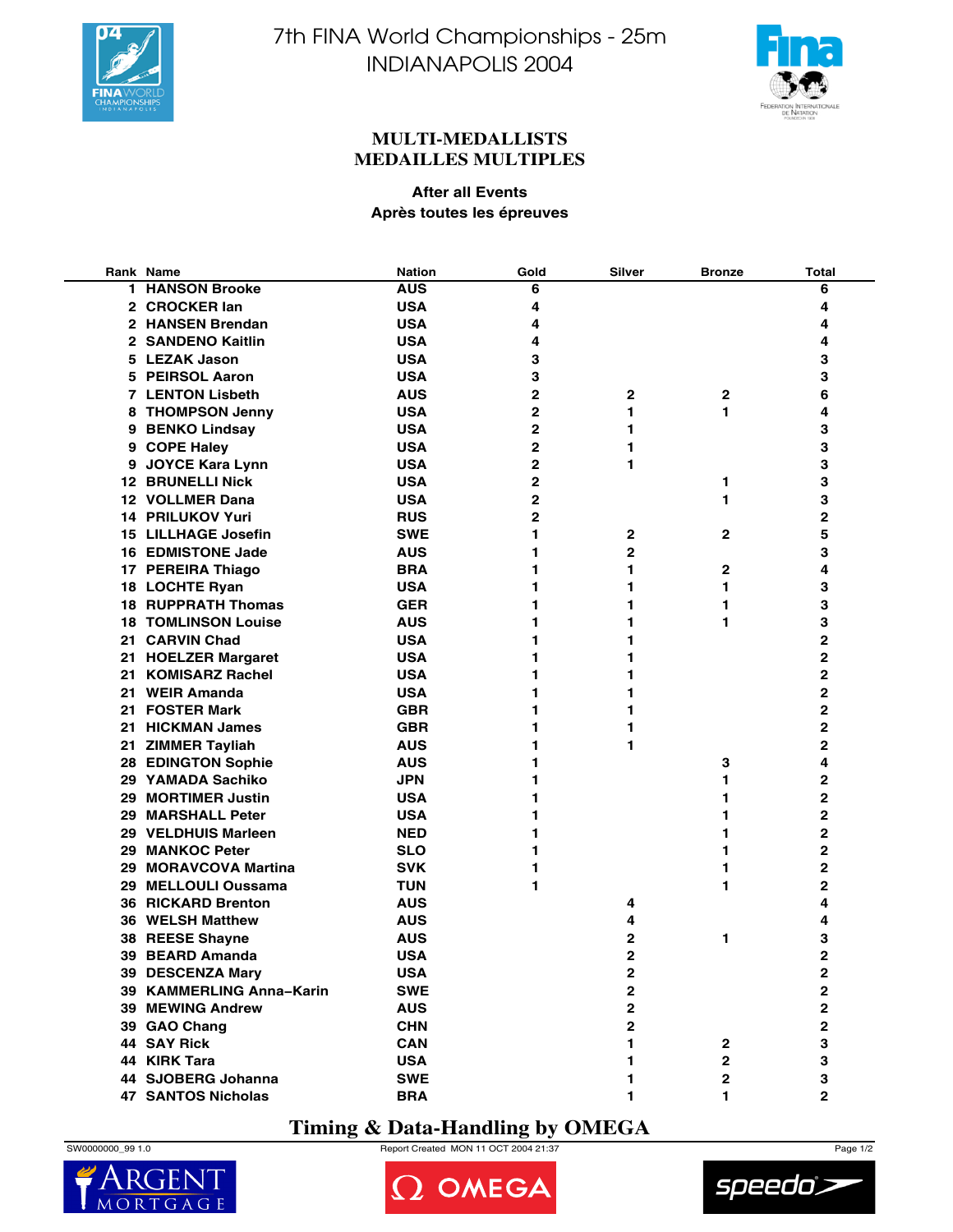



### **MULTI-MEDALLISTS MEDAILLES MULTIPLES**

### **After all Events Après toutes les épreuves**

|     | Rank Name                  | <b>Nation</b> | Gold           | Silver                  | <b>Bronze</b> | <b>Total</b>            |
|-----|----------------------------|---------------|----------------|-------------------------|---------------|-------------------------|
| 1.  | <b>HANSON Brooke</b>       | <b>AUS</b>    | 6              |                         |               | 6                       |
|     | 2 CROCKER lan              | <b>USA</b>    | 4              |                         |               | 4                       |
|     | 2 HANSEN Brendan           | <b>USA</b>    | 4              |                         |               | 4                       |
|     | 2 SANDENO Kaitlin          | <b>USA</b>    | 4              |                         |               | 4                       |
|     | 5 LEZAK Jason              | <b>USA</b>    | 3              |                         |               | 3                       |
|     | 5 PEIRSOL Aaron            | <b>USA</b>    | 3              |                         |               | 3                       |
|     | <b>7 LENTON Lisbeth</b>    | <b>AUS</b>    | $\overline{2}$ | $\mathbf{2}$            | 2             | 6                       |
|     | 8 THOMPSON Jenny           | <b>USA</b>    | 2              | 1                       | 1             | 4                       |
|     | 9 BENKO Lindsay            | <b>USA</b>    | 2              | 1                       |               | 3                       |
|     | 9 COPE Haley               | <b>USA</b>    | 2              | 1                       |               | 3                       |
|     | 9 JOYCE Kara Lynn          | <b>USA</b>    | 2              | 1                       |               | 3                       |
|     | <b>12 BRUNELLI Nick</b>    | <b>USA</b>    | 2              |                         | 1             | 3                       |
|     | 12 VOLLMER Dana            | <b>USA</b>    | 2              |                         | 1             | 3                       |
|     | <b>14 PRILUKOV Yuri</b>    | <b>RUS</b>    | 2              |                         |               | 2                       |
|     | <b>15 LILLHAGE Josefin</b> | <b>SWE</b>    | 1              | 2                       | 2             | 5                       |
|     | <b>16 EDMISTONE Jade</b>   | AUS           | 1              | $\overline{2}$          |               | 3                       |
|     | 17 PEREIRA Thiago          | <b>BRA</b>    | 1              | 1                       | 2             | 4                       |
|     | 18 LOCHTE Ryan             | <b>USA</b>    | 1              | 1                       | 1             | 3                       |
|     | <b>18 RUPPRATH Thomas</b>  | <b>GER</b>    | 1              | 1                       | 1             | 3                       |
|     |                            | <b>AUS</b>    | 1              |                         |               |                         |
|     | <b>18 TOMLINSON Louise</b> |               |                | 1                       | 1             | 3                       |
| 21. | <b>CARVIN Chad</b>         | <b>USA</b>    | 1              | 1                       |               | 2                       |
| 21. | <b>HOELZER Margaret</b>    | <b>USA</b>    | 1              | 1                       |               | 2                       |
| 21  | <b>KOMISARZ Rachel</b>     | <b>USA</b>    | 1              | 1                       |               | 2                       |
| 21  | <b>WEIR Amanda</b>         | <b>USA</b>    | 1              | 1                       |               | 2                       |
| 21. | <b>FOSTER Mark</b>         | <b>GBR</b>    | 1              | 1                       |               | 2                       |
|     | 21 HICKMAN James           | <b>GBR</b>    | 1              | 1                       |               | 2                       |
| 21. | <b>ZIMMER Tayliah</b>      | <b>AUS</b>    | 1              | 1                       |               | 2                       |
| 28. | <b>EDINGTON Sophie</b>     | <b>AUS</b>    | 1              |                         | 3             | 4                       |
|     | 29 YAMADA Sachiko          | <b>JPN</b>    | 1              |                         | 1             | 2                       |
| 29  | <b>MORTIMER Justin</b>     | <b>USA</b>    | 1              |                         | 1             | $\mathbf{2}$            |
| 29  | <b>MARSHALL Peter</b>      | <b>USA</b>    | 1              |                         | 1             | $\mathbf{2}$            |
|     | 29 VELDHUIS Marleen        | <b>NED</b>    | 1              |                         | 1             | $\overline{2}$          |
| 29  | <b>MANKOC Peter</b>        | <b>SLO</b>    | 1              |                         | 1             | 2                       |
| 29  | <b>MORAVCOVA Martina</b>   | <b>SVK</b>    | 1              |                         | 1             | 2                       |
|     | 29 MELLOULI Oussama        | <b>TUN</b>    | 1              |                         | 1             | 2                       |
|     | <b>36 RICKARD Brenton</b>  | <b>AUS</b>    |                | 4                       |               | 4                       |
|     | 36 WELSH Matthew           | <b>AUS</b>    |                | 4                       |               | 4                       |
| 38  | <b>REESE Shayne</b>        | <b>AUS</b>    |                | 2                       | 1             | 3                       |
| 39  | <b>BEARD Amanda</b>        | <b>USA</b>    |                | $\overline{2}$          |               | $\overline{2}$          |
|     | 39 DESCENZA Mary           | <b>USA</b>    |                | $\mathbf 2$             |               | $\mathbf{2}$            |
|     | 39 KAMMERLING Anna-Karin   | <b>SWE</b>    |                | $\mathbf{2}$            |               | $\overline{\mathbf{2}}$ |
|     | <b>39 MEWING Andrew</b>    | <b>AUS</b>    |                | $\mathbf 2$             |               | 2                       |
|     | 39 GAO Chang               | <b>CHN</b>    |                | $\overline{\mathbf{2}}$ |               | 2                       |
|     | 44 SAY Rick                | <b>CAN</b>    |                | 1                       | $\mathbf{2}$  | 3                       |
|     | 44 KIRK Tara               | <b>USA</b>    |                | 1                       | $\mathbf{2}$  | 3                       |
|     | 44 SJOBERG Johanna         | <b>SWE</b>    |                | 1                       | $\mathbf 2$   | 3                       |
|     | <b>47 SANTOS Nicholas</b>  | <b>BRA</b>    |                | 1                       | 1             | $\overline{2}$          |

## **Timing & Data-Handling by OMEGA**



 $\overline{M}$ 

SW0000000\_99 1.0 Report Created MON 11 OCT 2004 21:37 Page 1/2



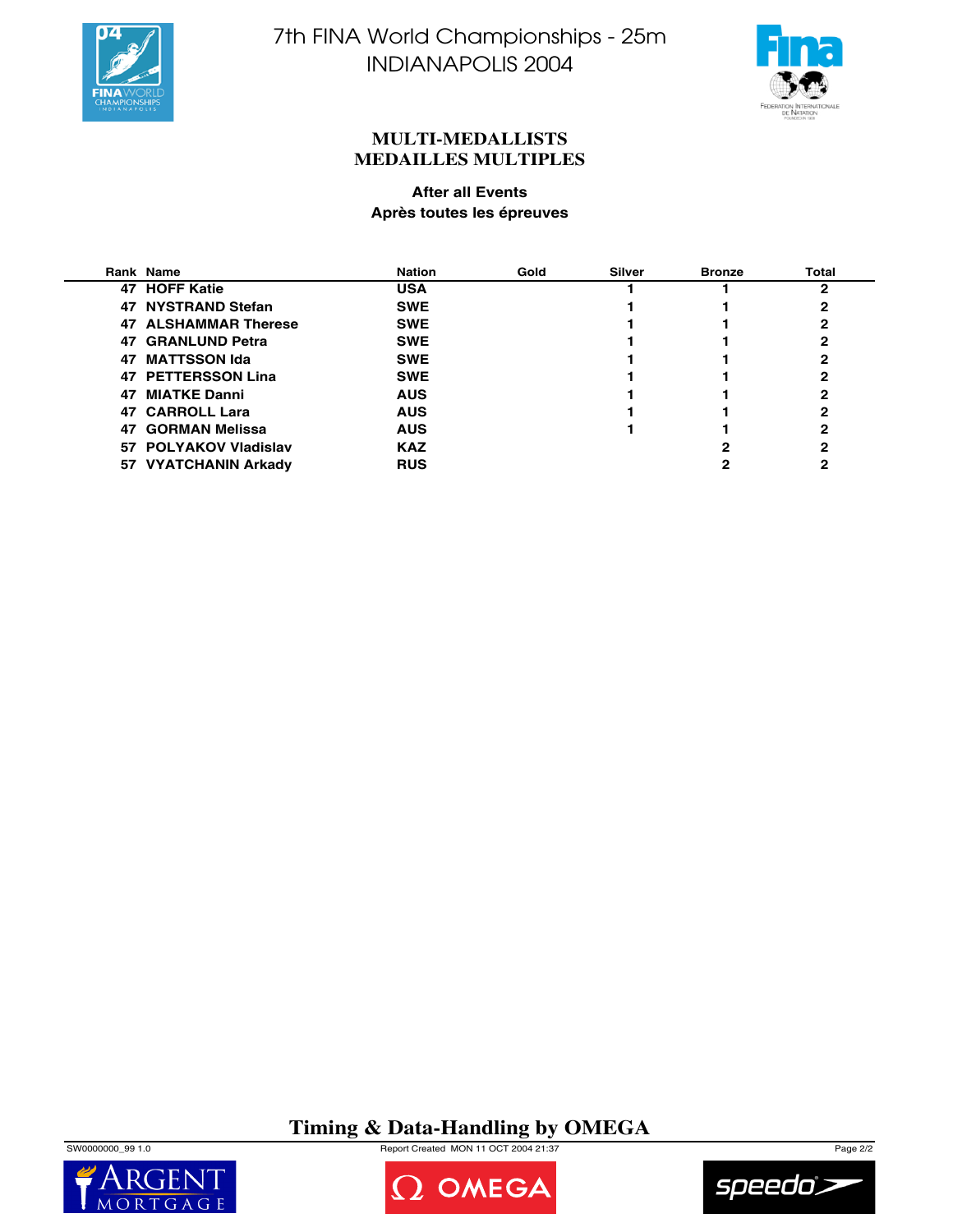



### **MULTI-MEDALLISTS MEDAILLES MULTIPLES**

### **After all Events Après toutes les épreuves**

|    | Rank Name             | <b>Nation</b> | Gold | <b>Silver</b> | <b>Bronze</b> | <b>Total</b> |
|----|-----------------------|---------------|------|---------------|---------------|--------------|
|    | 47 HOFF Katie         | <b>USA</b>    |      |               |               | 2            |
|    | 47 NYSTRAND Stefan    | <b>SWE</b>    |      |               |               |              |
|    | 47 ALSHAMMAR Therese  | <b>SWE</b>    |      |               |               |              |
|    | 47 GRANLUND Petra     | <b>SWE</b>    |      |               |               |              |
| 47 | <b>MATTSSON Ida</b>   | <b>SWE</b>    |      |               |               |              |
|    | 47 PETTERSSON Lina    | <b>SWE</b>    |      |               |               |              |
|    | 47 MIATKE Danni       | <b>AUS</b>    |      |               |               |              |
|    | 47 CARROLL Lara       | <b>AUS</b>    |      |               |               | 2            |
|    | 47 GORMAN Melissa     | <b>AUS</b>    |      |               |               | 2            |
|    | 57 POLYAKOV Vladislav | <b>KAZ</b>    |      |               |               | 2            |
|    | 57 VYATCHANIN Arkady  | <b>RUS</b>    |      |               |               |              |

# **Timing & Data-Handling by OMEGA**

SW0000000\_99 1.0 Page 2/2





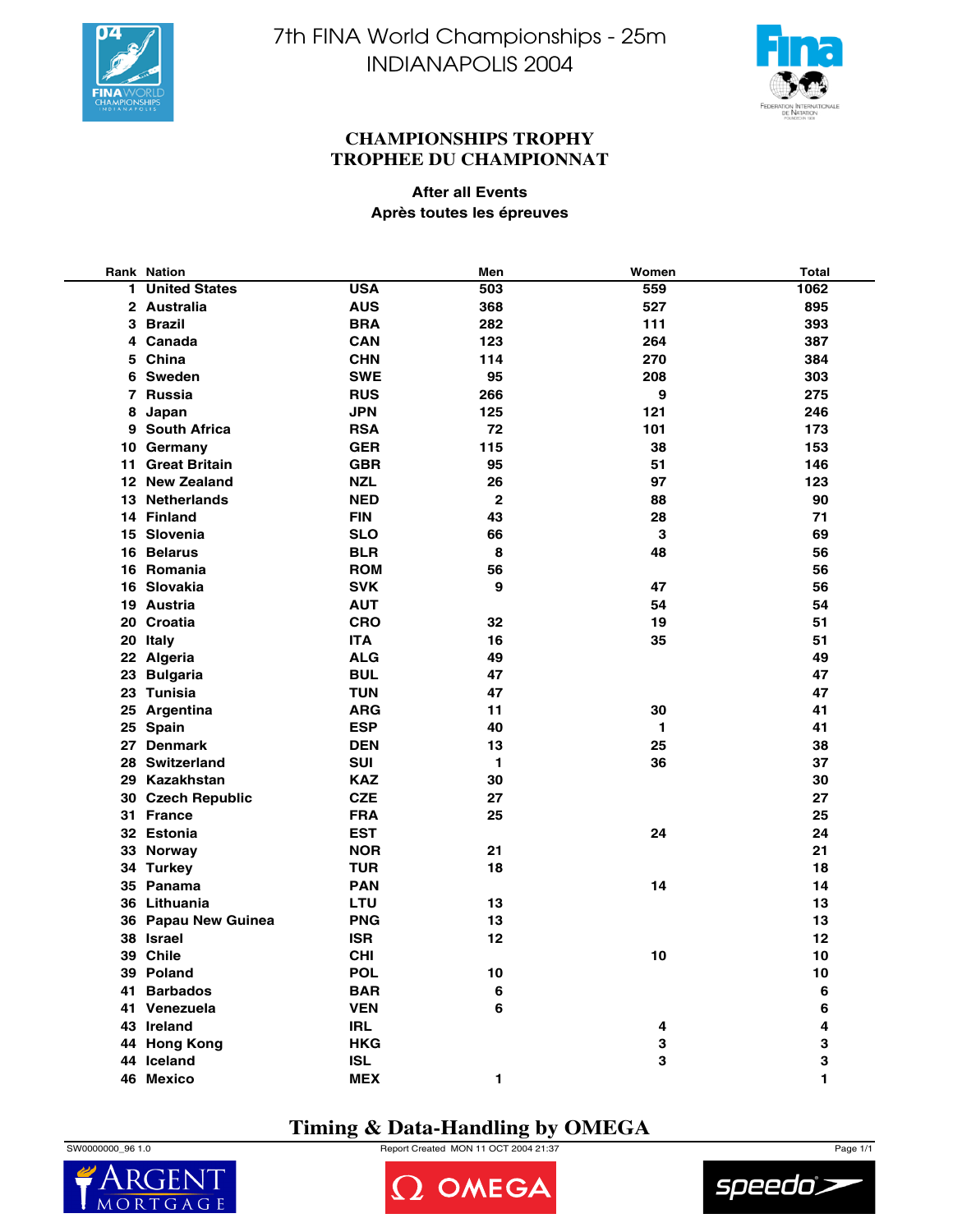



### **CHAMPIONSHIPS TROPHY TROPHEE DU CHAMPIONNAT**

**After all Events Après toutes les épreuves**

|    | <b>Rank Nation</b>   |            | Men          | Women | <b>Total</b> |
|----|----------------------|------------|--------------|-------|--------------|
| 1. | <b>United States</b> | <b>USA</b> | 503          | 559   | 1062         |
|    | 2 Australia          | <b>AUS</b> | 368          | 527   | 895          |
|    | 3 Brazil             | <b>BRA</b> | 282          | 111   | 393          |
|    | 4 Canada             | <b>CAN</b> | 123          | 264   | 387          |
|    | 5 China              | <b>CHN</b> | 114          | 270   | 384          |
|    | 6 Sweden             | <b>SWE</b> | 95           | 208   | 303          |
|    | 7 Russia             | <b>RUS</b> | 266          | 9     | 275          |
|    | 8 Japan              | <b>JPN</b> | 125          | 121   | 246          |
|    | 9 South Africa       | <b>RSA</b> | 72           | 101   | 173          |
|    | 10 Germany           | <b>GER</b> | 115          | 38    | 153          |
|    | 11 Great Britain     | <b>GBR</b> | 95           | 51    | 146          |
|    | 12 New Zealand       | <b>NZL</b> | 26           | 97    | 123          |
|    | 13 Netherlands       | <b>NED</b> | $\mathbf{2}$ | 88    | 90           |
|    | 14 Finland           | <b>FIN</b> | 43           | 28    | 71           |
|    | 15 Slovenia          | <b>SLO</b> | 66           | 3     | 69           |
|    | 16 Belarus           | <b>BLR</b> | 8            | 48    | 56           |
|    | 16 Romania           | <b>ROM</b> | 56           |       | 56           |
|    | 16 Slovakia          | <b>SVK</b> | 9            | 47    | 56           |
|    | 19 Austria           | <b>AUT</b> |              | 54    | 54           |
|    | 20 Croatia           | <b>CRO</b> | 32           | 19    | 51           |
|    | 20 Italy             | <b>ITA</b> | 16           | 35    | 51           |
|    | 22 Algeria           | <b>ALG</b> | 49           |       | 49           |
|    | 23 Bulgaria          | <b>BUL</b> | 47           |       | 47           |
|    | 23 Tunisia           | <b>TUN</b> | 47           |       | 47           |
|    | 25 Argentina         | <b>ARG</b> | 11           | 30    | 41           |
|    | 25 Spain             | <b>ESP</b> | 40           | 1.    | 41           |
|    | 27 Denmark           | <b>DEN</b> | 13           | 25    | 38           |
|    | 28 Switzerland       | <b>SUI</b> | $\mathbf{1}$ | 36    | 37           |
|    | 29 Kazakhstan        | <b>KAZ</b> | 30           |       | 30           |
|    | 30 Czech Republic    | <b>CZE</b> | 27           |       | 27           |
|    | 31 France            | <b>FRA</b> | 25           |       | 25           |
|    | 32 Estonia           | <b>EST</b> |              | 24    | 24           |
|    | 33 Norway            | <b>NOR</b> | 21           |       | 21           |
|    | 34 Turkey            | <b>TUR</b> | 18           |       | 18           |
|    | 35 Panama            | <b>PAN</b> |              | 14    | 14           |
|    | 36 Lithuania         | LTU        | 13           |       | 13           |
|    | 36 Papau New Guinea  | <b>PNG</b> | 13           |       | 13           |
|    | 38 Israel            | <b>ISR</b> | 12           |       | 12           |
|    | 39 Chile             | <b>CHI</b> |              | 10    | 10           |
|    | 39 Poland            | <b>POL</b> | 10           |       | 10           |
|    | 41 Barbados          | <b>BAR</b> | 6            |       | 6            |
|    | 41 Venezuela         | <b>VEN</b> | 6            |       | 6            |
|    | 43 Ireland           | <b>IRL</b> |              | 4     | 4            |
|    | 44 Hong Kong         | <b>HKG</b> |              | 3     | 3            |
|    | 44 Iceland           | <b>ISL</b> |              | 3     | 3            |
|    | 46 Mexico            | <b>MEX</b> | 1            |       | 1            |

# **Timing & Data-Handling by OMEGA**



 $MO$ R.

SW0000000\_96 1.0 Page 1/1



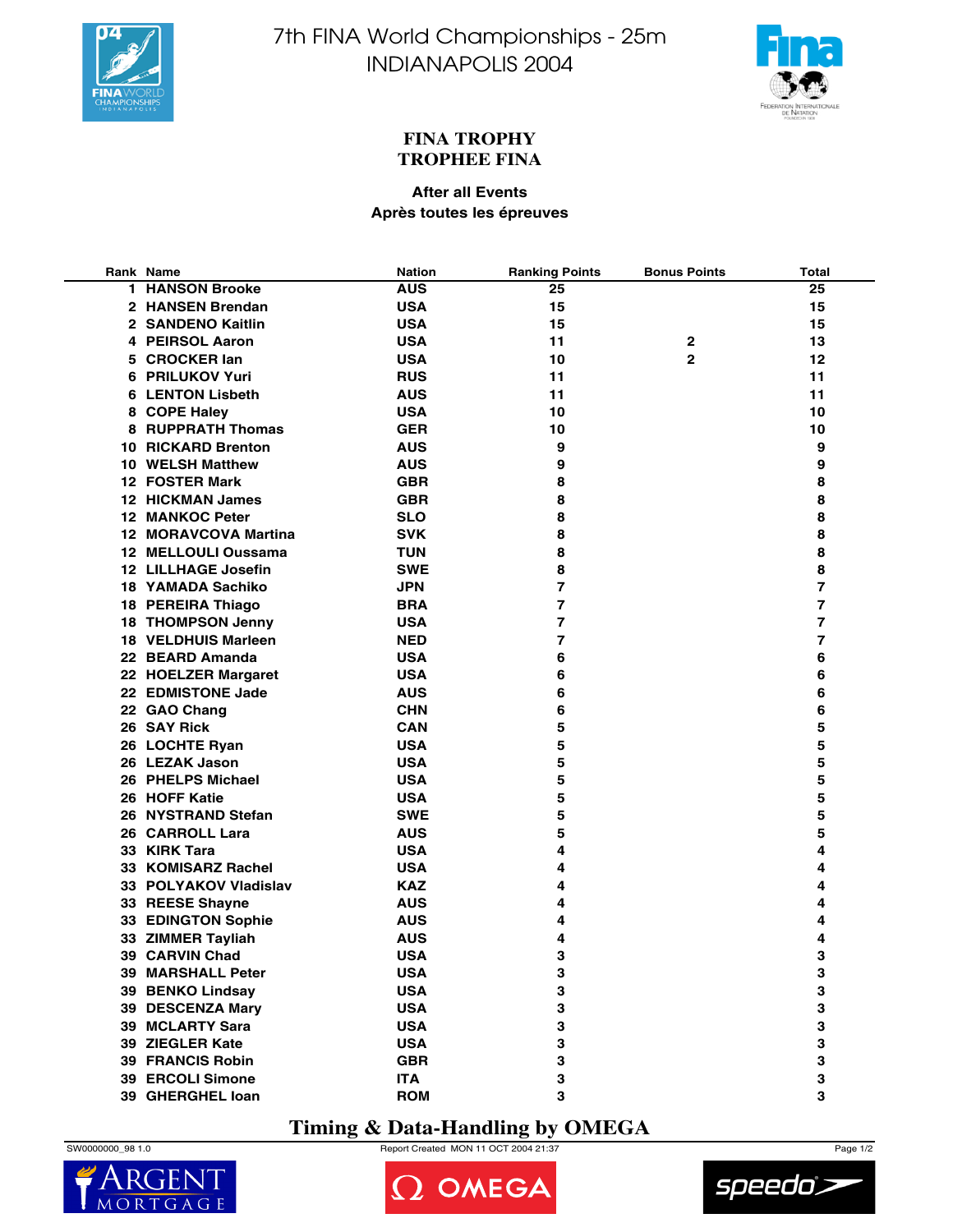



### **FINA TROPHY TROPHEE FINA**

### **After all Events Après toutes les épreuves**

| Rank Name                       | <b>Nation</b> | <b>Ranking Points</b> | <b>Bonus Points</b> | <b>Total</b>   |
|---------------------------------|---------------|-----------------------|---------------------|----------------|
| <b>1 HANSON Brooke</b>          | <b>AUS</b>    | 25                    |                     | 25             |
| 2 HANSEN Brendan                | <b>USA</b>    | 15                    |                     | 15             |
| 2 SANDENO Kaitlin               | <b>USA</b>    | 15                    |                     | 15             |
| 4 PEIRSOL Aaron                 | <b>USA</b>    | 11                    | $\mathbf{2}$        | 13             |
| 5 CROCKER lan                   | <b>USA</b>    | 10                    | $\mathbf{2}$        | 12             |
| 6 PRILUKOV Yuri                 | <b>RUS</b>    | 11                    |                     | 11             |
| <b>6 LENTON Lisbeth</b>         | <b>AUS</b>    | 11                    |                     | 11             |
| 8 COPE Haley                    | <b>USA</b>    | 10                    |                     | 10             |
| <b>8 RUPPRATH Thomas</b>        | <b>GER</b>    | 10                    |                     | 10             |
| <b>10 RICKARD Brenton</b>       | <b>AUS</b>    | 9                     |                     | 9              |
| 10 WELSH Matthew                | <b>AUS</b>    | 9                     |                     | 9              |
| 12 FOSTER Mark                  | <b>GBR</b>    | 8                     |                     | 8              |
| 12 HICKMAN James                | <b>GBR</b>    | 8                     |                     | 8              |
| <b>12 MANKOC Peter</b>          | <b>SLO</b>    | 8                     |                     | 8              |
| 12 MORAVCOVA Martina            | <b>SVK</b>    | 8                     |                     | 8              |
| 12 MELLOULI Oussama             | <b>TUN</b>    | 8                     |                     | 8              |
| <b>12 LILLHAGE Josefin</b>      | <b>SWE</b>    | 8                     |                     | 8              |
| <b>18 YAMADA Sachiko</b>        | <b>JPN</b>    | $\overline{7}$        |                     | 7              |
| 18 PEREIRA Thiago               | <b>BRA</b>    | 7                     |                     | 7              |
| <b>18 THOMPSON Jenny</b>        | <b>USA</b>    | 7                     |                     | 7              |
| <b>18 VELDHUIS Marleen</b>      | <b>NED</b>    | 7                     |                     | $\overline{7}$ |
| 22 BEARD Amanda                 | <b>USA</b>    | 6                     |                     | 6              |
| 22 HOELZER Margaret             | <b>USA</b>    | 6                     |                     | 6              |
| 22 EDMISTONE Jade               | <b>AUS</b>    | 6                     |                     | 6              |
| 22 GAO Chang                    | <b>CHN</b>    | 6                     |                     | 6              |
| 26 SAY Rick                     | <b>CAN</b>    | 5                     |                     | 5              |
| 26 LOCHTE Ryan                  | <b>USA</b>    | 5                     |                     | 5              |
| 26 LEZAK Jason                  | <b>USA</b>    | 5                     |                     | 5              |
| 26 PHELPS Michael               | <b>USA</b>    | 5                     |                     | 5              |
| 26 HOFF Katie                   | <b>USA</b>    | 5                     |                     | 5              |
| 26 NYSTRAND Stefan              | <b>SWE</b>    | 5                     |                     | 5              |
|                                 | <b>AUS</b>    | 5                     |                     | 5              |
| 26 CARROLL Lara<br>33 KIRK Tara | <b>USA</b>    | 4                     |                     | 4              |
| 33 KOMISARZ Rachel              | <b>USA</b>    |                       |                     | 4              |
|                                 |               | 4                     |                     |                |
| 33 POLYAKOV Vladislav           | <b>KAZ</b>    | 4                     |                     | 4              |
| 33 REESE Shayne                 | <b>AUS</b>    | 4                     |                     | 4              |
| 33 EDINGTON Sophie              | <b>AUS</b>    | 4                     |                     | 4              |
| 33 ZIMMER Tayliah               | <b>AUS</b>    | 4                     |                     | 4              |
| 39 CARVIN Chad                  | <b>USA</b>    | 3                     |                     | 3              |
| <b>39 MARSHALL Peter</b>        | <b>USA</b>    | 3                     |                     | 3              |
| 39 BENKO Lindsay                | <b>USA</b>    | 3                     |                     | 3              |
| 39 DESCENZA Mary                | <b>USA</b>    | 3                     |                     | 3              |
| 39 MCLARTY Sara                 | <b>USA</b>    | 3                     |                     | 3              |
| 39 ZIEGLER Kate                 | <b>USA</b>    | 3                     |                     | 3              |
| <b>39 FRANCIS Robin</b>         | <b>GBR</b>    | 3                     |                     | 3              |
| <b>39 ERCOLI Simone</b>         | <b>ITA</b>    | 3                     |                     | 3              |
| 39 GHERGHEL Ioan                | <b>ROM</b>    | 3                     |                     | 3              |

## **Timing & Data-Handling by OMEGA**

 $MO$ 



2 OMEGA